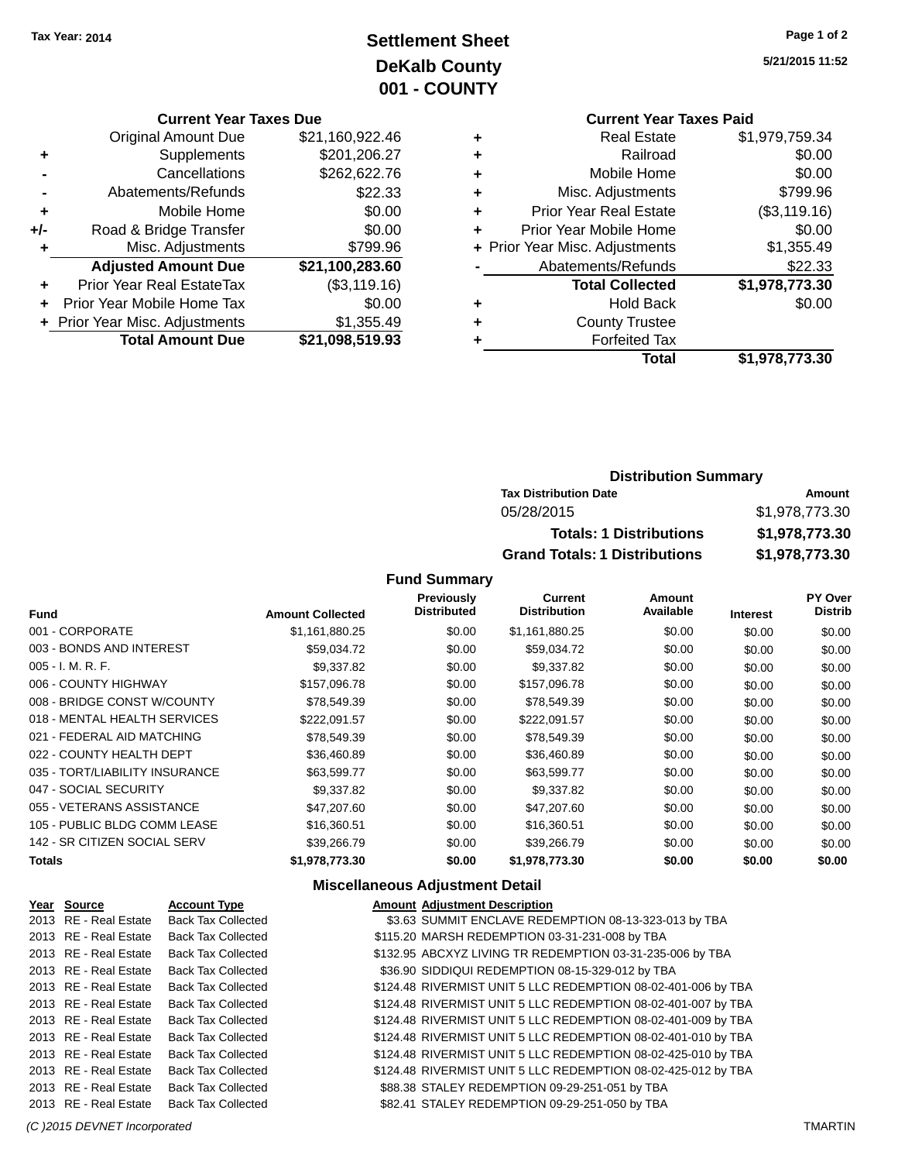## **Settlement Sheet Tax Year: 2014 Page 1 of 2 DeKalb County 001 - COUNTY**

**5/21/2015 11:52**

#### **Current Year Taxes Due**

|     | <b>Original Amount Due</b>       | \$21,160,922.46 |
|-----|----------------------------------|-----------------|
| ٠   | Supplements                      | \$201,206.27    |
|     | Cancellations                    | \$262,622.76    |
|     | Abatements/Refunds               | \$22.33         |
| ٠   | Mobile Home                      | \$0.00          |
| +/- | Road & Bridge Transfer           | \$0.00          |
| ٠   | Misc. Adjustments                | \$799.96        |
|     | <b>Adjusted Amount Due</b>       | \$21,100,283.60 |
| ÷   | <b>Prior Year Real EstateTax</b> | (\$3,119.16)    |
|     | Prior Year Mobile Home Tax       | \$0.00          |
|     | + Prior Year Misc. Adjustments   | \$1,355.49      |
|     | <b>Total Amount Due</b>          | \$21,098,519.93 |

### **Current Year Taxes Paid +** Real Estate \$1,979,759.34 **+** Railroad \$0.00 **+** Mobile Home \$0.00 **+** Misc. Adjustments \$799.96 **+** Prior Year Real Estate (\$3,119.16) **+** Prior Year Mobile Home \$0.00

|                      | Total                          | \$1,978,773.30 |
|----------------------|--------------------------------|----------------|
|                      | <b>Forfeited Tax</b>           |                |
| $\ddot{}$            | <b>County Trustee</b>          |                |
| $\ddot{\phantom{1}}$ | <b>Hold Back</b>               | \$0.00         |
|                      | <b>Total Collected</b>         | \$1,978,773.30 |
|                      | Abatements/Refunds             | \$22.33        |
|                      | + Prior Year Misc. Adjustments | \$1,355.49     |
|                      |                                |                |

### **Distribution Summary Tax Distribution Date Amount**

| 05/28/2015                           | \$1,978,773.30 |
|--------------------------------------|----------------|
| <b>Totals: 1 Distributions</b>       | \$1,978,773.30 |
| <b>Grand Totals: 1 Distributions</b> | \$1.978.773.30 |

### **Fund Summary**

| <b>Fund</b>                    | <b>Amount Collected</b> | Previously<br><b>Distributed</b> | <b>Current</b><br><b>Distribution</b> | Amount<br>Available | <b>Interest</b> | PY Over<br><b>Distrib</b> |
|--------------------------------|-------------------------|----------------------------------|---------------------------------------|---------------------|-----------------|---------------------------|
| 001 - CORPORATE                | \$1,161,880.25          | \$0.00                           | \$1,161,880.25                        | \$0.00              | \$0.00          | \$0.00                    |
| 003 - BONDS AND INTEREST       | \$59,034.72             | \$0.00                           | \$59,034.72                           | \$0.00              | \$0.00          | \$0.00                    |
| $005 - I. M. R. F.$            | \$9,337.82              | \$0.00                           | \$9,337.82                            | \$0.00              | \$0.00          | \$0.00                    |
| 006 - COUNTY HIGHWAY           | \$157,096.78            | \$0.00                           | \$157,096.78                          | \$0.00              | \$0.00          | \$0.00                    |
| 008 - BRIDGE CONST W/COUNTY    | \$78,549.39             | \$0.00                           | \$78,549.39                           | \$0.00              | \$0.00          | \$0.00                    |
| 018 - MENTAL HEALTH SERVICES   | \$222,091.57            | \$0.00                           | \$222,091.57                          | \$0.00              | \$0.00          | \$0.00                    |
| 021 - FEDERAL AID MATCHING     | \$78.549.39             | \$0.00                           | \$78,549.39                           | \$0.00              | \$0.00          | \$0.00                    |
| 022 - COUNTY HEALTH DEPT       | \$36,460.89             | \$0.00                           | \$36,460.89                           | \$0.00              | \$0.00          | \$0.00                    |
| 035 - TORT/LIABILITY INSURANCE | \$63,599.77             | \$0.00                           | \$63,599.77                           | \$0.00              | \$0.00          | \$0.00                    |
| 047 - SOCIAL SECURITY          | \$9,337.82              | \$0.00                           | \$9,337.82                            | \$0.00              | \$0.00          | \$0.00                    |
| 055 - VETERANS ASSISTANCE      | \$47,207.60             | \$0.00                           | \$47,207.60                           | \$0.00              | \$0.00          | \$0.00                    |
| 105 - PUBLIC BLDG COMM LEASE   | \$16,360.51             | \$0.00                           | \$16,360.51                           | \$0.00              | \$0.00          | \$0.00                    |
| 142 - SR CITIZEN SOCIAL SERV   | \$39,266.79             | \$0.00                           | \$39,266.79                           | \$0.00              | \$0.00          | \$0.00                    |
| <b>Totals</b>                  | \$1,978,773.30          | \$0.00                           | \$1,978,773.30                        | \$0.00              | \$0.00          | \$0.00                    |

### **Miscellaneous Adjustment Detail**

| Year Source           | <b>Account Type</b>       | <b>Amount Adiustment Description</b>                          |
|-----------------------|---------------------------|---------------------------------------------------------------|
| 2013 RE - Real Estate | <b>Back Tax Collected</b> | \$3.63 SUMMIT ENCLAVE REDEMPTION 08-13-323-013 by TBA         |
| 2013 RE - Real Estate | <b>Back Tax Collected</b> | \$115.20 MARSH REDEMPTION 03-31-231-008 by TBA                |
| 2013 RE - Real Estate | <b>Back Tax Collected</b> | \$132.95 ABCXYZ LIVING TR REDEMPTION 03-31-235-006 by TBA     |
| 2013 RE - Real Estate | <b>Back Tax Collected</b> | \$36.90 SIDDIQUI REDEMPTION 08-15-329-012 by TBA              |
| 2013 RE - Real Estate | <b>Back Tax Collected</b> | \$124.48 RIVERMIST UNIT 5 LLC REDEMPTION 08-02-401-006 by TBA |
| 2013 RE - Real Estate | <b>Back Tax Collected</b> | \$124.48 RIVERMIST UNIT 5 LLC REDEMPTION 08-02-401-007 by TBA |
| 2013 RE - Real Estate | <b>Back Tax Collected</b> | \$124.48 RIVERMIST UNIT 5 LLC REDEMPTION 08-02-401-009 by TBA |
| 2013 RE - Real Estate | <b>Back Tax Collected</b> | \$124.48 RIVERMIST UNIT 5 LLC REDEMPTION 08-02-401-010 by TBA |
| 2013 RE - Real Estate | <b>Back Tax Collected</b> | \$124.48 RIVERMIST UNIT 5 LLC REDEMPTION 08-02-425-010 by TBA |
| 2013 RE - Real Estate | <b>Back Tax Collected</b> | \$124.48 RIVERMIST UNIT 5 LLC REDEMPTION 08-02-425-012 by TBA |
| 2013 RE - Real Estate | <b>Back Tax Collected</b> | \$88.38 STALEY REDEMPTION 09-29-251-051 by TBA                |
| 2013 RE - Real Estate | <b>Back Tax Collected</b> | \$82.41 STALEY REDEMPTION 09-29-251-050 by TBA                |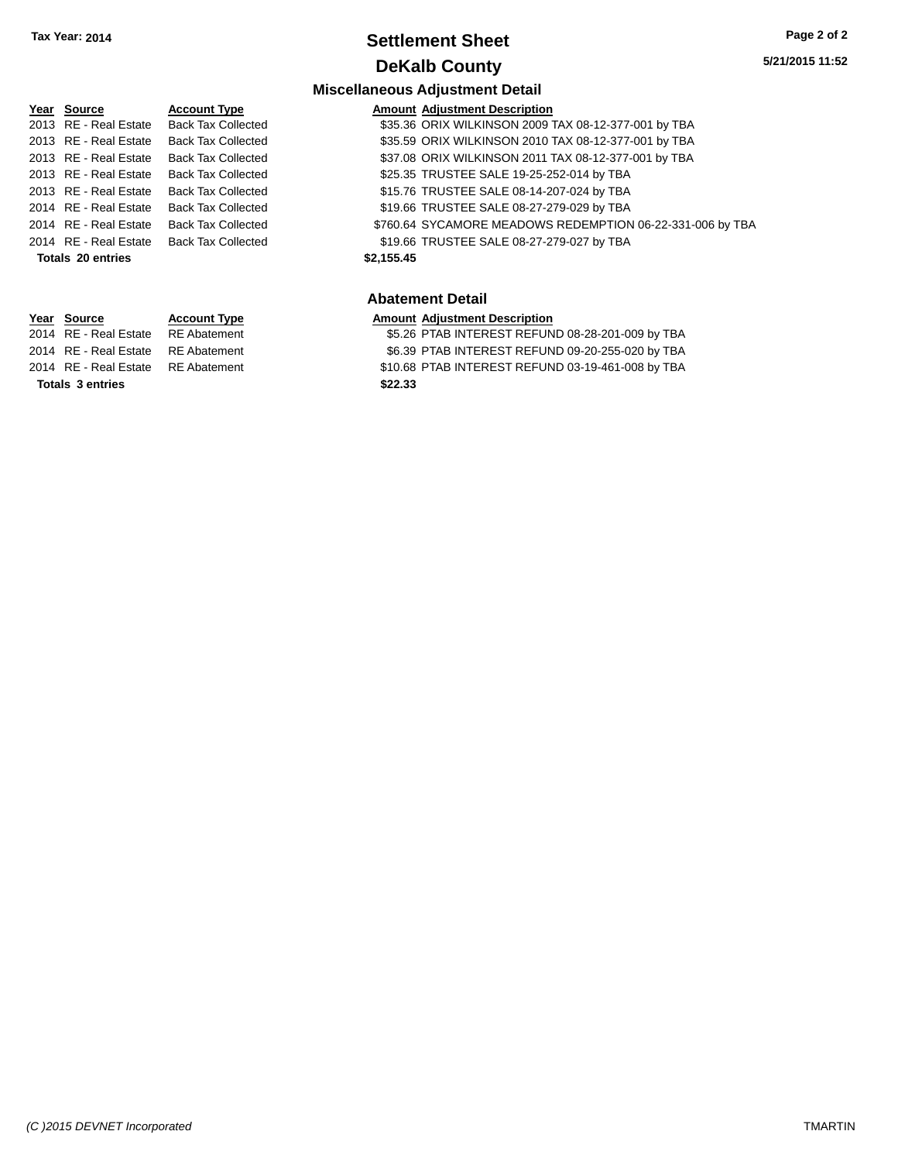### **Settlement Sheet Tax Year: 2014 Page 2 of 2 DeKalb County**

### **Miscellaneous Adjustment Detail Year** Source **Account Type Account Adjustment Description** 2013 RE - Real Estate Back Tax Collected \$35.36 ORIX WILKINSON 2009 TAX 08-12-377-001 by TBA 2013 RE - Real Estate Back Tax Collected \$35.59 ORIX WILKINSON 2010 TAX 08-12-377-001 by TBA 2013 RE - Real Estate Back Tax Collected \$37.08 ORIX WILKINSON 2011 TAX 08-12-377-001 by TBA 2013 RE - Real Estate Back Tax Collected **\$25.35 TRUSTEE SALE 19-25-252-014 by TBA** 2013 RE - Real Estate Back Tax Collected \$15.76 TRUSTEE SALE 08-14-207-024 by TBA 2014 RE - Real Estate Back Tax Collected \$19.66 TRUSTEE SALE 08-27-279-029 by TBA 2014 RE - Real Estate Back Tax Collected \$760.64 SYCAMORE MEADOWS REDEMPTION 06-22-331-006 by TBA 2014 RE - Real Estate Back Tax Collected \$19.66 TRUSTEE SALE 08-27-279-027 by TBA **Totals \$2,155.45 20 entries**

# **Year Source Account Type Amount Adjustment Description**

**Totals \$22.33 3 entries**

- -
	-
- 
- 
- 

### **Abatement Detail**

2014 RE - Real Estate RE Abatement \$5.26 PTAB INTEREST REFUND 08-28-201-009 by TBA 2014 RE - Real Estate RE Abatement \$6.39 PTAB INTEREST REFUND 09-20-255-020 by TBA 2014 RE - Real Estate RE Abatement \$10.68 PTAB INTEREST REFUND 03-19-461-008 by TBA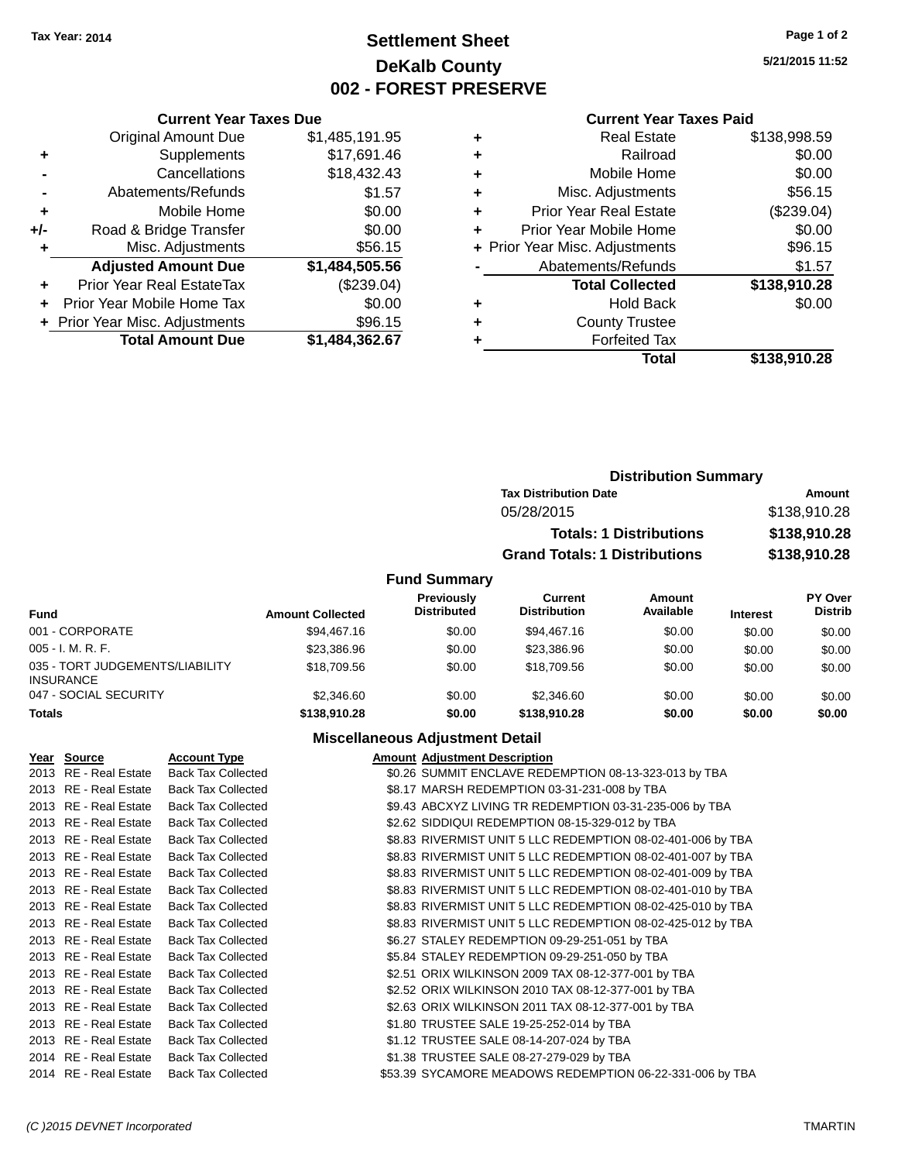### **Settlement Sheet Tax Year: 2014 Page 1 of 2 DeKalb County 002 - FOREST PRESERVE**

**5/21/2015 11:52**

#### **Current Year Taxes Paid**

|     | <b>Current Year Taxes Due</b>  |                |         |
|-----|--------------------------------|----------------|---------|
|     | <b>Original Amount Due</b>     | \$1,485,191.95 | ٠       |
|     | Supplements                    | \$17,691.46    | ٠       |
|     | Cancellations                  | \$18,432.43    | ٠       |
|     | Abatements/Refunds             | \$1.57         | ٠       |
|     | Mobile Home                    | \$0.00         | ٠       |
| +/- | Road & Bridge Transfer         | \$0.00         | ٠       |
|     | Misc. Adjustments              | \$56.15        | + Prior |
|     | <b>Adjusted Amount Due</b>     | \$1,484,505.56 |         |
|     | Prior Year Real EstateTax      | (\$239.04)     |         |
|     | Prior Year Mobile Home Tax     | \$0.00         | ٠       |
|     | + Prior Year Misc. Adjustments | \$96.15        |         |
|     | <b>Total Amount Due</b>        | \$1,484,362.67 |         |
|     |                                |                |         |

|   | <b>Real Estate</b>             | \$138,998.59 |
|---|--------------------------------|--------------|
|   | Railroad                       | \$0.00       |
| ٠ | Mobile Home                    | \$0.00       |
| ٠ | Misc. Adjustments              | \$56.15      |
| ٠ | <b>Prior Year Real Estate</b>  | (\$239.04)   |
|   | Prior Year Mobile Home         | \$0.00       |
|   | + Prior Year Misc. Adjustments | \$96.15      |
|   | Abatements/Refunds             | \$1.57       |
|   | <b>Total Collected</b>         | \$138,910.28 |
|   | <b>Hold Back</b>               | \$0.00       |
|   | <b>County Trustee</b>          |              |
|   | <b>Forfeited Tax</b>           |              |
|   | Total                          | \$138,910.28 |
|   |                                |              |

|              |                                         |                                      | <b>Distribution Summary</b>    |                 |                                  |  |
|--------------|-----------------------------------------|--------------------------------------|--------------------------------|-----------------|----------------------------------|--|
|              |                                         | <b>Tax Distribution Date</b>         |                                | <b>Amount</b>   |                                  |  |
|              |                                         | 05/28/2015                           |                                |                 | \$138,910.28                     |  |
|              |                                         |                                      | <b>Totals: 1 Distributions</b> |                 | \$138,910.28                     |  |
|              |                                         | <b>Grand Totals: 1 Distributions</b> |                                |                 | \$138,910.28                     |  |
|              | <b>Fund Summary</b>                     |                                      |                                |                 |                                  |  |
| nt Collected | <b>Previously</b><br><b>Distributed</b> | Current<br><b>Distribution</b>       | Amount<br>Available            | <b>Interest</b> | <b>PY Over</b><br><b>Distrib</b> |  |
| \$94 467 16  | .SO 00                                  | \$94 467 16                          | .SO 00                         | <b>RO 00</b>    | \$0.00                           |  |

| <b>Amount Collected</b> | <b>Distributed</b> | <b>Distribution</b> | Available | <b>Interest</b> | <b>Distrib</b> |
|-------------------------|--------------------|---------------------|-----------|-----------------|----------------|
| \$94,467.16             | \$0.00             | \$94,467.16         | \$0.00    | \$0.00          | \$0.00         |
| \$23.386.96             | \$0.00             | \$23,386.96         | \$0.00    | \$0.00          | \$0.00         |
| \$18,709.56             | \$0.00             | \$18,709.56         | \$0.00    | \$0.00          | \$0.00         |
| \$2,346.60              | \$0.00             | \$2,346,60          | \$0.00    | \$0.00          | \$0.00         |
| \$138,910.28            | \$0.00             | \$138,910,28        | \$0.00    | \$0.00          | \$0.00         |
|                         |                    |                     |           |                 |                |

### **Miscellaneous Adjustment Detail**

| Year Source           | <b>Account Type</b>       | <b>Amount Adjustment Description</b>                        |
|-----------------------|---------------------------|-------------------------------------------------------------|
| 2013 RE - Real Estate | <b>Back Tax Collected</b> | \$0.26 SUMMIT ENCLAVE REDEMPTION 08-13-323-013 by TBA       |
| 2013 RE - Real Estate | <b>Back Tax Collected</b> | \$8.17 MARSH REDEMPTION 03-31-231-008 by TBA                |
| 2013 RE - Real Estate | <b>Back Tax Collected</b> | \$9.43 ABCXYZ LIVING TR REDEMPTION 03-31-235-006 by TBA     |
| 2013 RE - Real Estate | <b>Back Tax Collected</b> | \$2.62 SIDDIQUI REDEMPTION 08-15-329-012 by TBA             |
| 2013 RE - Real Estate | <b>Back Tax Collected</b> | \$8.83 RIVERMIST UNIT 5 LLC REDEMPTION 08-02-401-006 by TBA |
| 2013 RE - Real Estate | <b>Back Tax Collected</b> | \$8.83 RIVERMIST UNIT 5 LLC REDEMPTION 08-02-401-007 by TBA |
| 2013 RE - Real Estate | <b>Back Tax Collected</b> | \$8.83 RIVERMIST UNIT 5 LLC REDEMPTION 08-02-401-009 by TBA |
| 2013 RE - Real Estate | <b>Back Tax Collected</b> | \$8.83 RIVERMIST UNIT 5 LLC REDEMPTION 08-02-401-010 by TBA |
| 2013 RE - Real Estate | <b>Back Tax Collected</b> | \$8.83 RIVERMIST UNIT 5 LLC REDEMPTION 08-02-425-010 by TBA |
| 2013 RE - Real Estate | <b>Back Tax Collected</b> | \$8.83 RIVERMIST UNIT 5 LLC REDEMPTION 08-02-425-012 by TBA |
| 2013 RE - Real Estate | <b>Back Tax Collected</b> | \$6.27 STALEY REDEMPTION 09-29-251-051 by TBA               |
| 2013 RE - Real Estate | <b>Back Tax Collected</b> | \$5.84 STALEY REDEMPTION 09-29-251-050 by TBA               |
| 2013 RE - Real Estate | <b>Back Tax Collected</b> | \$2.51 ORIX WILKINSON 2009 TAX 08-12-377-001 by TBA         |
| 2013 RE - Real Estate | <b>Back Tax Collected</b> | \$2.52 ORIX WILKINSON 2010 TAX 08-12-377-001 by TBA         |
| 2013 RE - Real Estate | <b>Back Tax Collected</b> | \$2.63 ORIX WILKINSON 2011 TAX 08-12-377-001 by TBA         |
| 2013 RE - Real Estate | <b>Back Tax Collected</b> | \$1.80 TRUSTEE SALE 19-25-252-014 by TBA                    |
| 2013 RE - Real Estate | <b>Back Tax Collected</b> | \$1.12 TRUSTEE SALE 08-14-207-024 by TBA                    |
| 2014 RE - Real Estate | <b>Back Tax Collected</b> | \$1.38 TRUSTEE SALE 08-27-279-029 by TBA                    |
| 2014 RE - Real Estate | <b>Back Tax Collected</b> | \$53.39 SYCAMORE MEADOWS REDEMPTION 06-22-331-006 by TBA    |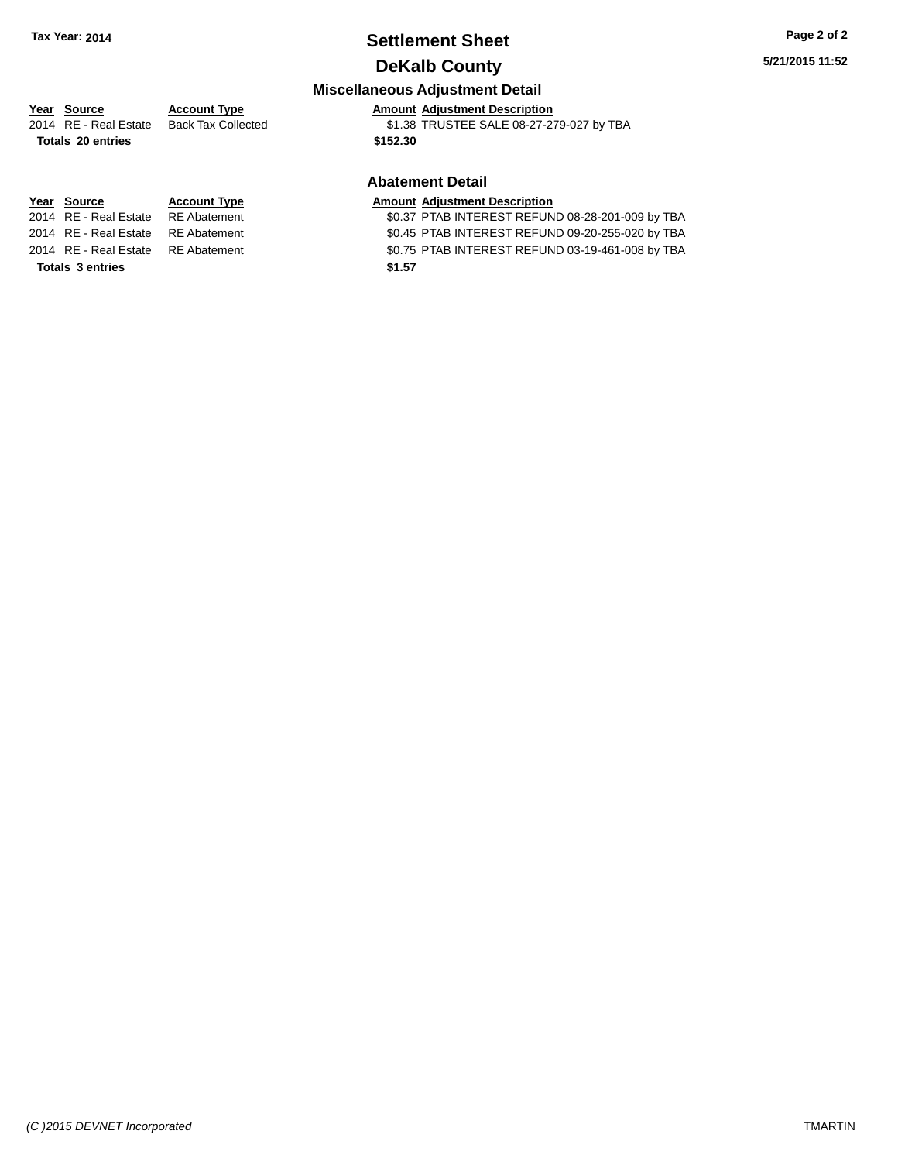# **Settlement Sheet Tax Year: 2014 Page 2 of 2**

### **DeKalb County**

### **Miscellaneous Adjustment Detail**

**Abatement Detail**

**Totals \$152.30 20 entries**

**Year** Source **Account Type Account Adjustment Description** 2014 RE - Real Estate Back Tax Collected \$1.38 TRUSTEE SALE 08-27-279-027 by TBA

**Totals \$1.57 3 entries**

### **Year** Source **Account Type Account Adjustment Description**

2014 RE - Real Estate RE Abatement \$0.37 PTAB INTEREST REFUND 08-28-201-009 by TBA 2014 RE - Real Estate RE Abatement \$0.45 PTAB INTEREST REFUND 09-20-255-020 by TBA 2014 RE - Real Estate RE Abatement \$0.75 PTAB INTEREST REFUND 03-19-461-008 by TBA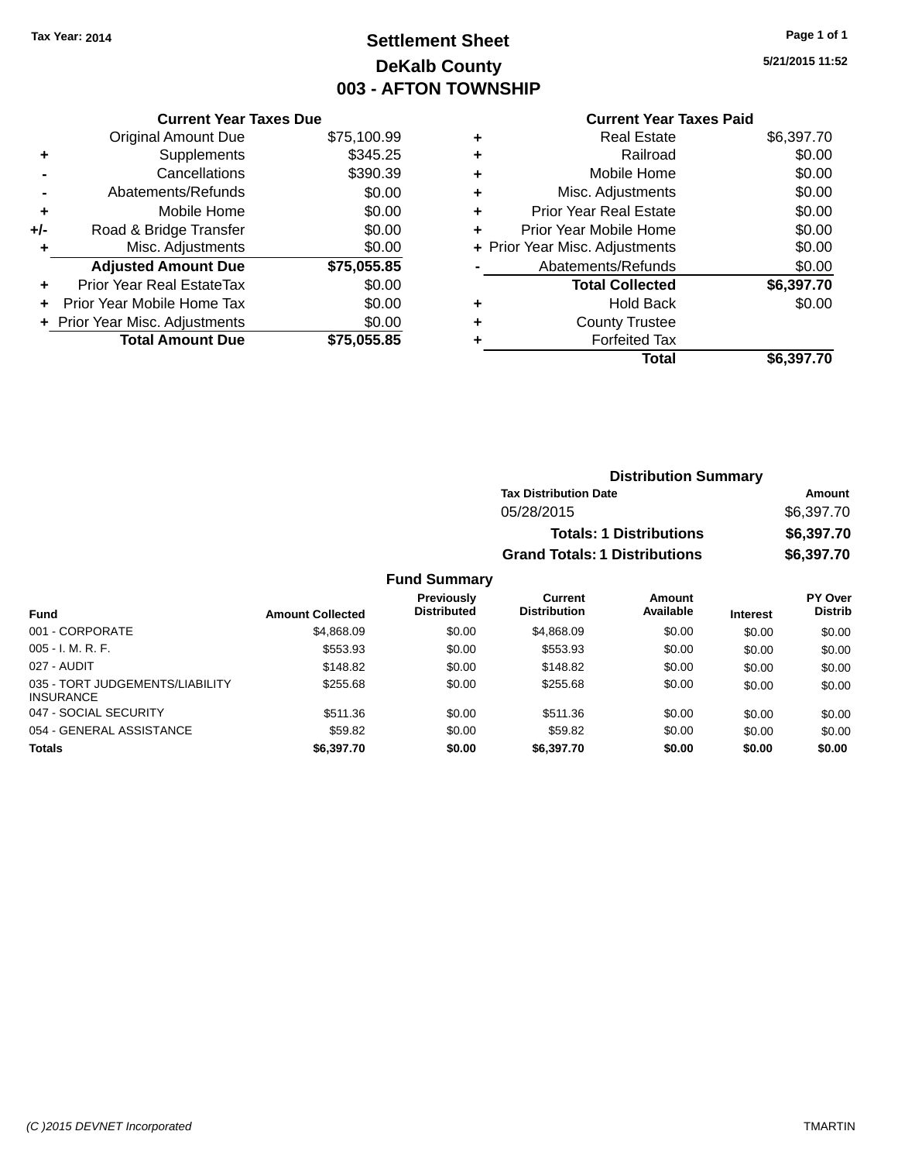## **Settlement Sheet Tax Year: 2014 Page 1 of 1 DeKalb County 003 - AFTON TOWNSHIP**

**5/21/2015 11:52**

#### **Current Year Taxes Paid**

|     | <b>Current Year Taxes Due</b> |             |  |  |  |  |
|-----|-------------------------------|-------------|--|--|--|--|
|     | <b>Original Amount Due</b>    | \$75,100.99 |  |  |  |  |
| ٠   | Supplements                   | \$345.25    |  |  |  |  |
|     | Cancellations                 | \$390.39    |  |  |  |  |
|     | Abatements/Refunds            | \$0.00      |  |  |  |  |
| ٠   | Mobile Home                   | \$0.00      |  |  |  |  |
| +/- | Road & Bridge Transfer        | \$0.00      |  |  |  |  |
| ٠   | Misc. Adjustments             | \$0.00      |  |  |  |  |
|     | <b>Adjusted Amount Due</b>    | \$75,055.85 |  |  |  |  |
| ÷   | Prior Year Real EstateTax     | \$0.00      |  |  |  |  |
|     | Prior Year Mobile Home Tax    | \$0.00      |  |  |  |  |
|     | Prior Year Misc. Adjustments  | \$0.00      |  |  |  |  |
|     | <b>Total Amount Due</b>       | \$75,055,85 |  |  |  |  |

|   | <b>Real Estate</b>             | \$6,397.70 |
|---|--------------------------------|------------|
| ٠ | Railroad                       | \$0.00     |
| ٠ | Mobile Home                    | \$0.00     |
| ٠ | Misc. Adjustments              | \$0.00     |
| ٠ | <b>Prior Year Real Estate</b>  | \$0.00     |
| ٠ | Prior Year Mobile Home         | \$0.00     |
|   | + Prior Year Misc. Adjustments | \$0.00     |
|   | Abatements/Refunds             | \$0.00     |
|   | <b>Total Collected</b>         | \$6,397.70 |
| ٠ | <b>Hold Back</b>               | \$0.00     |
| ٠ | <b>County Trustee</b>          |            |
| ٠ | <b>Forfeited Tax</b>           |            |
|   | Total                          | \$6,397.70 |
|   |                                |            |

| <b>Distribution Summary</b>          |            |
|--------------------------------------|------------|
| <b>Tax Distribution Date</b>         | Amount     |
| 05/28/2015                           | \$6,397.70 |
| <b>Totals: 1 Distributions</b>       | \$6,397.70 |
| <b>Grand Totals: 1 Distributions</b> | \$6,397.70 |

|                                                     |                         | <b>Previously</b><br><b>Distributed</b> | Current<br><b>Distribution</b> | Amount<br>Available |                 | PY Over<br><b>Distrib</b> |
|-----------------------------------------------------|-------------------------|-----------------------------------------|--------------------------------|---------------------|-----------------|---------------------------|
| <b>Fund</b>                                         | <b>Amount Collected</b> |                                         |                                |                     | <b>Interest</b> |                           |
| 001 - CORPORATE                                     | \$4,868.09              | \$0.00                                  | \$4,868,09                     | \$0.00              | \$0.00          | \$0.00                    |
| $005 - I. M. R. F.$                                 | \$553.93                | \$0.00                                  | \$553.93                       | \$0.00              | \$0.00          | \$0.00                    |
| 027 - AUDIT                                         | \$148.82                | \$0.00                                  | \$148.82                       | \$0.00              | \$0.00          | \$0.00                    |
| 035 - TORT JUDGEMENTS/LIABILITY<br><b>INSURANCE</b> | \$255.68                | \$0.00                                  | \$255.68                       | \$0.00              | \$0.00          | \$0.00                    |
| 047 - SOCIAL SECURITY                               | \$511.36                | \$0.00                                  | \$511.36                       | \$0.00              | \$0.00          | \$0.00                    |
| 054 - GENERAL ASSISTANCE                            | \$59.82                 | \$0.00                                  | \$59.82                        | \$0.00              | \$0.00          | \$0.00                    |
| <b>Totals</b>                                       | \$6,397.70              | \$0.00                                  | \$6,397.70                     | \$0.00              | \$0.00          | \$0.00                    |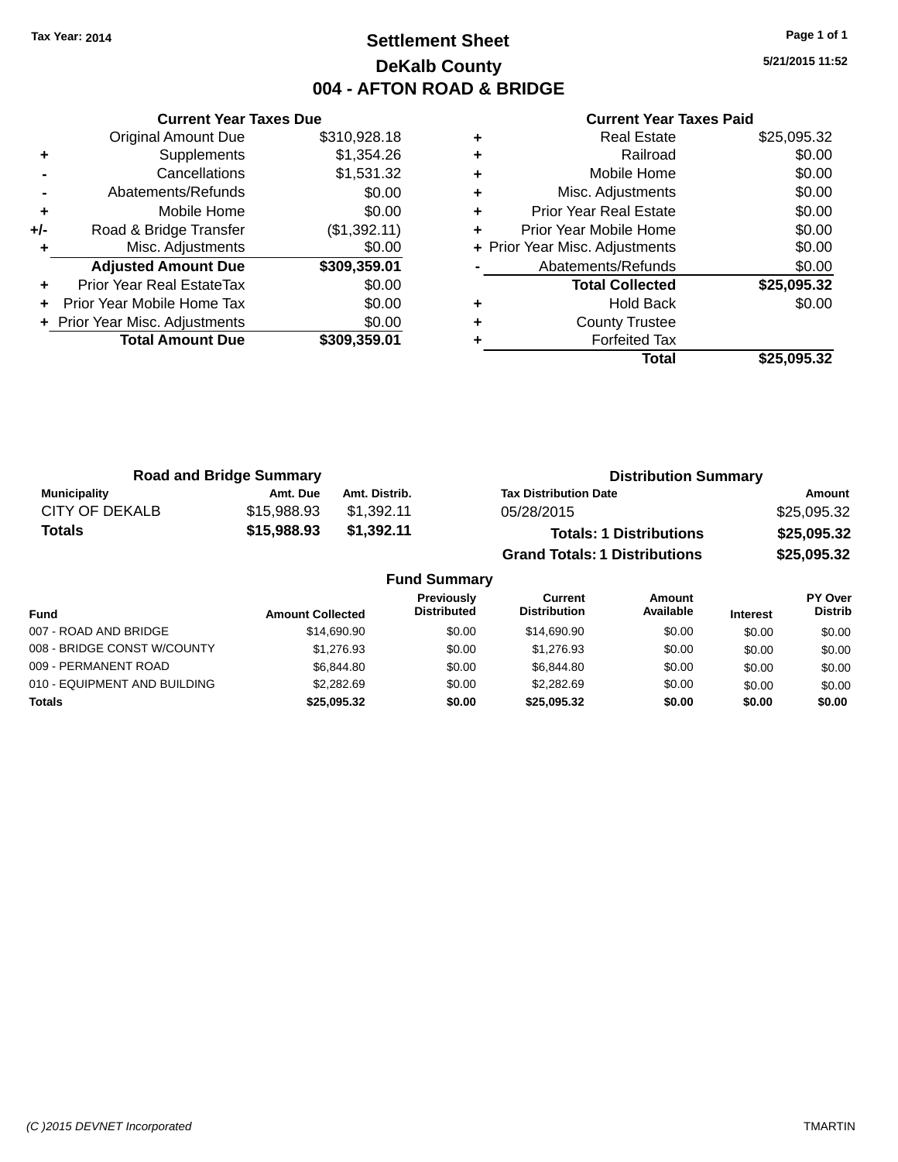### **Settlement Sheet Tax Year: 2014 Page 1 of 1 DeKalb County 004 - AFTON ROAD & BRIDGE**

**5/21/2015 11:52**

|     | <b>Current Year Taxes Due</b>  |              |
|-----|--------------------------------|--------------|
|     | <b>Original Amount Due</b>     | \$310,928.18 |
| ٠   | Supplements                    | \$1,354.26   |
|     | Cancellations                  | \$1,531.32   |
|     | Abatements/Refunds             | \$0.00       |
| ٠   | Mobile Home                    | \$0.00       |
| +/- | Road & Bridge Transfer         | (\$1,392.11) |
|     | Misc. Adjustments              | \$0.00       |
|     | <b>Adjusted Amount Due</b>     | \$309,359.01 |
| ٠   | Prior Year Real EstateTax      | \$0.00       |
|     | Prior Year Mobile Home Tax     | \$0.00       |
|     | + Prior Year Misc. Adjustments | \$0.00       |
|     | <b>Total Amount Due</b>        | \$309,359.01 |
|     |                                |              |

| <b>Real Estate</b>             | \$25,095.32 |
|--------------------------------|-------------|
| Railroad                       | \$0.00      |
| Mobile Home                    | \$0.00      |
| Misc. Adjustments              | \$0.00      |
| <b>Prior Year Real Estate</b>  | \$0.00      |
| Prior Year Mobile Home         | \$0.00      |
| + Prior Year Misc. Adjustments | \$0.00      |
| Abatements/Refunds             | \$0.00      |
| <b>Total Collected</b>         | \$25,095.32 |
| <b>Hold Back</b>               | \$0.00      |
| <b>County Trustee</b>          |             |
| <b>Forfeited Tax</b>           |             |
| Total                          | \$25,095.32 |
|                                |             |

| <b>Road and Bridge Summary</b> |             |               | <b>Distribution Summary</b>          |             |  |  |
|--------------------------------|-------------|---------------|--------------------------------------|-------------|--|--|
| Municipality                   | Amt. Due    | Amt. Distrib. | <b>Tax Distribution Date</b>         | Amount      |  |  |
| CITY OF DEKALB                 | \$15,988.93 | \$1.392.11    | 05/28/2015                           | \$25,095.32 |  |  |
| Totals                         | \$15,988.93 | \$1,392.11    | <b>Totals: 1 Distributions</b>       | \$25,095.32 |  |  |
|                                |             |               | <b>Grand Totals: 1 Distributions</b> | \$25,095.32 |  |  |

| <b>Fund Summary</b>          |                         |                                         |                                |                     |                 |                                  |
|------------------------------|-------------------------|-----------------------------------------|--------------------------------|---------------------|-----------------|----------------------------------|
| <b>Fund</b>                  | <b>Amount Collected</b> | <b>Previously</b><br><b>Distributed</b> | Current<br><b>Distribution</b> | Amount<br>Available | <b>Interest</b> | <b>PY Over</b><br><b>Distrib</b> |
| 007 - ROAD AND BRIDGE        | \$14,690.90             | \$0.00                                  | \$14,690.90                    | \$0.00              | \$0.00          | \$0.00                           |
| 008 - BRIDGE CONST W/COUNTY  | \$1,276.93              | \$0.00                                  | \$1.276.93                     | \$0.00              | \$0.00          | \$0.00                           |
| 009 - PERMANENT ROAD         | \$6,844,80              | \$0.00                                  | \$6.844.80                     | \$0.00              | \$0.00          | \$0.00                           |
| 010 - EQUIPMENT AND BUILDING | \$2,282.69              | \$0.00                                  | \$2,282.69                     | \$0.00              | \$0.00          | \$0.00                           |
| <b>Totals</b>                | \$25,095.32             | \$0.00                                  | \$25,095.32                    | \$0.00              | \$0.00          | \$0.00                           |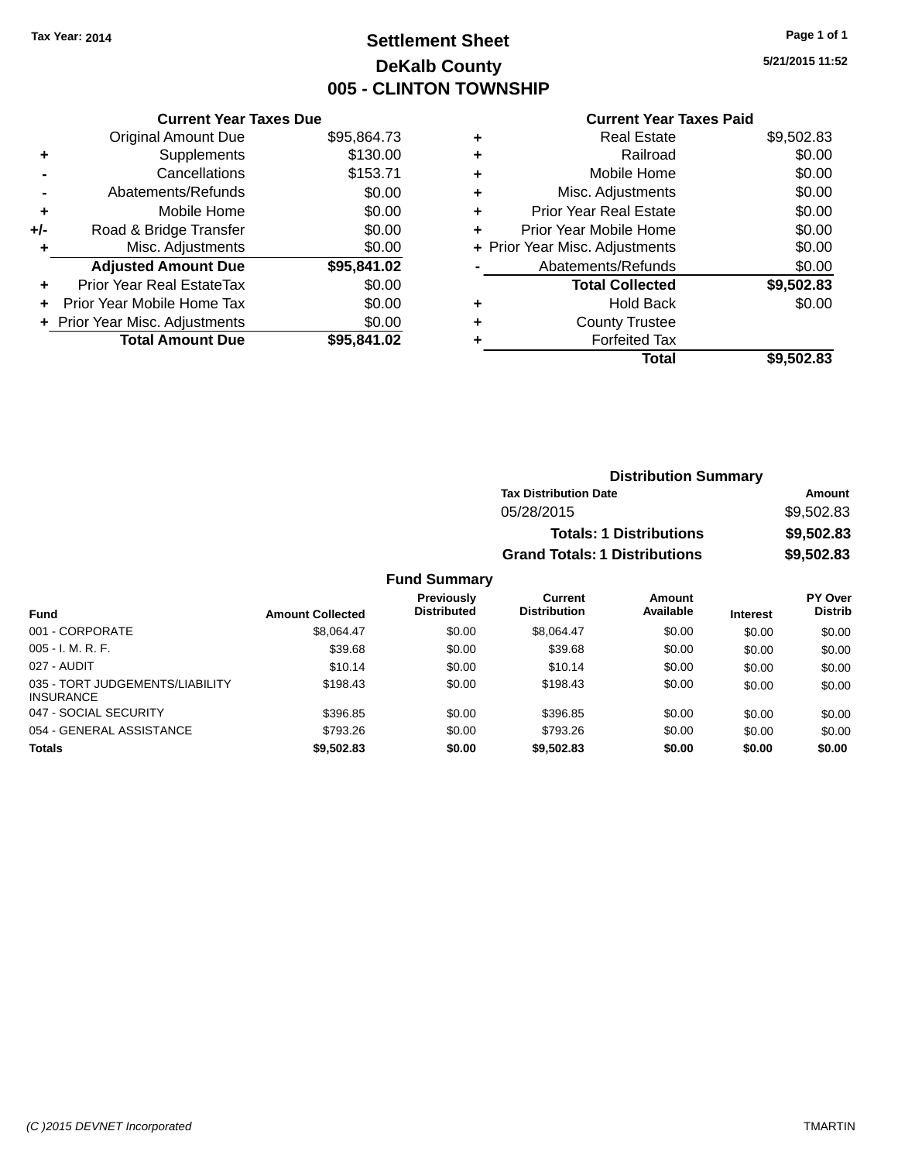## **Settlement Sheet Tax Year: 2014 Page 1 of 1 DeKalb County 005 - CLINTON TOWNSHIP**

**5/21/2015 11:52**

|     | <b>Current Year Taxes Due</b>  |             |  |  |  |  |  |
|-----|--------------------------------|-------------|--|--|--|--|--|
|     | <b>Original Amount Due</b>     | \$95,864.73 |  |  |  |  |  |
| ٠   | Supplements                    | \$130.00    |  |  |  |  |  |
|     | Cancellations                  | \$153.71    |  |  |  |  |  |
|     | Abatements/Refunds             | \$0.00      |  |  |  |  |  |
| ÷   | Mobile Home                    | \$0.00      |  |  |  |  |  |
| +/- | Road & Bridge Transfer         | \$0.00      |  |  |  |  |  |
| ÷   | Misc. Adjustments              | \$0.00      |  |  |  |  |  |
|     | <b>Adjusted Amount Due</b>     | \$95,841.02 |  |  |  |  |  |
| ٠   | Prior Year Real EstateTax      | \$0.00      |  |  |  |  |  |
| ÷   | Prior Year Mobile Home Tax     | \$0.00      |  |  |  |  |  |
|     | + Prior Year Misc. Adjustments | \$0.00      |  |  |  |  |  |
|     | <b>Total Amount Due</b>        | \$95,841.02 |  |  |  |  |  |

#### **Current Year Taxes Paid**

|   | <b>Real Estate</b>             | \$9,502.83 |
|---|--------------------------------|------------|
| ٠ | Railroad                       | \$0.00     |
| ٠ | Mobile Home                    | \$0.00     |
| ٠ | Misc. Adjustments              | \$0.00     |
| ٠ | <b>Prior Year Real Estate</b>  | \$0.00     |
| ٠ | Prior Year Mobile Home         | \$0.00     |
|   | + Prior Year Misc. Adjustments | \$0.00     |
|   | Abatements/Refunds             | \$0.00     |
|   | <b>Total Collected</b>         | \$9,502.83 |
| ٠ | <b>Hold Back</b>               | \$0.00     |
| ٠ | <b>County Trustee</b>          |            |
|   | <b>Forfeited Tax</b>           |            |
|   | Total                          | \$9,502.83 |
|   |                                |            |

### **Distribution Summary Tax Distribution Date Amount** 05/28/2015 \$9,502.83 **Totals: 1 Distributions \$9,502.83 Grand Totals: 1 Distributions \$9,502.83**

| <b>Fund</b>                                         | <b>Amount Collected</b> | Previously<br><b>Distributed</b> | Current<br><b>Distribution</b> | Amount<br>Available | <b>Interest</b> | <b>PY Over</b><br><b>Distrib</b> |
|-----------------------------------------------------|-------------------------|----------------------------------|--------------------------------|---------------------|-----------------|----------------------------------|
| 001 - CORPORATE                                     | \$8.064.47              | \$0.00                           | \$8.064.47                     | \$0.00              | \$0.00          | \$0.00                           |
| $005 - I. M. R. F.$                                 | \$39.68                 | \$0.00                           | \$39.68                        | \$0.00              | \$0.00          | \$0.00                           |
| 027 - AUDIT                                         | \$10.14                 | \$0.00                           | \$10.14                        | \$0.00              | \$0.00          | \$0.00                           |
| 035 - TORT JUDGEMENTS/LIABILITY<br><b>INSURANCE</b> | \$198.43                | \$0.00                           | \$198.43                       | \$0.00              | \$0.00          | \$0.00                           |
| 047 - SOCIAL SECURITY                               | \$396.85                | \$0.00                           | \$396.85                       | \$0.00              | \$0.00          | \$0.00                           |
| 054 - GENERAL ASSISTANCE                            | \$793.26                | \$0.00                           | \$793.26                       | \$0.00              | \$0.00          | \$0.00                           |
| <b>Totals</b>                                       | \$9,502.83              | \$0.00                           | \$9,502.83                     | \$0.00              | \$0.00          | \$0.00                           |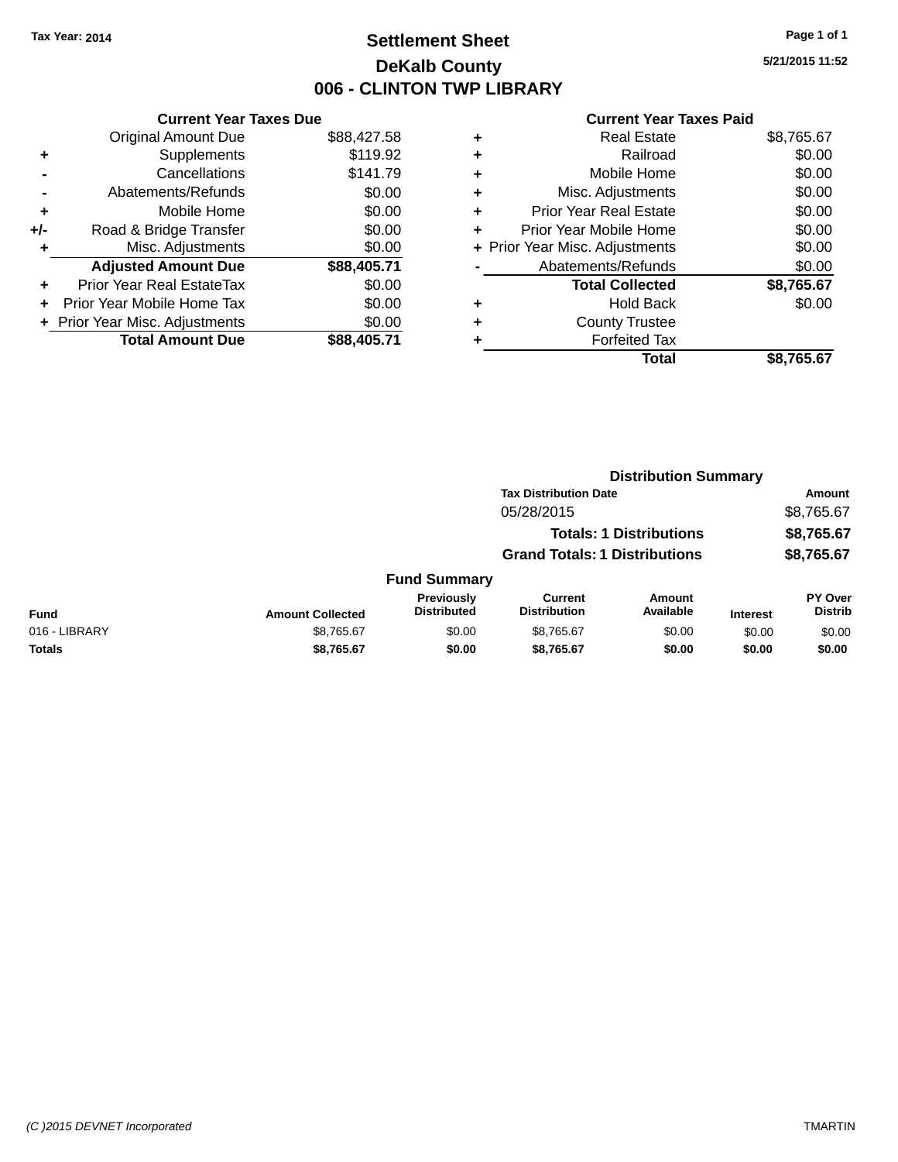### **Settlement Sheet Tax Year: 2014 Page 1 of 1 DeKalb County 006 - CLINTON TWP LIBRARY**

**5/21/2015 11:52**

|     | <b>Current Year Taxes Due</b>  |             |
|-----|--------------------------------|-------------|
|     | <b>Original Amount Due</b>     | \$88,427.58 |
| ٠   | Supplements                    | \$119.92    |
|     | Cancellations                  | \$141.79    |
|     | Abatements/Refunds             | \$0.00      |
| ٠   | Mobile Home                    | \$0.00      |
| +/- | Road & Bridge Transfer         | \$0.00      |
|     | Misc. Adjustments              | \$0.00      |
|     | <b>Adjusted Amount Due</b>     | \$88,405.71 |
| ÷   | Prior Year Real EstateTax      | \$0.00      |
| ÷   | Prior Year Mobile Home Tax     | \$0.00      |
|     | + Prior Year Misc. Adjustments | \$0.00      |
|     | <b>Total Amount Due</b>        | \$88,405.71 |

|   | <b>Real Estate</b>             | \$8,765.67 |
|---|--------------------------------|------------|
| ٠ | Railroad                       | \$0.00     |
| ٠ | Mobile Home                    | \$0.00     |
| ٠ | Misc. Adjustments              | \$0.00     |
| ٠ | <b>Prior Year Real Estate</b>  | \$0.00     |
| ٠ | Prior Year Mobile Home         | \$0.00     |
|   | + Prior Year Misc. Adjustments | \$0.00     |
|   | Abatements/Refunds             | \$0.00     |
|   | <b>Total Collected</b>         | \$8,765.67 |
| ٠ | <b>Hold Back</b>               | \$0.00     |
| ٠ | <b>County Trustee</b>          |            |
| ٠ | <b>Forfeited Tax</b>           |            |
|   | Total                          | \$8,765.67 |
|   |                                |            |

|               | <b>Distribution Summary</b> |                                  |                                       |                            |                 |                           |  |
|---------------|-----------------------------|----------------------------------|---------------------------------------|----------------------------|-----------------|---------------------------|--|
|               |                             |                                  | <b>Tax Distribution Date</b>          |                            |                 | Amount                    |  |
|               |                             |                                  | 05/28/2015                            |                            |                 | \$8,765.67                |  |
|               |                             | <b>Totals: 1 Distributions</b>   |                                       |                            | \$8,765.67      |                           |  |
|               |                             |                                  | <b>Grand Totals: 1 Distributions</b>  |                            |                 | \$8,765.67                |  |
|               |                             | <b>Fund Summary</b>              |                                       |                            |                 |                           |  |
| Fund          | <b>Amount Collected</b>     | Previously<br><b>Distributed</b> | <b>Current</b><br><b>Distribution</b> | <b>Amount</b><br>Available | <b>Interest</b> | PY Over<br><b>Distrib</b> |  |
| 016 - LIBRARY | \$8,765.67                  | \$0.00                           | \$8,765.67                            | \$0.00                     | \$0.00          | \$0.00                    |  |
| Totals        | \$8,765.67                  | \$0.00                           | \$8,765.67                            | \$0.00                     | \$0.00          | \$0.00                    |  |
|               |                             |                                  |                                       |                            |                 |                           |  |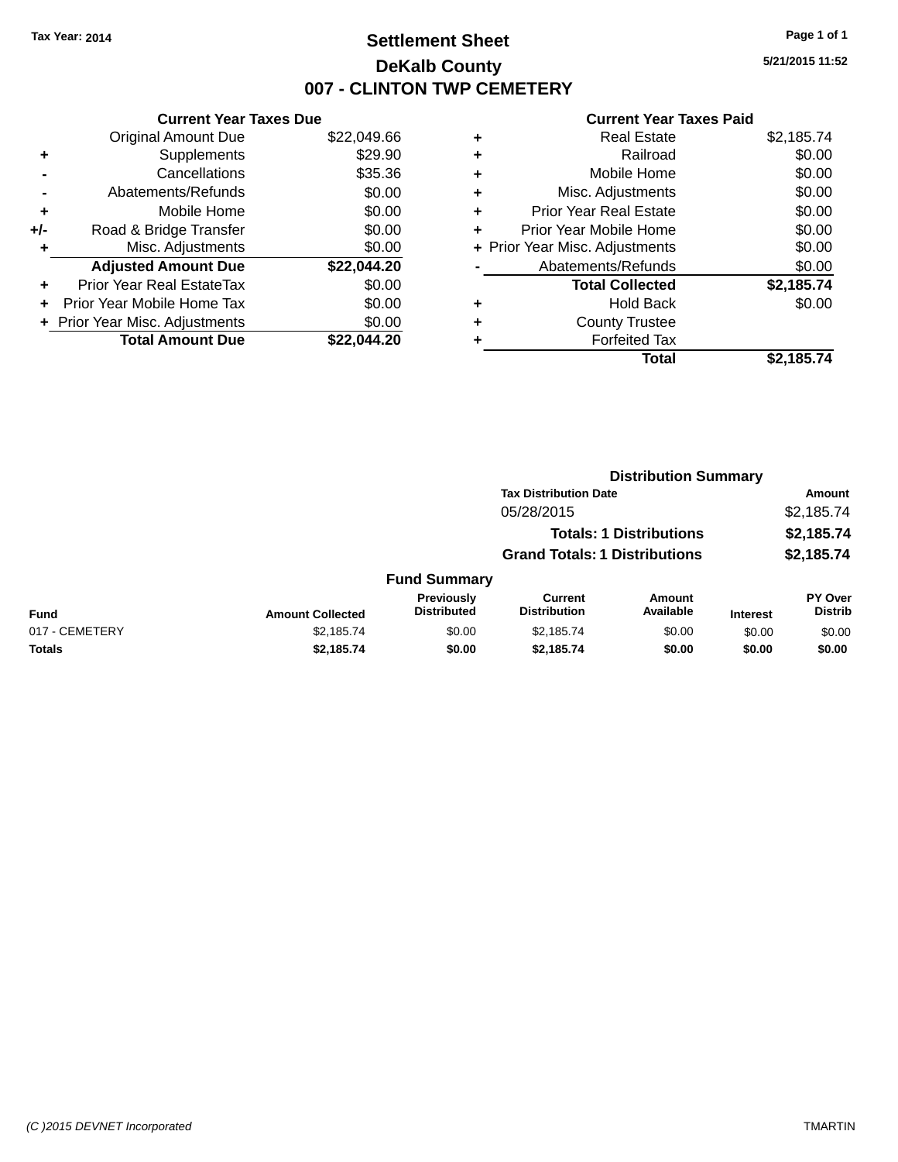### **Settlement Sheet Tax Year: 2014 Page 1 of 1 DeKalb County 007 - CLINTON TWP CEMETERY**

**5/21/2015 11:52**

| <b>Current Year Taxes Due</b>             |             |  |  |  |  |  |
|-------------------------------------------|-------------|--|--|--|--|--|
| <b>Original Amount Due</b><br>\$22,049.66 |             |  |  |  |  |  |
| Supplements                               | \$29.90     |  |  |  |  |  |
| Cancellations                             | \$35.36     |  |  |  |  |  |
| Abatements/Refunds                        | \$0.00      |  |  |  |  |  |
| Mobile Home                               | \$0.00      |  |  |  |  |  |
| Road & Bridge Transfer                    | \$0.00      |  |  |  |  |  |
| Misc. Adjustments                         | \$0.00      |  |  |  |  |  |
| <b>Adjusted Amount Due</b>                | \$22,044.20 |  |  |  |  |  |
| Prior Year Real EstateTax                 | \$0.00      |  |  |  |  |  |
| Prior Year Mobile Home Tax                | \$0.00      |  |  |  |  |  |
| Prior Year Misc. Adjustments              | \$0.00      |  |  |  |  |  |
| <b>Total Amount Due</b>                   | \$22.044.20 |  |  |  |  |  |
|                                           |             |  |  |  |  |  |

| ٠ | <b>Real Estate</b>             | \$2,185.74 |
|---|--------------------------------|------------|
| ٠ | Railroad                       | \$0.00     |
| ٠ | Mobile Home                    | \$0.00     |
| ٠ | Misc. Adjustments              | \$0.00     |
| ٠ | <b>Prior Year Real Estate</b>  | \$0.00     |
| ٠ | Prior Year Mobile Home         | \$0.00     |
|   | + Prior Year Misc. Adjustments | \$0.00     |
|   | Abatements/Refunds             | \$0.00     |
|   | <b>Total Collected</b>         | \$2,185.74 |
| ٠ | <b>Hold Back</b>               | \$0.00     |
| ٠ | <b>County Trustee</b>          |            |
| ٠ | <b>Forfeited Tax</b>           |            |
|   | <b>Total</b>                   | \$2,185.74 |
|   |                                |            |

|                |                         |                                         | <b>Distribution Summary</b>           |                                |                 |                                  |
|----------------|-------------------------|-----------------------------------------|---------------------------------------|--------------------------------|-----------------|----------------------------------|
|                |                         |                                         | <b>Tax Distribution Date</b>          |                                |                 | Amount                           |
|                |                         |                                         | 05/28/2015                            |                                |                 | \$2,185.74                       |
|                |                         |                                         |                                       | <b>Totals: 1 Distributions</b> |                 | \$2,185.74                       |
|                |                         |                                         | <b>Grand Totals: 1 Distributions</b>  |                                |                 | \$2,185.74                       |
|                |                         | <b>Fund Summary</b>                     |                                       |                                |                 |                                  |
| <b>Fund</b>    | <b>Amount Collected</b> | <b>Previously</b><br><b>Distributed</b> | <b>Current</b><br><b>Distribution</b> | <b>Amount</b><br>Available     | <b>Interest</b> | <b>PY Over</b><br><b>Distrib</b> |
| 017 - CEMETERY | \$2,185.74              | \$0.00                                  | \$2,185.74                            | \$0.00                         | \$0.00          | \$0.00                           |
| Totals         | \$2,185.74              | \$0.00                                  | \$2,185.74                            | \$0.00                         | \$0.00          | \$0.00                           |
|                |                         |                                         |                                       |                                |                 |                                  |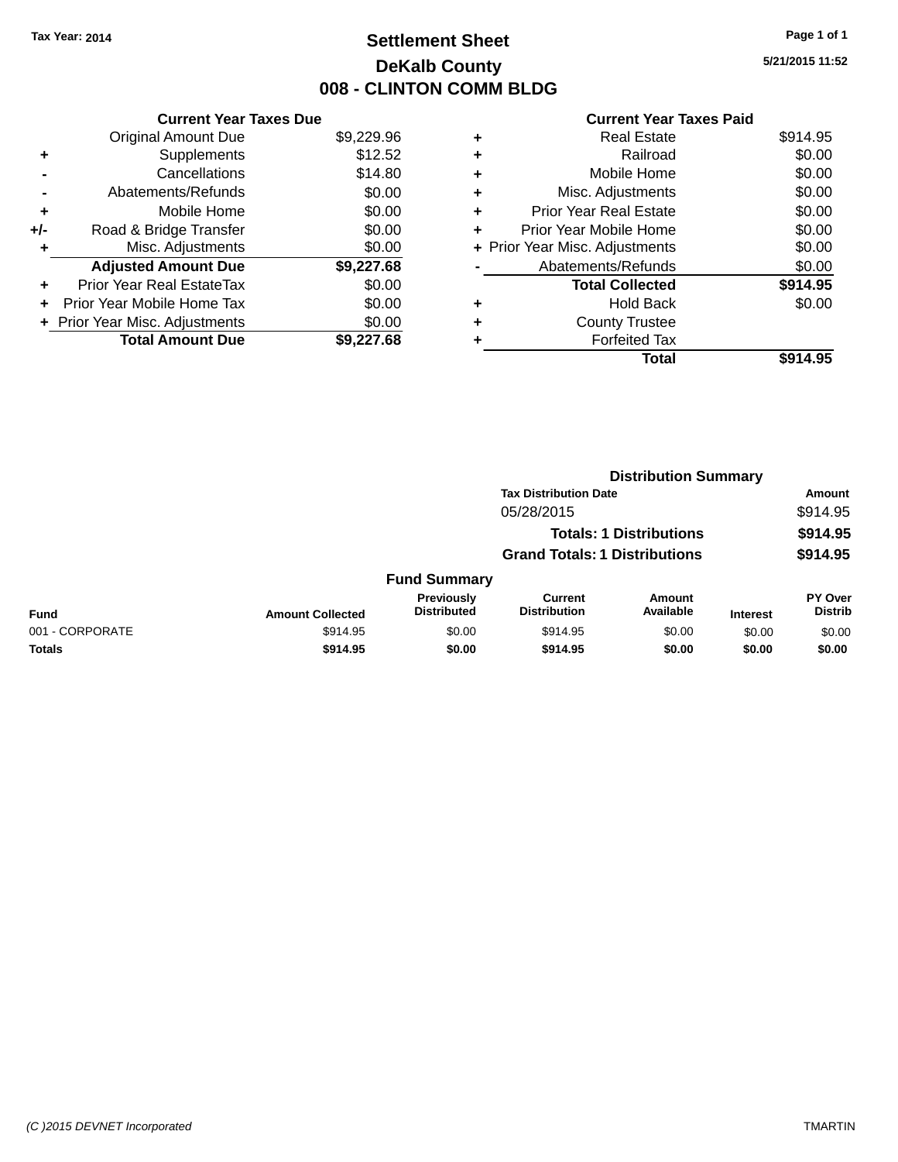## **Settlement Sheet Tax Year: 2014 Page 1 of 1 DeKalb County 008 - CLINTON COMM BLDG**

**5/21/2015 11:52**

|     | <b>Current Year Taxes Due</b> |            |
|-----|-------------------------------|------------|
|     | <b>Original Amount Due</b>    | \$9,229.96 |
| ٠   | Supplements                   | \$12.52    |
|     | Cancellations                 | \$14.80    |
|     | Abatements/Refunds            | \$0.00     |
| ٠   | Mobile Home                   | \$0.00     |
| +/- | Road & Bridge Transfer        | \$0.00     |
| ٠   | Misc. Adjustments             | \$0.00     |
|     | <b>Adjusted Amount Due</b>    | \$9,227.68 |
| ÷   | Prior Year Real EstateTax     | \$0.00     |
|     | Prior Year Mobile Home Tax    | \$0.00     |
|     | Prior Year Misc. Adjustments  | \$0.00     |
|     | <b>Total Amount Due</b>       | \$9,227.68 |

|   | <b>Real Estate</b>             | \$914.95 |
|---|--------------------------------|----------|
| ٠ | Railroad                       | \$0.00   |
| ٠ | Mobile Home                    | \$0.00   |
| ٠ | Misc. Adjustments              | \$0.00   |
| ٠ | <b>Prior Year Real Estate</b>  | \$0.00   |
|   | Prior Year Mobile Home         | \$0.00   |
|   | + Prior Year Misc. Adjustments | \$0.00   |
|   | Abatements/Refunds             | \$0.00   |
|   | <b>Total Collected</b>         | \$914.95 |
| ٠ | Hold Back                      | \$0.00   |
|   | <b>County Trustee</b>          |          |
| ٠ | <b>Forfeited Tax</b>           |          |
|   | Total                          | \$914.95 |
|   |                                |          |

|                 |                         |                                  | <b>Distribution Summary</b>           |                                |                 |                                  |  |
|-----------------|-------------------------|----------------------------------|---------------------------------------|--------------------------------|-----------------|----------------------------------|--|
|                 |                         |                                  | <b>Tax Distribution Date</b>          |                                |                 | Amount                           |  |
|                 |                         |                                  | 05/28/2015                            |                                |                 | \$914.95                         |  |
|                 |                         |                                  |                                       | <b>Totals: 1 Distributions</b> |                 | \$914.95                         |  |
|                 |                         |                                  | <b>Grand Totals: 1 Distributions</b>  |                                |                 | \$914.95                         |  |
|                 |                         | <b>Fund Summary</b>              |                                       |                                |                 |                                  |  |
| Fund            | <b>Amount Collected</b> | Previously<br><b>Distributed</b> | <b>Current</b><br><b>Distribution</b> | Amount<br>Available            | <b>Interest</b> | <b>PY Over</b><br><b>Distrib</b> |  |
| 001 - CORPORATE | \$914.95                | \$0.00                           | \$914.95                              | \$0.00                         | \$0.00          | \$0.00                           |  |
| <b>Totals</b>   | \$914.95                | \$0.00                           | \$914.95                              | \$0.00                         | \$0.00          | \$0.00                           |  |
|                 |                         |                                  |                                       |                                |                 |                                  |  |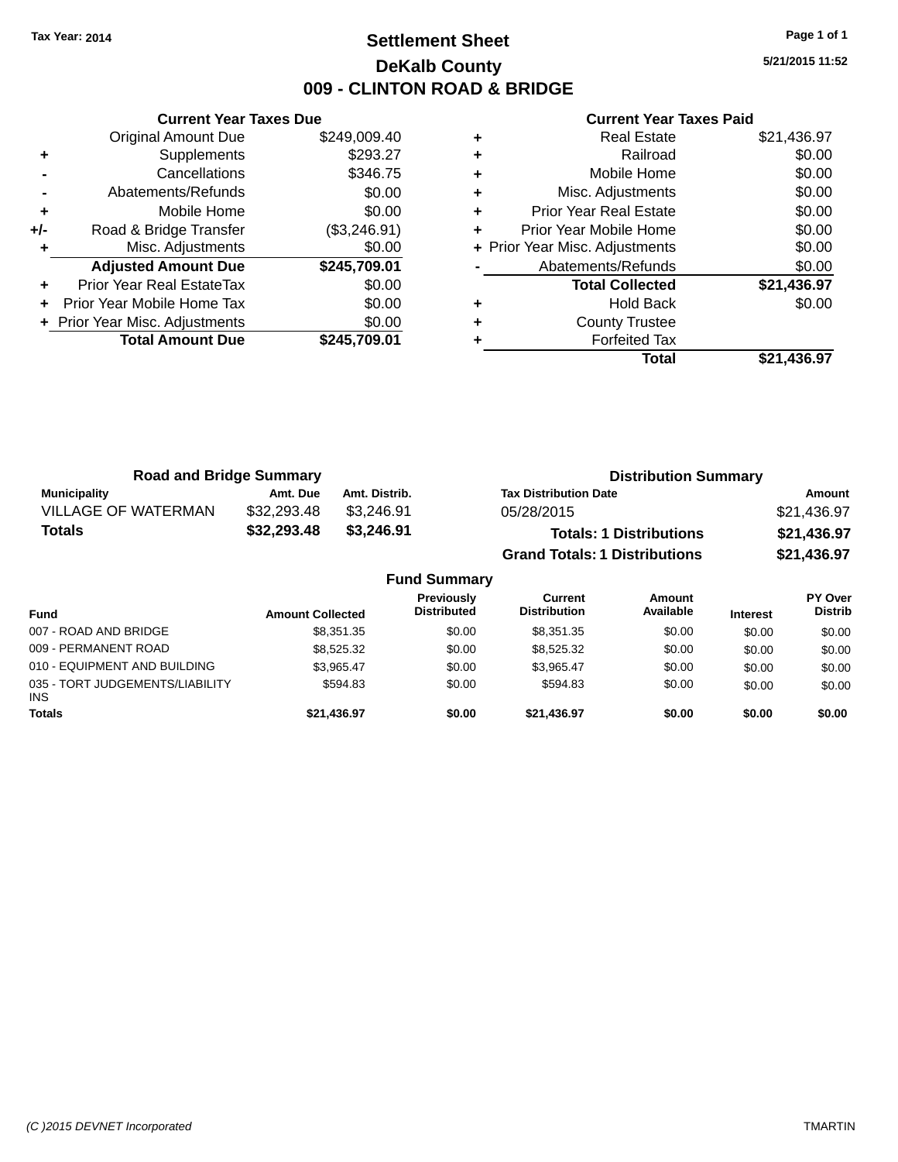### **Settlement Sheet Tax Year: 2014 Page 1 of 1 DeKalb County 009 - CLINTON ROAD & BRIDGE**

**5/21/2015 11:52**

|     | <b>Current Year Taxes Due</b>  |              |   |
|-----|--------------------------------|--------------|---|
|     | <b>Original Amount Due</b>     | \$249,009.40 |   |
|     | <b>Supplements</b>             | \$293.27     |   |
|     | Cancellations                  | \$346.75     | ٠ |
|     | Abatements/Refunds             | \$0.00       | ٠ |
|     | Mobile Home                    | \$0.00       |   |
| +/- | Road & Bridge Transfer         | (\$3,246.91) |   |
|     | Misc. Adjustments              | \$0.00       |   |
|     | <b>Adjusted Amount Due</b>     | \$245,709.01 |   |
|     | Prior Year Real EstateTax      | \$0.00       |   |
|     | Prior Year Mobile Home Tax     | \$0.00       |   |
|     | + Prior Year Misc. Adjustments | \$0.00       |   |
|     | <b>Total Amount Due</b>        | \$245,709.01 |   |

|   | <b>Real Estate</b>             | \$21,436.97 |
|---|--------------------------------|-------------|
| ٠ | Railroad                       | \$0.00      |
| ٠ | Mobile Home                    | \$0.00      |
| ٠ | Misc. Adjustments              | \$0.00      |
| ٠ | <b>Prior Year Real Estate</b>  | \$0.00      |
|   | Prior Year Mobile Home         | \$0.00      |
|   | + Prior Year Misc. Adjustments | \$0.00      |
|   | Abatements/Refunds             | \$0.00      |
|   | <b>Total Collected</b>         | \$21,436.97 |
| ٠ | <b>Hold Back</b>               | \$0.00      |
| ٠ | <b>County Trustee</b>          |             |
|   | <b>Forfeited Tax</b>           |             |
|   | Total                          | \$21,436.97 |
|   |                                |             |

| <b>Road and Bridge Summary</b> |             |               | <b>Distribution Summary</b>          |             |  |
|--------------------------------|-------------|---------------|--------------------------------------|-------------|--|
| Municipality                   | Amt. Due    | Amt. Distrib. | <b>Tax Distribution Date</b>         | Amount      |  |
| <b>VILLAGE OF WATERMAN</b>     | \$32,293,48 | \$3.246.91    | 05/28/2015                           | \$21.436.97 |  |
| <b>Totals</b>                  | \$32,293.48 | \$3,246.91    | <b>Totals: 1 Distributions</b>       | \$21,436.97 |  |
|                                |             |               | <b>Grand Totals: 1 Distributions</b> | \$21,436.97 |  |

|                                               |                         | <b>Fund Summary</b>                     |                                       |                     |                 |                           |
|-----------------------------------------------|-------------------------|-----------------------------------------|---------------------------------------|---------------------|-----------------|---------------------------|
| Fund                                          | <b>Amount Collected</b> | <b>Previously</b><br><b>Distributed</b> | <b>Current</b><br><b>Distribution</b> | Amount<br>Available | <b>Interest</b> | PY Over<br><b>Distrib</b> |
| 007 - ROAD AND BRIDGE                         | \$8,351.35              | \$0.00                                  | \$8,351.35                            | \$0.00              | \$0.00          | \$0.00                    |
| 009 - PERMANENT ROAD                          | \$8,525,32              | \$0.00                                  | \$8.525.32                            | \$0.00              | \$0.00          | \$0.00                    |
| 010 - EQUIPMENT AND BUILDING                  | \$3.965.47              | \$0.00                                  | \$3.965.47                            | \$0.00              | \$0.00          | \$0.00                    |
| 035 - TORT JUDGEMENTS/LIABILITY<br><b>INS</b> | \$594.83                | \$0.00                                  | \$594.83                              | \$0.00              | \$0.00          | \$0.00                    |
| <b>Totals</b>                                 | \$21,436.97             | \$0.00                                  | \$21.436.97                           | \$0.00              | \$0.00          | \$0.00                    |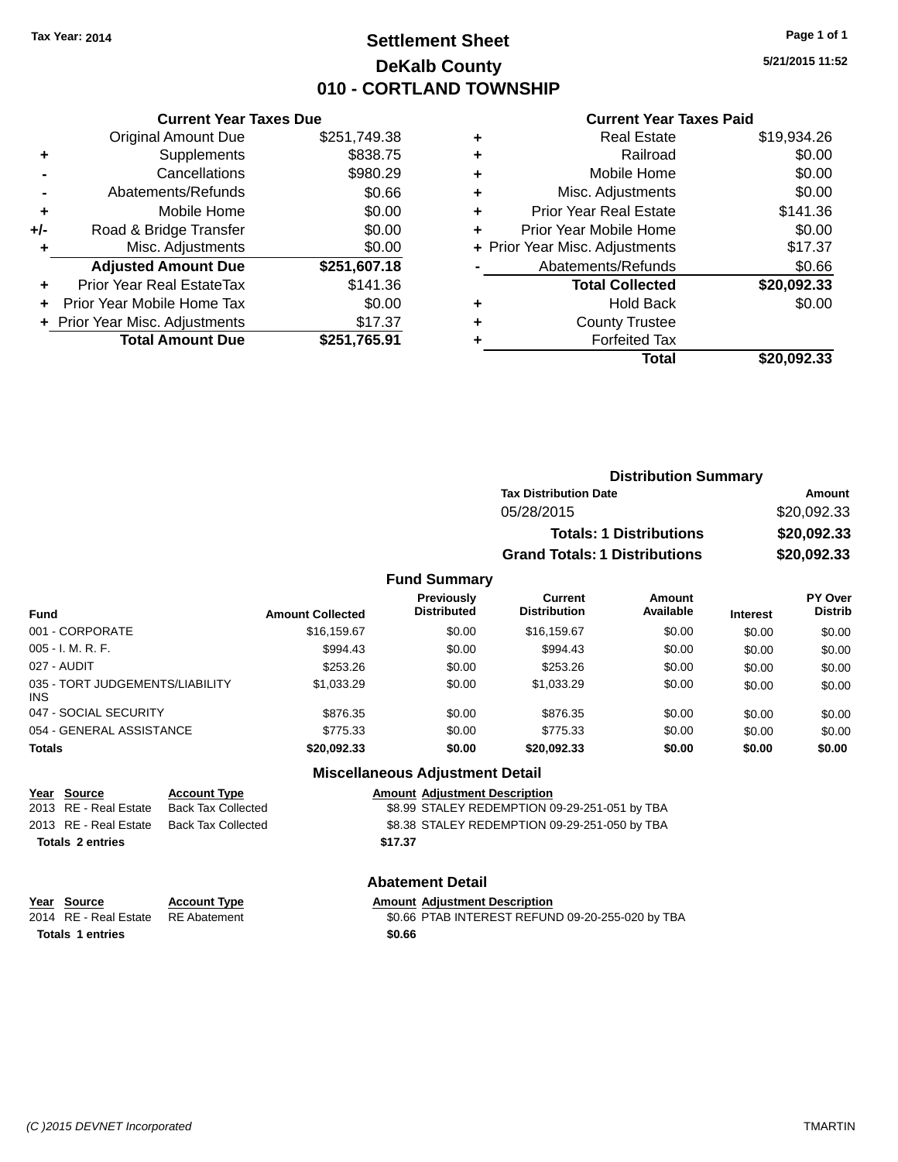### **Settlement Sheet Tax Year: 2014 Page 1 of 1 DeKalb County 010 - CORTLAND TOWNSHIP**

**5/21/2015 11:52**

#### **Current Year Taxes Paid**

|     | <b>Current Year Taxes Due</b>              |              |  |  |  |  |  |
|-----|--------------------------------------------|--------------|--|--|--|--|--|
|     | <b>Original Amount Due</b><br>\$251,749.38 |              |  |  |  |  |  |
| ٠   | Supplements                                | \$838.75     |  |  |  |  |  |
|     | \$980.29<br>Cancellations                  |              |  |  |  |  |  |
|     | \$0.66<br>Abatements/Refunds               |              |  |  |  |  |  |
| ٠   | Mobile Home                                | \$0.00       |  |  |  |  |  |
| +/- | Road & Bridge Transfer                     | \$0.00       |  |  |  |  |  |
| ٠   | Misc. Adjustments                          | \$0.00       |  |  |  |  |  |
|     | <b>Adjusted Amount Due</b>                 | \$251,607.18 |  |  |  |  |  |
| ÷   | Prior Year Real EstateTax                  | \$141.36     |  |  |  |  |  |
|     | Prior Year Mobile Home Tax                 | \$0.00       |  |  |  |  |  |
|     | + Prior Year Misc. Adjustments             | \$17.37      |  |  |  |  |  |
|     | <b>Total Amount Due</b>                    | \$251,765.91 |  |  |  |  |  |
|     |                                            |              |  |  |  |  |  |

|   | <b>Real Estate</b>             | \$19,934.26 |
|---|--------------------------------|-------------|
| ٠ | Railroad                       | \$0.00      |
| ٠ | Mobile Home                    | \$0.00      |
| ٠ | Misc. Adjustments              | \$0.00      |
| ٠ | <b>Prior Year Real Estate</b>  | \$141.36    |
| ٠ | Prior Year Mobile Home         | \$0.00      |
|   | + Prior Year Misc. Adjustments | \$17.37     |
|   | Abatements/Refunds             | \$0.66      |
|   | <b>Total Collected</b>         | \$20,092.33 |
| ٠ | Hold Back                      | \$0.00      |
| ٠ | <b>County Trustee</b>          |             |
| ٠ | <b>Forfeited Tax</b>           |             |
|   | Total                          | \$20,092.33 |
|   |                                |             |

| <b>Distribution Summary</b>          |             |  |  |  |
|--------------------------------------|-------------|--|--|--|
| <b>Tax Distribution Date</b>         | Amount      |  |  |  |
| 05/28/2015                           | \$20,092.33 |  |  |  |
| <b>Totals: 1 Distributions</b>       | \$20,092.33 |  |  |  |
| <b>Grand Totals: 1 Distributions</b> | \$20,092.33 |  |  |  |

### **Fund Summary**

| <b>Fund</b>                             | <b>Amount Collected</b> | <b>Previously</b><br><b>Distributed</b> | <b>Current</b><br><b>Distribution</b> | Amount<br>Available | <b>Interest</b> | PY Over<br><b>Distrib</b> |
|-----------------------------------------|-------------------------|-----------------------------------------|---------------------------------------|---------------------|-----------------|---------------------------|
| 001 - CORPORATE                         | \$16,159.67             | \$0.00                                  | \$16,159.67                           | \$0.00              | \$0.00          | \$0.00                    |
| 005 - I. M. R. F.                       | \$994.43                | \$0.00                                  | \$994.43                              | \$0.00              | \$0.00          | \$0.00                    |
| 027 - AUDIT                             | \$253.26                | \$0.00                                  | \$253.26                              | \$0.00              | \$0.00          | \$0.00                    |
| 035 - TORT JUDGEMENTS/LIABILITY<br>INS. | \$1.033.29              | \$0.00                                  | \$1.033.29                            | \$0.00              | \$0.00          | \$0.00                    |
| 047 - SOCIAL SECURITY                   | \$876.35                | \$0.00                                  | \$876.35                              | \$0.00              | \$0.00          | \$0.00                    |
| 054 - GENERAL ASSISTANCE                | \$775.33                | \$0.00                                  | \$775.33                              | \$0.00              | \$0.00          | \$0.00                    |
| <b>Totals</b>                           | \$20,092.33             | \$0.00                                  | \$20,092.33                           | \$0.00              | \$0.00          | \$0.00                    |

## **Miscellaneous Adjustment Detail**

| Year Source             | <b>Account Type</b>       |         | <b>Amount Adjustment Description</b>          |
|-------------------------|---------------------------|---------|-----------------------------------------------|
| 2013 RE - Real Estate   | <b>Back Tax Collected</b> |         | \$8.99 STALEY REDEMPTION 09-29-251-051 by TBA |
| 2013 RE - Real Estate   | Back Tax Collected        |         | \$8.38 STALEY REDEMPTION 09-29-251-050 by TBA |
| <b>Totals 2 entries</b> |                           | \$17.37 |                                               |

#### **Abatement Detail**

| Year Source             | <b>Account Type</b> | <b>Amount Adiustment Description</b>             |
|-------------------------|---------------------|--------------------------------------------------|
| 2014 RE - Real Estate   | RE Abatement        | \$0.66 PTAB INTEREST REFUND 09-20-255-020 by TBA |
| <b>Totals 1 entries</b> |                     | \$0.66                                           |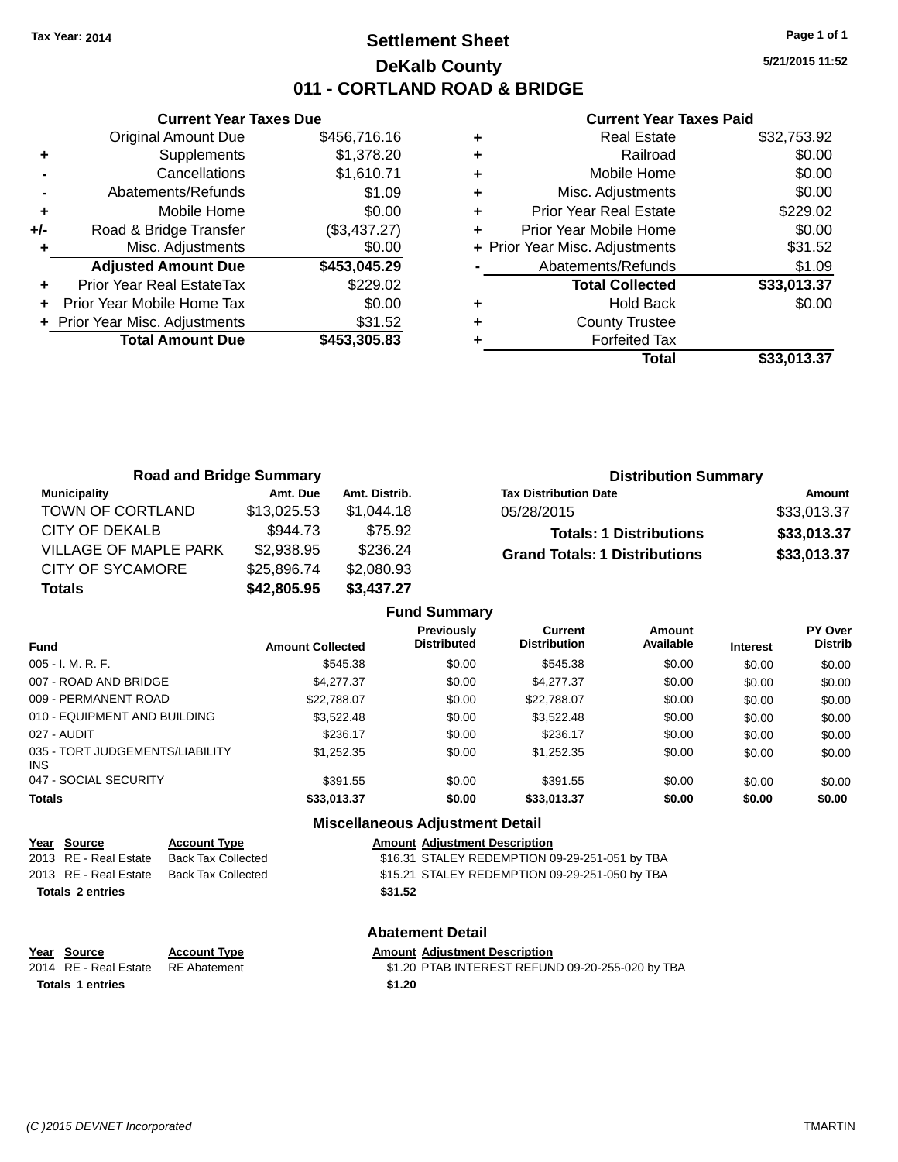### **Settlement Sheet Tax Year: 2014 Page 1 of 1 DeKalb County 011 - CORTLAND ROAD & BRIDGE**

**5/21/2015 11:52**

### **Current Year Taxes Paid**

|       | <b>Current Year Taxes Due</b>  |              |
|-------|--------------------------------|--------------|
|       | <b>Original Amount Due</b>     | \$456.716.16 |
| ٠     | Supplements                    | \$1,378.20   |
|       | Cancellations                  | \$1,610.71   |
|       | Abatements/Refunds             | \$1.09       |
| ÷     | Mobile Home                    | \$0.00       |
| $+/-$ | Road & Bridge Transfer         | (\$3,437.27) |
|       | Misc. Adjustments              | \$0.00       |
|       | <b>Adjusted Amount Due</b>     | \$453,045.29 |
| ٠     | Prior Year Real EstateTax      | \$229.02     |
|       | Prior Year Mobile Home Tax     | \$0.00       |
|       | + Prior Year Misc. Adjustments | \$31.52      |
|       | <b>Total Amount Due</b>        | \$453,305.83 |
|       |                                |              |

|   | <b>Real Estate</b>             | \$32,753.92 |
|---|--------------------------------|-------------|
| ٠ | Railroad                       | \$0.00      |
| ٠ | Mobile Home                    | \$0.00      |
| ٠ | Misc. Adjustments              | \$0.00      |
| ٠ | <b>Prior Year Real Estate</b>  | \$229.02    |
| ٠ | Prior Year Mobile Home         | \$0.00      |
|   | + Prior Year Misc. Adjustments | \$31.52     |
|   | Abatements/Refunds             | \$1.09      |
|   | <b>Total Collected</b>         | \$33,013.37 |
| ٠ | Hold Back                      | \$0.00      |
| ٠ | <b>County Trustee</b>          |             |
|   | <b>Forfeited Tax</b>           |             |
|   | Total                          | \$33,013.37 |

| <b>Road and Bridge Summary</b> |             |               | <b>Distribution Summary</b>          |             |
|--------------------------------|-------------|---------------|--------------------------------------|-------------|
| Municipality                   | Amt. Due    | Amt. Distrib. | <b>Tax Distribution Date</b>         | Amount      |
| TOWN OF CORTLAND               | \$13,025.53 | \$1.044.18    | 05/28/2015                           | \$33,013.37 |
| CITY OF DEKALB                 | \$944.73    | \$75.92       | <b>Totals: 1 Distributions</b>       | \$33,013.37 |
| VILLAGE OF MAPLE PARK          | \$2,938.95  | \$236.24      | <b>Grand Totals: 1 Distributions</b> | \$33,013.37 |
| CITY OF SYCAMORE               | \$25,896.74 | \$2,080.93    |                                      |             |
| <b>Totals</b>                  | \$42,805.95 | \$3,437.27    |                                      |             |

|                                         |                         | <b>Fund Summary</b>                     |                                       |                     |                 |                           |
|-----------------------------------------|-------------------------|-----------------------------------------|---------------------------------------|---------------------|-----------------|---------------------------|
| <b>Fund</b>                             | <b>Amount Collected</b> | <b>Previously</b><br><b>Distributed</b> | <b>Current</b><br><b>Distribution</b> | Amount<br>Available | <b>Interest</b> | PY Over<br><b>Distrib</b> |
| 005 - I. M. R. F.                       | \$545.38                | \$0.00                                  | \$545.38                              | \$0.00              | \$0.00          | \$0.00                    |
| 007 - ROAD AND BRIDGE                   | \$4,277,37              | \$0.00                                  | \$4,277,37                            | \$0.00              | \$0.00          | \$0.00                    |
| 009 - PERMANENT ROAD                    | \$22,788,07             | \$0.00                                  | \$22,788.07                           | \$0.00              | \$0.00          | \$0.00                    |
| 010 - EQUIPMENT AND BUILDING            | \$3.522.48              | \$0.00                                  | \$3,522.48                            | \$0.00              | \$0.00          | \$0.00                    |
| 027 - AUDIT                             | \$236.17                | \$0.00                                  | \$236.17                              | \$0.00              | \$0.00          | \$0.00                    |
| 035 - TORT JUDGEMENTS/LIABILITY<br>INS. | \$1,252.35              | \$0.00                                  | \$1,252.35                            | \$0.00              | \$0.00          | \$0.00                    |
| 047 - SOCIAL SECURITY                   | \$391.55                | \$0.00                                  | \$391.55                              | \$0.00              | \$0.00          | \$0.00                    |
| <b>Totals</b>                           | \$33,013,37             | \$0.00                                  | \$33,013,37                           | \$0.00              | \$0.00          | \$0.00                    |
|                                         |                         | <b>Miscellaneous Adiustment Detail</b>  |                                       |                     |                 |                           |

| Year Source             | <b>Account Type</b>       | <b>Amount Adjustment Description</b>           |
|-------------------------|---------------------------|------------------------------------------------|
| 2013 RE - Real Estate   | <b>Back Tax Collected</b> | \$16.31 STALEY REDEMPTION 09-29-251-051 by TBA |
| 2013 RE - Real Estate   | <b>Back Tax Collected</b> | \$15.21 STALEY REDEMPTION 09-29-251-050 by TBA |
| <b>Totals 2 entries</b> |                           | \$31.52                                        |
|                         |                           | <b>Abatement Detail</b>                        |

| Year Source | <b>Account Type</b> | <b>Amount Adiustment Description</b> |
|-------------|---------------------|--------------------------------------|

| '014 RE - Real Estate RE Abatement | \$1.20 |
|------------------------------------|--------|
| <b>Totals 1 entries</b>            | \$1.20 |

2014 RE - Real Estate RE Abatement \$1.20 PTAB INTEREST REFUND 09-20-255-020 by TBA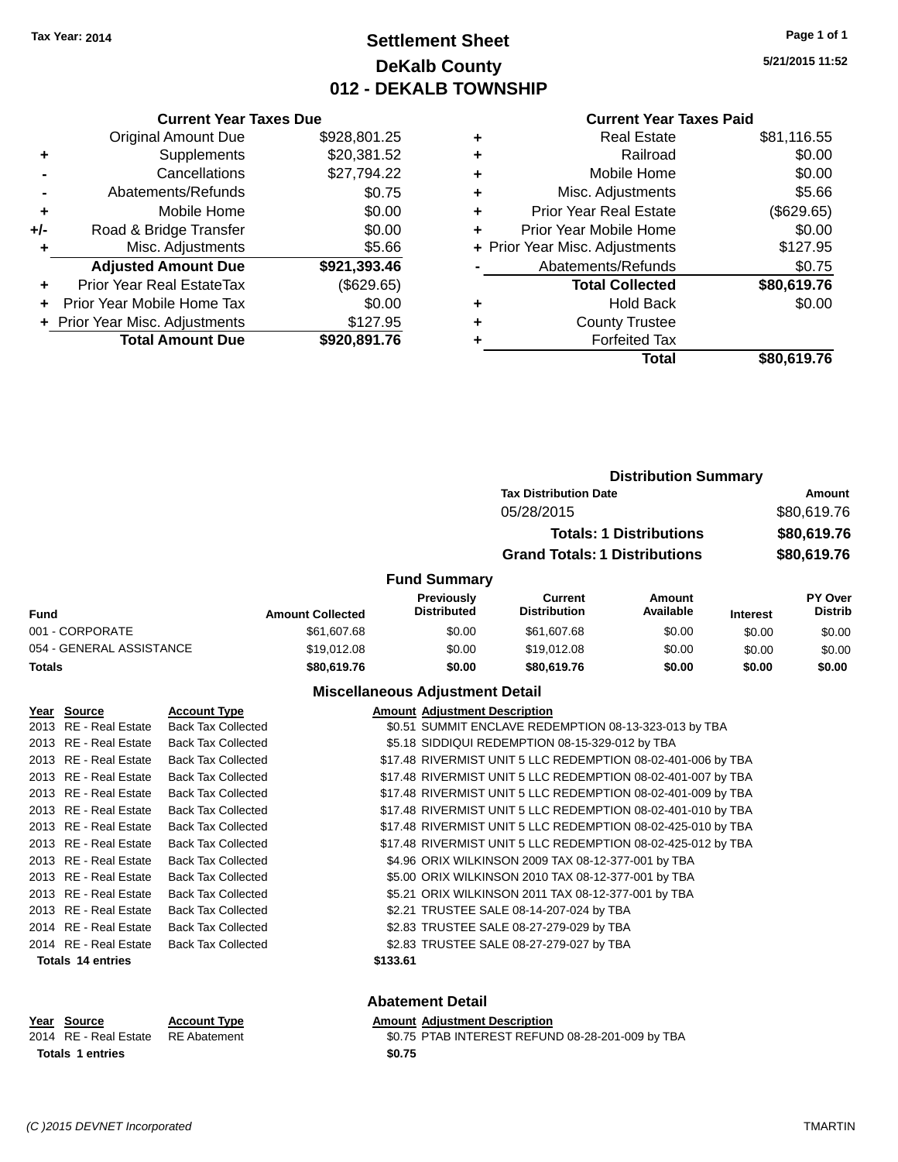## **Settlement Sheet Tax Year: 2014 Page 1 of 1 DeKalb County 012 - DEKALB TOWNSHIP**

**5/21/2015 11:52**

#### **Current Year Taxes Paid**

|     | <b>Current Year Taxes Due</b>  |              |
|-----|--------------------------------|--------------|
|     | <b>Original Amount Due</b>     | \$928,801.25 |
| ٠   | Supplements                    | \$20,381.52  |
|     | Cancellations                  | \$27,794.22  |
|     | Abatements/Refunds             | \$0.75       |
| ٠   | Mobile Home                    | \$0.00       |
| +/- | Road & Bridge Transfer         | \$0.00       |
|     | Misc. Adjustments              | \$5.66       |
|     | <b>Adjusted Amount Due</b>     | \$921,393.46 |
| ÷   | Prior Year Real EstateTax      | (\$629.65)   |
|     | Prior Year Mobile Home Tax     | \$0.00       |
|     | + Prior Year Misc. Adjustments | \$127.95     |
|     | <b>Total Amount Due</b>        | \$920,891.76 |

| ٠ | <b>Real Estate</b>             | \$81,116.55 |
|---|--------------------------------|-------------|
| ٠ | Railroad                       | \$0.00      |
| ٠ | Mobile Home                    | \$0.00      |
| ٠ | Misc. Adjustments              | \$5.66      |
| ٠ | <b>Prior Year Real Estate</b>  | (\$629.65)  |
| ÷ | Prior Year Mobile Home         | \$0.00      |
|   | + Prior Year Misc. Adjustments | \$127.95    |
|   | Abatements/Refunds             | \$0.75      |
|   | <b>Total Collected</b>         | \$80,619.76 |
| ٠ | <b>Hold Back</b>               | \$0.00      |
| ٠ | <b>County Trustee</b>          |             |
| ٠ | <b>Forfeited Tax</b>           |             |
|   | Total                          | \$80,619.76 |
|   |                                |             |

|                          |                         |                                         | <b>Distribution Summary</b>           |                                |                 |                                  |
|--------------------------|-------------------------|-----------------------------------------|---------------------------------------|--------------------------------|-----------------|----------------------------------|
|                          |                         |                                         | <b>Tax Distribution Date</b>          |                                |                 | <b>Amount</b>                    |
|                          |                         |                                         | 05/28/2015                            |                                |                 | \$80,619.76                      |
|                          |                         |                                         |                                       | <b>Totals: 1 Distributions</b> |                 | \$80,619.76                      |
|                          |                         |                                         | <b>Grand Totals: 1 Distributions</b>  |                                |                 | \$80,619.76                      |
|                          |                         | <b>Fund Summary</b>                     |                                       |                                |                 |                                  |
| Fund                     | <b>Amount Collected</b> | <b>Previously</b><br><b>Distributed</b> | <b>Current</b><br><b>Distribution</b> | <b>Amount</b><br>Available     | <b>Interest</b> | <b>PY Over</b><br><b>Distrib</b> |
| 001 - CORPORATE          | \$61,607.68             | \$0.00                                  | \$61,607.68                           | \$0.00                         | \$0.00          | \$0.00                           |
| 054 - GENERAL ASSISTANCE | \$19,012.08             | \$0.00                                  | \$19,012.08                           | \$0.00                         | \$0.00          | \$0.00                           |
| <b>Totals</b>            | \$80,619.76             | \$0.00                                  | \$80,619.76                           | \$0.00                         | \$0.00          | \$0.00                           |
|                          |                         |                                         |                                       |                                |                 |                                  |

### **Miscellaneous Adjustment Detail**

| Year Source           | <b>Account Type</b>       |          | <b>Amount Adjustment Description</b>                         |
|-----------------------|---------------------------|----------|--------------------------------------------------------------|
| 2013 RE - Real Estate | <b>Back Tax Collected</b> |          | \$0.51 SUMMIT ENCLAVE REDEMPTION 08-13-323-013 by TBA        |
| 2013 RE - Real Estate | <b>Back Tax Collected</b> |          | \$5.18 SIDDIQUI REDEMPTION 08-15-329-012 by TBA              |
| 2013 RE - Real Estate | <b>Back Tax Collected</b> |          | \$17.48 RIVERMIST UNIT 5 LLC REDEMPTION 08-02-401-006 by TBA |
| 2013 RE - Real Estate | <b>Back Tax Collected</b> |          | \$17.48 RIVERMIST UNIT 5 LLC REDEMPTION 08-02-401-007 by TBA |
| 2013 RE - Real Estate | <b>Back Tax Collected</b> |          | \$17.48 RIVERMIST UNIT 5 LLC REDEMPTION 08-02-401-009 by TBA |
| 2013 RE - Real Estate | <b>Back Tax Collected</b> |          | \$17.48 RIVERMIST UNIT 5 LLC REDEMPTION 08-02-401-010 by TBA |
| 2013 RE - Real Estate | <b>Back Tax Collected</b> |          | \$17.48 RIVERMIST UNIT 5 LLC REDEMPTION 08-02-425-010 by TBA |
| 2013 RE - Real Estate | <b>Back Tax Collected</b> |          | \$17.48 RIVERMIST UNIT 5 LLC REDEMPTION 08-02-425-012 by TBA |
| 2013 RE - Real Estate | <b>Back Tax Collected</b> |          | \$4.96 ORIX WILKINSON 2009 TAX 08-12-377-001 by TBA          |
| 2013 RE - Real Estate | <b>Back Tax Collected</b> |          | \$5.00 ORIX WILKINSON 2010 TAX 08-12-377-001 by TBA          |
| 2013 RE - Real Estate | <b>Back Tax Collected</b> |          | \$5.21 ORIX WILKINSON 2011 TAX 08-12-377-001 by TBA          |
| 2013 RE - Real Estate | <b>Back Tax Collected</b> |          | \$2.21 TRUSTEE SALE 08-14-207-024 by TBA                     |
| 2014 RE - Real Estate | <b>Back Tax Collected</b> |          | \$2.83 TRUSTEE SALE 08-27-279-029 by TBA                     |
| 2014 RE - Real Estate | <b>Back Tax Collected</b> |          | \$2.83 TRUSTEE SALE 08-27-279-027 by TBA                     |
| Totals 14 entries     |                           | \$133.61 |                                                              |

### **Abatement Detail**

#### **Year Source Account Type Amount Adjustment Description**<br>2014 RE - Real Estate RE Abatement **Amount 1997** SO.75 PTAB INTEREST REFUN \$0.75 PTAB INTEREST REFUND 08-28-201-009 by TBA Totals 1 entries **12.12 and 12.12 and 12.13 and 12.13 and 12.13 and 12.13 and 12.13 and 12.13 and 12.13 and 12.13 and 12.13 and 12.13 and 12.13 and 12.13 and 12.13 and 12.13 and 12.13 and 12.13 and 12.13 and 12.13 and 12.1**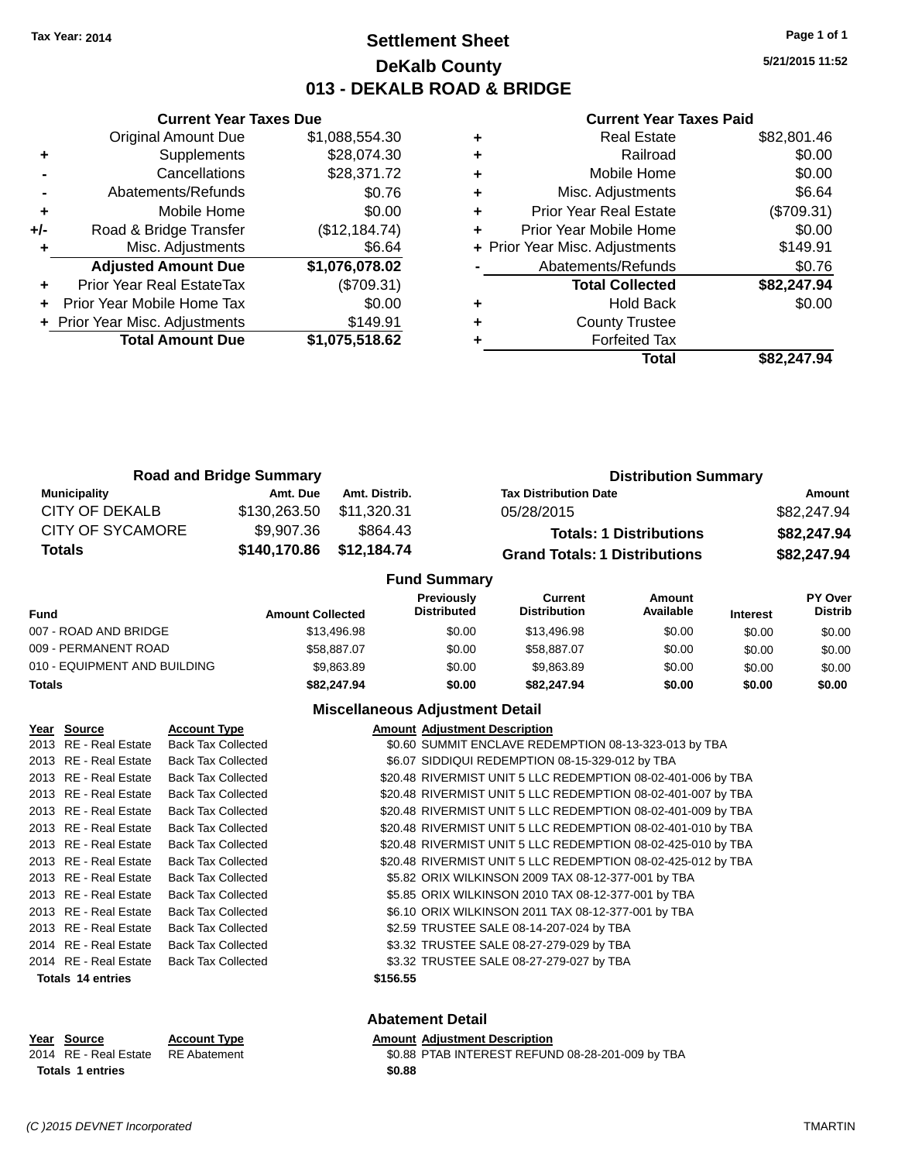### **Settlement Sheet Tax Year: 2014 Page 1 of 1 DeKalb County 013 - DEKALB ROAD & BRIDGE**

**5/21/2015 11:52**

#### **Current Year Taxes Paid**

|     | <b>Current Year Taxes Due</b>    |                |  |  |  |  |  |
|-----|----------------------------------|----------------|--|--|--|--|--|
|     | <b>Original Amount Due</b>       | \$1,088,554.30 |  |  |  |  |  |
| ٠   | Supplements                      | \$28,074.30    |  |  |  |  |  |
|     | Cancellations                    | \$28,371.72    |  |  |  |  |  |
|     | Abatements/Refunds               | \$0.76         |  |  |  |  |  |
| ٠   | Mobile Home                      | \$0.00         |  |  |  |  |  |
| +/- | Road & Bridge Transfer           | (\$12,184.74)  |  |  |  |  |  |
| ٠   | Misc. Adjustments                | \$6.64         |  |  |  |  |  |
|     | <b>Adjusted Amount Due</b>       | \$1,076,078.02 |  |  |  |  |  |
| ٠   | <b>Prior Year Real EstateTax</b> | (\$709.31)     |  |  |  |  |  |
|     | Prior Year Mobile Home Tax       | \$0.00         |  |  |  |  |  |
|     | + Prior Year Misc. Adjustments   | \$149.91       |  |  |  |  |  |
|     | <b>Total Amount Due</b>          | \$1,075,518.62 |  |  |  |  |  |
|     |                                  |                |  |  |  |  |  |

|   | <b>Real Estate</b>             | \$82,801.46 |
|---|--------------------------------|-------------|
| ٠ | Railroad                       | \$0.00      |
| ٠ | Mobile Home                    | \$0.00      |
| ٠ | Misc. Adjustments              | \$6.64      |
| ٠ | <b>Prior Year Real Estate</b>  | (\$709.31)  |
|   | Prior Year Mobile Home         | \$0.00      |
|   | + Prior Year Misc. Adjustments | \$149.91    |
|   | Abatements/Refunds             | \$0.76      |
|   | <b>Total Collected</b>         | \$82,247.94 |
| ٠ | <b>Hold Back</b>               | \$0.00      |
|   | <b>County Trustee</b>          |             |
|   | <b>Forfeited Tax</b>           |             |
|   | Total                          | \$82,247.94 |
|   |                                |             |

|                         | <b>Road and Bridge Summary</b> |                          | <b>Distribution Summary</b>                                                                                                                                                                                                                                                 |                                               |                                                       |  |
|-------------------------|--------------------------------|--------------------------|-----------------------------------------------------------------------------------------------------------------------------------------------------------------------------------------------------------------------------------------------------------------------------|-----------------------------------------------|-------------------------------------------------------|--|
| <b>Municipality</b>     | Amt. Due                       | Amt. Distrib.            | <b>Tax Distribution Date</b>                                                                                                                                                                                                                                                |                                               | Amount                                                |  |
| CITY OF DEKALB          | \$130,263.50                   | \$11.320.31              | 05/28/2015                                                                                                                                                                                                                                                                  |                                               | \$82,247.94                                           |  |
| <b>CITY OF SYCAMORE</b> | \$9.907.36                     | \$864.43                 |                                                                                                                                                                                                                                                                             | <b>Totals: 1 Distributions</b>                | \$82,247.94                                           |  |
| <b>Totals</b>           | \$140,170.86                   | \$12,184.74              | <b>Grand Totals: 1 Distributions</b>                                                                                                                                                                                                                                        |                                               | \$82,247.94                                           |  |
|                         |                                | <b>Fund Summary</b>      |                                                                                                                                                                                                                                                                             |                                               |                                                       |  |
|                         |                                | <b>External Contract</b> | <b>Previously</b><br><b>Current</b><br><b>The contract of the contract of the contract of the contract of the contract of the contract of the contract of the contract of the contract of the contract of the contract of the contract of the contract of the contract </b> | Amount<br>$\mathbf{A}$ , , $\mathbf{B}$ , , , | PY Over<br><b>Contract Contract Contract Contract</b> |  |

| <b>Amount Collected</b> | <b>Previously</b><br><b>Distributed</b> | current<br><b>Distribution</b> | Amount<br>Available | <b>Interest</b> | <b>PT OVER</b><br><b>Distrib</b> |
|-------------------------|-----------------------------------------|--------------------------------|---------------------|-----------------|----------------------------------|
| \$13,496.98             | \$0.00                                  | \$13,496.98                    | \$0.00              | \$0.00          | \$0.00                           |
| \$58,887.07             | \$0.00                                  | \$58,887.07                    | \$0.00              | \$0.00          | \$0.00                           |
| \$9.863.89              | \$0.00                                  | \$9.863.89                     | \$0.00              | \$0.00          | \$0.00                           |
| \$82,247.94             | \$0.00                                  | \$82,247.94                    | \$0.00              | \$0.00          | \$0.00                           |
|                         |                                         |                                |                     |                 |                                  |

### **Miscellaneous Adjustment Detail**

| Year Source              | <b>Account Type</b>       |          | <b>Amount Adiustment Description</b>                         |
|--------------------------|---------------------------|----------|--------------------------------------------------------------|
| 2013 RE - Real Estate    | <b>Back Tax Collected</b> |          | \$0.60 SUMMIT ENCLAVE REDEMPTION 08-13-323-013 by TBA        |
| 2013 RE - Real Estate    | <b>Back Tax Collected</b> |          | \$6.07 SIDDIQUI REDEMPTION 08-15-329-012 by TBA              |
| 2013 RE - Real Estate    | <b>Back Tax Collected</b> |          | \$20.48 RIVERMIST UNIT 5 LLC REDEMPTION 08-02-401-006 by TBA |
| 2013 RE - Real Estate    | <b>Back Tax Collected</b> |          | \$20.48 RIVERMIST UNIT 5 LLC REDEMPTION 08-02-401-007 by TBA |
| 2013 RE - Real Estate    | <b>Back Tax Collected</b> |          | \$20.48 RIVERMIST UNIT 5 LLC REDEMPTION 08-02-401-009 by TBA |
| 2013 RE - Real Estate    | <b>Back Tax Collected</b> |          | \$20.48 RIVERMIST UNIT 5 LLC REDEMPTION 08-02-401-010 by TBA |
| 2013 RE - Real Estate    | <b>Back Tax Collected</b> |          | \$20.48 RIVERMIST UNIT 5 LLC REDEMPTION 08-02-425-010 by TBA |
| 2013 RE - Real Estate    | <b>Back Tax Collected</b> |          | \$20.48 RIVERMIST UNIT 5 LLC REDEMPTION 08-02-425-012 by TBA |
| 2013 RE - Real Estate    | <b>Back Tax Collected</b> |          | \$5.82 ORIX WILKINSON 2009 TAX 08-12-377-001 by TBA          |
| 2013 RE - Real Estate    | <b>Back Tax Collected</b> |          | \$5.85 ORIX WILKINSON 2010 TAX 08-12-377-001 by TBA          |
| 2013 RE - Real Estate    | <b>Back Tax Collected</b> |          | \$6.10 ORIX WILKINSON 2011 TAX 08-12-377-001 by TBA          |
| 2013 RE - Real Estate    | <b>Back Tax Collected</b> |          | \$2.59 TRUSTEE SALE 08-14-207-024 by TBA                     |
| 2014 RE - Real Estate    | <b>Back Tax Collected</b> |          | \$3.32 TRUSTEE SALE 08-27-279-029 by TBA                     |
| 2014 RE - Real Estate    | <b>Back Tax Collected</b> |          | \$3.32 TRUSTEE SALE 08-27-279-027 by TBA                     |
| <b>Totals 14 entries</b> |                           | \$156.55 |                                                              |

# **Year Source Account Type Amount Adjustment Description**<br>2014 RE - Real Estate RE Abatement **Amount Adjustment Description**

**Totals \$0.88 1 entries**

### **Abatement Detail**

\$0.88 PTAB INTEREST REFUND 08-28-201-009 by TBA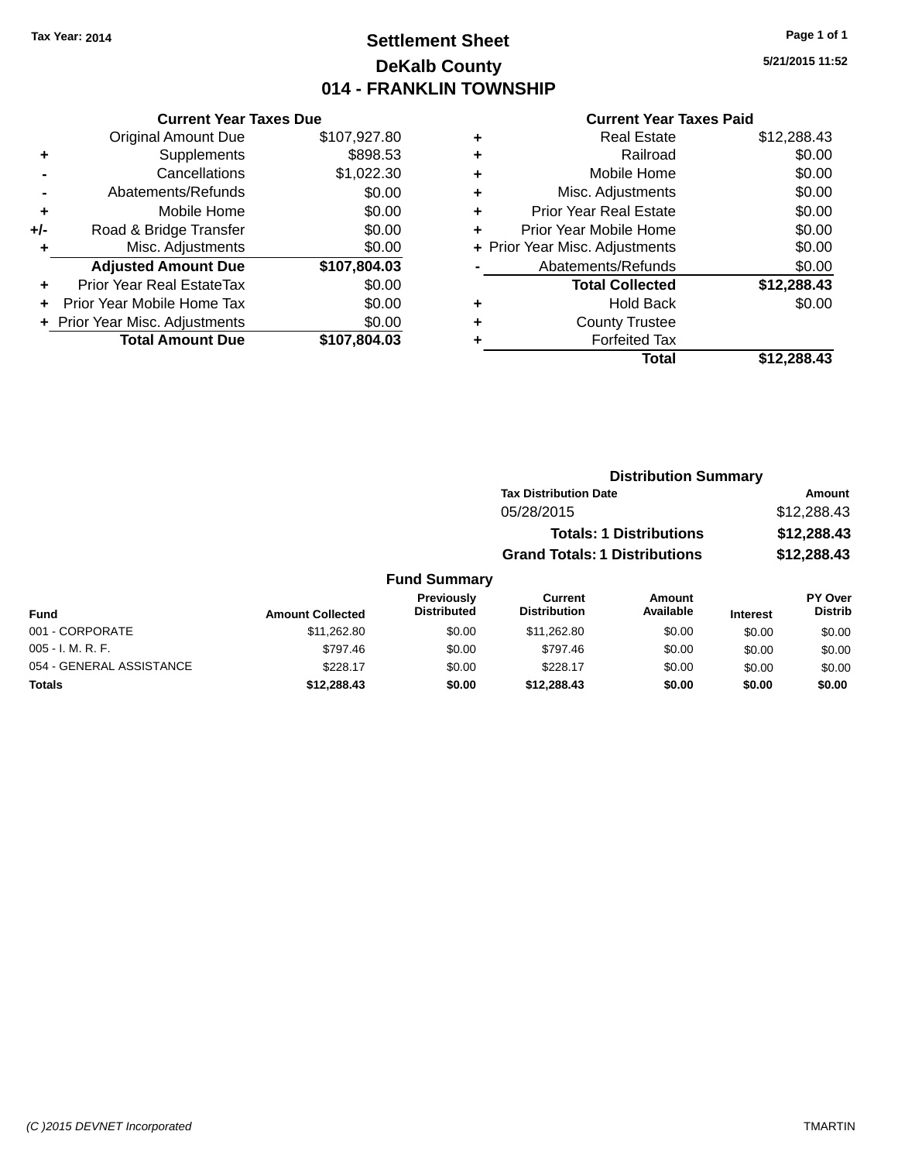## **Settlement Sheet Tax Year: 2014 Page 1 of 1 DeKalb County 014 - FRANKLIN TOWNSHIP**

**5/21/2015 11:52**

### **Current Year Taxes Due**

|       | Guntu Italiakta Dut            |              |
|-------|--------------------------------|--------------|
|       | <b>Original Amount Due</b>     | \$107,927.80 |
| ٠     | Supplements                    | \$898.53     |
|       | Cancellations                  | \$1,022.30   |
|       | Abatements/Refunds             | \$0.00       |
| ٠     | Mobile Home                    | \$0.00       |
| $+/-$ | Road & Bridge Transfer         | \$0.00       |
| ٠     | Misc. Adjustments              | \$0.00       |
|       | <b>Adjusted Amount Due</b>     | \$107,804.03 |
| ٠     | Prior Year Real EstateTax      | \$0.00       |
|       | Prior Year Mobile Home Tax     | \$0.00       |
|       | + Prior Year Misc. Adjustments | \$0.00       |
|       | <b>Total Amount Due</b>        | \$107,804.03 |
|       |                                |              |

#### **Current Year Taxes Paid**

|   | <b>Real Estate</b>             | \$12,288.43 |
|---|--------------------------------|-------------|
| ٠ | Railroad                       | \$0.00      |
| ٠ | Mobile Home                    | \$0.00      |
| ٠ | Misc. Adjustments              | \$0.00      |
| ٠ | <b>Prior Year Real Estate</b>  | \$0.00      |
| ٠ | Prior Year Mobile Home         | \$0.00      |
|   | + Prior Year Misc. Adjustments | \$0.00      |
|   | Abatements/Refunds             | \$0.00      |
|   | <b>Total Collected</b>         | \$12,288.43 |
| ٠ | <b>Hold Back</b>               | \$0.00      |
| ٠ | <b>County Trustee</b>          |             |
| ٠ | <b>Forfeited Tax</b>           |             |
|   | Total                          | \$12,288.43 |
|   |                                |             |

### **Distribution Summary Tax Distribution Date Amount** 05/28/2015 \$12,288.43 **Totals: 1 Distributions \$12,288.43 Grand Totals: 1 Distributions \$12,288.43**

| <b>Fund</b>              | <b>Amount Collected</b> | Previously<br><b>Distributed</b> | Current<br><b>Distribution</b> | Amount<br>Available | <b>Interest</b> | <b>PY Over</b><br><b>Distrib</b> |
|--------------------------|-------------------------|----------------------------------|--------------------------------|---------------------|-----------------|----------------------------------|
| 001 - CORPORATE          | \$11.262.80             | \$0.00                           | \$11,262.80                    | \$0.00              | \$0.00          | \$0.00                           |
| $005 - I. M. R. F.$      | \$797.46                | \$0.00                           | \$797.46                       | \$0.00              | \$0.00          | \$0.00                           |
| 054 - GENERAL ASSISTANCE | \$228.17                | \$0.00                           | \$228.17                       | \$0.00              | \$0.00          | \$0.00                           |
| <b>Totals</b>            | \$12,288.43             | \$0.00                           | \$12,288.43                    | \$0.00              | \$0.00          | \$0.00                           |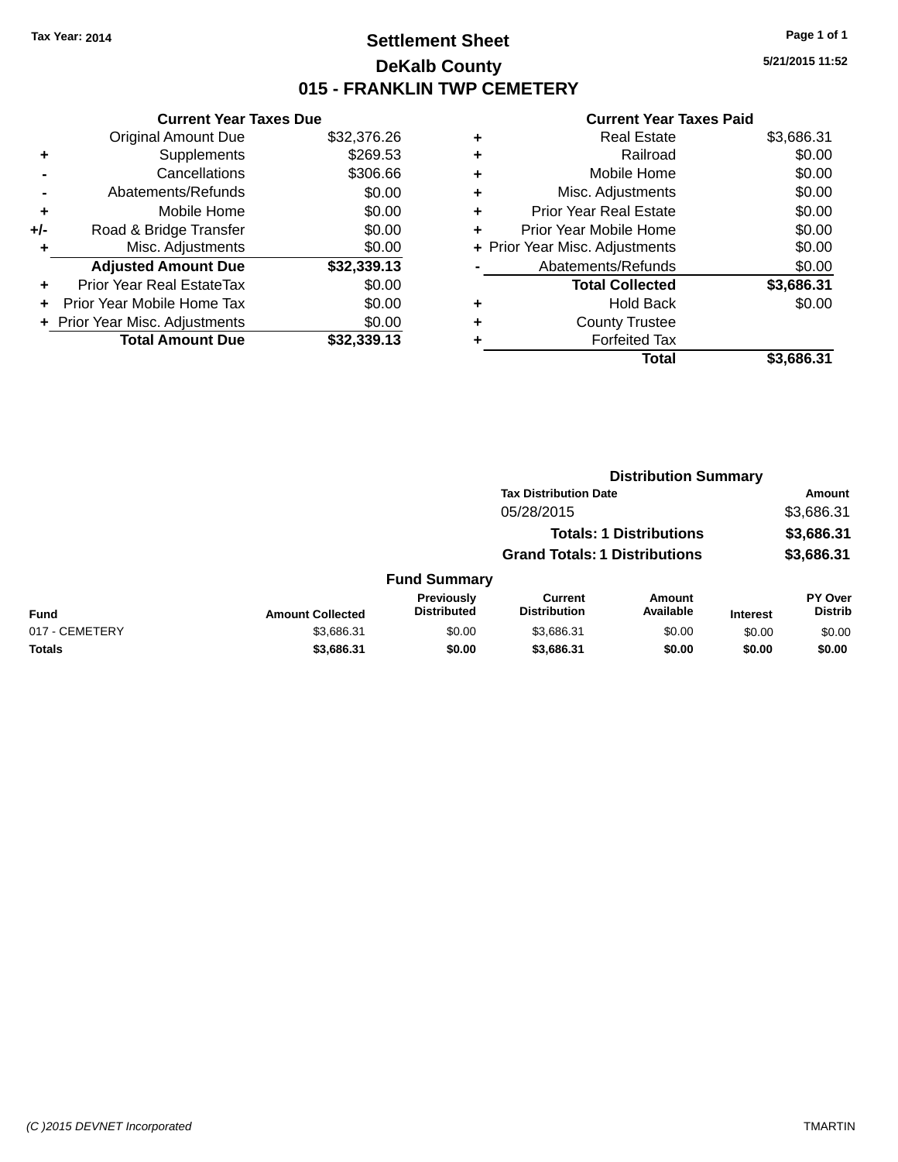### **Settlement Sheet Tax Year: 2014 Page 1 of 1 DeKalb County 015 - FRANKLIN TWP CEMETERY**

**5/21/2015 11:52**

| <b>Current Year Taxes Due</b>            |             |  |  |  |  |  |
|------------------------------------------|-------------|--|--|--|--|--|
| <b>Original Amount Due</b>               | \$32,376.26 |  |  |  |  |  |
| Supplements                              | \$269.53    |  |  |  |  |  |
| Cancellations                            | \$306.66    |  |  |  |  |  |
| Abatements/Refunds                       | \$0.00      |  |  |  |  |  |
| Mobile Home                              | \$0.00      |  |  |  |  |  |
| Road & Bridge Transfer                   | \$0.00      |  |  |  |  |  |
| Misc. Adjustments                        | \$0.00      |  |  |  |  |  |
| <b>Adjusted Amount Due</b>               | \$32,339.13 |  |  |  |  |  |
| Prior Year Real EstateTax                | \$0.00      |  |  |  |  |  |
| Prior Year Mobile Home Tax               | \$0.00      |  |  |  |  |  |
| \$0.00<br>+ Prior Year Misc. Adjustments |             |  |  |  |  |  |
| <b>Total Amount Due</b>                  | \$32.339.13 |  |  |  |  |  |
|                                          |             |  |  |  |  |  |

|   | <b>Real Estate</b>             | \$3,686.31 |
|---|--------------------------------|------------|
| ٠ | Railroad                       | \$0.00     |
| ٠ | Mobile Home                    | \$0.00     |
| ٠ | Misc. Adjustments              | \$0.00     |
| ٠ | <b>Prior Year Real Estate</b>  | \$0.00     |
| ٠ | Prior Year Mobile Home         | \$0.00     |
|   | + Prior Year Misc. Adjustments | \$0.00     |
|   | Abatements/Refunds             | \$0.00     |
|   | <b>Total Collected</b>         | \$3,686.31 |
| ٠ | <b>Hold Back</b>               | \$0.00     |
| ٠ | <b>County Trustee</b>          |            |
| ٠ | <b>Forfeited Tax</b>           |            |
|   | <b>Total</b>                   | \$3.686.31 |
|   |                                |            |

|                |                         |                                         | <b>Distribution Summary</b>           |                                |                 |                                  |
|----------------|-------------------------|-----------------------------------------|---------------------------------------|--------------------------------|-----------------|----------------------------------|
|                |                         |                                         | <b>Tax Distribution Date</b>          |                                |                 | Amount                           |
|                |                         |                                         | 05/28/2015                            |                                |                 | \$3,686.31                       |
|                |                         |                                         |                                       | <b>Totals: 1 Distributions</b> |                 | \$3,686.31                       |
|                |                         |                                         | <b>Grand Totals: 1 Distributions</b>  |                                |                 | \$3,686.31                       |
|                |                         | <b>Fund Summary</b>                     |                                       |                                |                 |                                  |
| Fund           | <b>Amount Collected</b> | <b>Previously</b><br><b>Distributed</b> | <b>Current</b><br><b>Distribution</b> | Amount<br>Available            | <b>Interest</b> | <b>PY Over</b><br><b>Distrib</b> |
| 017 - CEMETERY | \$3.686.31              | \$0.00                                  | \$3.686.31                            | \$0.00                         | \$0.00          | \$0.00                           |
| Totals         | \$3,686.31              | \$0.00                                  | \$3,686.31                            | \$0.00                         | \$0.00          | \$0.00                           |
|                |                         |                                         |                                       |                                |                 |                                  |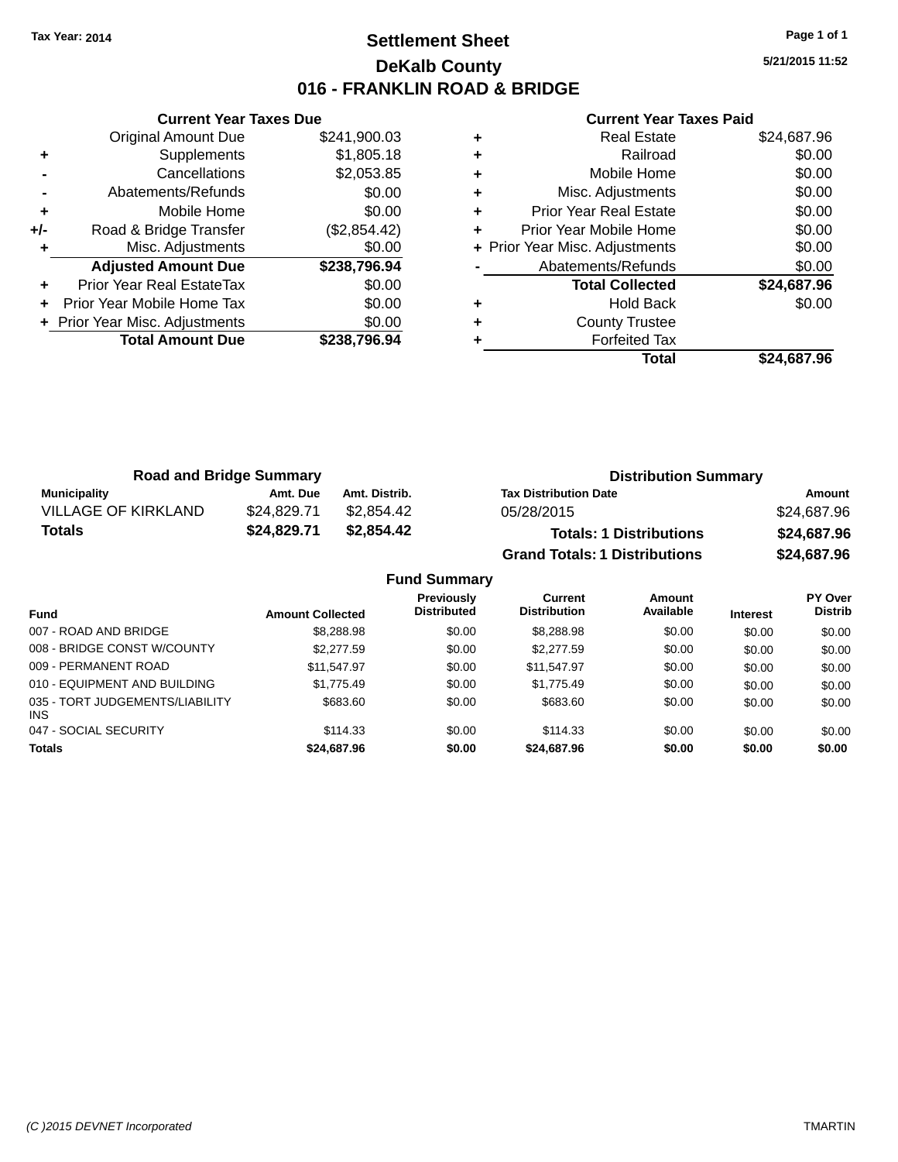### **Settlement Sheet Tax Year: 2014 Page 1 of 1 DeKalb County 016 - FRANKLIN ROAD & BRIDGE**

**5/21/2015 11:52**

|     | <b>Current Year Taxes Due</b>              |              |  |  |  |
|-----|--------------------------------------------|--------------|--|--|--|
|     | \$241,900.03<br><b>Original Amount Due</b> |              |  |  |  |
| ٠   | Supplements                                | \$1,805.18   |  |  |  |
|     | Cancellations                              | \$2,053.85   |  |  |  |
|     | Abatements/Refunds                         | \$0.00       |  |  |  |
| ÷   | Mobile Home                                | \$0.00       |  |  |  |
| +/- | Road & Bridge Transfer                     | (\$2,854.42) |  |  |  |
|     | Misc. Adjustments                          | \$0.00       |  |  |  |
|     | <b>Adjusted Amount Due</b>                 | \$238,796.94 |  |  |  |
| ٠   | Prior Year Real EstateTax                  | \$0.00       |  |  |  |
| ÷   | Prior Year Mobile Home Tax                 | \$0.00       |  |  |  |
|     | \$0.00<br>+ Prior Year Misc. Adjustments   |              |  |  |  |
|     | <b>Total Amount Due</b>                    | \$238,796.94 |  |  |  |
|     |                                            |              |  |  |  |

|   | Real Estate                    | \$24,687.96 |
|---|--------------------------------|-------------|
| ٠ | Railroad                       | \$0.00      |
| ٠ | Mobile Home                    | \$0.00      |
| ٠ | Misc. Adjustments              | \$0.00      |
| ٠ | <b>Prior Year Real Estate</b>  | \$0.00      |
| ٠ | Prior Year Mobile Home         | \$0.00      |
|   | + Prior Year Misc. Adjustments | \$0.00      |
|   | Abatements/Refunds             | \$0.00      |
|   | <b>Total Collected</b>         | \$24,687.96 |
| ٠ | <b>Hold Back</b>               | \$0.00      |
| ٠ | <b>County Trustee</b>          |             |
|   | <b>Forfeited Tax</b>           |             |
|   | Total                          | \$24.687.96 |

| <b>Road and Bridge Summary</b> |             |               | <b>Distribution Summary</b>          |             |  |
|--------------------------------|-------------|---------------|--------------------------------------|-------------|--|
| <b>Municipality</b>            | Amt. Due    | Amt. Distrib. | <b>Tax Distribution Date</b>         | Amount      |  |
| <b>VILLAGE OF KIRKLAND</b>     | \$24.829.71 | \$2.854.42    | 05/28/2015                           | \$24,687.96 |  |
| <b>Totals</b>                  | \$24,829.71 | \$2.854.42    | <b>Totals: 1 Distributions</b>       | \$24,687.96 |  |
|                                |             |               | <b>Grand Totals: 1 Distributions</b> | \$24,687.96 |  |

|                                         |                         | <b>Fund Summary</b>                     |                                |                     |                 |                           |
|-----------------------------------------|-------------------------|-----------------------------------------|--------------------------------|---------------------|-----------------|---------------------------|
| <b>Fund</b>                             | <b>Amount Collected</b> | <b>Previously</b><br><b>Distributed</b> | Current<br><b>Distribution</b> | Amount<br>Available | <b>Interest</b> | PY Over<br><b>Distrib</b> |
| 007 - ROAD AND BRIDGE                   | \$8,288,98              | \$0.00                                  | \$8,288.98                     | \$0.00              | \$0.00          | \$0.00                    |
| 008 - BRIDGE CONST W/COUNTY             | \$2,277.59              | \$0.00                                  | \$2,277.59                     | \$0.00              | \$0.00          | \$0.00                    |
| 009 - PERMANENT ROAD                    | \$11.547.97             | \$0.00                                  | \$11.547.97                    | \$0.00              | \$0.00          | \$0.00                    |
| 010 - EQUIPMENT AND BUILDING            | \$1,775.49              | \$0.00                                  | \$1,775.49                     | \$0.00              | \$0.00          | \$0.00                    |
| 035 - TORT JUDGEMENTS/LIABILITY<br>INS. | \$683.60                | \$0.00                                  | \$683.60                       | \$0.00              | \$0.00          | \$0.00                    |
| 047 - SOCIAL SECURITY                   | \$114.33                | \$0.00                                  | \$114.33                       | \$0.00              | \$0.00          | \$0.00                    |
| <b>Totals</b>                           | \$24,687.96             | \$0.00                                  | \$24,687.96                    | \$0.00              | \$0.00          | \$0.00                    |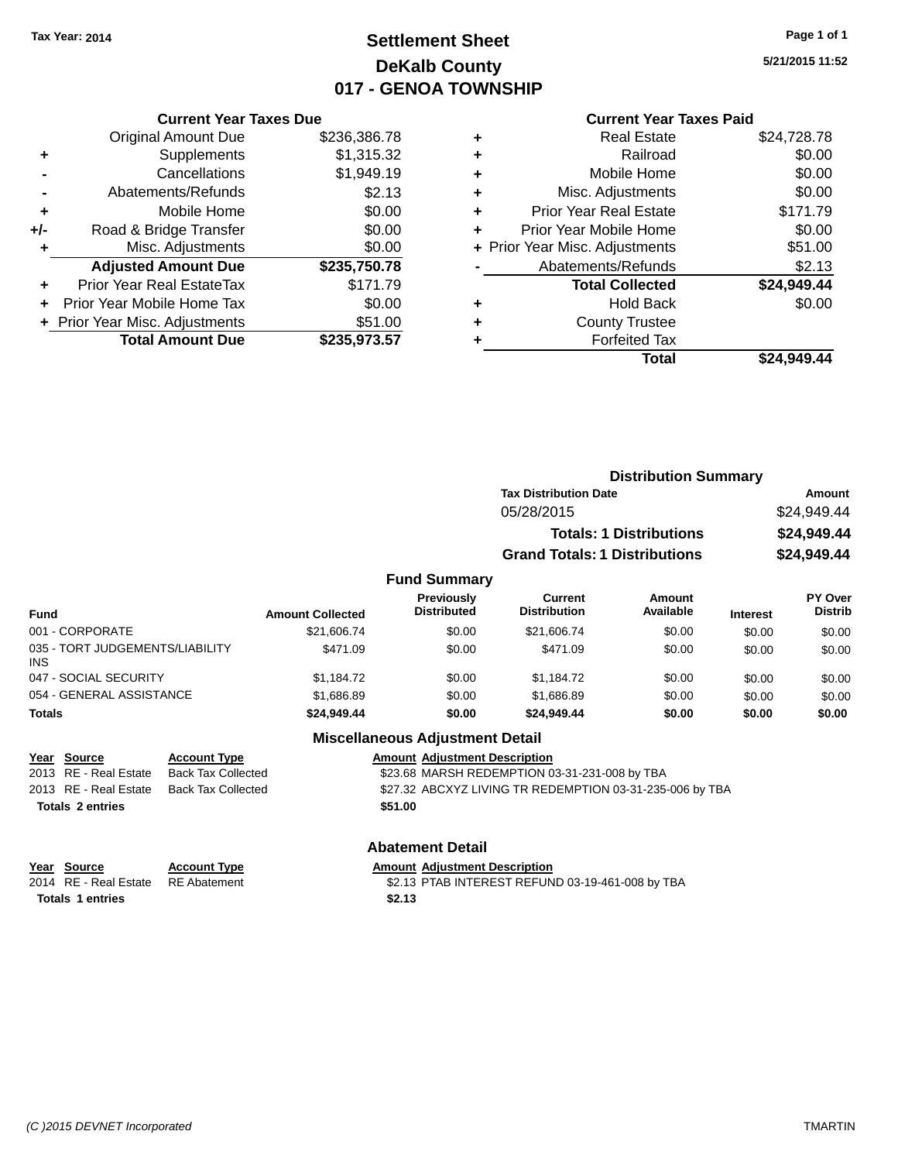## **Settlement Sheet Tax Year: 2014 Page 1 of 1 DeKalb County 017 - GENOA TOWNSHIP**

**5/21/2015 11:52**

### **Current Year Taxes Paid**

|       | <b>Current Year Taxes Due</b>  |              |  |  |  |
|-------|--------------------------------|--------------|--|--|--|
|       | <b>Original Amount Due</b>     | \$236,386.78 |  |  |  |
| ٠     | Supplements                    | \$1,315.32   |  |  |  |
|       | Cancellations                  | \$1,949.19   |  |  |  |
|       | Abatements/Refunds             | \$2.13       |  |  |  |
| ٠     | Mobile Home                    | \$0.00       |  |  |  |
| $+/-$ | Road & Bridge Transfer         | \$0.00       |  |  |  |
| ٠     | Misc. Adjustments              | \$0.00       |  |  |  |
|       | <b>Adjusted Amount Due</b>     | \$235,750.78 |  |  |  |
| ÷     | Prior Year Real EstateTax      | \$171.79     |  |  |  |
|       | Prior Year Mobile Home Tax     | \$0.00       |  |  |  |
|       | + Prior Year Misc. Adjustments | \$51.00      |  |  |  |
|       | <b>Total Amount Due</b>        | \$235,973.57 |  |  |  |
|       |                                |              |  |  |  |

| ٠ | <b>Real Estate</b>             | \$24,728.78 |
|---|--------------------------------|-------------|
| ٠ | Railroad                       | \$0.00      |
| ٠ | Mobile Home                    | \$0.00      |
| ٠ | Misc. Adjustments              | \$0.00      |
| ٠ | <b>Prior Year Real Estate</b>  | \$171.79    |
| ٠ | Prior Year Mobile Home         | \$0.00      |
|   | + Prior Year Misc. Adjustments | \$51.00     |
|   | Abatements/Refunds             | \$2.13      |
|   | <b>Total Collected</b>         | \$24,949.44 |
| ٠ | Hold Back                      | \$0.00      |
| ٠ | <b>County Trustee</b>          |             |
| ٠ | <b>Forfeited Tax</b>           |             |
|   | Total                          | \$24,949.44 |
|   |                                |             |

|                     | <b>Distribution Summary</b>          |             |
|---------------------|--------------------------------------|-------------|
|                     | <b>Tax Distribution Date</b>         | Amount      |
|                     | 05/28/2015                           | \$24.949.44 |
|                     | <b>Totals: 1 Distributions</b>       | \$24,949.44 |
|                     | <b>Grand Totals: 1 Distributions</b> | \$24,949.44 |
| <b>Fund Summary</b> |                                      |             |

#### **Fund Interest Amount Collected Distributed PY Over Distrib Amount Available Current Distribution Previously** 001 - CORPORATE \$21,606.74 \$0.00 \$21,606.74 \$0.00 \$0.00 \$0.00 035 - TORT JUDGEMENTS/LIABILITY INS \$471.09 \$0.00 \$471.09 \$0.00 \$0.00 \$0.00 047 - SOCIAL SECURITY \$1,184.72 \$0.00 \$0.00 \$0.00 \$0.00 \$0.00 \$0.00 054 - GENERAL ASSISTANCE \$1,686.89 \$0.00 \$0.00 \$0.00 \$0.00 \$0.00 \$0.00 **Totals \$24,949.44 \$0.00 \$24,949.44 \$0.00 \$0.00 \$0.00**

### **Miscellaneous Adjustment Detail**

| Year Source             | <b>Account Type</b> | <b>Amount Adjustment Description</b>                     |
|-------------------------|---------------------|----------------------------------------------------------|
| 2013 RE - Real Estate   | Back Tax Collected  | \$23.68 MARSH REDEMPTION 03-31-231-008 by TBA            |
| 2013 RE - Real Estate   | Back Tax Collected  | \$27.32 ABCXYZ LIVING TR REDEMPTION 03-31-235-006 by TBA |
| <b>Totals 2 entries</b> |                     | \$51.00                                                  |
|                         |                     |                                                          |

**Abatement Detail**

| Year Source                        | <b>Account Type</b> | <b>Amount Adiustment Description</b>             |
|------------------------------------|---------------------|--------------------------------------------------|
| 2014 RE - Real Estate RE Abatement |                     | \$2.13 PTAB INTEREST REFUND 03-19-461-008 by TBA |
| <b>Totals 1 entries</b>            |                     | \$2.13                                           |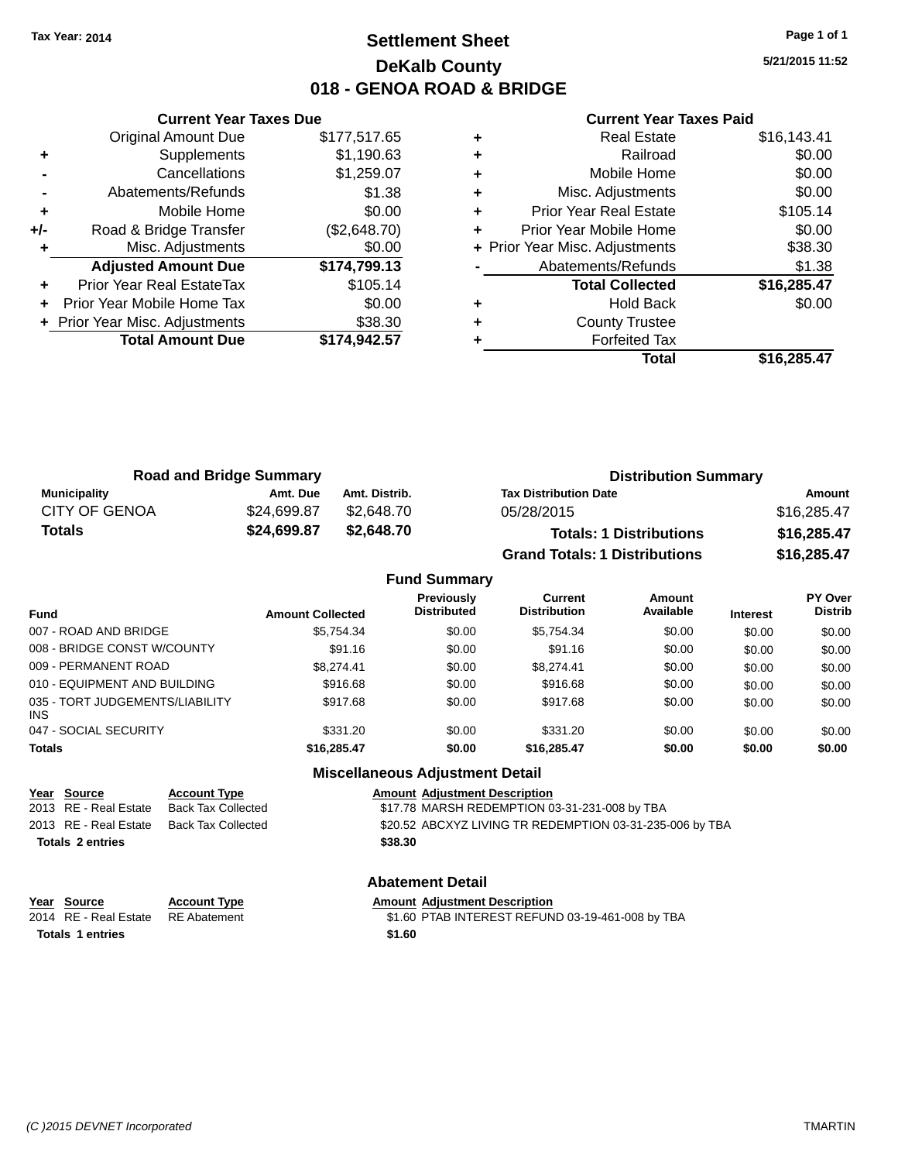### **Settlement Sheet Tax Year: 2014 Page 1 of 1 DeKalb County 018 - GENOA ROAD & BRIDGE**

**5/21/2015 11:52**

#### **Current Year Taxes Paid**

|     | <b>Current Year Taxes Due</b>  |              |  |  |
|-----|--------------------------------|--------------|--|--|
|     | <b>Original Amount Due</b>     | \$177,517.65 |  |  |
| ٠   | Supplements                    | \$1,190.63   |  |  |
|     | Cancellations                  | \$1,259.07   |  |  |
|     | Abatements/Refunds             | \$1.38       |  |  |
| ٠   | Mobile Home                    | \$0.00       |  |  |
| +/- | Road & Bridge Transfer         | (\$2,648.70) |  |  |
|     | Misc. Adjustments              | \$0.00       |  |  |
|     | <b>Adjusted Amount Due</b>     | \$174,799.13 |  |  |
|     | Prior Year Real EstateTax      | \$105.14     |  |  |
|     | Prior Year Mobile Home Tax     | \$0.00       |  |  |
|     | + Prior Year Misc. Adjustments | \$38.30      |  |  |
|     | <b>Total Amount Due</b>        | \$174.942.57 |  |  |
|     |                                |              |  |  |

|   | <b>Real Estate</b>             | \$16,143.41 |
|---|--------------------------------|-------------|
| ٠ | Railroad                       | \$0.00      |
| ٠ | Mobile Home                    | \$0.00      |
| ٠ | Misc. Adjustments              | \$0.00      |
| ٠ | <b>Prior Year Real Estate</b>  | \$105.14    |
| ٠ | Prior Year Mobile Home         | \$0.00      |
|   | + Prior Year Misc. Adjustments | \$38.30     |
|   | Abatements/Refunds             | \$1.38      |
|   | <b>Total Collected</b>         | \$16,285.47 |
| ٠ | <b>Hold Back</b>               | \$0.00      |
| ٠ | <b>County Trustee</b>          |             |
| ٠ | <b>Forfeited Tax</b>           |             |
|   | <b>Total</b>                   | \$16,285.47 |
|   |                                |             |

| <b>Road and Bridge Summary</b> |             |               | <b>Distribution Summary</b>          |             |  |
|--------------------------------|-------------|---------------|--------------------------------------|-------------|--|
| Municipality                   | Amt. Due    | Amt. Distrib. | <b>Tax Distribution Date</b>         | Amount      |  |
| <b>CITY OF GENOA</b>           | \$24.699.87 | \$2,648.70    | 05/28/2015                           | \$16,285.47 |  |
| <b>Totals</b>                  | \$24,699.87 | \$2,648.70    | <b>Totals: 1 Distributions</b>       | \$16,285.47 |  |
|                                |             |               | <b>Grand Totals: 1 Distributions</b> | \$16,285.47 |  |

### **Fund Summary**

| <b>Fund</b>                            | <b>Amount Collected</b> | <b>Previously</b><br><b>Distributed</b> | Current<br><b>Distribution</b> | Amount<br>Available | <b>Interest</b> | PY Over<br><b>Distrib</b> |
|----------------------------------------|-------------------------|-----------------------------------------|--------------------------------|---------------------|-----------------|---------------------------|
| 007 - ROAD AND BRIDGE                  | \$5,754.34              | \$0.00                                  | \$5,754.34                     | \$0.00              | \$0.00          | \$0.00                    |
| 008 - BRIDGE CONST W/COUNTY            | \$91.16                 | \$0.00                                  | \$91.16                        | \$0.00              | \$0.00          | \$0.00                    |
| 009 - PERMANENT ROAD                   | \$8.274.41              | \$0.00                                  | \$8.274.41                     | \$0.00              | \$0.00          | \$0.00                    |
| 010 - EQUIPMENT AND BUILDING           | \$916.68                | \$0.00                                  | \$916.68                       | \$0.00              | \$0.00          | \$0.00                    |
| 035 - TORT JUDGEMENTS/LIABILITY<br>INS | \$917.68                | \$0.00                                  | \$917.68                       | \$0.00              | \$0.00          | \$0.00                    |
| 047 - SOCIAL SECURITY                  | \$331.20                | \$0.00                                  | \$331.20                       | \$0.00              | \$0.00          | \$0.00                    |
| <b>Totals</b>                          | \$16,285.47             | \$0.00                                  | \$16,285,47                    | \$0.00              | \$0.00          | \$0.00                    |
|                                        |                         |                                         |                                |                     |                 |                           |

### **Miscellaneous Adjustment Detail**

| Year Source             | <b>Account Type</b>       | <b>Amount Adjustment Description</b>                     |
|-------------------------|---------------------------|----------------------------------------------------------|
| 2013 RE - Real Estate   | Back Tax Collected        | \$17.78 MARSH REDEMPTION 03-31-231-008 by TBA            |
| 2013 RE - Real Estate   | <b>Back Tax Collected</b> | \$20.52 ABCXYZ LIVING TR REDEMPTION 03-31-235-006 by TBA |
| <b>Totals 2 entries</b> |                           | \$38.30                                                  |
|                         |                           |                                                          |

### **Abatement Detail**

| Year Source             | <b>Account Type</b> | <b>Amount Adiustment Description</b>             |
|-------------------------|---------------------|--------------------------------------------------|
| 2014 RE - Real Estate   | RE Abatement        | \$1.60 PTAB INTEREST REFUND 03-19-461-008 by TBA |
| <b>Totals 1 entries</b> |                     | \$1.60                                           |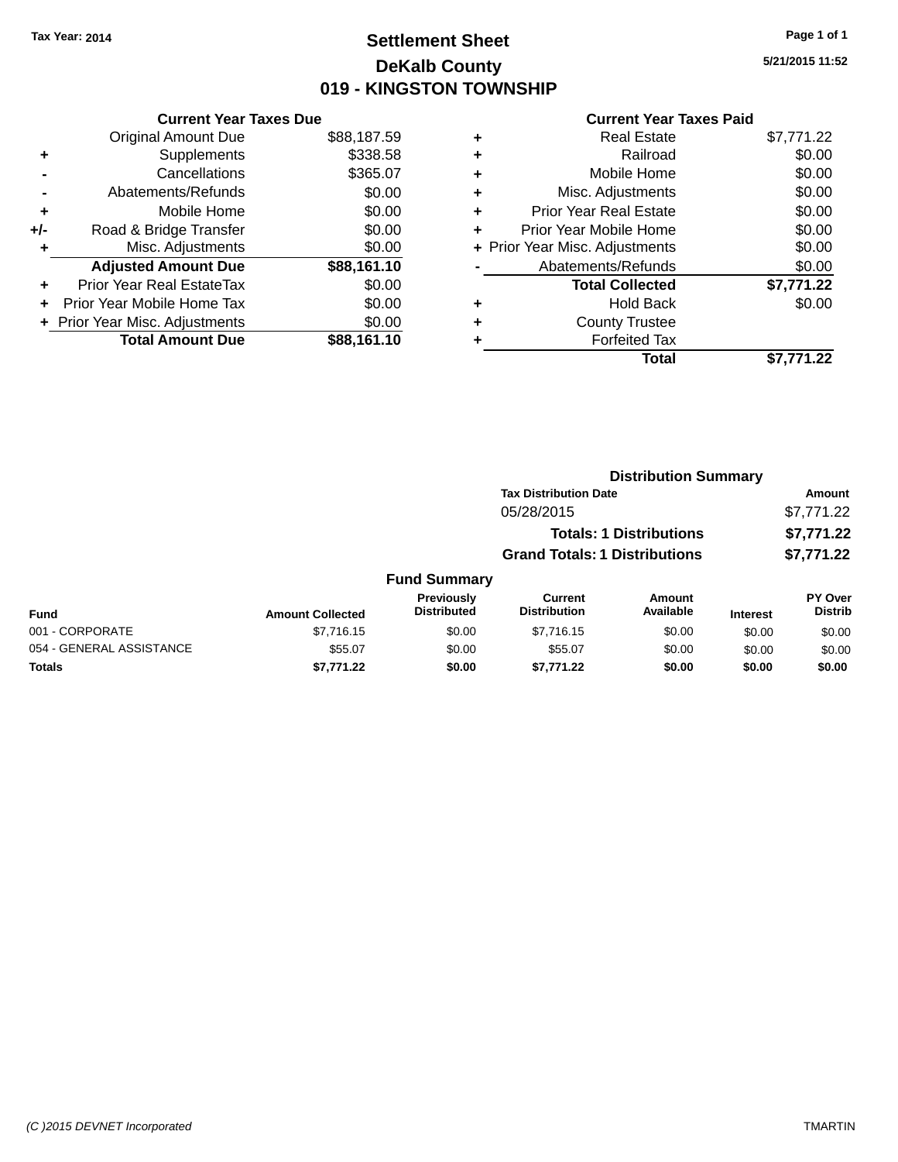## **Settlement Sheet Tax Year: 2014 Page 1 of 1 DeKalb County 019 - KINGSTON TOWNSHIP**

**5/21/2015 11:52**

|     | <b>Current Year Taxes Due</b>  |             |
|-----|--------------------------------|-------------|
|     | <b>Original Amount Due</b>     | \$88,187.59 |
| ٠   | Supplements                    | \$338.58    |
|     | Cancellations                  | \$365.07    |
|     | Abatements/Refunds             | \$0.00      |
| ٠   | Mobile Home                    | \$0.00      |
| +/- | Road & Bridge Transfer         | \$0.00      |
|     | Misc. Adjustments              | \$0.00      |
|     | <b>Adjusted Amount Due</b>     | \$88,161.10 |
| ÷   | Prior Year Real EstateTax      | \$0.00      |
| ÷   | Prior Year Mobile Home Tax     | \$0.00      |
|     | + Prior Year Misc. Adjustments | \$0.00      |
|     | <b>Total Amount Due</b>        | \$88.161.10 |

| ٠ | <b>Real Estate</b>             | \$7,771.22 |
|---|--------------------------------|------------|
| ٠ | Railroad                       | \$0.00     |
| ٠ | Mobile Home                    | \$0.00     |
| ٠ | Misc. Adjustments              | \$0.00     |
| ٠ | <b>Prior Year Real Estate</b>  | \$0.00     |
| ٠ | Prior Year Mobile Home         | \$0.00     |
|   | + Prior Year Misc. Adjustments | \$0.00     |
|   | Abatements/Refunds             | \$0.00     |
|   | <b>Total Collected</b>         | \$7,771.22 |
| ٠ | <b>Hold Back</b>               | \$0.00     |
| ٠ | <b>County Trustee</b>          |            |
| ٠ | <b>Forfeited Tax</b>           |            |
|   | Total                          | \$7,771.22 |
|   |                                |            |

|                          |                         |                                  |                                       | <b>Distribution Summary</b>    |          |                                  |
|--------------------------|-------------------------|----------------------------------|---------------------------------------|--------------------------------|----------|----------------------------------|
|                          |                         |                                  | <b>Tax Distribution Date</b>          |                                |          | Amount                           |
|                          |                         |                                  | 05/28/2015                            |                                |          | \$7,771.22                       |
|                          |                         |                                  |                                       | <b>Totals: 1 Distributions</b> |          | \$7,771.22                       |
|                          |                         |                                  | <b>Grand Totals: 1 Distributions</b>  |                                |          | \$7,771.22                       |
|                          |                         | <b>Fund Summary</b>              |                                       |                                |          |                                  |
| Fund                     | <b>Amount Collected</b> | Previously<br><b>Distributed</b> | <b>Current</b><br><b>Distribution</b> | <b>Amount</b><br>Available     | Interest | <b>PY Over</b><br><b>Distrib</b> |
| 001 - CORPORATE          | \$7.716.15              | \$0.00                           | \$7.716.15                            | \$0.00                         | \$0.00   | \$0.00                           |
| 054 - GENERAL ASSISTANCE | \$55.07                 | \$0.00                           | \$55.07                               | \$0.00                         | \$0.00   | \$0.00                           |
| Totals                   | \$7.771.22              | \$0.00                           | \$7.771.22                            | \$0.00                         | \$0.00   | \$0.00                           |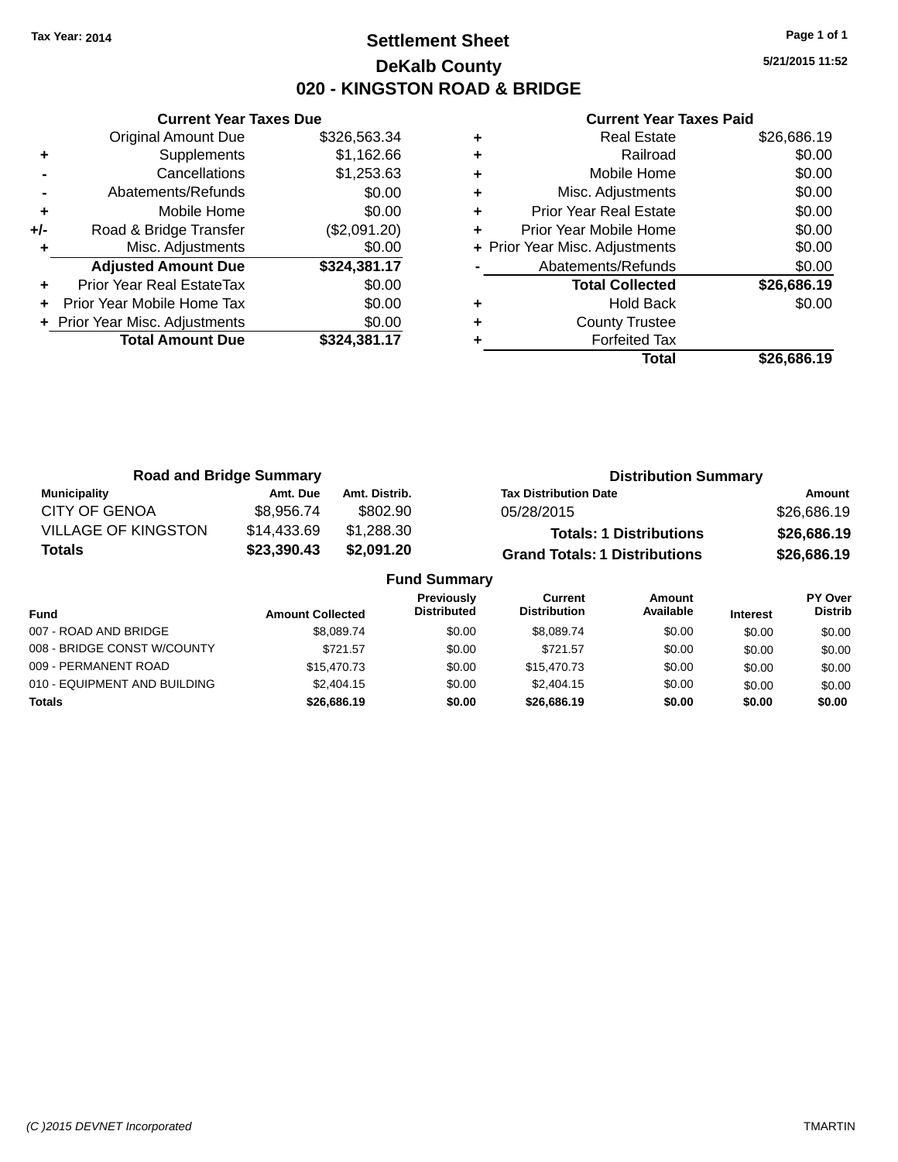### **Settlement Sheet Tax Year: 2014 Page 1 of 1 DeKalb County 020 - KINGSTON ROAD & BRIDGE**

**5/21/2015 11:52**

|     | <b>Current Year Taxes Due</b>  |              |  |  |  |
|-----|--------------------------------|--------------|--|--|--|
|     | <b>Original Amount Due</b>     | \$326,563.34 |  |  |  |
| ٠   | Supplements                    | \$1,162.66   |  |  |  |
|     | Cancellations                  | \$1,253.63   |  |  |  |
|     | Abatements/Refunds             | \$0.00       |  |  |  |
| ٠   | Mobile Home                    | \$0.00       |  |  |  |
| +/- | Road & Bridge Transfer         | (\$2,091.20) |  |  |  |
|     | Misc. Adjustments              | \$0.00       |  |  |  |
|     | <b>Adjusted Amount Due</b>     | \$324,381.17 |  |  |  |
| ٠   | Prior Year Real EstateTax      | \$0.00       |  |  |  |
|     | Prior Year Mobile Home Tax     | \$0.00       |  |  |  |
|     | + Prior Year Misc. Adjustments | \$0.00       |  |  |  |
|     | <b>Total Amount Due</b>        | \$324,381.17 |  |  |  |
|     |                                |              |  |  |  |

|   | <b>Real Estate</b>             | \$26,686.19 |
|---|--------------------------------|-------------|
| ٠ | Railroad                       | \$0.00      |
| ٠ | Mobile Home                    | \$0.00      |
| ٠ | Misc. Adjustments              | \$0.00      |
| ٠ | <b>Prior Year Real Estate</b>  | \$0.00      |
| ٠ | Prior Year Mobile Home         | \$0.00      |
|   | + Prior Year Misc. Adjustments | \$0.00      |
|   | Abatements/Refunds             | \$0.00      |
|   | <b>Total Collected</b>         | \$26,686.19 |
| ٠ | <b>Hold Back</b>               | \$0.00      |
| ٠ | <b>County Trustee</b>          |             |
|   | <b>Forfeited Tax</b>           |             |
|   | Total                          | \$26.686.19 |

| <b>Road and Bridge Summary</b> |             |                     | <b>Distribution Summary</b>          |             |
|--------------------------------|-------------|---------------------|--------------------------------------|-------------|
| <b>Municipality</b>            | Amt. Due    | Amt. Distrib.       | <b>Tax Distribution Date</b>         | Amount      |
| <b>CITY OF GENOA</b>           | \$8.956.74  | \$802.90            | 05/28/2015                           | \$26,686.19 |
| <b>VILLAGE OF KINGSTON</b>     | \$14,433.69 | \$1,288.30          | <b>Totals: 1 Distributions</b>       | \$26,686.19 |
| Totals                         | \$23,390.43 | \$2,091.20          | <b>Grand Totals: 1 Distributions</b> | \$26,686.19 |
|                                |             | <b>Fund Summary</b> |                                      |             |

|                              |                         | unu vunnnar y                           |                                |                     |                 |                           |
|------------------------------|-------------------------|-----------------------------------------|--------------------------------|---------------------|-----------------|---------------------------|
| Fund                         | <b>Amount Collected</b> | <b>Previously</b><br><b>Distributed</b> | Current<br><b>Distribution</b> | Amount<br>Available | <b>Interest</b> | PY Over<br><b>Distrib</b> |
| 007 - ROAD AND BRIDGE        | \$8.089.74              | \$0.00                                  | \$8.089.74                     | \$0.00              | \$0.00          | \$0.00                    |
| 008 - BRIDGE CONST W/COUNTY  | \$721.57                | \$0.00                                  | \$721.57                       | \$0.00              | \$0.00          | \$0.00                    |
| 009 - PERMANENT ROAD         | \$15,470.73             | \$0.00                                  | \$15,470.73                    | \$0.00              | \$0.00          | \$0.00                    |
| 010 - EQUIPMENT AND BUILDING | \$2,404.15              | \$0.00                                  | \$2,404.15                     | \$0.00              | \$0.00          | \$0.00                    |
| Totals                       | \$26,686.19             | \$0.00                                  | \$26,686.19                    | \$0.00              | \$0.00          | \$0.00                    |
|                              |                         |                                         |                                |                     |                 |                           |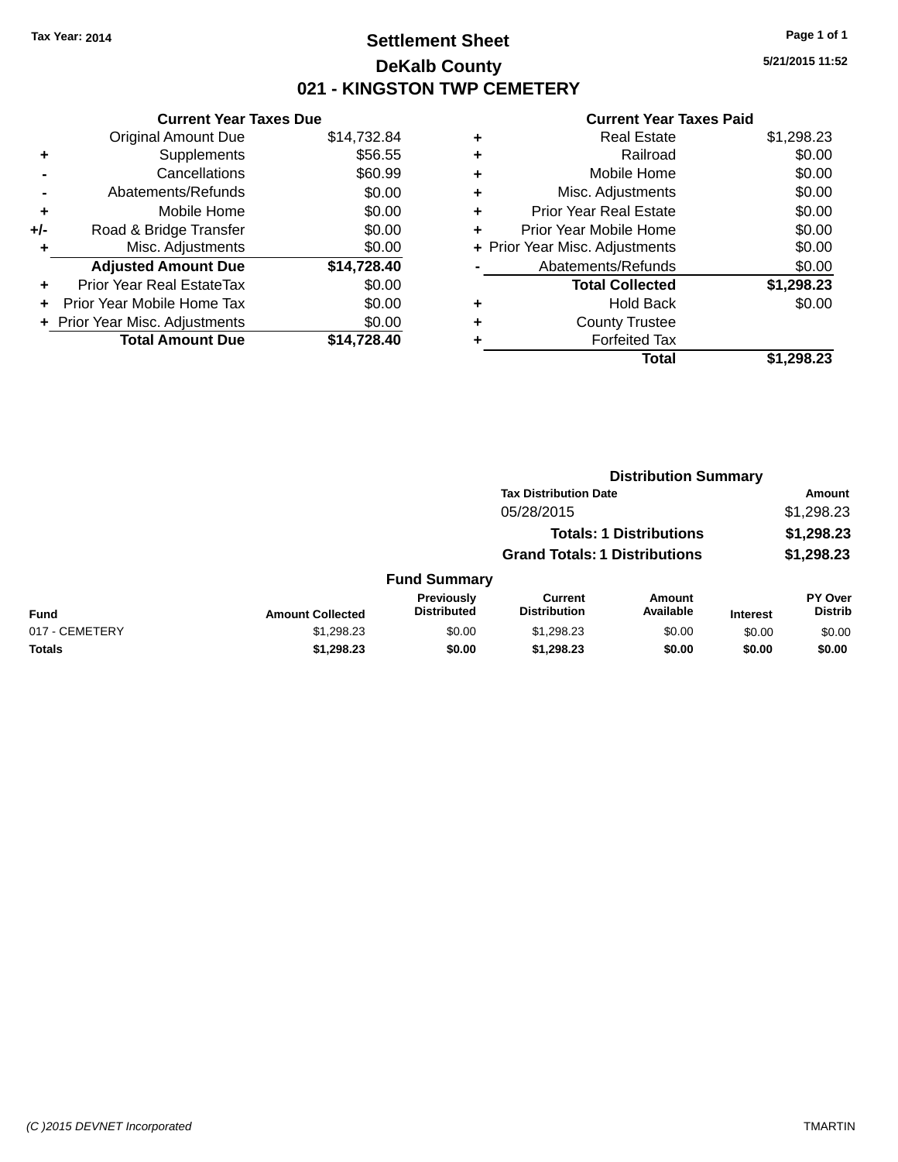### **Settlement Sheet Tax Year: 2014 Page 1 of 1 DeKalb County 021 - KINGSTON TWP CEMETERY**

**5/21/2015 11:52**

|     | <b>Current Year Taxes Due</b> |             |
|-----|-------------------------------|-------------|
|     | <b>Original Amount Due</b>    | \$14,732.84 |
| ٠   | Supplements                   | \$56.55     |
|     | Cancellations                 | \$60.99     |
|     | Abatements/Refunds            | \$0.00      |
| ٠   | Mobile Home                   | \$0.00      |
| +/- | Road & Bridge Transfer        | \$0.00      |
| ٠   | Misc. Adjustments             | \$0.00      |
|     | <b>Adjusted Amount Due</b>    | \$14,728.40 |
| ÷   | Prior Year Real EstateTax     | \$0.00      |
| ÷   | Prior Year Mobile Home Tax    | \$0.00      |
|     | Prior Year Misc. Adjustments  | \$0.00      |
|     | <b>Total Amount Due</b>       | \$14.728.40 |

|   | <b>Real Estate</b>             | \$1,298.23 |
|---|--------------------------------|------------|
| ٠ | Railroad                       | \$0.00     |
| ٠ | Mobile Home                    | \$0.00     |
| ٠ | Misc. Adjustments              | \$0.00     |
| ٠ | <b>Prior Year Real Estate</b>  | \$0.00     |
| ٠ | Prior Year Mobile Home         | \$0.00     |
|   | + Prior Year Misc. Adjustments | \$0.00     |
|   | Abatements/Refunds             | \$0.00     |
|   | <b>Total Collected</b>         | \$1,298.23 |
| ٠ | Hold Back                      | \$0.00     |
| ٠ | <b>County Trustee</b>          |            |
| ٠ | <b>Forfeited Tax</b>           |            |
|   | Total                          | \$1,298.23 |
|   |                                |            |

|                |                         |                                         |                                       | <b>Distribution Summary</b>    |                 |                           |
|----------------|-------------------------|-----------------------------------------|---------------------------------------|--------------------------------|-----------------|---------------------------|
|                |                         |                                         | <b>Tax Distribution Date</b>          |                                |                 | <b>Amount</b>             |
|                |                         |                                         | 05/28/2015                            |                                |                 | \$1,298.23                |
|                |                         |                                         |                                       | <b>Totals: 1 Distributions</b> |                 | \$1,298.23                |
|                |                         |                                         | <b>Grand Totals: 1 Distributions</b>  |                                |                 | \$1,298.23                |
|                |                         | <b>Fund Summary</b>                     |                                       |                                |                 |                           |
| <b>Fund</b>    | <b>Amount Collected</b> | <b>Previously</b><br><b>Distributed</b> | <b>Current</b><br><b>Distribution</b> | Amount<br>Available            | <b>Interest</b> | PY Over<br><b>Distrib</b> |
| 017 - CEMETERY | \$1,298.23              | \$0.00                                  | \$1,298.23                            | \$0.00                         | \$0.00          | \$0.00                    |
| Totals         | \$1,298.23              | \$0.00                                  | \$1,298.23                            | \$0.00                         | \$0.00          | \$0.00                    |
|                |                         |                                         |                                       |                                |                 |                           |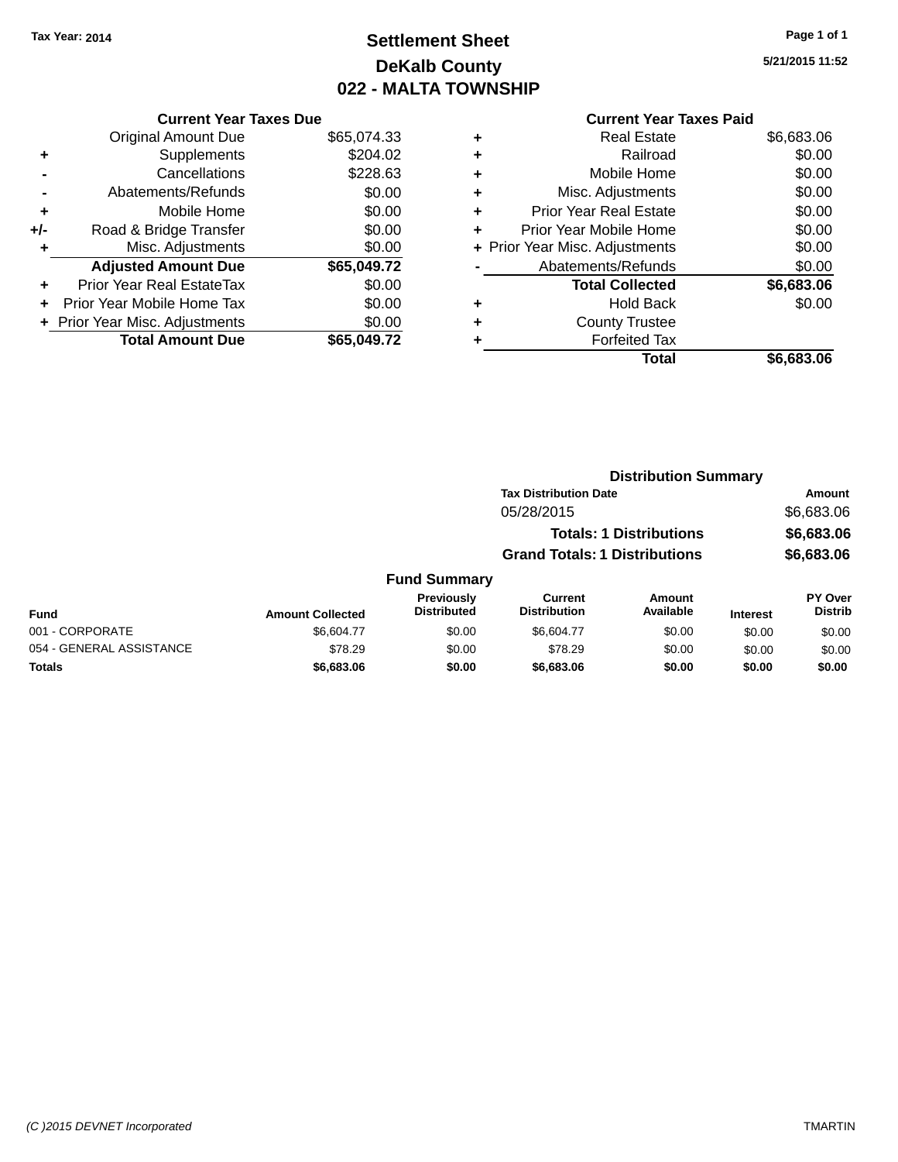## **Settlement Sheet Tax Year: 2014 Page 1 of 1 DeKalb County 022 - MALTA TOWNSHIP**

**5/21/2015 11:52**

|     | <b>Current Year Taxes Due</b>    |             |  |  |
|-----|----------------------------------|-------------|--|--|
|     | <b>Original Amount Due</b>       | \$65,074.33 |  |  |
| ٠   | Supplements                      | \$204.02    |  |  |
|     | Cancellations                    | \$228.63    |  |  |
|     | Abatements/Refunds               | \$0.00      |  |  |
| ٠   | Mobile Home                      | \$0.00      |  |  |
| +/- | \$0.00<br>Road & Bridge Transfer |             |  |  |
|     | \$0.00<br>Misc. Adjustments      |             |  |  |
|     | <b>Adjusted Amount Due</b>       | \$65,049.72 |  |  |
| ÷   | Prior Year Real EstateTax        | \$0.00      |  |  |
| ÷   | Prior Year Mobile Home Tax       | \$0.00      |  |  |
|     | + Prior Year Misc. Adjustments   | \$0.00      |  |  |
|     | <b>Total Amount Due</b>          | \$65,049.72 |  |  |

| ٠ | <b>Real Estate</b>             | \$6,683.06 |
|---|--------------------------------|------------|
| ٠ | Railroad                       | \$0.00     |
| ٠ | Mobile Home                    | \$0.00     |
| ٠ | Misc. Adjustments              | \$0.00     |
| ٠ | <b>Prior Year Real Estate</b>  | \$0.00     |
| ٠ | Prior Year Mobile Home         | \$0.00     |
|   | + Prior Year Misc. Adjustments | \$0.00     |
|   | Abatements/Refunds             | \$0.00     |
|   | <b>Total Collected</b>         | \$6,683.06 |
| ٠ | <b>Hold Back</b>               | \$0.00     |
|   | <b>County Trustee</b>          |            |
| ٠ | <b>Forfeited Tax</b>           |            |
|   | Total                          | \$6,683.06 |
|   |                                |            |

|                          | <b>Distribution Summary</b> |                                  |                                      |                                |                 |                                  |
|--------------------------|-----------------------------|----------------------------------|--------------------------------------|--------------------------------|-----------------|----------------------------------|
|                          |                             |                                  | <b>Tax Distribution Date</b>         |                                |                 | <b>Amount</b>                    |
|                          |                             |                                  | 05/28/2015                           |                                |                 | \$6,683.06                       |
|                          |                             |                                  |                                      | <b>Totals: 1 Distributions</b> |                 | \$6,683.06                       |
|                          |                             |                                  | <b>Grand Totals: 1 Distributions</b> |                                |                 | \$6,683.06                       |
|                          |                             | <b>Fund Summary</b>              |                                      |                                |                 |                                  |
| Fund                     | <b>Amount Collected</b>     | Previously<br><b>Distributed</b> | Current<br><b>Distribution</b>       | Amount<br>Available            | <b>Interest</b> | <b>PY Over</b><br><b>Distrib</b> |
| 001 - CORPORATE          | \$6,604.77                  | \$0.00                           | \$6,604.77                           | \$0.00                         | \$0.00          | \$0.00                           |
| 054 - GENERAL ASSISTANCE | \$78.29                     | \$0.00                           | \$78.29                              | \$0.00                         | \$0.00          | \$0.00                           |
| <b>Totals</b>            | \$6,683.06                  | \$0.00                           | \$6,683.06                           | \$0.00                         | \$0.00          | \$0.00                           |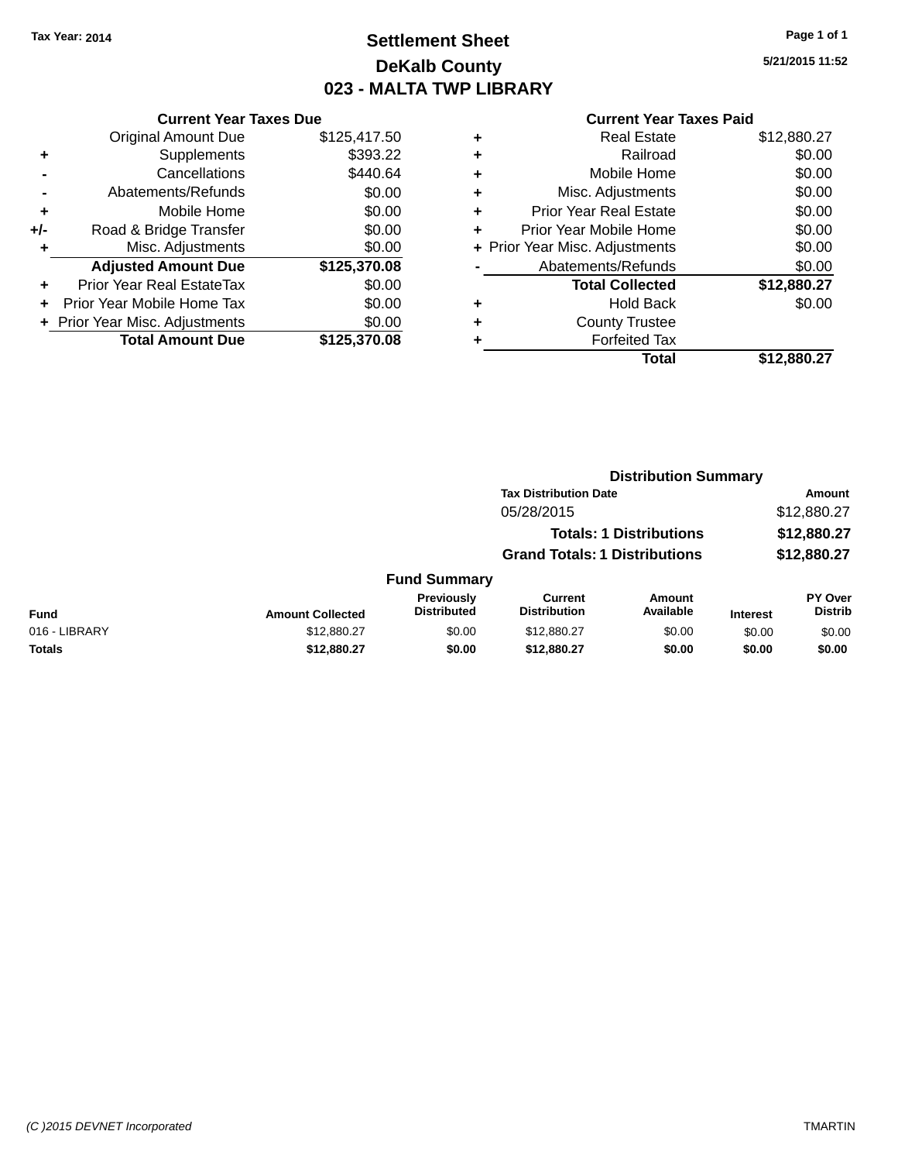## **Settlement Sheet Tax Year: 2014 Page 1 of 1 DeKalb County 023 - MALTA TWP LIBRARY**

**5/21/2015 11:52**

|     | <b>Current Year Taxes Due</b>  |              |  |  |  |
|-----|--------------------------------|--------------|--|--|--|
|     | <b>Original Amount Due</b>     | \$125,417.50 |  |  |  |
| ٠   | Supplements                    | \$393.22     |  |  |  |
|     | Cancellations                  | \$440.64     |  |  |  |
|     | Abatements/Refunds             | \$0.00       |  |  |  |
| ٠   | Mobile Home                    | \$0.00       |  |  |  |
| +/- | Road & Bridge Transfer         | \$0.00       |  |  |  |
| ٠   | \$0.00<br>Misc. Adjustments    |              |  |  |  |
|     | <b>Adjusted Amount Due</b>     | \$125,370.08 |  |  |  |
| ٠   | Prior Year Real EstateTax      | \$0.00       |  |  |  |
|     | Prior Year Mobile Home Tax     | \$0.00       |  |  |  |
|     | + Prior Year Misc. Adjustments | \$0.00       |  |  |  |
|     | <b>Total Amount Due</b>        | \$125,370,08 |  |  |  |
|     |                                |              |  |  |  |

| ٠ | <b>Real Estate</b>             | \$12,880.27 |
|---|--------------------------------|-------------|
| ٠ | Railroad                       | \$0.00      |
| ٠ | Mobile Home                    | \$0.00      |
| ٠ | Misc. Adjustments              | \$0.00      |
| ٠ | <b>Prior Year Real Estate</b>  | \$0.00      |
| ٠ | Prior Year Mobile Home         | \$0.00      |
|   | + Prior Year Misc. Adjustments | \$0.00      |
|   | Abatements/Refunds             | \$0.00      |
|   | <b>Total Collected</b>         | \$12,880.27 |
| ٠ | <b>Hold Back</b>               | \$0.00      |
|   | <b>County Trustee</b>          |             |
| ٠ | <b>Forfeited Tax</b>           |             |
|   | Total                          | \$12,880.27 |
|   |                                |             |

|               |                         |                                         |                                       | <b>Distribution Summary</b>    |                 |                           |
|---------------|-------------------------|-----------------------------------------|---------------------------------------|--------------------------------|-----------------|---------------------------|
|               |                         |                                         | <b>Tax Distribution Date</b>          |                                |                 | Amount                    |
|               |                         |                                         | 05/28/2015                            |                                |                 | \$12,880.27               |
|               |                         |                                         |                                       | <b>Totals: 1 Distributions</b> |                 | \$12,880.27               |
|               |                         |                                         | <b>Grand Totals: 1 Distributions</b>  |                                |                 | \$12,880.27               |
|               |                         | <b>Fund Summary</b>                     |                                       |                                |                 |                           |
| <b>Fund</b>   | <b>Amount Collected</b> | <b>Previously</b><br><b>Distributed</b> | <b>Current</b><br><b>Distribution</b> | Amount<br>Available            | <b>Interest</b> | PY Over<br><b>Distrib</b> |
| 016 - LIBRARY | \$12,880.27             | \$0.00                                  | \$12,880.27                           | \$0.00                         | \$0.00          | \$0.00                    |
| <b>Totals</b> | \$12,880.27             | \$0.00                                  | \$12,880.27                           | \$0.00                         | \$0.00          | \$0.00                    |
|               |                         |                                         |                                       |                                |                 |                           |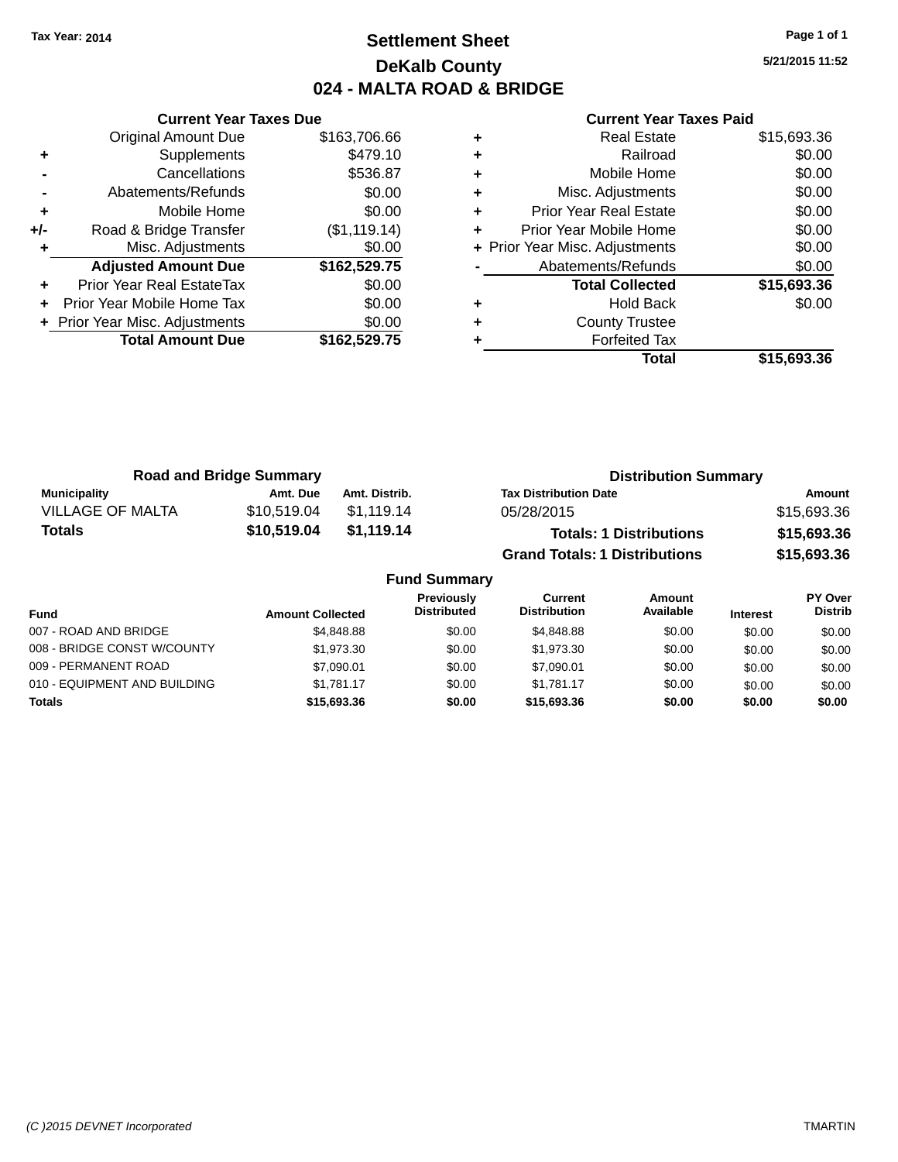### **Settlement Sheet Tax Year: 2014 Page 1 of 1 DeKalb County 024 - MALTA ROAD & BRIDGE**

**5/21/2015 11:52**

|     | <b>Current Year Taxes Due</b>  |              |  |  |
|-----|--------------------------------|--------------|--|--|
|     | Original Amount Due            | \$163,706.66 |  |  |
| ٠   | Supplements                    | \$479.10     |  |  |
|     | Cancellations                  | \$536.87     |  |  |
|     | Abatements/Refunds             | \$0.00       |  |  |
| ٠   | Mobile Home                    | \$0.00       |  |  |
| +/- | Road & Bridge Transfer         | (\$1,119.14) |  |  |
| ٠   | Misc. Adjustments              | \$0.00       |  |  |
|     | <b>Adjusted Amount Due</b>     | \$162,529.75 |  |  |
|     | Prior Year Real EstateTax      | \$0.00       |  |  |
| ٠   | Prior Year Mobile Home Tax     | \$0.00       |  |  |
|     | + Prior Year Misc. Adjustments | \$0.00       |  |  |
|     | <b>Total Amount Due</b>        | \$162,529.75 |  |  |
|     |                                |              |  |  |

|   | <b>Real Estate</b>             | \$15,693.36 |
|---|--------------------------------|-------------|
| ٠ | Railroad                       | \$0.00      |
| ٠ | Mobile Home                    | \$0.00      |
| ٠ | Misc. Adjustments              | \$0.00      |
| ٠ | <b>Prior Year Real Estate</b>  | \$0.00      |
|   | Prior Year Mobile Home         | \$0.00      |
|   | + Prior Year Misc. Adjustments | \$0.00      |
|   | Abatements/Refunds             | \$0.00      |
|   | <b>Total Collected</b>         | \$15,693.36 |
| ٠ | Hold Back                      | \$0.00      |
|   | <b>County Trustee</b>          |             |
|   | <b>Forfeited Tax</b>           |             |
|   | Total                          | \$15,693.36 |
|   |                                |             |

| <b>Road and Bridge Summary</b> |             |               | <b>Distribution Summary</b>          |             |  |
|--------------------------------|-------------|---------------|--------------------------------------|-------------|--|
| <b>Municipality</b>            | Amt. Due    | Amt. Distrib. | <b>Tax Distribution Date</b>         | Amount      |  |
| <b>VILLAGE OF MALTA</b>        | \$10.519.04 | \$1.119.14    | 05/28/2015                           | \$15,693.36 |  |
| <b>Totals</b>                  | \$10,519.04 | \$1,119.14    | <b>Totals: 1 Distributions</b>       | \$15,693.36 |  |
|                                |             |               | <b>Grand Totals: 1 Distributions</b> | \$15,693.36 |  |

| <b>Fund Summary</b>          |                         |                                         |                                |                     |                 |                           |  |
|------------------------------|-------------------------|-----------------------------------------|--------------------------------|---------------------|-----------------|---------------------------|--|
| <b>Fund</b>                  | <b>Amount Collected</b> | <b>Previously</b><br><b>Distributed</b> | Current<br><b>Distribution</b> | Amount<br>Available | <b>Interest</b> | PY Over<br><b>Distrib</b> |  |
| 007 - ROAD AND BRIDGE        | \$4.848.88              | \$0.00                                  | \$4.848.88                     | \$0.00              | \$0.00          | \$0.00                    |  |
| 008 - BRIDGE CONST W/COUNTY  | \$1.973.30              | \$0.00                                  | \$1.973.30                     | \$0.00              | \$0.00          | \$0.00                    |  |
| 009 - PERMANENT ROAD         | \$7.090.01              | \$0.00                                  | \$7.090.01                     | \$0.00              | \$0.00          | \$0.00                    |  |
| 010 - EQUIPMENT AND BUILDING | \$1.781.17              | \$0.00                                  | \$1.781.17                     | \$0.00              | \$0.00          | \$0.00                    |  |
| <b>Totals</b>                | \$15,693.36             | \$0.00                                  | \$15,693,36                    | \$0.00              | \$0.00          | \$0.00                    |  |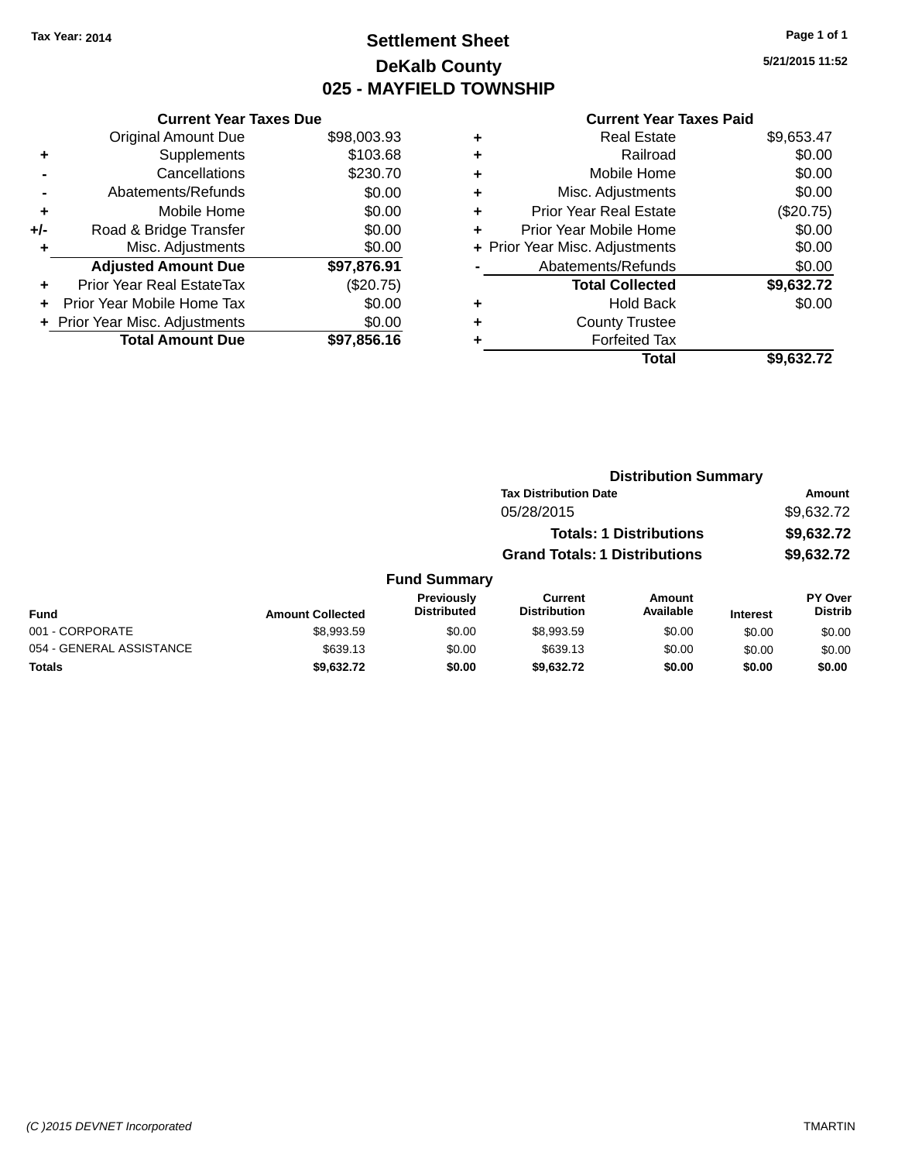## **Settlement Sheet Tax Year: 2014 Page 1 of 1 DeKalb County 025 - MAYFIELD TOWNSHIP**

**5/21/2015 11:52**

|     | <b>Current Year Taxes Due</b>    |             |
|-----|----------------------------------|-------------|
|     | <b>Original Amount Due</b>       | \$98,003.93 |
| ٠   | Supplements                      | \$103.68    |
|     | Cancellations                    | \$230.70    |
|     | Abatements/Refunds               | \$0.00      |
| ٠   | Mobile Home                      | \$0.00      |
| +/- | Road & Bridge Transfer           | \$0.00      |
| ٠   | Misc. Adjustments                | \$0.00      |
|     | <b>Adjusted Amount Due</b>       | \$97,876.91 |
| ٠   | <b>Prior Year Real EstateTax</b> | (\$20.75)   |
|     | Prior Year Mobile Home Tax       | \$0.00      |
|     | + Prior Year Misc. Adjustments   | \$0.00      |
|     | <b>Total Amount Due</b>          | \$97,856.16 |
|     |                                  |             |

| ٠ | Railroad                       | \$9,653.47<br>\$0.00 |
|---|--------------------------------|----------------------|
| ٠ | Mobile Home                    | \$0.00               |
| ٠ | Misc. Adjustments              | \$0.00               |
| ٠ | <b>Prior Year Real Estate</b>  | (\$20.75)            |
| ٠ | Prior Year Mobile Home         | \$0.00               |
|   | + Prior Year Misc. Adjustments | \$0.00               |
|   | Abatements/Refunds             | \$0.00               |
|   | <b>Total Collected</b>         | \$9,632.72           |
| ٠ | Hold Back                      | \$0.00               |
| ٠ | <b>County Trustee</b>          |                      |
| ٠ | <b>Forfeited Tax</b>           |                      |
|   | Total                          | \$9,632.72           |

|                                     |                                      | <b>Distribution Summary</b>    |                                   |
|-------------------------------------|--------------------------------------|--------------------------------|-----------------------------------|
|                                     | <b>Tax Distribution Date</b>         |                                | Amount                            |
|                                     | 05/28/2015                           |                                | \$9,632.72                        |
|                                     |                                      | <b>Totals: 1 Distributions</b> | \$9,632.72                        |
|                                     | <b>Grand Totals: 1 Distributions</b> |                                | \$9,632.72                        |
| <b>Fund Summary</b>                 |                                      |                                |                                   |
| <b>Previously</b><br>Diatollo de al | <b>Current</b><br>Distribution       | Amount<br>$A - -11 - 1 - 1 -$  | <b>PY Over</b><br><b>District</b> |

| Fund                     | <b>Amount Collected</b> | <b>Previously</b><br><b>Distributed</b> | Current<br><b>Distribution</b> | Amount<br>Available | <b>Interest</b> | <b>PY Over</b><br><b>Distrib</b> |
|--------------------------|-------------------------|-----------------------------------------|--------------------------------|---------------------|-----------------|----------------------------------|
| 001 - CORPORATE          | \$8.993.59              | \$0.00                                  | \$8.993.59                     | \$0.00              | \$0.00          | \$0.00                           |
| 054 - GENERAL ASSISTANCE | \$639.13                | \$0.00                                  | \$639.13                       | \$0.00              | \$0.00          | \$0.00                           |
| <b>Totals</b>            | \$9.632.72              | \$0.00                                  | \$9.632.72                     | \$0.00              | \$0.00          | \$0.00                           |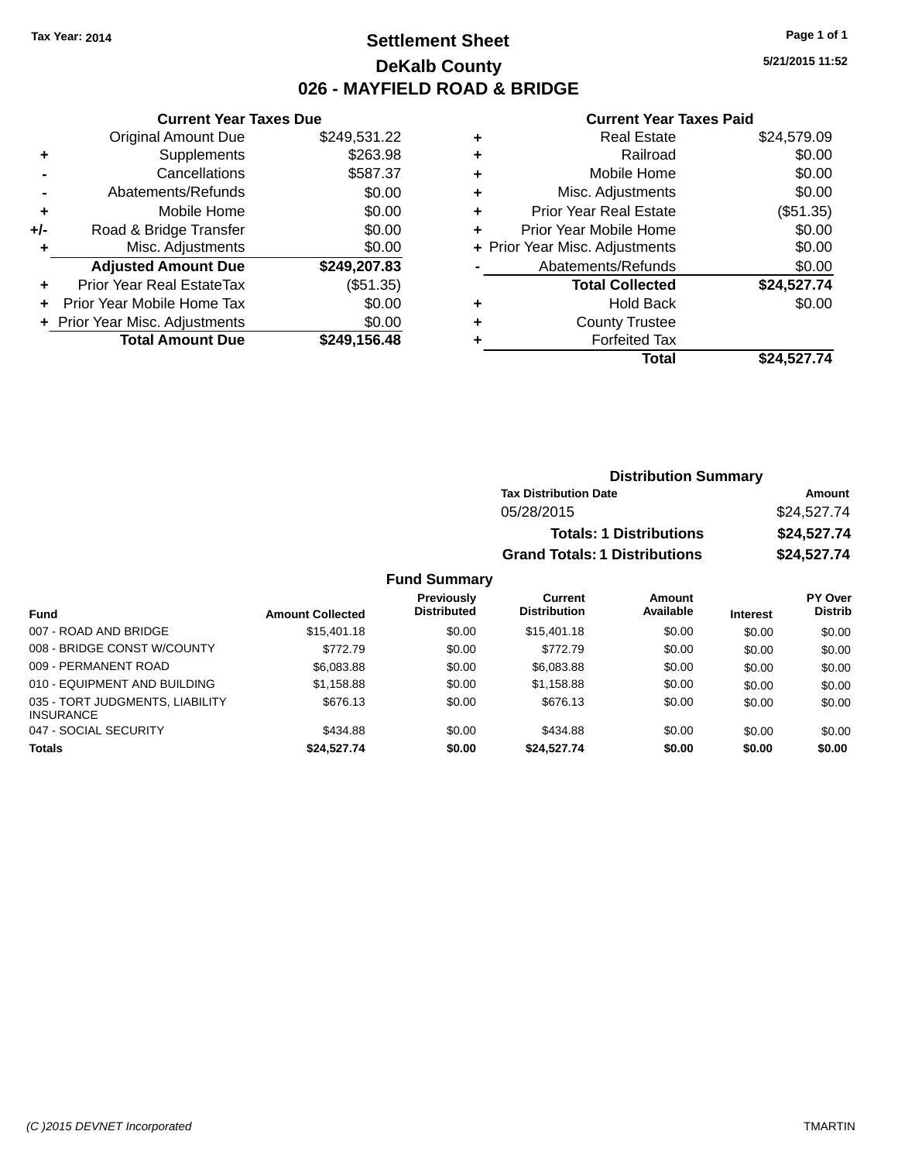### **Settlement Sheet Tax Year: 2014 Page 1 of 1 DeKalb County 026 - MAYFIELD ROAD & BRIDGE**

**5/21/2015 11:52**

#### **Current Year Taxes Paid**

| <b>Current Year Taxes Due</b> |              |
|-------------------------------|--------------|
| <b>Original Amount Due</b>    | \$249,531.22 |
| Supplements                   | \$263.98     |
| Cancellations                 | \$587.37     |
| Abatements/Refunds            | \$0.00       |
| Mobile Home                   | \$0.00       |
| Road & Bridge Transfer        | \$0.00       |
| Misc. Adjustments             | \$0.00       |
| <b>Adjusted Amount Due</b>    | \$249,207.83 |
| Prior Year Real EstateTax     | (\$51.35)    |
| Prior Year Mobile Home Tax    | \$0.00       |
| Prior Year Misc. Adjustments  | \$0.00       |
| <b>Total Amount Due</b>       | \$249.156.48 |
|                               |              |

|   | <b>Real Estate</b>             | \$24,579.09 |
|---|--------------------------------|-------------|
| ٠ | Railroad                       | \$0.00      |
| ٠ | Mobile Home                    | \$0.00      |
| ٠ | Misc. Adjustments              | \$0.00      |
| ٠ | Prior Year Real Estate         | (\$51.35)   |
| ٠ | Prior Year Mobile Home         | \$0.00      |
|   | + Prior Year Misc. Adjustments | \$0.00      |
|   | Abatements/Refunds             | \$0.00      |
|   | <b>Total Collected</b>         | \$24,527.74 |
| ٠ | <b>Hold Back</b>               | \$0.00      |
| ٠ | <b>County Trustee</b>          |             |
| ٠ | <b>Forfeited Tax</b>           |             |
|   | Total                          | \$24,527.74 |
|   |                                |             |

| <b>Distribution Summary</b>          |             |
|--------------------------------------|-------------|
| <b>Tax Distribution Date</b>         | Amount      |
| 05/28/2015                           | \$24,527.74 |
| <b>Totals: 1 Distributions</b>       | \$24,527.74 |
| <b>Grand Totals: 1 Distributions</b> | \$24,527.74 |

|                                                     |                         | <b>Previously</b><br><b>Distributed</b> | Current<br><b>Distribution</b> | Amount<br>Available |                 | PY Over<br><b>Distrib</b> |
|-----------------------------------------------------|-------------------------|-----------------------------------------|--------------------------------|---------------------|-----------------|---------------------------|
| Fund                                                | <b>Amount Collected</b> |                                         |                                |                     | <b>Interest</b> |                           |
| 007 - ROAD AND BRIDGE                               | \$15,401.18             | \$0.00                                  | \$15,401.18                    | \$0.00              | \$0.00          | \$0.00                    |
| 008 - BRIDGE CONST W/COUNTY                         | \$772.79                | \$0.00                                  | \$772.79                       | \$0.00              | \$0.00          | \$0.00                    |
| 009 - PERMANENT ROAD                                | \$6,083.88              | \$0.00                                  | \$6,083,88                     | \$0.00              | \$0.00          | \$0.00                    |
| 010 - EQUIPMENT AND BUILDING                        | \$1,158.88              | \$0.00                                  | \$1.158.88                     | \$0.00              | \$0.00          | \$0.00                    |
| 035 - TORT JUDGMENTS, LIABILITY<br><b>INSURANCE</b> | \$676.13                | \$0.00                                  | \$676.13                       | \$0.00              | \$0.00          | \$0.00                    |
| 047 - SOCIAL SECURITY                               | \$434.88                | \$0.00                                  | \$434.88                       | \$0.00              | \$0.00          | \$0.00                    |
| <b>Totals</b>                                       | \$24.527.74             | \$0.00                                  | \$24.527.74                    | \$0.00              | \$0.00          | \$0.00                    |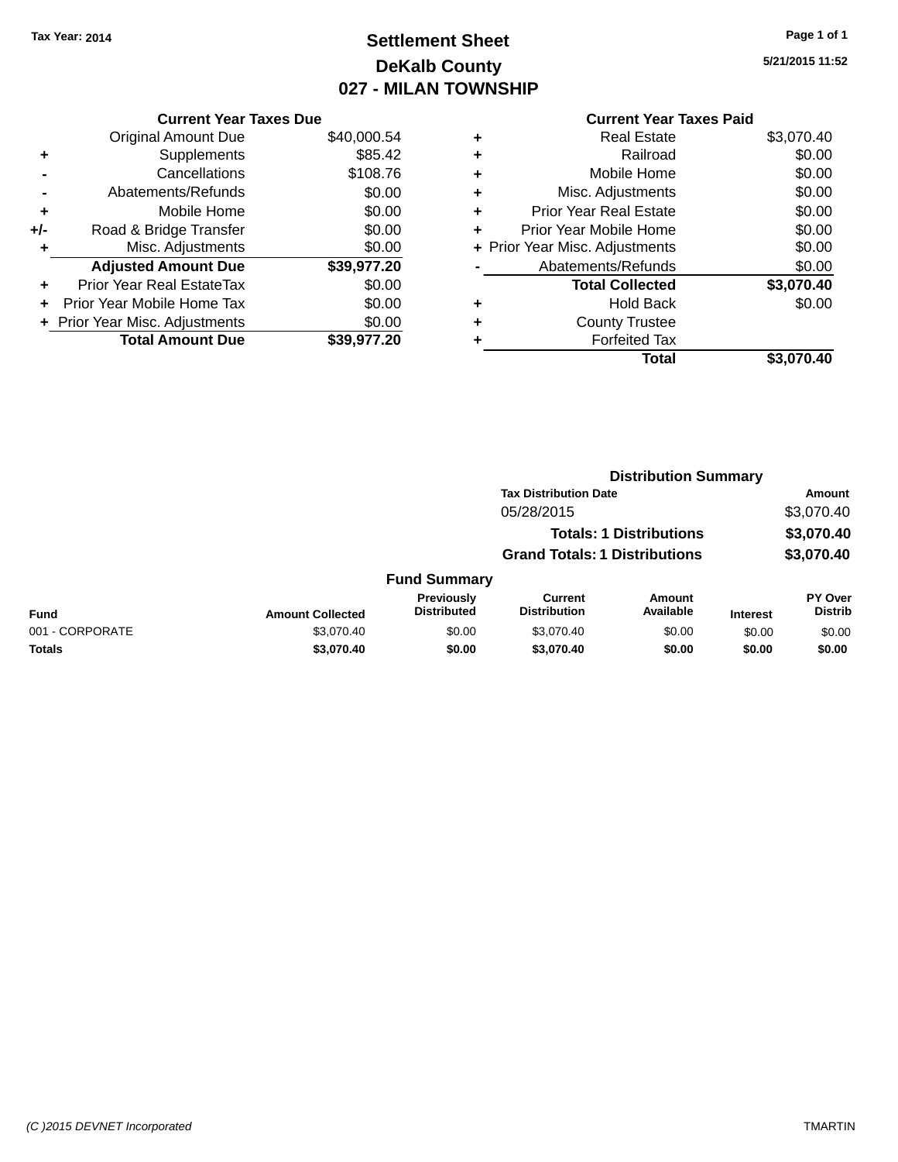## **Settlement Sheet Tax Year: 2014 Page 1 of 1 DeKalb County 027 - MILAN TOWNSHIP**

**5/21/2015 11:52**

|     | <b>Current Year Taxes Due</b>  |             |
|-----|--------------------------------|-------------|
|     | <b>Original Amount Due</b>     | \$40,000.54 |
| ٠   | Supplements                    | \$85.42     |
|     | Cancellations                  | \$108.76    |
|     | Abatements/Refunds             | \$0.00      |
| ٠   | Mobile Home                    | \$0.00      |
| +/- | Road & Bridge Transfer         | \$0.00      |
| ٠   | Misc. Adjustments              | \$0.00      |
|     | <b>Adjusted Amount Due</b>     | \$39,977.20 |
| ÷   | Prior Year Real EstateTax      | \$0.00      |
| ٠   | Prior Year Mobile Home Tax     | \$0.00      |
|     | + Prior Year Misc. Adjustments | \$0.00      |
|     | <b>Total Amount Due</b>        | \$39,977.20 |
|     |                                |             |

| ٠ | <b>Real Estate</b>             | \$3,070.40 |
|---|--------------------------------|------------|
| ÷ | Railroad                       | \$0.00     |
| ٠ | Mobile Home                    | \$0.00     |
| ٠ | Misc. Adjustments              | \$0.00     |
| ٠ | <b>Prior Year Real Estate</b>  | \$0.00     |
| ٠ | Prior Year Mobile Home         | \$0.00     |
|   | + Prior Year Misc. Adjustments | \$0.00     |
|   | Abatements/Refunds             | \$0.00     |
|   | <b>Total Collected</b>         | \$3,070.40 |
| ٠ | <b>Hold Back</b>               | \$0.00     |
| ٠ | <b>County Trustee</b>          |            |
| ٠ | <b>Forfeited Tax</b>           |            |
|   | Total                          | \$3.070.40 |
|   |                                |            |

|                 |                         |                                  |                                       |                                | <b>Distribution Summary</b> |                                  |
|-----------------|-------------------------|----------------------------------|---------------------------------------|--------------------------------|-----------------------------|----------------------------------|
|                 |                         |                                  | <b>Tax Distribution Date</b>          |                                |                             | Amount                           |
|                 |                         |                                  | 05/28/2015                            |                                |                             | \$3,070.40                       |
|                 |                         |                                  |                                       | <b>Totals: 1 Distributions</b> |                             | \$3,070.40                       |
|                 |                         |                                  | <b>Grand Totals: 1 Distributions</b>  |                                |                             | \$3,070.40                       |
|                 |                         | <b>Fund Summary</b>              |                                       |                                |                             |                                  |
| <b>Fund</b>     | <b>Amount Collected</b> | Previously<br><b>Distributed</b> | <b>Current</b><br><b>Distribution</b> | Amount<br>Available            | <b>Interest</b>             | <b>PY Over</b><br><b>Distrib</b> |
| 001 - CORPORATE | \$3,070.40              | \$0.00                           | \$3,070.40                            | \$0.00                         | \$0.00                      | \$0.00                           |
| <b>Totals</b>   | \$3,070.40              | \$0.00                           | \$3,070.40                            | \$0.00                         | \$0.00                      | \$0.00                           |
|                 |                         |                                  |                                       |                                |                             |                                  |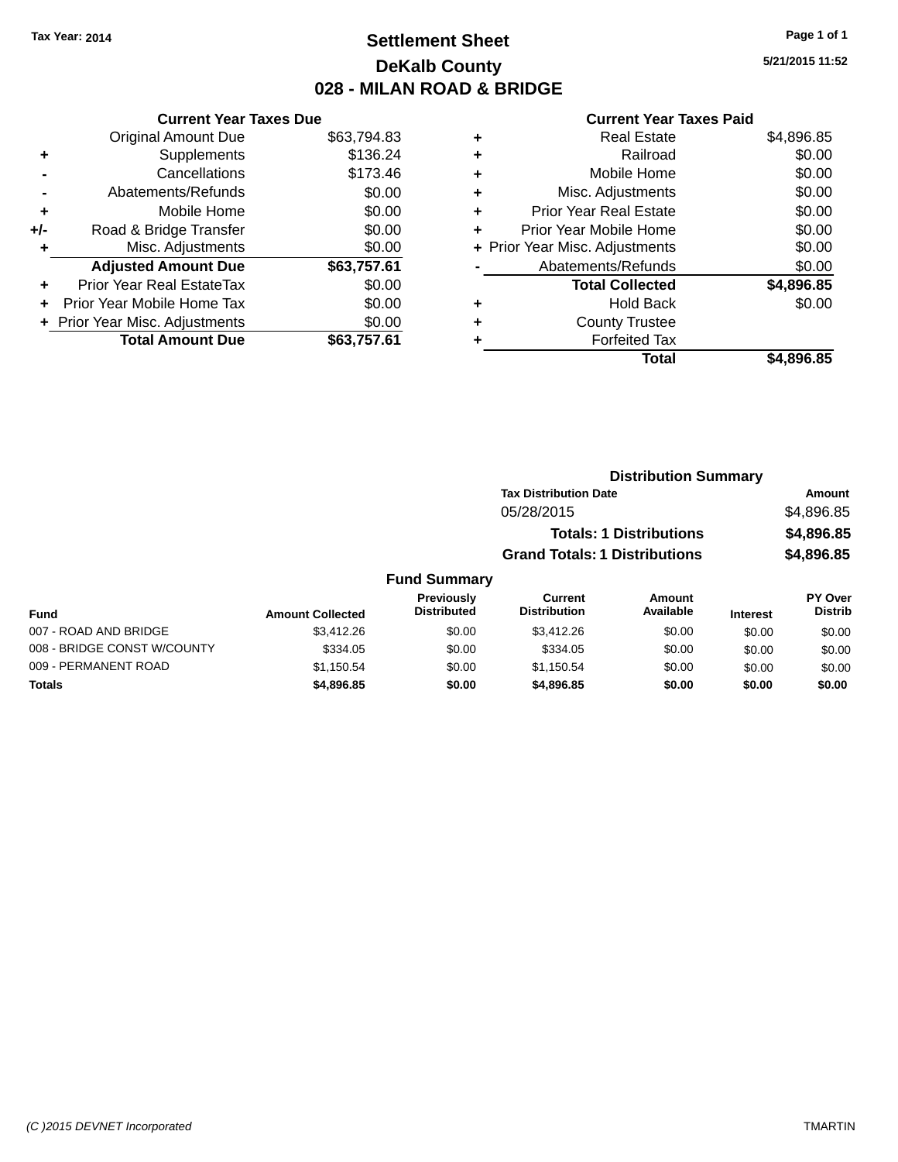### **Settlement Sheet Tax Year: 2014 Page 1 of 1 DeKalb County 028 - MILAN ROAD & BRIDGE**

**5/21/2015 11:52**

#### **Current Year Taxes Paid**

|     | <b>Original Amount Due</b>     | \$63,794.83 |  |
|-----|--------------------------------|-------------|--|
| ٠   | Supplements                    | \$136.24    |  |
|     | Cancellations                  | \$173.46    |  |
|     | Abatements/Refunds             | \$0.00      |  |
| ÷   | Mobile Home                    | \$0.00      |  |
| +/- | Road & Bridge Transfer         | \$0.00      |  |
| ٠   | Misc. Adjustments              | \$0.00      |  |
|     | <b>Adjusted Amount Due</b>     | \$63,757.61 |  |
| ٠   | Prior Year Real EstateTax      | \$0.00      |  |
| ÷   | Prior Year Mobile Home Tax     | \$0.00      |  |
|     | + Prior Year Misc. Adjustments | \$0.00      |  |
|     | <b>Total Amount Due</b>        | \$63,757.61 |  |
|     |                                |             |  |

**Current Year Taxes Due**

| ٠ | <b>Real Estate</b>             | \$4,896.85 |
|---|--------------------------------|------------|
| ٠ | Railroad                       | \$0.00     |
| ٠ | Mobile Home                    | \$0.00     |
| ٠ | Misc. Adjustments              | \$0.00     |
| ٠ | <b>Prior Year Real Estate</b>  | \$0.00     |
| ٠ | Prior Year Mobile Home         | \$0.00     |
|   | + Prior Year Misc. Adjustments | \$0.00     |
|   | Abatements/Refunds             | \$0.00     |
|   | <b>Total Collected</b>         | \$4,896.85 |
| ٠ | Hold Back                      | \$0.00     |
| ٠ | <b>County Trustee</b>          |            |
| ٠ | <b>Forfeited Tax</b>           |            |
|   | Total                          | \$4,896.85 |
|   |                                |            |

|                     | <b>Distribution Summary</b>          |            |
|---------------------|--------------------------------------|------------|
|                     | <b>Tax Distribution Date</b>         | Amount     |
|                     | 05/28/2015                           | \$4,896.85 |
|                     | <b>Totals: 1 Distributions</b>       | \$4,896.85 |
|                     | <b>Grand Totals: 1 Distributions</b> | \$4,896.85 |
| <b>Fund Summary</b> |                                      |            |

#### **Fund Interest Amount Collected Distributed PY Over Distrib Amount Available Current Distribution Previously** 007 - ROAD AND BRIDGE \$3,412.26 \$3,412.26 \$0.00 \$3,412.26 \$0.00 \$0.00 \$0.00 \$0.00 008 - BRIDGE CONST W/COUNTY  $$334.05$  \$0.00 \$334.05 \$0.00 \$0.00 \$0.00 \$0.00 009 - PERMANENT ROAD \$1,150.54 \$1,150.54 \$0.00 \$1,150.54 \$0.00 \$0.00 \$0.00 \$0.00 **Totals \$4,896.85 \$0.00 \$4,896.85 \$0.00 \$0.00 \$0.00**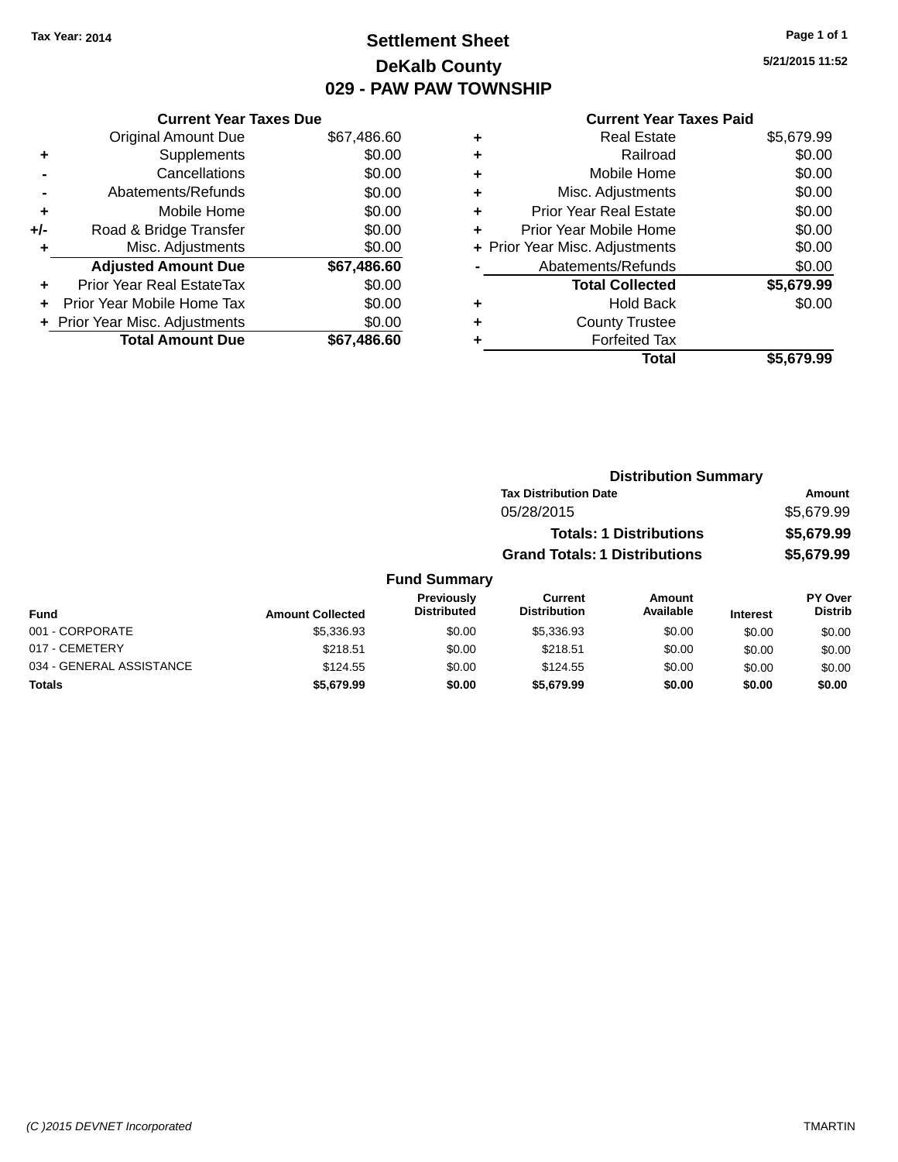## **Settlement Sheet Tax Year: 2014 Page 1 of 1 DeKalb County 029 - PAW PAW TOWNSHIP**

**5/21/2015 11:52**

#### **Current Year Taxes Paid**

|     | <b>Current Year Taxes Due</b>  |             |
|-----|--------------------------------|-------------|
|     | <b>Original Amount Due</b>     | \$67,486.60 |
| ٠   | Supplements                    | \$0.00      |
|     | Cancellations                  | \$0.00      |
|     | Abatements/Refunds             | \$0.00      |
| ٠   | Mobile Home                    | \$0.00      |
| +/- | Road & Bridge Transfer         | \$0.00      |
| ٠   | Misc. Adjustments              | \$0.00      |
|     | <b>Adjusted Amount Due</b>     | \$67,486.60 |
| ÷   | Prior Year Real EstateTax      | \$0.00      |
|     | Prior Year Mobile Home Tax     | \$0.00      |
|     | + Prior Year Misc. Adjustments | \$0.00      |
|     | <b>Total Amount Due</b>        | \$67,486.60 |
|     |                                |             |

|   | <b>Real Estate</b>             | \$5,679.99 |
|---|--------------------------------|------------|
| ٠ | Railroad                       | \$0.00     |
| ٠ | Mobile Home                    | \$0.00     |
| ٠ | Misc. Adjustments              | \$0.00     |
| ٠ | <b>Prior Year Real Estate</b>  | \$0.00     |
| ÷ | Prior Year Mobile Home         | \$0.00     |
|   | + Prior Year Misc. Adjustments | \$0.00     |
|   | Abatements/Refunds             | \$0.00     |
|   | <b>Total Collected</b>         | \$5,679.99 |
| ٠ | <b>Hold Back</b>               | \$0.00     |
|   | <b>County Trustee</b>          |            |
| ٠ | <b>Forfeited Tax</b>           |            |
|   | Total                          | \$5,679.99 |
|   |                                |            |

|            | <b>Distribution Summary</b>          |            |
|------------|--------------------------------------|------------|
|            | <b>Tax Distribution Date</b>         | Amount     |
| 05/28/2015 |                                      | \$5,679.99 |
|            | <b>Totals: 1 Distributions</b>       | \$5,679.99 |
|            | <b>Grand Totals: 1 Distributions</b> | \$5,679.99 |
| , ,,,,,,,  |                                      |            |

#### **Fund Summary Fund Interest Amount Collected Distributed PY Over Distrib Amount Available Current Distribution Previously** 001 - CORPORATE \$5,336.93 \$0.00 \$5,336.93 \$0.00 \$0.00 \$0.00 017 - CEMETERY \$218.51 \$0.00 \$218.51 \$0.00 \$0.00 \$0.00 034 - GENERAL ASSISTANCE \$124.55 \$0.00 \$0.00 \$0.00 \$0.00 \$0.00 **Totals \$5,679.99 \$0.00 \$5,679.99 \$0.00 \$0.00 \$0.00**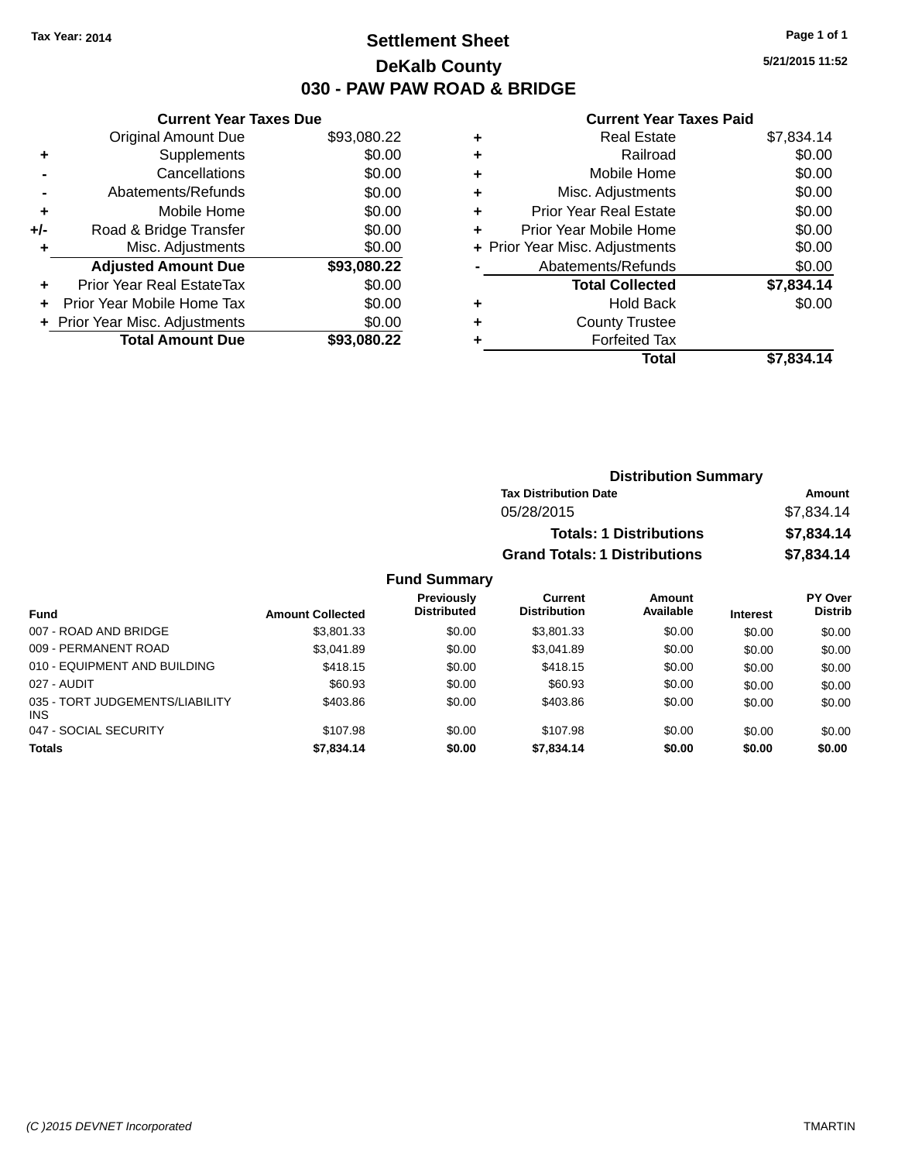### **Settlement Sheet Tax Year: 2014 Page 1 of 1 DeKalb County 030 - PAW PAW ROAD & BRIDGE**

**5/21/2015 11:52**

### **Current Year Taxes Paid**

|       | <b>Current Year Taxes Due</b>  |             |
|-------|--------------------------------|-------------|
|       | <b>Original Amount Due</b>     | \$93,080.22 |
| ٠     | Supplements                    | \$0.00      |
|       | Cancellations                  | \$0.00      |
|       | Abatements/Refunds             | \$0.00      |
| ٠     | Mobile Home                    | \$0.00      |
| $+/-$ | Road & Bridge Transfer         | \$0.00      |
| ÷     | Misc. Adjustments              | \$0.00      |
|       | <b>Adjusted Amount Due</b>     | \$93,080.22 |
| ÷     | Prior Year Real EstateTax      | \$0.00      |
|       | Prior Year Mobile Home Tax     | \$0.00      |
|       | + Prior Year Misc. Adjustments | \$0.00      |
|       | <b>Total Amount Due</b>        | \$93,080,22 |
|       |                                |             |

|   | <b>Real Estate</b>             | \$7,834.14 |
|---|--------------------------------|------------|
| ٠ | Railroad                       | \$0.00     |
| ٠ | Mobile Home                    | \$0.00     |
| ٠ | Misc. Adjustments              | \$0.00     |
| ٠ | <b>Prior Year Real Estate</b>  | \$0.00     |
| ٠ | Prior Year Mobile Home         | \$0.00     |
|   | + Prior Year Misc. Adjustments | \$0.00     |
|   | Abatements/Refunds             | \$0.00     |
|   | <b>Total Collected</b>         | \$7,834.14 |
| ٠ | <b>Hold Back</b>               | \$0.00     |
| ٠ | <b>County Trustee</b>          |            |
| ٠ | <b>Forfeited Tax</b>           |            |
|   | Total                          | \$7,834.14 |
|   |                                |            |

| <b>Distribution Summary</b>          |            |
|--------------------------------------|------------|
| <b>Tax Distribution Date</b>         | Amount     |
| 05/28/2015                           | \$7,834.14 |
| <b>Totals: 1 Distributions</b>       | \$7,834.14 |
| <b>Grand Totals: 1 Distributions</b> | \$7,834.14 |

| <b>Fund</b>                                   | <b>Amount Collected</b> | Previously<br><b>Distributed</b> | Current<br><b>Distribution</b> | Amount<br>Available | <b>Interest</b> | PY Over<br><b>Distrib</b> |
|-----------------------------------------------|-------------------------|----------------------------------|--------------------------------|---------------------|-----------------|---------------------------|
| 007 - ROAD AND BRIDGE                         | \$3,801.33              | \$0.00                           | \$3,801.33                     | \$0.00              | \$0.00          | \$0.00                    |
| 009 - PERMANENT ROAD                          | \$3.041.89              | \$0.00                           | \$3.041.89                     | \$0.00              | \$0.00          | \$0.00                    |
| 010 - EQUIPMENT AND BUILDING                  | \$418.15                | \$0.00                           | \$418.15                       | \$0.00              | \$0.00          | \$0.00                    |
| 027 - AUDIT                                   | \$60.93                 | \$0.00                           | \$60.93                        | \$0.00              | \$0.00          | \$0.00                    |
| 035 - TORT JUDGEMENTS/LIABILITY<br><b>INS</b> | \$403.86                | \$0.00                           | \$403.86                       | \$0.00              | \$0.00          | \$0.00                    |
| 047 - SOCIAL SECURITY                         | \$107.98                | \$0.00                           | \$107.98                       | \$0.00              | \$0.00          | \$0.00                    |
| <b>Totals</b>                                 | \$7,834.14              | \$0.00                           | \$7,834.14                     | \$0.00              | \$0.00          | \$0.00                    |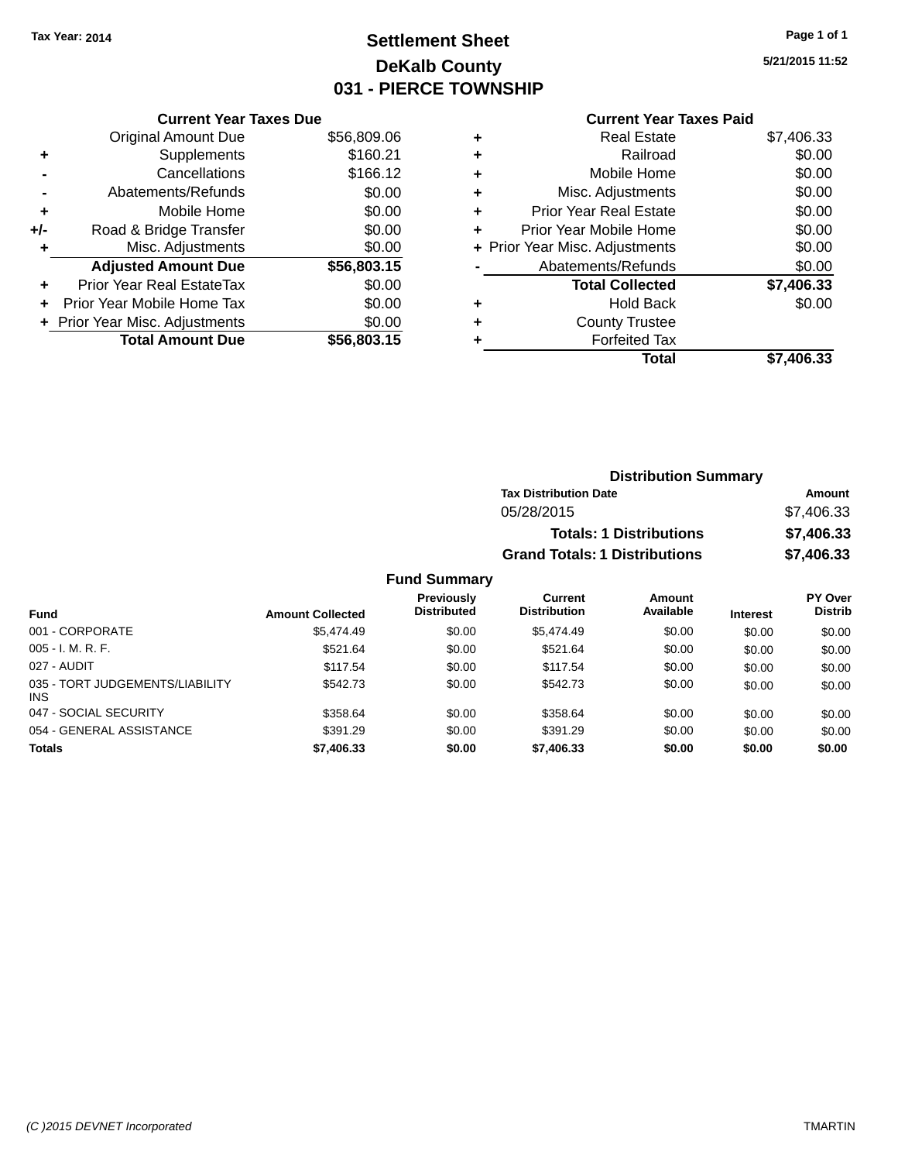## **Settlement Sheet Tax Year: 2014 Page 1 of 1 DeKalb County 031 - PIERCE TOWNSHIP**

**5/21/2015 11:52**

| <b>Current Year Taxes Due</b>  |             |
|--------------------------------|-------------|
| <b>Original Amount Due</b>     | \$56,809.06 |
| Supplements                    | \$160.21    |
| Cancellations                  | \$166.12    |
| Abatements/Refunds             | \$0.00      |
| Mobile Home                    | \$0.00      |
| Road & Bridge Transfer         | \$0.00      |
| Misc. Adjustments              | \$0.00      |
|                                |             |
| <b>Adjusted Amount Due</b>     | \$56,803.15 |
| Prior Year Real EstateTax      | \$0.00      |
| Prior Year Mobile Home Tax     | \$0.00      |
| + Prior Year Misc. Adjustments | \$0.00      |
|                                |             |

### **Current Year Taxes Paid**

| ٠ | <b>Real Estate</b>             | \$7,406.33 |
|---|--------------------------------|------------|
| ٠ | Railroad                       | \$0.00     |
| ٠ | Mobile Home                    | \$0.00     |
| ٠ | Misc. Adjustments              | \$0.00     |
| ٠ | <b>Prior Year Real Estate</b>  | \$0.00     |
| ٠ | Prior Year Mobile Home         | \$0.00     |
|   | + Prior Year Misc. Adjustments | \$0.00     |
|   | Abatements/Refunds             | \$0.00     |
|   | <b>Total Collected</b>         | \$7,406.33 |
| ٠ | <b>Hold Back</b>               | \$0.00     |
| ٠ | <b>County Trustee</b>          |            |
| ٠ | <b>Forfeited Tax</b>           |            |
|   | Total                          | \$7,406.33 |
|   |                                |            |

### **Distribution Summary Tax Distribution Date Amount** 05/28/2015 \$7,406.33 **Totals: 1 Distributions \$7,406.33 Grand Totals: 1 Distributions \$7,406.33**

| <b>Fund</b>                                   | <b>Amount Collected</b> | <b>Previously</b><br><b>Distributed</b> | Current<br><b>Distribution</b> | Amount<br>Available | <b>Interest</b> | <b>PY Over</b><br><b>Distrib</b> |
|-----------------------------------------------|-------------------------|-----------------------------------------|--------------------------------|---------------------|-----------------|----------------------------------|
| 001 - CORPORATE                               | \$5,474.49              | \$0.00                                  | \$5,474.49                     | \$0.00              | \$0.00          | \$0.00                           |
| $005 - I. M. R. F.$                           | \$521.64                | \$0.00                                  | \$521.64                       | \$0.00              | \$0.00          | \$0.00                           |
| 027 - AUDIT                                   | \$117.54                | \$0.00                                  | \$117.54                       | \$0.00              | \$0.00          | \$0.00                           |
| 035 - TORT JUDGEMENTS/LIABILITY<br><b>INS</b> | \$542.73                | \$0.00                                  | \$542.73                       | \$0.00              | \$0.00          | \$0.00                           |
| 047 - SOCIAL SECURITY                         | \$358.64                | \$0.00                                  | \$358.64                       | \$0.00              | \$0.00          | \$0.00                           |
| 054 - GENERAL ASSISTANCE                      | \$391.29                | \$0.00                                  | \$391.29                       | \$0.00              | \$0.00          | \$0.00                           |
| <b>Totals</b>                                 | \$7,406.33              | \$0.00                                  | \$7,406,33                     | \$0.00              | \$0.00          | \$0.00                           |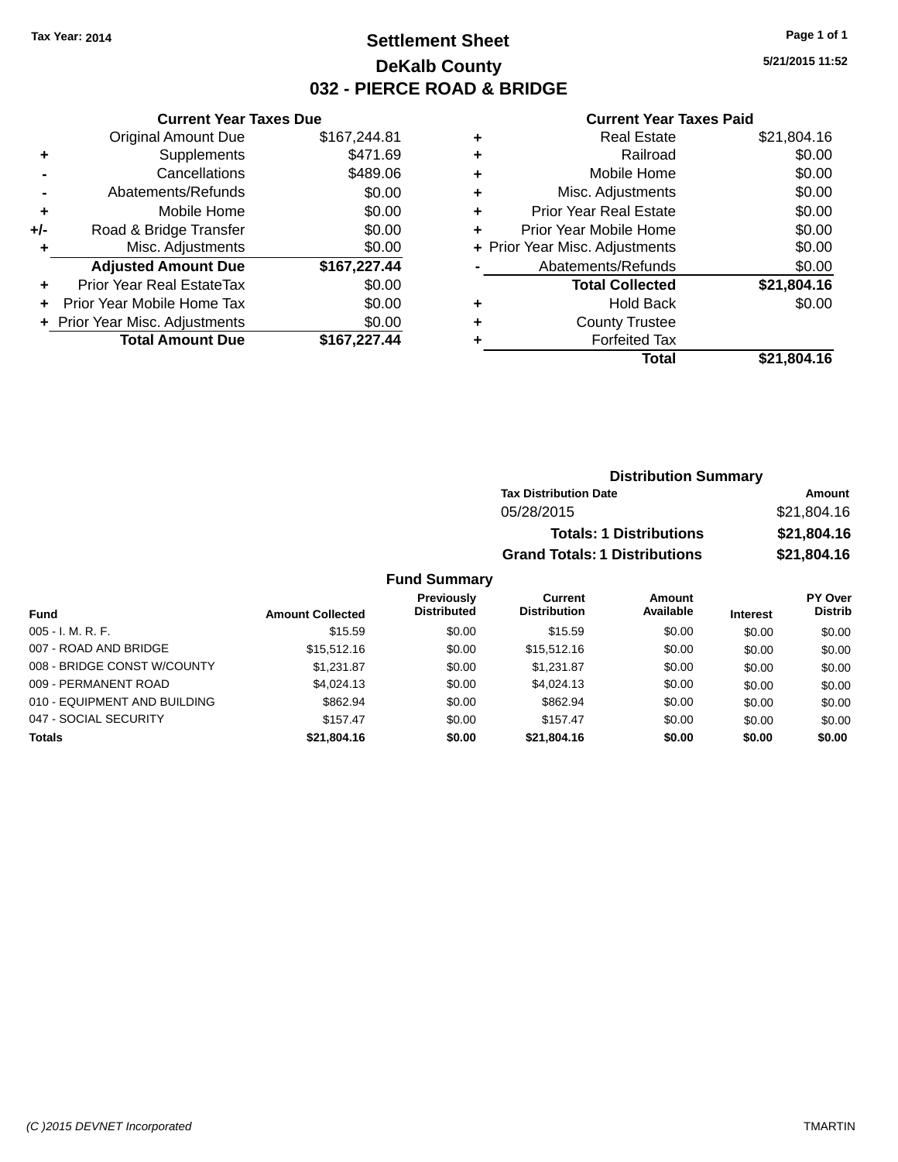### **Settlement Sheet Tax Year: 2014 Page 1 of 1 DeKalb County 032 - PIERCE ROAD & BRIDGE**

**5/21/2015 11:52**

#### **Current Year Taxes Paid**

| <b>Current Year Taxes Due</b> |                              |  |  |  |
|-------------------------------|------------------------------|--|--|--|
| <b>Original Amount Due</b>    | \$167,244.81                 |  |  |  |
| Supplements                   | \$471.69                     |  |  |  |
| Cancellations                 | \$489.06                     |  |  |  |
| Abatements/Refunds            | \$0.00                       |  |  |  |
| Mobile Home                   | \$0.00                       |  |  |  |
| Road & Bridge Transfer        | \$0.00                       |  |  |  |
| Misc. Adjustments             | \$0.00                       |  |  |  |
| <b>Adjusted Amount Due</b>    | \$167,227.44                 |  |  |  |
| Prior Year Real EstateTax     | \$0.00                       |  |  |  |
| Prior Year Mobile Home Tax    | \$0.00                       |  |  |  |
|                               | \$0.00                       |  |  |  |
| <b>Total Amount Due</b>       | \$167,227.44                 |  |  |  |
|                               | Prior Year Misc. Adjustments |  |  |  |

|   | <b>Real Estate</b>             | \$21,804.16 |
|---|--------------------------------|-------------|
| ٠ | Railroad                       | \$0.00      |
| ٠ | Mobile Home                    | \$0.00      |
| ٠ | Misc. Adjustments              | \$0.00      |
| ٠ | <b>Prior Year Real Estate</b>  | \$0.00      |
| ٠ | Prior Year Mobile Home         | \$0.00      |
|   | + Prior Year Misc. Adjustments | \$0.00      |
|   | Abatements/Refunds             | \$0.00      |
|   | <b>Total Collected</b>         | \$21,804.16 |
| ٠ | <b>Hold Back</b>               | \$0.00      |
| ٠ | <b>County Trustee</b>          |             |
| ٠ | <b>Forfeited Tax</b>           |             |
|   | Total                          | \$21,804.16 |
|   |                                |             |

| <b>Distribution Summary</b>          |             |  |  |
|--------------------------------------|-------------|--|--|
| <b>Tax Distribution Date</b>         | Amount      |  |  |
| 05/28/2015                           | \$21,804.16 |  |  |
| <b>Totals: 1 Distributions</b>       | \$21,804.16 |  |  |
| <b>Grand Totals: 1 Distributions</b> | \$21,804.16 |  |  |

| <b>Fund</b>                  | <b>Amount Collected</b> | Previously<br><b>Distributed</b> | Current<br><b>Distribution</b> | Amount<br>Available | <b>Interest</b> | PY Over<br><b>Distrib</b> |
|------------------------------|-------------------------|----------------------------------|--------------------------------|---------------------|-----------------|---------------------------|
| $005 - I. M. R. F.$          | \$15.59                 | \$0.00                           | \$15.59                        | \$0.00              | \$0.00          | \$0.00                    |
| 007 - ROAD AND BRIDGE        | \$15,512.16             | \$0.00                           | \$15,512.16                    | \$0.00              | \$0.00          | \$0.00                    |
| 008 - BRIDGE CONST W/COUNTY  | \$1.231.87              | \$0.00                           | \$1.231.87                     | \$0.00              | \$0.00          | \$0.00                    |
| 009 - PERMANENT ROAD         | \$4,024.13              | \$0.00                           | \$4.024.13                     | \$0.00              | \$0.00          | \$0.00                    |
| 010 - EQUIPMENT AND BUILDING | \$862.94                | \$0.00                           | \$862.94                       | \$0.00              | \$0.00          | \$0.00                    |
| 047 - SOCIAL SECURITY        | \$157.47                | \$0.00                           | \$157.47                       | \$0.00              | \$0.00          | \$0.00                    |
| <b>Totals</b>                | \$21,804.16             | \$0.00                           | \$21.804.16                    | \$0.00              | \$0.00          | \$0.00                    |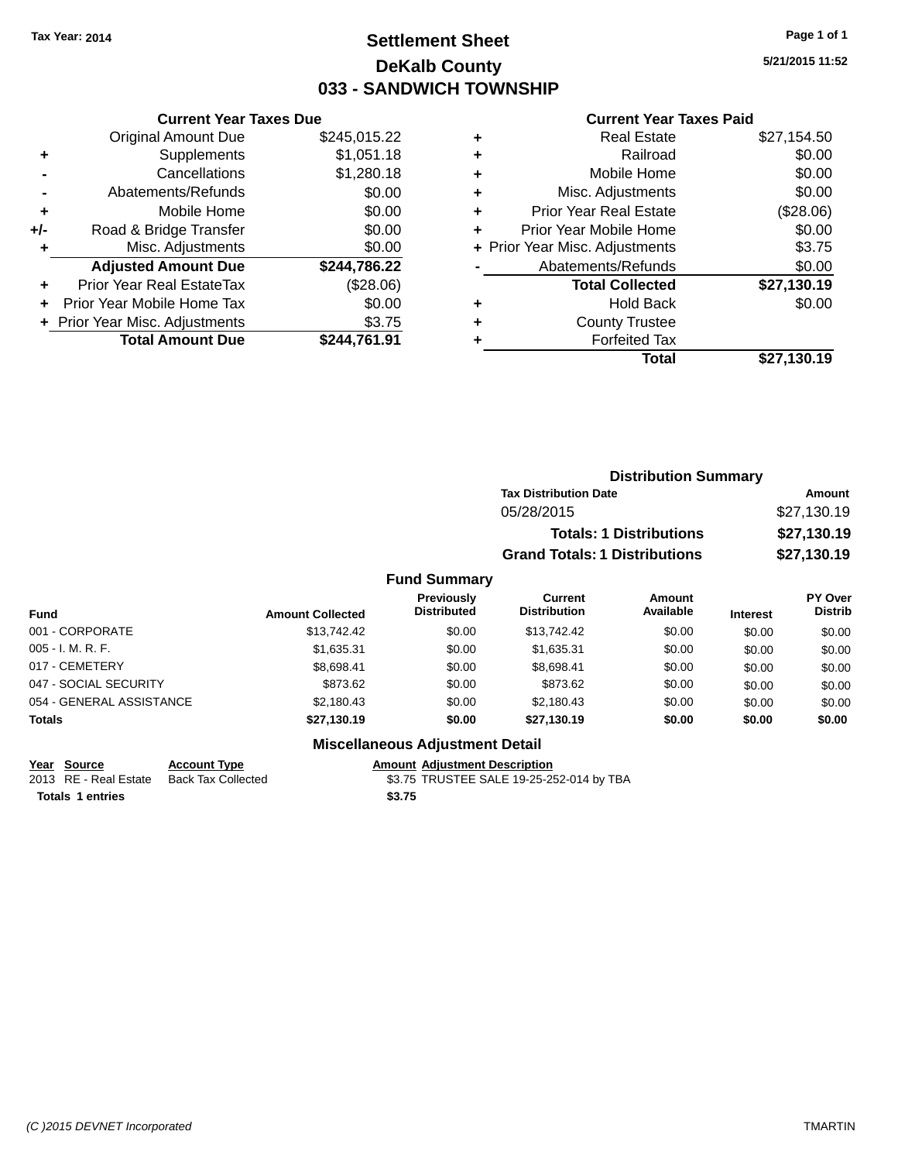### **Settlement Sheet Tax Year: 2014 Page 1 of 1 DeKalb County 033 - SANDWICH TOWNSHIP**

**5/21/2015 11:52**

#### **Current Year Taxes Paid**

|     | <b>Current Year Taxes Due</b>  |              |  |  |  |
|-----|--------------------------------|--------------|--|--|--|
|     | <b>Original Amount Due</b>     | \$245,015.22 |  |  |  |
| ٠   | Supplements                    | \$1,051.18   |  |  |  |
|     | Cancellations                  | \$1,280.18   |  |  |  |
|     | Abatements/Refunds             | \$0.00       |  |  |  |
| ٠   | Mobile Home                    | \$0.00       |  |  |  |
| +/- | Road & Bridge Transfer         | \$0.00       |  |  |  |
| ٠   | Misc. Adjustments              | \$0.00       |  |  |  |
|     | <b>Adjusted Amount Due</b>     | \$244,786.22 |  |  |  |
| ÷   | Prior Year Real EstateTax      | (\$28.06)    |  |  |  |
|     | Prior Year Mobile Home Tax     | \$0.00       |  |  |  |
|     | + Prior Year Misc. Adjustments | \$3.75       |  |  |  |
|     | <b>Total Amount Due</b>        | \$244.761.91 |  |  |  |

|   | <b>Real Estate</b>             | \$27,154.50 |
|---|--------------------------------|-------------|
| ٠ | Railroad                       | \$0.00      |
| ٠ | Mobile Home                    | \$0.00      |
| ٠ | Misc. Adjustments              | \$0.00      |
| ٠ | <b>Prior Year Real Estate</b>  | (\$28.06)   |
| ٠ | Prior Year Mobile Home         | \$0.00      |
|   | + Prior Year Misc. Adjustments | \$3.75      |
|   | Abatements/Refunds             | \$0.00      |
|   | <b>Total Collected</b>         | \$27,130.19 |
| ٠ | <b>Hold Back</b>               | \$0.00      |
| ٠ | <b>County Trustee</b>          |             |
| ٠ | <b>Forfeited Tax</b>           |             |
|   | Total                          | \$27,130.19 |
|   |                                |             |

|                     | <b>Distribution Summary</b>          |             |  |  |
|---------------------|--------------------------------------|-------------|--|--|
|                     | <b>Tax Distribution Date</b>         | Amount      |  |  |
|                     | 05/28/2015                           | \$27,130.19 |  |  |
|                     | <b>Totals: 1 Distributions</b>       | \$27,130.19 |  |  |
|                     | <b>Grand Totals: 1 Distributions</b> | \$27,130.19 |  |  |
| <b>Fund Summary</b> |                                      |             |  |  |

| Fund                     | <b>Amount Collected</b> | <b>Previously</b><br><b>Distributed</b> | Current<br><b>Distribution</b> | Amount<br>Available | <b>Interest</b> | PY Over<br><b>Distrib</b> |
|--------------------------|-------------------------|-----------------------------------------|--------------------------------|---------------------|-----------------|---------------------------|
| 001 - CORPORATE          | \$13.742.42             | \$0.00                                  | \$13,742.42                    | \$0.00              | \$0.00          | \$0.00                    |
| $005 - I. M. R. F.$      | \$1,635.31              | \$0.00                                  | \$1,635.31                     | \$0.00              | \$0.00          | \$0.00                    |
| 017 - CEMETERY           | \$8.698.41              | \$0.00                                  | \$8.698.41                     | \$0.00              | \$0.00          | \$0.00                    |
| 047 - SOCIAL SECURITY    | \$873.62                | \$0.00                                  | \$873.62                       | \$0.00              | \$0.00          | \$0.00                    |
| 054 - GENERAL ASSISTANCE | \$2.180.43              | \$0.00                                  | \$2.180.43                     | \$0.00              | \$0.00          | \$0.00                    |
| <b>Totals</b>            | \$27,130.19             | \$0.00                                  | \$27.130.19                    | \$0.00              | \$0.00          | \$0.00                    |

### **Miscellaneous Adjustment Detail**

| Year Source           | <b>Account Type</b> |        | <b>Amount Adjustment Description</b>     |
|-----------------------|---------------------|--------|------------------------------------------|
| 2013 RE - Real Estate | Back Tax Collected  |        | \$3.75 TRUSTEE SALE 19-25-252-014 by TBA |
| Totals 1 entries      |                     | \$3.75 |                                          |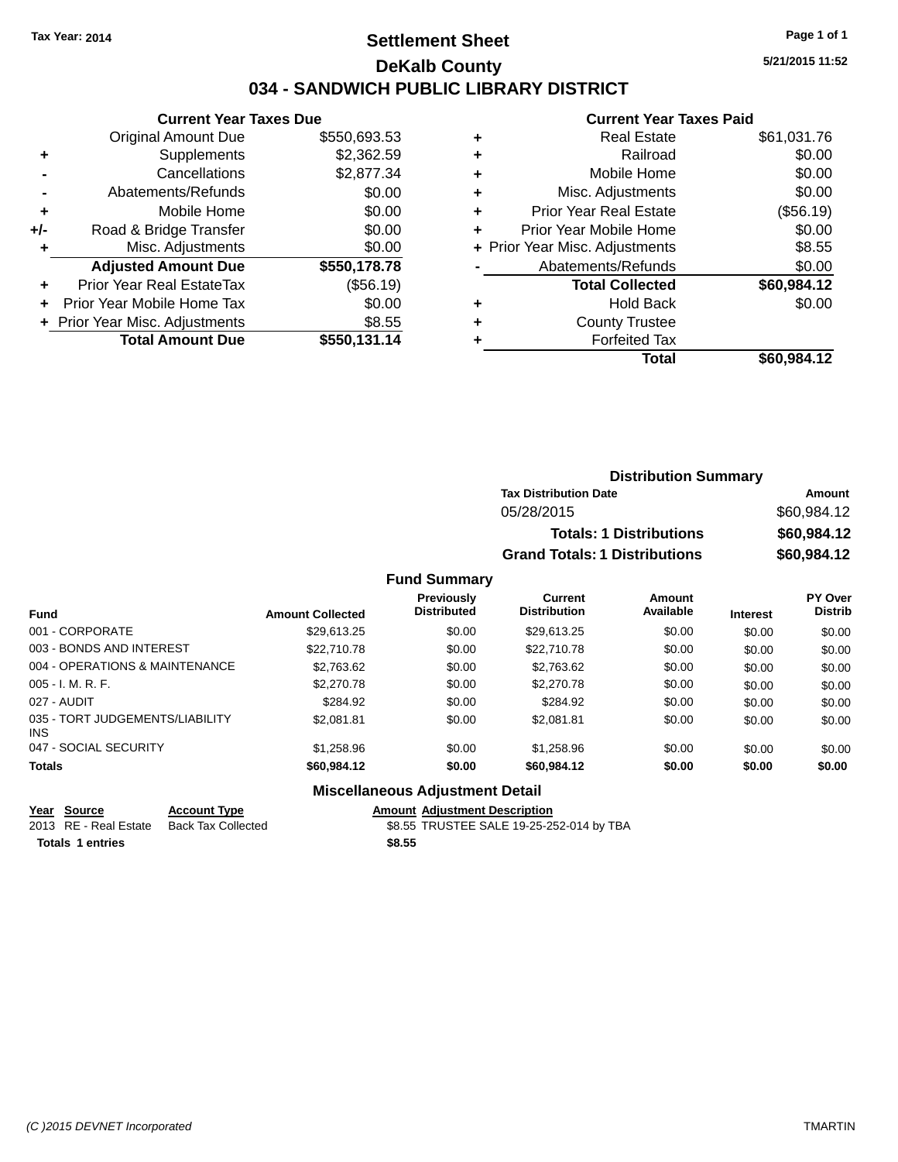### **Settlement Sheet Tax Year: 2014 Page 1 of 1 DeKalb County 034 - SANDWICH PUBLIC LIBRARY DISTRICT**

|     | <b>Current Year Taxes Due</b>    |              |
|-----|----------------------------------|--------------|
|     | <b>Original Amount Due</b>       | \$550,693.53 |
| ٠   | Supplements                      | \$2,362.59   |
|     | Cancellations                    | \$2,877.34   |
|     | Abatements/Refunds               | \$0.00       |
| ٠   | Mobile Home                      | \$0.00       |
| +/- | Road & Bridge Transfer           | \$0.00       |
| ٠   | Misc. Adjustments                | \$0.00       |
|     | <b>Adjusted Amount Due</b>       | \$550,178.78 |
| ٠   | <b>Prior Year Real EstateTax</b> | (\$56.19)    |
| ٠   | Prior Year Mobile Home Tax       | \$0.00       |
|     | + Prior Year Misc. Adjustments   | \$8.55       |
|     | <b>Total Amount Due</b>          | \$550,131.14 |

#### **Current Year Taxes Paid**

| ٠ | <b>Real Estate</b>             | \$61,031.76 |
|---|--------------------------------|-------------|
| ٠ | Railroad                       | \$0.00      |
| ٠ | Mobile Home                    | \$0.00      |
| ٠ | Misc. Adjustments              | \$0.00      |
| ٠ | <b>Prior Year Real Estate</b>  | (\$56.19)   |
| ٠ | Prior Year Mobile Home         | \$0.00      |
|   | + Prior Year Misc. Adjustments | \$8.55      |
|   | Abatements/Refunds             | \$0.00      |
|   | <b>Total Collected</b>         | \$60,984.12 |
| ٠ | <b>Hold Back</b>               | \$0.00      |
| ٠ | <b>County Trustee</b>          |             |
| ٠ | <b>Forfeited Tax</b>           |             |
|   | Total                          | \$60.984.12 |
|   |                                |             |

### **Distribution Summary Tax Distribution Date Amount** 05/28/2015 \$60,984.12 **Totals: 1 Distributions \$60,984.12 Grand Totals: 1 Distributions \$60,984.12**

#### **Fund Summary**

| <b>Fund</b>                             | <b>Amount Collected</b> | <b>Previously</b><br><b>Distributed</b> | Current<br><b>Distribution</b> | Amount<br>Available | <b>Interest</b> | PY Over<br><b>Distrib</b> |
|-----------------------------------------|-------------------------|-----------------------------------------|--------------------------------|---------------------|-----------------|---------------------------|
| 001 - CORPORATE                         | \$29,613.25             | \$0.00                                  | \$29,613.25                    | \$0.00              | \$0.00          | \$0.00                    |
| 003 - BONDS AND INTEREST                | \$22,710.78             | \$0.00                                  | \$22,710.78                    | \$0.00              | \$0.00          | \$0.00                    |
| 004 - OPERATIONS & MAINTENANCE          | \$2,763.62              | \$0.00                                  | \$2,763.62                     | \$0.00              | \$0.00          | \$0.00                    |
| $005 - I. M. R. F.$                     | \$2,270.78              | \$0.00                                  | \$2,270.78                     | \$0.00              | \$0.00          | \$0.00                    |
| 027 - AUDIT                             | \$284.92                | \$0.00                                  | \$284.92                       | \$0.00              | \$0.00          | \$0.00                    |
| 035 - TORT JUDGEMENTS/LIABILITY<br>INS. | \$2,081.81              | \$0.00                                  | \$2.081.81                     | \$0.00              | \$0.00          | \$0.00                    |
| 047 - SOCIAL SECURITY                   | \$1,258.96              | \$0.00                                  | \$1.258.96                     | \$0.00              | \$0.00          | \$0.00                    |
| <b>Totals</b>                           | \$60,984.12             | \$0.00                                  | \$60,984.12                    | \$0.00              | \$0.00          | \$0.00                    |

### **Miscellaneous Adjustment Detail**

| Year Source             | <b>Account Type</b> | Amount |
|-------------------------|---------------------|--------|
| 2013 RE - Real Estate   | Back Tax Collected  | \$8.55 |
| <b>Totals 1 entries</b> |                     | \$8.55 |

**Amount Adjustment Description** \$8.55 TRUSTEE SALE 19-25-252-014 by TBA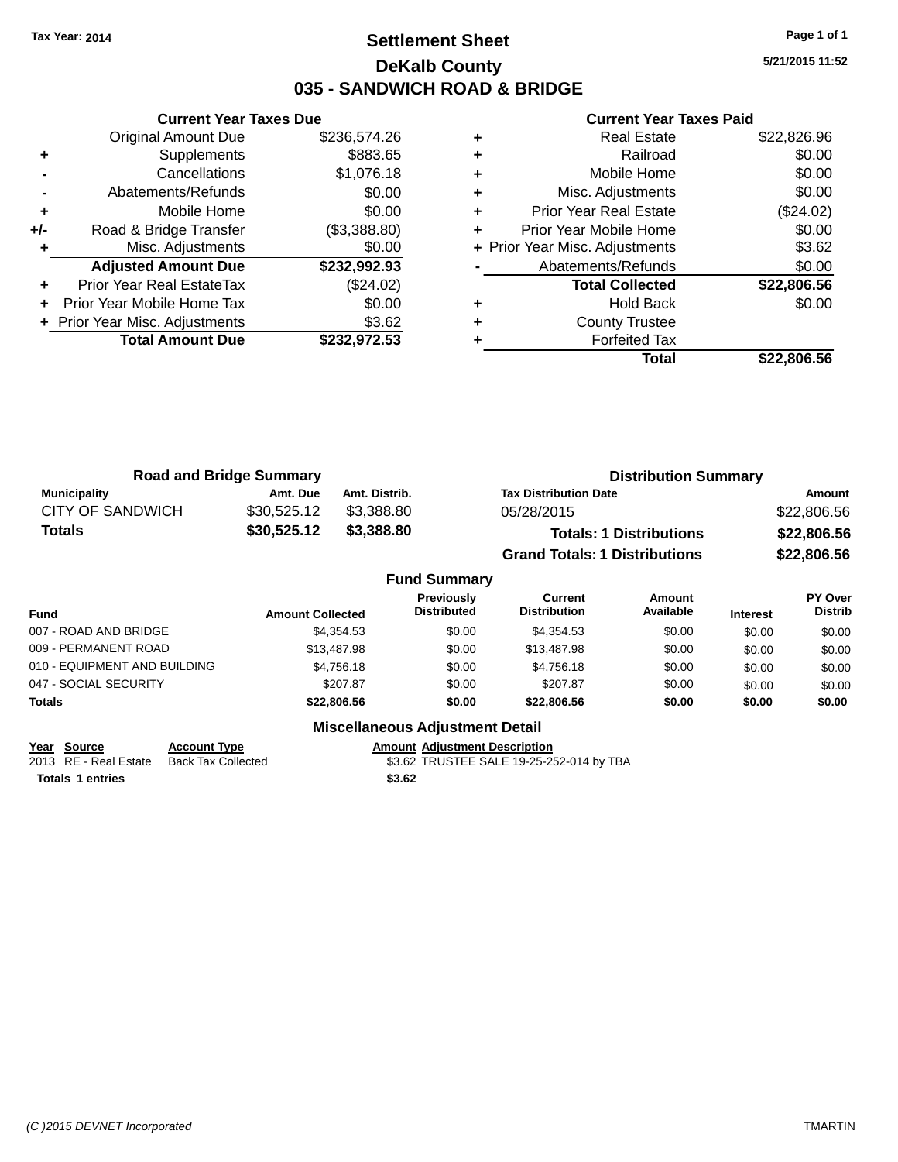# **Settlement Sheet Tax Year: 2014 Page 1 of 1 DeKalb County 035 - SANDWICH ROAD & BRIDGE**

**5/21/2015 11:52**

#### **Current Year Taxes Paid**

|     | <b>Current Year Taxes Due</b>  |              |
|-----|--------------------------------|--------------|
|     | <b>Original Amount Due</b>     | \$236,574.26 |
| ٠   | Supplements                    | \$883.65     |
|     | Cancellations                  | \$1,076.18   |
|     | Abatements/Refunds             | \$0.00       |
| ٠   | Mobile Home                    | \$0.00       |
| +/- | Road & Bridge Transfer         | (\$3,388.80) |
|     | Misc. Adjustments              | \$0.00       |
|     | <b>Adjusted Amount Due</b>     | \$232,992.93 |
| ٠   | Prior Year Real EstateTax      | (\$24.02)    |
|     | Prior Year Mobile Home Tax     | \$0.00       |
|     | + Prior Year Misc. Adjustments | \$3.62       |
|     | <b>Total Amount Due</b>        | \$232,972.53 |
|     |                                |              |

|   | <b>Real Estate</b>             | \$22,826.96 |
|---|--------------------------------|-------------|
| ٠ | Railroad                       | \$0.00      |
| ٠ | Mobile Home                    | \$0.00      |
| ٠ | Misc. Adjustments              | \$0.00      |
| ٠ | <b>Prior Year Real Estate</b>  | (\$24.02)   |
| ٠ | Prior Year Mobile Home         | \$0.00      |
|   | + Prior Year Misc. Adjustments | \$3.62      |
|   | Abatements/Refunds             | \$0.00      |
|   | <b>Total Collected</b>         | \$22,806.56 |
| ٠ | <b>Hold Back</b>               | \$0.00      |
| ٠ | <b>County Trustee</b>          |             |
|   | <b>Forfeited Tax</b>           |             |
|   | Total                          | \$22.806.56 |

|                     | <b>Road and Bridge Summary</b> |               | <b>Distribution Summary</b>          |             |
|---------------------|--------------------------------|---------------|--------------------------------------|-------------|
| <b>Municipality</b> | Amt. Due                       | Amt. Distrib. | <b>Tax Distribution Date</b>         | Amount      |
| CITY OF SANDWICH    | \$30.525.12                    | \$3.388.80    | 05/28/2015                           | \$22,806.56 |
| <b>Totals</b>       | \$30,525.12                    | \$3,388.80    | <b>Totals: 1 Distributions</b>       | \$22,806.56 |
|                     |                                |               | <b>Grand Totals: 1 Distributions</b> | \$22,806.56 |

## **Fund Summary**

| <b>Fund</b>                  | <b>Amount Collected</b> | <b>Previously</b><br><b>Distributed</b> | Current<br><b>Distribution</b> | Amount<br>Available | <b>Interest</b> | PY Over<br><b>Distrib</b> |
|------------------------------|-------------------------|-----------------------------------------|--------------------------------|---------------------|-----------------|---------------------------|
| 007 - ROAD AND BRIDGE        | \$4.354.53              | \$0.00                                  | \$4.354.53                     | \$0.00              | \$0.00          | \$0.00                    |
| 009 - PERMANENT ROAD         | \$13,487.98             | \$0.00                                  | \$13,487.98                    | \$0.00              | \$0.00          | \$0.00                    |
| 010 - EQUIPMENT AND BUILDING | \$4,756.18              | \$0.00                                  | \$4.756.18                     | \$0.00              | \$0.00          | \$0.00                    |
| 047 - SOCIAL SECURITY        | \$207.87                | \$0.00                                  | \$207.87                       | \$0.00              | \$0.00          | \$0.00                    |
| <b>Totals</b>                | \$22.806.56             | \$0.00                                  | \$22,806.56                    | \$0.00              | \$0.00          | \$0.00                    |

## **Miscellaneous Adjustment Detail**

**Year Source Account Type Amount Adjustment Description**

**Totals \$3.62 1 entries**

\$3.62 TRUSTEE SALE 19-25-252-014 by TBA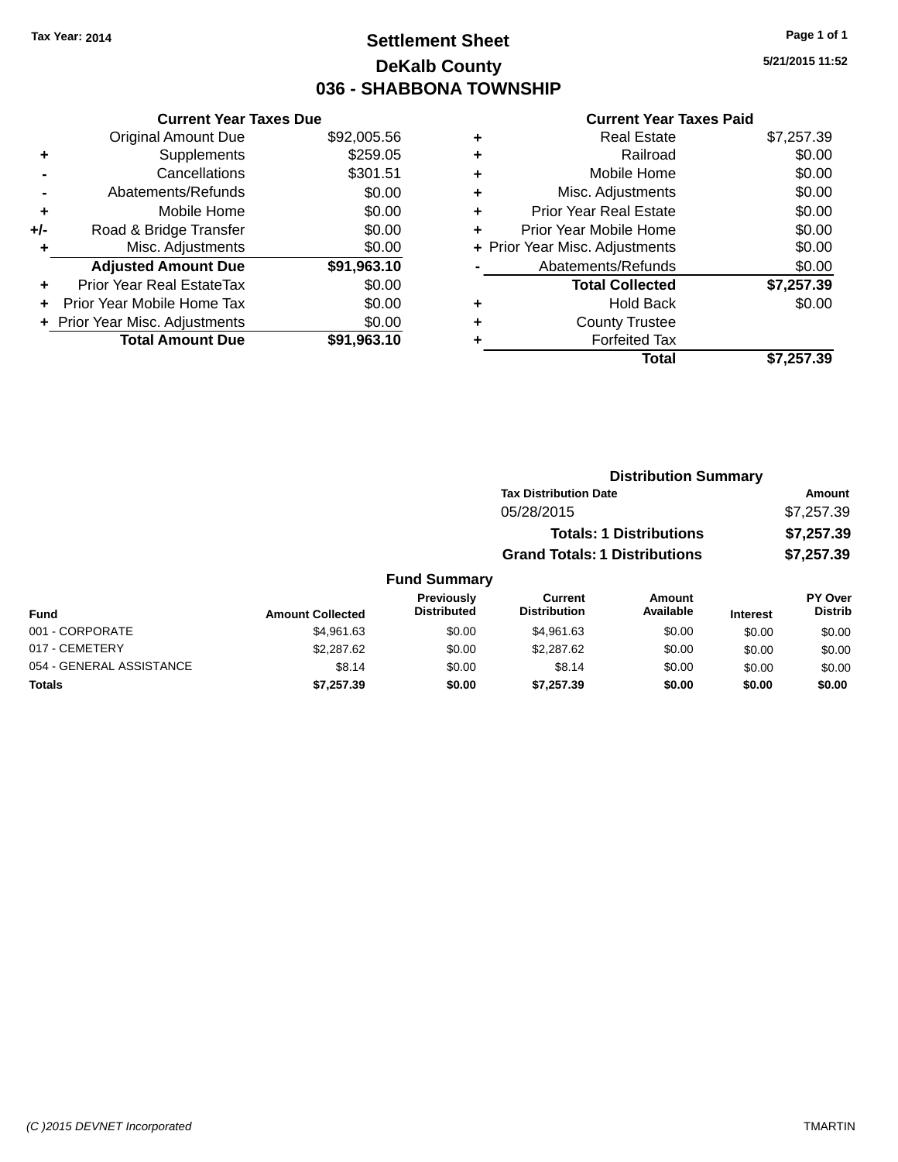# **Settlement Sheet Tax Year: 2014 Page 1 of 1 DeKalb County 036 - SHABBONA TOWNSHIP**

**5/21/2015 11:52**

|     | <b>Current Year Taxes Due</b>  |             |
|-----|--------------------------------|-------------|
|     | <b>Original Amount Due</b>     | \$92,005.56 |
| ٠   | Supplements                    | \$259.05    |
|     | Cancellations                  | \$301.51    |
|     | Abatements/Refunds             | \$0.00      |
| ٠   | Mobile Home                    | \$0.00      |
| +/- | Road & Bridge Transfer         | \$0.00      |
|     | Misc. Adjustments              | \$0.00      |
|     | <b>Adjusted Amount Due</b>     | \$91,963.10 |
| ÷   | Prior Year Real EstateTax      | \$0.00      |
| ÷   | Prior Year Mobile Home Tax     | \$0.00      |
|     | + Prior Year Misc. Adjustments | \$0.00      |
|     | <b>Total Amount Due</b>        | \$91.963.10 |

| ٠ | <b>Real Estate</b>             | \$7,257.39 |
|---|--------------------------------|------------|
| ٠ | Railroad                       | \$0.00     |
| ٠ | Mobile Home                    | \$0.00     |
| ٠ | Misc. Adjustments              | \$0.00     |
| ٠ | <b>Prior Year Real Estate</b>  | \$0.00     |
| ٠ | Prior Year Mobile Home         | \$0.00     |
|   | + Prior Year Misc. Adjustments | \$0.00     |
|   | Abatements/Refunds             | \$0.00     |
|   | <b>Total Collected</b>         | \$7,257.39 |
| ٠ | <b>Hold Back</b>               | \$0.00     |
| ٠ | <b>County Trustee</b>          |            |
| ٠ | <b>Forfeited Tax</b>           |            |
|   | Total                          | \$7,257.39 |
|   |                                |            |

|                |                                  | <b>Distribution Summary</b>           |                                |                 |                                    |  |
|----------------|----------------------------------|---------------------------------------|--------------------------------|-----------------|------------------------------------|--|
|                |                                  | <b>Tax Distribution Date</b>          |                                |                 | Amount<br>\$7,257.39<br>\$7,257.39 |  |
|                |                                  | 05/28/2015                            |                                |                 |                                    |  |
|                |                                  |                                       | <b>Totals: 1 Distributions</b> |                 |                                    |  |
|                |                                  | <b>Grand Totals: 1 Distributions</b>  |                                |                 | \$7,257.39                         |  |
|                | <b>Fund Summary</b>              |                                       |                                |                 |                                    |  |
| ount Collected | Previously<br><b>Distributed</b> | <b>Current</b><br><b>Distribution</b> | <b>Amount</b><br>Available     | <b>Interest</b> | <b>PY Over</b><br><b>Distrib</b>   |  |

| Fund                     | <b>Amount Collected</b> | <b>Distributed</b> | <b>Distribution</b> | Available | <b>Interest</b> | <b>Distrib</b> |
|--------------------------|-------------------------|--------------------|---------------------|-----------|-----------------|----------------|
| 001 - CORPORATE          | \$4.961.63              | \$0.00             | \$4.961.63          | \$0.00    | \$0.00          | \$0.00         |
| 017 - CEMETERY           | \$2,287.62              | \$0.00             | \$2,287.62          | \$0.00    | \$0.00          | \$0.00         |
| 054 - GENERAL ASSISTANCE | \$8.14                  | \$0.00             | \$8.14              | \$0.00    | \$0.00          | \$0.00         |
| <b>Totals</b>            | \$7,257.39              | \$0.00             | \$7.257.39          | \$0.00    | \$0.00          | \$0.00         |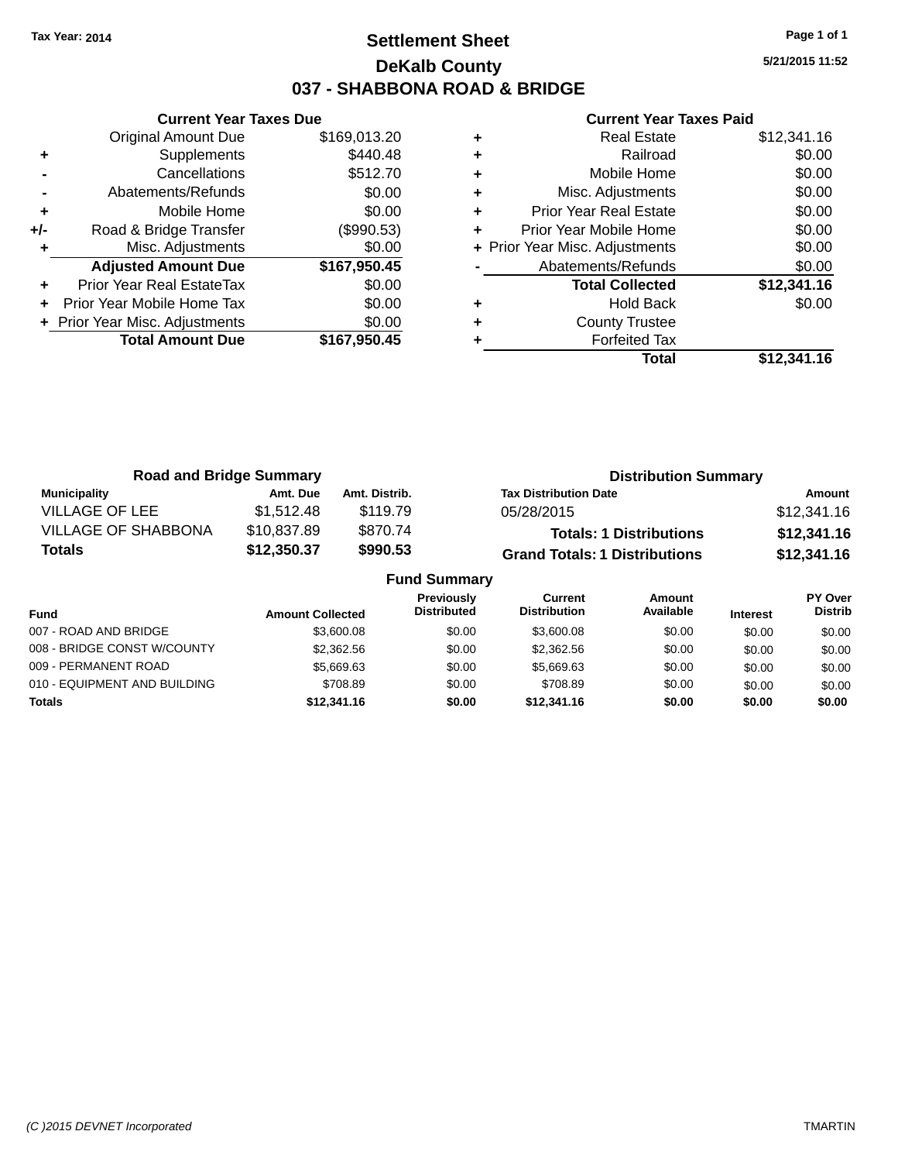# **Settlement Sheet Tax Year: 2014 Page 1 of 1 DeKalb County 037 - SHABBONA ROAD & BRIDGE**

**5/21/2015 11:52**

|     | <b>Current Year Taxes Due</b>  |              |
|-----|--------------------------------|--------------|
|     | <b>Original Amount Due</b>     | \$169,013.20 |
| ٠   | Supplements                    | \$440.48     |
|     | Cancellations                  | \$512.70     |
|     | Abatements/Refunds             | \$0.00       |
| ٠   | Mobile Home                    | \$0.00       |
| +/- | Road & Bridge Transfer         | (\$990.53)   |
| ٠   | Misc. Adjustments              | \$0.00       |
|     | <b>Adjusted Amount Due</b>     | \$167,950.45 |
| ٠   | Prior Year Real EstateTax      | \$0.00       |
| ÷   | Prior Year Mobile Home Tax     | \$0.00       |
|     | + Prior Year Misc. Adjustments | \$0.00       |
|     | <b>Total Amount Due</b>        | \$167,950.45 |
|     |                                |              |

| \$12,341.16 |
|-------------|
| \$0.00      |
| \$0.00      |
| \$0.00      |
| \$0.00      |
| \$0.00      |
| \$0.00      |
| \$0.00      |
| \$12,341.16 |
| \$0.00      |
|             |
|             |
| \$12,341.16 |
|             |

| <b>Road and Bridge Summary</b> |             |                     | <b>Distribution Summary</b>          |             |
|--------------------------------|-------------|---------------------|--------------------------------------|-------------|
| <b>Municipality</b>            | Amt. Due    | Amt. Distrib.       | <b>Tax Distribution Date</b>         | Amount      |
| VILLAGE OF LEE                 | \$1.512.48  | \$119.79            | 05/28/2015                           | \$12,341.16 |
| <b>VILLAGE OF SHABBONA</b>     | \$10,837.89 | \$870.74            | <b>Totals: 1 Distributions</b>       | \$12,341.16 |
| <b>Totals</b>                  | \$12,350.37 | \$990.53            | <b>Grand Totals: 1 Distributions</b> | \$12,341.16 |
|                                |             | <b>Fund Summary</b> |                                      |             |

| PY Over<br>Amount                              |                                |                                         |                         |                              |
|------------------------------------------------|--------------------------------|-----------------------------------------|-------------------------|------------------------------|
| Available<br><b>Distrib</b><br><b>Interest</b> | Current<br><b>Distribution</b> | <b>Previously</b><br><b>Distributed</b> | <b>Amount Collected</b> | <b>Fund</b>                  |
| \$0.00<br>\$0.00<br>\$0.00                     | \$3,600.08                     | \$0.00                                  | \$3,600.08              | 007 - ROAD AND BRIDGE        |
| \$0.00<br>\$0.00<br>\$0.00                     | \$2,362.56                     | \$0.00                                  | \$2,362.56              | 008 - BRIDGE CONST W/COUNTY  |
| \$0.00<br>\$0.00<br>\$0.00                     | \$5,669.63                     | \$0.00                                  | \$5,669.63              | 009 - PERMANENT ROAD         |
| \$0.00<br>\$0.00<br>\$0.00                     | \$708.89                       | \$0.00                                  | \$708.89                | 010 - EQUIPMENT AND BUILDING |
| \$0.00<br>\$0.00<br>\$0.00                     | \$12,341.16                    | \$0.00                                  | \$12,341.16             | <b>Totals</b>                |
|                                                |                                |                                         |                         |                              |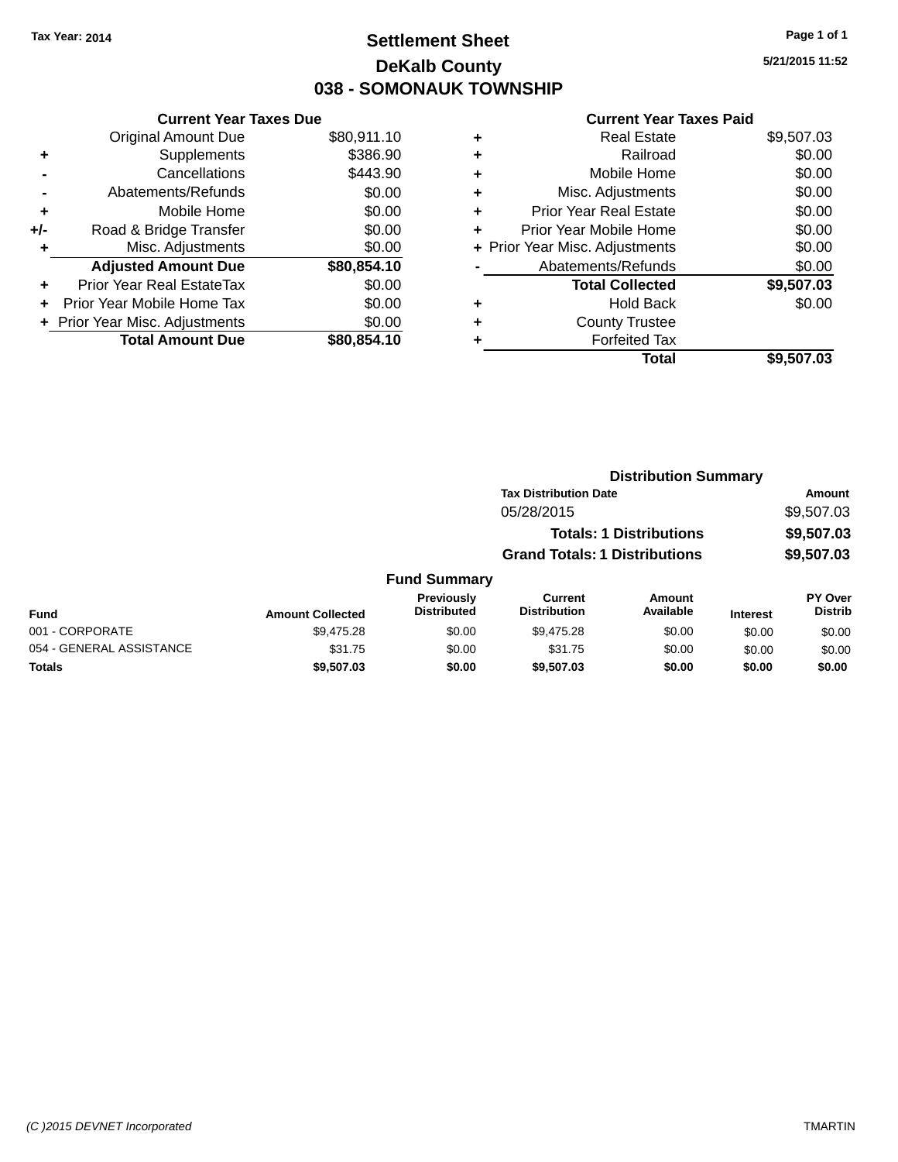# **Settlement Sheet Tax Year: 2014 Page 1 of 1 DeKalb County 038 - SOMONAUK TOWNSHIP**

**5/21/2015 11:52**

| <b>Current Year Taxes Due</b> |             |
|-------------------------------|-------------|
| <b>Original Amount Due</b>    | \$80,911.10 |
| Supplements                   | \$386.90    |
| Cancellations                 | \$443.90    |
| Abatements/Refunds            | \$0.00      |
| Mobile Home                   | \$0.00      |
| Road & Bridge Transfer        | \$0.00      |
| Misc. Adjustments             | \$0.00      |
| <b>Adjusted Amount Due</b>    | \$80,854.10 |
| Prior Year Real EstateTax     | \$0.00      |
| Prior Year Mobile Home Tax    | \$0.00      |
| Prior Year Misc. Adjustments  | \$0.00      |
| <b>Total Amount Due</b>       | \$80.854.10 |
|                               |             |

|   | <b>Real Estate</b>             | \$9,507.03 |
|---|--------------------------------|------------|
| ٠ | Railroad                       | \$0.00     |
| ٠ | Mobile Home                    | \$0.00     |
| ٠ | Misc. Adjustments              | \$0.00     |
| ٠ | <b>Prior Year Real Estate</b>  | \$0.00     |
| ٠ | Prior Year Mobile Home         | \$0.00     |
|   | + Prior Year Misc. Adjustments | \$0.00     |
|   | Abatements/Refunds             | \$0.00     |
|   | <b>Total Collected</b>         | \$9,507.03 |
| ٠ | <b>Hold Back</b>               | \$0.00     |
| ٠ | <b>County Trustee</b>          |            |
|   | <b>Forfeited Tax</b>           |            |
|   | Total                          | \$9,507.03 |
|   |                                |            |

|                         |                                  |                                      | <b>Distribution Summary</b>    |                 |                                  |  |
|-------------------------|----------------------------------|--------------------------------------|--------------------------------|-----------------|----------------------------------|--|
|                         |                                  | <b>Tax Distribution Date</b>         |                                |                 | Amount                           |  |
|                         |                                  | 05/28/2015                           |                                |                 | \$9,507.03                       |  |
|                         |                                  |                                      | <b>Totals: 1 Distributions</b> |                 | \$9,507.03                       |  |
|                         |                                  | <b>Grand Totals: 1 Distributions</b> |                                |                 | \$9,507.03                       |  |
|                         | <b>Fund Summary</b>              |                                      |                                |                 |                                  |  |
| <b>Amount Collected</b> | Previously<br><b>Distributed</b> | Current<br><b>Distribution</b>       | Amount<br>Available            | <b>Interest</b> | <b>PY Over</b><br><b>Distrib</b> |  |
| \$9,475.28              | \$0.00                           | \$9.475.28                           | \$0.00                         | \$0.00          | \$0.00                           |  |

| <b>Fund</b>              | <b>Amount Collected</b> | Previously<br><b>Distributed</b> | Current<br><b>Distribution</b> | Amount<br>Available | <b>Interest</b> | <b>PY Over</b><br><b>Distrib</b> |
|--------------------------|-------------------------|----------------------------------|--------------------------------|---------------------|-----------------|----------------------------------|
| 001 - CORPORATE          | \$9.475.28              | \$0.00                           | \$9.475.28                     | \$0.00              | \$0.00          | \$0.00                           |
| 054 - GENERAL ASSISTANCE | \$31.75                 | \$0.00                           | \$31.75                        | \$0.00              | \$0.00          | \$0.00                           |
| Totals                   | \$9,507.03              | \$0.00                           | \$9,507.03                     | \$0.00              | \$0.00          | \$0.00                           |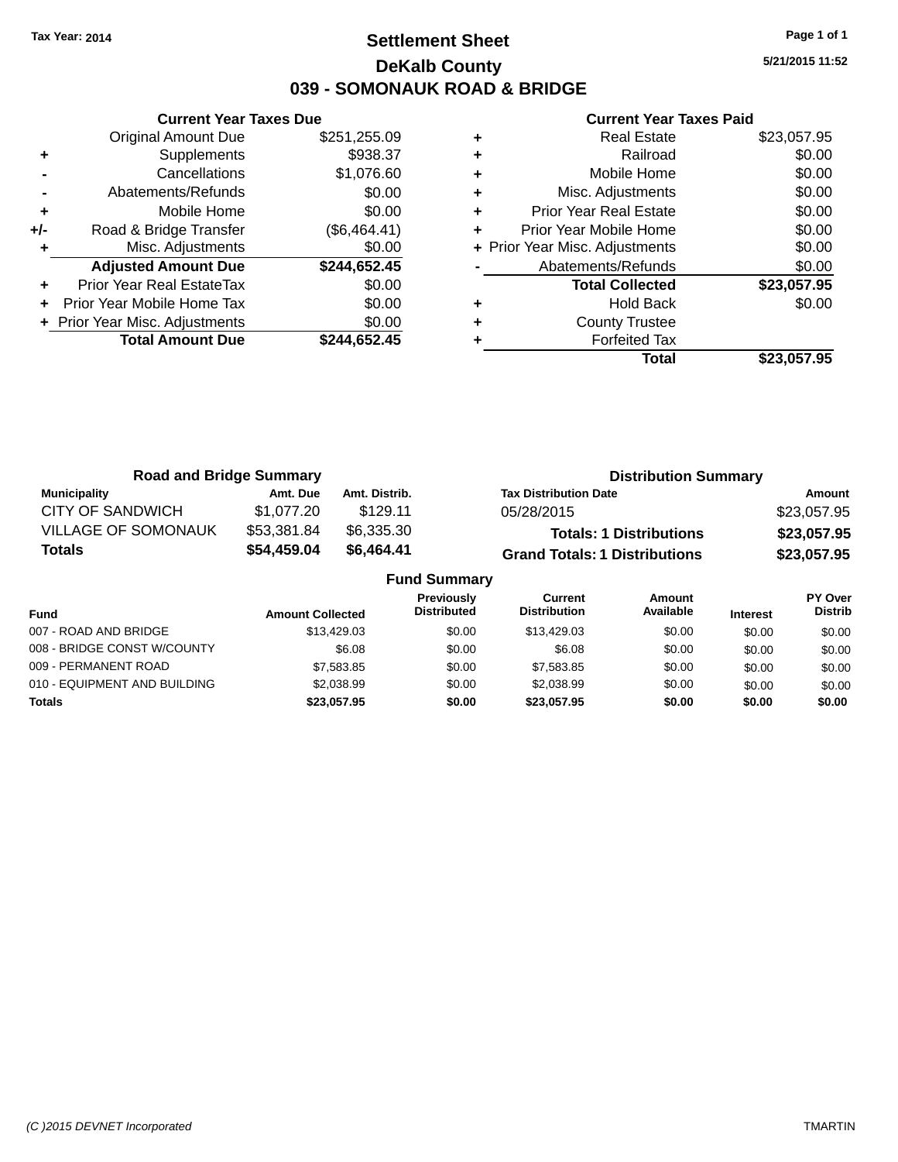# **Settlement Sheet Tax Year: 2014 Page 1 of 1 DeKalb County 039 - SOMONAUK ROAD & BRIDGE**

**5/21/2015 11:52**

|       | <b>Current Year Taxes Due</b>  |              |
|-------|--------------------------------|--------------|
|       | Original Amount Due            | \$251,255.09 |
| ٠     | Supplements                    | \$938.37     |
|       | Cancellations                  | \$1,076.60   |
|       | Abatements/Refunds             | \$0.00       |
| ٠     | Mobile Home                    | \$0.00       |
| $+/-$ | Road & Bridge Transfer         | (\$6,464.41) |
| ٠     | Misc. Adjustments              | \$0.00       |
|       | <b>Adjusted Amount Due</b>     | \$244,652.45 |
| ÷     | Prior Year Real EstateTax      | \$0.00       |
|       | Prior Year Mobile Home Tax     | \$0.00       |
|       | + Prior Year Misc. Adjustments | \$0.00       |
|       | <b>Total Amount Due</b>        | \$244,652.45 |
|       |                                |              |

|   | <b>Real Estate</b>             | \$23,057.95 |
|---|--------------------------------|-------------|
| ٠ | Railroad                       | \$0.00      |
| ٠ | Mobile Home                    | \$0.00      |
| ٠ | Misc. Adjustments              | \$0.00      |
| ٠ | Prior Year Real Estate         | \$0.00      |
| ٠ | Prior Year Mobile Home         | \$0.00      |
|   | + Prior Year Misc. Adjustments | \$0.00      |
|   | Abatements/Refunds             | \$0.00      |
|   | <b>Total Collected</b>         | \$23,057.95 |
|   | <b>Hold Back</b>               | \$0.00      |
|   | <b>County Trustee</b>          |             |
|   | <b>Forfeited Tax</b>           |             |
|   | Total                          | \$23.057.95 |

| <b>Road and Bridge Summary</b> |             |               | <b>Distribution Summary</b>          |             |  |
|--------------------------------|-------------|---------------|--------------------------------------|-------------|--|
| <b>Municipality</b>            | Amt. Due    | Amt. Distrib. | <b>Tax Distribution Date</b>         | Amount      |  |
| <b>CITY OF SANDWICH</b>        | \$1.077.20  | \$129.11      | 05/28/2015                           | \$23,057.95 |  |
| <b>VILLAGE OF SOMONAUK</b>     | \$53,381.84 | \$6,335.30    | <b>Totals: 1 Distributions</b>       | \$23,057.95 |  |
| <b>Totals</b>                  | \$54,459.04 | \$6.464.41    | <b>Grand Totals: 1 Distributions</b> | \$23,057.95 |  |
| <b>Fund Summary</b>            |             |               |                                      |             |  |

| <b>Amount Collected</b> | <b>Previously</b><br><b>Distributed</b> | Current<br><b>Distribution</b> | Amount<br>Available | <b>Interest</b> | <b>PY Over</b><br><b>Distrib</b> |
|-------------------------|-----------------------------------------|--------------------------------|---------------------|-----------------|----------------------------------|
| \$13,429.03             | \$0.00                                  | \$13,429.03                    | \$0.00              | \$0.00          | \$0.00                           |
| \$6.08                  | \$0.00                                  | \$6.08                         | \$0.00              | \$0.00          | \$0.00                           |
| \$7,583.85              | \$0.00                                  | \$7,583,85                     | \$0.00              | \$0.00          | \$0.00                           |
| \$2,038.99              | \$0.00                                  | \$2.038.99                     | \$0.00              | \$0.00          | \$0.00                           |
| \$23,057.95             | \$0.00                                  | \$23.057.95                    | \$0.00              | \$0.00          | \$0.00                           |
|                         |                                         | .                              |                     |                 |                                  |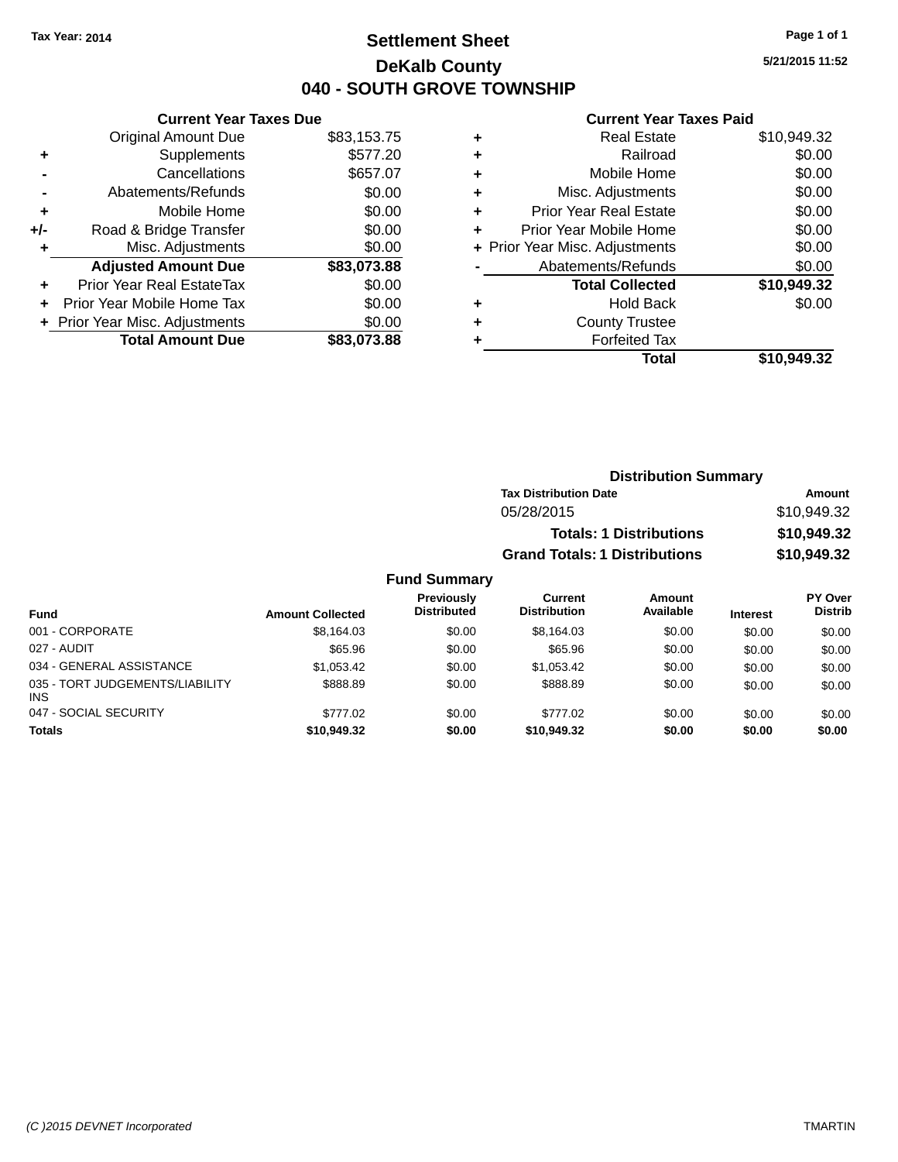# **Settlement Sheet Tax Year: 2014 Page 1 of 1 DeKalb County 040 - SOUTH GROVE TOWNSHIP**

**5/21/2015 11:52**

## **Current Year Taxes Paid**

|     | <b>Current Year Taxes Due</b>  |             |  |  |  |  |
|-----|--------------------------------|-------------|--|--|--|--|
|     | <b>Original Amount Due</b>     | \$83,153.75 |  |  |  |  |
| ٠   | Supplements                    | \$577.20    |  |  |  |  |
|     | Cancellations                  | \$657.07    |  |  |  |  |
|     | Abatements/Refunds             | \$0.00      |  |  |  |  |
| ٠   | Mobile Home                    | \$0.00      |  |  |  |  |
| +/- | Road & Bridge Transfer         | \$0.00      |  |  |  |  |
|     | Misc. Adjustments              | \$0.00      |  |  |  |  |
|     | <b>Adjusted Amount Due</b>     | \$83,073.88 |  |  |  |  |
| ÷   | Prior Year Real EstateTax      | \$0.00      |  |  |  |  |
| ÷   | Prior Year Mobile Home Tax     | \$0.00      |  |  |  |  |
|     | + Prior Year Misc. Adjustments | \$0.00      |  |  |  |  |
|     | <b>Total Amount Due</b>        | \$83.073.88 |  |  |  |  |

|   | <b>Real Estate</b>             | \$10,949.32 |
|---|--------------------------------|-------------|
| ٠ | Railroad                       | \$0.00      |
| ٠ | Mobile Home                    | \$0.00      |
| ٠ | Misc. Adjustments              | \$0.00      |
| ٠ | <b>Prior Year Real Estate</b>  | \$0.00      |
| ٠ | Prior Year Mobile Home         | \$0.00      |
|   | + Prior Year Misc. Adjustments | \$0.00      |
|   | Abatements/Refunds             | \$0.00      |
|   | <b>Total Collected</b>         | \$10,949.32 |
| ٠ | <b>Hold Back</b>               | \$0.00      |
| ٠ | <b>County Trustee</b>          |             |
| ٠ | <b>Forfeited Tax</b>           |             |
|   | Total                          | \$10,949.32 |
|   |                                |             |

| <b>Distribution Summary</b>          |             |
|--------------------------------------|-------------|
| <b>Tax Distribution Date</b>         | Amount      |
| 05/28/2015                           | \$10,949.32 |
| <b>Totals: 1 Distributions</b>       | \$10,949.32 |
| <b>Grand Totals: 1 Distributions</b> | \$10,949.32 |

| <b>Fund</b>                                   | <b>Amount Collected</b> | <b>Previously</b><br><b>Distributed</b> | Current<br><b>Distribution</b> | Amount<br>Available | <b>Interest</b> | PY Over<br><b>Distrib</b> |
|-----------------------------------------------|-------------------------|-----------------------------------------|--------------------------------|---------------------|-----------------|---------------------------|
| 001 - CORPORATE                               | \$8.164.03              | \$0.00                                  | \$8.164.03                     | \$0.00              | \$0.00          | \$0.00                    |
| 027 - AUDIT                                   | \$65.96                 | \$0.00                                  | \$65.96                        | \$0.00              | \$0.00          | \$0.00                    |
| 034 - GENERAL ASSISTANCE                      | \$1.053.42              | \$0.00                                  | \$1.053.42                     | \$0.00              | \$0.00          | \$0.00                    |
| 035 - TORT JUDGEMENTS/LIABILITY<br><b>INS</b> | \$888.89                | \$0.00                                  | \$888.89                       | \$0.00              | \$0.00          | \$0.00                    |
| 047 - SOCIAL SECURITY                         | \$777.02                | \$0.00                                  | \$777.02                       | \$0.00              | \$0.00          | \$0.00                    |
| <b>Totals</b>                                 | \$10,949.32             | \$0.00                                  | \$10,949,32                    | \$0.00              | \$0.00          | \$0.00                    |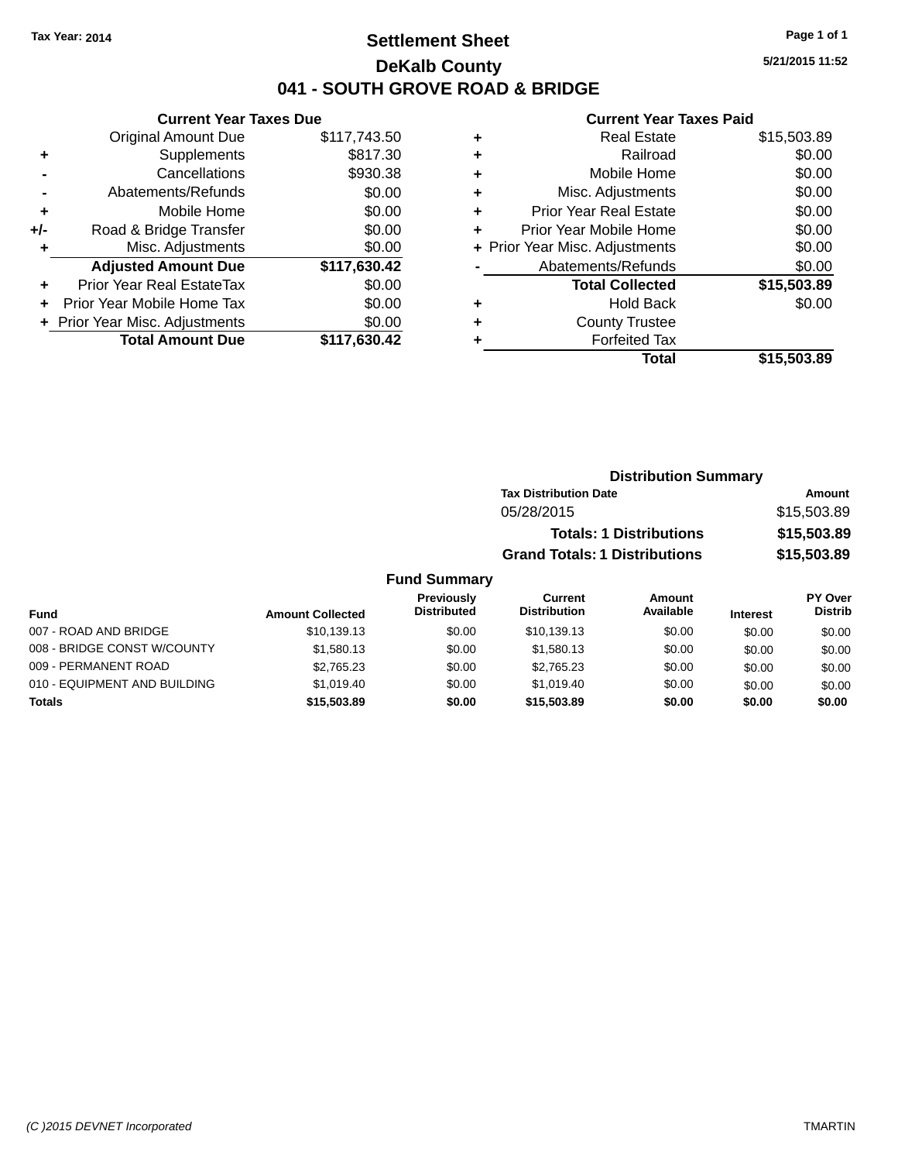# **Settlement Sheet Tax Year: 2014 Page 1 of 1 DeKalb County 041 - SOUTH GROVE ROAD & BRIDGE**

**5/21/2015 11:52**

#### **Current Year Taxes Paid**

|     | <b>Current Year Taxes Due</b>  |              |  |  |  |
|-----|--------------------------------|--------------|--|--|--|
|     | <b>Original Amount Due</b>     | \$117,743.50 |  |  |  |
| ٠   | Supplements                    | \$817.30     |  |  |  |
|     | Cancellations                  | \$930.38     |  |  |  |
|     | Abatements/Refunds             | \$0.00       |  |  |  |
| ÷   | Mobile Home                    | \$0.00       |  |  |  |
| +/- | Road & Bridge Transfer         | \$0.00       |  |  |  |
|     | Misc. Adjustments              | \$0.00       |  |  |  |
|     | <b>Adjusted Amount Due</b>     | \$117,630.42 |  |  |  |
| ٠   | Prior Year Real EstateTax      | \$0.00       |  |  |  |
|     | Prior Year Mobile Home Tax     | \$0.00       |  |  |  |
|     | + Prior Year Misc. Adjustments | \$0.00       |  |  |  |
|     | <b>Total Amount Due</b>        | \$117.630.42 |  |  |  |
|     |                                |              |  |  |  |

| ٠ | <b>Real Estate</b>             | \$15,503.89 |
|---|--------------------------------|-------------|
| ٠ | Railroad                       | \$0.00      |
| ٠ | Mobile Home                    | \$0.00      |
| ٠ | Misc. Adjustments              | \$0.00      |
| ٠ | <b>Prior Year Real Estate</b>  | \$0.00      |
| ٠ | Prior Year Mobile Home         | \$0.00      |
|   | + Prior Year Misc. Adjustments | \$0.00      |
|   | Abatements/Refunds             | \$0.00      |
|   | <b>Total Collected</b>         | \$15,503.89 |
| ٠ | <b>Hold Back</b>               | \$0.00      |
| ٠ | <b>County Trustee</b>          |             |
| ٠ | <b>Forfeited Tax</b>           |             |
|   | Total                          | \$15,503.89 |
|   |                                |             |

| <b>Distribution Summary</b>          |             |
|--------------------------------------|-------------|
| <b>Tax Distribution Date</b>         | Amount      |
| 05/28/2015                           | \$15,503.89 |
| <b>Totals: 1 Distributions</b>       | \$15,503.89 |
| <b>Grand Totals: 1 Distributions</b> | \$15,503.89 |

| Fund                         | <b>Amount Collected</b> | Previously<br><b>Distributed</b> | Current<br><b>Distribution</b> | Amount<br>Available | <b>Interest</b> | <b>PY Over</b><br><b>Distrib</b> |
|------------------------------|-------------------------|----------------------------------|--------------------------------|---------------------|-----------------|----------------------------------|
| 007 - ROAD AND BRIDGE        | \$10,139.13             | \$0.00                           | \$10.139.13                    | \$0.00              | \$0.00          | \$0.00                           |
| 008 - BRIDGE CONST W/COUNTY  | \$1,580.13              | \$0.00                           | \$1,580.13                     | \$0.00              | \$0.00          | \$0.00                           |
| 009 - PERMANENT ROAD         | \$2,765.23              | \$0.00                           | \$2,765.23                     | \$0.00              | \$0.00          | \$0.00                           |
| 010 - EQUIPMENT AND BUILDING | \$1.019.40              | \$0.00                           | \$1.019.40                     | \$0.00              | \$0.00          | \$0.00                           |
| <b>Totals</b>                | \$15,503.89             | \$0.00                           | \$15,503.89                    | \$0.00              | \$0.00          | \$0.00                           |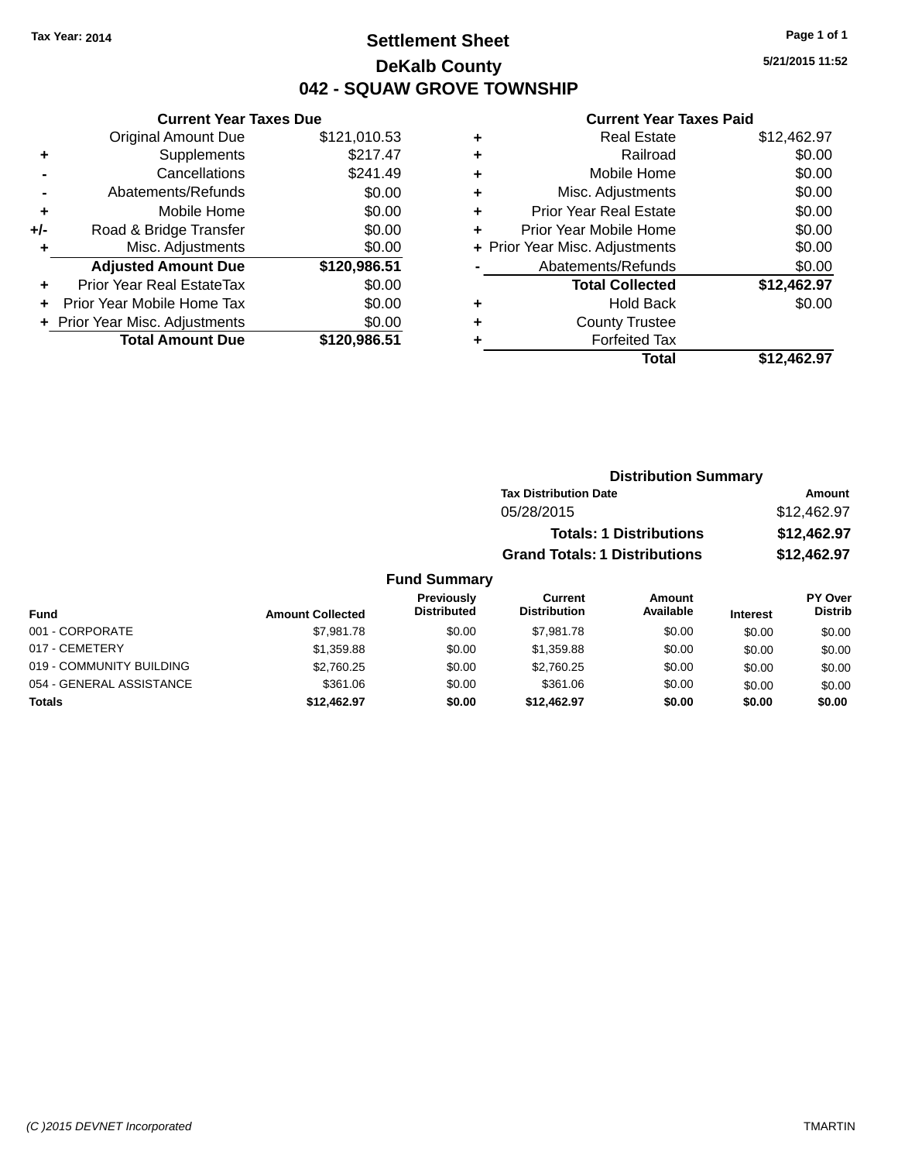# **Settlement Sheet Tax Year: 2014 Page 1 of 1 DeKalb County 042 - SQUAW GROVE TOWNSHIP**

**5/21/2015 11:52**

## **Current Year Taxes Paid**

|     | <b>Current Year Taxes Due</b>  |              |  |  |  |
|-----|--------------------------------|--------------|--|--|--|
|     | <b>Original Amount Due</b>     | \$121,010.53 |  |  |  |
| ٠   | Supplements                    | \$217.47     |  |  |  |
|     | Cancellations                  | \$241.49     |  |  |  |
|     | Abatements/Refunds             | \$0.00       |  |  |  |
| ٠   | Mobile Home                    | \$0.00       |  |  |  |
| +/- | Road & Bridge Transfer         | \$0.00       |  |  |  |
| ٠   | Misc. Adjustments              | \$0.00       |  |  |  |
|     | <b>Adjusted Amount Due</b>     | \$120,986.51 |  |  |  |
| ٠   | Prior Year Real EstateTax      | \$0.00       |  |  |  |
|     | Prior Year Mobile Home Tax     | \$0.00       |  |  |  |
|     | + Prior Year Misc. Adjustments | \$0.00       |  |  |  |
|     | <b>Total Amount Due</b>        | \$120,986.51 |  |  |  |
|     |                                |              |  |  |  |

|   | <b>Real Estate</b>             | \$12,462.97 |
|---|--------------------------------|-------------|
| ٠ | Railroad                       | \$0.00      |
| ٠ | Mobile Home                    | \$0.00      |
| ٠ | Misc. Adjustments              | \$0.00      |
| ٠ | <b>Prior Year Real Estate</b>  | \$0.00      |
| ٠ | Prior Year Mobile Home         | \$0.00      |
|   | + Prior Year Misc. Adjustments | \$0.00      |
|   | Abatements/Refunds             | \$0.00      |
|   | <b>Total Collected</b>         | \$12,462.97 |
| ٠ | <b>Hold Back</b>               | \$0.00      |
| ٠ | <b>County Trustee</b>          |             |
| ٠ | <b>Forfeited Tax</b>           |             |
|   | Total                          | \$12.462.97 |
|   |                                |             |

| <b>Distribution Summary</b>          |             |
|--------------------------------------|-------------|
| <b>Tax Distribution Date</b>         | Amount      |
| 05/28/2015                           | \$12,462.97 |
| <b>Totals: 1 Distributions</b>       | \$12,462.97 |
| <b>Grand Totals: 1 Distributions</b> | \$12,462.97 |

| <b>Fund</b>              | <b>Amount Collected</b> | Previously<br><b>Distributed</b> | <b>Current</b><br><b>Distribution</b> | Amount<br>Available | <b>Interest</b> | PY Over<br><b>Distrib</b> |
|--------------------------|-------------------------|----------------------------------|---------------------------------------|---------------------|-----------------|---------------------------|
| 001 - CORPORATE          | \$7,981.78              | \$0.00                           | \$7.981.78                            | \$0.00              | \$0.00          | \$0.00                    |
| 017 - CEMETERY           | \$1,359.88              | \$0.00                           | \$1.359.88                            | \$0.00              | \$0.00          | \$0.00                    |
| 019 - COMMUNITY BUILDING | \$2,760.25              | \$0.00                           | \$2.760.25                            | \$0.00              | \$0.00          | \$0.00                    |
| 054 - GENERAL ASSISTANCE | \$361.06                | \$0.00                           | \$361.06                              | \$0.00              | \$0.00          | \$0.00                    |
| <b>Totals</b>            | \$12,462.97             | \$0.00                           | \$12.462.97                           | \$0.00              | \$0.00          | \$0.00                    |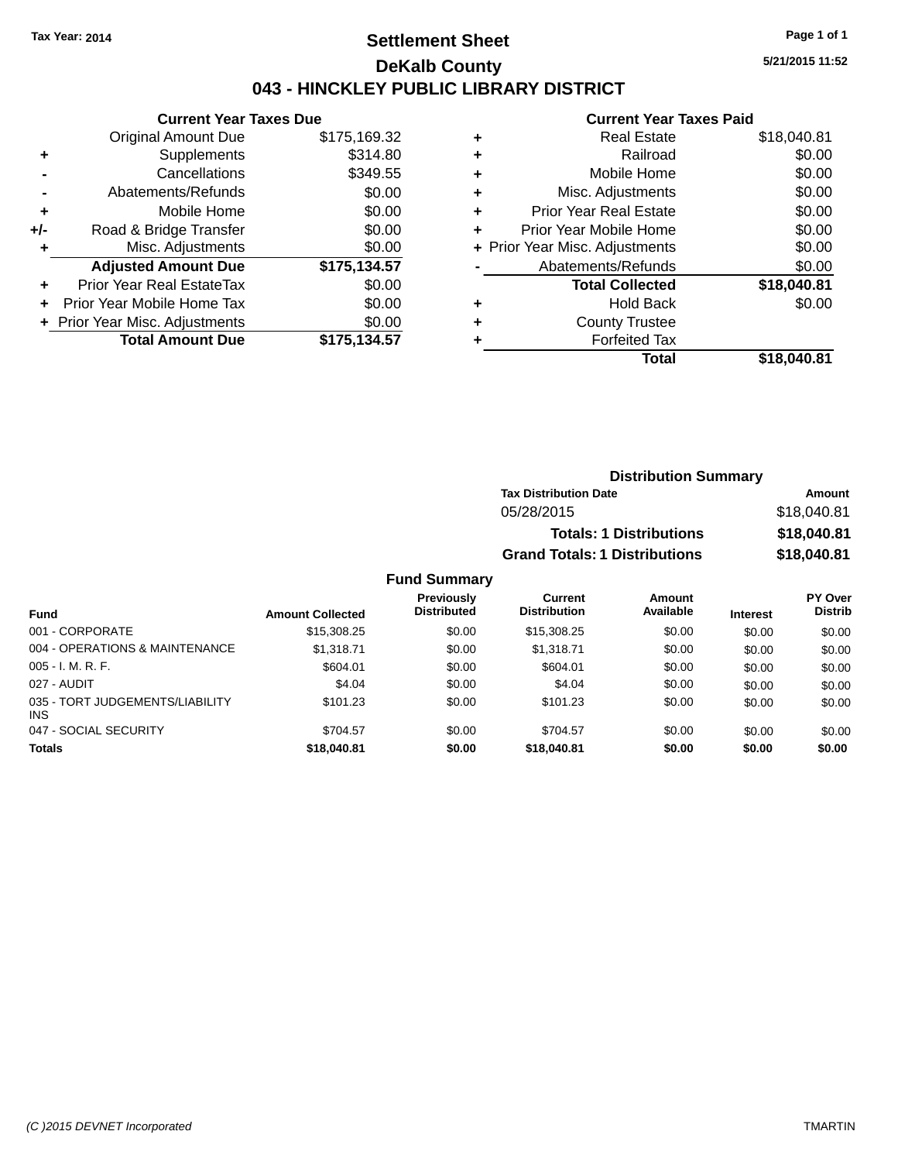# **Settlement Sheet Tax Year: 2014 Page 1 of 1 DeKalb County 043 - HINCKLEY PUBLIC LIBRARY DISTRICT**

**5/21/2015 11:52**

# **Current Year Taxes Paid**

|     | <b>Current Year Taxes Due</b>  |              |  |  |
|-----|--------------------------------|--------------|--|--|
|     | Original Amount Due            | \$175,169.32 |  |  |
| ٠   | Supplements                    | \$314.80     |  |  |
|     | Cancellations                  | \$349.55     |  |  |
|     | Abatements/Refunds             | \$0.00       |  |  |
| ٠   | Mobile Home                    | \$0.00       |  |  |
| +/- | Road & Bridge Transfer         | \$0.00       |  |  |
| ٠   | Misc. Adjustments              | \$0.00       |  |  |
|     | <b>Adjusted Amount Due</b>     | \$175,134.57 |  |  |
| ٠   | Prior Year Real EstateTax      | \$0.00       |  |  |
|     | Prior Year Mobile Home Tax     | \$0.00       |  |  |
|     | + Prior Year Misc. Adjustments | \$0.00       |  |  |
|     | <b>Total Amount Due</b>        | \$175,134.57 |  |  |
|     |                                |              |  |  |

| ٠ | <b>Real Estate</b>             | \$18,040.81 |
|---|--------------------------------|-------------|
| ٠ | Railroad                       | \$0.00      |
| ٠ | Mobile Home                    | \$0.00      |
| ٠ | Misc. Adjustments              | \$0.00      |
| ٠ | <b>Prior Year Real Estate</b>  | \$0.00      |
| ÷ | Prior Year Mobile Home         | \$0.00      |
|   | + Prior Year Misc. Adjustments | \$0.00      |
|   | Abatements/Refunds             | \$0.00      |
|   | <b>Total Collected</b>         | \$18,040.81 |
| ٠ | <b>Hold Back</b>               | \$0.00      |
| ٠ | <b>County Trustee</b>          |             |
| ٠ | <b>Forfeited Tax</b>           |             |
|   | Total                          | \$18,040.81 |
|   |                                |             |

| <b>Distribution Summary</b>          |             |  |  |
|--------------------------------------|-------------|--|--|
| <b>Tax Distribution Date</b>         | Amount      |  |  |
| 05/28/2015                           | \$18,040.81 |  |  |
| <b>Totals: 1 Distributions</b>       | \$18,040.81 |  |  |
| <b>Grand Totals: 1 Distributions</b> | \$18,040.81 |  |  |

| <b>Fund</b>                                   | <b>Amount Collected</b> | Previously<br><b>Distributed</b> | Current<br><b>Distribution</b> | Amount<br>Available | <b>Interest</b> | PY Over<br><b>Distrib</b> |
|-----------------------------------------------|-------------------------|----------------------------------|--------------------------------|---------------------|-----------------|---------------------------|
| 001 - CORPORATE                               | \$15,308.25             | \$0.00                           | \$15,308.25                    | \$0.00              | \$0.00          | \$0.00                    |
| 004 - OPERATIONS & MAINTENANCE                | \$1.318.71              | \$0.00                           | \$1.318.71                     | \$0.00              | \$0.00          | \$0.00                    |
| $005 - I. M. R. F.$                           | \$604.01                | \$0.00                           | \$604.01                       | \$0.00              | \$0.00          | \$0.00                    |
| 027 - AUDIT                                   | \$4.04                  | \$0.00                           | \$4.04                         | \$0.00              | \$0.00          | \$0.00                    |
| 035 - TORT JUDGEMENTS/LIABILITY<br><b>INS</b> | \$101.23                | \$0.00                           | \$101.23                       | \$0.00              | \$0.00          | \$0.00                    |
| 047 - SOCIAL SECURITY                         | \$704.57                | \$0.00                           | \$704.57                       | \$0.00              | \$0.00          | \$0.00                    |
| <b>Totals</b>                                 | \$18,040.81             | \$0.00                           | \$18,040.81                    | \$0.00              | \$0.00          | \$0.00                    |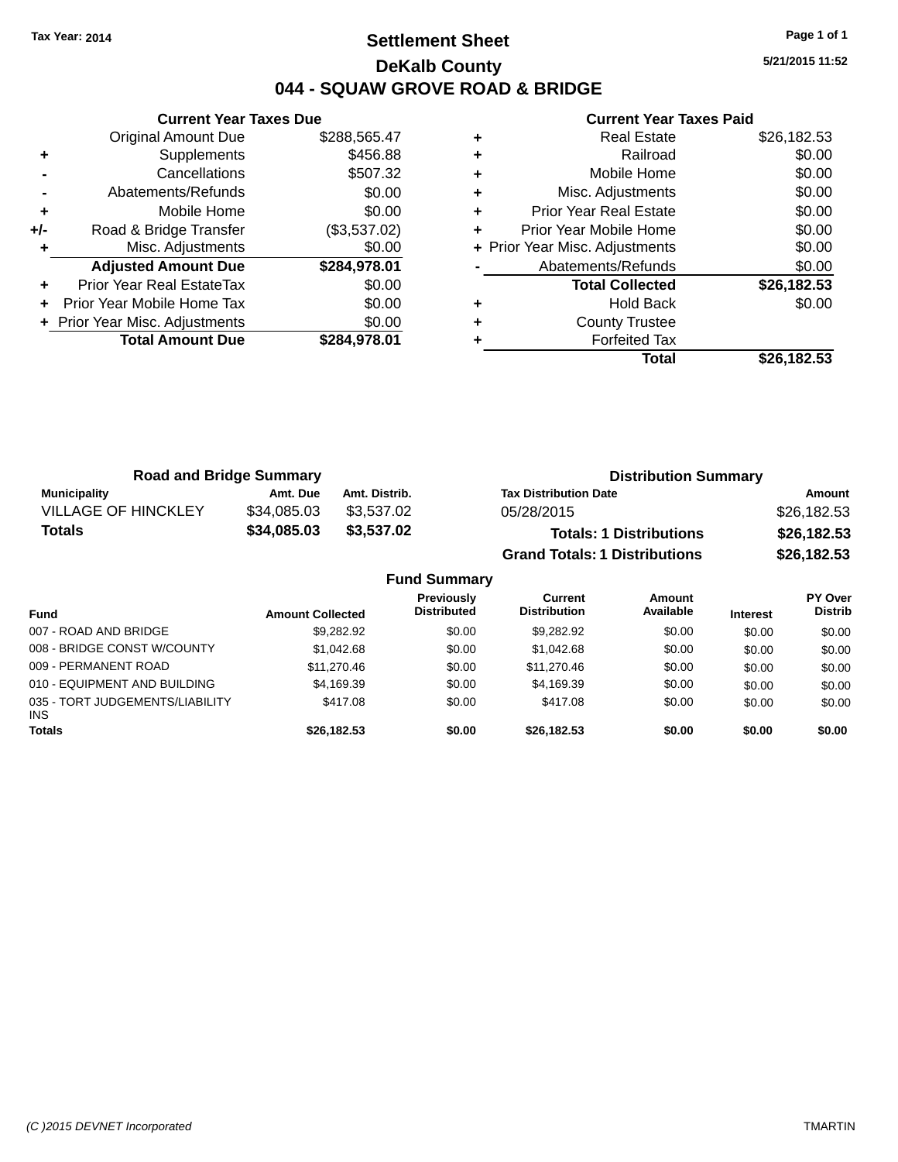# **Settlement Sheet Tax Year: 2014 Page 1 of 1 DeKalb County 044 - SQUAW GROVE ROAD & BRIDGE**

**5/21/2015 11:52**

|       | <b>Current Year Taxes Due</b>  |              |  |  |  |  |
|-------|--------------------------------|--------------|--|--|--|--|
|       | <b>Original Amount Due</b>     | \$288,565.47 |  |  |  |  |
| ٠     | Supplements                    | \$456.88     |  |  |  |  |
|       | Cancellations                  | \$507.32     |  |  |  |  |
|       | Abatements/Refunds             | \$0.00       |  |  |  |  |
| ٠     | Mobile Home                    | \$0.00       |  |  |  |  |
| $+/-$ | Road & Bridge Transfer         | (\$3,537.02) |  |  |  |  |
|       | Misc. Adjustments              | \$0.00       |  |  |  |  |
|       | <b>Adjusted Amount Due</b>     | \$284,978.01 |  |  |  |  |
| ٠     | Prior Year Real EstateTax      | \$0.00       |  |  |  |  |
|       | Prior Year Mobile Home Tax     | \$0.00       |  |  |  |  |
|       | + Prior Year Misc. Adjustments | \$0.00       |  |  |  |  |
|       | <b>Total Amount Due</b>        | \$284,978.01 |  |  |  |  |
|       |                                |              |  |  |  |  |

| ٠ | <b>Real Estate</b>             | \$26,182.53 |
|---|--------------------------------|-------------|
| ٠ | Railroad                       | \$0.00      |
| ٠ | Mobile Home                    | \$0.00      |
| ٠ | Misc. Adjustments              | \$0.00      |
| ٠ | <b>Prior Year Real Estate</b>  | \$0.00      |
| ٠ | Prior Year Mobile Home         | \$0.00      |
|   | + Prior Year Misc. Adjustments | \$0.00      |
|   | Abatements/Refunds             | \$0.00      |
|   | <b>Total Collected</b>         | \$26,182.53 |
| ٠ | <b>Hold Back</b>               | \$0.00      |
| ٠ | <b>County Trustee</b>          |             |
|   | <b>Forfeited Tax</b>           |             |
|   | Total                          | \$26.182.53 |

| <b>Road and Bridge Summary</b> |             |               | <b>Distribution Summary</b>          |             |
|--------------------------------|-------------|---------------|--------------------------------------|-------------|
| Municipality                   | Amt. Due    | Amt. Distrib. | <b>Tax Distribution Date</b>         | Amount      |
| <b>VILLAGE OF HINCKLEY</b>     | \$34.085.03 | \$3.537.02    | 05/28/2015                           | \$26,182.53 |
| <b>Totals</b>                  | \$34,085.03 | \$3,537.02    | <b>Totals: 1 Distributions</b>       | \$26,182.53 |
|                                |             |               | <b>Grand Totals: 1 Distributions</b> | \$26,182.53 |

|                                         |                         | <b>Fund Summary</b>                     |                                |                     |                 |                           |
|-----------------------------------------|-------------------------|-----------------------------------------|--------------------------------|---------------------|-----------------|---------------------------|
| <b>Fund</b>                             | <b>Amount Collected</b> | <b>Previously</b><br><b>Distributed</b> | Current<br><b>Distribution</b> | Amount<br>Available | <b>Interest</b> | PY Over<br><b>Distrib</b> |
| 007 - ROAD AND BRIDGE                   | \$9,282.92              | \$0.00                                  | \$9,282.92                     | \$0.00              | \$0.00          | \$0.00                    |
| 008 - BRIDGE CONST W/COUNTY             | \$1.042.68              | \$0.00                                  | \$1,042.68                     | \$0.00              | \$0.00          | \$0.00                    |
| 009 - PERMANENT ROAD                    | \$11,270,46             | \$0.00                                  | \$11,270.46                    | \$0.00              | \$0.00          | \$0.00                    |
| 010 - EQUIPMENT AND BUILDING            | \$4,169.39              | \$0.00                                  | \$4,169.39                     | \$0.00              | \$0.00          | \$0.00                    |
| 035 - TORT JUDGEMENTS/LIABILITY<br>INS. | \$417.08                | \$0.00                                  | \$417.08                       | \$0.00              | \$0.00          | \$0.00                    |
| <b>Totals</b>                           | \$26,182.53             | \$0.00                                  | \$26,182.53                    | \$0.00              | \$0.00          | \$0.00                    |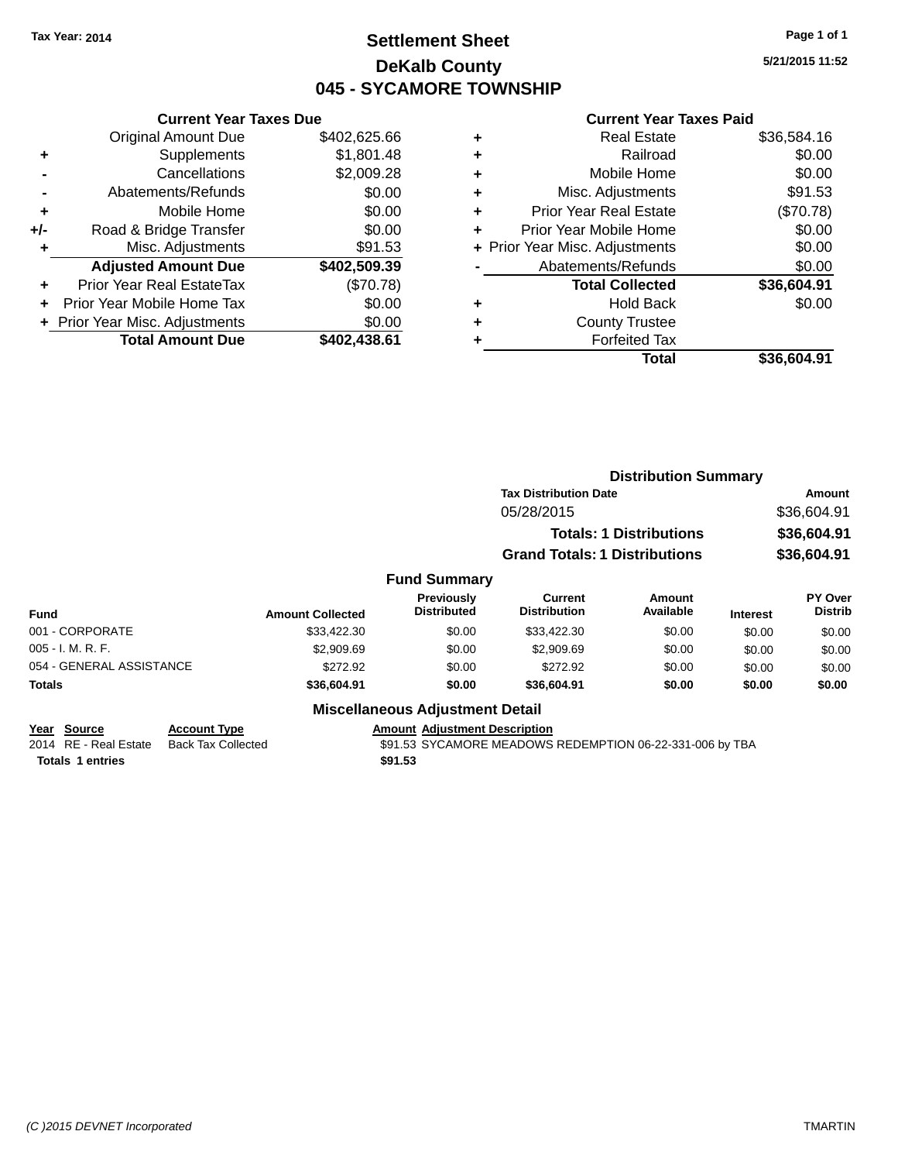# **Settlement Sheet Tax Year: 2014 Page 1 of 1 DeKalb County 045 - SYCAMORE TOWNSHIP**

**5/21/2015 11:52**

| <b>Current Year Taxes Paid</b> |  |  |
|--------------------------------|--|--|
|                                |  |  |

|     | <b>Current Year Taxes Due</b>  |              |
|-----|--------------------------------|--------------|
|     | <b>Original Amount Due</b>     | \$402,625.66 |
| ٠   | Supplements                    | \$1,801.48   |
|     | Cancellations                  | \$2,009.28   |
|     | Abatements/Refunds             | \$0.00       |
| ٠   | Mobile Home                    | \$0.00       |
| +/- | Road & Bridge Transfer         | \$0.00       |
| ٠   | Misc. Adjustments              | \$91.53      |
|     | <b>Adjusted Amount Due</b>     | \$402,509.39 |
| ÷   | Prior Year Real EstateTax      | (\$70.78)    |
|     | Prior Year Mobile Home Tax     | \$0.00       |
|     | + Prior Year Misc. Adjustments | \$0.00       |
|     | <b>Total Amount Due</b>        | \$402,438.61 |

| ٠ | <b>Real Estate</b>             | \$36,584.16 |
|---|--------------------------------|-------------|
| ٠ | Railroad                       | \$0.00      |
| ٠ | Mobile Home                    | \$0.00      |
| ٠ | Misc. Adjustments              | \$91.53     |
| ٠ | <b>Prior Year Real Estate</b>  | (\$70.78)   |
| ٠ | Prior Year Mobile Home         | \$0.00      |
|   | + Prior Year Misc. Adjustments | \$0.00      |
|   | Abatements/Refunds             | \$0.00      |
|   | <b>Total Collected</b>         | \$36,604.91 |
| ٠ | <b>Hold Back</b>               | \$0.00      |
| ٠ | <b>County Trustee</b>          |             |
| ٠ | <b>Forfeited Tax</b>           |             |
|   | Total                          | \$36.604.91 |
|   |                                |             |

|                          |                     |                         |                                        |                                      | <b>Distribution Summary</b>    |                 |                           |
|--------------------------|---------------------|-------------------------|----------------------------------------|--------------------------------------|--------------------------------|-----------------|---------------------------|
|                          |                     |                         |                                        | <b>Tax Distribution Date</b>         |                                |                 | Amount                    |
|                          |                     |                         |                                        | 05/28/2015                           |                                |                 | \$36,604.91               |
|                          |                     |                         |                                        |                                      | <b>Totals: 1 Distributions</b> |                 | \$36,604.91               |
|                          |                     |                         |                                        | <b>Grand Totals: 1 Distributions</b> |                                |                 | \$36,604.91               |
|                          |                     |                         | <b>Fund Summary</b>                    |                                      |                                |                 |                           |
| <b>Fund</b>              |                     | <b>Amount Collected</b> | Previously<br><b>Distributed</b>       | Current<br><b>Distribution</b>       | Amount<br>Available            | <b>Interest</b> | PY Over<br><b>Distrib</b> |
| 001 - CORPORATE          |                     | \$33,422.30             | \$0.00                                 | \$33,422.30                          | \$0.00                         | \$0.00          | \$0.00                    |
| 005 - I. M. R. F.        |                     | \$2,909.69              | \$0.00                                 | \$2,909.69                           | \$0.00                         | \$0.00          | \$0.00                    |
| 054 - GENERAL ASSISTANCE |                     | \$272.92                | \$0.00                                 | \$272.92                             | \$0.00                         | \$0.00          | \$0.00                    |
| Totals                   |                     | \$36,604.91             | \$0.00                                 | \$36,604.91                          | \$0.00                         | \$0.00          | \$0.00                    |
|                          |                     |                         | <b>Miscellaneous Adjustment Detail</b> |                                      |                                |                 |                           |
| Year<br><b>Source</b>    | <b>Account Type</b> |                         | <b>Amount Adjustment Description</b>   |                                      |                                |                 |                           |

**<u>Year Source</u> Account Type<br>
2014 RE - Real Estate Back Tax Collected Totals 1 entries 1 and 1 and 1 and 1 and 1 and 1 and 1 and 1 and 1 and 1 and 1 and 1 and 1 and 1 and 1 and 1 and 1 and 1 and 1 and 1 and 1 and 1 and 1 and 1 and 1 and 1 and 1 and 1 and 1 and 1 and 1 and 1 and 1 and 1 an** 

\$91.53 SYCAMORE MEADOWS REDEMPTION 06-22-331-006 by TBA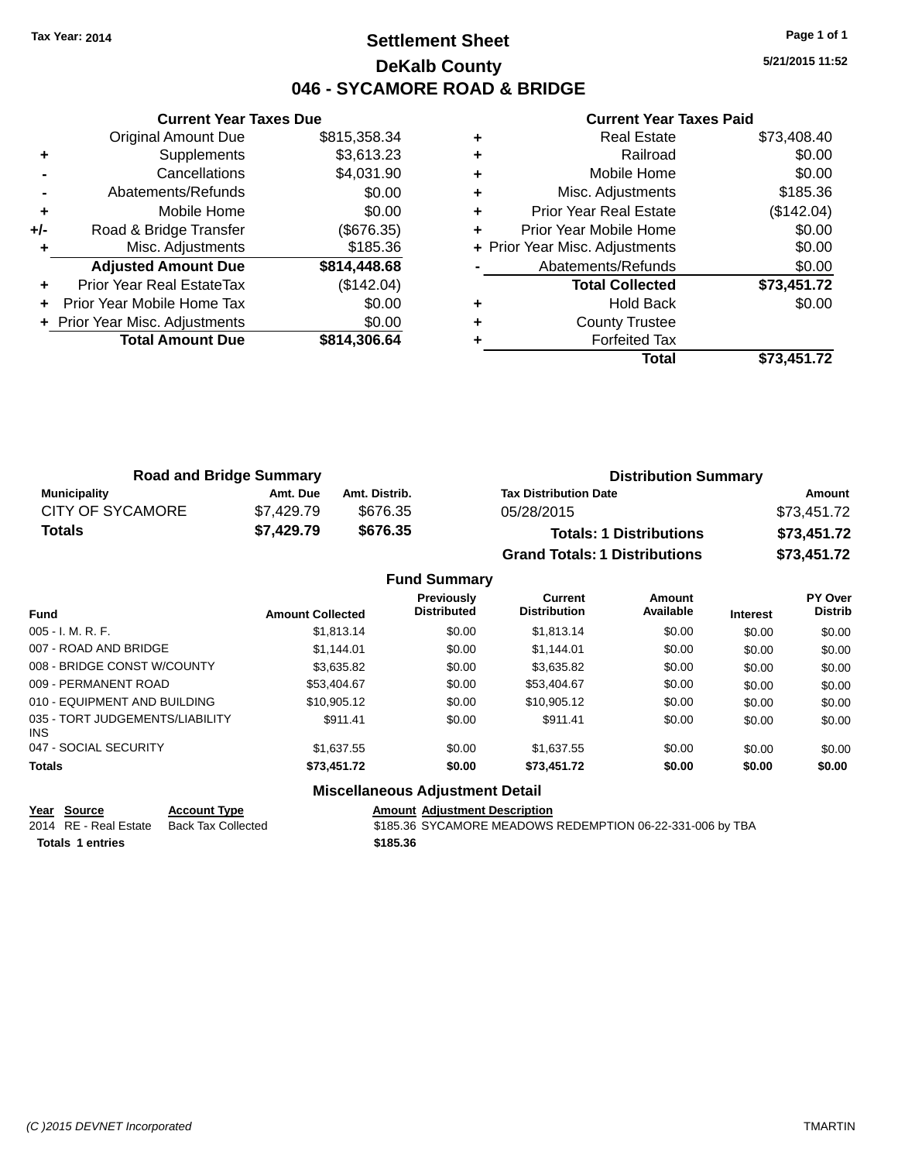# **Settlement Sheet Tax Year: 2014 Page 1 of 1 DeKalb County 046 - SYCAMORE ROAD & BRIDGE**

**5/21/2015 11:52**

## **Current Year Taxes Paid**

|       | <b>Current Year Taxes Due</b>  |              |
|-------|--------------------------------|--------------|
|       | <b>Original Amount Due</b>     | \$815,358.34 |
| ٠     | Supplements                    | \$3,613.23   |
|       | Cancellations                  | \$4,031.90   |
|       | Abatements/Refunds             | \$0.00       |
| ٠     | Mobile Home                    | \$0.00       |
| $+/-$ | Road & Bridge Transfer         | (\$676.35)   |
|       | Misc. Adjustments              | \$185.36     |
|       | <b>Adjusted Amount Due</b>     | \$814,448.68 |
| ٠     | Prior Year Real EstateTax      | (\$142.04)   |
|       | Prior Year Mobile Home Tax     | \$0.00       |
|       | + Prior Year Misc. Adjustments | \$0.00       |
|       | <b>Total Amount Due</b>        | \$814,306.64 |
|       |                                |              |

|   | <b>Real Estate</b>             | \$73,408.40 |
|---|--------------------------------|-------------|
| ٠ | Railroad                       | \$0.00      |
| ٠ | Mobile Home                    | \$0.00      |
| ٠ | Misc. Adjustments              | \$185.36    |
| ٠ | <b>Prior Year Real Estate</b>  | (\$142.04)  |
| ٠ | Prior Year Mobile Home         | \$0.00      |
|   | + Prior Year Misc. Adjustments | \$0.00      |
|   | Abatements/Refunds             | \$0.00      |
|   | <b>Total Collected</b>         | \$73,451.72 |
| ٠ | <b>Hold Back</b>               | \$0.00      |
| ٠ | <b>County Trustee</b>          |             |
|   | <b>Forfeited Tax</b>           |             |
|   | Total                          | \$73,451.72 |

| <b>Road and Bridge Summary</b> |            |               | <b>Distribution Summary</b>          |             |  |
|--------------------------------|------------|---------------|--------------------------------------|-------------|--|
| Municipality                   | Amt. Due   | Amt. Distrib. | <b>Tax Distribution Date</b>         | Amount      |  |
| <b>CITY OF SYCAMORE</b>        | \$7.429.79 | \$676.35      | 05/28/2015                           | \$73,451.72 |  |
| Totals                         | \$7.429.79 | \$676.35      | <b>Totals: 1 Distributions</b>       | \$73,451.72 |  |
|                                |            |               | <b>Grand Totals: 1 Distributions</b> | \$73,451.72 |  |

|                                         |                         | <b>Fund Summary</b>                     |                                       |                     |                 |                           |
|-----------------------------------------|-------------------------|-----------------------------------------|---------------------------------------|---------------------|-----------------|---------------------------|
| <b>Fund</b>                             | <b>Amount Collected</b> | <b>Previously</b><br><b>Distributed</b> | <b>Current</b><br><b>Distribution</b> | Amount<br>Available | <b>Interest</b> | PY Over<br><b>Distrib</b> |
| 005 - I. M. R. F.                       | \$1,813.14              | \$0.00                                  | \$1,813.14                            | \$0.00              | \$0.00          | \$0.00                    |
| 007 - ROAD AND BRIDGE.                  | \$1.144.01              | \$0.00                                  | \$1,144.01                            | \$0.00              | \$0.00          | \$0.00                    |
| 008 - BRIDGE CONST W/COUNTY             | \$3,635.82              | \$0.00                                  | \$3,635.82                            | \$0.00              | \$0.00          | \$0.00                    |
| 009 - PERMANENT ROAD                    | \$53,404.67             | \$0.00                                  | \$53,404.67                           | \$0.00              | \$0.00          | \$0.00                    |
| 010 - EQUIPMENT AND BUILDING            | \$10,905.12             | \$0.00                                  | \$10,905.12                           | \$0.00              | \$0.00          | \$0.00                    |
| 035 - TORT JUDGEMENTS/LIABILITY<br>INS. | \$911.41                | \$0.00                                  | \$911.41                              | \$0.00              | \$0.00          | \$0.00                    |
| 047 - SOCIAL SECURITY                   | \$1,637.55              | \$0.00                                  | \$1,637.55                            | \$0.00              | \$0.00          | \$0.00                    |
| <b>Totals</b>                           | \$73,451.72             | \$0.00                                  | \$73.451.72                           | \$0.00              | \$0.00          | \$0.00                    |
|                                         |                         | <b>Miscellaneous Adjustment Detail</b>  |                                       |                     |                 |                           |

## **Year Source Account Type Amount Adjustment Description**

**Totals \$185.36 1 entries**

2014 RE - Real Estate Back Tax Collected \$185.36 SYCAMORE MEADOWS REDEMPTION 06-22-331-006 by TBA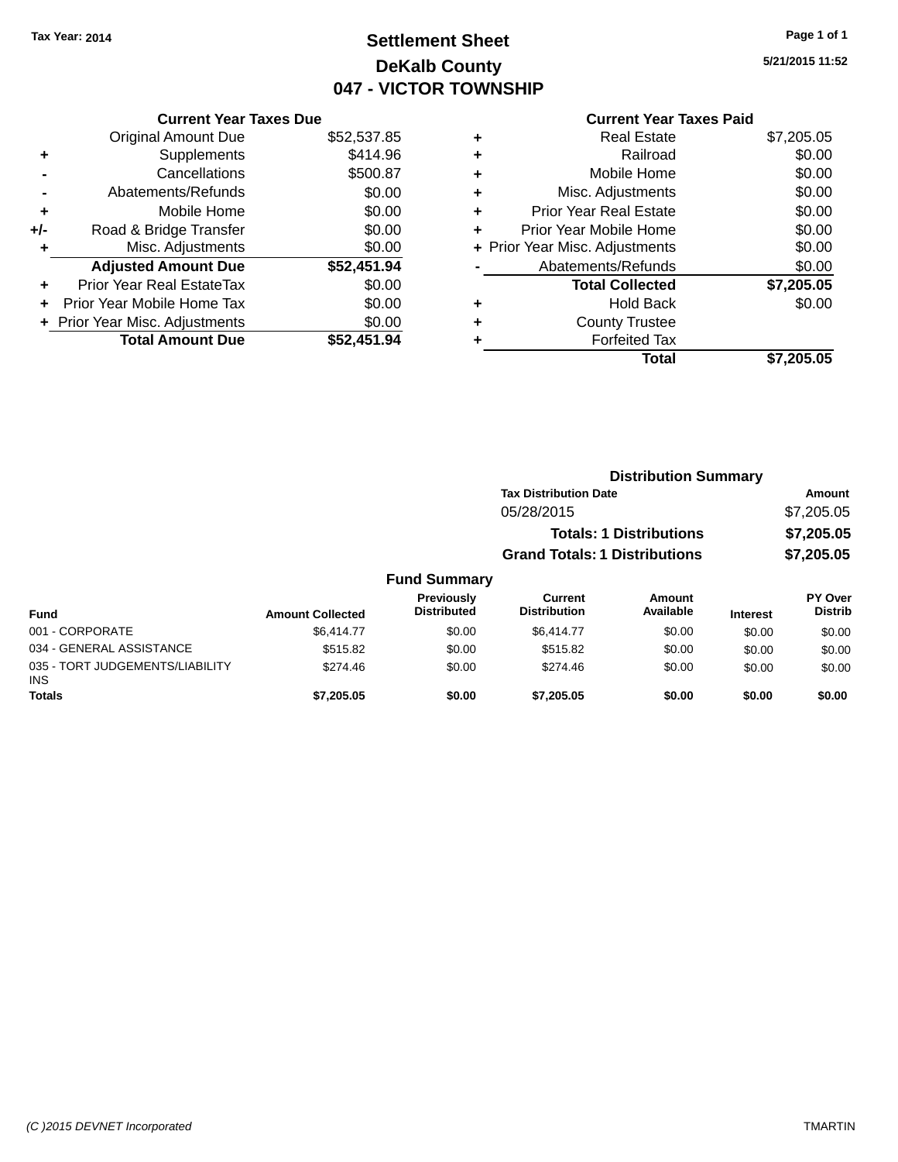# **Settlement Sheet Tax Year: 2014 Page 1 of 1 DeKalb County 047 - VICTOR TOWNSHIP**

**5/21/2015 11:52**

|     | <b>Current Year Taxes Due</b>  |             |  |  |  |
|-----|--------------------------------|-------------|--|--|--|
|     | Original Amount Due            | \$52,537.85 |  |  |  |
| ٠   | Supplements                    | \$414.96    |  |  |  |
|     | Cancellations                  | \$500.87    |  |  |  |
|     | \$0.00<br>Abatements/Refunds   |             |  |  |  |
| ٠   | Mobile Home                    | \$0.00      |  |  |  |
| +/- | Road & Bridge Transfer         | \$0.00      |  |  |  |
| ٠   | Misc. Adjustments              | \$0.00      |  |  |  |
|     | <b>Adjusted Amount Due</b>     | \$52,451.94 |  |  |  |
|     | Prior Year Real EstateTax      | \$0.00      |  |  |  |
| ÷   | Prior Year Mobile Home Tax     | \$0.00      |  |  |  |
|     | + Prior Year Misc. Adjustments | \$0.00      |  |  |  |
|     | <b>Total Amount Due</b>        | \$52,451.94 |  |  |  |
|     |                                |             |  |  |  |

|   | <b>Real Estate</b>             | \$7,205.05 |
|---|--------------------------------|------------|
| ٠ | Railroad                       | \$0.00     |
| ٠ | Mobile Home                    | \$0.00     |
| ٠ | Misc. Adjustments              | \$0.00     |
| ÷ | <b>Prior Year Real Estate</b>  | \$0.00     |
| ٠ | Prior Year Mobile Home         | \$0.00     |
|   | + Prior Year Misc. Adjustments | \$0.00     |
|   | Abatements/Refunds             | \$0.00     |
|   | <b>Total Collected</b>         | \$7,205.05 |
| ٠ | Hold Back                      | \$0.00     |
| ٠ | <b>County Trustee</b>          |            |
|   | <b>Forfeited Tax</b>           |            |
|   | Total                          | \$7,205.05 |
|   |                                |            |

|               |                                  |                                      | <b>Distribution Summary</b> |                 |                                  |  |
|---------------|----------------------------------|--------------------------------------|-----------------------------|-----------------|----------------------------------|--|
|               |                                  | <b>Tax Distribution Date</b>         |                             |                 | Amount                           |  |
|               |                                  | 05/28/2015                           |                             |                 | \$7,205.05                       |  |
|               |                                  | <b>Totals: 1 Distributions</b>       |                             |                 | \$7,205.05                       |  |
|               |                                  | <b>Grand Totals: 1 Distributions</b> |                             |                 | \$7,205.05                       |  |
|               | <b>Fund Summary</b>              |                                      |                             |                 |                                  |  |
| unt Collected | Previously<br><b>Distributed</b> | Current<br><b>Distribution</b>       | Amount<br>Available         | <b>Interest</b> | <b>PY Over</b><br><b>Distrib</b> |  |

| <b>Fund</b>                                   | <b>Amount Collected</b> | .<br><b>Distributed</b> | -------<br><b>Distribution</b> | .<br>Available | <b>Interest</b> | .<br><b>Distrib</b> |
|-----------------------------------------------|-------------------------|-------------------------|--------------------------------|----------------|-----------------|---------------------|
| 001 - CORPORATE                               | \$6.414.77              | \$0.00                  | \$6,414.77                     | \$0.00         | \$0.00          | \$0.00              |
| 034 - GENERAL ASSISTANCE                      | \$515.82                | \$0.00                  | \$515.82                       | \$0.00         | \$0.00          | \$0.00              |
| 035 - TORT JUDGEMENTS/LIABILITY<br><b>INS</b> | \$274.46                | \$0.00                  | \$274.46                       | \$0.00         | \$0.00          | \$0.00              |
| <b>Totals</b>                                 | \$7,205.05              | \$0.00                  | \$7,205.05                     | \$0.00         | \$0.00          | \$0.00              |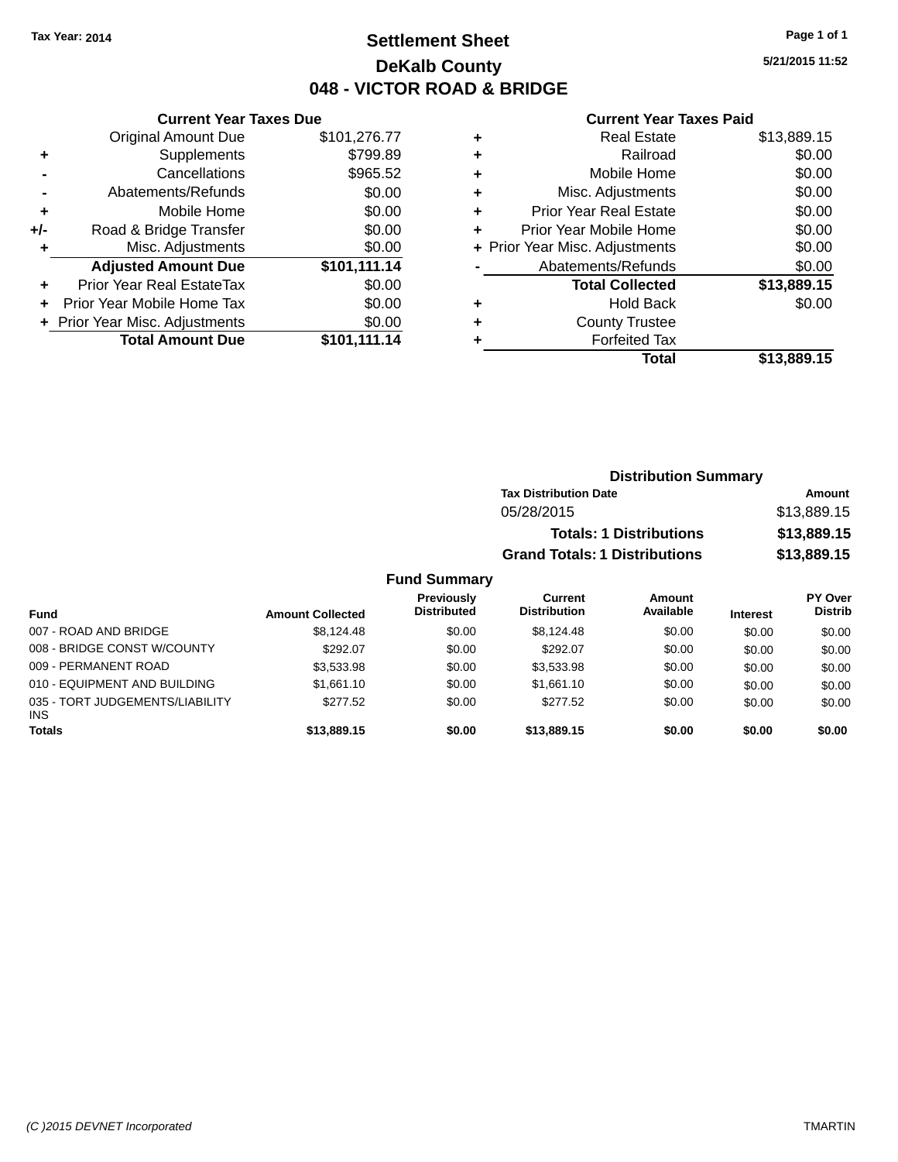# **Settlement Sheet Tax Year: 2014 Page 1 of 1 DeKalb County 048 - VICTOR ROAD & BRIDGE**

**5/21/2015 11:52**

## **Current Year Taxes Paid**

|       | <b>Current Year Taxes Due</b>  |              |  |  |  |  |
|-------|--------------------------------|--------------|--|--|--|--|
|       | <b>Original Amount Due</b>     | \$101,276.77 |  |  |  |  |
| ٠     | Supplements                    | \$799.89     |  |  |  |  |
|       | Cancellations                  | \$965.52     |  |  |  |  |
|       | Abatements/Refunds             | \$0.00       |  |  |  |  |
| ٠     | Mobile Home                    | \$0.00       |  |  |  |  |
| $+/-$ | Road & Bridge Transfer         | \$0.00       |  |  |  |  |
|       | Misc. Adjustments              | \$0.00       |  |  |  |  |
|       | <b>Adjusted Amount Due</b>     | \$101,111.14 |  |  |  |  |
| ٠     | Prior Year Real EstateTax      | \$0.00       |  |  |  |  |
|       | Prior Year Mobile Home Tax     | \$0.00       |  |  |  |  |
|       | + Prior Year Misc. Adjustments | \$0.00       |  |  |  |  |
|       | <b>Total Amount Due</b>        | \$101,111.14 |  |  |  |  |
|       |                                |              |  |  |  |  |

| ٠ | <b>Real Estate</b>             | \$13,889.15 |
|---|--------------------------------|-------------|
| ٠ | Railroad                       | \$0.00      |
| ٠ | Mobile Home                    | \$0.00      |
| ٠ | Misc. Adjustments              | \$0.00      |
| ٠ | <b>Prior Year Real Estate</b>  | \$0.00      |
| ٠ | Prior Year Mobile Home         | \$0.00      |
|   | + Prior Year Misc. Adjustments | \$0.00      |
|   | Abatements/Refunds             | \$0.00      |
|   | <b>Total Collected</b>         | \$13,889.15 |
| ٠ | <b>Hold Back</b>               | \$0.00      |
| ٠ | <b>County Trustee</b>          |             |
| ٠ | <b>Forfeited Tax</b>           |             |
|   | Total                          | \$13,889.15 |
|   |                                |             |

| <b>Distribution Summary</b>          |             |
|--------------------------------------|-------------|
| <b>Tax Distribution Date</b>         | Amount      |
| 05/28/2015                           | \$13,889.15 |
| <b>Totals: 1 Distributions</b>       | \$13,889.15 |
| <b>Grand Totals: 1 Distributions</b> | \$13,889.15 |
|                                      |             |

| <b>Fund</b>                                   | <b>Amount Collected</b> | Previously<br><b>Distributed</b> | Current<br><b>Distribution</b> | Amount<br>Available | <b>Interest</b> | PY Over<br><b>Distrib</b> |
|-----------------------------------------------|-------------------------|----------------------------------|--------------------------------|---------------------|-----------------|---------------------------|
| 007 - ROAD AND BRIDGE                         | \$8.124.48              | \$0.00                           | \$8.124.48                     | \$0.00              | \$0.00          | \$0.00                    |
| 008 - BRIDGE CONST W/COUNTY                   | \$292.07                | \$0.00                           | \$292.07                       | \$0.00              | \$0.00          | \$0.00                    |
| 009 - PERMANENT ROAD                          | \$3,533,98              | \$0.00                           | \$3,533,98                     | \$0.00              | \$0.00          | \$0.00                    |
| 010 - EQUIPMENT AND BUILDING                  | \$1,661.10              | \$0.00                           | \$1,661.10                     | \$0.00              | \$0.00          | \$0.00                    |
| 035 - TORT JUDGEMENTS/LIABILITY<br><b>INS</b> | \$277.52                | \$0.00                           | \$277.52                       | \$0.00              | \$0.00          | \$0.00                    |
| <b>Totals</b>                                 | \$13,889.15             | \$0.00                           | \$13,889.15                    | \$0.00              | \$0.00          | \$0.00                    |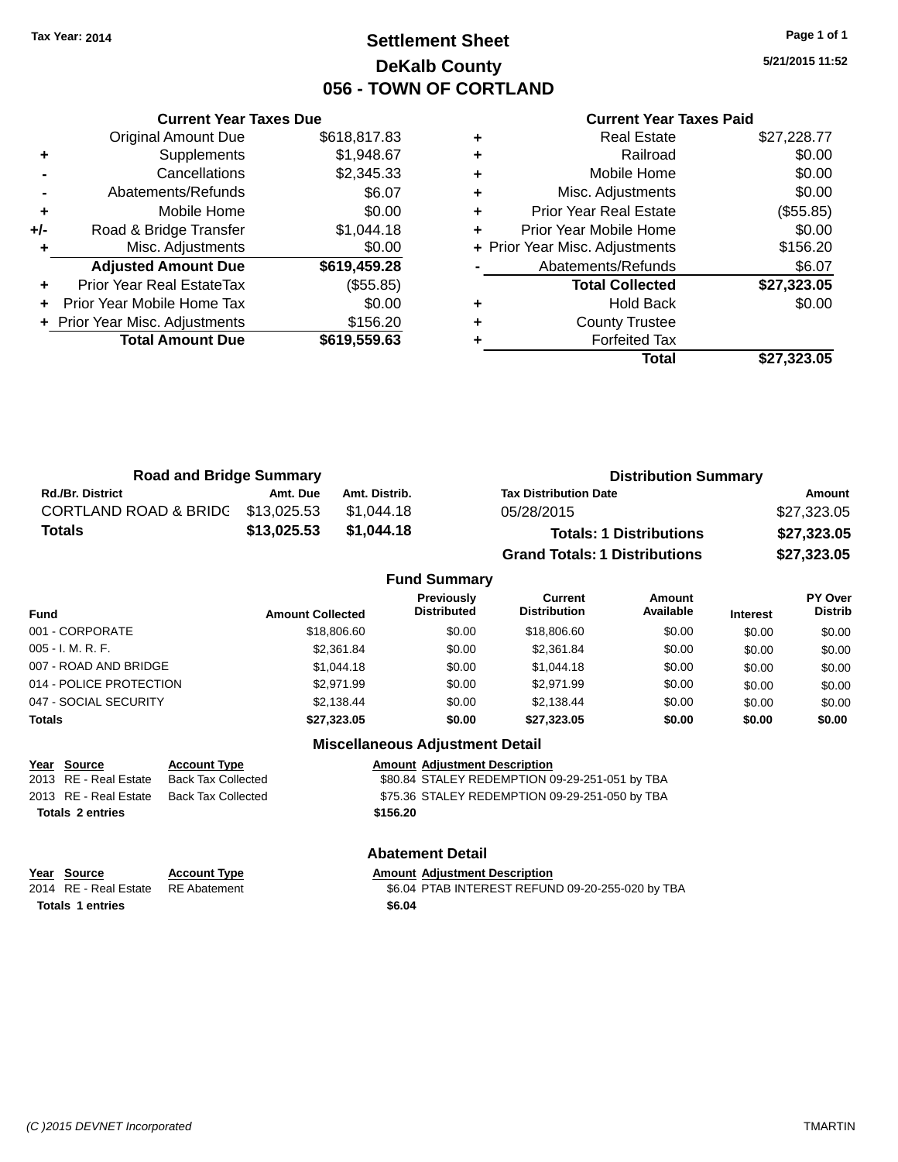# **Settlement Sheet Tax Year: 2014 Page 1 of 1 DeKalb County 056 - TOWN OF CORTLAND**

**5/21/2015 11:52**

#### **Current Year Taxes Paid**

|     | <b>Current Year Taxes Due</b>  |              |  |  |  |
|-----|--------------------------------|--------------|--|--|--|
|     | <b>Original Amount Due</b>     | \$618,817.83 |  |  |  |
| ٠   | Supplements                    | \$1,948.67   |  |  |  |
|     | Cancellations                  | \$2,345.33   |  |  |  |
|     | Abatements/Refunds             | \$6.07       |  |  |  |
| ٠   | Mobile Home                    | \$0.00       |  |  |  |
| +/- | Road & Bridge Transfer         | \$1,044.18   |  |  |  |
|     | Misc. Adjustments              | \$0.00       |  |  |  |
|     | <b>Adjusted Amount Due</b>     | \$619,459.28 |  |  |  |
| ÷   | Prior Year Real EstateTax      | (\$55.85)    |  |  |  |
|     | Prior Year Mobile Home Tax     | \$0.00       |  |  |  |
|     | + Prior Year Misc. Adjustments | \$156.20     |  |  |  |
|     | <b>Total Amount Due</b>        | \$619,559.63 |  |  |  |
|     |                                |              |  |  |  |

| ٠ | <b>Real Estate</b>             | \$27,228.77 |
|---|--------------------------------|-------------|
| ٠ | Railroad                       | \$0.00      |
| ٠ | Mobile Home                    | \$0.00      |
| ٠ | Misc. Adjustments              | \$0.00      |
| ٠ | <b>Prior Year Real Estate</b>  | (\$55.85)   |
| ٠ | Prior Year Mobile Home         | \$0.00      |
|   | + Prior Year Misc. Adjustments | \$156.20    |
|   | Abatements/Refunds             | \$6.07      |
|   | <b>Total Collected</b>         | \$27,323.05 |
| ٠ | <b>Hold Back</b>               | \$0.00      |
| ٠ | <b>County Trustee</b>          |             |
| ٠ | <b>Forfeited Tax</b>           |             |
|   | Total                          | \$27,323.05 |
|   |                                |             |

| <b>Road and Bridge Summary</b>    |             |               | <b>Distribution Summary</b>          |             |  |
|-----------------------------------|-------------|---------------|--------------------------------------|-------------|--|
| <b>Rd./Br. District</b>           | Amt. Due    | Amt. Distrib. | <b>Tax Distribution Date</b>         | Amount      |  |
| CORTLAND ROAD & BRIDG \$13,025.53 |             | \$1.044.18    | 05/28/2015                           | \$27,323.05 |  |
| Totals                            | \$13,025.53 | \$1,044.18    | <b>Totals: 1 Distributions</b>       | \$27,323.05 |  |
|                                   |             |               | <b>Grand Totals: 1 Distributions</b> | \$27,323.05 |  |

#### **Fund Summary Fund Interest Amount Collected Distributed Amount Available Current Distribution Previously** 001 - CORPORATE \$18,806.60 \$0.00 \$18,806.60 \$0.00 \$0.00 \$0.00 005 - I. M. R. F. \$2,361.84 \$0.00 \$2,361.84 \$0.00 \$0.00 \$0.00 007 - ROAD AND BRIDGE \$1,044.18 \$1,044.18 \$0.00 \$1,044.18 \$0.00 \$0.00 \$0.00 \$0.00 014 - POLICE PROTECTION \$2,971.99 \$2,971.99 \$0.00 \$2,971.99 \$0.00 \$0.00 \$0.00 \$0.00

047 - SOCIAL SECURITY \$2,138.44 \$0.00 \$2,138.44 \$0.00 \$0.00 \$0.00 \$0.00 **Totals \$27,323.05 \$0.00 \$27,323.05 \$0.00 \$0.00 \$0.00**

## **Miscellaneous Adjustment Detail**

| Year Source             | <b>Account Type</b>                      | <b>Amount Adjustment Description</b>           |
|-------------------------|------------------------------------------|------------------------------------------------|
| 2013 RE - Real Estate   | <b>Back Tax Collected</b>                | \$80.84 STALEY REDEMPTION 09-29-251-051 by TBA |
|                         | 2013 RE - Real Estate Back Tax Collected | \$75.36 STALEY REDEMPTION 09-29-251-050 by TBA |
| <b>Totals 2 entries</b> |                                          | \$156.20                                       |
|                         |                                          |                                                |

## **Abatement Detail**

| Year Source                        | <b>Account Type</b> | <b>Amount Adiustment Description</b>             |
|------------------------------------|---------------------|--------------------------------------------------|
| 2014 RE - Real Estate RE Abatement |                     | \$6.04 PTAB INTEREST REFUND 09-20-255-020 by TBA |
| Totals 1 entries                   |                     | \$6.04                                           |

**PY Over Distrib**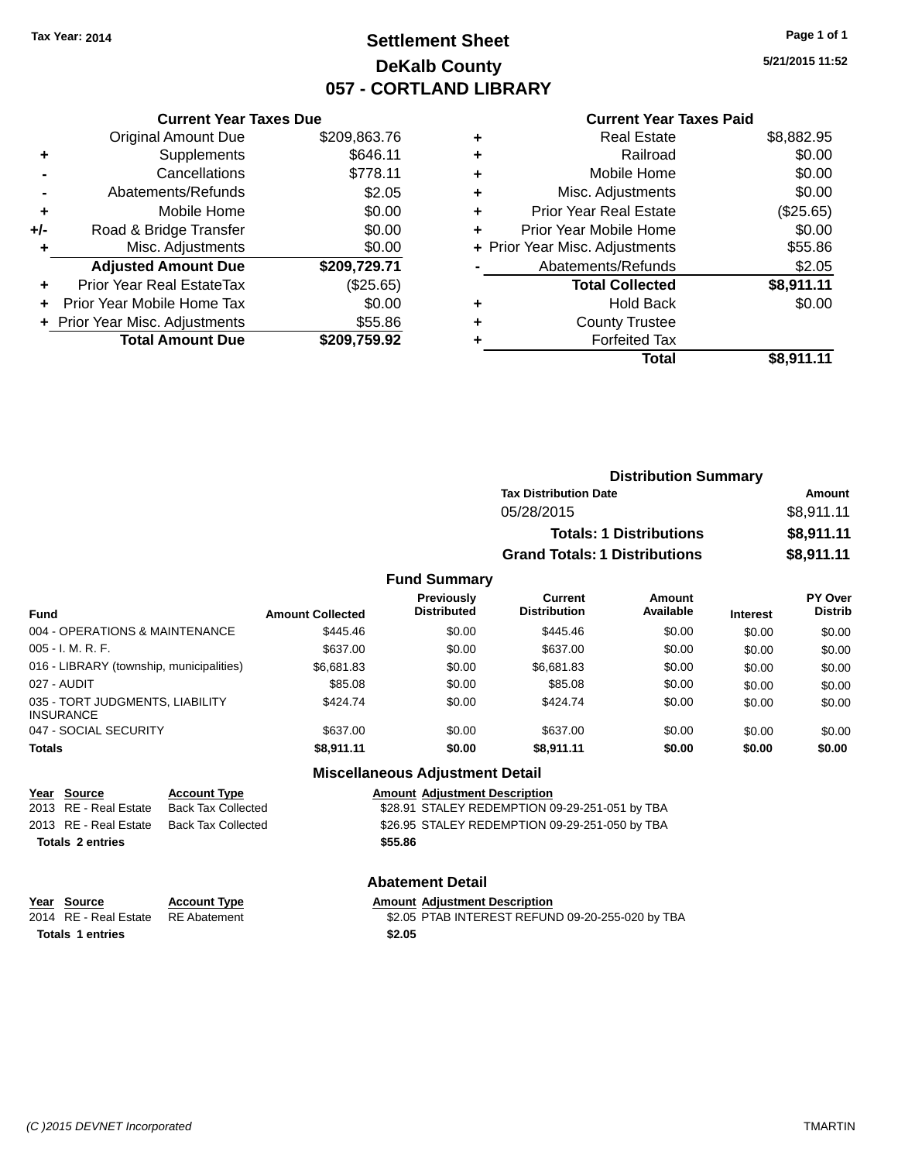# **Settlement Sheet Tax Year: 2014 Page 1 of 1 DeKalb County 057 - CORTLAND LIBRARY**

**5/21/2015 11:52**

## **Current Year Taxes Paid**

|     | <b>Current Year Taxes Due</b>  |              |
|-----|--------------------------------|--------------|
|     | <b>Original Amount Due</b>     | \$209,863.76 |
| ٠   | Supplements                    | \$646.11     |
|     | Cancellations                  | \$778.11     |
|     | Abatements/Refunds             | \$2.05       |
| ٠   | Mobile Home                    | \$0.00       |
| +/- | Road & Bridge Transfer         | \$0.00       |
|     | Misc. Adjustments              | \$0.00       |
|     | <b>Adjusted Amount Due</b>     | \$209,729.71 |
| ÷   | Prior Year Real EstateTax      | (\$25.65)    |
|     | Prior Year Mobile Home Tax     | \$0.00       |
|     | + Prior Year Misc. Adjustments | \$55.86      |
|     | <b>Total Amount Due</b>        | \$209,759.92 |
|     |                                |              |

| ٠ | <b>Real Estate</b>             | \$8,882.95 |
|---|--------------------------------|------------|
| ٠ | Railroad                       | \$0.00     |
| ٠ | Mobile Home                    | \$0.00     |
| ٠ | Misc. Adjustments              | \$0.00     |
| ٠ | <b>Prior Year Real Estate</b>  | (\$25.65)  |
| ٠ | Prior Year Mobile Home         | \$0.00     |
|   | + Prior Year Misc. Adjustments | \$55.86    |
|   | Abatements/Refunds             | \$2.05     |
|   | <b>Total Collected</b>         | \$8,911.11 |
| ٠ | <b>Hold Back</b>               | \$0.00     |
| ٠ | <b>County Trustee</b>          |            |
|   | <b>Forfeited Tax</b>           |            |
|   | Total                          | \$8,911.11 |
|   |                                |            |

| <b>Distribution Summary</b>          |            |
|--------------------------------------|------------|
| <b>Tax Distribution Date</b>         | Amount     |
| 05/28/2015                           | \$8,911.11 |
| <b>Totals: 1 Distributions</b>       | \$8,911.11 |
| <b>Grand Totals: 1 Distributions</b> | \$8,911.11 |

## **Fund Summary**

| <b>Fund</b>                                         | <b>Amount Collected</b> | <b>Previously</b><br><b>Distributed</b> | Current<br><b>Distribution</b> | Amount<br>Available | <b>Interest</b> | PY Over<br><b>Distrib</b> |
|-----------------------------------------------------|-------------------------|-----------------------------------------|--------------------------------|---------------------|-----------------|---------------------------|
| 004 - OPERATIONS & MAINTENANCE                      | \$445.46                | \$0.00                                  | \$445.46                       | \$0.00              | \$0.00          | \$0.00                    |
| $005 - I. M. R. F.$                                 | \$637.00                | \$0.00                                  | \$637.00                       | \$0.00              | \$0.00          | \$0.00                    |
| 016 - LIBRARY (township, municipalities)            | \$6,681.83              | \$0.00                                  | \$6,681.83                     | \$0.00              | \$0.00          | \$0.00                    |
| 027 - AUDIT                                         | \$85.08                 | \$0.00                                  | \$85.08                        | \$0.00              | \$0.00          | \$0.00                    |
| 035 - TORT JUDGMENTS, LIABILITY<br><b>INSURANCE</b> | \$424.74                | \$0.00                                  | \$424.74                       | \$0.00              | \$0.00          | \$0.00                    |
| 047 - SOCIAL SECURITY                               | \$637.00                | \$0.00                                  | \$637.00                       | \$0.00              | \$0.00          | \$0.00                    |
| <b>Totals</b>                                       | \$8,911.11              | \$0.00                                  | \$8.911.11                     | \$0.00              | \$0.00          | \$0.00                    |

## **Miscellaneous Adjustment Detail**

| Year Source             | <b>Account Type</b>                      | <b>Amount Adjustment Description</b>           |
|-------------------------|------------------------------------------|------------------------------------------------|
| 2013 RE - Real Estate   | Back Tax Collected                       | \$28.91 STALEY REDEMPTION 09-29-251-051 by TBA |
|                         | 2013 RE - Real Estate Back Tax Collected | \$26.95 STALEY REDEMPTION 09-29-251-050 by TBA |
| <b>Totals 2 entries</b> |                                          | \$55.86                                        |
|                         |                                          |                                                |

## **Abatement Detail**

| Year Source             | <b>Account Type</b> | <b>Amount Adiustment Description</b>             |
|-------------------------|---------------------|--------------------------------------------------|
| 2014 RE - Real Estate   | RE Abatement        | \$2.05 PTAB INTEREST REFUND 09-20-255-020 by TBA |
| <b>Totals 1 entries</b> |                     | \$2.05                                           |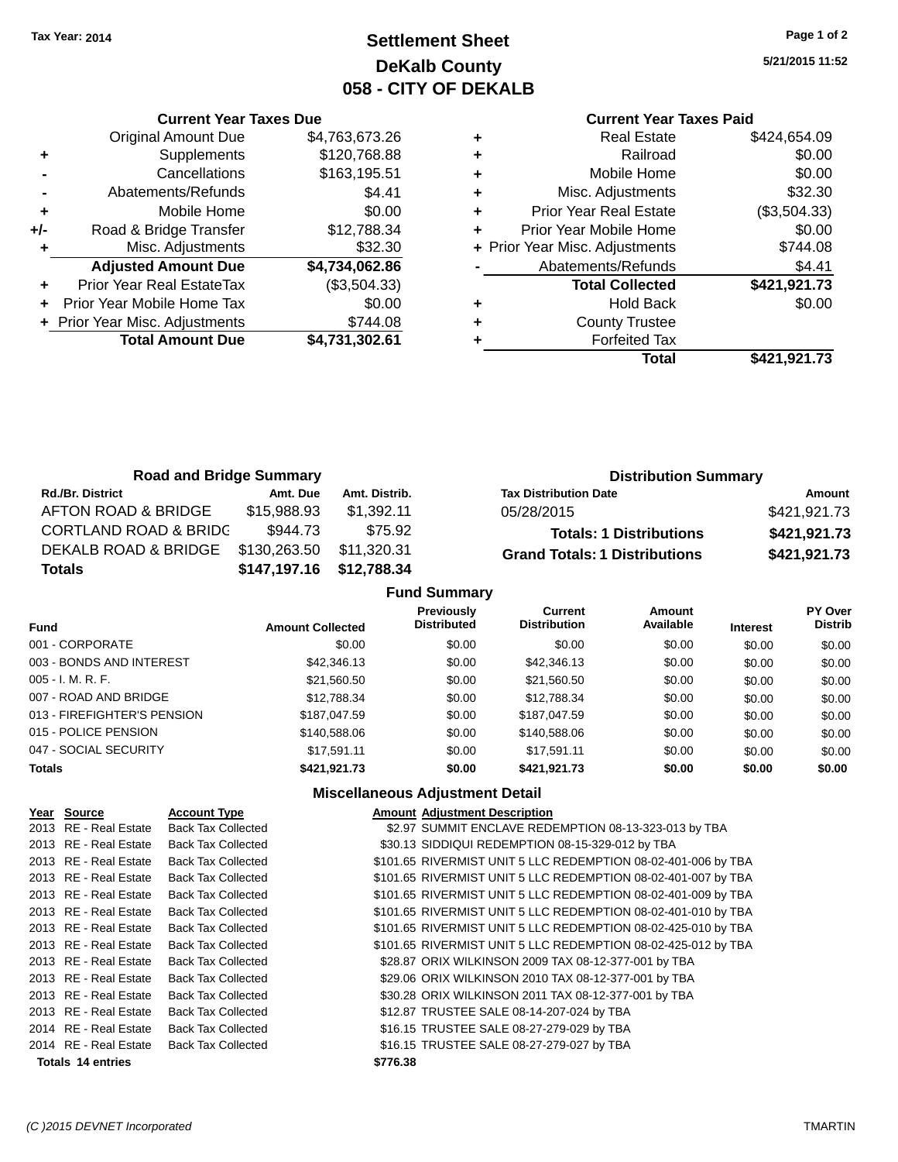# **Settlement Sheet Tax Year: 2014 Page 1 of 2 DeKalb County 058 - CITY OF DEKALB**

**5/21/2015 11:52**

|     | <b>Current Year Taxes Due</b>  |                |
|-----|--------------------------------|----------------|
|     | <b>Original Amount Due</b>     | \$4,763,673.26 |
|     | Supplements                    | \$120,768.88   |
|     | Cancellations                  | \$163,195.51   |
|     | Abatements/Refunds             | \$4.41         |
| ٠   | Mobile Home                    | \$0.00         |
| +/- | Road & Bridge Transfer         | \$12,788.34    |
|     | Misc. Adjustments              | \$32.30        |
|     | <b>Adjusted Amount Due</b>     | \$4,734,062.86 |
| ÷   | Prior Year Real EstateTax      | (\$3,504.33)   |
|     | Prior Year Mobile Home Tax     | \$0.00         |
|     | + Prior Year Misc. Adjustments | \$744.08       |
|     | <b>Total Amount Due</b>        | \$4,731,302.61 |
|     |                                |                |

## **Current Year Taxes Paid**

|   | <b>Real Estate</b>             | \$424,654.09 |
|---|--------------------------------|--------------|
| ٠ | Railroad                       | \$0.00       |
| ٠ | Mobile Home                    | \$0.00       |
| ٠ | Misc. Adjustments              | \$32.30      |
| ٠ | <b>Prior Year Real Estate</b>  | (\$3,504.33) |
|   | Prior Year Mobile Home         | \$0.00       |
|   | + Prior Year Misc. Adjustments | \$744.08     |
|   | Abatements/Refunds             | \$4.41       |
|   | <b>Total Collected</b>         | \$421,921.73 |
| ٠ | <b>Hold Back</b>               | \$0.00       |
|   | <b>County Trustee</b>          |              |
|   | <b>Forfeited Tax</b>           |              |
|   | Total                          | \$421,921.73 |
|   |                                |              |

| <b>Road and Bridge Summary</b>   |                          |               |                                      | <b>Distribution Summary</b> |  |  |
|----------------------------------|--------------------------|---------------|--------------------------------------|-----------------------------|--|--|
| <b>Rd./Br. District</b>          | Amt. Due                 | Amt. Distrib. | <b>Tax Distribution Date</b>         | Amount                      |  |  |
| AFTON ROAD & BRIDGE              | \$15,988.93              | \$1.392.11    | 05/28/2015                           | \$421,921.73                |  |  |
| <b>CORTLAND ROAD &amp; BRIDG</b> | \$944.73                 | \$75.92       | <b>Totals: 1 Distributions</b>       | \$421,921.73                |  |  |
| DEKALB ROAD & BRIDGE             | \$130,263.50             | \$11,320.31   | <b>Grand Totals: 1 Distributions</b> | \$421,921.73                |  |  |
| <b>Totals</b>                    | \$147,197.16 \$12,788.34 |               |                                      |                             |  |  |
| <b>Fund Summary</b>              |                          |               |                                      |                             |  |  |

|                             |                         | .                                |                                       |                            |                 |                                  |
|-----------------------------|-------------------------|----------------------------------|---------------------------------------|----------------------------|-----------------|----------------------------------|
| <b>Fund</b>                 | <b>Amount Collected</b> | Previously<br><b>Distributed</b> | <b>Current</b><br><b>Distribution</b> | <b>Amount</b><br>Available | <b>Interest</b> | <b>PY Over</b><br><b>Distrib</b> |
| 001 - CORPORATE             | \$0.00                  | \$0.00                           | \$0.00                                | \$0.00                     | \$0.00          | \$0.00                           |
| 003 - BONDS AND INTEREST    | \$42,346.13             | \$0.00                           | \$42,346.13                           | \$0.00                     | \$0.00          | \$0.00                           |
| $005 - I. M. R. F.$         | \$21,560.50             | \$0.00                           | \$21,560.50                           | \$0.00                     | \$0.00          | \$0.00                           |
| 007 - ROAD AND BRIDGE       | \$12,788.34             | \$0.00                           | \$12,788.34                           | \$0.00                     | \$0.00          | \$0.00                           |
| 013 - FIREFIGHTER'S PENSION | \$187,047.59            | \$0.00                           | \$187,047,59                          | \$0.00                     | \$0.00          | \$0.00                           |
| 015 - POLICE PENSION        | \$140,588.06            | \$0.00                           | \$140,588,06                          | \$0.00                     | \$0.00          | \$0.00                           |
| 047 - SOCIAL SECURITY       | \$17.591.11             | \$0.00                           | \$17.591.11                           | \$0.00                     | \$0.00          | \$0.00                           |
| <b>Totals</b>               | \$421.921.73            | \$0.00                           | \$421.921.73                          | \$0.00                     | \$0.00          | \$0.00                           |

## **Miscellaneous Adjustment Detail**

| Year Source              | <b>Account Type</b>       |          | <b>Amount Adjustment Description</b>                          |
|--------------------------|---------------------------|----------|---------------------------------------------------------------|
| 2013 RE - Real Estate    | <b>Back Tax Collected</b> |          | \$2.97 SUMMIT ENCLAVE REDEMPTION 08-13-323-013 by TBA         |
| 2013 RE - Real Estate    | <b>Back Tax Collected</b> |          | \$30.13 SIDDIQUI REDEMPTION 08-15-329-012 by TBA              |
| 2013 RE - Real Estate    | <b>Back Tax Collected</b> |          | \$101.65 RIVERMIST UNIT 5 LLC REDEMPTION 08-02-401-006 by TBA |
| 2013 RE - Real Estate    | <b>Back Tax Collected</b> |          | \$101.65 RIVERMIST UNIT 5 LLC REDEMPTION 08-02-401-007 by TBA |
| 2013 RE - Real Estate    | <b>Back Tax Collected</b> |          | \$101.65 RIVERMIST UNIT 5 LLC REDEMPTION 08-02-401-009 by TBA |
| 2013 RE - Real Estate    | <b>Back Tax Collected</b> |          | \$101.65 RIVERMIST UNIT 5 LLC REDEMPTION 08-02-401-010 by TBA |
| 2013 RE - Real Estate    | <b>Back Tax Collected</b> |          | \$101.65 RIVERMIST UNIT 5 LLC REDEMPTION 08-02-425-010 by TBA |
| 2013 RE - Real Estate    | <b>Back Tax Collected</b> |          | \$101.65 RIVERMIST UNIT 5 LLC REDEMPTION 08-02-425-012 by TBA |
| 2013 RE - Real Estate    | <b>Back Tax Collected</b> |          | \$28.87 ORIX WILKINSON 2009 TAX 08-12-377-001 by TBA          |
| 2013 RE - Real Estate    | <b>Back Tax Collected</b> |          | \$29.06 ORIX WILKINSON 2010 TAX 08-12-377-001 by TBA          |
| 2013 RE - Real Estate    | <b>Back Tax Collected</b> |          | \$30.28 ORIX WILKINSON 2011 TAX 08-12-377-001 by TBA          |
| 2013 RE - Real Estate    | <b>Back Tax Collected</b> |          | \$12.87 TRUSTEE SALE 08-14-207-024 by TBA                     |
| 2014 RE - Real Estate    | <b>Back Tax Collected</b> |          | \$16.15 TRUSTEE SALE 08-27-279-029 by TBA                     |
| 2014 RE - Real Estate    | <b>Back Tax Collected</b> |          | \$16.15 TRUSTEE SALE 08-27-279-027 by TBA                     |
| <b>Totals 14 entries</b> |                           | \$776.38 |                                                               |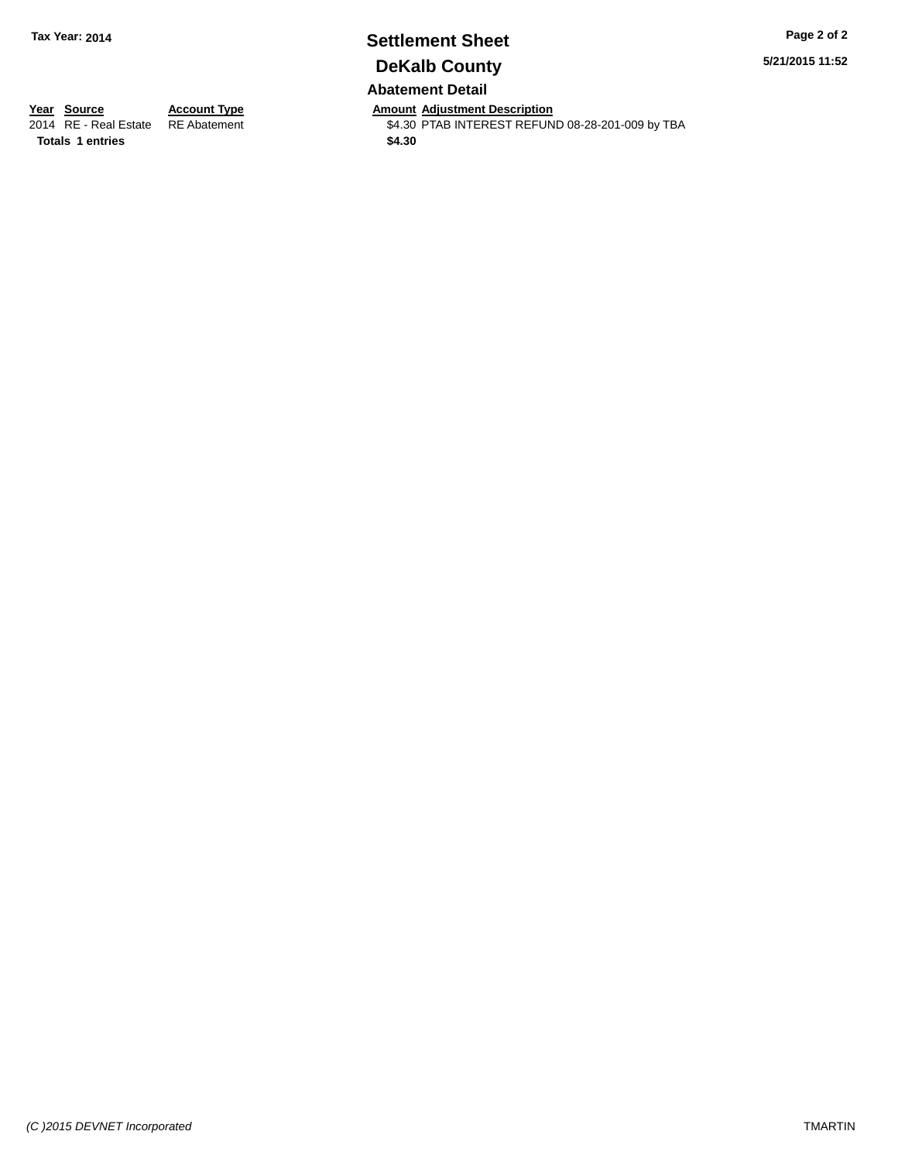## **Settlement Sheet Tax Year: 2014 Page 2 of 2 DeKalb County Abatement Detail**

**5/21/2015 11:52**

**Totals 1 entries** \$4.30

**Year Source Account Type Account Type Amount Adjustment Description**<br>2014 RE - Real Estate RE Abatement **Account 1991 ACCOUNTEREST REFUN** \$4.30 PTAB INTEREST REFUND 08-28-201-009 by TBA

*(C )2015 DEVNET Incorporated* TMARTIN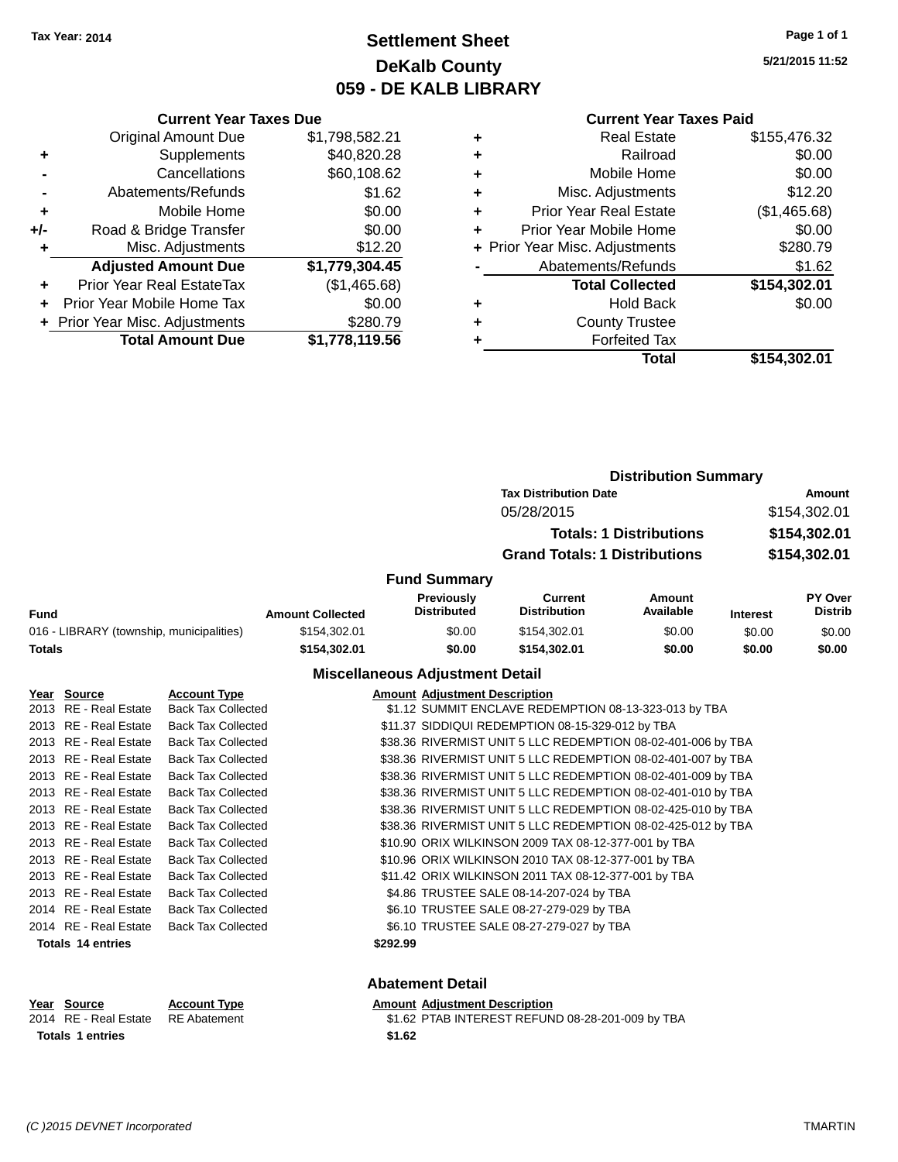# **Settlement Sheet Tax Year: 2014 Page 1 of 1 DeKalb County 059 - DE KALB LIBRARY**

**5/21/2015 11:52**

## **Current Year Taxes Paid**

|     | <b>Current Year Taxes Due</b>    |                |
|-----|----------------------------------|----------------|
|     | <b>Original Amount Due</b>       | \$1,798,582.21 |
| ٠   | Supplements                      | \$40,820.28    |
|     | Cancellations                    | \$60,108.62    |
|     | Abatements/Refunds               | \$1.62         |
| ٠   | Mobile Home                      | \$0.00         |
| +/- | Road & Bridge Transfer           | \$0.00         |
| ٠   | Misc. Adjustments                | \$12.20        |
|     | <b>Adjusted Amount Due</b>       | \$1,779,304.45 |
|     | <b>Prior Year Real EstateTax</b> | (\$1,465.68)   |
|     | Prior Year Mobile Home Tax       | \$0.00         |
|     | + Prior Year Misc. Adjustments   | \$280.79       |
|     | <b>Total Amount Due</b>          | \$1,778,119.56 |
|     |                                  |                |

| ٠ | <b>Real Estate</b>             | \$155,476.32 |
|---|--------------------------------|--------------|
| ٠ | Railroad                       | \$0.00       |
| ٠ | Mobile Home                    | \$0.00       |
| ٠ | Misc. Adjustments              | \$12.20      |
| ٠ | <b>Prior Year Real Estate</b>  | (\$1,465.68) |
| ٠ | Prior Year Mobile Home         | \$0.00       |
|   | + Prior Year Misc. Adjustments | \$280.79     |
|   | Abatements/Refunds             | \$1.62       |
|   | <b>Total Collected</b>         | \$154,302.01 |
| ٠ | <b>Hold Back</b>               | \$0.00       |
| ٠ | <b>County Trustee</b>          |              |
| ٠ | <b>Forfeited Tax</b>           |              |
|   | Total                          | \$154,302.01 |
|   |                                |              |

|                                          |                         | <b>Distribution Summary</b>      |                                      |                                |                 |                                  |
|------------------------------------------|-------------------------|----------------------------------|--------------------------------------|--------------------------------|-----------------|----------------------------------|
|                                          |                         |                                  | <b>Tax Distribution Date</b>         |                                | <b>Amount</b>   |                                  |
|                                          |                         |                                  | 05/28/2015                           |                                |                 | \$154,302.01                     |
|                                          |                         |                                  |                                      | <b>Totals: 1 Distributions</b> |                 | \$154,302.01                     |
|                                          |                         |                                  | <b>Grand Totals: 1 Distributions</b> |                                |                 | \$154,302.01                     |
|                                          |                         | <b>Fund Summary</b>              |                                      |                                |                 |                                  |
| Fund                                     | <b>Amount Collected</b> | Previously<br><b>Distributed</b> | Current<br><b>Distribution</b>       | Amount<br>Available            | <b>Interest</b> | <b>PY Over</b><br><b>Distrib</b> |
| 016 - LIBRARY (township, municipalities) | \$154,302.01            | \$0.00                           | \$154,302.01                         | \$0.00                         | \$0.00          | \$0.00                           |
| <b>Totals</b>                            | \$154,302.01            | \$0.00                           | \$154,302.01                         | \$0.00                         | \$0.00          | \$0.00                           |
|                                          | --- --                  |                                  |                                      |                                |                 |                                  |

## **Miscellaneous Adjustment Detail**

| Year Source           | <b>Account Type</b>       |          | <b>Amount Adiustment Description</b>                         |
|-----------------------|---------------------------|----------|--------------------------------------------------------------|
| 2013 RE - Real Estate | <b>Back Tax Collected</b> |          | \$1.12 SUMMIT ENCLAVE REDEMPTION 08-13-323-013 by TBA        |
| 2013 RE - Real Estate | <b>Back Tax Collected</b> |          | \$11.37 SIDDIQUI REDEMPTION 08-15-329-012 by TBA             |
| 2013 RE - Real Estate | <b>Back Tax Collected</b> |          | \$38.36 RIVERMIST UNIT 5 LLC REDEMPTION 08-02-401-006 by TBA |
| 2013 RE - Real Estate | <b>Back Tax Collected</b> |          | \$38.36 RIVERMIST UNIT 5 LLC REDEMPTION 08-02-401-007 by TBA |
| 2013 RE - Real Estate | <b>Back Tax Collected</b> |          | \$38.36 RIVERMIST UNIT 5 LLC REDEMPTION 08-02-401-009 by TBA |
| 2013 RE - Real Estate | <b>Back Tax Collected</b> |          | \$38.36 RIVERMIST UNIT 5 LLC REDEMPTION 08-02-401-010 by TBA |
| 2013 RE - Real Estate | <b>Back Tax Collected</b> |          | \$38.36 RIVERMIST UNIT 5 LLC REDEMPTION 08-02-425-010 by TBA |
| 2013 RE - Real Estate | <b>Back Tax Collected</b> |          | \$38.36 RIVERMIST UNIT 5 LLC REDEMPTION 08-02-425-012 by TBA |
| 2013 RE - Real Estate | <b>Back Tax Collected</b> |          | \$10.90 ORIX WILKINSON 2009 TAX 08-12-377-001 by TBA         |
| 2013 RE - Real Estate | <b>Back Tax Collected</b> |          | \$10.96 ORIX WILKINSON 2010 TAX 08-12-377-001 by TBA         |
| 2013 RE - Real Estate | <b>Back Tax Collected</b> |          | \$11.42 ORIX WILKINSON 2011 TAX 08-12-377-001 by TBA         |
| 2013 RE - Real Estate | <b>Back Tax Collected</b> |          | \$4.86 TRUSTEE SALE 08-14-207-024 by TBA                     |
| 2014 RE - Real Estate | <b>Back Tax Collected</b> |          | \$6.10 TRUSTEE SALE 08-27-279-029 by TBA                     |
| 2014 RE - Real Estate | <b>Back Tax Collected</b> |          | \$6.10 TRUSTEE SALE 08-27-279-027 by TBA                     |
| Totals 14 entries     |                           | \$292.99 |                                                              |
|                       |                           |          |                                                              |
|                       |                           |          |                                                              |

**Abatement Detail**

### **Year Source Account Type Amount Adjustment Description**<br>2014 RE - Real Estate RE Abatement \$1.62 PTAB INTEREST REFUN \$1.62 PTAB INTEREST REFUND 08-28-201-009 by TBA Totals 1 entries \$1.62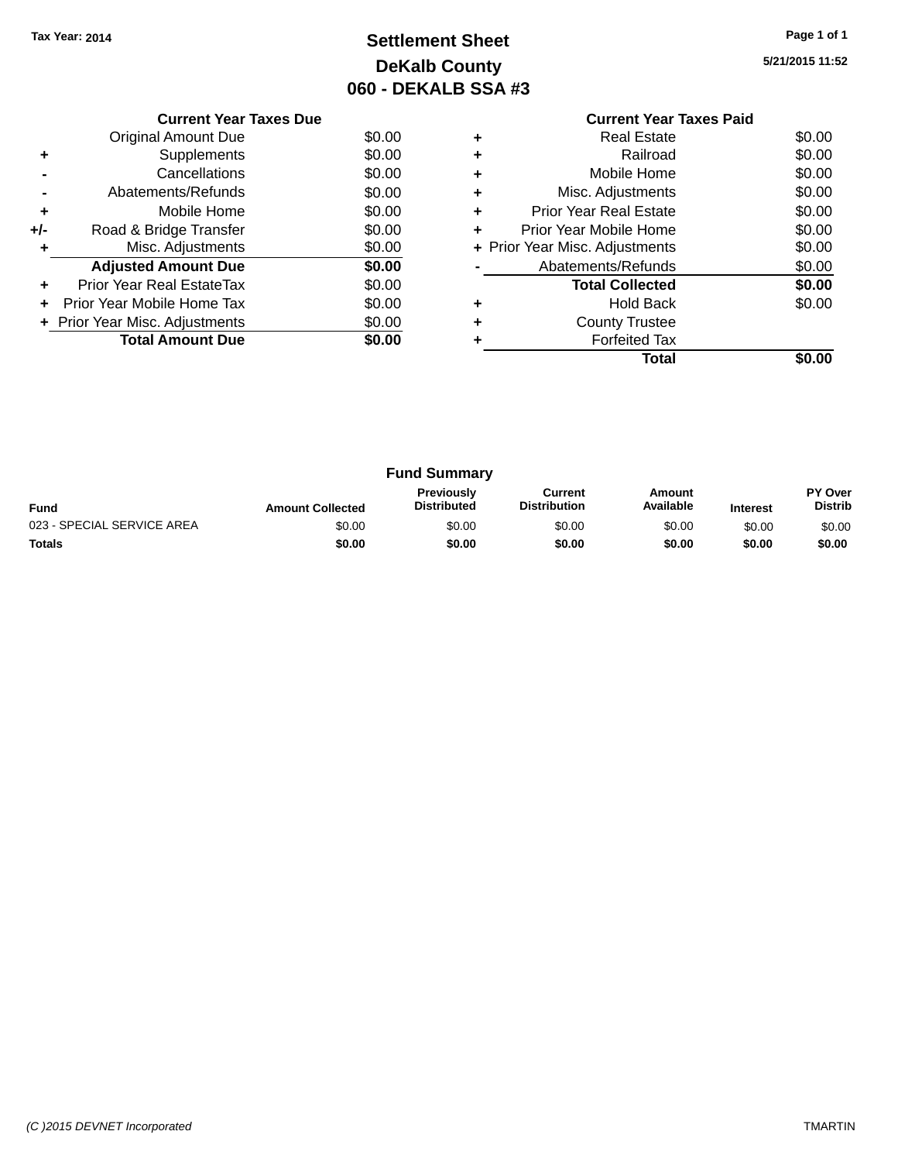# **Settlement Sheet Tax Year: 2014 Page 1 of 1 DeKalb County 060 - DEKALB SSA #3**

**5/21/2015 11:52**

|     | <b>Current Year Taxes Due</b>  |        |
|-----|--------------------------------|--------|
|     | Original Amount Due            | \$0.00 |
|     | Supplements                    | \$0.00 |
|     | Cancellations                  | \$0.00 |
|     | Abatements/Refunds             | \$0.00 |
| ٠   | Mobile Home                    | \$0.00 |
| +/- | Road & Bridge Transfer         | \$0.00 |
| ٠   | Misc. Adjustments              | \$0.00 |
|     | <b>Adjusted Amount Due</b>     | \$0.00 |
| ÷   | Prior Year Real EstateTax      | \$0.00 |
| ÷   | Prior Year Mobile Home Tax     | \$0.00 |
|     | + Prior Year Misc. Adjustments | \$0.00 |
|     | <b>Total Amount Due</b>        | \$0.00 |
|     |                                |        |

## **Current Year Taxes Paid +** Real Estate \$0.00 **+** Railroad \$0.00 **+** Mobile Home \$0.00 **+** Misc. Adjustments \$0.00 **+** Prior Year Real Estate \$0.00 **+** Prior Year Mobile Home \$0.00<br> **+** Prior Year Misc. Adjustments \$0.00 **+ Prior Year Misc. Adjustments -** Abatements/Refunds \$0.00 **Total Collected \$0.00 +** Hold Back \$0.00 **+** County Trustee **+** Forfeited Tax

**Total \$0.00**

|                            |                         | <b>Fund Summary</b>                     |                                |                     |                 |                                  |
|----------------------------|-------------------------|-----------------------------------------|--------------------------------|---------------------|-----------------|----------------------------------|
| <b>Fund</b>                | <b>Amount Collected</b> | <b>Previously</b><br><b>Distributed</b> | Current<br><b>Distribution</b> | Amount<br>Available | <b>Interest</b> | <b>PY Over</b><br><b>Distrib</b> |
| 023 - SPECIAL SERVICE AREA | \$0.00                  | \$0.00                                  | \$0.00                         | \$0.00              | \$0.00          | \$0.00                           |
| <b>Totals</b>              | \$0.00                  | \$0.00                                  | \$0.00                         | \$0.00              | \$0.00          | \$0.00                           |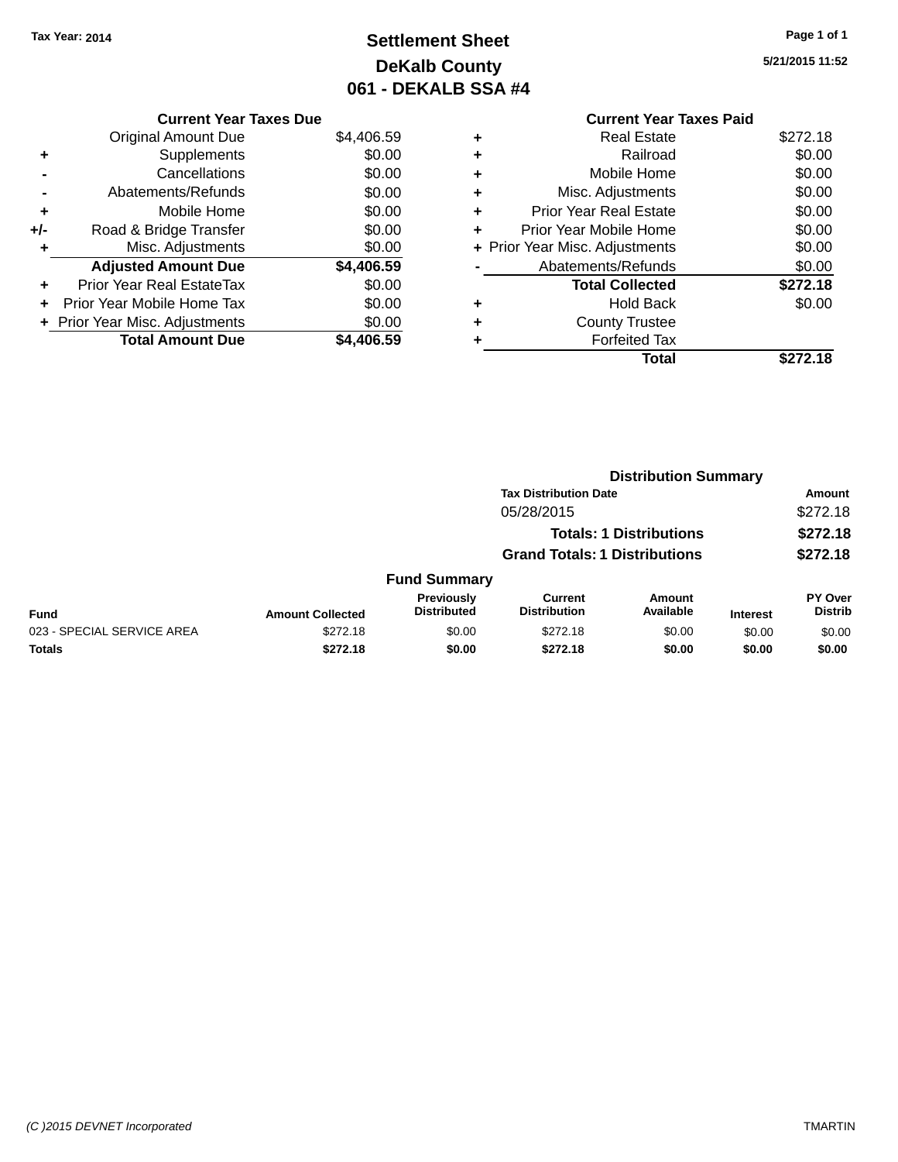# **Settlement Sheet Tax Year: 2014 Page 1 of 1 DeKalb County 061 - DEKALB SSA #4**

**5/21/2015 11:52**

|     | <b>Current Year Taxes Due</b>  |            |
|-----|--------------------------------|------------|
|     | <b>Original Amount Due</b>     | \$4,406.59 |
| ٠   | Supplements                    | \$0.00     |
|     | Cancellations                  | \$0.00     |
|     | Abatements/Refunds             | \$0.00     |
| ٠   | Mobile Home                    | \$0.00     |
| +/- | Road & Bridge Transfer         | \$0.00     |
|     | Misc. Adjustments              | \$0.00     |
|     | <b>Adjusted Amount Due</b>     | \$4,406.59 |
| ٠   | Prior Year Real EstateTax      | \$0.00     |
|     | Prior Year Mobile Home Tax     | \$0.00     |
|     | + Prior Year Misc. Adjustments | \$0.00     |
|     | <b>Total Amount Due</b>        | \$4.406.59 |

## **Current Year Taxes Paid +** Real Estate \$272.18 **+** Railroad \$0.00 **+** Mobile Home \$0.00 **+** Misc. Adjustments \$0.00 **+** Prior Year Real Estate \$0.00 **+** Prior Year Mobile Home \$0.00 **+ Prior Year Misc. Adjustments**  $$0.00$ **-** Abatements/Refunds \$0.00 **Total Collected \$272.18 +** Hold Back \$0.00 **+** County Trustee **+** Forfeited Tax **Total \$272.18**

|                            |                         |                                         |                                      | <b>Distribution Summary</b>    |                 |                           |
|----------------------------|-------------------------|-----------------------------------------|--------------------------------------|--------------------------------|-----------------|---------------------------|
|                            |                         |                                         | <b>Tax Distribution Date</b>         |                                |                 | <b>Amount</b>             |
|                            |                         |                                         | 05/28/2015                           |                                |                 | \$272.18                  |
|                            |                         |                                         |                                      | <b>Totals: 1 Distributions</b> |                 | \$272.18                  |
|                            |                         |                                         | <b>Grand Totals: 1 Distributions</b> |                                |                 | \$272.18                  |
|                            |                         | <b>Fund Summary</b>                     |                                      |                                |                 |                           |
| <b>Fund</b>                | <b>Amount Collected</b> | <b>Previously</b><br><b>Distributed</b> | Current<br><b>Distribution</b>       | Amount<br>Available            | <b>Interest</b> | PY Over<br><b>Distrib</b> |
| 023 - SPECIAL SERVICE AREA | \$272.18                | \$0.00                                  | \$272.18                             | \$0.00                         | \$0.00          | \$0.00                    |
| <b>Totals</b>              | \$272.18                | \$0.00                                  | \$272.18                             | \$0.00                         | \$0.00          | \$0.00                    |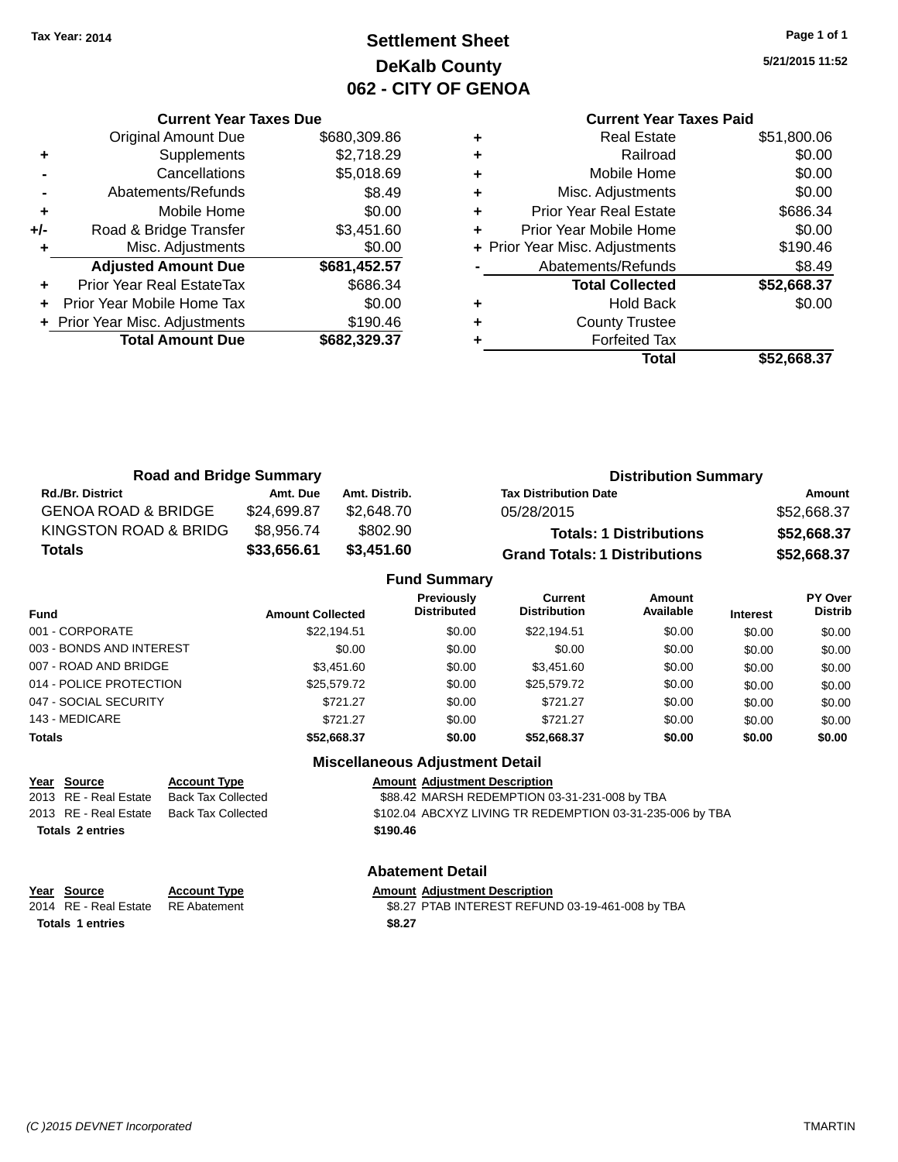# **Settlement Sheet Tax Year: 2014 Page 1 of 1 DeKalb County 062 - CITY OF GENOA**

**5/21/2015 11:52**

|     | <b>Current Year Taxes Due</b>  |              |
|-----|--------------------------------|--------------|
|     | Original Amount Due            | \$680,309.86 |
| ٠   | Supplements                    | \$2,718.29   |
|     | Cancellations                  | \$5,018.69   |
|     | Abatements/Refunds             | \$8.49       |
| ٠   | Mobile Home                    | \$0.00       |
| +/- | Road & Bridge Transfer         | \$3,451.60   |
|     | Misc. Adjustments              | \$0.00       |
|     | <b>Adjusted Amount Due</b>     | \$681,452.57 |
|     | Prior Year Real EstateTax      | \$686.34     |
|     | Prior Year Mobile Home Tax     | \$0.00       |
|     | + Prior Year Misc. Adjustments | \$190.46     |
|     | <b>Total Amount Due</b>        | \$682,329.37 |
|     |                                |              |

## **Current Year Taxes Paid**

| ٠ | <b>Real Estate</b>             | \$51,800.06 |
|---|--------------------------------|-------------|
| ٠ | Railroad                       | \$0.00      |
| ٠ | Mobile Home                    | \$0.00      |
| ٠ | Misc. Adjustments              | \$0.00      |
| ٠ | <b>Prior Year Real Estate</b>  | \$686.34    |
| ٠ | Prior Year Mobile Home         | \$0.00      |
|   | + Prior Year Misc. Adjustments | \$190.46    |
|   | Abatements/Refunds             | \$8.49      |
|   | <b>Total Collected</b>         | \$52,668.37 |
| ٠ | <b>Hold Back</b>               | \$0.00      |
| ٠ | <b>County Trustee</b>          |             |
|   | <b>Forfeited Tax</b>           |             |
|   | Total                          | \$52,668.37 |
|   |                                |             |

| <b>Road and Bridge Summary</b> |             |               | <b>Distribution Summary</b>          |             |  |
|--------------------------------|-------------|---------------|--------------------------------------|-------------|--|
| <b>Rd./Br. District</b>        | Amt. Due    | Amt. Distrib. | <b>Tax Distribution Date</b>         | Amount      |  |
| <b>GENOA ROAD &amp; BRIDGE</b> | \$24,699.87 | \$2.648.70    | 05/28/2015                           | \$52,668.37 |  |
| KINGSTON ROAD & BRIDG          | \$8,956.74  | \$802.90      | <b>Totals: 1 Distributions</b>       | \$52,668.37 |  |
| <b>Totals</b>                  | \$33,656.61 | \$3,451.60    | <b>Grand Totals: 1 Distributions</b> | \$52,668.37 |  |

#### **Fund Summary Fund Interest Amount Collected Distributed PY Over Distrib Amount Available Current Distribution Previously** 001 - CORPORATE \$22,194.51 \$0.00 \$22,194.51 \$0.00 \$0.00 \$0.00 003 - BONDS AND INTEREST  $$0.00$   $$0.00$   $$0.00$   $$0.00$   $$0.00$   $$0.00$   $$0.00$   $$0.00$ 007 - ROAD AND BRIDGE  $$3,451.60$   $$0.00$   $$3,451.60$   $$0.00$   $$0.00$   $$0.00$   $$0.00$ 014 - POLICE PROTECTION \$25,579.72 \$0.00 \$25,579.72 \$0.00 \$0.00 \$0.00 \$0.00 \$0.00 047 - SOCIAL SECURITY \$721.27 \$0.00 \$721.27 \$0.00 \$0.00 \$0.00 143 - MEDICARE \$721.27 \$0.00 \$721.27 \$0.00 \$0.00 \$0.00 **Totals \$52,668.37 \$0.00 \$52,668.37 \$0.00 \$0.00 \$0.00**

## **Miscellaneous Adjustment Detail Year Source Account Type Amount Adjustment Description** 2013 RE - Real Estate Back Tax Collected \$88.42 MARSH REDEMPTION 03-31-231-008 by TBA 2013 RE - Real Estate Back Tax Collected **\$102.04 ABCXYZ LIVING TR REDEMPTION 03-31-235-006 by TBA Totals \$190.46 2 entries**

| Year Source                        | <b>Account Type</b> | Amount |
|------------------------------------|---------------------|--------|
| 2014 RE - Real Estate RE Abatement |                     | \$8.27 |
| <b>Totals 1 entries</b>            |                     | \$8.27 |

**Abatement Detail Very 20 Year 20 Year Amount Adjustment Description** batement **2014 REAL ESTATE SALE ESTATE REAL ESTATE REFUND** 03-19-461-008 by TBA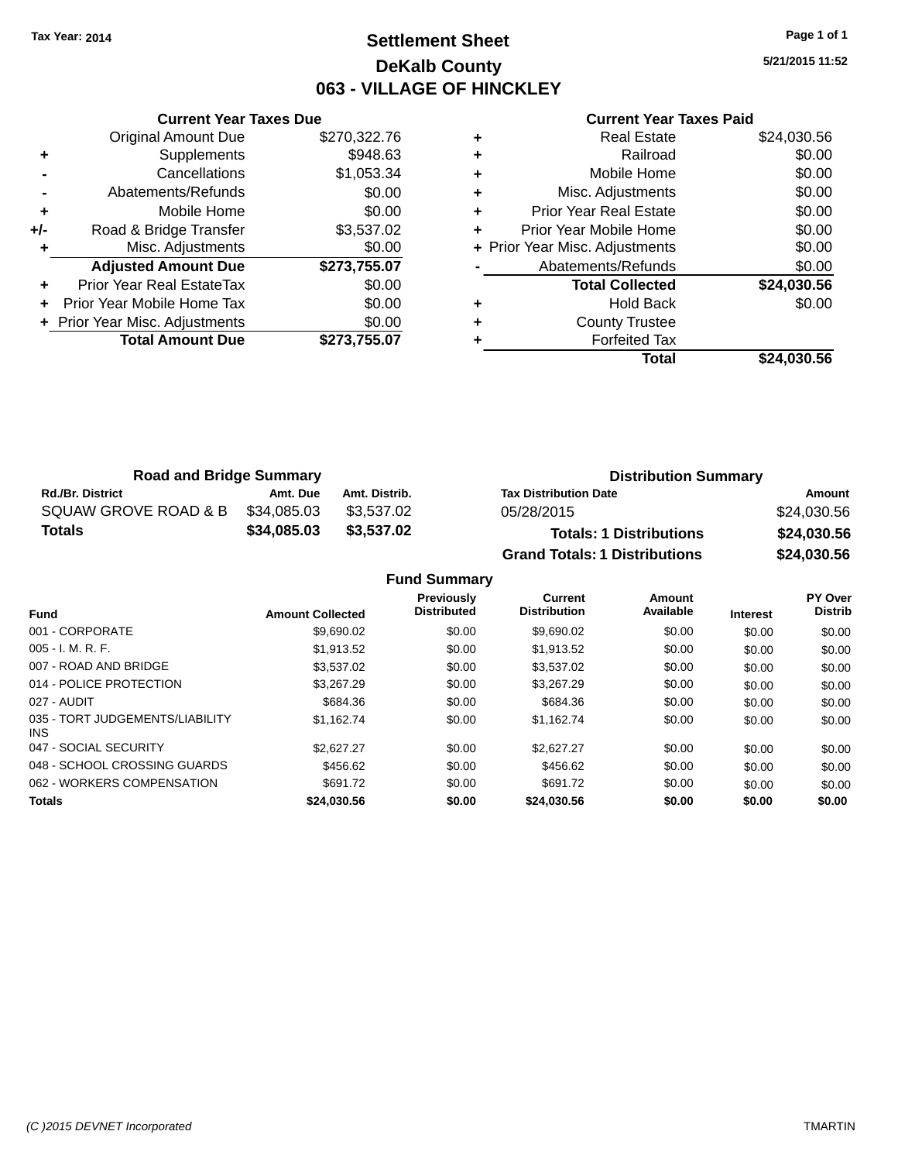# **Settlement Sheet Tax Year: 2014 Page 1 of 1 DeKalb County 063 - VILLAGE OF HINCKLEY**

**5/21/2015 11:52**

### **Current Year Taxes Paid**

|     | <b>Current Year Taxes Due</b>  |              |
|-----|--------------------------------|--------------|
|     | <b>Original Amount Due</b>     | \$270,322.76 |
| ٠   | Supplements                    | \$948.63     |
|     | Cancellations                  | \$1,053.34   |
|     | Abatements/Refunds             | \$0.00       |
| ٠   | Mobile Home                    | \$0.00       |
| +/- | Road & Bridge Transfer         | \$3,537.02   |
|     | Misc. Adjustments              | \$0.00       |
|     | <b>Adjusted Amount Due</b>     | \$273,755.07 |
|     | Prior Year Real EstateTax      | \$0.00       |
|     | Prior Year Mobile Home Tax     | \$0.00       |
|     | + Prior Year Misc. Adjustments | \$0.00       |
|     | <b>Total Amount Due</b>        | \$273.755.07 |
|     |                                |              |

|   | <b>Real Estate</b>             | \$24,030.56 |
|---|--------------------------------|-------------|
| ٠ | Railroad                       | \$0.00      |
| ٠ | Mobile Home                    | \$0.00      |
| ٠ | Misc. Adjustments              | \$0.00      |
| ٠ | <b>Prior Year Real Estate</b>  | \$0.00      |
| ٠ | Prior Year Mobile Home         | \$0.00      |
|   | + Prior Year Misc. Adjustments | \$0.00      |
|   | Abatements/Refunds             | \$0.00      |
|   | <b>Total Collected</b>         | \$24,030.56 |
| ٠ | <b>Hold Back</b>               | \$0.00      |
| ٠ | <b>County Trustee</b>          |             |
|   | <b>Forfeited Tax</b>           |             |
|   | Total                          | \$24.030.56 |

| <b>Road and Bridge Summary</b> |             |               | <b>Distribution Summary</b>          |             |  |  |
|--------------------------------|-------------|---------------|--------------------------------------|-------------|--|--|
| <b>Rd./Br. District</b>        | Amt. Due    | Amt. Distrib. | <b>Tax Distribution Date</b>         | Amount      |  |  |
| SQUAW GROVE ROAD & B           | \$34,085.03 | \$3.537.02    | 05/28/2015                           | \$24,030.56 |  |  |
| Totals                         | \$34,085.03 | \$3,537.02    | <b>Totals: 1 Distributions</b>       | \$24,030.56 |  |  |
|                                |             |               | <b>Grand Totals: 1 Distributions</b> | \$24,030.56 |  |  |

| <b>Fund</b>                             | <b>Amount Collected</b> | <b>Previously</b><br><b>Distributed</b> | Current<br><b>Distribution</b> | Amount<br>Available | <b>Interest</b> | PY Over<br><b>Distrib</b> |
|-----------------------------------------|-------------------------|-----------------------------------------|--------------------------------|---------------------|-----------------|---------------------------|
| 001 - CORPORATE                         | \$9,690.02              | \$0.00                                  | \$9,690.02                     | \$0.00              | \$0.00          | \$0.00                    |
| $005 - I. M. R. F.$                     | \$1.913.52              | \$0.00                                  | \$1,913.52                     | \$0.00              | \$0.00          | \$0.00                    |
| 007 - ROAD AND BRIDGE                   | \$3,537.02              | \$0.00                                  | \$3,537.02                     | \$0.00              | \$0.00          | \$0.00                    |
| 014 - POLICE PROTECTION                 | \$3,267.29              | \$0.00                                  | \$3.267.29                     | \$0.00              | \$0.00          | \$0.00                    |
| 027 - AUDIT                             | \$684.36                | \$0.00                                  | \$684.36                       | \$0.00              | \$0.00          | \$0.00                    |
| 035 - TORT JUDGEMENTS/LIABILITY<br>INS. | \$1.162.74              | \$0.00                                  | \$1.162.74                     | \$0.00              | \$0.00          | \$0.00                    |
| 047 - SOCIAL SECURITY                   | \$2,627.27              | \$0.00                                  | \$2,627.27                     | \$0.00              | \$0.00          | \$0.00                    |
| 048 - SCHOOL CROSSING GUARDS            | \$456.62                | \$0.00                                  | \$456.62                       | \$0.00              | \$0.00          | \$0.00                    |
| 062 - WORKERS COMPENSATION              | \$691.72                | \$0.00                                  | \$691.72                       | \$0.00              | \$0.00          | \$0.00                    |
| <b>Totals</b>                           | \$24,030.56             | \$0.00                                  | \$24,030.56                    | \$0.00              | \$0.00          | \$0.00                    |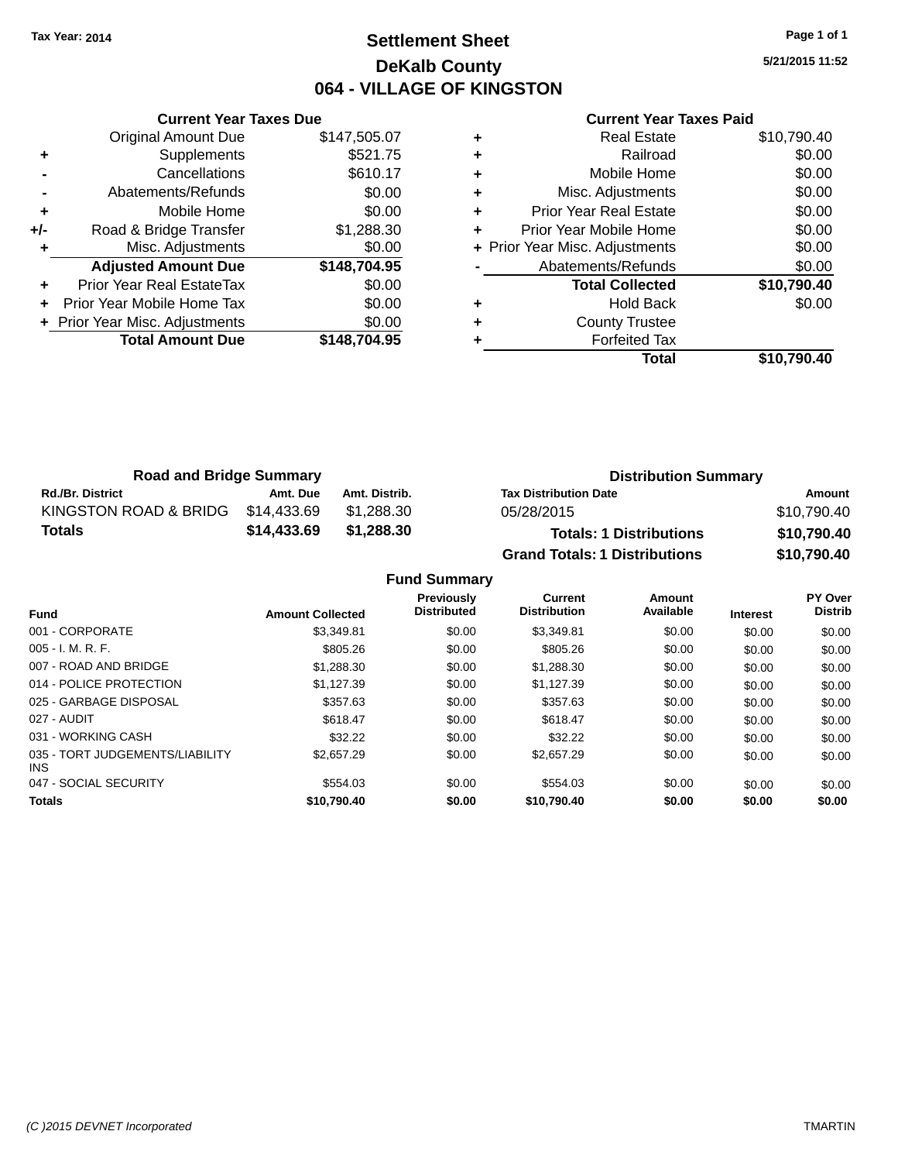# **Settlement Sheet Tax Year: 2014 Page 1 of 1 DeKalb County 064 - VILLAGE OF KINGSTON**

**5/21/2015 11:52**

## **Current Year Taxes Paid**

|       | <b>Current Year Taxes Due</b>  |              |
|-------|--------------------------------|--------------|
|       | <b>Original Amount Due</b>     | \$147,505.07 |
| ٠     | Supplements                    | \$521.75     |
|       | Cancellations                  | \$610.17     |
|       | Abatements/Refunds             | \$0.00       |
| ٠     | Mobile Home                    | \$0.00       |
| $+/-$ | Road & Bridge Transfer         | \$1,288.30   |
|       | Misc. Adjustments              | \$0.00       |
|       | <b>Adjusted Amount Due</b>     | \$148,704.95 |
| ٠     | Prior Year Real EstateTax      | \$0.00       |
|       | Prior Year Mobile Home Tax     | \$0.00       |
|       | + Prior Year Misc. Adjustments | \$0.00       |
|       | <b>Total Amount Due</b>        | \$148,704.95 |
|       |                                |              |

|   | <b>Real Estate</b>             | \$10,790.40 |
|---|--------------------------------|-------------|
| ٠ | Railroad                       | \$0.00      |
| ٠ | Mobile Home                    | \$0.00      |
| ٠ | Misc. Adjustments              | \$0.00      |
| ٠ | <b>Prior Year Real Estate</b>  | \$0.00      |
| ٠ | Prior Year Mobile Home         | \$0.00      |
|   | + Prior Year Misc. Adjustments | \$0.00      |
|   | Abatements/Refunds             | \$0.00      |
|   | <b>Total Collected</b>         | \$10,790.40 |
| ٠ | <b>Hold Back</b>               | \$0.00      |
| ٠ | <b>County Trustee</b>          |             |
|   | <b>Forfeited Tax</b>           |             |
|   | Total                          | \$10,790.40 |

| <b>Road and Bridge Summary</b> |             |               | <b>Distribution Summary</b>          |             |  |  |
|--------------------------------|-------------|---------------|--------------------------------------|-------------|--|--|
| <b>Rd./Br. District</b>        | Amt. Due    | Amt. Distrib. | <b>Tax Distribution Date</b>         | Amount      |  |  |
| KINGSTON ROAD & BRIDG          | \$14.433.69 | \$1,288.30    | 05/28/2015                           | \$10.790.40 |  |  |
| Totals                         | \$14,433.69 | \$1,288.30    | <b>Totals: 1 Distributions</b>       | \$10,790.40 |  |  |
|                                |             |               | <b>Grand Totals: 1 Distributions</b> | \$10,790.40 |  |  |

| <b>Amount Collected</b> | <b>Previously</b><br><b>Distributed</b> | Current<br><b>Distribution</b> | Amount<br>Available | <b>Interest</b> | <b>PY Over</b><br><b>Distrib</b> |
|-------------------------|-----------------------------------------|--------------------------------|---------------------|-----------------|----------------------------------|
| \$3.349.81              | \$0.00                                  | \$3.349.81                     | \$0.00              | \$0.00          | \$0.00                           |
| \$805.26                | \$0.00                                  | \$805.26                       | \$0.00              | \$0.00          | \$0.00                           |
| \$1,288.30              | \$0.00                                  | \$1,288.30                     | \$0.00              | \$0.00          | \$0.00                           |
| \$1.127.39              | \$0.00                                  | \$1,127.39                     | \$0.00              | \$0.00          | \$0.00                           |
| \$357.63                | \$0.00                                  | \$357.63                       | \$0.00              | \$0.00          | \$0.00                           |
| \$618.47                | \$0.00                                  | \$618.47                       | \$0.00              | \$0.00          | \$0.00                           |
| \$32.22                 | \$0.00                                  | \$32.22                        | \$0.00              | \$0.00          | \$0.00                           |
| \$2,657.29              | \$0.00                                  | \$2,657.29                     | \$0.00              | \$0.00          | \$0.00                           |
| \$554.03                | \$0.00                                  | \$554.03                       | \$0.00              | \$0.00          | \$0.00                           |
| \$10,790.40             | \$0.00                                  | \$10,790.40                    | \$0.00              | \$0.00          | \$0.00                           |
|                         |                                         |                                |                     |                 |                                  |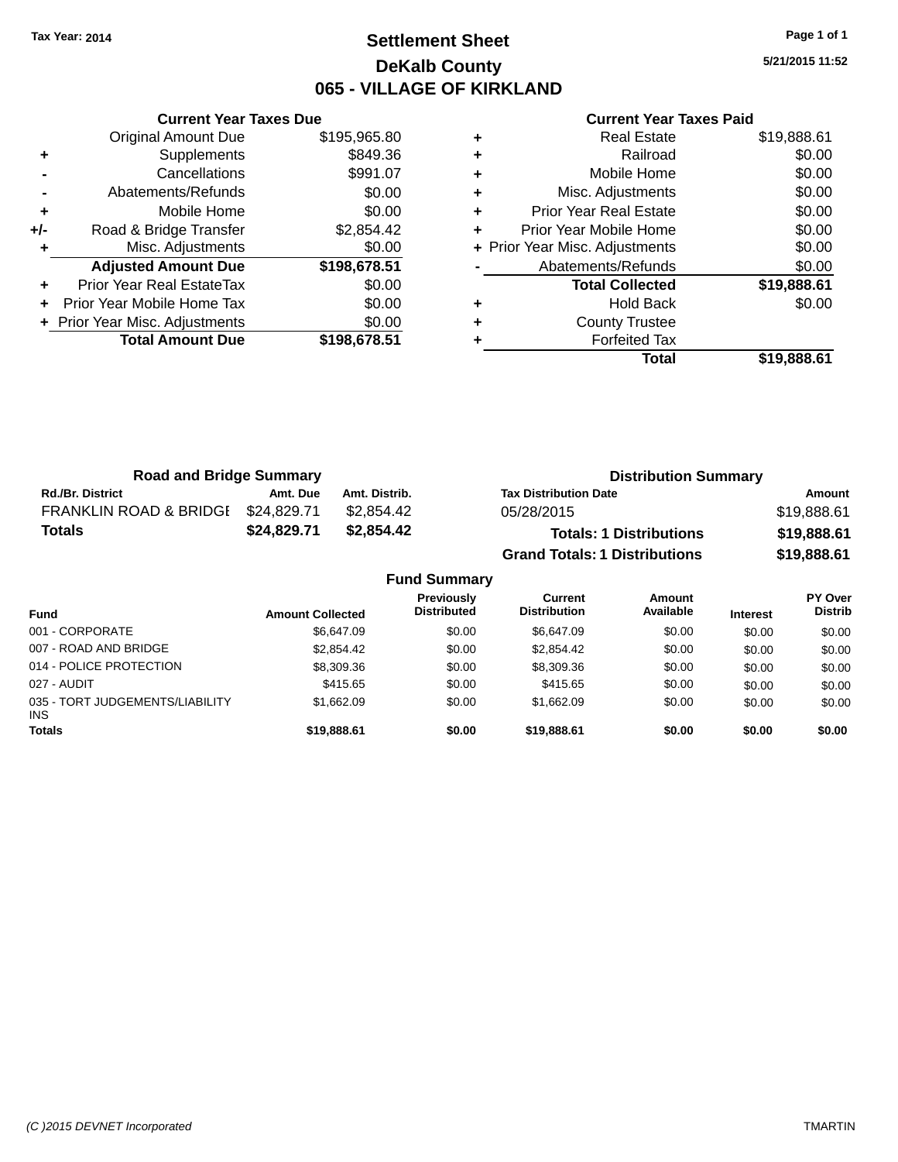# **Settlement Sheet Tax Year: 2014 Page 1 of 1 DeKalb County 065 - VILLAGE OF KIRKLAND**

**5/21/2015 11:52**

| \$195,965.80 |
|--------------|
|              |
| \$849.36     |
| \$991.07     |
| \$0.00       |
| \$0.00       |
| \$2,854.42   |
| \$0.00       |
| \$198,678.51 |
| \$0.00       |
| \$0.00       |
| \$0.00       |
| \$198,678.51 |
|              |

|   | <b>Real Estate</b>             | \$19,888.61 |
|---|--------------------------------|-------------|
| ٠ | Railroad                       | \$0.00      |
| ٠ | Mobile Home                    | \$0.00      |
| ٠ | Misc. Adjustments              | \$0.00      |
| ٠ | <b>Prior Year Real Estate</b>  | \$0.00      |
| ÷ | Prior Year Mobile Home         | \$0.00      |
|   | + Prior Year Misc. Adjustments | \$0.00      |
|   | Abatements/Refunds             | \$0.00      |
|   | <b>Total Collected</b>         | \$19,888.61 |
| ٠ | Hold Back                      | \$0.00      |
| ٠ | <b>County Trustee</b>          |             |
| ٠ | <b>Forfeited Tax</b>           |             |
|   | Total                          | \$19,888.61 |
|   |                                |             |

| <b>Road and Bridge Summary</b>    |             |               | <b>Distribution Summary</b>          |             |  |  |
|-----------------------------------|-------------|---------------|--------------------------------------|-------------|--|--|
| <b>Rd./Br. District</b>           | Amt. Due    | Amt. Distrib. | <b>Tax Distribution Date</b>         | Amount      |  |  |
| <b>FRANKLIN ROAD &amp; BRIDGE</b> | \$24,829.71 | \$2,854.42    | 05/28/2015                           | \$19,888.61 |  |  |
| <b>Totals</b>                     | \$24,829.71 | \$2.854.42    | <b>Totals: 1 Distributions</b>       | \$19,888.61 |  |  |
|                                   |             |               | <b>Grand Totals: 1 Distributions</b> | \$19,888.61 |  |  |

| <b>Fund Summary</b>                     |                         |                                         |                                |                     |                 |                           |  |
|-----------------------------------------|-------------------------|-----------------------------------------|--------------------------------|---------------------|-----------------|---------------------------|--|
| <b>Fund</b>                             | <b>Amount Collected</b> | <b>Previously</b><br><b>Distributed</b> | Current<br><b>Distribution</b> | Amount<br>Available | <b>Interest</b> | PY Over<br><b>Distrib</b> |  |
| 001 - CORPORATE                         | \$6,647.09              | \$0.00                                  | \$6,647.09                     | \$0.00              | \$0.00          | \$0.00                    |  |
| 007 - ROAD AND BRIDGE                   | \$2,854.42              | \$0.00                                  | \$2,854.42                     | \$0.00              | \$0.00          | \$0.00                    |  |
| 014 - POLICE PROTECTION                 | \$8,309.36              | \$0.00                                  | \$8,309.36                     | \$0.00              | \$0.00          | \$0.00                    |  |
| 027 - AUDIT                             | \$415.65                | \$0.00                                  | \$415.65                       | \$0.00              | \$0.00          | \$0.00                    |  |
| 035 - TORT JUDGEMENTS/LIABILITY<br>INS. | \$1,662.09              | \$0.00                                  | \$1,662.09                     | \$0.00              | \$0.00          | \$0.00                    |  |
| <b>Totals</b>                           | \$19,888.61             | \$0.00                                  | \$19,888.61                    | \$0.00              | \$0.00          | \$0.00                    |  |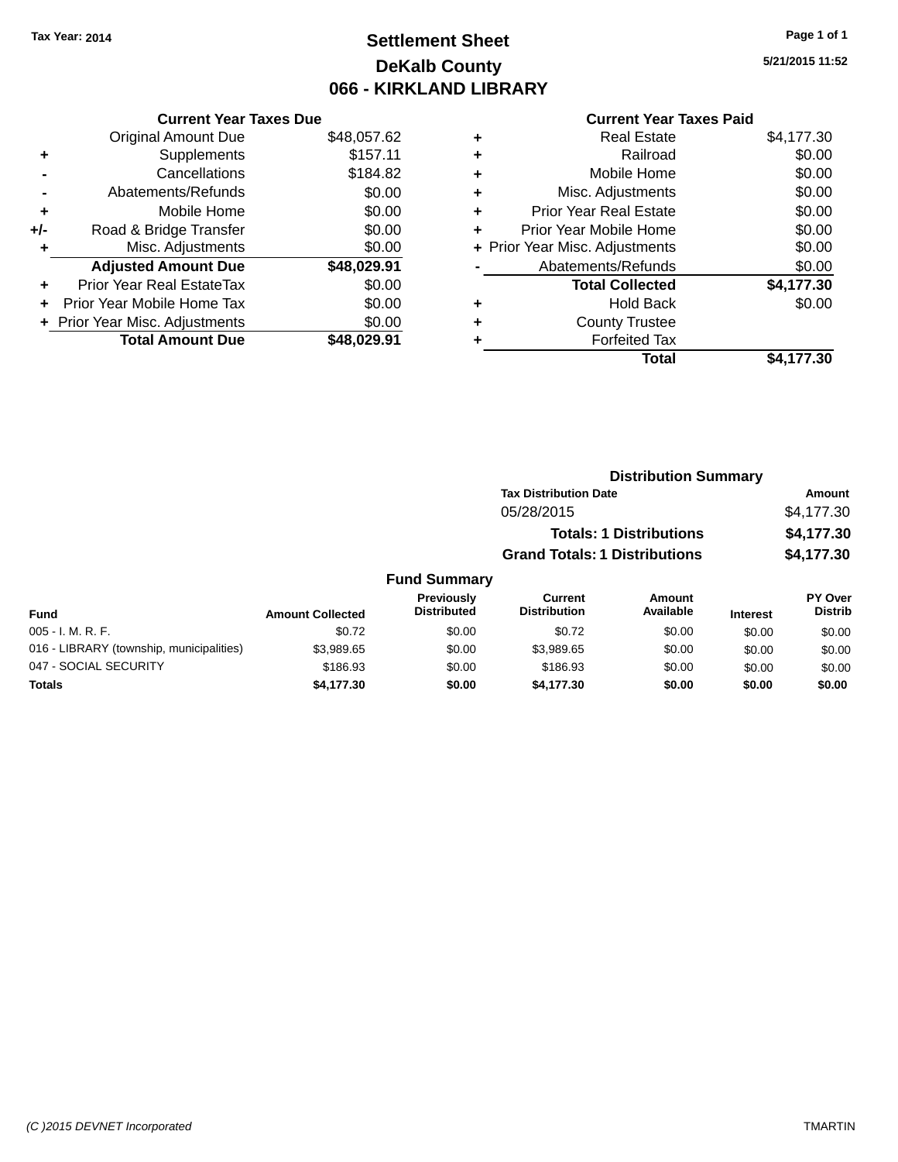# **Settlement Sheet Tax Year: 2014 Page 1 of 1 DeKalb County 066 - KIRKLAND LIBRARY**

**5/21/2015 11:52**

| <b>Current Year Taxes Due</b>    |             |  |  |  |  |
|----------------------------------|-------------|--|--|--|--|
| <b>Original Amount Due</b>       | \$48,057.62 |  |  |  |  |
| Supplements                      | \$157.11    |  |  |  |  |
| Cancellations                    | \$184.82    |  |  |  |  |
| Abatements/Refunds               | \$0.00      |  |  |  |  |
| Mobile Home                      | \$0.00      |  |  |  |  |
| Road & Bridge Transfer           | \$0.00      |  |  |  |  |
| Misc. Adjustments                | \$0.00      |  |  |  |  |
| <b>Adjusted Amount Due</b>       | \$48,029.91 |  |  |  |  |
| <b>Prior Year Real EstateTax</b> | \$0.00      |  |  |  |  |
| Prior Year Mobile Home Tax       | \$0.00      |  |  |  |  |
| + Prior Year Misc. Adjustments   | \$0.00      |  |  |  |  |
| <b>Total Amount Due</b>          | \$48.029.91 |  |  |  |  |
|                                  |             |  |  |  |  |

| ٠ | <b>Real Estate</b>             | \$4,177.30 |
|---|--------------------------------|------------|
| ٠ | Railroad                       | \$0.00     |
| ٠ | Mobile Home                    | \$0.00     |
| ٠ | Misc. Adjustments              | \$0.00     |
| ٠ | <b>Prior Year Real Estate</b>  | \$0.00     |
| ٠ | Prior Year Mobile Home         | \$0.00     |
|   | + Prior Year Misc. Adjustments | \$0.00     |
|   | Abatements/Refunds             | \$0.00     |
|   | <b>Total Collected</b>         | \$4,177.30 |
| ٠ | <b>Hold Back</b>               | \$0.00     |
| ٠ | <b>County Trustee</b>          |            |
| ٠ | <b>Forfeited Tax</b>           |            |
|   | <b>Total</b>                   | \$4,177.30 |
|   |                                |            |

|                     |                                      | <b>Distribution Summary</b>    |                |
|---------------------|--------------------------------------|--------------------------------|----------------|
|                     | <b>Tax Distribution Date</b>         |                                | Amount         |
|                     | 05/28/2015                           |                                | \$4,177.30     |
|                     |                                      | <b>Totals: 1 Distributions</b> | \$4,177.30     |
|                     | <b>Grand Totals: 1 Distributions</b> | \$4,177.30                     |                |
| <b>Fund Summary</b> |                                      |                                |                |
| <b>Previously</b>   | Current                              | Amount                         | <b>PY Over</b> |

| Fund                                     | <b>Amount Collected</b> | Previously<br><b>Distributed</b> | Current<br><b>Distribution</b> | Amount<br>Available | <b>Interest</b> | PY Over<br><b>Distrib</b> |
|------------------------------------------|-------------------------|----------------------------------|--------------------------------|---------------------|-----------------|---------------------------|
| $005 - I. M. R. F.$                      | \$0.72                  | \$0.00                           | \$0.72                         | \$0.00              | \$0.00          | \$0.00                    |
| 016 - LIBRARY (township, municipalities) | \$3.989.65              | \$0.00                           | \$3.989.65                     | \$0.00              | \$0.00          | \$0.00                    |
| 047 - SOCIAL SECURITY                    | \$186.93                | \$0.00                           | \$186.93                       | \$0.00              | \$0.00          | \$0.00                    |
| <b>Totals</b>                            | \$4,177,30              | \$0.00                           | \$4.177.30                     | \$0.00              | \$0.00          | \$0.00                    |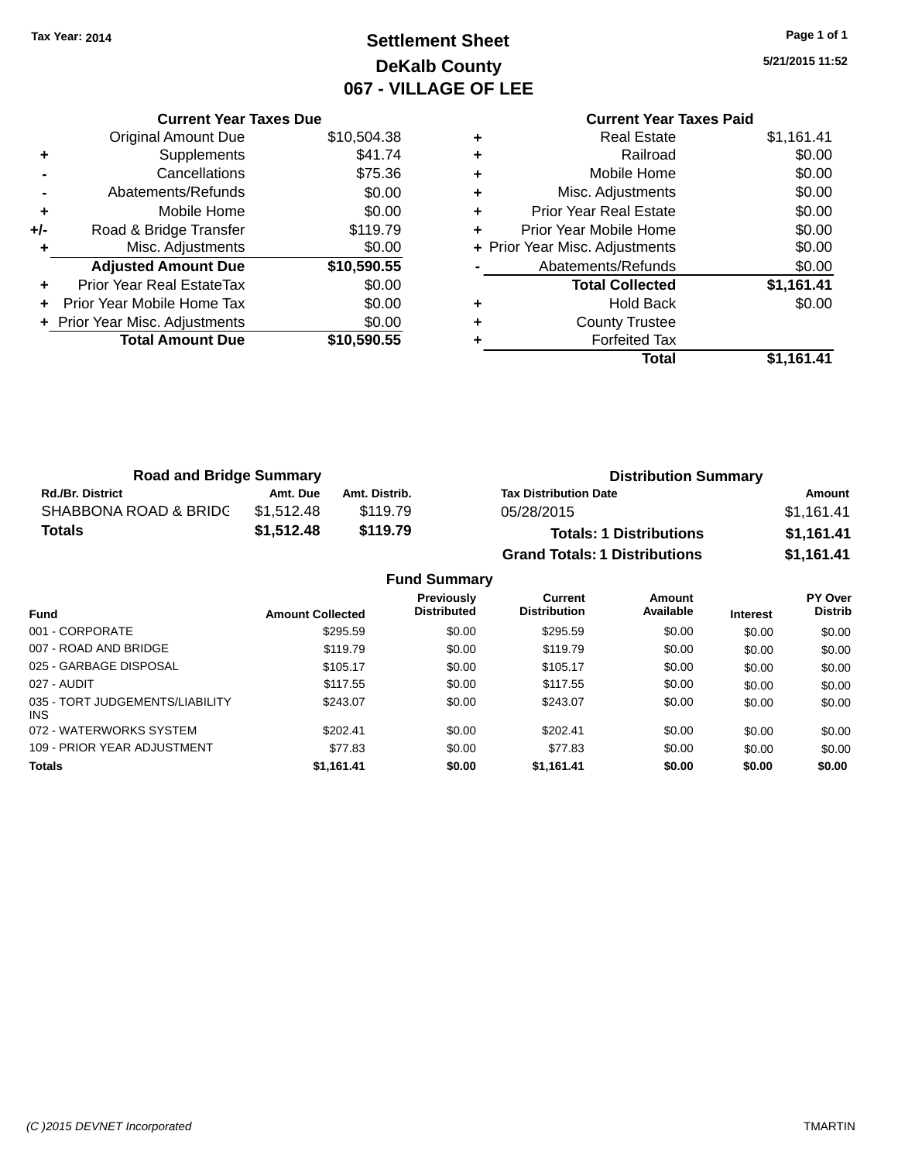# **Settlement Sheet Tax Year: 2014 Page 1 of 1 DeKalb County 067 - VILLAGE OF LEE**

**5/21/2015 11:52**

|     | <b>Current Year Taxes Due</b>  |             |
|-----|--------------------------------|-------------|
|     | <b>Original Amount Due</b>     | \$10,504.38 |
|     | Supplements                    | \$41.74     |
|     | Cancellations                  | \$75.36     |
|     | Abatements/Refunds             | \$0.00      |
| ٠   | Mobile Home                    | \$0.00      |
| +/- | Road & Bridge Transfer         | \$119.79    |
|     | Misc. Adjustments              | \$0.00      |
|     | <b>Adjusted Amount Due</b>     | \$10,590.55 |
| ٠   | Prior Year Real EstateTax      | \$0.00      |
|     | Prior Year Mobile Home Tax     | \$0.00      |
|     | + Prior Year Misc. Adjustments | \$0.00      |
|     | <b>Total Amount Due</b>        | \$10,590.55 |
|     |                                |             |

## **Current Year Taxes Paid +** Real Estate \$1,161.41 **+** Railroad \$0.00 **+** Mobile Home \$0.00

|   | Total                          | \$1,161.41 |
|---|--------------------------------|------------|
|   | <b>Forfeited Tax</b>           |            |
| ÷ | <b>County Trustee</b>          |            |
| ٠ | <b>Hold Back</b>               | \$0.00     |
|   | <b>Total Collected</b>         | \$1,161.41 |
|   | Abatements/Refunds             | \$0.00     |
|   | + Prior Year Misc. Adjustments | \$0.00     |
|   | Prior Year Mobile Home         | \$0.00     |
| ÷ | <b>Prior Year Real Estate</b>  | \$0.00     |
|   | Misc. Adjustments              | \$0.00     |

| <b>Road and Bridge Summary</b> |            |               | <b>Distribution Summary</b>          |            |
|--------------------------------|------------|---------------|--------------------------------------|------------|
| <b>Rd./Br. District</b>        | Amt. Due   | Amt. Distrib. | <b>Tax Distribution Date</b>         | Amount     |
| SHABBONA ROAD & BRIDG          | \$1.512.48 | \$119.79      | 05/28/2015                           | \$1.161.41 |
| <b>Totals</b>                  | \$1.512.48 | \$119.79      | <b>Totals: 1 Distributions</b>       | \$1.161.41 |
|                                |            |               | <b>Grand Totals: 1 Distributions</b> | \$1,161.41 |

|                                         | <b>Fund Summary</b>     |                                         |                                |                     |                 |                                  |
|-----------------------------------------|-------------------------|-----------------------------------------|--------------------------------|---------------------|-----------------|----------------------------------|
| <b>Fund</b>                             | <b>Amount Collected</b> | <b>Previously</b><br><b>Distributed</b> | Current<br><b>Distribution</b> | Amount<br>Available | <b>Interest</b> | <b>PY Over</b><br><b>Distrib</b> |
| 001 - CORPORATE                         | \$295.59                | \$0.00                                  | \$295.59                       | \$0.00              | \$0.00          | \$0.00                           |
| 007 - ROAD AND BRIDGE                   | \$119.79                | \$0.00                                  | \$119.79                       | \$0.00              | \$0.00          | \$0.00                           |
| 025 - GARBAGE DISPOSAL                  | \$105.17                | \$0.00                                  | \$105.17                       | \$0.00              | \$0.00          | \$0.00                           |
| 027 - AUDIT                             | \$117.55                | \$0.00                                  | \$117.55                       | \$0.00              | \$0.00          | \$0.00                           |
| 035 - TORT JUDGEMENTS/LIABILITY<br>INS. | \$243.07                | \$0.00                                  | \$243.07                       | \$0.00              | \$0.00          | \$0.00                           |
| 072 - WATERWORKS SYSTEM                 | \$202.41                | \$0.00                                  | \$202.41                       | \$0.00              | \$0.00          | \$0.00                           |
| 109 - PRIOR YEAR ADJUSTMENT             | \$77.83                 | \$0.00                                  | \$77.83                        | \$0.00              | \$0.00          | \$0.00                           |
| <b>Totals</b>                           | \$1,161.41              | \$0.00                                  | \$1.161.41                     | \$0.00              | \$0.00          | \$0.00                           |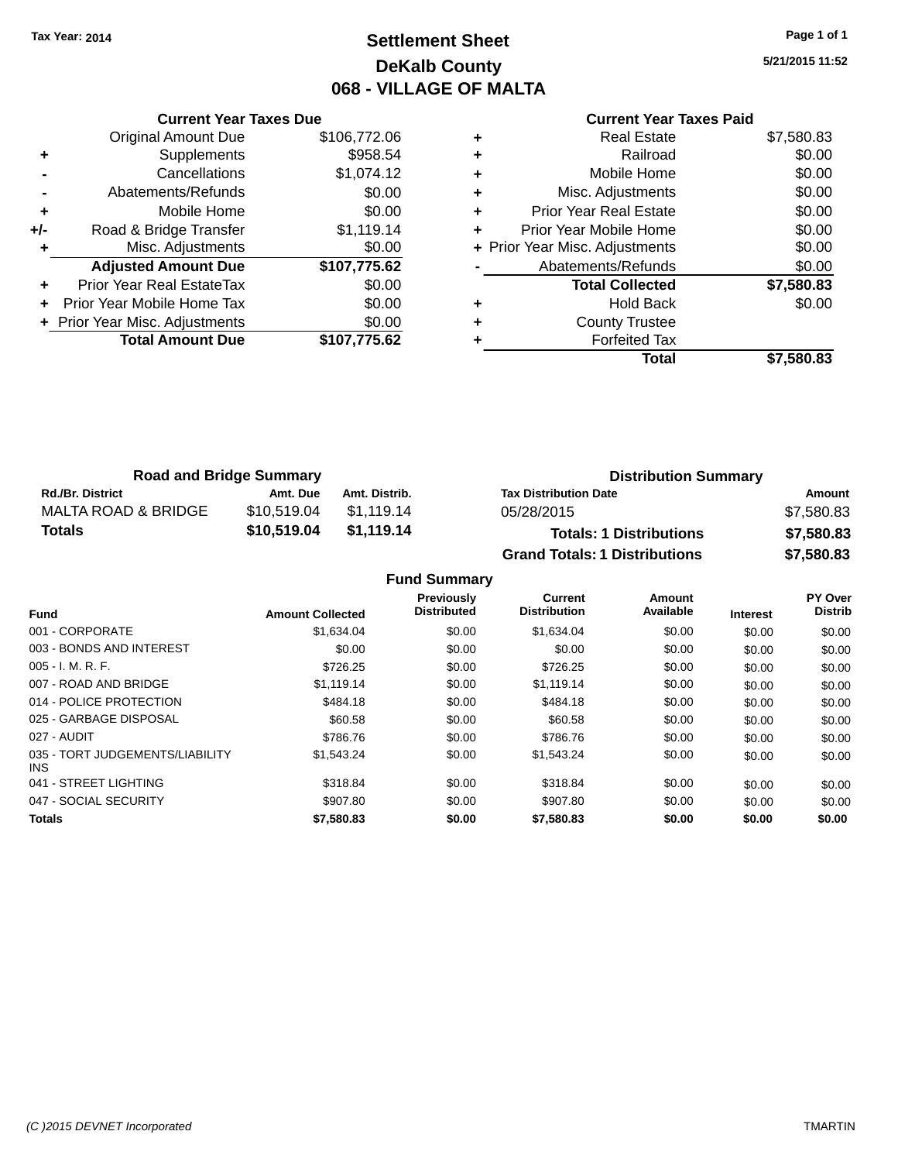**Current Year Taxes Due** Original Amount Due \$106,772.06

**Adjusted Amount Due \$107,775.62**

**Total Amount Due \$107,775.62**

**+** Supplements \$958.54 **-** Cancellations \$1,074.12 **-** Abatements/Refunds \$0.00 **+** Mobile Home \$0.00 **+/-** Road & Bridge Transfer \$1,119.14 **+** Misc. Adjustments \$0.00

**+** Prior Year Real EstateTax \$0.00 **+** Prior Year Mobile Home Tax \$0.00 **+ Prior Year Misc. Adjustments**  $$0.00$ 

# **Settlement Sheet Tax Year: 2014 Page 1 of 1 DeKalb County 068 - VILLAGE OF MALTA**

**5/21/2015 11:52**

## **Current Year Taxes Paid +** Real Estate \$7,580.83 **+** Railroad \$0.00 **+** Mobile Home \$0.00 **+** Misc. Adjustments \$0.00 **+** Prior Year Real Estate \$0.00

|   | Total                          | \$7,580.83 |
|---|--------------------------------|------------|
| ÷ | <b>Forfeited Tax</b>           |            |
| ٠ | <b>County Trustee</b>          |            |
| ٠ | <b>Hold Back</b>               | \$0.00     |
|   | <b>Total Collected</b>         | \$7,580.83 |
|   | Abatements/Refunds             | \$0.00     |
|   | + Prior Year Misc. Adjustments | \$0.00     |
|   | Prior Year Mobile Home         | \$0.00     |

| <b>Road and Bridge Summary</b> |             | <b>Distribution Summary</b> |                                      |            |
|--------------------------------|-------------|-----------------------------|--------------------------------------|------------|
| <b>Rd./Br. District</b>        | Amt. Due    | Amt. Distrib.               | <b>Tax Distribution Date</b>         | Amount     |
| MALTA ROAD & BRIDGE            | \$10.519.04 | \$1.119.14                  | 05/28/2015                           | \$7,580.83 |
| <b>Totals</b>                  | \$10,519.04 | \$1.119.14                  | <b>Totals: 1 Distributions</b>       | \$7,580.83 |
|                                |             |                             | <b>Grand Totals: 1 Distributions</b> | \$7,580.83 |

| <b>Fund</b>                             | <b>Amount Collected</b> | Previously<br><b>Distributed</b> | Current<br><b>Distribution</b> | Amount<br>Available | <b>Interest</b> | PY Over<br><b>Distrib</b> |
|-----------------------------------------|-------------------------|----------------------------------|--------------------------------|---------------------|-----------------|---------------------------|
| 001 - CORPORATE                         | \$1,634.04              | \$0.00                           | \$1,634.04                     | \$0.00              | \$0.00          | \$0.00                    |
| 003 - BONDS AND INTEREST                | \$0.00                  | \$0.00                           | \$0.00                         | \$0.00              | \$0.00          | \$0.00                    |
| $005 - I. M. R. F.$                     | \$726.25                | \$0.00                           | \$726.25                       | \$0.00              | \$0.00          | \$0.00                    |
| 007 - ROAD AND BRIDGE                   | \$1.119.14              | \$0.00                           | \$1,119.14                     | \$0.00              | \$0.00          | \$0.00                    |
| 014 - POLICE PROTECTION                 | \$484.18                | \$0.00                           | \$484.18                       | \$0.00              | \$0.00          | \$0.00                    |
| 025 - GARBAGE DISPOSAL                  | \$60.58                 | \$0.00                           | \$60.58                        | \$0.00              | \$0.00          | \$0.00                    |
| 027 - AUDIT                             | \$786.76                | \$0.00                           | \$786.76                       | \$0.00              | \$0.00          | \$0.00                    |
| 035 - TORT JUDGEMENTS/LIABILITY<br>INS. | \$1,543.24              | \$0.00                           | \$1,543.24                     | \$0.00              | \$0.00          | \$0.00                    |
| 041 - STREET LIGHTING                   | \$318.84                | \$0.00                           | \$318.84                       | \$0.00              | \$0.00          | \$0.00                    |
| 047 - SOCIAL SECURITY                   | \$907.80                | \$0.00                           | \$907.80                       | \$0.00              | \$0.00          | \$0.00                    |
| <b>Totals</b>                           | \$7,580.83              | \$0.00                           | \$7,580.83                     | \$0.00              | \$0.00          | \$0.00                    |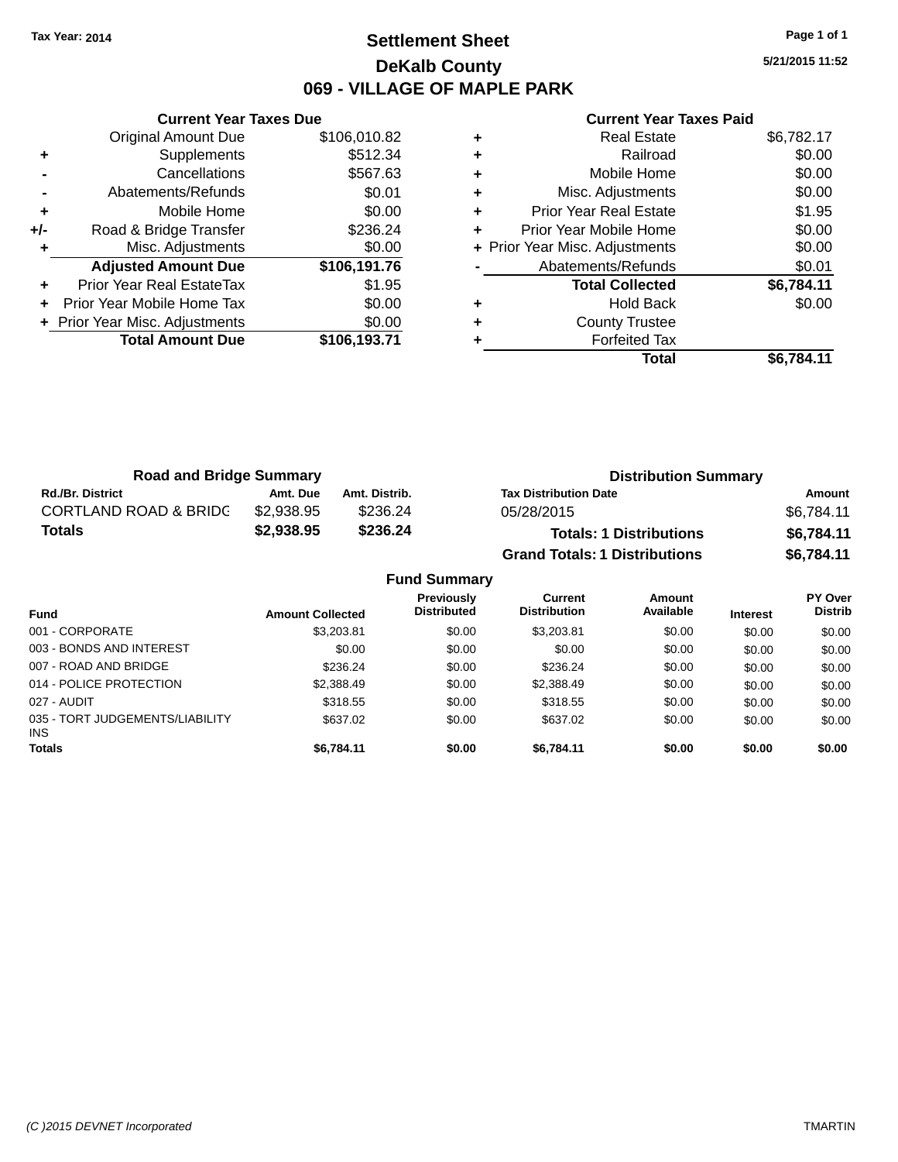# **Settlement Sheet Tax Year: 2014 Page 1 of 1 DeKalb County 069 - VILLAGE OF MAPLE PARK**

**5/21/2015 11:52**

|     | <b>Current Year Taxes Due</b>              |              |  |  |  |  |  |
|-----|--------------------------------------------|--------------|--|--|--|--|--|
|     | <b>Original Amount Due</b><br>\$106,010.82 |              |  |  |  |  |  |
| ٠   | Supplements                                | \$512.34     |  |  |  |  |  |
|     | Cancellations                              | \$567.63     |  |  |  |  |  |
|     | Abatements/Refunds                         | \$0.01       |  |  |  |  |  |
| ٠   | Mobile Home                                | \$0.00       |  |  |  |  |  |
| +/- | Road & Bridge Transfer                     | \$236.24     |  |  |  |  |  |
|     | Misc. Adjustments                          | \$0.00       |  |  |  |  |  |
|     | <b>Adjusted Amount Due</b>                 | \$106,191.76 |  |  |  |  |  |
| ٠   | Prior Year Real EstateTax                  | \$1.95       |  |  |  |  |  |
|     | \$0.00<br>Prior Year Mobile Home Tax       |              |  |  |  |  |  |
|     | + Prior Year Misc. Adjustments             | \$0.00       |  |  |  |  |  |
|     | <b>Total Amount Due</b>                    | \$106,193.71 |  |  |  |  |  |
|     |                                            |              |  |  |  |  |  |

| ٠ | <b>Real Estate</b>             | \$6,782.17 |
|---|--------------------------------|------------|
| ٠ | Railroad                       | \$0.00     |
| ٠ | Mobile Home                    | \$0.00     |
| ٠ | Misc. Adjustments              | \$0.00     |
| ٠ | <b>Prior Year Real Estate</b>  | \$1.95     |
| ٠ | Prior Year Mobile Home         | \$0.00     |
|   | + Prior Year Misc. Adjustments | \$0.00     |
|   | Abatements/Refunds             | \$0.01     |
|   | <b>Total Collected</b>         | \$6,784.11 |
| ٠ | <b>Hold Back</b>               | \$0.00     |
| ٠ | <b>County Trustee</b>          |            |
|   | <b>Forfeited Tax</b>           |            |
|   | Total                          | \$6.784.11 |

| <b>Road and Bridge Summary</b>   |            |               | <b>Distribution Summary</b>          |            |  |
|----------------------------------|------------|---------------|--------------------------------------|------------|--|
| <b>Rd./Br. District</b>          | Amt. Due   | Amt. Distrib. | <b>Tax Distribution Date</b>         | Amount     |  |
| <b>CORTLAND ROAD &amp; BRIDC</b> | \$2.938.95 | \$236.24      | 05/28/2015                           | \$6,784.11 |  |
| <b>Totals</b>                    | \$2,938.95 | \$236.24      | <b>Totals: 1 Distributions</b>       | \$6,784.11 |  |
|                                  |            |               | <b>Grand Totals: 1 Distributions</b> | \$6,784.11 |  |

|                                         |                         | <b>Fund Summary</b>                     |                                       |                     |                 |                    |
|-----------------------------------------|-------------------------|-----------------------------------------|---------------------------------------|---------------------|-----------------|--------------------|
| <b>Fund</b>                             | <b>Amount Collected</b> | <b>Previously</b><br><b>Distributed</b> | <b>Current</b><br><b>Distribution</b> | Amount<br>Available | <b>Interest</b> | PY Over<br>Distrib |
| 001 - CORPORATE                         | \$3,203.81              | \$0.00                                  | \$3,203.81                            | \$0.00              | \$0.00          | \$0.00             |
| 003 - BONDS AND INTEREST                | \$0.00                  | \$0.00                                  | \$0.00                                | \$0.00              | \$0.00          | \$0.00             |
| 007 - ROAD AND BRIDGE                   | \$236.24                | \$0.00                                  | \$236.24                              | \$0.00              | \$0.00          | \$0.00             |
| 014 - POLICE PROTECTION                 | \$2,388.49              | \$0.00                                  | \$2,388.49                            | \$0.00              | \$0.00          | \$0.00             |
| 027 - AUDIT                             | \$318.55                | \$0.00                                  | \$318.55                              | \$0.00              | \$0.00          | \$0.00             |
| 035 - TORT JUDGEMENTS/LIABILITY<br>INS. | \$637.02                | \$0.00                                  | \$637.02                              | \$0.00              | \$0.00          | \$0.00             |
| <b>Totals</b>                           | \$6,784.11              | \$0.00                                  | \$6,784.11                            | \$0.00              | \$0.00          | \$0.00             |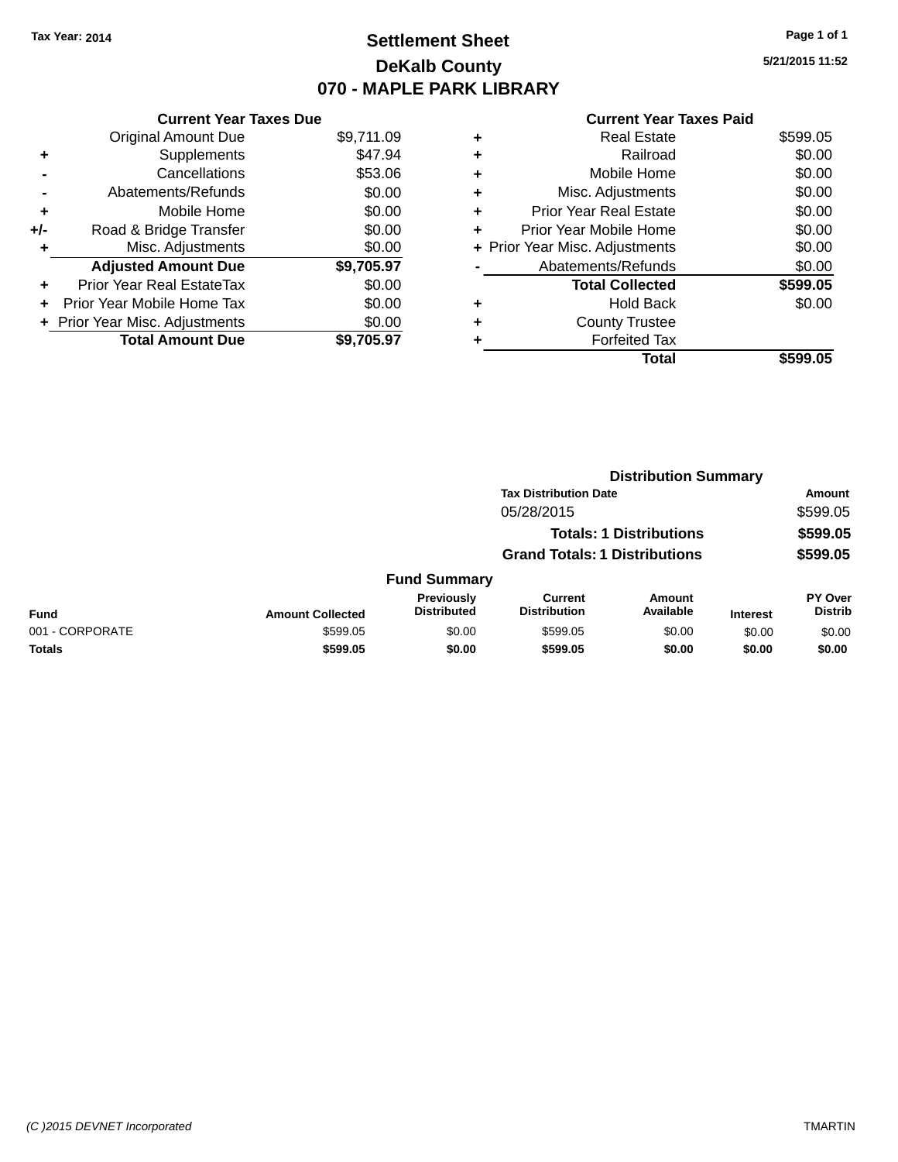# **Settlement Sheet Tax Year: 2014 Page 1 of 1 DeKalb County 070 - MAPLE PARK LIBRARY**

**5/21/2015 11:52**

|     | <b>Current Year Taxes Due</b>  |            |
|-----|--------------------------------|------------|
|     | <b>Original Amount Due</b>     | \$9,711.09 |
| ٠   | Supplements                    | \$47.94    |
|     | Cancellations                  | \$53.06    |
|     | Abatements/Refunds             | \$0.00     |
| ٠   | Mobile Home                    | \$0.00     |
| +/- | Road & Bridge Transfer         | \$0.00     |
|     | Misc. Adjustments              | \$0.00     |
|     | <b>Adjusted Amount Due</b>     | \$9,705.97 |
| ÷   | Prior Year Real EstateTax      | \$0.00     |
| ÷   | Prior Year Mobile Home Tax     | \$0.00     |
|     | + Prior Year Misc. Adjustments | \$0.00     |
|     | <b>Total Amount Due</b>        | \$9.705.97 |

| ٠ | <b>Real Estate</b>             | \$599.05 |
|---|--------------------------------|----------|
| ٠ | Railroad                       | \$0.00   |
| ٠ | Mobile Home                    | \$0.00   |
| ٠ | Misc. Adjustments              | \$0.00   |
| ٠ | <b>Prior Year Real Estate</b>  | \$0.00   |
| ٠ | Prior Year Mobile Home         | \$0.00   |
|   | + Prior Year Misc. Adjustments | \$0.00   |
|   | Abatements/Refunds             | \$0.00   |
|   | <b>Total Collected</b>         | \$599.05 |
| ٠ | Hold Back                      | \$0.00   |
| ٠ | <b>County Trustee</b>          |          |
|   | <b>Forfeited Tax</b>           |          |
|   | Total                          | \$599.05 |
|   |                                |          |

|                 |                         | <b>Distribution Summary</b>             |                                       |                                |                 |                                  |  |
|-----------------|-------------------------|-----------------------------------------|---------------------------------------|--------------------------------|-----------------|----------------------------------|--|
|                 |                         |                                         | <b>Tax Distribution Date</b>          |                                |                 | <b>Amount</b>                    |  |
|                 |                         |                                         | 05/28/2015                            |                                |                 | \$599.05                         |  |
|                 |                         |                                         |                                       | <b>Totals: 1 Distributions</b> |                 | \$599.05                         |  |
|                 |                         |                                         | <b>Grand Totals: 1 Distributions</b>  |                                |                 | \$599.05                         |  |
|                 |                         | <b>Fund Summary</b>                     |                                       |                                |                 |                                  |  |
| <b>Fund</b>     | <b>Amount Collected</b> | <b>Previously</b><br><b>Distributed</b> | <b>Current</b><br><b>Distribution</b> | Amount<br>Available            | <b>Interest</b> | <b>PY Over</b><br><b>Distrib</b> |  |
| 001 - CORPORATE | \$599.05                | \$0.00                                  | \$599.05                              | \$0.00                         | \$0.00          | \$0.00                           |  |
| <b>Totals</b>   | \$599.05                | \$0.00                                  | \$599.05                              | \$0.00                         | \$0.00          | \$0.00                           |  |
|                 |                         |                                         |                                       |                                |                 |                                  |  |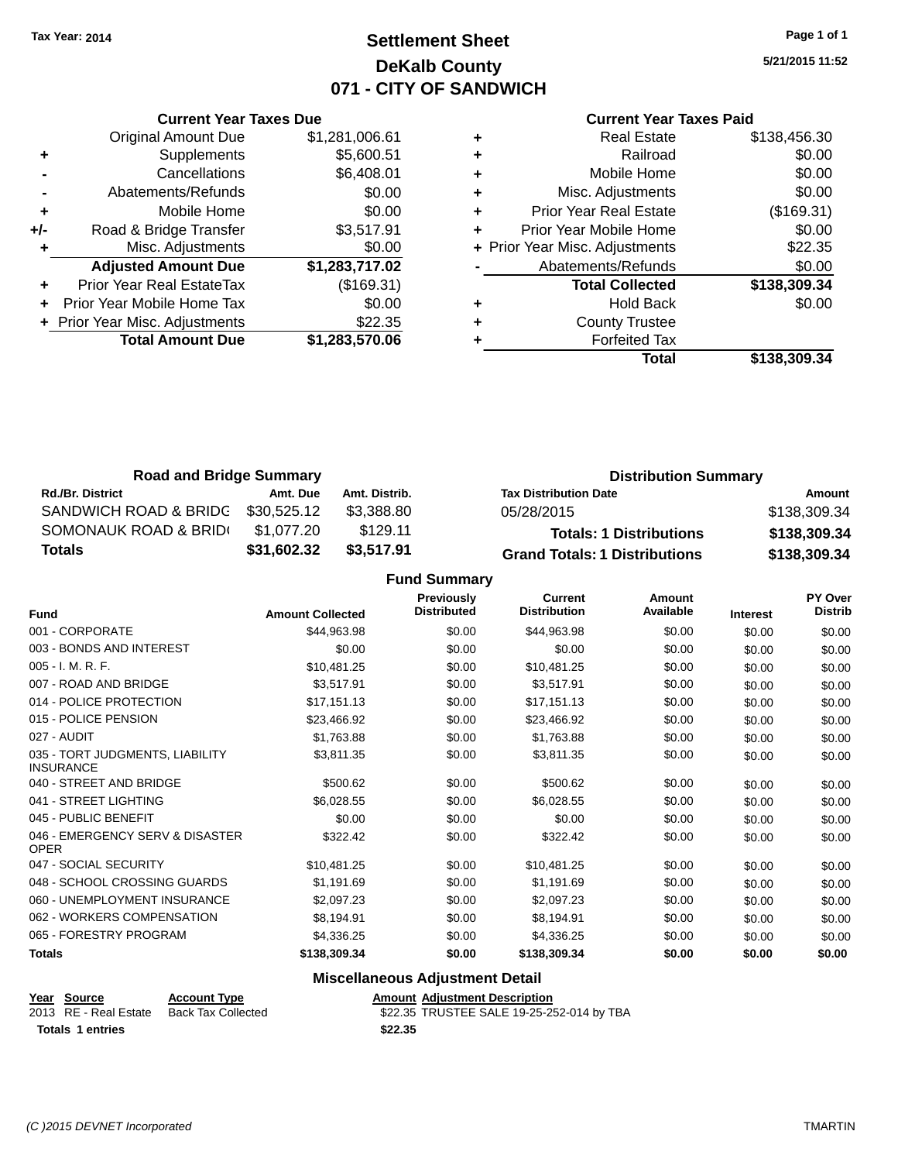# **Settlement Sheet Tax Year: 2014 Page 1 of 1 DeKalb County 071 - CITY OF SANDWICH**

**5/21/2015 11:52**

### **Current Year Taxes Paid**

|     | <b>Current Year Taxes Due</b>  |                |  |  |  |  |  |
|-----|--------------------------------|----------------|--|--|--|--|--|
|     | <b>Original Amount Due</b>     | \$1,281,006.61 |  |  |  |  |  |
| ٠   | Supplements                    | \$5,600.51     |  |  |  |  |  |
|     | Cancellations                  | \$6,408.01     |  |  |  |  |  |
|     | Abatements/Refunds             | \$0.00         |  |  |  |  |  |
| ٠   | Mobile Home                    | \$0.00         |  |  |  |  |  |
| +/- | Road & Bridge Transfer         | \$3,517.91     |  |  |  |  |  |
|     | Misc. Adjustments              | \$0.00         |  |  |  |  |  |
|     | <b>Adjusted Amount Due</b>     | \$1,283,717.02 |  |  |  |  |  |
| ÷   | Prior Year Real EstateTax      | (\$169.31)     |  |  |  |  |  |
|     | Prior Year Mobile Home Tax     | \$0.00         |  |  |  |  |  |
|     | + Prior Year Misc. Adjustments | \$22.35        |  |  |  |  |  |
|     | <b>Total Amount Due</b>        | \$1,283,570.06 |  |  |  |  |  |
|     |                                |                |  |  |  |  |  |

| <b>Real Estate</b>     | \$138,456.30                   |
|------------------------|--------------------------------|
| Railroad               | \$0.00                         |
| Mobile Home            | \$0.00                         |
| Misc. Adjustments      | \$0.00                         |
| Prior Year Real Estate | (\$169.31)                     |
| Prior Year Mobile Home | \$0.00                         |
|                        | \$22.35                        |
| Abatements/Refunds     | \$0.00                         |
| <b>Total Collected</b> | \$138,309.34                   |
| <b>Hold Back</b>       | \$0.00                         |
| <b>County Trustee</b>  |                                |
| <b>Forfeited Tax</b>   |                                |
| Total                  | \$138,309.34                   |
|                        | + Prior Year Misc. Adjustments |

| <b>Road and Bridge Summary</b> |             |               | <b>Distribution Summary</b>          |              |  |
|--------------------------------|-------------|---------------|--------------------------------------|--------------|--|
| <b>Rd./Br. District</b>        | Amt. Due    | Amt. Distrib. | <b>Tax Distribution Date</b>         | Amount       |  |
| SANDWICH ROAD & BRIDC          | \$30.525.12 | \$3.388.80    | 05/28/2015                           | \$138,309.34 |  |
| SOMONAUK ROAD & BRIDI          | \$1.077.20  | \$129.11      | <b>Totals: 1 Distributions</b>       | \$138,309.34 |  |
| <b>Totals</b>                  | \$31,602.32 | \$3,517.91    | <b>Grand Totals: 1 Distributions</b> | \$138,309.34 |  |

**Fund Summary**

| <b>Fund</b>                                         | <b>Amount Collected</b> | Previously<br><b>Distributed</b> | <b>Current</b><br><b>Distribution</b> | <b>Amount</b><br>Available | <b>Interest</b> | PY Over<br><b>Distrib</b> |
|-----------------------------------------------------|-------------------------|----------------------------------|---------------------------------------|----------------------------|-----------------|---------------------------|
| 001 - CORPORATE                                     | \$44,963.98             | \$0.00                           | \$44,963.98                           | \$0.00                     | \$0.00          | \$0.00                    |
| 003 - BONDS AND INTEREST                            | \$0.00                  | \$0.00                           | \$0.00                                | \$0.00                     | \$0.00          | \$0.00                    |
| 005 - I. M. R. F.                                   | \$10,481.25             | \$0.00                           | \$10,481.25                           | \$0.00                     | \$0.00          | \$0.00                    |
| 007 - ROAD AND BRIDGE                               | \$3,517.91              | \$0.00                           | \$3,517.91                            | \$0.00                     | \$0.00          | \$0.00                    |
| 014 - POLICE PROTECTION                             | \$17,151.13             | \$0.00                           | \$17,151.13                           | \$0.00                     | \$0.00          | \$0.00                    |
| 015 - POLICE PENSION                                | \$23,466.92             | \$0.00                           | \$23,466.92                           | \$0.00                     | \$0.00          | \$0.00                    |
| 027 - AUDIT                                         | \$1,763.88              | \$0.00                           | \$1,763.88                            | \$0.00                     | \$0.00          | \$0.00                    |
| 035 - TORT JUDGMENTS, LIABILITY<br><b>INSURANCE</b> | \$3,811.35              | \$0.00                           | \$3,811.35                            | \$0.00                     | \$0.00          | \$0.00                    |
| 040 - STREET AND BRIDGE                             | \$500.62                | \$0.00                           | \$500.62                              | \$0.00                     | \$0.00          | \$0.00                    |
| 041 - STREET LIGHTING                               | \$6,028.55              | \$0.00                           | \$6,028.55                            | \$0.00                     | \$0.00          | \$0.00                    |
| 045 - PUBLIC BENEFIT                                | \$0.00                  | \$0.00                           | \$0.00                                | \$0.00                     | \$0.00          | \$0.00                    |
| 046 - EMERGENCY SERV & DISASTER<br><b>OPER</b>      | \$322.42                | \$0.00                           | \$322.42                              | \$0.00                     | \$0.00          | \$0.00                    |
| 047 - SOCIAL SECURITY                               | \$10,481.25             | \$0.00                           | \$10,481.25                           | \$0.00                     | \$0.00          | \$0.00                    |
| 048 - SCHOOL CROSSING GUARDS                        | \$1,191.69              | \$0.00                           | \$1,191.69                            | \$0.00                     | \$0.00          | \$0.00                    |
| 060 - UNEMPLOYMENT INSURANCE                        | \$2,097.23              | \$0.00                           | \$2,097.23                            | \$0.00                     | \$0.00          | \$0.00                    |
| 062 - WORKERS COMPENSATION                          | \$8,194.91              | \$0.00                           | \$8,194.91                            | \$0.00                     | \$0.00          | \$0.00                    |
| 065 - FORESTRY PROGRAM                              | \$4,336.25              | \$0.00                           | \$4,336.25                            | \$0.00                     | \$0.00          | \$0.00                    |
| <b>Totals</b>                                       | \$138,309.34            | \$0.00                           | \$138,309.34                          | \$0.00                     | \$0.00          | \$0.00                    |

## **Miscellaneous Adjustment Detail**

| Year Source           | <b>Account Type</b> |         | <b>Amount Adiustment Description</b>      |
|-----------------------|---------------------|---------|-------------------------------------------|
| 2013 RE - Real Estate | Back Tax Collected  |         | \$22.35 TRUSTEE SALE 19-25-252-014 by TBA |
| Totals 1 entries      |                     | \$22.35 |                                           |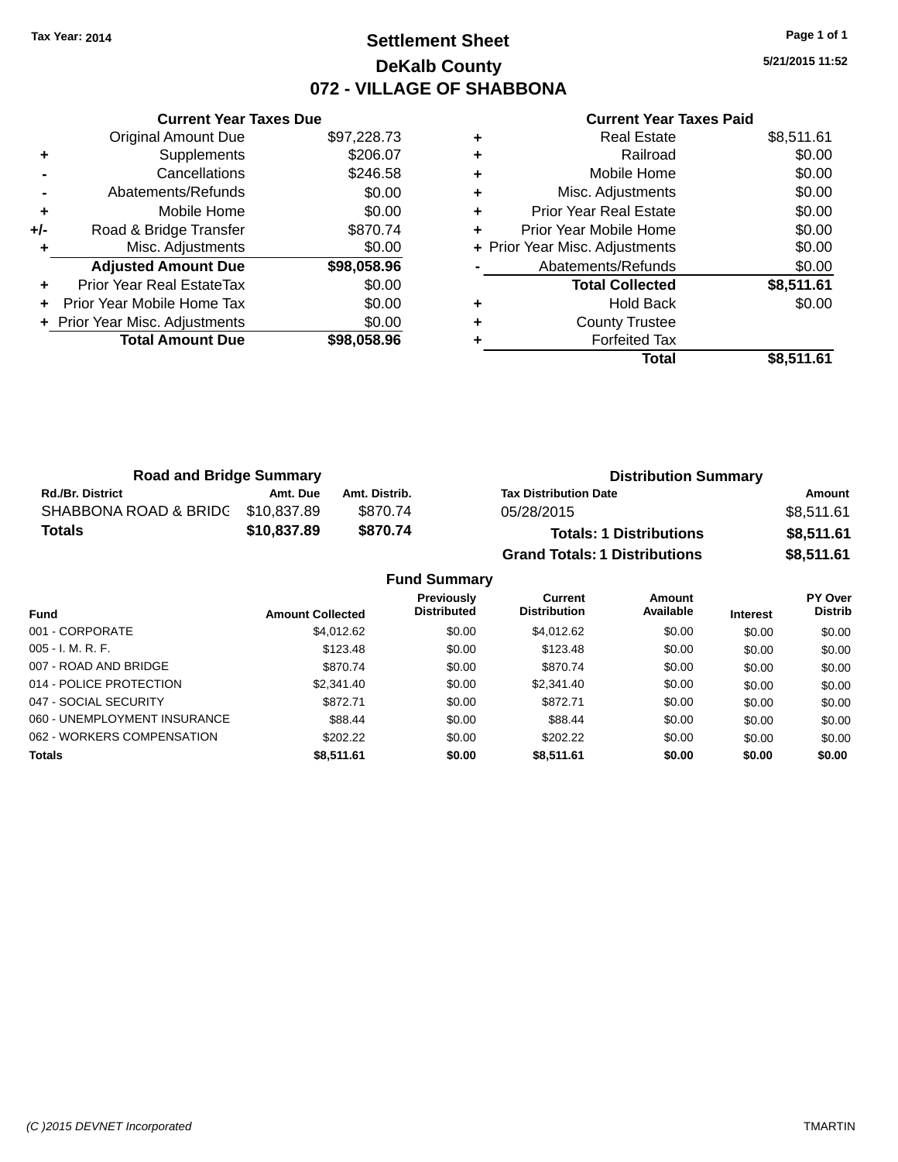# **Settlement Sheet Tax Year: 2014 Page 1 of 1 DeKalb County 072 - VILLAGE OF SHABBONA**

**5/21/2015 11:52**

| <b>Current Year Taxes Due</b> |                                |             |  |  |  |  |
|-------------------------------|--------------------------------|-------------|--|--|--|--|
|                               | <b>Original Amount Due</b>     | \$97,228.73 |  |  |  |  |
| ٠                             | Supplements                    | \$206.07    |  |  |  |  |
|                               | Cancellations                  | \$246.58    |  |  |  |  |
|                               | Abatements/Refunds             | \$0.00      |  |  |  |  |
| ٠                             | Mobile Home                    | \$0.00      |  |  |  |  |
| +/-                           | Road & Bridge Transfer         | \$870.74    |  |  |  |  |
|                               | Misc. Adjustments              | \$0.00      |  |  |  |  |
|                               | <b>Adjusted Amount Due</b>     | \$98,058.96 |  |  |  |  |
|                               | Prior Year Real EstateTax      | \$0.00      |  |  |  |  |
|                               | Prior Year Mobile Home Tax     | \$0.00      |  |  |  |  |
|                               | + Prior Year Misc. Adjustments | \$0.00      |  |  |  |  |
|                               | <b>Total Amount Due</b>        | \$98,058,96 |  |  |  |  |
|                               |                                |             |  |  |  |  |

| ٠ | <b>Real Estate</b>             | \$8,511.61 |
|---|--------------------------------|------------|
| ٠ | Railroad                       | \$0.00     |
| ٠ | Mobile Home                    | \$0.00     |
| ٠ | Misc. Adjustments              | \$0.00     |
| ٠ | <b>Prior Year Real Estate</b>  | \$0.00     |
| ٠ | Prior Year Mobile Home         | \$0.00     |
|   | + Prior Year Misc. Adjustments | \$0.00     |
|   | Abatements/Refunds             | \$0.00     |
|   | <b>Total Collected</b>         | \$8,511.61 |
| ٠ | <b>Hold Back</b>               | \$0.00     |
| ٠ | <b>County Trustee</b>          |            |
|   | <b>Forfeited Tax</b>           |            |
|   | Total                          | \$8,511.61 |

| <b>Road and Bridge Summary</b> |             |               | <b>Distribution Summary</b>          |            |  |
|--------------------------------|-------------|---------------|--------------------------------------|------------|--|
| <b>Rd./Br. District</b>        | Amt. Due    | Amt. Distrib. | <b>Tax Distribution Date</b>         | Amount     |  |
| SHABBONA ROAD & BRIDG          | \$10,837.89 | \$870.74      | 05/28/2015                           | \$8,511.61 |  |
| Totals                         | \$10,837.89 | \$870.74      | <b>Totals: 1 Distributions</b>       | \$8,511.61 |  |
|                                |             |               | <b>Grand Totals: 1 Distributions</b> | \$8,511.61 |  |

|                              |                         | <b>Fund Summary</b>              |                                       |                     |                 |                                  |
|------------------------------|-------------------------|----------------------------------|---------------------------------------|---------------------|-----------------|----------------------------------|
| Fund                         | <b>Amount Collected</b> | Previously<br><b>Distributed</b> | <b>Current</b><br><b>Distribution</b> | Amount<br>Available | <b>Interest</b> | <b>PY Over</b><br><b>Distrib</b> |
| 001 - CORPORATE              | \$4,012.62              | \$0.00                           | \$4,012.62                            | \$0.00              | \$0.00          | \$0.00                           |
| $005 - I. M. R. F.$          | \$123.48                | \$0.00                           | \$123.48                              | \$0.00              | \$0.00          | \$0.00                           |
| 007 - ROAD AND BRIDGE        | \$870.74                | \$0.00                           | \$870.74                              | \$0.00              | \$0.00          | \$0.00                           |
| 014 - POLICE PROTECTION      | \$2,341.40              | \$0.00                           | \$2,341.40                            | \$0.00              | \$0.00          | \$0.00                           |
| 047 - SOCIAL SECURITY        | \$872.71                | \$0.00                           | \$872.71                              | \$0.00              | \$0.00          | \$0.00                           |
| 060 - UNEMPLOYMENT INSURANCE | \$88.44                 | \$0.00                           | \$88.44                               | \$0.00              | \$0.00          | \$0.00                           |
| 062 - WORKERS COMPENSATION   | \$202.22                | \$0.00                           | \$202.22                              | \$0.00              | \$0.00          | \$0.00                           |
| <b>Totals</b>                | \$8,511.61              | \$0.00                           | \$8,511.61                            | \$0.00              | \$0.00          | \$0.00                           |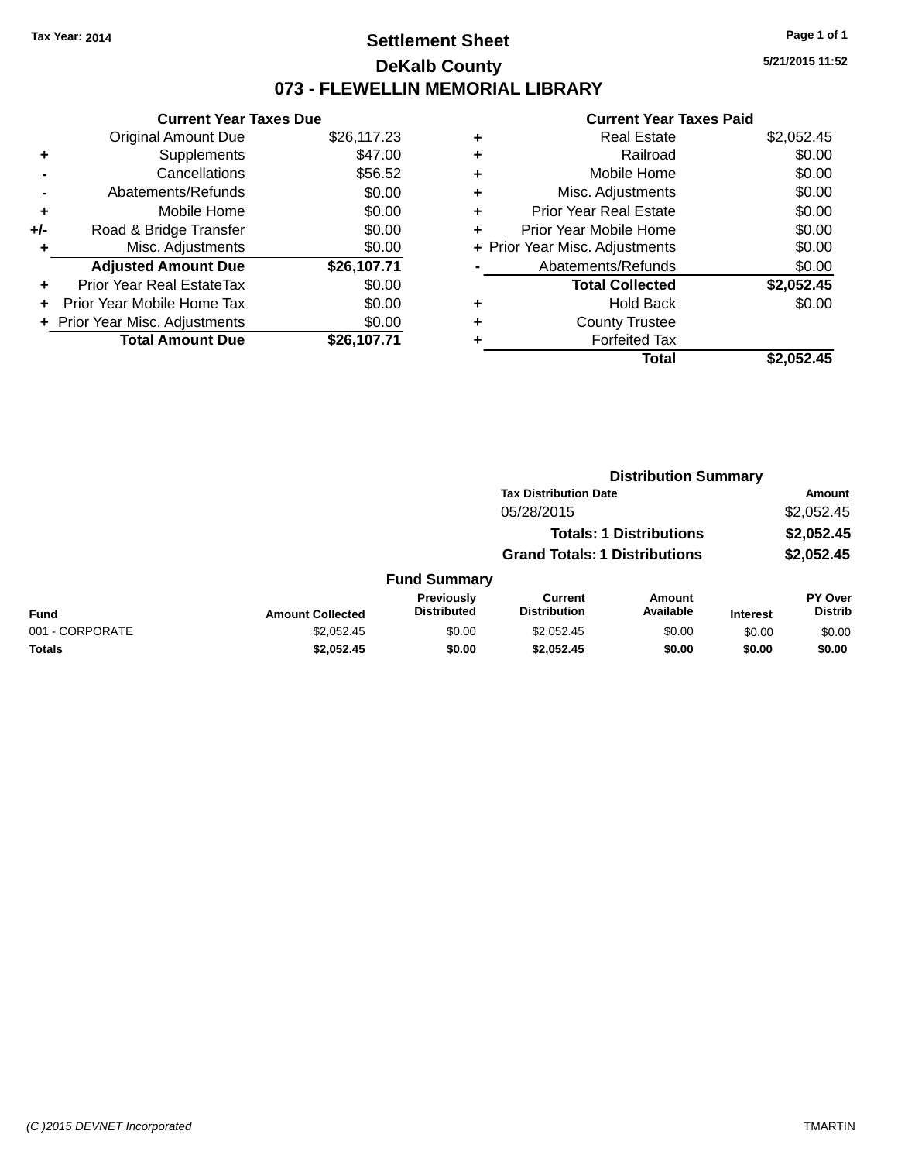# **Settlement Sheet Tax Year: 2014 Page 1 of 1 DeKalb County 073 - FLEWELLIN MEMORIAL LIBRARY**

**5/21/2015 11:52**

|     | <b>Current Year Taxes Due</b> |             |
|-----|-------------------------------|-------------|
|     | <b>Original Amount Due</b>    | \$26,117.23 |
| ٠   | Supplements                   | \$47.00     |
|     | Cancellations                 | \$56.52     |
|     | Abatements/Refunds            | \$0.00      |
| ٠   | Mobile Home                   | \$0.00      |
| +/- | Road & Bridge Transfer        | \$0.00      |
| ٠   | Misc. Adjustments             | \$0.00      |
|     | <b>Adjusted Amount Due</b>    | \$26,107.71 |
| ÷   | Prior Year Real EstateTax     | \$0.00      |
| ÷   | Prior Year Mobile Home Tax    | \$0.00      |
|     | Prior Year Misc. Adjustments  | \$0.00      |
|     | <b>Total Amount Due</b>       | \$26.107.71 |

|   | <b>Real Estate</b>             | \$2,052.45 |
|---|--------------------------------|------------|
| ٠ | Railroad                       | \$0.00     |
| ٠ | Mobile Home                    | \$0.00     |
| ٠ | Misc. Adjustments              | \$0.00     |
| ٠ | <b>Prior Year Real Estate</b>  | \$0.00     |
| ٠ | Prior Year Mobile Home         | \$0.00     |
|   | + Prior Year Misc. Adjustments | \$0.00     |
|   | Abatements/Refunds             | \$0.00     |
|   | <b>Total Collected</b>         | \$2,052.45 |
| ٠ | <b>Hold Back</b>               | \$0.00     |
| ٠ | <b>County Trustee</b>          |            |
| ٠ | <b>Forfeited Tax</b>           |            |
|   | Total                          | \$2.052.45 |
|   |                                |            |

|                 |                         |                                         | <b>Distribution Summary</b>          |                                |                 |                                  |
|-----------------|-------------------------|-----------------------------------------|--------------------------------------|--------------------------------|-----------------|----------------------------------|
|                 |                         |                                         | <b>Tax Distribution Date</b>         |                                |                 | Amount                           |
|                 |                         |                                         | 05/28/2015                           |                                |                 | \$2,052.45                       |
|                 |                         |                                         |                                      | <b>Totals: 1 Distributions</b> |                 | \$2,052.45                       |
|                 |                         |                                         | <b>Grand Totals: 1 Distributions</b> |                                |                 | \$2,052.45                       |
|                 |                         | <b>Fund Summary</b>                     |                                      |                                |                 |                                  |
| <b>Fund</b>     | <b>Amount Collected</b> | <b>Previously</b><br><b>Distributed</b> | Current<br><b>Distribution</b>       | Amount<br>Available            | <b>Interest</b> | <b>PY Over</b><br><b>Distrib</b> |
| 001 - CORPORATE | \$2.052.45              | \$0.00                                  | \$2,052.45                           | \$0.00                         | \$0.00          | \$0.00                           |
| <b>Totals</b>   | \$2,052.45              | \$0.00                                  | \$2,052.45                           | \$0.00                         | \$0.00          | \$0.00                           |
|                 |                         |                                         |                                      |                                |                 |                                  |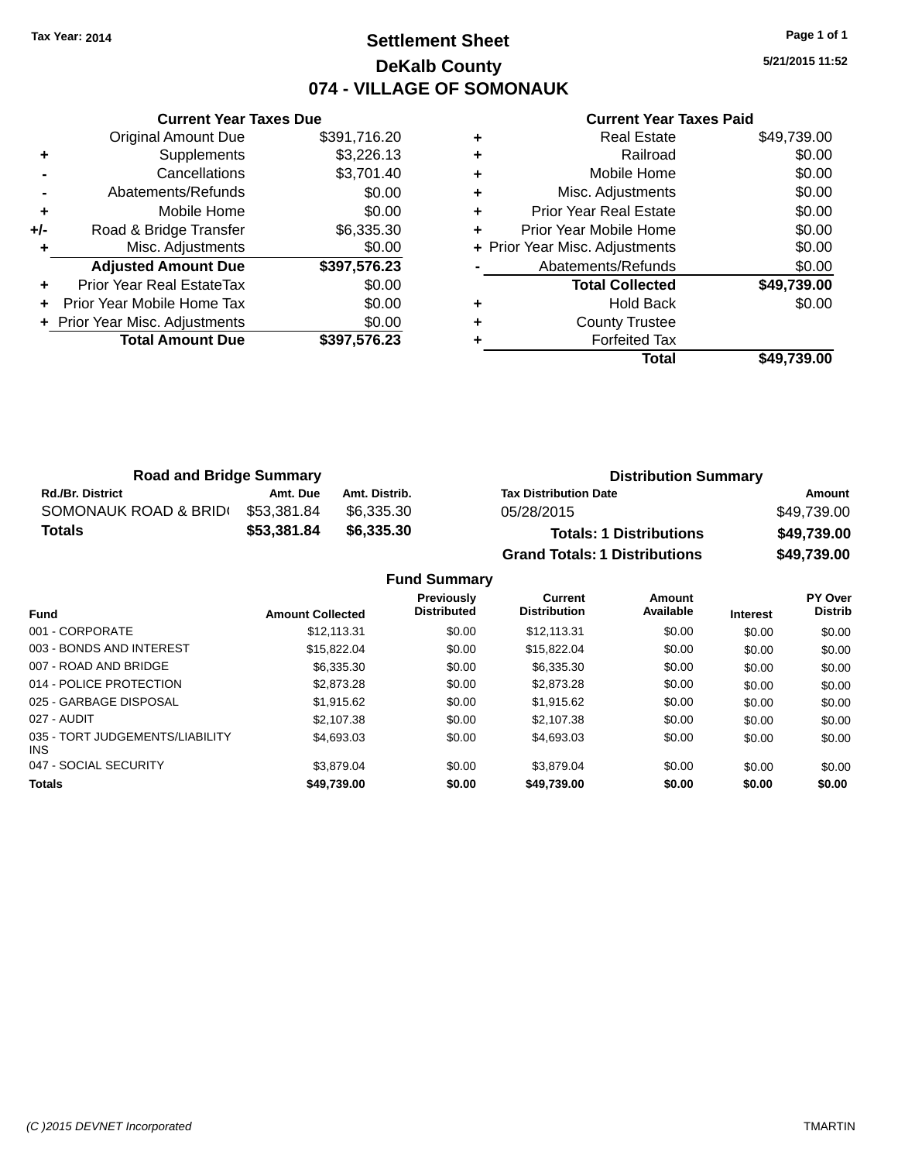# **Settlement Sheet Tax Year: 2014 Page 1 of 1 DeKalb County 074 - VILLAGE OF SOMONAUK**

**5/21/2015 11:52**

|     | <b>Current Year Taxes Due</b>    |              |  |  |  |  |
|-----|----------------------------------|--------------|--|--|--|--|
|     | <b>Original Amount Due</b>       | \$391,716.20 |  |  |  |  |
| ٠   | Supplements                      | \$3,226.13   |  |  |  |  |
|     | Cancellations                    | \$3,701.40   |  |  |  |  |
|     | \$0.00<br>Abatements/Refunds     |              |  |  |  |  |
| ٠   | Mobile Home                      | \$0.00       |  |  |  |  |
| +/- | Road & Bridge Transfer           | \$6,335.30   |  |  |  |  |
|     | Misc. Adjustments                | \$0.00       |  |  |  |  |
|     | <b>Adjusted Amount Due</b>       | \$397,576.23 |  |  |  |  |
| ٠   | <b>Prior Year Real EstateTax</b> | \$0.00       |  |  |  |  |
|     | Prior Year Mobile Home Tax       | \$0.00       |  |  |  |  |
|     | + Prior Year Misc. Adjustments   | \$0.00       |  |  |  |  |
|     | <b>Total Amount Due</b>          | \$397,576.23 |  |  |  |  |
|     |                                  |              |  |  |  |  |

|   | <b>Forfeited Tax</b><br>Total  | \$49.739.00 |
|---|--------------------------------|-------------|
| ٠ | <b>County Trustee</b>          |             |
| ٠ |                                |             |
|   | <b>Hold Back</b>               | \$0.00      |
|   | <b>Total Collected</b>         | \$49,739.00 |
|   | Abatements/Refunds             | \$0.00      |
|   | + Prior Year Misc. Adjustments | \$0.00      |
| ÷ | Prior Year Mobile Home         | \$0.00      |
| ٠ | <b>Prior Year Real Estate</b>  | \$0.00      |
| ٠ | Misc. Adjustments              | \$0.00      |
| ٠ | Mobile Home                    | \$0.00      |
| ٠ | Railroad                       | \$0.00      |
|   | <b>Real Estate</b>             | \$49,739.00 |

| <b>Road and Bridge Summary</b> |             |               | <b>Distribution Summary</b>          |             |  |
|--------------------------------|-------------|---------------|--------------------------------------|-------------|--|
| <b>Rd./Br. District</b>        | Amt. Due    | Amt. Distrib. | <b>Tax Distribution Date</b>         | Amount      |  |
| SOMONAUK ROAD & BRIDI          | \$53,381.84 | \$6.335.30    | 05/28/2015                           | \$49,739.00 |  |
| Totals                         | \$53,381.84 | \$6,335,30    | <b>Totals: 1 Distributions</b>       | \$49,739.00 |  |
|                                |             |               | <b>Grand Totals: 1 Distributions</b> | \$49,739.00 |  |

| <b>Amount Collected</b> | Previously<br><b>Distributed</b> | <b>Current</b><br><b>Distribution</b> | Amount<br>Available | <b>Interest</b> | PY Over<br><b>Distrib</b> |
|-------------------------|----------------------------------|---------------------------------------|---------------------|-----------------|---------------------------|
| \$12.113.31             | \$0.00                           | \$12,113,31                           | \$0.00              | \$0.00          | \$0.00                    |
| \$15,822,04             | \$0.00                           | \$15.822.04                           | \$0.00              | \$0.00          | \$0.00                    |
| \$6,335,30              | \$0.00                           | \$6,335,30                            | \$0.00              | \$0.00          | \$0.00                    |
| \$2,873,28              | \$0.00                           | \$2,873.28                            | \$0.00              | \$0.00          | \$0.00                    |
| \$1,915.62              | \$0.00                           | \$1,915.62                            | \$0.00              | \$0.00          | \$0.00                    |
| \$2.107.38              | \$0.00                           | \$2,107.38                            | \$0.00              | \$0.00          | \$0.00                    |
| \$4,693.03              | \$0.00                           | \$4,693.03                            | \$0.00              | \$0.00          | \$0.00                    |
| \$3,879.04              | \$0.00                           | \$3.879.04                            | \$0.00              | \$0.00          | \$0.00                    |
| \$49,739.00             | \$0.00                           | \$49,739.00                           | \$0.00              | \$0.00          | \$0.00                    |
|                         |                                  | <b>Fund Summary</b>                   |                     |                 |                           |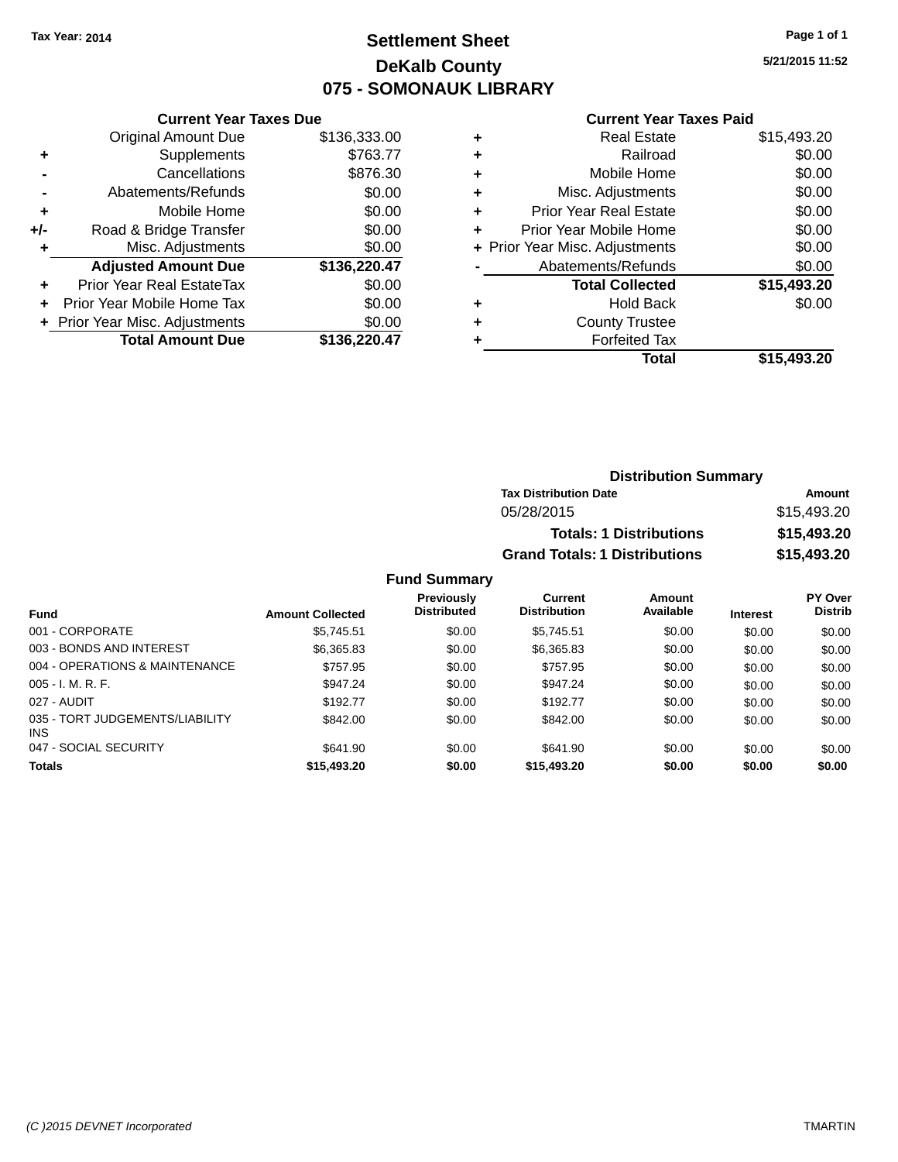# **Settlement Sheet Tax Year: 2014 Page 1 of 1 DeKalb County 075 - SOMONAUK LIBRARY**

**5/21/2015 11:52**

#### **Current Year Taxes Paid**

|     | <b>Current Year Taxes Due</b>  |              |  |  |  |  |
|-----|--------------------------------|--------------|--|--|--|--|
|     | <b>Original Amount Due</b>     | \$136,333.00 |  |  |  |  |
| ٠   | Supplements                    | \$763.77     |  |  |  |  |
|     | Cancellations                  | \$876.30     |  |  |  |  |
|     | Abatements/Refunds             | \$0.00       |  |  |  |  |
| ٠   | Mobile Home                    | \$0.00       |  |  |  |  |
| +/- | Road & Bridge Transfer         | \$0.00       |  |  |  |  |
| ٠   | Misc. Adjustments              | \$0.00       |  |  |  |  |
|     | <b>Adjusted Amount Due</b>     | \$136,220.47 |  |  |  |  |
| ÷   | Prior Year Real EstateTax      | \$0.00       |  |  |  |  |
|     | Prior Year Mobile Home Tax     | \$0.00       |  |  |  |  |
|     | + Prior Year Misc. Adjustments | \$0.00       |  |  |  |  |
|     | <b>Total Amount Due</b>        | \$136.220.47 |  |  |  |  |
|     |                                |              |  |  |  |  |

| ٠ | <b>Real Estate</b>             | \$15,493.20 |
|---|--------------------------------|-------------|
| ٠ | Railroad                       | \$0.00      |
| ٠ | Mobile Home                    | \$0.00      |
| ٠ | Misc. Adjustments              | \$0.00      |
| ٠ | <b>Prior Year Real Estate</b>  | \$0.00      |
| ÷ | Prior Year Mobile Home         | \$0.00      |
|   | + Prior Year Misc. Adjustments | \$0.00      |
|   | Abatements/Refunds             | \$0.00      |
|   | <b>Total Collected</b>         | \$15,493.20 |
| ٠ | Hold Back                      | \$0.00      |
| ٠ | <b>County Trustee</b>          |             |
| ٠ | <b>Forfeited Tax</b>           |             |
|   | Total                          | \$15,493.20 |
|   |                                |             |

| <b>Distribution Summary</b>          |             |  |  |  |  |
|--------------------------------------|-------------|--|--|--|--|
| <b>Tax Distribution Date</b>         | Amount      |  |  |  |  |
| 05/28/2015                           | \$15,493.20 |  |  |  |  |
| <b>Totals: 1 Distributions</b>       | \$15,493.20 |  |  |  |  |
| <b>Grand Totals: 1 Distributions</b> | \$15,493.20 |  |  |  |  |

| Fund                                          | <b>Amount Collected</b> | <b>Previously</b><br><b>Distributed</b> | Current<br><b>Distribution</b> | Amount<br>Available | <b>Interest</b> | <b>PY Over</b><br><b>Distrib</b> |
|-----------------------------------------------|-------------------------|-----------------------------------------|--------------------------------|---------------------|-----------------|----------------------------------|
| 001 - CORPORATE                               | \$5,745.51              | \$0.00                                  | \$5,745.51                     | \$0.00              | \$0.00          | \$0.00                           |
| 003 - BONDS AND INTEREST                      | \$6,365.83              | \$0.00                                  | \$6,365.83                     | \$0.00              | \$0.00          | \$0.00                           |
| 004 - OPERATIONS & MAINTENANCE                | \$757.95                | \$0.00                                  | \$757.95                       | \$0.00              | \$0.00          | \$0.00                           |
| $005 - I. M. R. F.$                           | \$947.24                | \$0.00                                  | \$947.24                       | \$0.00              | \$0.00          | \$0.00                           |
| 027 - AUDIT                                   | \$192.77                | \$0.00                                  | \$192.77                       | \$0.00              | \$0.00          | \$0.00                           |
| 035 - TORT JUDGEMENTS/LIABILITY<br><b>INS</b> | \$842.00                | \$0.00                                  | \$842.00                       | \$0.00              | \$0.00          | \$0.00                           |
| 047 - SOCIAL SECURITY                         | \$641.90                | \$0.00                                  | \$641.90                       | \$0.00              | \$0.00          | \$0.00                           |
| <b>Totals</b>                                 | \$15,493.20             | \$0.00                                  | \$15,493.20                    | \$0.00              | \$0.00          | \$0.00                           |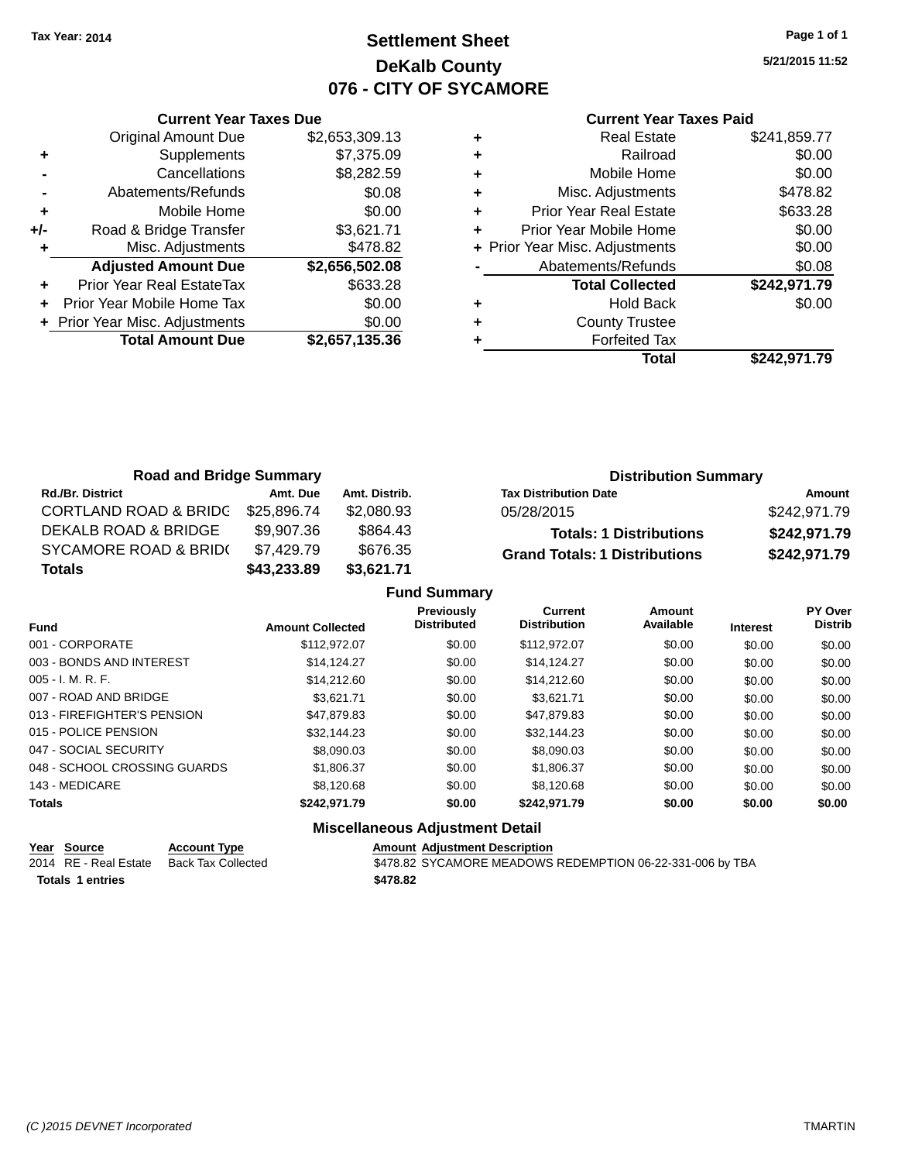# **Settlement Sheet Tax Year: 2014 Page 1 of 1 DeKalb County 076 - CITY OF SYCAMORE**

**5/21/2015 11:52**

|     | <b>Current Year Taxes Due</b>  |                |
|-----|--------------------------------|----------------|
|     | <b>Original Amount Due</b>     | \$2,653,309.13 |
| ٠   | Supplements                    | \$7,375.09     |
|     | Cancellations                  | \$8,282.59     |
|     | Abatements/Refunds             | \$0.08         |
| ٠   | Mobile Home                    | \$0.00         |
| +/- | Road & Bridge Transfer         | \$3,621.71     |
|     | Misc. Adjustments              | \$478.82       |
|     | <b>Adjusted Amount Due</b>     | \$2,656,502.08 |
|     | Prior Year Real EstateTax      | \$633.28       |
|     | Prior Year Mobile Home Tax     | \$0.00         |
|     | + Prior Year Misc. Adjustments | \$0.00         |
|     | <b>Total Amount Due</b>        | \$2,657,135.36 |
|     |                                |                |

#### **Current Year Taxes Paid**

|   | Total                          | \$242,971.79 |
|---|--------------------------------|--------------|
|   | <b>Forfeited Tax</b>           |              |
| ٠ | <b>County Trustee</b>          |              |
| ٠ | <b>Hold Back</b>               | \$0.00       |
|   | <b>Total Collected</b>         | \$242,971.79 |
|   | Abatements/Refunds             | \$0.08       |
|   | + Prior Year Misc. Adjustments | \$0.00       |
| ٠ | Prior Year Mobile Home         | \$0.00       |
| ٠ | <b>Prior Year Real Estate</b>  | \$633.28     |
| ٠ | Misc. Adjustments              | \$478.82     |
| ٠ | Mobile Home                    | \$0.00       |
| ٠ | Railroad                       | \$0.00       |
|   | <b>Real Estate</b>             | \$241,859.77 |

| <b>Road and Bridge Summary</b>   |             |               | <b>Distribution Summary</b>          |              |  |
|----------------------------------|-------------|---------------|--------------------------------------|--------------|--|
| <b>Rd./Br. District</b>          | Amt. Due    | Amt. Distrib. | <b>Tax Distribution Date</b>         | Amount       |  |
| <b>CORTLAND ROAD &amp; BRIDC</b> | \$25,896.74 | \$2,080.93    | 05/28/2015                           | \$242,971.79 |  |
| DEKALB ROAD & BRIDGE             | \$9.907.36  | \$864.43      | <b>Totals: 1 Distributions</b>       | \$242,971.79 |  |
| <b>SYCAMORE ROAD &amp; BRID(</b> | \$7.429.79  | \$676.35      | <b>Grand Totals: 1 Distributions</b> | \$242,971.79 |  |
| Totals                           | \$43,233.89 | \$3,621.71    |                                      |              |  |

|                              |                         | <b>Fund Summary</b>                     |                                       |                     |                 |                           |
|------------------------------|-------------------------|-----------------------------------------|---------------------------------------|---------------------|-----------------|---------------------------|
| <b>Fund</b>                  | <b>Amount Collected</b> | <b>Previously</b><br><b>Distributed</b> | <b>Current</b><br><b>Distribution</b> | Amount<br>Available | <b>Interest</b> | PY Over<br><b>Distrib</b> |
| 001 - CORPORATE              | \$112,972.07            | \$0.00                                  | \$112,972.07                          | \$0.00              | \$0.00          | \$0.00                    |
| 003 - BONDS AND INTEREST     | \$14,124.27             | \$0.00                                  | \$14,124.27                           | \$0.00              | \$0.00          | \$0.00                    |
| $005 - I. M. R. F.$          | \$14,212.60             | \$0.00                                  | \$14,212,60                           | \$0.00              | \$0.00          | \$0.00                    |
| 007 - ROAD AND BRIDGE        | \$3.621.71              | \$0.00                                  | \$3.621.71                            | \$0.00              | \$0.00          | \$0.00                    |
| 013 - FIREFIGHTER'S PENSION  | \$47,879.83             | \$0.00                                  | \$47,879.83                           | \$0.00              | \$0.00          | \$0.00                    |
| 015 - POLICE PENSION         | \$32,144.23             | \$0.00                                  | \$32,144.23                           | \$0.00              | \$0.00          | \$0.00                    |
| 047 - SOCIAL SECURITY        | \$8,090.03              | \$0.00                                  | \$8.090.03                            | \$0.00              | \$0.00          | \$0.00                    |
| 048 - SCHOOL CROSSING GUARDS | \$1,806.37              | \$0.00                                  | \$1,806.37                            | \$0.00              | \$0.00          | \$0.00                    |
| 143 - MEDICARE               | \$8.120.68              | \$0.00                                  | \$8.120.68                            | \$0.00              | \$0.00          | \$0.00                    |
| <b>Totals</b>                | \$242,971.79            | \$0.00                                  | \$242,971.79                          | \$0.00              | \$0.00          | \$0.00                    |

## **Miscellaneous Adjustment Detail**

| Year Source | <b>Account Type</b>                      | <b>Amount Adiustment Description</b> |
|-------------|------------------------------------------|--------------------------------------|
|             | 2014 RE - Real Estate Back Tax Collected | \$478.82 SYCAMORE MEADOWS            |

2014 RE - Real Estate Back Tax Collected \$478.82 SYCAMORE MEADOWS REDEMPTION 06-22-331-006 by TBA **Totals \$478.82 1 entries**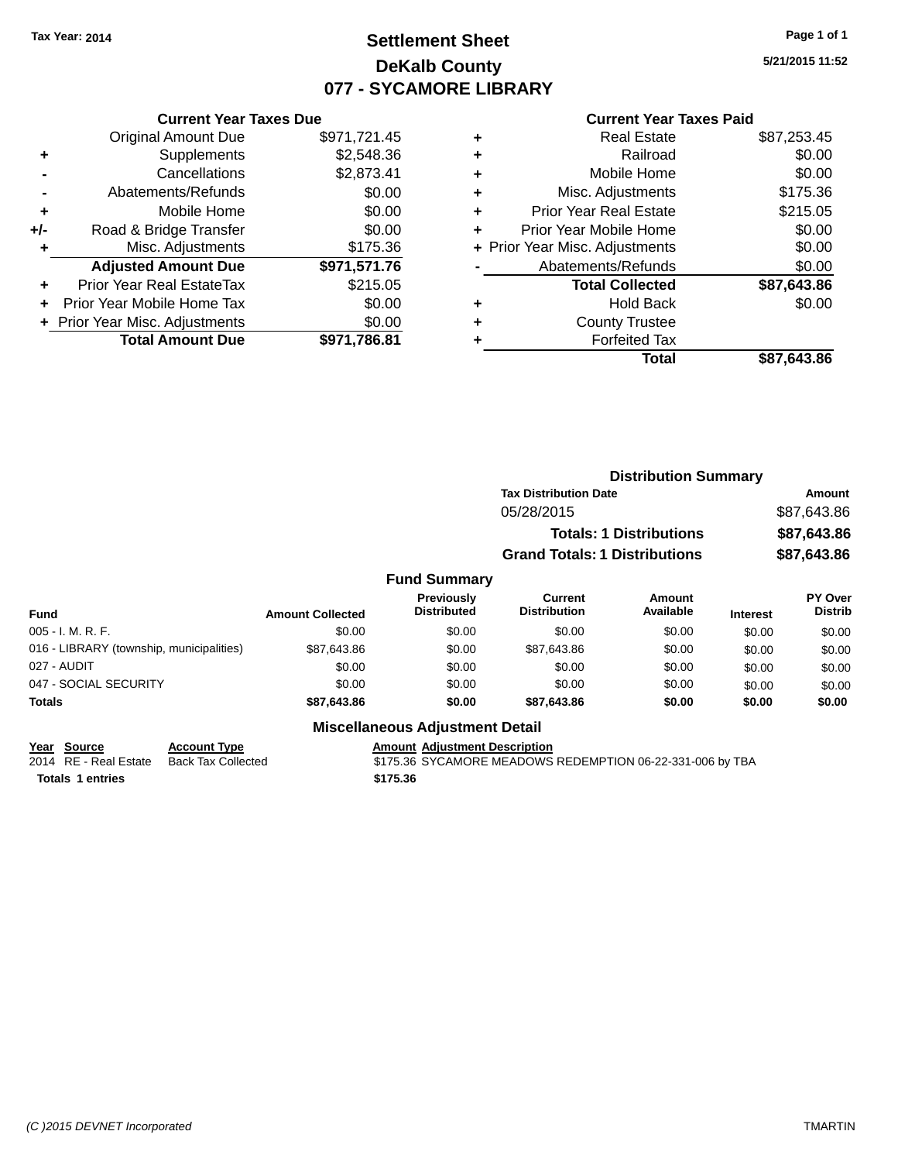# **Settlement Sheet Tax Year: 2014 Page 1 of 1 DeKalb County 077 - SYCAMORE LIBRARY**

**5/21/2015 11:52**

#### **Current Year Taxes Paid**

|       | <b>Current Year Taxes Due</b>  |              |
|-------|--------------------------------|--------------|
|       | <b>Original Amount Due</b>     | \$971,721.45 |
| ٠     | Supplements                    | \$2,548.36   |
|       | Cancellations                  | \$2,873.41   |
|       | Abatements/Refunds             | \$0.00       |
| ٠     | Mobile Home                    | \$0.00       |
| $+/-$ | Road & Bridge Transfer         | \$0.00       |
| ٠     | Misc. Adjustments              | \$175.36     |
|       | <b>Adjusted Amount Due</b>     | \$971,571.76 |
| ٠     | Prior Year Real EstateTax      | \$215.05     |
|       | Prior Year Mobile Home Tax     | \$0.00       |
|       | + Prior Year Misc. Adjustments | \$0.00       |
|       | <b>Total Amount Due</b>        | \$971.786.81 |
|       |                                |              |

|   | <b>Real Estate</b>             | \$87,253.45 |
|---|--------------------------------|-------------|
| ٠ | Railroad                       | \$0.00      |
| ٠ | Mobile Home                    | \$0.00      |
| ٠ | Misc. Adjustments              | \$175.36    |
| ٠ | <b>Prior Year Real Estate</b>  | \$215.05    |
| ÷ | Prior Year Mobile Home         | \$0.00      |
|   | + Prior Year Misc. Adjustments | \$0.00      |
|   | Abatements/Refunds             | \$0.00      |
|   | <b>Total Collected</b>         | \$87,643.86 |
| ٠ | <b>Hold Back</b>               | \$0.00      |
| ٠ | <b>County Trustee</b>          |             |
| ٠ | <b>Forfeited Tax</b>           |             |
|   | Total                          | \$87,643.86 |
|   |                                |             |

|            | Amount                                                                                                                                |
|------------|---------------------------------------------------------------------------------------------------------------------------------------|
| 05/28/2015 | \$87,643.86                                                                                                                           |
|            | \$87,643.86                                                                                                                           |
|            | \$87,643.86                                                                                                                           |
|            |                                                                                                                                       |
|            | <b>Distribution Summary</b><br><b>Tax Distribution Date</b><br><b>Totals: 1 Distributions</b><br><b>Grand Totals: 1 Distributions</b> |

| <b>Fund</b>                              | <b>Amount Collected</b> | <b>Previously</b><br><b>Distributed</b> | Current<br><b>Distribution</b> | Amount<br>Available | <b>Interest</b> | <b>PY Over</b><br><b>Distrib</b> |
|------------------------------------------|-------------------------|-----------------------------------------|--------------------------------|---------------------|-----------------|----------------------------------|
| $005 - I. M. R. F.$                      | \$0.00                  | \$0.00                                  | \$0.00                         | \$0.00              | \$0.00          | \$0.00                           |
| 016 - LIBRARY (township, municipalities) | \$87.643.86             | \$0.00                                  | \$87.643.86                    | \$0.00              | \$0.00          | \$0.00                           |
| 027 - AUDIT                              | \$0.00                  | \$0.00                                  | \$0.00                         | \$0.00              | \$0.00          | \$0.00                           |
| 047 - SOCIAL SECURITY                    | \$0.00                  | \$0.00                                  | \$0.00                         | \$0.00              | \$0.00          | \$0.00                           |
| <b>Totals</b>                            | \$87,643.86             | \$0.00                                  | \$87.643.86                    | \$0.00              | \$0.00          | \$0.00                           |

# **Miscellaneous Adjustment Detail**

**Year Source Account Type Amount Adjustment Description Totals \$175.36 1 entries**

2014 RE - Real Estate Back Tax Collected \$175.36 SYCAMORE MEADOWS REDEMPTION 06-22-331-006 by TBA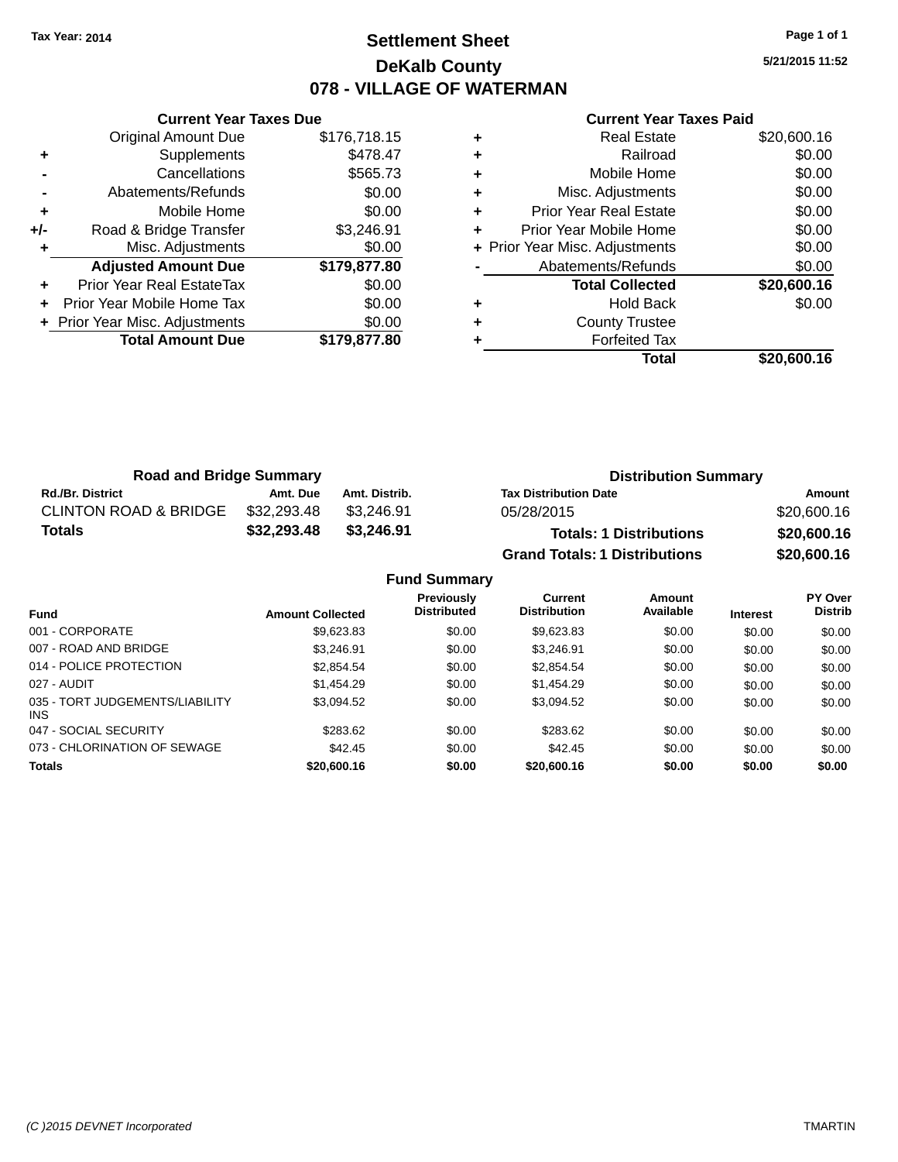# **Settlement Sheet Tax Year: 2014 Page 1 of 1 DeKalb County 078 - VILLAGE OF WATERMAN**

**5/21/2015 11:52**

|     | <b>Current Year Taxes Due</b>  |              |
|-----|--------------------------------|--------------|
|     | <b>Original Amount Due</b>     | \$176,718.15 |
| ٠   | Supplements                    | \$478.47     |
|     | Cancellations                  | \$565.73     |
|     | Abatements/Refunds             | \$0.00       |
| ٠   | Mobile Home                    | \$0.00       |
| +/- | Road & Bridge Transfer         | \$3,246.91   |
|     | Misc. Adjustments              | \$0.00       |
|     | <b>Adjusted Amount Due</b>     | \$179,877.80 |
| ٠   | Prior Year Real EstateTax      | \$0.00       |
|     | Prior Year Mobile Home Tax     | \$0.00       |
|     | + Prior Year Misc. Adjustments | \$0.00       |
|     | <b>Total Amount Due</b>        | \$179,877.80 |
|     |                                |              |

| ٠ | <b>Real Estate</b>             | \$20,600.16 |
|---|--------------------------------|-------------|
| ٠ | Railroad                       | \$0.00      |
| ٠ | Mobile Home                    | \$0.00      |
| ٠ | Misc. Adjustments              | \$0.00      |
| ٠ | <b>Prior Year Real Estate</b>  | \$0.00      |
| ٠ | Prior Year Mobile Home         | \$0.00      |
|   | + Prior Year Misc. Adjustments | \$0.00      |
|   | Abatements/Refunds             | \$0.00      |
|   | <b>Total Collected</b>         | \$20,600.16 |
| ٠ | <b>Hold Back</b>               | \$0.00      |
| ٠ | <b>County Trustee</b>          |             |
|   | <b>Forfeited Tax</b>           |             |
|   | Total                          | \$20,600.16 |

| <b>Road and Bridge Summary</b>   |             |               | <b>Distribution Summary</b>          |             |  |
|----------------------------------|-------------|---------------|--------------------------------------|-------------|--|
| <b>Rd./Br. District</b>          | Amt. Due    | Amt. Distrib. | <b>Tax Distribution Date</b>         | Amount      |  |
| <b>CLINTON ROAD &amp; BRIDGE</b> | \$32,293.48 | \$3.246.91    | 05/28/2015                           | \$20,600.16 |  |
| Totals                           | \$32,293.48 | \$3.246.91    | <b>Totals: 1 Distributions</b>       | \$20,600.16 |  |
|                                  |             |               | <b>Grand Totals: 1 Distributions</b> | \$20,600.16 |  |

|                                         |                         | <b>Fund Summary</b>              |                                       |                     |                 |                           |
|-----------------------------------------|-------------------------|----------------------------------|---------------------------------------|---------------------|-----------------|---------------------------|
| <b>Fund</b>                             | <b>Amount Collected</b> | Previously<br><b>Distributed</b> | <b>Current</b><br><b>Distribution</b> | Amount<br>Available | <b>Interest</b> | PY Over<br><b>Distrib</b> |
| 001 - CORPORATE                         | \$9,623.83              | \$0.00                           | \$9,623.83                            | \$0.00              | \$0.00          | \$0.00                    |
| 007 - ROAD AND BRIDGE                   | \$3.246.91              | \$0.00                           | \$3.246.91                            | \$0.00              | \$0.00          | \$0.00                    |
| 014 - POLICE PROTECTION                 | \$2.854.54              | \$0.00                           | \$2,854.54                            | \$0.00              | \$0.00          | \$0.00                    |
| 027 - AUDIT                             | \$1.454.29              | \$0.00                           | \$1,454.29                            | \$0.00              | \$0.00          | \$0.00                    |
| 035 - TORT JUDGEMENTS/LIABILITY<br>INS. | \$3,094.52              | \$0.00                           | \$3.094.52                            | \$0.00              | \$0.00          | \$0.00                    |
| 047 - SOCIAL SECURITY                   | \$283.62                | \$0.00                           | \$283.62                              | \$0.00              | \$0.00          | \$0.00                    |
| 073 - CHLORINATION OF SEWAGE            | \$42.45                 | \$0.00                           | \$42.45                               | \$0.00              | \$0.00          | \$0.00                    |
| <b>Totals</b>                           | \$20,600.16             | \$0.00                           | \$20,600.16                           | \$0.00              | \$0.00          | \$0.00                    |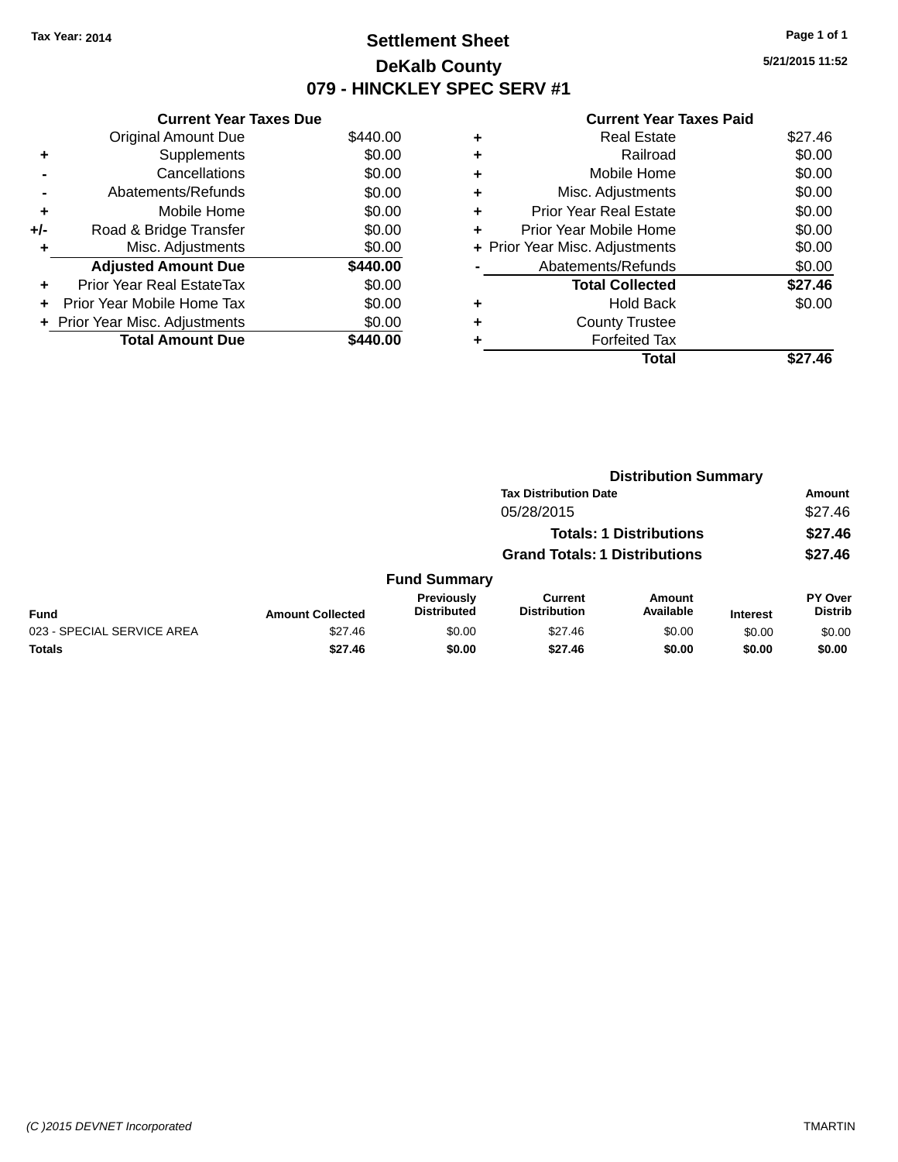# **Settlement Sheet Tax Year: 2014 Page 1 of 1 DeKalb County 079 - HINCKLEY SPEC SERV #1**

**5/21/2015 11:52**

|     | <b>Current Year Taxes Due</b>  |          |
|-----|--------------------------------|----------|
|     | <b>Original Amount Due</b>     | \$440.00 |
| ٠   | Supplements                    | \$0.00   |
|     | Cancellations                  | \$0.00   |
|     | Abatements/Refunds             | \$0.00   |
| ٠   | Mobile Home                    | \$0.00   |
| +/- | Road & Bridge Transfer         | \$0.00   |
| ٠   | Misc. Adjustments              | \$0.00   |
|     | <b>Adjusted Amount Due</b>     | \$440.00 |
| ٠   | Prior Year Real EstateTax      | \$0.00   |
| ÷   | Prior Year Mobile Home Tax     | \$0.00   |
|     | + Prior Year Misc. Adjustments | \$0.00   |
|     | <b>Total Amount Due</b>        | 40.00    |

| ٠ | <b>Real Estate</b>             | \$27.46 |
|---|--------------------------------|---------|
| ٠ | Railroad                       | \$0.00  |
| ٠ | Mobile Home                    | \$0.00  |
| ٠ | Misc. Adjustments              | \$0.00  |
| ٠ | <b>Prior Year Real Estate</b>  | \$0.00  |
| ٠ | Prior Year Mobile Home         | \$0.00  |
|   | + Prior Year Misc. Adjustments | \$0.00  |
|   | Abatements/Refunds             | \$0.00  |
|   | <b>Total Collected</b>         | \$27.46 |
| ٠ | Hold Back                      | \$0.00  |
|   | <b>County Trustee</b>          |         |
| ٠ | <b>Forfeited Tax</b>           |         |
|   | Total                          | \$27.46 |
|   |                                |         |

|                            |                         |                                  |                                       | <b>Distribution Summary</b>    |                 |                           |
|----------------------------|-------------------------|----------------------------------|---------------------------------------|--------------------------------|-----------------|---------------------------|
|                            |                         |                                  | <b>Tax Distribution Date</b>          |                                |                 | <b>Amount</b>             |
|                            |                         |                                  | 05/28/2015                            |                                |                 | \$27.46                   |
|                            |                         |                                  |                                       | <b>Totals: 1 Distributions</b> |                 | \$27.46                   |
|                            |                         |                                  | <b>Grand Totals: 1 Distributions</b>  |                                |                 | \$27.46                   |
|                            |                         | <b>Fund Summary</b>              |                                       |                                |                 |                           |
| <b>Fund</b>                | <b>Amount Collected</b> | Previously<br><b>Distributed</b> | <b>Current</b><br><b>Distribution</b> | <b>Amount</b><br>Available     | <b>Interest</b> | PY Over<br><b>Distrib</b> |
| 023 - SPECIAL SERVICE AREA | \$27.46                 | \$0.00                           | \$27.46                               | \$0.00                         | \$0.00          | \$0.00                    |
| <b>Totals</b>              | \$27.46                 | \$0.00                           | \$27.46                               | \$0.00                         | \$0.00          | \$0.00                    |
|                            |                         |                                  |                                       |                                |                 |                           |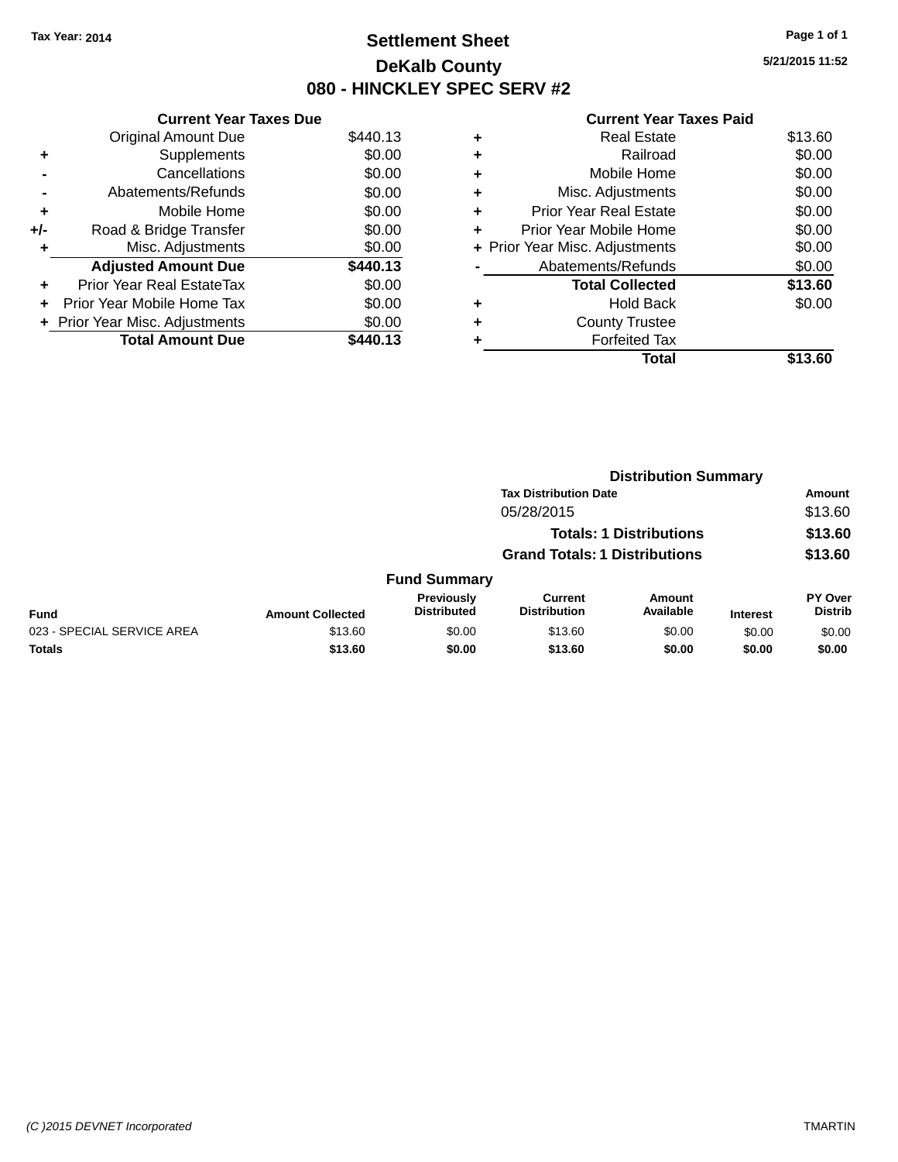# **Settlement Sheet Tax Year: 2014 Page 1 of 1 DeKalb County 080 - HINCKLEY SPEC SERV #2**

**5/21/2015 11:52**

|     | <b>Current Year Taxes Due</b>    |          |
|-----|----------------------------------|----------|
|     | <b>Original Amount Due</b>       | \$440.13 |
| ٠   | Supplements                      | \$0.00   |
|     | Cancellations                    | \$0.00   |
|     | Abatements/Refunds               | \$0.00   |
| ٠   | Mobile Home                      | \$0.00   |
| +/- | Road & Bridge Transfer           | \$0.00   |
| ٠   | Misc. Adjustments                | \$0.00   |
|     | <b>Adjusted Amount Due</b>       | \$440.13 |
| ÷   | <b>Prior Year Real EstateTax</b> | \$0.00   |
| ÷   | Prior Year Mobile Home Tax       | \$0.00   |
|     | + Prior Year Misc. Adjustments   | \$0.00   |
|     | <b>Total Amount Due</b>          | \$440.13 |

| ٠ | <b>Real Estate</b>             | \$13.60 |
|---|--------------------------------|---------|
| ٠ | Railroad                       | \$0.00  |
| ٠ | Mobile Home                    | \$0.00  |
| ٠ | Misc. Adjustments              | \$0.00  |
| ٠ | <b>Prior Year Real Estate</b>  | \$0.00  |
| ÷ | Prior Year Mobile Home         | \$0.00  |
|   | + Prior Year Misc. Adjustments | \$0.00  |
|   | Abatements/Refunds             | \$0.00  |
|   | <b>Total Collected</b>         | \$13.60 |
| ٠ | <b>Hold Back</b>               | \$0.00  |
|   | <b>County Trustee</b>          |         |
| ٠ | <b>Forfeited Tax</b>           |         |
|   | Total                          | \$13.60 |
|   |                                |         |

|                            |                         |                                      |                                       | <b>Distribution Summary</b>    |                 |                           |
|----------------------------|-------------------------|--------------------------------------|---------------------------------------|--------------------------------|-----------------|---------------------------|
|                            |                         |                                      | <b>Tax Distribution Date</b>          |                                |                 | <b>Amount</b>             |
|                            |                         |                                      | 05/28/2015                            |                                |                 | \$13.60                   |
|                            |                         |                                      |                                       | <b>Totals: 1 Distributions</b> |                 | \$13.60                   |
|                            |                         | <b>Grand Totals: 1 Distributions</b> |                                       |                                |                 | \$13.60                   |
|                            |                         | <b>Fund Summary</b>                  |                                       |                                |                 |                           |
| <b>Fund</b>                | <b>Amount Collected</b> | Previously<br><b>Distributed</b>     | <b>Current</b><br><b>Distribution</b> | <b>Amount</b><br>Available     | <b>Interest</b> | PY Over<br><b>Distrib</b> |
| 023 - SPECIAL SERVICE AREA | \$13.60                 | \$0.00                               | \$13.60                               | \$0.00                         | \$0.00          | \$0.00                    |
| <b>Totals</b>              | \$13.60                 | \$0.00                               | \$13.60                               | \$0.00                         | \$0.00          | \$0.00                    |
|                            |                         |                                      |                                       |                                |                 |                           |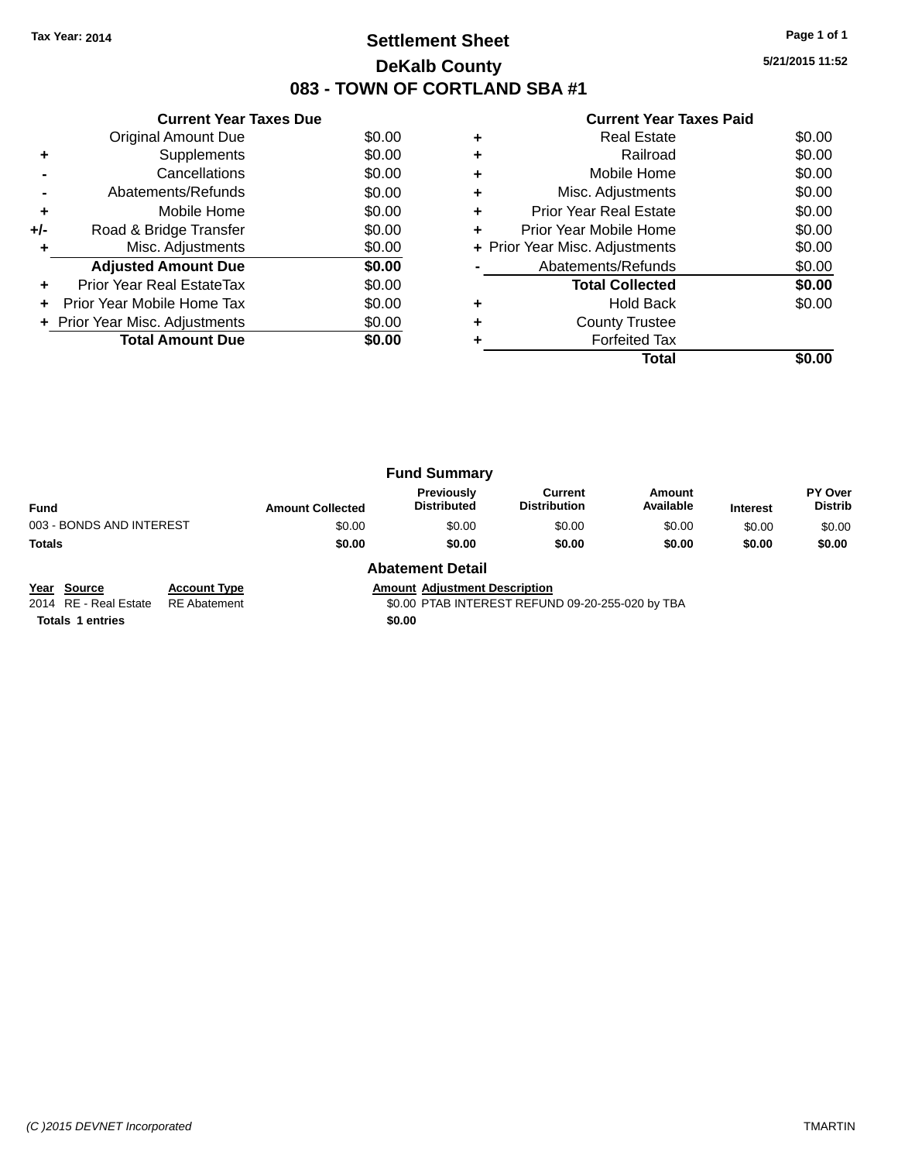# **Settlement Sheet Tax Year: 2014 Page 1 of 1 DeKalb County 083 - TOWN OF CORTLAND SBA #1**

**5/21/2015 11:52**

|     | <b>Current Year Taxes Due</b>  |        |  |  |  |  |
|-----|--------------------------------|--------|--|--|--|--|
|     | <b>Original Amount Due</b>     | \$0.00 |  |  |  |  |
| ٠   | Supplements                    | \$0.00 |  |  |  |  |
|     | Cancellations                  | \$0.00 |  |  |  |  |
|     | Abatements/Refunds             | \$0.00 |  |  |  |  |
| ٠   | Mobile Home                    | \$0.00 |  |  |  |  |
| +/- | Road & Bridge Transfer         | \$0.00 |  |  |  |  |
|     | Misc. Adjustments              | \$0.00 |  |  |  |  |
|     | <b>Adjusted Amount Due</b>     | \$0.00 |  |  |  |  |
|     | Prior Year Real EstateTax      | \$0.00 |  |  |  |  |
|     | Prior Year Mobile Home Tax     | \$0.00 |  |  |  |  |
|     | + Prior Year Misc. Adjustments | \$0.00 |  |  |  |  |
|     | <b>Total Amount Due</b>        | \$0.00 |  |  |  |  |
|     |                                |        |  |  |  |  |

#### **Current Year Taxes Paid**

|   | <b>Real Estate</b>             | \$0.00 |
|---|--------------------------------|--------|
|   | Railroad                       | \$0.00 |
| ٠ | Mobile Home                    | \$0.00 |
| ٠ | Misc. Adjustments              | \$0.00 |
| ٠ | <b>Prior Year Real Estate</b>  | \$0.00 |
| ٠ | Prior Year Mobile Home         | \$0.00 |
|   | + Prior Year Misc. Adjustments | \$0.00 |
|   | Abatements/Refunds             | \$0.00 |
|   | <b>Total Collected</b>         | \$0.00 |
|   | <b>Hold Back</b>               | \$0.00 |
|   | <b>County Trustee</b>          |        |
|   | <b>Forfeited Tax</b>           |        |
|   | Total                          |        |

|                          |                         | <b>Fund Summary</b>              |                                |                     |                 |                           |
|--------------------------|-------------------------|----------------------------------|--------------------------------|---------------------|-----------------|---------------------------|
| Fund                     | <b>Amount Collected</b> | Previously<br><b>Distributed</b> | Current<br><b>Distribution</b> | Amount<br>Available | <b>Interest</b> | PY Over<br><b>Distrib</b> |
| 003 - BONDS AND INTEREST | \$0.00                  | \$0.00                           | \$0.00                         | \$0.00              | \$0.00          | \$0.00                    |
| <b>Totals</b>            | \$0.00                  | \$0.00                           | \$0.00                         | \$0.00              | \$0.00          | \$0.00                    |
|                          | _ _ _                   |                                  |                                |                     |                 |                           |

**Year Source Account Type Amount Adjustment Description**<br>2014 RE - Real Estate RE Abatement \$0.00 PTAB INTEREST REFUN

#### **Abatement Detail**

\$0.00 PTAB INTEREST REFUND 09-20-255-020 by TBA

**Totals 1 entries** \$0.00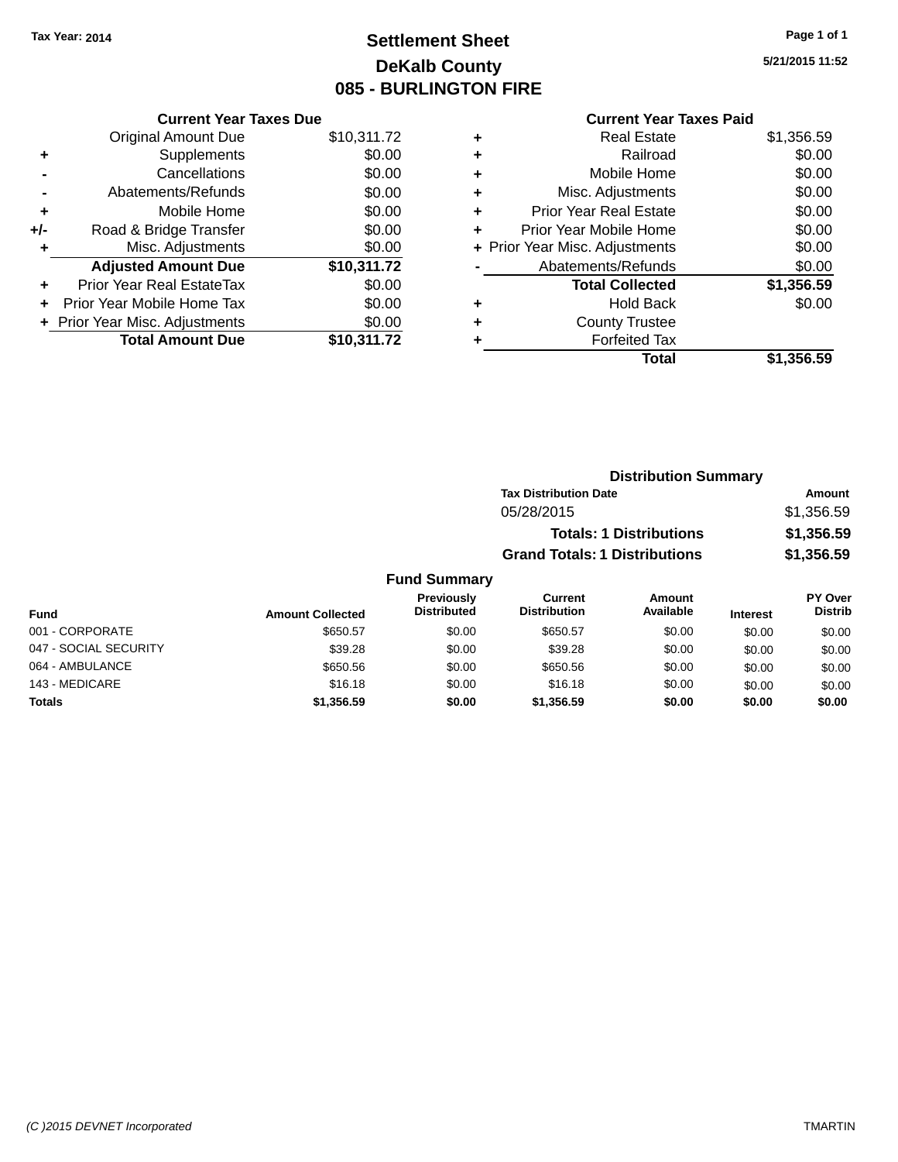# **Settlement Sheet Tax Year: 2014 Page 1 of 1 DeKalb County 085 - BURLINGTON FIRE**

**5/21/2015 11:52**

### **Current Year Taxes Paid**

|     | <b>Current Year Taxes Due</b>  |             |  |  |  |
|-----|--------------------------------|-------------|--|--|--|
|     | <b>Original Amount Due</b>     | \$10,311.72 |  |  |  |
| ٠   | Supplements                    | \$0.00      |  |  |  |
|     | Cancellations                  | \$0.00      |  |  |  |
|     | Abatements/Refunds             | \$0.00      |  |  |  |
| ٠   | Mobile Home                    | \$0.00      |  |  |  |
| +/- | Road & Bridge Transfer         | \$0.00      |  |  |  |
| ٠   | Misc. Adjustments              | \$0.00      |  |  |  |
|     | <b>Adjusted Amount Due</b>     | \$10,311.72 |  |  |  |
| ٠   | Prior Year Real EstateTax      | \$0.00      |  |  |  |
|     | Prior Year Mobile Home Tax     | \$0.00      |  |  |  |
|     | + Prior Year Misc. Adjustments | \$0.00      |  |  |  |
|     | <b>Total Amount Due</b>        | \$10.311.72 |  |  |  |

|   | Real Estate                    | \$1,356.59 |
|---|--------------------------------|------------|
| ٠ | Railroad                       | \$0.00     |
| ٠ | Mobile Home                    | \$0.00     |
| ٠ | Misc. Adjustments              | \$0.00     |
| ٠ | <b>Prior Year Real Estate</b>  | \$0.00     |
| ٠ | Prior Year Mobile Home         | \$0.00     |
|   | + Prior Year Misc. Adjustments | \$0.00     |
|   | Abatements/Refunds             | \$0.00     |
|   | <b>Total Collected</b>         | \$1,356.59 |
| ٠ | <b>Hold Back</b>               | \$0.00     |
| ٠ | <b>County Trustee</b>          |            |
| ٠ | <b>Forfeited Tax</b>           |            |
|   | Total                          | \$1,356.59 |
|   |                                |            |

| <b>Distribution Summary</b>          |            |
|--------------------------------------|------------|
| <b>Tax Distribution Date</b>         | Amount     |
| 05/28/2015                           | \$1,356.59 |
| <b>Totals: 1 Distributions</b>       | \$1,356.59 |
| <b>Grand Totals: 1 Distributions</b> | \$1,356.59 |
|                                      |            |

| Fund                  | <b>Amount Collected</b> | <b>Previously</b><br><b>Distributed</b> | Current<br><b>Distribution</b> | Amount<br>Available | <b>Interest</b> | <b>PY Over</b><br><b>Distrib</b> |
|-----------------------|-------------------------|-----------------------------------------|--------------------------------|---------------------|-----------------|----------------------------------|
| 001 - CORPORATE       | \$650.57                | \$0.00                                  | \$650.57                       | \$0.00              | \$0.00          | \$0.00                           |
| 047 - SOCIAL SECURITY | \$39.28                 | \$0.00                                  | \$39.28                        | \$0.00              | \$0.00          | \$0.00                           |
| 064 - AMBULANCE       | \$650.56                | \$0.00                                  | \$650.56                       | \$0.00              | \$0.00          | \$0.00                           |
| 143 - MEDICARE        | \$16.18                 | \$0.00                                  | \$16.18                        | \$0.00              | \$0.00          | \$0.00                           |
| <b>Totals</b>         | \$1,356.59              | \$0.00                                  | \$1,356.59                     | \$0.00              | \$0.00          | \$0.00                           |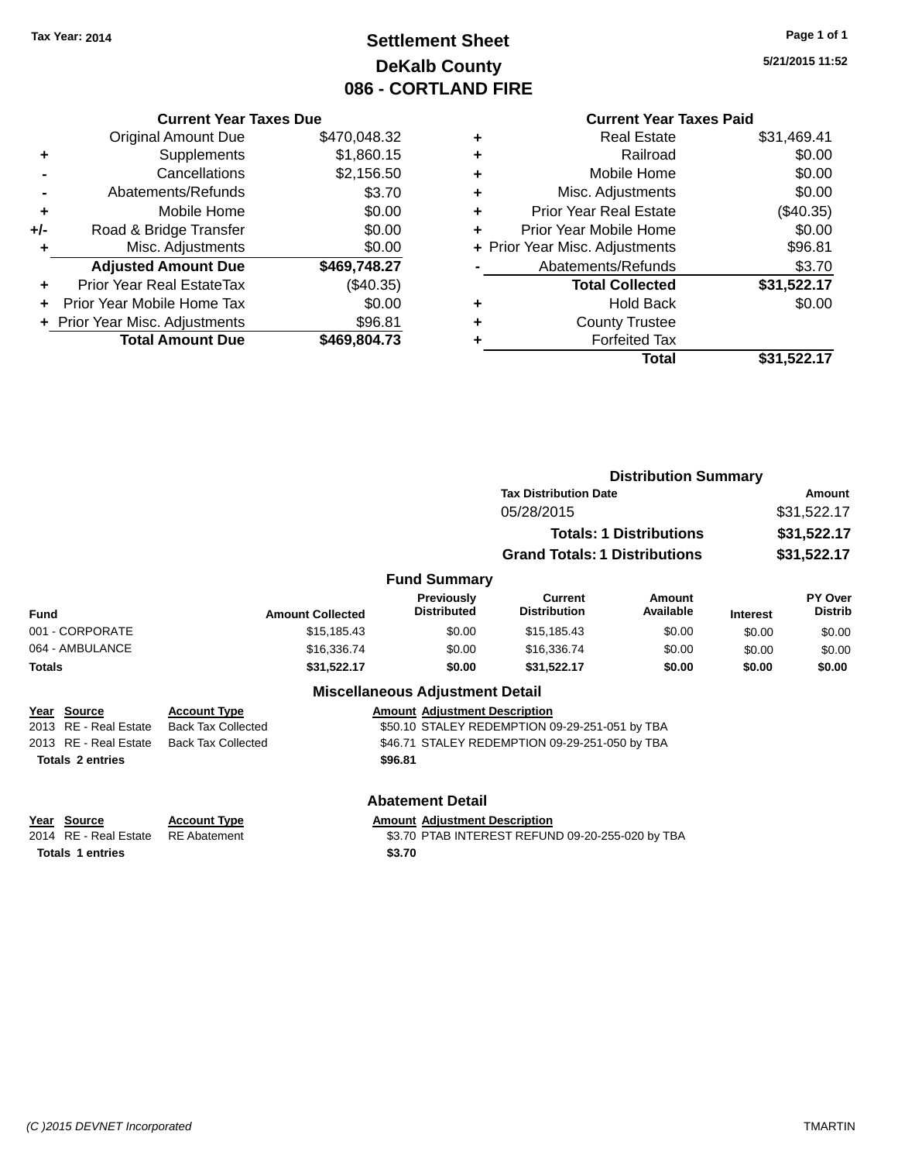# **Settlement Sheet Tax Year: 2014 Page 1 of 1 DeKalb County 086 - CORTLAND FIRE**

**5/21/2015 11:52**

### **Current Year Taxes Paid**

|       | <b>Current Year Taxes Due</b>  |              |
|-------|--------------------------------|--------------|
|       | <b>Original Amount Due</b>     | \$470,048.32 |
| ٠     | Supplements                    | \$1,860.15   |
|       | Cancellations                  | \$2,156.50   |
|       | Abatements/Refunds             | \$3.70       |
| ÷     | Mobile Home                    | \$0.00       |
| $+/-$ | Road & Bridge Transfer         | \$0.00       |
|       | Misc. Adjustments              | \$0.00       |
|       | <b>Adjusted Amount Due</b>     | \$469,748.27 |
| ÷     | Prior Year Real EstateTax      | $(\$40.35)$  |
|       | Prior Year Mobile Home Tax     | \$0.00       |
|       | + Prior Year Misc. Adjustments | \$96.81      |
|       | <b>Total Amount Due</b>        | \$469,804.73 |
|       |                                |              |

|   | <b>Real Estate</b>             | \$31,469.41 |
|---|--------------------------------|-------------|
| ٠ | Railroad                       | \$0.00      |
| ٠ | Mobile Home                    | \$0.00      |
| ٠ | Misc. Adjustments              | \$0.00      |
| ٠ | <b>Prior Year Real Estate</b>  | $(\$40.35)$ |
| ٠ | Prior Year Mobile Home         | \$0.00      |
|   | + Prior Year Misc. Adjustments | \$96.81     |
|   | Abatements/Refunds             | \$3.70      |
|   | <b>Total Collected</b>         | \$31,522.17 |
| ٠ | <b>Hold Back</b>               | \$0.00      |
| ٠ | <b>County Trustee</b>          |             |
| ٠ | <b>Forfeited Tax</b>           |             |
|   | Total                          | \$31,522.17 |
|   |                                |             |

|                                                               |                                                                               |                                        | <b>Distribution Summary</b>                                                                      |                                |                 |                           |  |
|---------------------------------------------------------------|-------------------------------------------------------------------------------|----------------------------------------|--------------------------------------------------------------------------------------------------|--------------------------------|-----------------|---------------------------|--|
|                                                               |                                                                               |                                        | <b>Tax Distribution Date</b>                                                                     | Amount                         |                 |                           |  |
|                                                               |                                                                               |                                        | 05/28/2015                                                                                       |                                |                 | \$31,522.17               |  |
|                                                               |                                                                               |                                        |                                                                                                  | <b>Totals: 1 Distributions</b> |                 | \$31,522.17               |  |
|                                                               |                                                                               |                                        | <b>Grand Totals: 1 Distributions</b>                                                             |                                |                 | \$31,522.17               |  |
|                                                               |                                                                               | <b>Fund Summary</b>                    |                                                                                                  |                                |                 |                           |  |
| <b>Fund</b>                                                   | <b>Amount Collected</b>                                                       | Previously<br><b>Distributed</b>       | <b>Current</b><br><b>Distribution</b>                                                            | Amount<br>Available            | <b>Interest</b> | PY Over<br><b>Distrib</b> |  |
| 001 - CORPORATE                                               | \$15,185.43                                                                   | \$0.00                                 | \$15,185.43                                                                                      | \$0.00                         | \$0.00          | \$0.00                    |  |
| 064 - AMBULANCE                                               | \$16,336.74                                                                   | \$0.00                                 | \$16,336.74                                                                                      | \$0.00                         | \$0.00          | \$0.00                    |  |
| <b>Totals</b>                                                 | \$31,522.17                                                                   | \$0.00                                 | \$31,522.17                                                                                      | \$0.00                         | \$0.00          | \$0.00                    |  |
|                                                               |                                                                               | <b>Miscellaneous Adjustment Detail</b> |                                                                                                  |                                |                 |                           |  |
| Year Source<br>2013 RE - Real Estate<br>2013 RE - Real Estate | <b>Account Type</b><br><b>Back Tax Collected</b><br><b>Back Tax Collected</b> | <b>Amount Adjustment Description</b>   | \$50.10 STALEY REDEMPTION 09-29-251-051 by TBA<br>\$46.71 STALEY REDEMPTION 09-29-251-050 by TBA |                                |                 |                           |  |
| <b>Totals 2 entries</b>                                       |                                                                               | \$96.81                                |                                                                                                  |                                |                 |                           |  |
|                                                               |                                                                               | <b>Abatement Detail</b>                |                                                                                                  |                                |                 |                           |  |
| Source<br>Year                                                | <b>Account Type</b>                                                           | <b>Amount Adjustment Description</b>   |                                                                                                  |                                |                 |                           |  |
| 2014 RE - Real Estate                                         | <b>RE</b> Abatement                                                           |                                        | \$3.70 PTAB INTEREST REFUND 09-20-255-020 by TBA                                                 |                                |                 |                           |  |

Totals 1 entries \$3.70

\$3.70 PTAB INTEREST REFUND 09-20-255-020 by TBA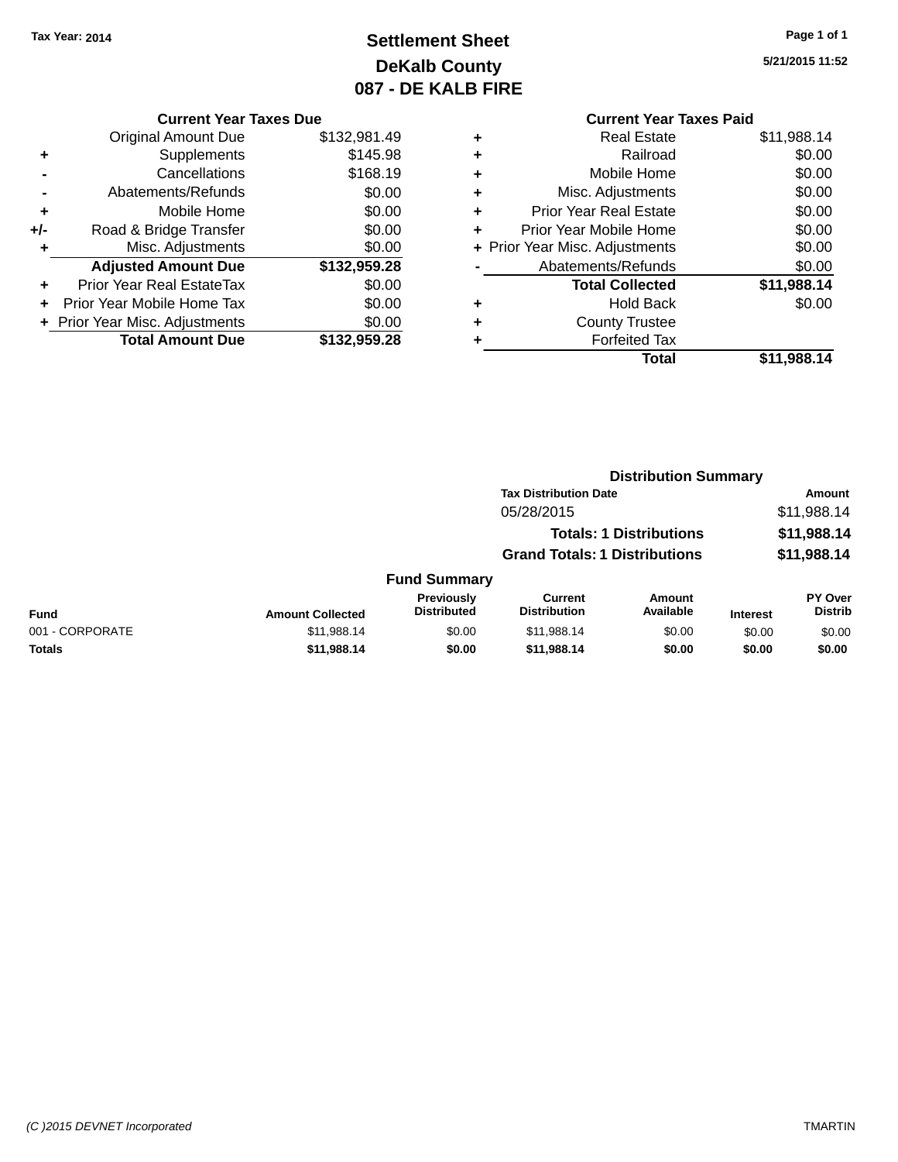# **Settlement Sheet Tax Year: 2014 Page 1 of 1 DeKalb County 087 - DE KALB FIRE**

**5/21/2015 11:52**

### **Current Year Taxes Due**

|     | <b>Original Amount Due</b>     | \$132,981.49 |
|-----|--------------------------------|--------------|
| ٠   | Supplements                    | \$145.98     |
|     | Cancellations                  | \$168.19     |
|     | Abatements/Refunds             | \$0.00       |
| ٠   | Mobile Home                    | \$0.00       |
| +/- | Road & Bridge Transfer         | \$0.00       |
| ٠   | Misc. Adjustments              | \$0.00       |
|     | <b>Adjusted Amount Due</b>     | \$132,959.28 |
| ٠   | Prior Year Real EstateTax      | \$0.00       |
|     | Prior Year Mobile Home Tax     | \$0.00       |
|     | + Prior Year Misc. Adjustments | \$0.00       |
|     | <b>Total Amount Due</b>        | \$132.959.28 |

# **Current Year Taxes Paid +** Real Estate \$11,988.14

|   | Total                          | \$11,988.14 |
|---|--------------------------------|-------------|
|   | <b>Forfeited Tax</b>           |             |
| ٠ | <b>County Trustee</b>          |             |
|   | <b>Hold Back</b>               | \$0.00      |
|   | <b>Total Collected</b>         | \$11,988.14 |
|   | Abatements/Refunds             | \$0.00      |
|   | + Prior Year Misc. Adjustments | \$0.00      |
|   | Prior Year Mobile Home         | \$0.00      |
| ٠ | <b>Prior Year Real Estate</b>  | \$0.00      |
| ٠ | Misc. Adjustments              | \$0.00      |
| ÷ | Mobile Home                    | \$0.00      |
|   | Railroad                       | \$0.00      |
|   |                                | <b>.</b> .  |

#### **Distribution Summary Tax Distribution Date Amount** 05/28/2015 \$11,988.14 **Totals: 1 Distributions \$11,988.14 Grand Totals: 1 Distributions \$11,988.14 Fund Summary Fund Interest Amount Collected Distributed PY Over Distrib Amount Available Current Distribution Previously** 001 - CORPORATE \$11,988.14 \$0.00 \$11,988.14 \$0.00 \$0.00 \$0.00 **Totals \$11,988.14 \$0.00 \$11,988.14 \$0.00 \$0.00 \$0.00**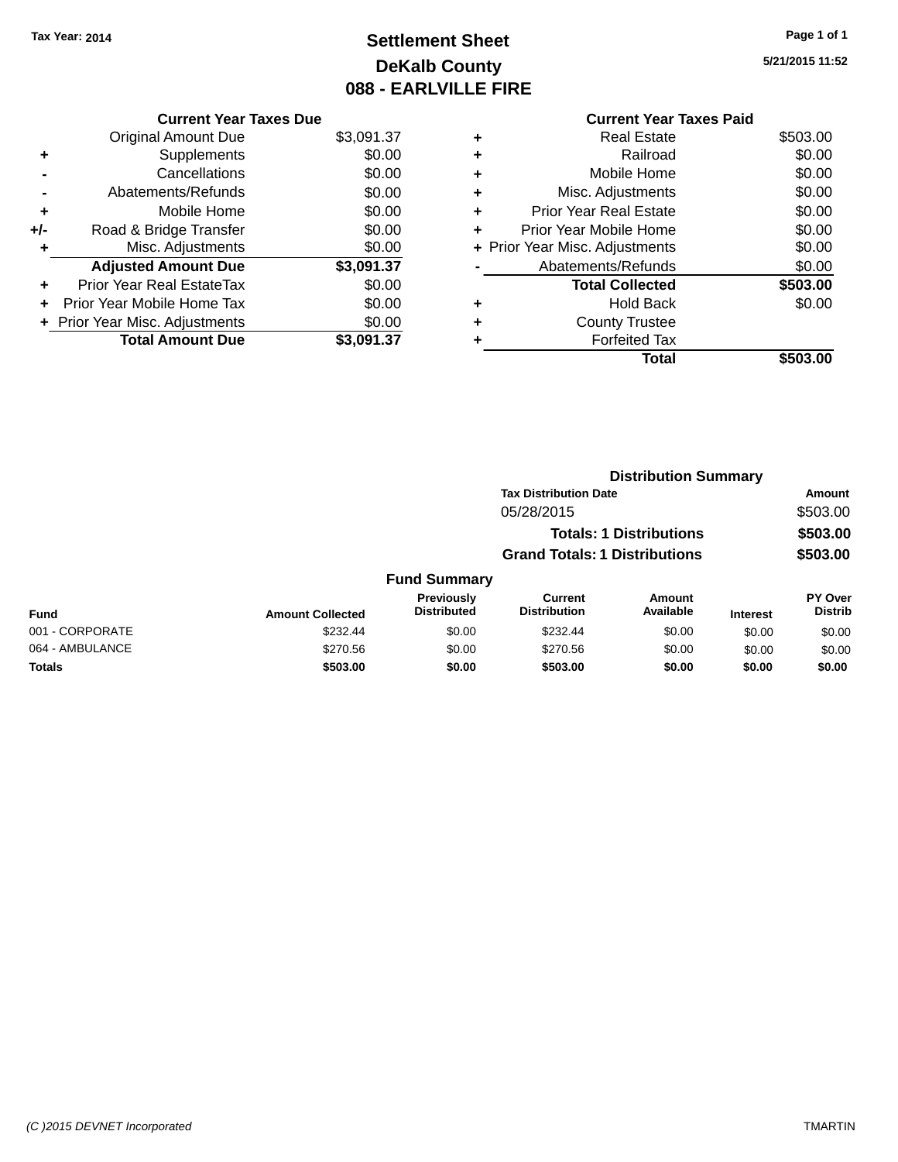# **Settlement Sheet Tax Year: 2014 Page 1 of 1 DeKalb County 088 - EARLVILLE FIRE**

**5/21/2015 11:52**

|   | <b>Current Year Taxes Paid</b> |          |  |  |  |
|---|--------------------------------|----------|--|--|--|
| ٠ | <b>Real Estate</b>             | \$503.00 |  |  |  |
| ٠ | Railroad                       | \$0.00   |  |  |  |
| ٠ | Mobile Home                    | \$0.00   |  |  |  |
| ٠ | Misc. Adjustments              | \$0.00   |  |  |  |
| ٠ | <b>Prior Year Real Estate</b>  | \$0.00   |  |  |  |
| ÷ | Prior Year Mobile Home         | \$0.00   |  |  |  |
|   | + Prior Year Misc. Adjustments | \$0.00   |  |  |  |
|   | Abatements/Refunds             | \$0.00   |  |  |  |
|   | <b>Total Collected</b>         | \$503.00 |  |  |  |
| ٠ | <b>Hold Back</b>               | \$0.00   |  |  |  |
|   | <b>County Trustee</b>          |          |  |  |  |
| ٠ | <b>Forfeited Tax</b>           |          |  |  |  |
|   | Total                          | \$503    |  |  |  |
|   |                                |          |  |  |  |

| <b>Current Year Taxes Due</b>  |            |
|--------------------------------|------------|
| <b>Original Amount Due</b>     | \$3,091.37 |
| Supplements                    | \$0.00     |
| Cancellations                  | \$0.00     |
| Abatements/Refunds             | \$0.00     |
| Mobile Home                    | \$0.00     |
| Road & Bridge Transfer         | \$0.00     |
| Misc. Adjustments              | \$0.00     |
| <b>Adjusted Amount Due</b>     | \$3,091.37 |
| Prior Year Real EstateTax      | \$0.00     |
| Prior Year Mobile Home Tax     | \$0.00     |
| + Prior Year Misc. Adjustments | \$0.00     |
| <b>Total Amount Due</b>        | \$3.091.37 |
|                                |            |

|                 | <b>Distribution Summary</b> |                                  |                                       |                                |                 |                                  |
|-----------------|-----------------------------|----------------------------------|---------------------------------------|--------------------------------|-----------------|----------------------------------|
|                 |                             |                                  | <b>Tax Distribution Date</b>          |                                |                 | Amount                           |
|                 |                             |                                  | 05/28/2015                            |                                |                 | \$503.00                         |
|                 |                             |                                  |                                       | <b>Totals: 1 Distributions</b> |                 | \$503.00                         |
|                 |                             |                                  | <b>Grand Totals: 1 Distributions</b>  |                                |                 | \$503.00                         |
|                 |                             | <b>Fund Summary</b>              |                                       |                                |                 |                                  |
| <b>Fund</b>     | <b>Amount Collected</b>     | Previously<br><b>Distributed</b> | <b>Current</b><br><b>Distribution</b> | Amount<br>Available            | <b>Interest</b> | <b>PY Over</b><br><b>Distrib</b> |
| 001 - CORPORATE | \$232.44                    | \$0.00                           | \$232.44                              | \$0.00                         | \$0.00          | \$0.00                           |
| 064 - AMBULANCE | \$270.56                    | \$0.00                           | \$270.56                              | \$0.00                         | \$0.00          | \$0.00                           |
| <b>Totals</b>   | \$503.00                    | \$0.00                           | \$503.00                              | \$0.00                         | \$0.00          | \$0.00                           |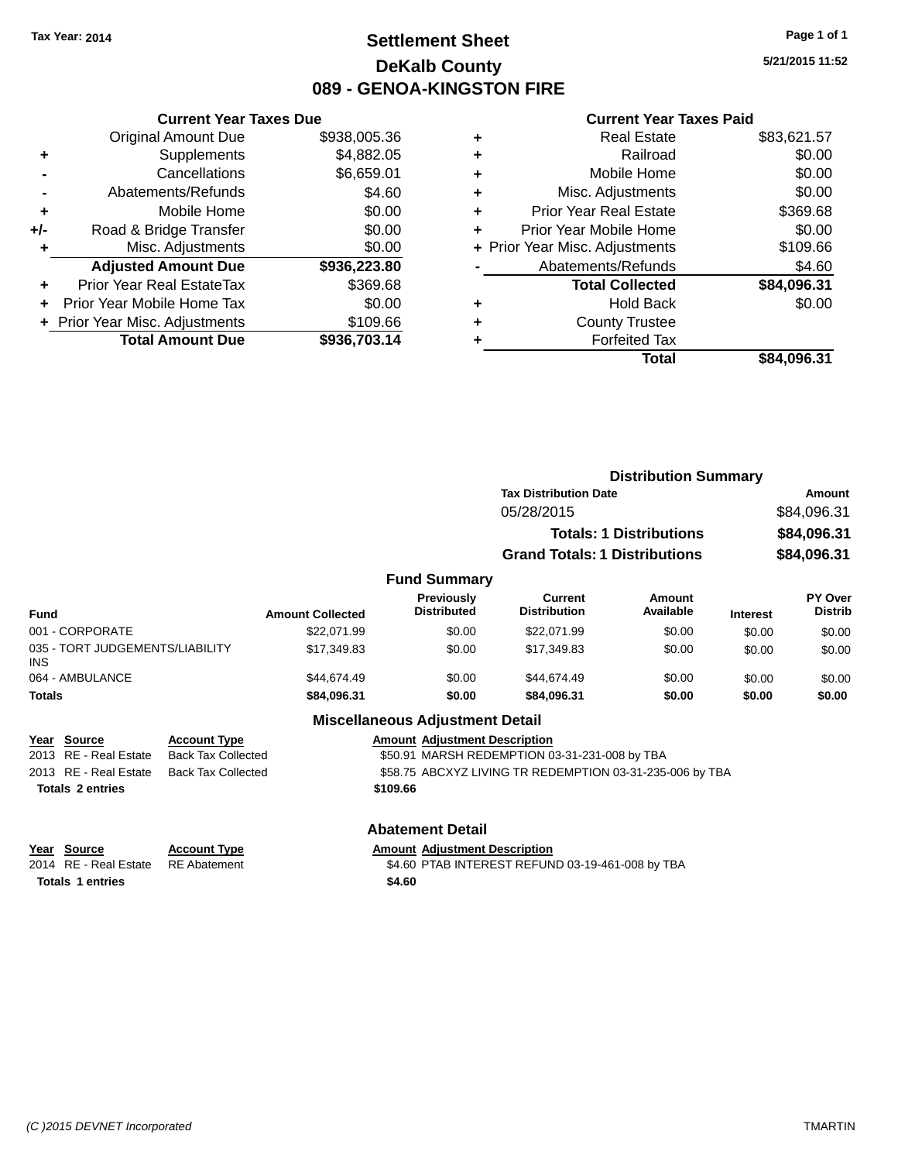# **Settlement Sheet Tax Year: 2014 Page 1 of 1 DeKalb County 089 - GENOA-KINGSTON FIRE**

**5/21/2015 11:52**

#### **Current Year Taxes Paid**

|     | <b>Current Year Taxes Due</b>  |              |  |
|-----|--------------------------------|--------------|--|
|     | <b>Original Amount Due</b>     | \$938,005.36 |  |
| ٠   | Supplements                    | \$4,882.05   |  |
|     | Cancellations                  | \$6,659.01   |  |
|     | Abatements/Refunds             | \$4.60       |  |
| ٠   | Mobile Home                    | \$0.00       |  |
| +/- | Road & Bridge Transfer         | \$0.00       |  |
|     | Misc. Adjustments              | \$0.00       |  |
|     | <b>Adjusted Amount Due</b>     | \$936,223.80 |  |
|     | Prior Year Real EstateTax      | \$369.68     |  |
|     | Prior Year Mobile Home Tax     | \$0.00       |  |
|     | + Prior Year Misc. Adjustments | \$109.66     |  |
|     | <b>Total Amount Due</b>        | \$936,703.14 |  |
|     |                                |              |  |

|   | <b>Real Estate</b>             | \$83,621.57 |
|---|--------------------------------|-------------|
| ٠ | Railroad                       | \$0.00      |
| ٠ | Mobile Home                    | \$0.00      |
| ٠ | Misc. Adjustments              | \$0.00      |
| ٠ | <b>Prior Year Real Estate</b>  | \$369.68    |
| ٠ | Prior Year Mobile Home         | \$0.00      |
|   | + Prior Year Misc. Adjustments | \$109.66    |
|   | Abatements/Refunds             | \$4.60      |
|   | <b>Total Collected</b>         | \$84,096.31 |
| ٠ | <b>Hold Back</b>               | \$0.00      |
| ٠ | <b>County Trustee</b>          |             |
| ٠ | <b>Forfeited Tax</b>           |             |
|   | Total                          | \$84,096.31 |
|   |                                |             |

|                                         |                         |                                  |                                      | <b>Distribution Summary</b>    |                 |                                  |
|-----------------------------------------|-------------------------|----------------------------------|--------------------------------------|--------------------------------|-----------------|----------------------------------|
|                                         |                         |                                  | <b>Tax Distribution Date</b>         |                                |                 | <b>Amount</b>                    |
|                                         |                         |                                  | 05/28/2015                           |                                |                 | \$84,096.31                      |
|                                         |                         |                                  |                                      | <b>Totals: 1 Distributions</b> |                 | \$84,096.31                      |
|                                         |                         |                                  | <b>Grand Totals: 1 Distributions</b> |                                |                 | \$84,096.31                      |
|                                         |                         | <b>Fund Summary</b>              |                                      |                                |                 |                                  |
| <b>Fund</b>                             | <b>Amount Collected</b> | Previously<br><b>Distributed</b> | Current<br><b>Distribution</b>       | Amount<br>Available            | <b>Interest</b> | <b>PY Over</b><br><b>Distrib</b> |
| 001 - CORPORATE                         | \$22,071.99             | \$0.00                           | \$22,071.99                          | \$0.00                         | \$0.00          | \$0.00                           |
| 035 - TORT JUDGEMENTS/LIABILITY<br>INS. | \$17,349.83             | \$0.00                           | \$17,349.83                          | \$0.00                         | \$0.00          | \$0.00                           |
| 064 - AMBULANCE                         | \$44,674.49             | \$0.00                           | \$44.674.49                          | \$0.00                         | \$0.00          | \$0.00                           |
| <b>Totals</b>                           | \$84,096.31             | \$0.00                           | \$84,096.31                          | \$0.00                         | \$0.00          | \$0.00                           |

# **Miscellaneous Adjustment Detail**

| Year Source             | <b>Account Type</b> | <b>Amount Adjustment Description</b>                     |
|-------------------------|---------------------|----------------------------------------------------------|
| 2013 RE - Real Estate   | Back Tax Collected  | \$50.91 MARSH REDEMPTION 03-31-231-008 by TBA            |
| 2013 RE - Real Estate   | Back Tax Collected  | \$58.75 ABCXYZ LIVING TR REDEMPTION 03-31-235-006 by TBA |
| <b>Totals 2 entries</b> |                     | \$109.66                                                 |
|                         |                     |                                                          |

Totals 1 entries \$4.60

**Abatement Detail**

**Year Source Account Type Amount Adjustment Description**  $\overline{$4.60}$  PTAB INTEREST REFUND 03-19-461-008 by TBA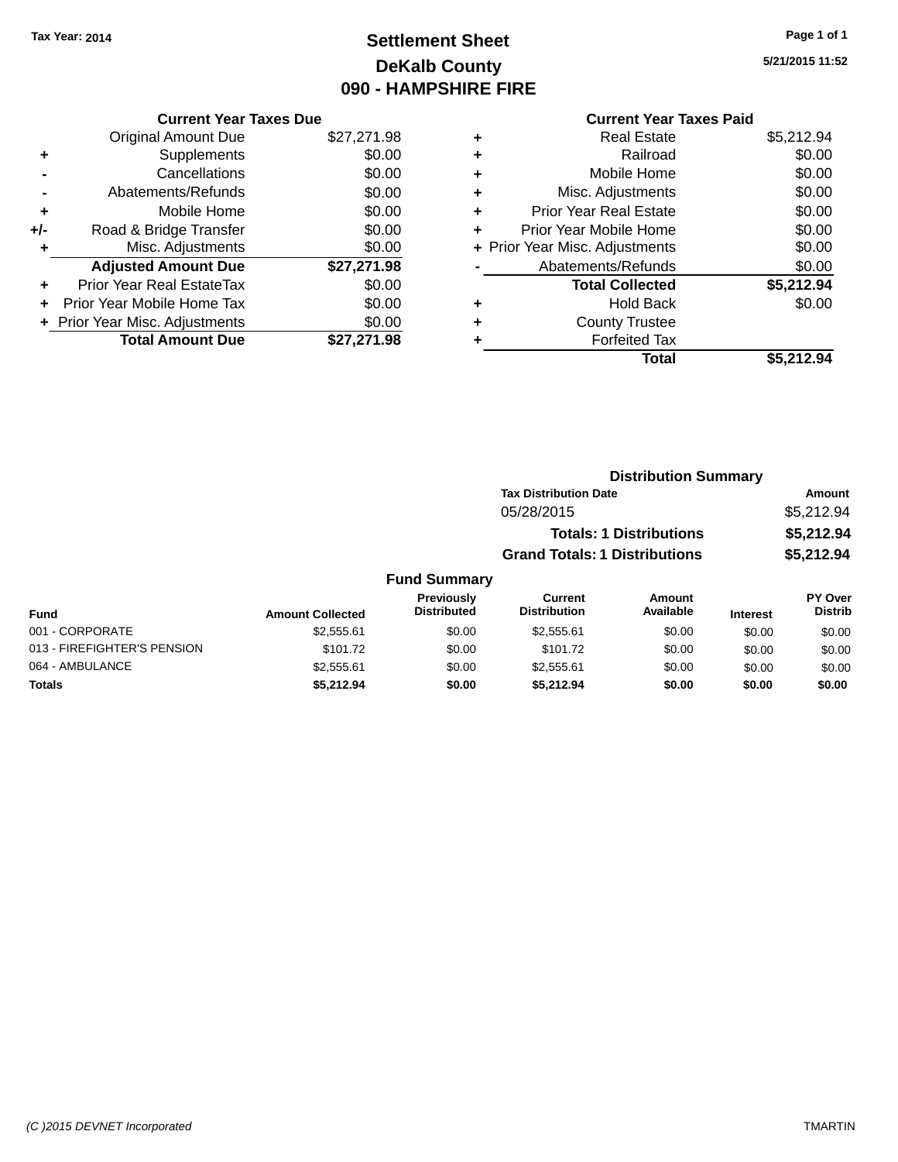# **Settlement Sheet Tax Year: 2014 Page 1 of 1 DeKalb County 090 - HAMPSHIRE FIRE**

**5/21/2015 11:52**

|       | <b>Current Year Taxes Due</b>  |             |  |
|-------|--------------------------------|-------------|--|
|       | <b>Original Amount Due</b>     | \$27,271.98 |  |
| ٠     | Supplements                    | \$0.00      |  |
|       | Cancellations                  | \$0.00      |  |
|       | Abatements/Refunds             | \$0.00      |  |
| ٠     | Mobile Home                    | \$0.00      |  |
| $+/-$ | Road & Bridge Transfer         | \$0.00      |  |
| ٠     | Misc. Adjustments              | \$0.00      |  |
|       | <b>Adjusted Amount Due</b>     | \$27,271.98 |  |
| ٠     | Prior Year Real EstateTax      | \$0.00      |  |
|       | Prior Year Mobile Home Tax     | \$0.00      |  |
|       | + Prior Year Misc. Adjustments | \$0.00      |  |
|       | <b>Total Amount Due</b>        | \$27.271.98 |  |

# **Current Year Taxes Paid**

|   | <b>Real Estate</b>             | \$5,212.94 |
|---|--------------------------------|------------|
| ٠ | Railroad                       | \$0.00     |
| ٠ | Mobile Home                    | \$0.00     |
| ٠ | Misc. Adjustments              | \$0.00     |
| ٠ | <b>Prior Year Real Estate</b>  | \$0.00     |
| ٠ | Prior Year Mobile Home         | \$0.00     |
|   | + Prior Year Misc. Adjustments | \$0.00     |
|   | Abatements/Refunds             | \$0.00     |
|   | <b>Total Collected</b>         | \$5,212.94 |
| ٠ | Hold Back                      | \$0.00     |
| ٠ | <b>County Trustee</b>          |            |
|   | <b>Forfeited Tax</b>           |            |
|   | Total                          | \$5.212.94 |
|   |                                |            |

# **Distribution Summary Tax Distribution Date Amount** 05/28/2015 \$5,212.94 **Totals: 1 Distributions \$5,212.94 Grand Totals: 1 Distributions \$5,212.94**

#### **Fund Summary Fund Interest Amount Collected Distributed PY Over Distrib Amount Available Current Distribution Previously** 001 - CORPORATE \$2,555.61 \$0.00 \$2,555.61 \$0.00 \$0.00 \$0.00 013 - FIREFIGHTER'S PENSION \$101.72 \$101.72 \$0.00 \$101.72 \$0.00 \$0.00 \$0.00 \$0.00 064 - AMBULANCE \$2,555.61 \$0.00 \$2,555.61 \$0.00 \$0.00 \$0.00 **Totals \$5,212.94 \$0.00 \$5,212.94 \$0.00 \$0.00 \$0.00**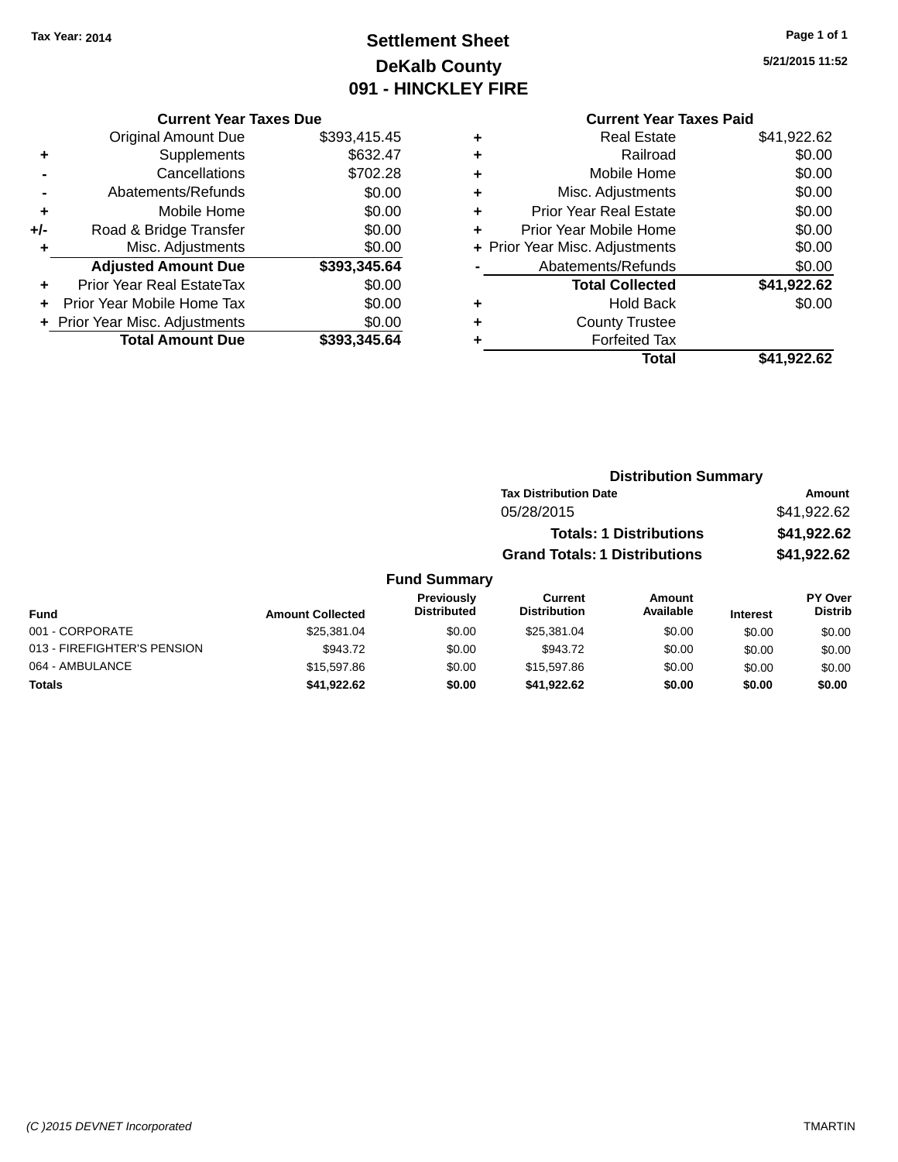# **Settlement Sheet Tax Year: 2014 Page 1 of 1 DeKalb County 091 - HINCKLEY FIRE**

**5/21/2015 11:52**

#### **Current Year Taxes Due**

|       | <b>Original Amount Due</b>       | \$393,415.45 |
|-------|----------------------------------|--------------|
| ٠     | Supplements                      | \$632.47     |
|       | Cancellations                    | \$702.28     |
|       | Abatements/Refunds               | \$0.00       |
| ٠     | Mobile Home                      | \$0.00       |
| $+/-$ | Road & Bridge Transfer           | \$0.00       |
| ٠     | Misc. Adjustments                | \$0.00       |
|       | <b>Adjusted Amount Due</b>       | \$393,345.64 |
| ÷     | <b>Prior Year Real EstateTax</b> | \$0.00       |
|       | Prior Year Mobile Home Tax       | \$0.00       |
|       | + Prior Year Misc. Adjustments   | \$0.00       |
|       | <b>Total Amount Due</b>          | \$393.345.64 |

|   | <b>Current Year Taxes Paid</b> |             |
|---|--------------------------------|-------------|
| ٠ | <b>Real Estate</b>             | \$41,922.62 |
| ٠ | Railroad                       | \$0.00      |
| ٠ | Mobile Home                    | \$0.00      |
| ٠ | Misc. Adjustments              | \$0.00      |
| ٠ | <b>Prior Year Real Estate</b>  | \$0.00      |
| ٠ | Prior Year Mobile Home         | \$0.00      |
|   | + Prior Year Misc. Adjustments | \$0.00      |
|   | Abatements/Refunds             | \$0.00      |
|   | <b>Total Collected</b>         | \$41,922.62 |
| ٠ | <b>Hold Back</b>               | \$0.00      |
| ٠ | <b>County Trustee</b>          |             |
| ٠ | <b>Forfeited Tax</b>           |             |
|   | Total                          | \$41,922.62 |
|   |                                |             |

# **Distribution Summary Tax Distribution Date Amount** 05/28/2015 \$41,922.62 **Totals: 1 Distributions \$41,922.62 Grand Totals: 1 Distributions \$41,922.62**

| Fund                        | <b>Amount Collected</b> | <b>Previously</b><br><b>Distributed</b> | Current<br><b>Distribution</b> | Amount<br>Available | <b>Interest</b> | <b>PY Over</b><br><b>Distrib</b> |
|-----------------------------|-------------------------|-----------------------------------------|--------------------------------|---------------------|-----------------|----------------------------------|
| 001 - CORPORATE             | \$25,381,04             | \$0.00                                  | \$25,381,04                    | \$0.00              | \$0.00          | \$0.00                           |
| 013 - FIREFIGHTER'S PENSION | \$943.72                | \$0.00                                  | \$943.72                       | \$0.00              | \$0.00          | \$0.00                           |
| 064 - AMBULANCE             | \$15,597.86             | \$0.00                                  | \$15,597.86                    | \$0.00              | \$0.00          | \$0.00                           |
| <b>Totals</b>               | \$41,922.62             | \$0.00                                  | \$41,922.62                    | \$0.00              | \$0.00          | \$0.00                           |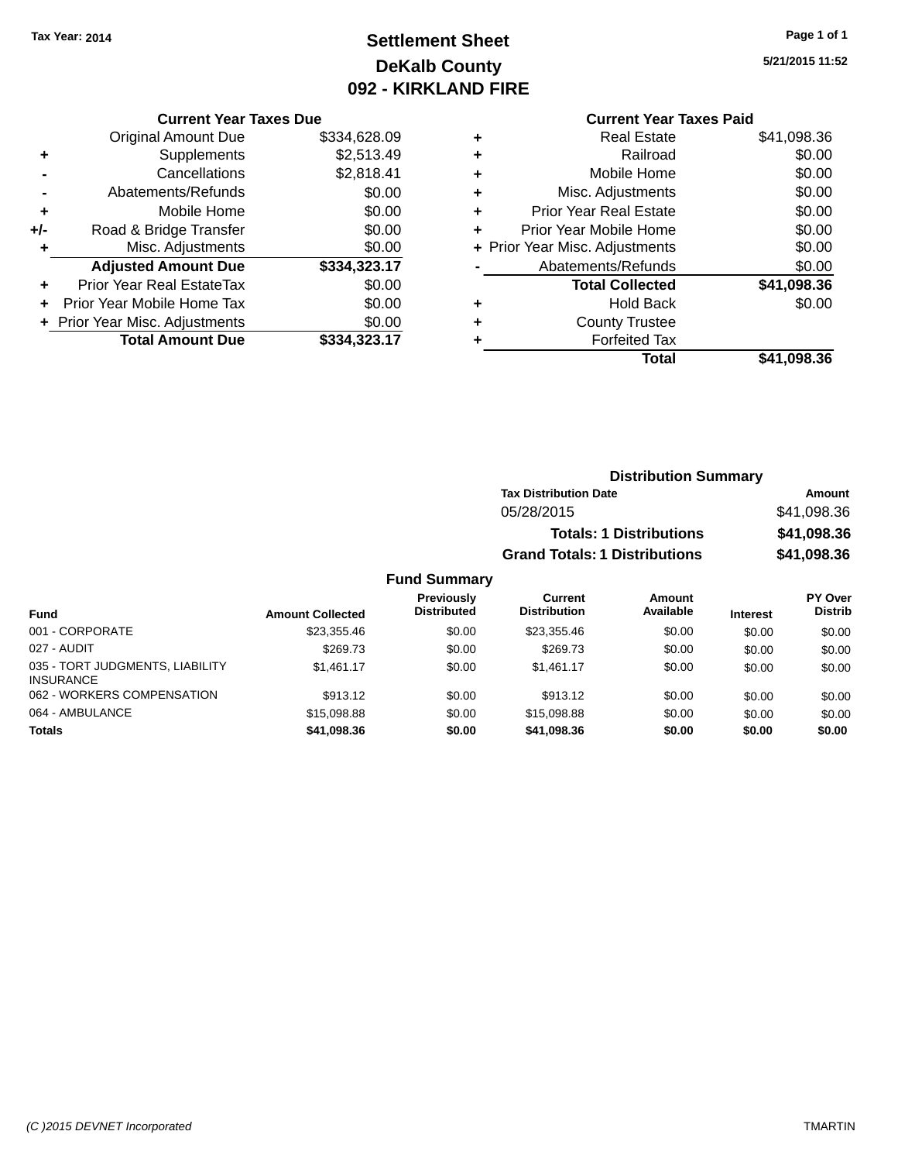# **Settlement Sheet Tax Year: 2014 Page 1 of 1 DeKalb County 092 - KIRKLAND FIRE**

**5/21/2015 11:52**

#### **Current Year Taxes Due**

|     | <b>Original Amount Due</b>     | \$334,628.09 |
|-----|--------------------------------|--------------|
| ٠   | Supplements                    | \$2,513.49   |
|     | Cancellations                  | \$2,818.41   |
|     | Abatements/Refunds             | \$0.00       |
| ٠   | Mobile Home                    | \$0.00       |
| +/- | Road & Bridge Transfer         | \$0.00       |
| ٠   | Misc. Adjustments              | \$0.00       |
|     | <b>Adjusted Amount Due</b>     | \$334,323.17 |
|     | Prior Year Real EstateTax      | \$0.00       |
|     | Prior Year Mobile Home Tax     | \$0.00       |
|     | + Prior Year Misc. Adjustments | \$0.00       |
|     | <b>Total Amount Due</b>        | \$334.323.17 |

#### **Current Year Taxes Paid +** Real Estate \$41,098.36

|   | Total                          | \$41,098.36 |
|---|--------------------------------|-------------|
|   | <b>Forfeited Tax</b>           |             |
| ÷ | <b>County Trustee</b>          |             |
| ٠ | <b>Hold Back</b>               | \$0.00      |
|   | <b>Total Collected</b>         | \$41,098.36 |
|   | Abatements/Refunds             | \$0.00      |
|   | + Prior Year Misc. Adjustments | \$0.00      |
|   | Prior Year Mobile Home         | \$0.00      |
| ٠ | <b>Prior Year Real Estate</b>  | \$0.00      |
| ٠ | Misc. Adjustments              | \$0.00      |
| ÷ | Mobile Home                    | \$0.00      |
|   | Railroad                       | \$0.00      |
|   | noar Loiaio                    | טט.טטט, ודש |

# **Distribution Summary Tax Distribution Date Amount** 05/28/2015 \$41,098.36 **Totals: 1 Distributions \$41,098.36 Grand Totals: 1 Distributions \$41,098.36**

| Fund                                                | <b>Amount Collected</b> | Previously<br><b>Distributed</b> | Current<br><b>Distribution</b> | Amount<br>Available | <b>Interest</b> | <b>PY Over</b><br><b>Distrib</b> |
|-----------------------------------------------------|-------------------------|----------------------------------|--------------------------------|---------------------|-----------------|----------------------------------|
| 001 - CORPORATE                                     | \$23,355.46             | \$0.00                           | \$23,355.46                    | \$0.00              | \$0.00          | \$0.00                           |
| 027 - AUDIT                                         | \$269.73                | \$0.00                           | \$269.73                       | \$0.00              | \$0.00          | \$0.00                           |
| 035 - TORT JUDGMENTS, LIABILITY<br><b>INSURANCE</b> | \$1.461.17              | \$0.00                           | \$1.461.17                     | \$0.00              | \$0.00          | \$0.00                           |
| 062 - WORKERS COMPENSATION                          | \$913.12                | \$0.00                           | \$913.12                       | \$0.00              | \$0.00          | \$0.00                           |
| 064 - AMBULANCE                                     | \$15,098.88             | \$0.00                           | \$15,098.88                    | \$0.00              | \$0.00          | \$0.00                           |
| <b>Totals</b>                                       | \$41,098.36             | \$0.00                           | \$41,098.36                    | \$0.00              | \$0.00          | \$0.00                           |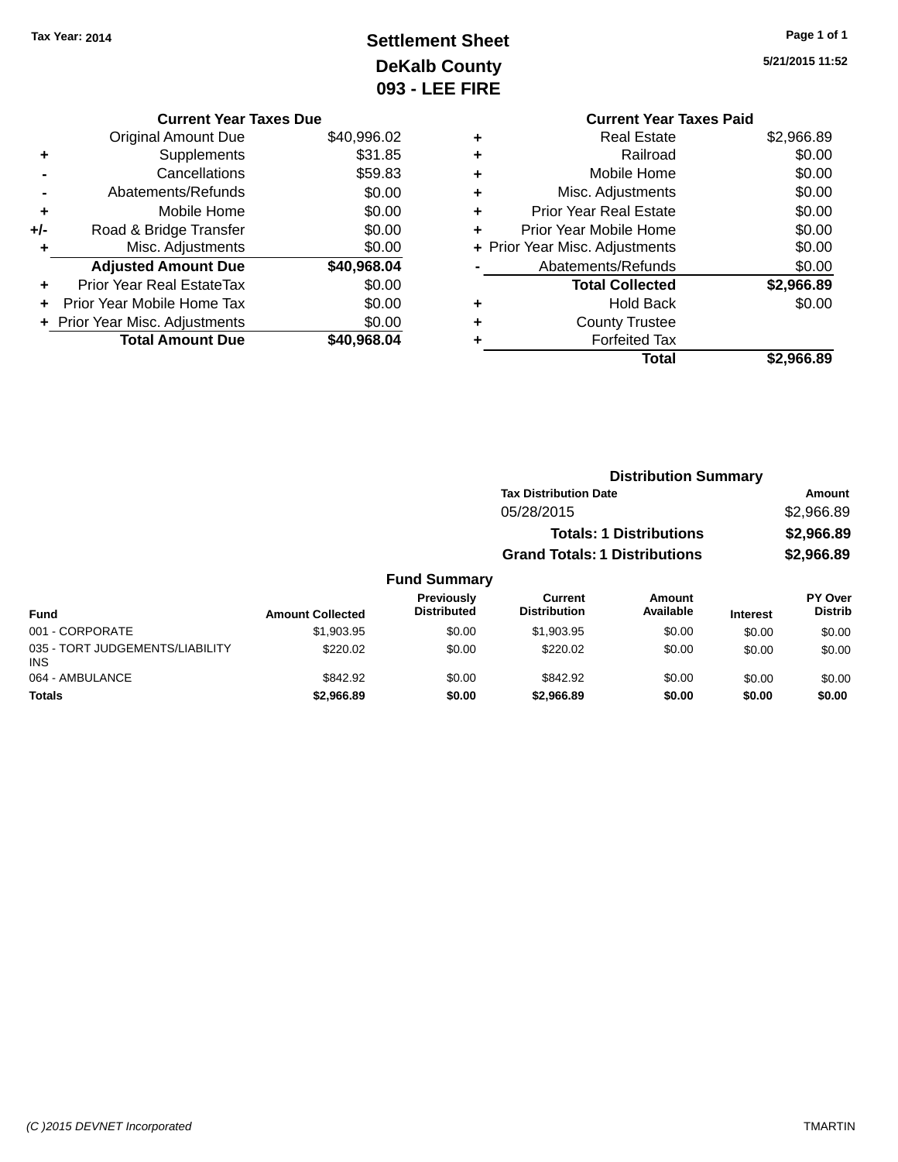INS

# **Settlement Sheet Tax Year: 2014 Page 1 of 1 DeKalb County 093 - LEE FIRE**

**5/21/2015 11:52**

|   | <b>Current Year Taxes Paid</b> |            |
|---|--------------------------------|------------|
| ٠ | <b>Real Estate</b>             | \$2,966.89 |
| ٠ | Railroad                       | \$0.00     |
| ٠ | Mobile Home                    | \$0.00     |
| ٠ | Misc. Adjustments              | \$0.00     |
| ٠ | <b>Prior Year Real Estate</b>  | \$0.00     |
| ٠ | Prior Year Mobile Home         | \$0.00     |
|   | + Prior Year Misc. Adjustments | \$0.00     |
|   | Abatements/Refunds             | \$0.00     |
|   | <b>Total Collected</b>         | \$2,966.89 |
| ٠ | <b>Hold Back</b>               | \$0.00     |
| ٠ | <b>County Trustee</b>          |            |
| ٠ | <b>Forfeited Tax</b>           |            |
|   | Total                          | \$2.966.89 |
|   |                                |            |

|     | <b>Current Year Taxes Due</b>  |             |
|-----|--------------------------------|-------------|
|     | <b>Original Amount Due</b>     | \$40,996.02 |
| ٠   | Supplements                    | \$31.85     |
|     | Cancellations                  | \$59.83     |
|     | Abatements/Refunds             | \$0.00      |
| ٠   | Mobile Home                    | \$0.00      |
| +/- | Road & Bridge Transfer         | \$0.00      |
| ٠   | Misc. Adjustments              | \$0.00      |
|     | <b>Adjusted Amount Due</b>     | \$40,968.04 |
| ٠   | Prior Year Real EstateTax      | \$0.00      |
|     | Prior Year Mobile Home Tax     | \$0.00      |
|     | + Prior Year Misc. Adjustments | \$0.00      |
|     | <b>Total Amount Due</b>        | \$40,968.04 |
|     |                                |             |

|                                 |                         |                                  | <b>Distribution Summary</b>          |                                |                 |                                  |
|---------------------------------|-------------------------|----------------------------------|--------------------------------------|--------------------------------|-----------------|----------------------------------|
|                                 |                         |                                  | <b>Tax Distribution Date</b>         |                                |                 | Amount                           |
|                                 |                         |                                  | 05/28/2015                           |                                |                 | \$2,966.89                       |
|                                 |                         |                                  |                                      | <b>Totals: 1 Distributions</b> |                 | \$2,966.89                       |
|                                 |                         |                                  | <b>Grand Totals: 1 Distributions</b> |                                |                 | \$2,966.89                       |
|                                 |                         | <b>Fund Summary</b>              |                                      |                                |                 |                                  |
| <b>Fund</b>                     | <b>Amount Collected</b> | Previously<br><b>Distributed</b> | Current<br><b>Distribution</b>       | Amount<br>Available            | <b>Interest</b> | <b>PY Over</b><br><b>Distrib</b> |
| 001 - CORPORATE                 | \$1,903.95              | \$0.00                           | \$1,903.95                           | \$0.00                         | \$0.00          | \$0.00                           |
| 035 - TORT JUDGEMENTS/LIABILITY | \$220.02                | \$0.00                           | \$220.02                             | \$0.00                         | \$0.00          | \$0.00                           |

064 - AMBULANCE 60.00 \$842.92 \$842.92 \$0.00 \$842.92 \$0.00 \$0.00 \$0.00 \$0.00 **Totals \$2,966.89 \$0.00 \$2,966.89 \$0.00 \$0.00 \$0.00**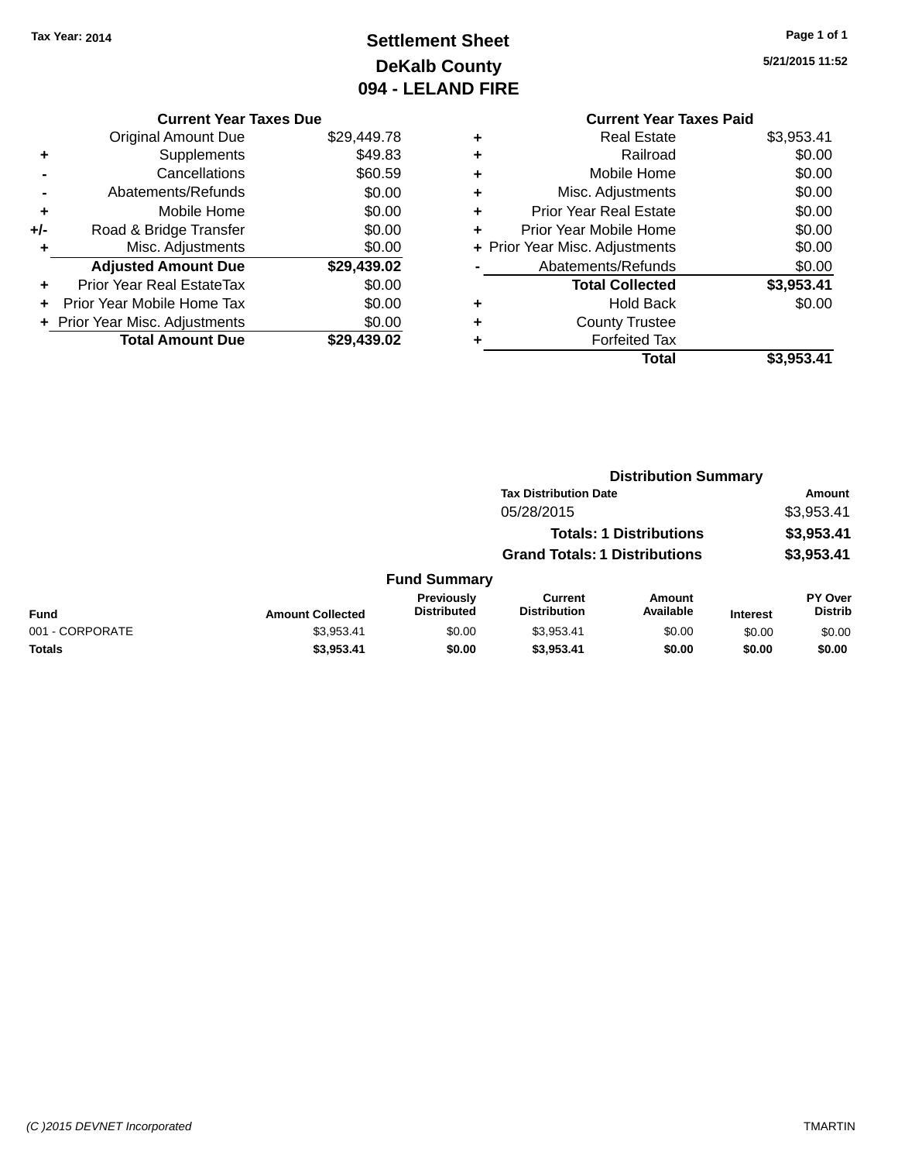# **Settlement Sheet Tax Year: 2014 Page 1 of 1 DeKalb County 094 - LELAND FIRE**

**5/21/2015 11:52**

# **Current Year Taxes Due**

|     | <b>Original Amount Due</b>       | \$29,449.78 |
|-----|----------------------------------|-------------|
| ٠   | Supplements                      | \$49.83     |
|     | Cancellations                    | \$60.59     |
|     | Abatements/Refunds               | \$0.00      |
| ٠   | Mobile Home                      | \$0.00      |
| +/- | Road & Bridge Transfer           | \$0.00      |
| ٠   | Misc. Adjustments                | \$0.00      |
|     | <b>Adjusted Amount Due</b>       | \$29,439.02 |
| ÷   | <b>Prior Year Real EstateTax</b> | \$0.00      |
|     | Prior Year Mobile Home Tax       | \$0.00      |
|     | + Prior Year Misc. Adjustments   | \$0.00      |
|     | <b>Total Amount Due</b>          | \$29.439.02 |

### **Current Year Taxes Paid +** Real Estate \$3,953.41 **+** Railroad \$0.00 **+** Mobile Home \$0.00 **+** Misc. Adjustments \$0.00 **+** Prior Year Real Estate \$0.00 **+** Prior Year Mobile Home \$0.00

|                      | Total                          | \$3,953.41 |
|----------------------|--------------------------------|------------|
|                      | <b>Forfeited Tax</b>           |            |
|                      | <b>County Trustee</b>          |            |
| $\ddot{\phantom{1}}$ | <b>Hold Back</b>               | \$0.00     |
|                      | <b>Total Collected</b>         | \$3,953.41 |
|                      | Abatements/Refunds             | \$0.00     |
|                      | + Prior Year Misc. Adjustments | \$0.00     |
|                      |                                |            |

|                 |                         |                                  | <b>Distribution Summary</b>           |                                |                 |                                  |  |
|-----------------|-------------------------|----------------------------------|---------------------------------------|--------------------------------|-----------------|----------------------------------|--|
|                 |                         |                                  | <b>Tax Distribution Date</b>          |                                |                 | Amount                           |  |
|                 |                         |                                  | 05/28/2015                            |                                |                 | \$3,953.41                       |  |
|                 |                         |                                  |                                       | <b>Totals: 1 Distributions</b> |                 | \$3,953.41                       |  |
|                 |                         |                                  | <b>Grand Totals: 1 Distributions</b>  |                                |                 | \$3,953.41                       |  |
|                 |                         | <b>Fund Summary</b>              |                                       |                                |                 |                                  |  |
| Fund            | <b>Amount Collected</b> | Previously<br><b>Distributed</b> | <b>Current</b><br><b>Distribution</b> | Amount<br>Available            | <b>Interest</b> | <b>PY Over</b><br><b>Distrib</b> |  |
| 001 - CORPORATE | \$3,953.41              | \$0.00                           | \$3,953.41                            | \$0.00                         | \$0.00          | \$0.00                           |  |
| Totals          | \$3,953.41              | \$0.00                           | \$3,953.41                            | \$0.00                         | \$0.00          | \$0.00                           |  |
|                 |                         |                                  |                                       |                                |                 |                                  |  |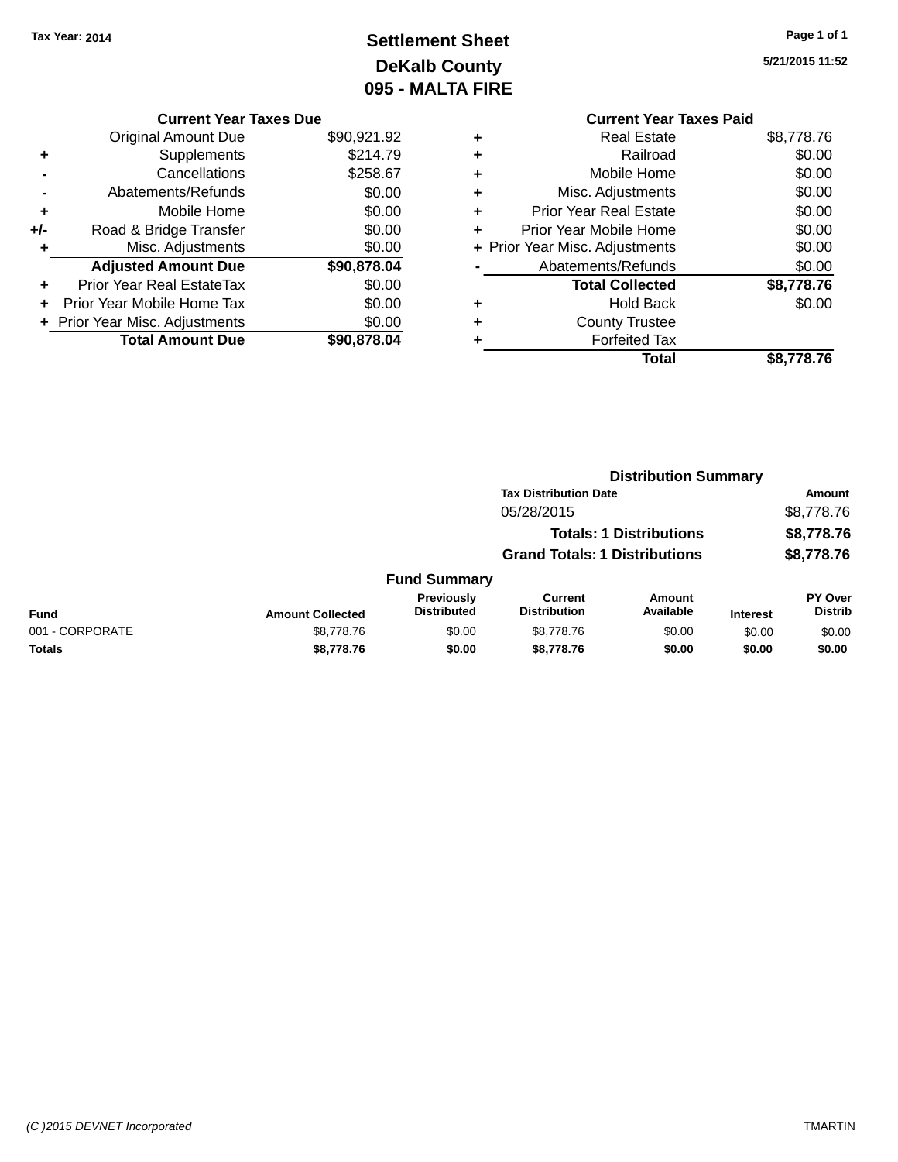# **Settlement Sheet Tax Year: 2014 Page 1 of 1 DeKalb County 095 - MALTA FIRE**

**5/21/2015 11:52**

|   | <b>Current Year Taxes Paid</b> |            |
|---|--------------------------------|------------|
| ٠ | <b>Real Estate</b>             | \$8,778.76 |
| ÷ | Railroad                       | \$0.00     |
| ÷ | Mobile Home                    | \$0.00     |
| ٠ | Misc. Adjustments              | \$0.00     |
| ٠ | <b>Prior Year Real Estate</b>  | \$0.00     |
| ٠ | Prior Year Mobile Home         | \$0.00     |
|   | + Prior Year Misc. Adjustments | \$0.00     |
|   | Abatements/Refunds             | \$0.00     |
|   | <b>Total Collected</b>         | \$8,778.76 |
| ٠ | Hold Back                      | \$0.00     |
| ٠ | <b>County Trustee</b>          |            |
| ٠ | <b>Forfeited Tax</b>           |            |
|   | Total                          | \$8.778.76 |
|   |                                |            |

| <b>Original Amount Due</b>     | \$90,921.92                   |
|--------------------------------|-------------------------------|
| Supplements                    | \$214.79                      |
| Cancellations                  | \$258.67                      |
| Abatements/Refunds             | \$0.00                        |
| Mobile Home                    | \$0.00                        |
| Road & Bridge Transfer         | \$0.00                        |
| Misc. Adjustments              | \$0.00                        |
| <b>Adjusted Amount Due</b>     | \$90,878.04                   |
| Prior Year Real EstateTax      | \$0.00                        |
| Prior Year Mobile Home Tax     | \$0.00                        |
| + Prior Year Misc. Adjustments | \$0.00                        |
| <b>Total Amount Due</b>        | \$90.878.04                   |
|                                | <b>Current Year Taxes Due</b> |

|                 |                         | <b>Distribution Summary</b>      |                                       |                                |                 |                           |  |
|-----------------|-------------------------|----------------------------------|---------------------------------------|--------------------------------|-----------------|---------------------------|--|
|                 |                         |                                  | <b>Tax Distribution Date</b>          |                                |                 | Amount                    |  |
|                 |                         | 05/28/2015                       |                                       |                                |                 | \$8,778.76                |  |
|                 |                         |                                  |                                       | <b>Totals: 1 Distributions</b> |                 | \$8,778.76                |  |
|                 |                         |                                  | <b>Grand Totals: 1 Distributions</b>  |                                |                 | \$8,778.76                |  |
|                 |                         | <b>Fund Summary</b>              |                                       |                                |                 |                           |  |
| Fund            | <b>Amount Collected</b> | Previously<br><b>Distributed</b> | <b>Current</b><br><b>Distribution</b> | Amount<br>Available            | <b>Interest</b> | PY Over<br><b>Distrib</b> |  |
| 001 - CORPORATE | \$8,778.76              | \$0.00                           | \$8,778.76                            | \$0.00                         | \$0.00          | \$0.00                    |  |
| Totals          | \$8,778.76              | \$0.00                           | \$8,778.76                            | \$0.00                         | \$0.00          | \$0.00                    |  |
|                 |                         |                                  |                                       |                                |                 |                           |  |

#### *(C )2015 DEVNET Incorporated* TMARTIN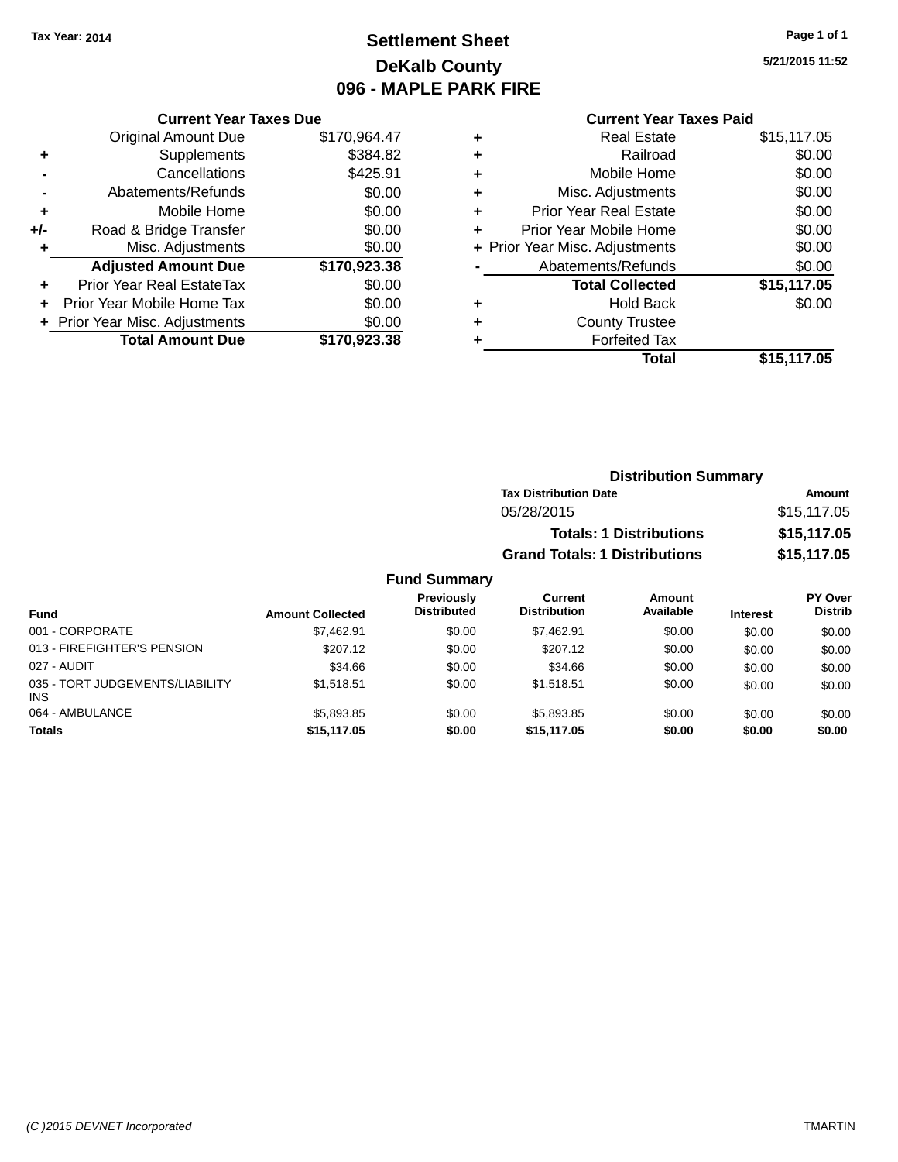# **Settlement Sheet Tax Year: 2014 Page 1 of 1 DeKalb County 096 - MAPLE PARK FIRE**

**5/21/2015 11:52**

# **Current Year Taxes Paid**

|     | <b>Current Year Taxes Due</b>  |              |  |  |  |  |
|-----|--------------------------------|--------------|--|--|--|--|
|     | <b>Original Amount Due</b>     | \$170.964.47 |  |  |  |  |
| ÷   | Supplements                    | \$384.82     |  |  |  |  |
|     | Cancellations                  | \$425.91     |  |  |  |  |
|     | Abatements/Refunds             | \$0.00       |  |  |  |  |
| ٠   | Mobile Home                    | \$0.00       |  |  |  |  |
| +/- | Road & Bridge Transfer         | \$0.00       |  |  |  |  |
|     | Misc. Adjustments              | \$0.00       |  |  |  |  |
|     | <b>Adjusted Amount Due</b>     | \$170,923.38 |  |  |  |  |
| ÷   | Prior Year Real EstateTax      | \$0.00       |  |  |  |  |
|     | Prior Year Mobile Home Tax     | \$0.00       |  |  |  |  |
|     | + Prior Year Misc. Adjustments | \$0.00       |  |  |  |  |
|     | <b>Total Amount Due</b>        | \$170,923.38 |  |  |  |  |
|     |                                |              |  |  |  |  |

|   | <b>Real Estate</b>             | \$15,117.05 |
|---|--------------------------------|-------------|
| ٠ | Railroad                       | \$0.00      |
| ٠ | Mobile Home                    | \$0.00      |
| ٠ | Misc. Adjustments              | \$0.00      |
| ٠ | <b>Prior Year Real Estate</b>  | \$0.00      |
| ٠ | Prior Year Mobile Home         | \$0.00      |
|   | + Prior Year Misc. Adjustments | \$0.00      |
|   | Abatements/Refunds             | \$0.00      |
|   | <b>Total Collected</b>         | \$15,117.05 |
| ٠ | Hold Back                      | \$0.00      |
| ٠ | <b>County Trustee</b>          |             |
| ٠ | <b>Forfeited Tax</b>           |             |
|   | Total                          | \$15,117.05 |
|   |                                |             |

| <b>Distribution Summary</b>          |             |
|--------------------------------------|-------------|
| <b>Tax Distribution Date</b>         | Amount      |
| 05/28/2015                           | \$15,117.05 |
| <b>Totals: 1 Distributions</b>       | \$15,117.05 |
| <b>Grand Totals: 1 Distributions</b> | \$15,117.05 |

| <b>Fund</b>                                   | <b>Amount Collected</b> | <b>Previously</b><br><b>Distributed</b> | Current<br><b>Distribution</b> | Amount<br>Available | <b>Interest</b> | PY Over<br><b>Distrib</b> |
|-----------------------------------------------|-------------------------|-----------------------------------------|--------------------------------|---------------------|-----------------|---------------------------|
| 001 - CORPORATE                               | \$7.462.91              | \$0.00                                  | \$7.462.91                     | \$0.00              | \$0.00          | \$0.00                    |
| 013 - FIREFIGHTER'S PENSION                   | \$207.12                | \$0.00                                  | \$207.12                       | \$0.00              | \$0.00          | \$0.00                    |
| 027 - AUDIT                                   | \$34.66                 | \$0.00                                  | \$34.66                        | \$0.00              | \$0.00          | \$0.00                    |
| 035 - TORT JUDGEMENTS/LIABILITY<br><b>INS</b> | \$1.518.51              | \$0.00                                  | \$1.518.51                     | \$0.00              | \$0.00          | \$0.00                    |
| 064 - AMBULANCE                               | \$5,893,85              | \$0.00                                  | \$5,893.85                     | \$0.00              | \$0.00          | \$0.00                    |
| <b>Totals</b>                                 | \$15,117.05             | \$0.00                                  | \$15,117.05                    | \$0.00              | \$0.00          | \$0.00                    |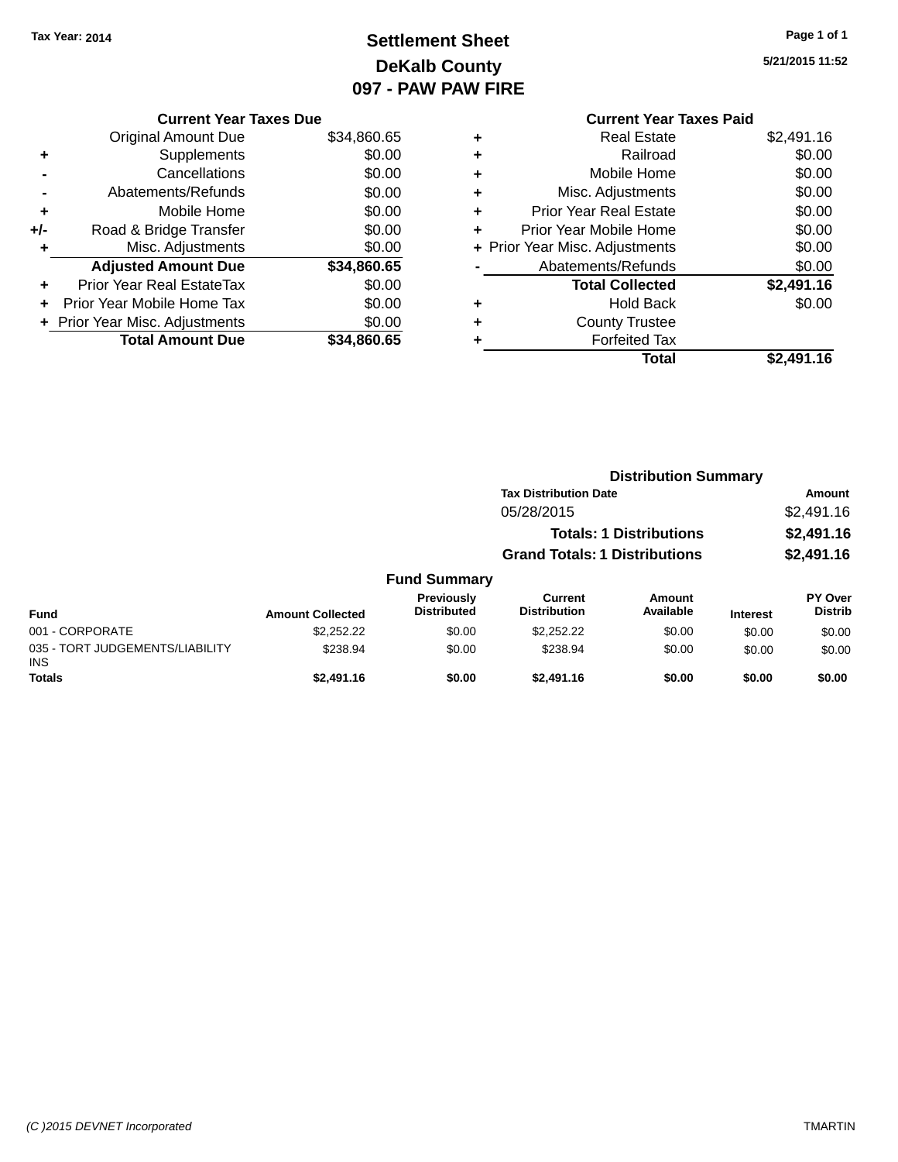# **Settlement Sheet Tax Year: 2014 Page 1 of 1 DeKalb County 097 - PAW PAW FIRE**

**5/21/2015 11:52**

|   | <b>Current Year Taxes Paid</b> |            |
|---|--------------------------------|------------|
| ٠ | <b>Real Estate</b>             | \$2,491.16 |
| ÷ | Railroad                       | \$0.00     |
| ٠ | Mobile Home                    | \$0.00     |
| ٠ | Misc. Adjustments              | \$0.00     |
| ٠ | <b>Prior Year Real Estate</b>  | \$0.00     |
| ÷ | Prior Year Mobile Home         | \$0.00     |
|   | + Prior Year Misc. Adjustments | \$0.00     |
|   | Abatements/Refunds             | \$0.00     |
|   | <b>Total Collected</b>         | \$2,491.16 |
| ٠ | <b>Hold Back</b>               | \$0.00     |
| ٠ | <b>County Trustee</b>          |            |
|   | <b>Forfeited Tax</b>           |            |
|   | Total                          | \$2,491.16 |

|     | <b>Current Year Taxes Due</b>  |             |
|-----|--------------------------------|-------------|
|     | <b>Original Amount Due</b>     | \$34,860.65 |
| ٠   | Supplements                    | \$0.00      |
|     | Cancellations                  | \$0.00      |
|     | Abatements/Refunds             | \$0.00      |
| ٠   | Mobile Home                    | \$0.00      |
| +/- | Road & Bridge Transfer         | \$0.00      |
| ٠   | Misc. Adjustments              | \$0.00      |
|     | <b>Adjusted Amount Due</b>     | \$34,860.65 |
|     | Prior Year Real EstateTax      | \$0.00      |
|     | Prior Year Mobile Home Tax     | \$0.00      |
|     | + Prior Year Misc. Adjustments | \$0.00      |
|     | <b>Total Amount Due</b>        | \$34.860.65 |

|                                         |                         |                                  |                                                                                                                      | <b>Distribution Summary</b> |                 |                           |
|-----------------------------------------|-------------------------|----------------------------------|----------------------------------------------------------------------------------------------------------------------|-----------------------------|-----------------|---------------------------|
|                                         |                         |                                  | <b>Tax Distribution Date</b><br>05/28/2015<br><b>Totals: 1 Distributions</b><br><b>Grand Totals: 1 Distributions</b> |                             |                 | Amount                    |
|                                         |                         |                                  |                                                                                                                      |                             |                 | \$2,491.16                |
|                                         |                         |                                  |                                                                                                                      |                             |                 | \$2,491.16                |
|                                         |                         |                                  |                                                                                                                      |                             |                 | \$2,491.16                |
|                                         |                         | <b>Fund Summary</b>              |                                                                                                                      |                             |                 |                           |
| Fund                                    | <b>Amount Collected</b> | Previously<br><b>Distributed</b> | <b>Current</b><br><b>Distribution</b>                                                                                | <b>Amount</b><br>Available  | <b>Interest</b> | PY Over<br><b>Distrib</b> |
| 001 - CORPORATE                         | \$2.252.22              | \$0.00                           | \$2,252,22                                                                                                           | \$0.00                      | \$0.00          | \$0.00                    |
| 035 - TORT JUDGEMENTS/LIABILITY<br>INS. | \$238.94                | \$0.00                           | \$238.94                                                                                                             | \$0.00                      | \$0.00          | \$0.00                    |
| <b>Totals</b>                           | \$2,491.16              | \$0.00                           | \$2,491.16                                                                                                           | \$0.00                      | \$0.00          | \$0.00                    |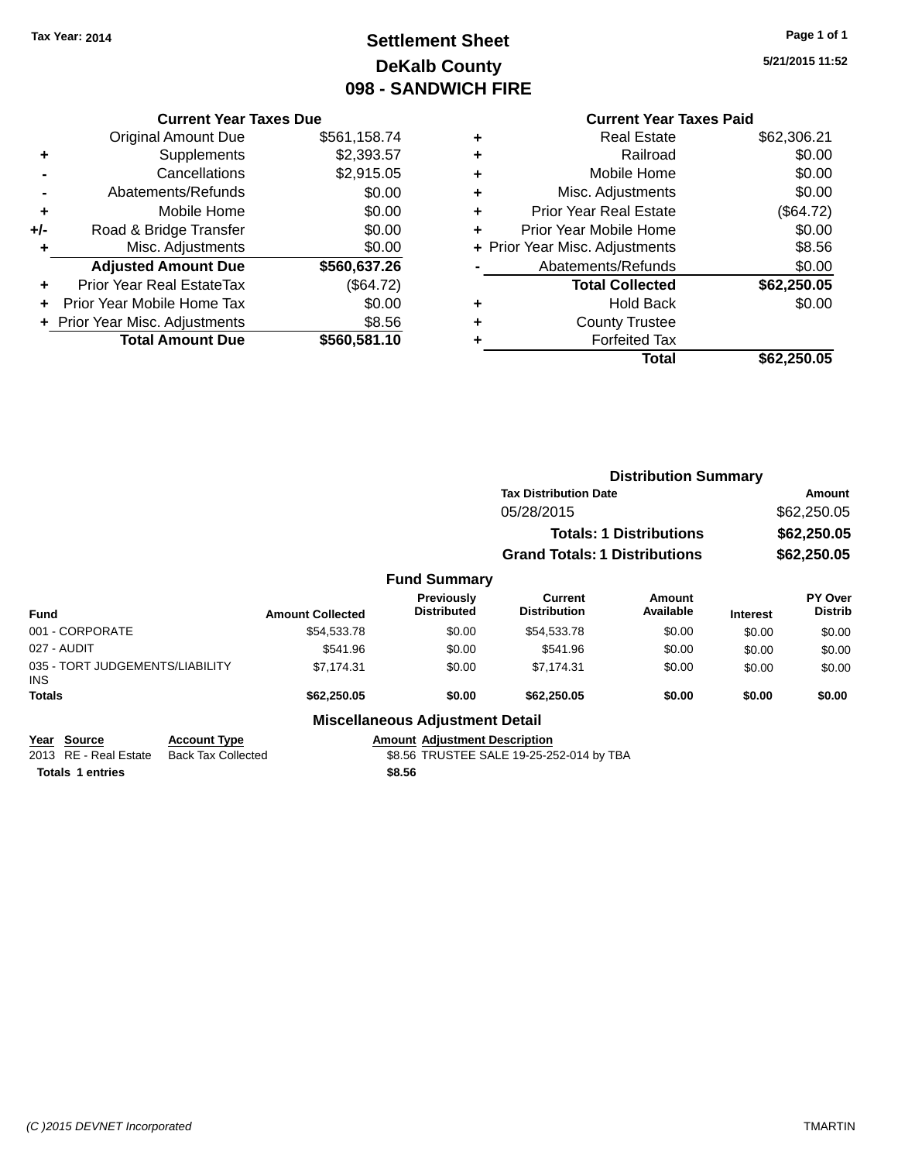# **Settlement Sheet Tax Year: 2014 Page 1 of 1 DeKalb County 098 - SANDWICH FIRE**

**5/21/2015 11:52**

### **Current Year Taxes Due**

|     | <b>Original Amount Due</b>     | \$561,158.74 |
|-----|--------------------------------|--------------|
| ٠   | Supplements                    | \$2,393.57   |
|     | Cancellations                  | \$2,915.05   |
|     | Abatements/Refunds             | \$0.00       |
| ٠   | Mobile Home                    | \$0.00       |
| +/- | Road & Bridge Transfer         | \$0.00       |
| ٠   | Misc. Adjustments              | \$0.00       |
|     | <b>Adjusted Amount Due</b>     | \$560,637.26 |
|     | Prior Year Real EstateTax      | (\$64.72)    |
|     | Prior Year Mobile Home Tax     | \$0.00       |
|     | + Prior Year Misc. Adjustments | \$8.56       |
|     | <b>Total Amount Due</b>        | \$560,581.10 |

# **Current Year Taxes Paid**

| ٠ | <b>Real Estate</b>             | \$62,306.21 |
|---|--------------------------------|-------------|
| ٠ | Railroad                       | \$0.00      |
| ٠ | Mobile Home                    | \$0.00      |
| ٠ | Misc. Adjustments              | \$0.00      |
| ٠ | <b>Prior Year Real Estate</b>  | (\$64.72)   |
| ٠ | Prior Year Mobile Home         | \$0.00      |
|   | + Prior Year Misc. Adjustments | \$8.56      |
|   | Abatements/Refunds             | \$0.00      |
|   | <b>Total Collected</b>         | \$62,250.05 |
| ٠ | <b>Hold Back</b>               | \$0.00      |
| ٠ | <b>County Trustee</b>          |             |
| ٠ | <b>Forfeited Tax</b>           |             |
|   | <b>Total</b>                   | \$62,250.05 |
|   |                                |             |

|                                              |                         |                                        | <b>Distribution Summary</b>          |                                |                 |                           |  |
|----------------------------------------------|-------------------------|----------------------------------------|--------------------------------------|--------------------------------|-----------------|---------------------------|--|
|                                              |                         |                                        | <b>Tax Distribution Date</b>         |                                |                 | Amount                    |  |
|                                              |                         |                                        | 05/28/2015                           |                                |                 | \$62,250.05               |  |
|                                              |                         |                                        |                                      | <b>Totals: 1 Distributions</b> |                 | \$62,250.05               |  |
|                                              |                         |                                        | <b>Grand Totals: 1 Distributions</b> |                                |                 | \$62,250.05               |  |
|                                              |                         | <b>Fund Summary</b>                    |                                      |                                |                 |                           |  |
| <b>Fund</b>                                  | <b>Amount Collected</b> | Previously<br><b>Distributed</b>       | Current<br><b>Distribution</b>       | Amount<br>Available            | <b>Interest</b> | PY Over<br><b>Distrib</b> |  |
| 001 - CORPORATE                              | \$54,533.78             | \$0.00                                 | \$54,533.78                          | \$0.00                         | \$0.00          | \$0.00                    |  |
| 027 - AUDIT                                  | \$541.96                | \$0.00                                 | \$541.96                             | \$0.00                         | \$0.00          | \$0.00                    |  |
| 035 - TORT JUDGEMENTS/LIABILITY<br>INS.      | \$7,174.31              | \$0.00                                 | \$7,174.31                           | \$0.00                         | \$0.00          | \$0.00                    |  |
| Totals                                       | \$62,250.05             | \$0.00                                 | \$62,250.05                          | \$0.00                         | \$0.00          | \$0.00                    |  |
|                                              |                         | <b>Miscellaneous Adjustment Detail</b> |                                      |                                |                 |                           |  |
| <b>Account Type</b><br>Year<br><b>Source</b> |                         | <b>Amount Adjustment Description</b>   |                                      |                                |                 |                           |  |

**Totals \$8.56 1 entries**

2013 RE - Real Estate Back Tax Collected **68.56 TRUSTEE SALE 19-25-252-014 by TBA**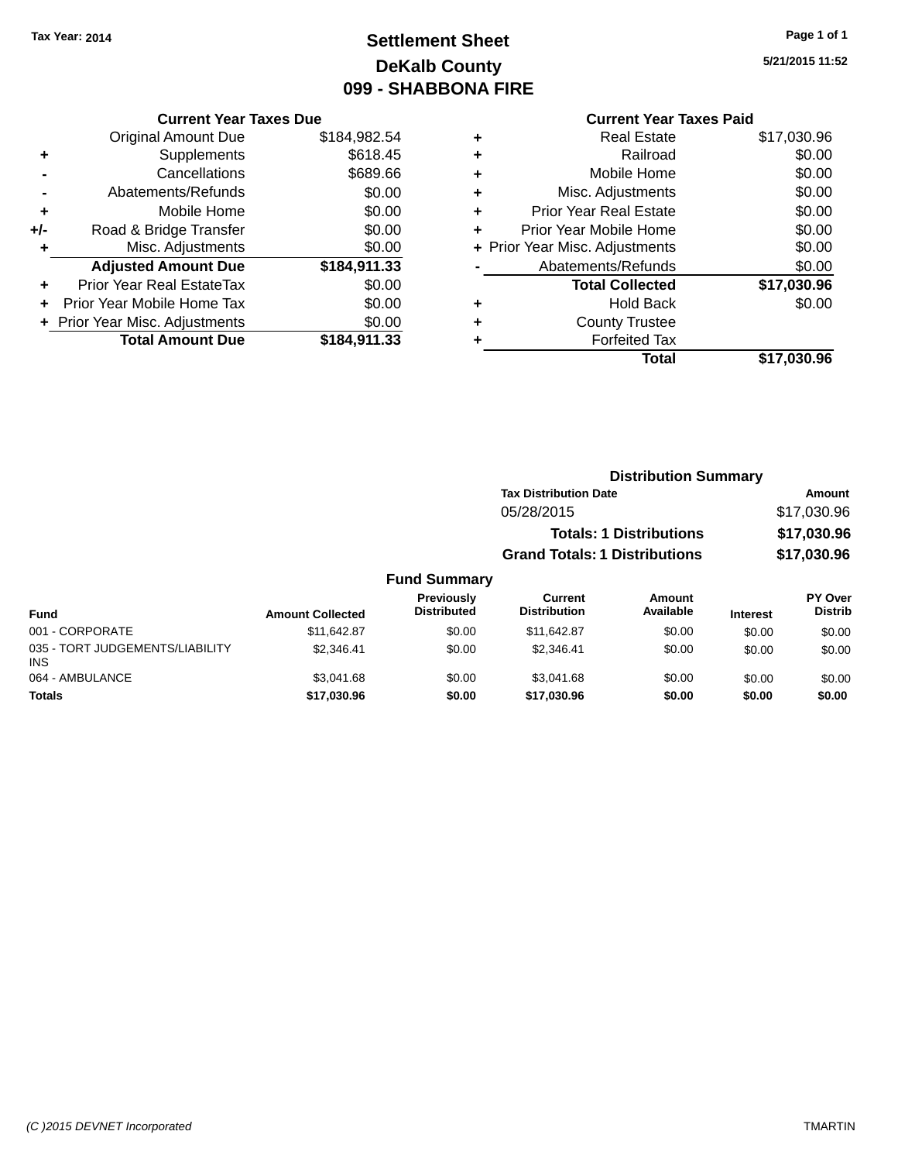# **Settlement Sheet Tax Year: 2014 Page 1 of 1 DeKalb County 099 - SHABBONA FIRE**

**5/21/2015 11:52**

#### **Current Year Taxes Due**

|       | <b>Original Amount Due</b>       | \$184,982.54 |
|-------|----------------------------------|--------------|
| ٠     | Supplements                      | \$618.45     |
|       | Cancellations                    | \$689.66     |
|       | Abatements/Refunds               | \$0.00       |
| ٠     | Mobile Home                      | \$0.00       |
| $+/-$ | Road & Bridge Transfer           | \$0.00       |
| ٠     | Misc. Adjustments                | \$0.00       |
|       | <b>Adjusted Amount Due</b>       | \$184,911.33 |
| ÷     | <b>Prior Year Real EstateTax</b> | \$0.00       |
|       | Prior Year Mobile Home Tax       | \$0.00       |
|       | + Prior Year Misc. Adjustments   | \$0.00       |
|       | <b>Total Amount Due</b>          | \$184.911.33 |

# **Current Year Taxes Paid +** Real Estate \$17,030.96 **+** Railroad \$0.00 **+** Mobile Home \$0.00 **+** Misc. Adjustments \$0.00 **+** Prior Year Real Estate \$0.00 **+** Prior Year Mobile Home \$0.00 **+** Prior Year Misc. Adjustments  $$0.00$ Abatements/Refunds \$0.00 **Total Collected \$17,030.96 +** Hold Back \$0.00 **+** County Trustee **+** Forfeited Tax **Total \$17,030.96**

#### **Distribution Summary Tax Distribution Date Amount** 05/28/2015 \$17,030.96 **Totals: 1 Distributions \$17,030.96 Grand Totals: 1 Distributions \$17,030.96 Fund Summary PY Over Amount Current Previously**

| Fund                                   | <b>Amount Collected</b> | Previously<br><b>Distributed</b> | Current<br><b>Distribution</b> | Amount<br>Available | <b>Interest</b> | <b>PY Over</b><br><b>Distrib</b> |
|----------------------------------------|-------------------------|----------------------------------|--------------------------------|---------------------|-----------------|----------------------------------|
| 001 - CORPORATE                        | \$11,642.87             | \$0.00                           | \$11.642.87                    | \$0.00              | \$0.00          | \$0.00                           |
| 035 - TORT JUDGEMENTS/LIABILITY<br>INS | \$2.346.41              | \$0.00                           | \$2.346.41                     | \$0.00              | \$0.00          | \$0.00                           |
| 064 - AMBULANCE                        | \$3.041.68              | \$0.00                           | \$3.041.68                     | \$0.00              | \$0.00          | \$0.00                           |
| <b>Totals</b>                          | \$17,030.96             | \$0.00                           | \$17,030.96                    | \$0.00              | \$0.00          | \$0.00                           |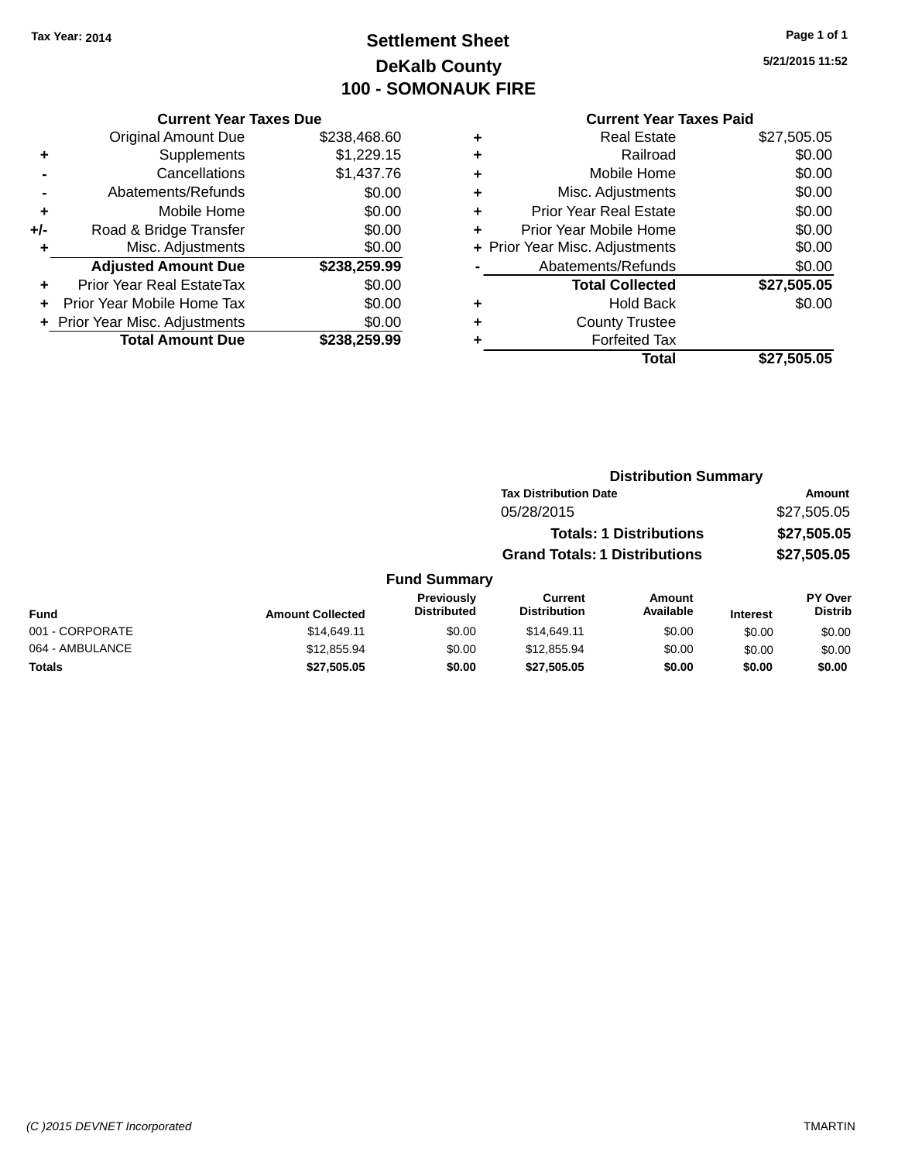# **Settlement Sheet Tax Year: 2014 Page 1 of 1 DeKalb County 100 - SOMONAUK FIRE**

**5/21/2015 11:52**

|     | <b>Current Year Taxes Due</b>  |              |
|-----|--------------------------------|--------------|
|     | <b>Original Amount Due</b>     | \$238,468.60 |
| ٠   | Supplements                    | \$1,229.15   |
|     | Cancellations                  | \$1,437.76   |
|     | Abatements/Refunds             | \$0.00       |
| ٠   | Mobile Home                    | \$0.00       |
| +/- | Road & Bridge Transfer         | \$0.00       |
|     | Misc. Adjustments              | \$0.00       |
|     | <b>Adjusted Amount Due</b>     | \$238,259.99 |
| ÷   | Prior Year Real EstateTax      | \$0.00       |
|     | Prior Year Mobile Home Tax     | \$0.00       |
|     | + Prior Year Misc. Adjustments | \$0.00       |
|     | <b>Total Amount Due</b>        | \$238.259.99 |
|     |                                |              |

|   | <b>Current Year Taxes Paid</b> |             |
|---|--------------------------------|-------------|
| ٠ | <b>Real Estate</b>             | \$27,505.05 |
| ٠ | Railroad                       | \$0.00      |
| ٠ | Mobile Home                    | \$0.00      |
| ٠ | Misc. Adjustments              | \$0.00      |
| ٠ | <b>Prior Year Real Estate</b>  | \$0.00      |
| ÷ | Prior Year Mobile Home         | \$0.00      |
|   | + Prior Year Misc. Adjustments | \$0.00      |
|   | Abatements/Refunds             | \$0.00      |
|   | <b>Total Collected</b>         | \$27,505.05 |
| ٠ | <b>Hold Back</b>               | \$0.00      |
|   | <b>County Trustee</b>          |             |
| ٠ | <b>Forfeited Tax</b>           |             |
|   | Total                          | \$27,505.05 |
|   |                                |             |

|                 |                                  |                                      | <b>Distribution Summary</b>    |                 |                                  |
|-----------------|----------------------------------|--------------------------------------|--------------------------------|-----------------|----------------------------------|
|                 |                                  | <b>Tax Distribution Date</b>         |                                |                 | <b>Amount</b>                    |
|                 |                                  | 05/28/2015                           |                                |                 | \$27,505.05                      |
|                 |                                  |                                      | <b>Totals: 1 Distributions</b> |                 | \$27,505.05                      |
|                 |                                  | <b>Grand Totals: 1 Distributions</b> |                                |                 | \$27,505.05                      |
|                 | <b>Fund Summary</b>              |                                      |                                |                 |                                  |
| nount Collected | Previously<br><b>Distributed</b> | Current<br><b>Distribution</b>       | Amount<br>Available            | <b>Interest</b> | <b>PY Over</b><br><b>Distrib</b> |
| .               |                                  |                                      |                                |                 |                                  |

| Fund            | <b>Amount Collected</b> | <b>Previously</b><br><b>Distributed</b> | Current<br><b>Distribution</b> | Amount<br>Available | <b>Interest</b> | <b>PY Over</b><br><b>Distrib</b> |
|-----------------|-------------------------|-----------------------------------------|--------------------------------|---------------------|-----------------|----------------------------------|
| 001 - CORPORATE | \$14.649.11             | \$0.00                                  | \$14,649.11                    | \$0.00              | \$0.00          | \$0.00                           |
| 064 - AMBULANCE | \$12,855.94             | \$0.00                                  | \$12,855.94                    | \$0.00              | \$0.00          | \$0.00                           |
| Totals          | \$27,505.05             | \$0.00                                  | \$27,505,05                    | \$0.00              | \$0.00          | \$0.00                           |
|                 |                         |                                         |                                |                     |                 |                                  |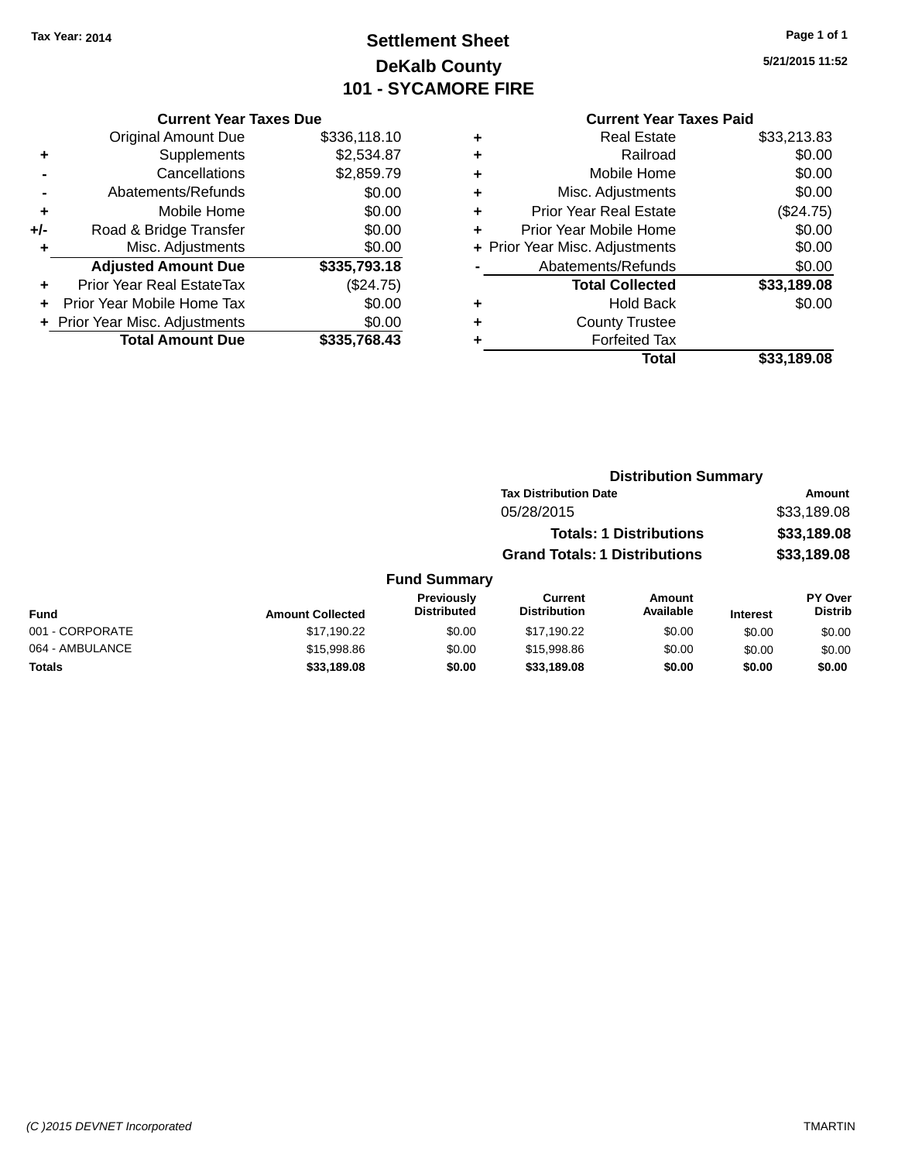# **Settlement Sheet Tax Year: 2014 Page 1 of 1 DeKalb County 101 - SYCAMORE FIRE**

**5/21/2015 11:52**

|     | <b>Current Year Taxes Due</b>  |              |
|-----|--------------------------------|--------------|
|     | <b>Original Amount Due</b>     | \$336,118.10 |
| ÷   | Supplements                    | \$2,534.87   |
|     | Cancellations                  | \$2,859.79   |
|     | Abatements/Refunds             | \$0.00       |
| ٠   | Mobile Home                    | \$0.00       |
| +/- | Road & Bridge Transfer         | \$0.00       |
| ٠   | Misc. Adjustments              | \$0.00       |
|     | <b>Adjusted Amount Due</b>     | \$335,793.18 |
| ÷   | Prior Year Real EstateTax      | (\$24.75)    |
|     | Prior Year Mobile Home Tax     | \$0.00       |
|     | + Prior Year Misc. Adjustments | \$0.00       |
|     | <b>Total Amount Due</b>        | \$335,768.43 |
|     |                                |              |

| \$33,213.83 |
|-------------|
| \$0.00      |
| \$0.00      |
| \$0.00      |
| (\$24.75)   |
| \$0.00      |
| \$0.00      |
| \$0.00      |
| \$33,189.08 |
| \$0.00      |
|             |
|             |
| \$33,189.08 |
|             |

#### **Distribution Summary Tax Distribution Date Amount** 05/28/2015 \$33,189.08 **Totals: 1 Distributions \$33,189.08 Grand Totals: 1 Distributions \$33,189.08 Fund Summary PY Over Distrib Amount Available Current Distribution Previously**

| <b>Fund</b>     | <b>Amount Collected</b> | <b>Previously</b><br><b>Distributed</b> | Current<br><b>Distribution</b> | Amount<br>Available | <b>Interest</b> | PY Over<br><b>Distrib</b> |
|-----------------|-------------------------|-----------------------------------------|--------------------------------|---------------------|-----------------|---------------------------|
| 001 - CORPORATE | \$17.190.22             | \$0.00                                  | \$17.190.22                    | \$0.00              | \$0.00          | \$0.00                    |
| 064 - AMBULANCE | \$15,998.86             | \$0.00                                  | \$15,998.86                    | \$0.00              | \$0.00          | \$0.00                    |
| <b>Totals</b>   | \$33,189,08             | \$0.00                                  | \$33,189,08                    | \$0.00              | \$0.00          | \$0.00                    |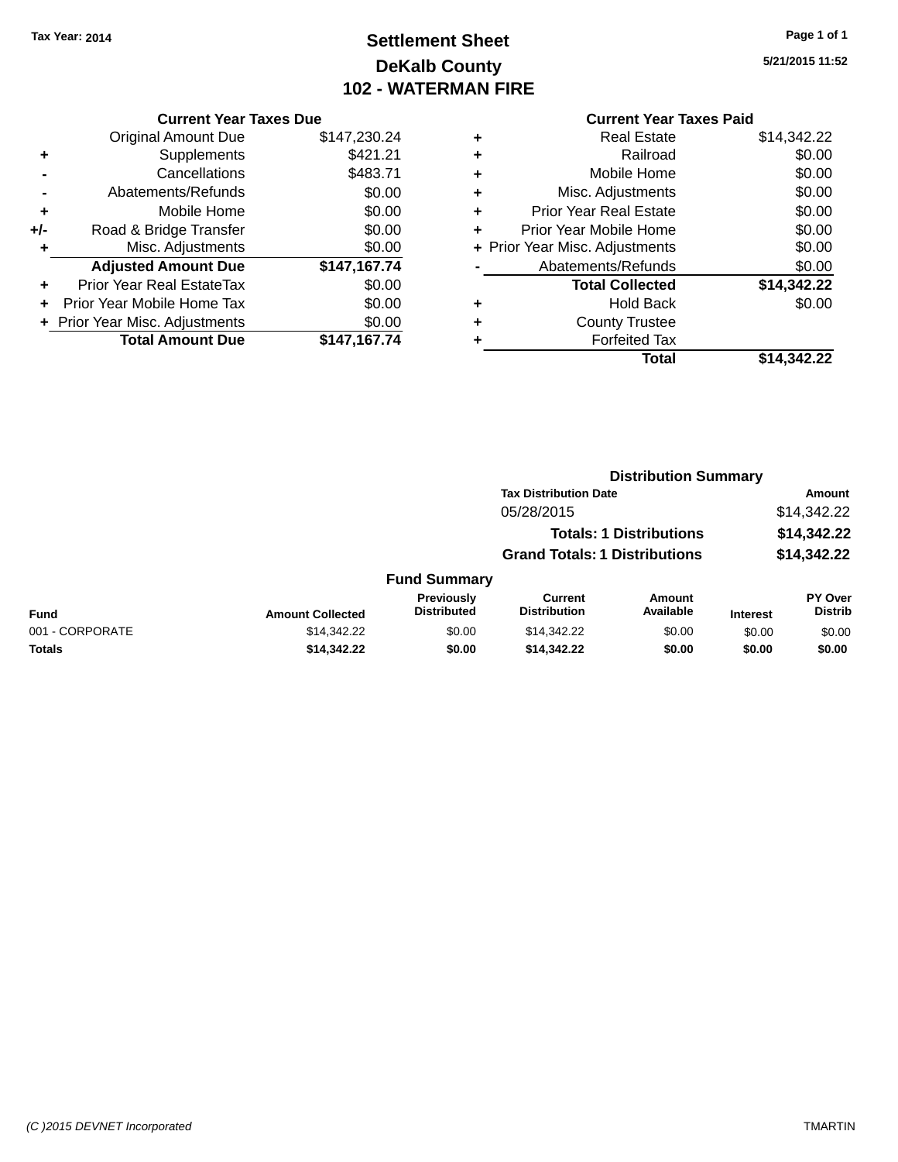# **Settlement Sheet Tax Year: 2014 Page 1 of 1 DeKalb County 102 - WATERMAN FIRE**

**5/21/2015 11:52**

#### **Current Year Taxes Due**

|     | <b>Original Amount Due</b>       | \$147,230.24 |
|-----|----------------------------------|--------------|
| ٠   | Supplements                      | \$421.21     |
|     | Cancellations                    | \$483.71     |
|     | Abatements/Refunds               | \$0.00       |
| ٠   | Mobile Home                      | \$0.00       |
| +/- | Road & Bridge Transfer           | \$0.00       |
| ٠   | Misc. Adjustments                | \$0.00       |
|     | <b>Adjusted Amount Due</b>       | \$147,167.74 |
| ÷   | <b>Prior Year Real EstateTax</b> | \$0.00       |
|     | Prior Year Mobile Home Tax       | \$0.00       |
|     | + Prior Year Misc. Adjustments   | \$0.00       |
|     | <b>Total Amount Due</b>          | \$147,167.74 |

# **Current Year Taxes Paid**

|   | <b>Real Estate</b>             | \$14,342.22 |
|---|--------------------------------|-------------|
| ٠ | Railroad                       | \$0.00      |
| ٠ | Mobile Home                    | \$0.00      |
| ٠ | Misc. Adjustments              | \$0.00      |
| ÷ | <b>Prior Year Real Estate</b>  | \$0.00      |
| ٠ | Prior Year Mobile Home         | \$0.00      |
|   | + Prior Year Misc. Adjustments | \$0.00      |
|   | Abatements/Refunds             | \$0.00      |
|   | <b>Total Collected</b>         | \$14,342.22 |
| ٠ | <b>Hold Back</b>               | \$0.00      |
| ٠ | <b>County Trustee</b>          |             |
|   | <b>Forfeited Tax</b>           |             |
|   | Total                          | \$14,342.22 |
|   |                                |             |

#### **Distribution Summary Tax Distribution Date Amount** 05/28/2015 \$14,342.22 **Totals: 1 Distributions \$14,342.22 Grand Totals: 1 Distributions \$14,342.22 Fund Summary Fund Interest Amount Collected Distributed PY Over Distrib Amount Available Current Distribution Previously** 001 - CORPORATE \$14,342.22 \$0.00 \$14,342.22 \$0.00 \$0.00 \$0.00 **Totals \$14,342.22 \$0.00 \$14,342.22 \$0.00 \$0.00 \$0.00**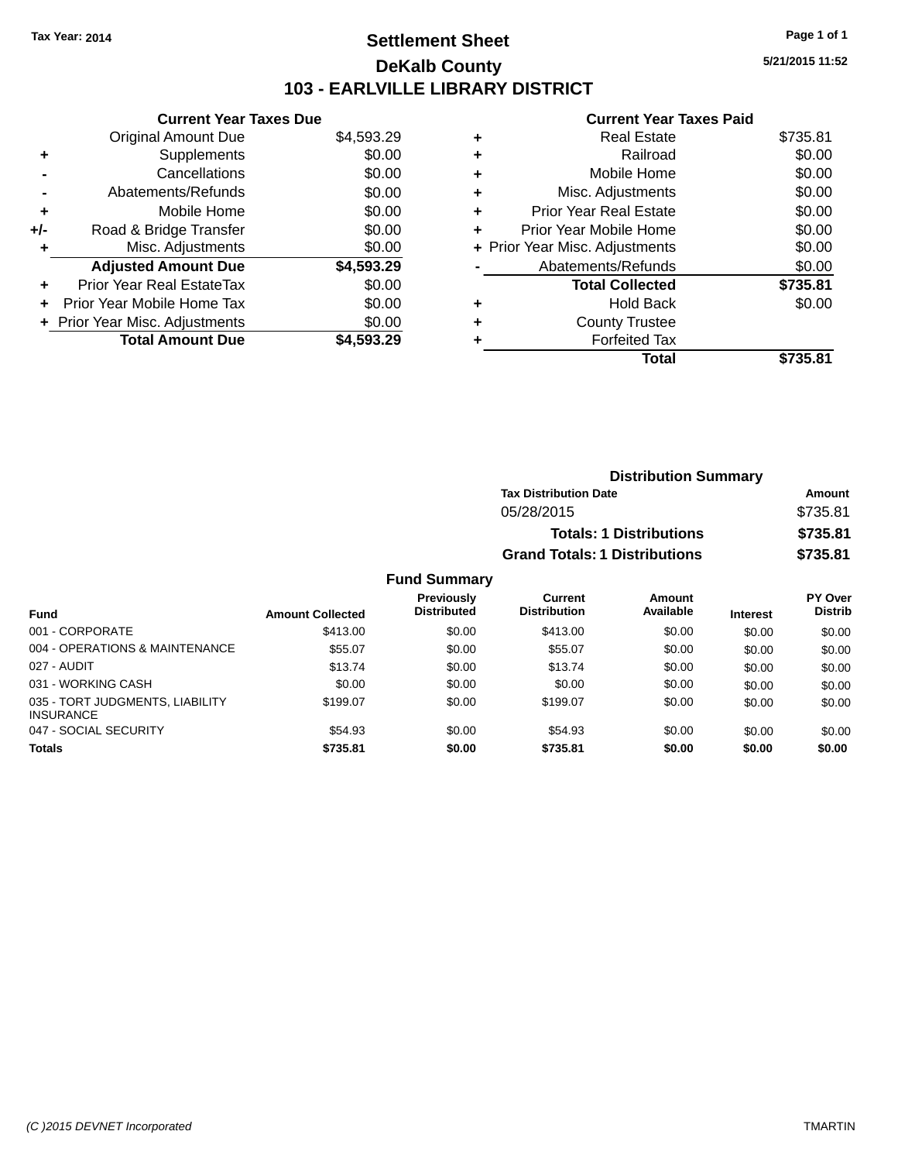# **Settlement Sheet Tax Year: 2014 Page 1 of 1 DeKalb County 103 - EARLVILLE LIBRARY DISTRICT**

**5/21/2015 11:52**

# **Current Year Taxes Paid**

|     | <b>Current Year Taxes Due</b>     |            |
|-----|-----------------------------------|------------|
|     | Original Amount Due               | \$4,593.29 |
| ٠   | Supplements                       | \$0.00     |
|     | Cancellations                     | \$0.00     |
|     | Abatements/Refunds                | \$0.00     |
| ÷   | Mobile Home                       | \$0.00     |
| +/- | Road & Bridge Transfer            | \$0.00     |
| ٠   | Misc. Adjustments                 | \$0.00     |
|     | <b>Adjusted Amount Due</b>        | \$4,593.29 |
| ÷   | Prior Year Real EstateTax         | \$0.00     |
| ÷   | <b>Prior Year Mobile Home Tax</b> | \$0.00     |
|     | Prior Year Misc. Adjustments      | \$0.00     |
|     | <b>Total Amount Due</b>           | \$4.593.29 |

| ٠ | <b>Real Estate</b>             | \$735.81 |
|---|--------------------------------|----------|
| ٠ | Railroad                       | \$0.00   |
| ٠ | Mobile Home                    | \$0.00   |
| ٠ | Misc. Adjustments              | \$0.00   |
| ٠ | <b>Prior Year Real Estate</b>  | \$0.00   |
|   | Prior Year Mobile Home         | \$0.00   |
|   | + Prior Year Misc. Adjustments | \$0.00   |
|   | Abatements/Refunds             | \$0.00   |
|   | <b>Total Collected</b>         | \$735.81 |
| ٠ | Hold Back                      | \$0.00   |
|   | <b>County Trustee</b>          |          |
| ٠ | <b>Forfeited Tax</b>           |          |
|   | Total                          | \$735.81 |
|   |                                |          |

| <b>Distribution Summary</b>          |          |
|--------------------------------------|----------|
| <b>Tax Distribution Date</b>         | Amount   |
| 05/28/2015                           | \$735.81 |
| <b>Totals: 1 Distributions</b>       | \$735.81 |
| <b>Grand Totals: 1 Distributions</b> | \$735.81 |

| <b>Fund</b>                                         | <b>Amount Collected</b> | Previously<br><b>Distributed</b> | Current<br><b>Distribution</b> | <b>Amount</b><br>Available | <b>Interest</b> | PY Over<br><b>Distrib</b> |
|-----------------------------------------------------|-------------------------|----------------------------------|--------------------------------|----------------------------|-----------------|---------------------------|
| 001 - CORPORATE                                     | \$413.00                | \$0.00                           | \$413.00                       | \$0.00                     | \$0.00          | \$0.00                    |
| 004 - OPERATIONS & MAINTENANCE                      | \$55.07                 | \$0.00                           | \$55.07                        | \$0.00                     | \$0.00          | \$0.00                    |
| 027 - AUDIT                                         | \$13.74                 | \$0.00                           | \$13.74                        | \$0.00                     | \$0.00          | \$0.00                    |
| 031 - WORKING CASH                                  | \$0.00                  | \$0.00                           | \$0.00                         | \$0.00                     | \$0.00          | \$0.00                    |
| 035 - TORT JUDGMENTS, LIABILITY<br><b>INSURANCE</b> | \$199.07                | \$0.00                           | \$199.07                       | \$0.00                     | \$0.00          | \$0.00                    |
| 047 - SOCIAL SECURITY                               | \$54.93                 | \$0.00                           | \$54.93                        | \$0.00                     | \$0.00          | \$0.00                    |
| <b>Totals</b>                                       | \$735.81                | \$0.00                           | \$735.81                       | \$0.00                     | \$0.00          | \$0.00                    |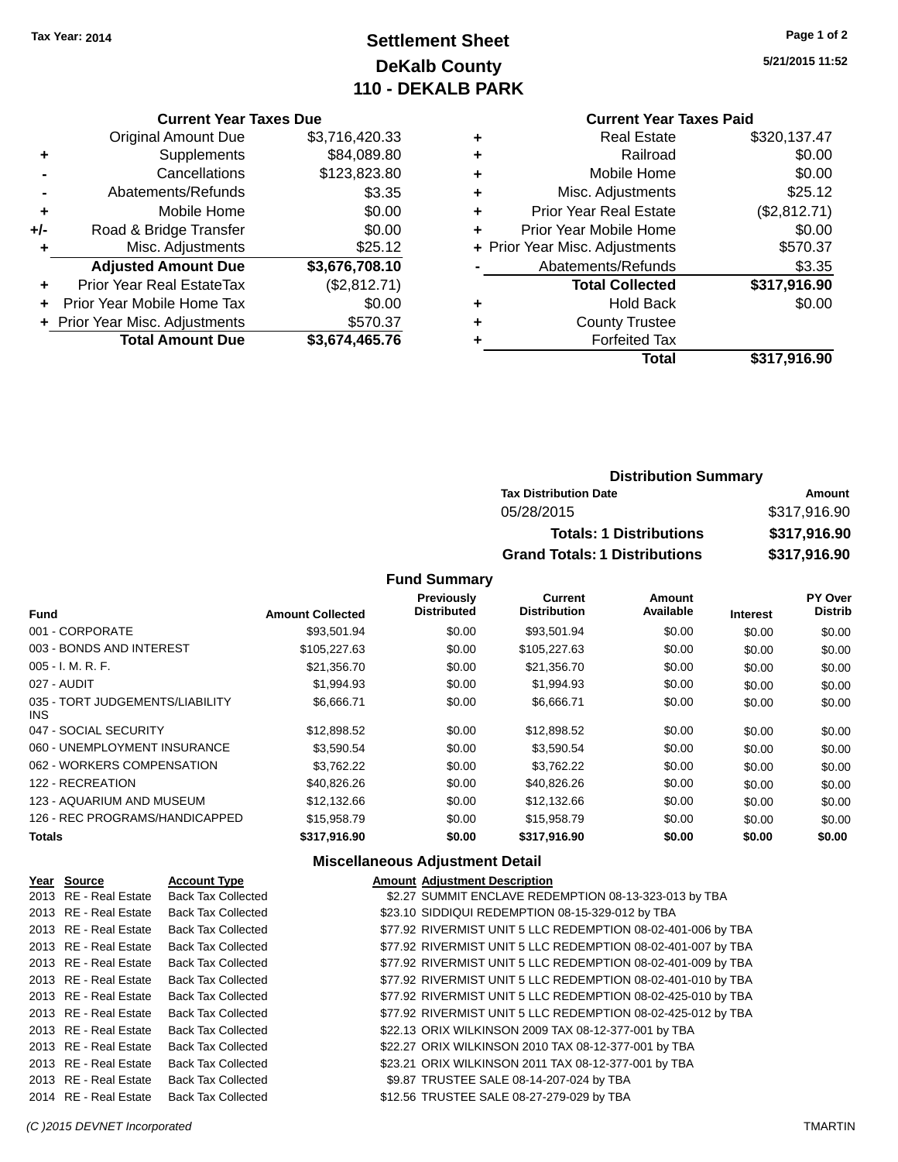# **Settlement Sheet Tax Year: 2014 Page 1 of 2 DeKalb County 110 - DEKALB PARK**

**5/21/2015 11:52**

#### **Current Year Taxes Due**

|       | <b>Original Amount Due</b>       | \$3,716,420.33 |
|-------|----------------------------------|----------------|
| ٠     | Supplements                      | \$84,089.80    |
|       | Cancellations                    | \$123,823.80   |
|       | Abatements/Refunds               | \$3.35         |
| ٠     | Mobile Home                      | \$0.00         |
| $+/-$ | Road & Bridge Transfer           | \$0.00         |
| ٠     | Misc. Adjustments                | \$25.12        |
|       | <b>Adjusted Amount Due</b>       | \$3,676,708.10 |
| ÷     | <b>Prior Year Real EstateTax</b> | (\$2,812.71)   |
|       | Prior Year Mobile Home Tax       | \$0.00         |
|       | + Prior Year Misc. Adjustments   | \$570.37       |
|       | <b>Total Amount Due</b>          | \$3,674,465.76 |

#### **Current Year Taxes Paid**

|   | <b>Real Estate</b>             | \$320,137.47 |
|---|--------------------------------|--------------|
| ٠ | Railroad                       | \$0.00       |
| ٠ | Mobile Home                    | \$0.00       |
| ٠ | Misc. Adjustments              | \$25.12      |
| ٠ | <b>Prior Year Real Estate</b>  | (\$2,812.71) |
|   | Prior Year Mobile Home         | \$0.00       |
|   | + Prior Year Misc. Adjustments | \$570.37     |
|   | Abatements/Refunds             | \$3.35       |
|   | <b>Total Collected</b>         | \$317,916.90 |
| ٠ | <b>Hold Back</b>               | \$0.00       |
|   | <b>County Trustee</b>          |              |
|   | <b>Forfeited Tax</b>           |              |
|   | Total                          | \$317,916.90 |
|   |                                |              |

# **Distribution Summary Tax Distribution Date Amount** 05/28/2015 \$317,916.90 **Totals: 1 Distributions \$317,916.90 Grand Totals: 1 Distributions \$317,916.90**

### **Fund Summary**

| <b>Fund</b>                             | <b>Amount Collected</b> | <b>Previously</b><br><b>Distributed</b> | Current<br><b>Distribution</b> | <b>Amount</b><br>Available |                 | <b>PY Over</b><br><b>Distrib</b> |
|-----------------------------------------|-------------------------|-----------------------------------------|--------------------------------|----------------------------|-----------------|----------------------------------|
|                                         |                         |                                         |                                |                            | <b>Interest</b> |                                  |
| 001 - CORPORATE                         | \$93.501.94             | \$0.00                                  | \$93,501.94                    | \$0.00                     | \$0.00          | \$0.00                           |
| 003 - BONDS AND INTEREST                | \$105,227.63            | \$0.00                                  | \$105,227.63                   | \$0.00                     | \$0.00          | \$0.00                           |
| $005 - I. M. R. F.$                     | \$21,356.70             | \$0.00                                  | \$21,356.70                    | \$0.00                     | \$0.00          | \$0.00                           |
| 027 - AUDIT                             | \$1,994.93              | \$0.00                                  | \$1,994.93                     | \$0.00                     | \$0.00          | \$0.00                           |
| 035 - TORT JUDGEMENTS/LIABILITY<br>INS. | \$6.666.71              | \$0.00                                  | \$6.666.71                     | \$0.00                     | \$0.00          | \$0.00                           |
| 047 - SOCIAL SECURITY                   | \$12,898.52             | \$0.00                                  | \$12,898.52                    | \$0.00                     | \$0.00          | \$0.00                           |
| 060 - UNEMPLOYMENT INSURANCE            | \$3,590.54              | \$0.00                                  | \$3,590.54                     | \$0.00                     | \$0.00          | \$0.00                           |
| 062 - WORKERS COMPENSATION              | \$3.762.22              | \$0.00                                  | \$3.762.22                     | \$0.00                     | \$0.00          | \$0.00                           |
| 122 - RECREATION                        | \$40.826.26             | \$0.00                                  | \$40,826.26                    | \$0.00                     | \$0.00          | \$0.00                           |
| 123 - AQUARIUM AND MUSEUM               | \$12.132.66             | \$0.00                                  | \$12.132.66                    | \$0.00                     | \$0.00          | \$0.00                           |
| 126 - REC PROGRAMS/HANDICAPPED          | \$15,958.79             | \$0.00                                  | \$15,958.79                    | \$0.00                     | \$0.00          | \$0.00                           |
| <b>Totals</b>                           | \$317.916.90            | \$0.00                                  | \$317.916.90                   | \$0.00                     | \$0.00          | \$0.00                           |

### **Miscellaneous Adjustment Detail**

| Year Source           | <b>Account Type</b>       | <b>Amount Adjustment Description</b>                         |
|-----------------------|---------------------------|--------------------------------------------------------------|
| 2013 RE - Real Estate | <b>Back Tax Collected</b> | \$2.27 SUMMIT ENCLAVE REDEMPTION 08-13-323-013 by TBA        |
| 2013 RE - Real Estate | <b>Back Tax Collected</b> | \$23.10 SIDDIQUI REDEMPTION 08-15-329-012 by TBA             |
| 2013 RE - Real Estate | <b>Back Tax Collected</b> | \$77.92 RIVERMIST UNIT 5 LLC REDEMPTION 08-02-401-006 by TBA |
| 2013 RE - Real Estate | <b>Back Tax Collected</b> | \$77.92 RIVERMIST UNIT 5 LLC REDEMPTION 08-02-401-007 by TBA |
| 2013 RE - Real Estate | <b>Back Tax Collected</b> | \$77.92 RIVERMIST UNIT 5 LLC REDEMPTION 08-02-401-009 by TBA |
| 2013 RE - Real Estate | <b>Back Tax Collected</b> | \$77.92 RIVERMIST UNIT 5 LLC REDEMPTION 08-02-401-010 by TBA |
| 2013 RE - Real Estate | <b>Back Tax Collected</b> | \$77.92 RIVERMIST UNIT 5 LLC REDEMPTION 08-02-425-010 by TBA |
| 2013 RE - Real Estate | <b>Back Tax Collected</b> | \$77.92 RIVERMIST UNIT 5 LLC REDEMPTION 08-02-425-012 by TBA |
| 2013 RE - Real Estate | <b>Back Tax Collected</b> | \$22.13 ORIX WILKINSON 2009 TAX 08-12-377-001 by TBA         |
| 2013 RE - Real Estate | <b>Back Tax Collected</b> | \$22.27 ORIX WILKINSON 2010 TAX 08-12-377-001 by TBA         |
| 2013 RE - Real Estate | <b>Back Tax Collected</b> | \$23.21 ORIX WILKINSON 2011 TAX 08-12-377-001 by TBA         |
| 2013 RE - Real Estate | <b>Back Tax Collected</b> | \$9.87 TRUSTEE SALE 08-14-207-024 by TBA                     |
| 2014 RE - Real Estate | <b>Back Tax Collected</b> | \$12.56 TRUSTEE SALE 08-27-279-029 by TBA                    |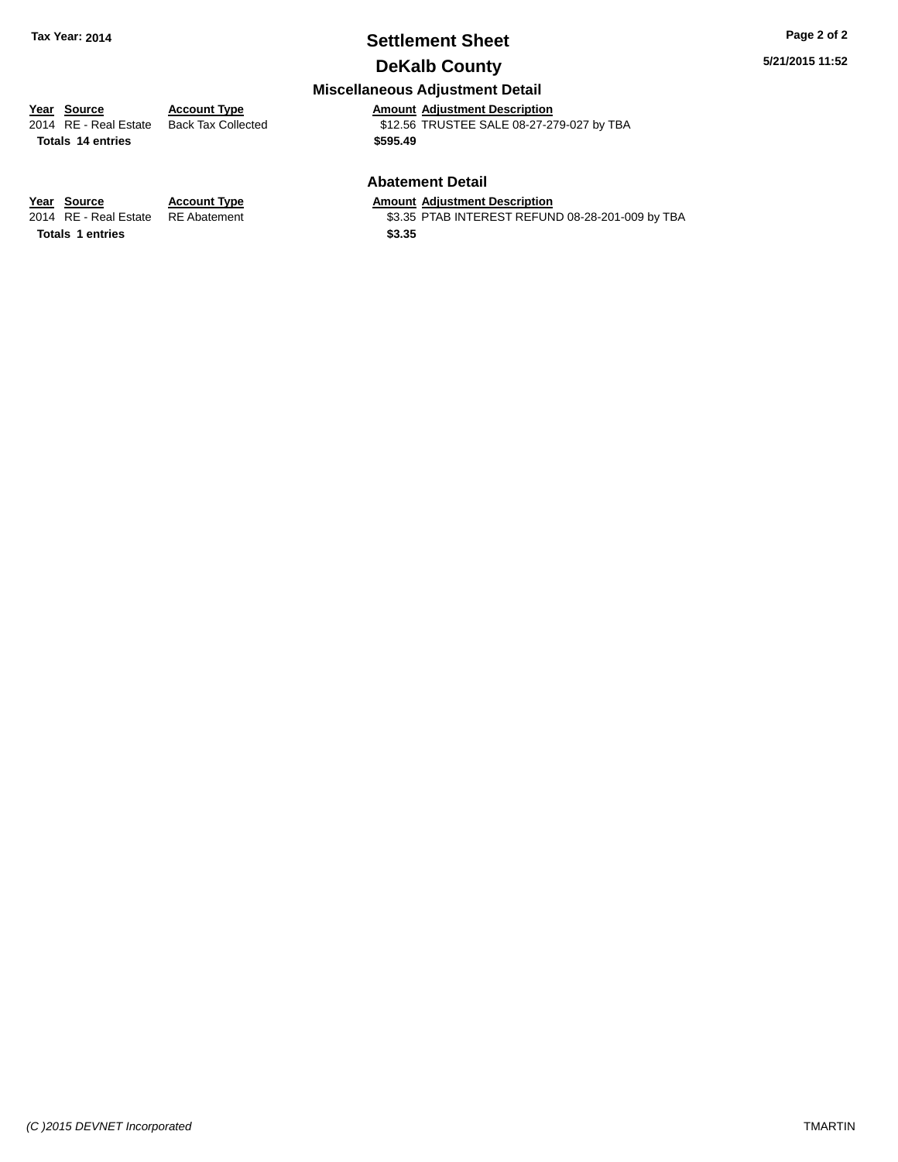# **Settlement Sheet Tax Year: 2014 Page 2 of 2**

# **DeKalb County**

# **Miscellaneous Adjustment Detail**

**Totals \$595.49 14 entries**

**Year Source Account Type Amount Adjustment Description**<br>2014 RE - Real Estate Back Tax Collected \$12.56 TRUSTEE SALE 08-27-27 \$12.56 TRUSTEE SALE 08-27-279-027 by TBA

**Abatement Detail**

\$3.35 PTAB INTEREST REFUND 08-28-201-009 by TBA

**Year Source Account Type Amount Adjustment Description**<br>2014 RE - Real Estate RE Abatement \$3.35 PTAB INTEREST REFUN **Totals \$3.35 1 entries**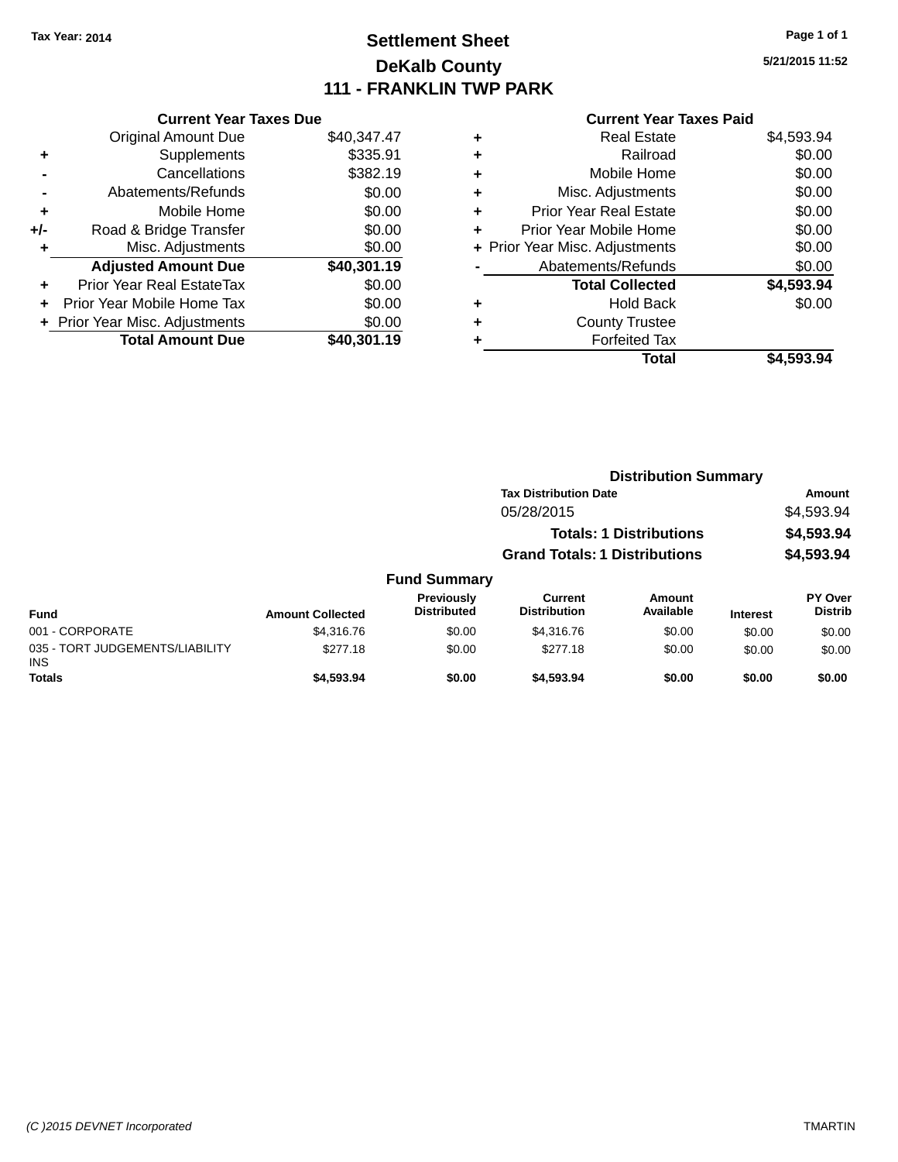# **Settlement Sheet Tax Year: 2014 Page 1 of 1 DeKalb County 111 - FRANKLIN TWP PARK**

**5/21/2015 11:52**

| <b>Current Year Taxes Due</b> |                                |  |  |  |
|-------------------------------|--------------------------------|--|--|--|
| <b>Original Amount Due</b>    | \$40,347.47                    |  |  |  |
| Supplements                   | \$335.91                       |  |  |  |
| Cancellations                 | \$382.19                       |  |  |  |
| Abatements/Refunds            | \$0.00                         |  |  |  |
| Mobile Home                   | \$0.00                         |  |  |  |
| Road & Bridge Transfer        | \$0.00                         |  |  |  |
| Misc. Adjustments             | \$0.00                         |  |  |  |
| <b>Adjusted Amount Due</b>    | \$40,301.19                    |  |  |  |
| Prior Year Real EstateTax     | \$0.00                         |  |  |  |
| Prior Year Mobile Home Tax    | \$0.00                         |  |  |  |
|                               | \$0.00                         |  |  |  |
| <b>Total Amount Due</b>       | \$40,301.19                    |  |  |  |
|                               | + Prior Year Misc. Adjustments |  |  |  |

| ٠ | <b>Real Estate</b>             | \$4,593.94 |
|---|--------------------------------|------------|
| ٠ | Railroad                       | \$0.00     |
| ٠ | Mobile Home                    | \$0.00     |
| ٠ | Misc. Adjustments              | \$0.00     |
| ٠ | <b>Prior Year Real Estate</b>  | \$0.00     |
| ÷ | Prior Year Mobile Home         | \$0.00     |
|   | + Prior Year Misc. Adjustments | \$0.00     |
|   | Abatements/Refunds             | \$0.00     |
|   | <b>Total Collected</b>         | \$4,593.94 |
| ٠ | <b>Hold Back</b>               | \$0.00     |
| ٠ | <b>County Trustee</b>          |            |
| ٠ | <b>Forfeited Tax</b>           |            |
|   | Total                          | \$4,593.94 |
|   |                                |            |

|                                         |                         |                                  | <b>Distribution Summary</b>           |                                |                 |                           |
|-----------------------------------------|-------------------------|----------------------------------|---------------------------------------|--------------------------------|-----------------|---------------------------|
|                                         |                         |                                  | <b>Tax Distribution Date</b>          |                                |                 | Amount                    |
|                                         |                         |                                  | 05/28/2015                            |                                |                 | \$4,593.94                |
|                                         |                         |                                  |                                       | <b>Totals: 1 Distributions</b> |                 | \$4,593.94                |
|                                         |                         |                                  | <b>Grand Totals: 1 Distributions</b>  |                                |                 | \$4,593.94                |
|                                         |                         | <b>Fund Summary</b>              |                                       |                                |                 |                           |
| <b>Fund</b>                             | <b>Amount Collected</b> | Previously<br><b>Distributed</b> | <b>Current</b><br><b>Distribution</b> | Amount<br>Available            | <b>Interest</b> | PY Over<br><b>Distrib</b> |
| 001 - CORPORATE                         | \$4,316,76              | \$0.00                           | \$4,316.76                            | \$0.00                         | \$0.00          | \$0.00                    |
| 035 - TORT JUDGEMENTS/LIABILITY<br>INS. | \$277.18                | \$0.00                           | \$277.18                              | \$0.00                         | \$0.00          | \$0.00                    |
| <b>Totals</b>                           | \$4,593.94              | \$0.00                           | \$4,593.94                            | \$0.00                         | \$0.00          | \$0.00                    |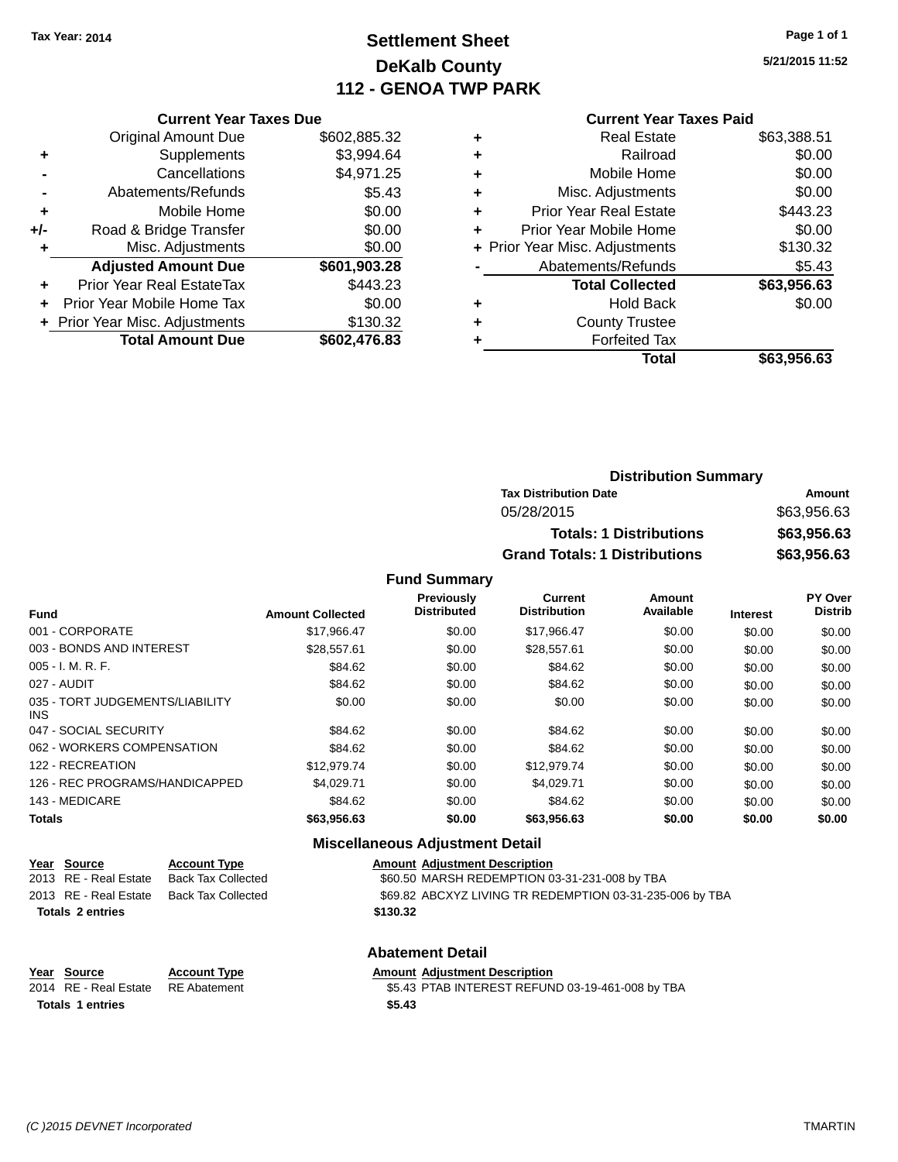# **Settlement Sheet Tax Year: 2014 Page 1 of 1 DeKalb County 112 - GENOA TWP PARK**

**5/21/2015 11:52**

### **Current Year Taxes Paid**

| <b>Current Year Taxes Due</b>              |              |  |  |  |
|--------------------------------------------|--------------|--|--|--|
| <b>Original Amount Due</b><br>\$602,885.32 |              |  |  |  |
| Supplements                                | \$3,994.64   |  |  |  |
| Cancellations                              | \$4,971.25   |  |  |  |
| Abatements/Refunds                         | \$5.43       |  |  |  |
| Mobile Home                                | \$0.00       |  |  |  |
| Road & Bridge Transfer                     | \$0.00       |  |  |  |
| Misc. Adjustments                          | \$0.00       |  |  |  |
| <b>Adjusted Amount Due</b>                 | \$601,903.28 |  |  |  |
| Prior Year Real EstateTax                  | \$443.23     |  |  |  |
| Prior Year Mobile Home Tax                 | \$0.00       |  |  |  |
| + Prior Year Misc. Adjustments             | \$130.32     |  |  |  |
| <b>Total Amount Due</b>                    | \$602,476.83 |  |  |  |
|                                            |              |  |  |  |

|   | <b>Real Estate</b>             | \$63,388.51 |
|---|--------------------------------|-------------|
| ٠ | Railroad                       | \$0.00      |
| ٠ | Mobile Home                    | \$0.00      |
| ٠ | Misc. Adjustments              | \$0.00      |
| ٠ | <b>Prior Year Real Estate</b>  | \$443.23    |
| ٠ | Prior Year Mobile Home         | \$0.00      |
|   | + Prior Year Misc. Adjustments | \$130.32    |
|   | Abatements/Refunds             | \$5.43      |
|   | <b>Total Collected</b>         | \$63,956.63 |
| ٠ | Hold Back                      | \$0.00      |
| ٠ | <b>County Trustee</b>          |             |
| ٠ | <b>Forfeited Tax</b>           |             |
|   | Total                          | \$63,956.63 |
|   |                                |             |

| <b>Distribution Summary</b>          |             |
|--------------------------------------|-------------|
| <b>Tax Distribution Date</b>         | Amount      |
| 05/28/2015                           | \$63,956,63 |
| <b>Totals: 1 Distributions</b>       | \$63,956.63 |
| <b>Grand Totals: 1 Distributions</b> | \$63,956.63 |

**Fund Summary**

| <b>Fund</b>                             | <b>Amount Collected</b> | Previously<br><b>Distributed</b> | <b>Current</b><br><b>Distribution</b> | Amount<br>Available | <b>Interest</b> | PY Over<br><b>Distrib</b> |
|-----------------------------------------|-------------------------|----------------------------------|---------------------------------------|---------------------|-----------------|---------------------------|
| 001 - CORPORATE                         | \$17,966.47             | \$0.00                           | \$17,966.47                           | \$0.00              | \$0.00          | \$0.00                    |
| 003 - BONDS AND INTEREST                | \$28,557.61             | \$0.00                           | \$28,557.61                           | \$0.00              | \$0.00          | \$0.00                    |
| $005 - I. M. R. F.$                     | \$84.62                 | \$0.00                           | \$84.62                               | \$0.00              | \$0.00          | \$0.00                    |
| 027 - AUDIT                             | \$84.62                 | \$0.00                           | \$84.62                               | \$0.00              | \$0.00          | \$0.00                    |
| 035 - TORT JUDGEMENTS/LIABILITY<br>INS. | \$0.00                  | \$0.00                           | \$0.00                                | \$0.00              | \$0.00          | \$0.00                    |
| 047 - SOCIAL SECURITY                   | \$84.62                 | \$0.00                           | \$84.62                               | \$0.00              | \$0.00          | \$0.00                    |
| 062 - WORKERS COMPENSATION              | \$84.62                 | \$0.00                           | \$84.62                               | \$0.00              | \$0.00          | \$0.00                    |
| 122 - RECREATION                        | \$12,979.74             | \$0.00                           | \$12,979.74                           | \$0.00              | \$0.00          | \$0.00                    |
| 126 - REC PROGRAMS/HANDICAPPED          | \$4.029.71              | \$0.00                           | \$4.029.71                            | \$0.00              | \$0.00          | \$0.00                    |
| 143 - MEDICARE                          | \$84.62                 | \$0.00                           | \$84.62                               | \$0.00              | \$0.00          | \$0.00                    |
| <b>Totals</b>                           | \$63,956.63             | \$0.00                           | \$63,956.63                           | \$0.00              | \$0.00          | \$0.00                    |

#### **Miscellaneous Adjustment Detail**

| <u>Year Source</u>      | <b>Account Type</b> | <b>Amount Adjustment Description</b>                     |
|-------------------------|---------------------|----------------------------------------------------------|
| 2013 RE - Real Estate   | Back Tax Collected  | \$60.50 MARSH REDEMPTION 03-31-231-008 by TBA            |
| 2013 RE - Real Estate   | Back Tax Collected  | \$69.82 ABCXYZ LIVING TR REDEMPTION 03-31-235-006 by TBA |
| <b>Totals 2 entries</b> |                     | \$130.32                                                 |

#### **Abatement Detail**

# **Year Source Account Type Amount Adjustment Description**<br>2014 RE - Real Estate RE Abatement **65.43 PTAB INTEREST REFUN**

\$5.43 PTAB INTEREST REFUND 03-19-461-008 by TBA **Totals \$5.43 1 entries**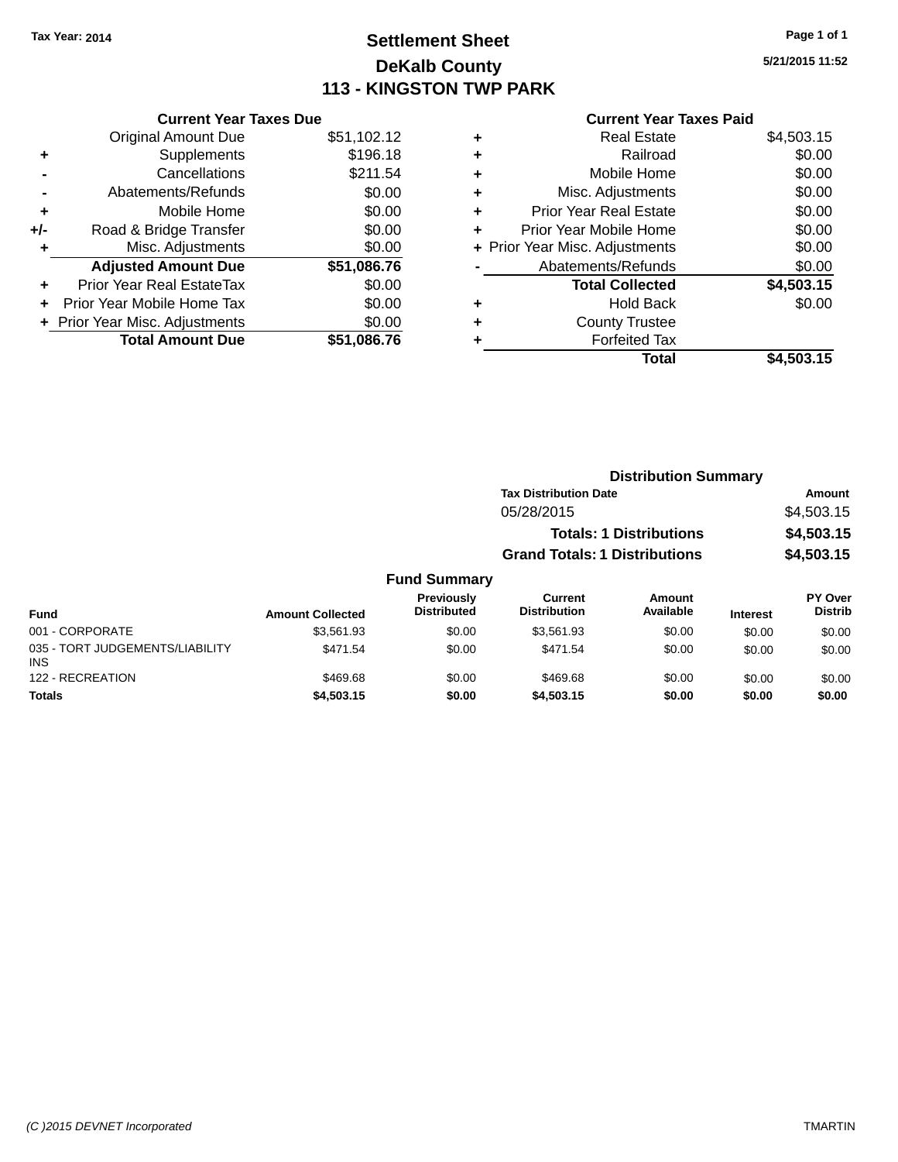# **Settlement Sheet Tax Year: 2014 Page 1 of 1 DeKalb County 113 - KINGSTON TWP PARK**

**5/21/2015 11:52**

#### **Current Year Taxes Paid**

|     | <b>Current Year Taxes Due</b>  |             |
|-----|--------------------------------|-------------|
|     | <b>Original Amount Due</b>     | \$51,102.12 |
| ÷   | Supplements                    | \$196.18    |
|     | Cancellations                  | \$211.54    |
|     | Abatements/Refunds             | \$0.00      |
| ٠   | Mobile Home                    | \$0.00      |
| +/- | Road & Bridge Transfer         | \$0.00      |
|     | Misc. Adjustments              | \$0.00      |
|     | <b>Adjusted Amount Due</b>     | \$51,086.76 |
| ٠   | Prior Year Real EstateTax      | \$0.00      |
|     | Prior Year Mobile Home Tax     | \$0.00      |
|     | + Prior Year Misc. Adjustments | \$0.00      |
|     | <b>Total Amount Due</b>        | \$51,086.76 |
|     |                                |             |

|   | <b>Real Estate</b>             | \$4,503.15 |
|---|--------------------------------|------------|
| ٠ | Railroad                       | \$0.00     |
| ٠ | Mobile Home                    | \$0.00     |
| ٠ | Misc. Adjustments              | \$0.00     |
| ٠ | <b>Prior Year Real Estate</b>  | \$0.00     |
| ٠ | Prior Year Mobile Home         | \$0.00     |
|   | + Prior Year Misc. Adjustments | \$0.00     |
|   | Abatements/Refunds             | \$0.00     |
|   | <b>Total Collected</b>         | \$4,503.15 |
| ٠ | <b>Hold Back</b>               | \$0.00     |
| ٠ | <b>County Trustee</b>          |            |
| ٠ | <b>Forfeited Tax</b>           |            |
|   | Total                          | \$4,503.15 |
|   |                                |            |

| <b>Distribution Summary</b>          |            |
|--------------------------------------|------------|
| <b>Tax Distribution Date</b>         | Amount     |
| 05/28/2015                           | \$4,503.15 |
| <b>Totals: 1 Distributions</b>       | \$4,503.15 |
| <b>Grand Totals: 1 Distributions</b> | \$4,503.15 |
|                                      |            |

#### **Fund Summary Fund Interest Amount Collected Distributed PY Over Distrib Amount Available Current Distribution Previously** 001 - CORPORATE \$3,561.93 \$0.00 \$3,561.93 \$0.00 \$0.00 \$0.00 035 - TORT JUDGEMENTS/LIABILITY INS \$471.54 \$0.00 \$471.54 \$0.00 \$0.00 \$0.00 122 - RECREATION 6409.68 \$169.68 \$0.00 \$169.68 \$0.00 \$0.00 \$0.00 \$0.00 \$0.00 **Totals \$4,503.15 \$0.00 \$4,503.15 \$0.00 \$0.00 \$0.00**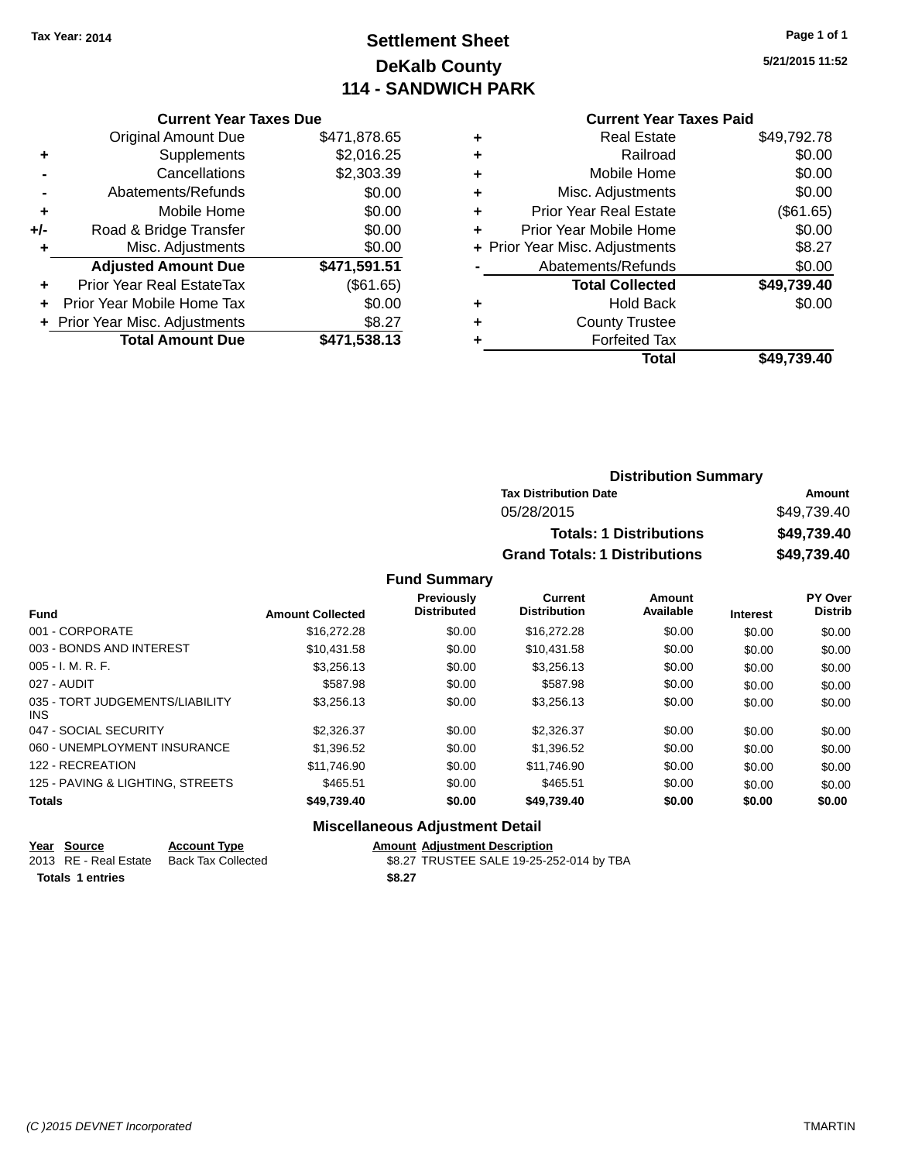# **Settlement Sheet Tax Year: 2014 Page 1 of 1 DeKalb County 114 - SANDWICH PARK**

**5/21/2015 11:52**

### **Current Year Taxes Paid**

| \$471,878.65<br><b>Original Amount Due</b><br>\$2,016.25<br>Supplements<br>٠<br>\$2,303.39<br>Cancellations<br>\$0.00<br>Abatements/Refunds<br>\$0.00<br>Mobile Home<br>÷<br>\$0.00<br>Road & Bridge Transfer<br>$+/-$<br>\$0.00<br>Misc. Adjustments<br>٠<br><b>Adjusted Amount Due</b><br>\$471,591.51<br>Prior Year Real EstateTax<br>(\$61.65)<br>÷<br>\$0.00<br>Prior Year Mobile Home Tax<br>\$8.27<br>+ Prior Year Misc. Adjustments | <b>Current Year Taxes Due</b> |              |  |  |  |
|---------------------------------------------------------------------------------------------------------------------------------------------------------------------------------------------------------------------------------------------------------------------------------------------------------------------------------------------------------------------------------------------------------------------------------------------|-------------------------------|--------------|--|--|--|
|                                                                                                                                                                                                                                                                                                                                                                                                                                             |                               |              |  |  |  |
|                                                                                                                                                                                                                                                                                                                                                                                                                                             |                               |              |  |  |  |
|                                                                                                                                                                                                                                                                                                                                                                                                                                             |                               |              |  |  |  |
|                                                                                                                                                                                                                                                                                                                                                                                                                                             |                               |              |  |  |  |
|                                                                                                                                                                                                                                                                                                                                                                                                                                             |                               |              |  |  |  |
|                                                                                                                                                                                                                                                                                                                                                                                                                                             |                               |              |  |  |  |
|                                                                                                                                                                                                                                                                                                                                                                                                                                             |                               |              |  |  |  |
|                                                                                                                                                                                                                                                                                                                                                                                                                                             |                               |              |  |  |  |
|                                                                                                                                                                                                                                                                                                                                                                                                                                             |                               |              |  |  |  |
|                                                                                                                                                                                                                                                                                                                                                                                                                                             |                               |              |  |  |  |
|                                                                                                                                                                                                                                                                                                                                                                                                                                             |                               |              |  |  |  |
|                                                                                                                                                                                                                                                                                                                                                                                                                                             | <b>Total Amount Due</b>       | \$471.538.13 |  |  |  |

|   | <b>Total</b>                   | \$49,739.40 |
|---|--------------------------------|-------------|
|   | <b>Forfeited Tax</b>           |             |
| ٠ | <b>County Trustee</b>          |             |
| ٠ | Hold Back                      | \$0.00      |
|   | <b>Total Collected</b>         | \$49,739.40 |
|   | Abatements/Refunds             | \$0.00      |
|   | + Prior Year Misc. Adjustments | \$8.27      |
| ٠ | Prior Year Mobile Home         | \$0.00      |
| ٠ | <b>Prior Year Real Estate</b>  | (\$61.65)   |
| ٠ | Misc. Adjustments              | \$0.00      |
| ٠ | Mobile Home                    | \$0.00      |
| ٠ | Railroad                       | \$0.00      |
| ٠ | Real Estate                    | \$49.792.78 |
|   |                                |             |

| <b>Distribution Summary</b>          |             |
|--------------------------------------|-------------|
| <b>Tax Distribution Date</b>         | Amount      |
| 05/28/2015                           | \$49.739.40 |
| <b>Totals: 1 Distributions</b>       | \$49,739.40 |
| <b>Grand Totals: 1 Distributions</b> | \$49,739.40 |

### **Fund Summary**

| <b>Fund</b>                             | <b>Amount Collected</b> | Previously<br><b>Distributed</b> | Current<br><b>Distribution</b> | Amount<br>Available | <b>Interest</b> | <b>PY Over</b><br><b>Distrib</b> |
|-----------------------------------------|-------------------------|----------------------------------|--------------------------------|---------------------|-----------------|----------------------------------|
|                                         |                         |                                  |                                |                     |                 |                                  |
| 001 - CORPORATE                         | \$16,272.28             | \$0.00                           | \$16,272.28                    | \$0.00              | \$0.00          | \$0.00                           |
| 003 - BONDS AND INTEREST                | \$10.431.58             | \$0.00                           | \$10.431.58                    | \$0.00              | \$0.00          | \$0.00                           |
| 005 - I. M. R. F.                       | \$3.256.13              | \$0.00                           | \$3,256.13                     | \$0.00              | \$0.00          | \$0.00                           |
| 027 - AUDIT                             | \$587.98                | \$0.00                           | \$587.98                       | \$0.00              | \$0.00          | \$0.00                           |
| 035 - TORT JUDGEMENTS/LIABILITY<br>INS. | \$3.256.13              | \$0.00                           | \$3,256.13                     | \$0.00              | \$0.00          | \$0.00                           |
| 047 - SOCIAL SECURITY                   | \$2,326,37              | \$0.00                           | \$2.326.37                     | \$0.00              | \$0.00          | \$0.00                           |
| 060 - UNEMPLOYMENT INSURANCE            | \$1,396.52              | \$0.00                           | \$1.396.52                     | \$0.00              | \$0.00          | \$0.00                           |
| 122 - RECREATION                        | \$11.746.90             | \$0.00                           | \$11.746.90                    | \$0.00              | \$0.00          | \$0.00                           |
| 125 - PAVING & LIGHTING, STREETS        | \$465.51                | \$0.00                           | \$465.51                       | \$0.00              | \$0.00          | \$0.00                           |
| <b>Totals</b>                           | \$49,739.40             | \$0.00                           | \$49,739.40                    | \$0.00              | \$0.00          | \$0.00                           |

# **Miscellaneous Adjustment Detail**

# **Year Source Account Type Amount Adjustment Description**

\$8.27 TRUSTEE SALE 19-25-252-014 by TBA

**Totals 1 entries** \$8.27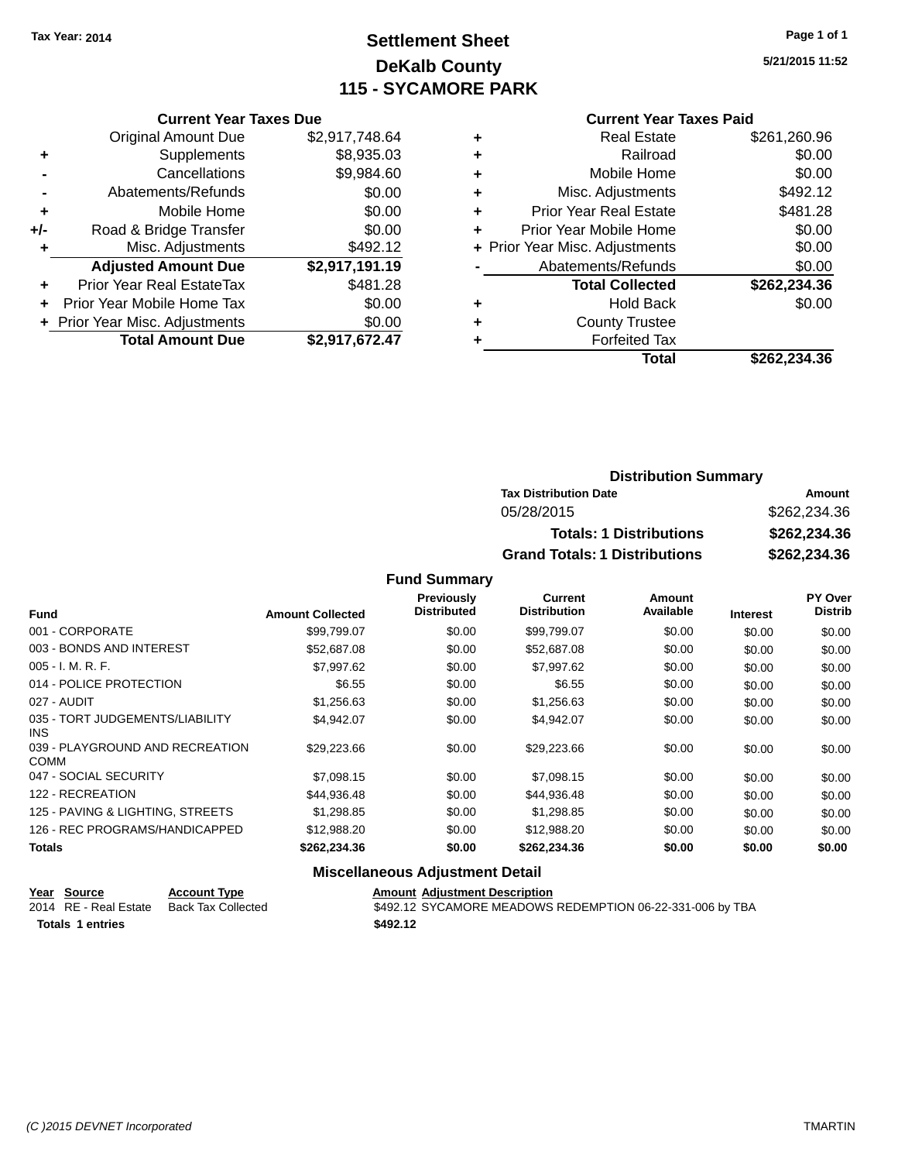# **Settlement Sheet Tax Year: 2014 Page 1 of 1 DeKalb County 115 - SYCAMORE PARK**

**5/21/2015 11:52**

# **Current Year Taxes Paid**

|     | <b>Current Year Taxes Due</b>  |                |  |
|-----|--------------------------------|----------------|--|
|     | <b>Original Amount Due</b>     | \$2,917,748.64 |  |
| ٠   | Supplements                    | \$8,935.03     |  |
|     | Cancellations                  | \$9,984.60     |  |
|     | Abatements/Refunds             | \$0.00         |  |
| ٠   | Mobile Home                    | \$0.00         |  |
| +/- | Road & Bridge Transfer         | \$0.00         |  |
|     | Misc. Adjustments              | \$492.12       |  |
|     | <b>Adjusted Amount Due</b>     | \$2,917,191.19 |  |
| ٠   | Prior Year Real EstateTax      | \$481.28       |  |
|     | Prior Year Mobile Home Tax     | \$0.00         |  |
|     | + Prior Year Misc. Adjustments | \$0.00         |  |
|     | <b>Total Amount Due</b>        | \$2,917,672.47 |  |
|     |                                |                |  |

|   | <b>Real Estate</b>             | \$261,260.96 |
|---|--------------------------------|--------------|
| ٠ | Railroad                       | \$0.00       |
| ٠ | Mobile Home                    | \$0.00       |
| ٠ | Misc. Adjustments              | \$492.12     |
| ٠ | <b>Prior Year Real Estate</b>  | \$481.28     |
| ٠ | Prior Year Mobile Home         | \$0.00       |
|   | + Prior Year Misc. Adjustments | \$0.00       |
|   | Abatements/Refunds             | \$0.00       |
|   | <b>Total Collected</b>         | \$262,234.36 |
| ٠ | Hold Back                      | \$0.00       |
| ٠ | <b>County Trustee</b>          |              |
| ٠ | <b>Forfeited Tax</b>           |              |
|   | Total                          | \$262,234.36 |
|   |                                |              |

| <b>Distribution Summary</b>          |              |  |  |  |
|--------------------------------------|--------------|--|--|--|
| <b>Tax Distribution Date</b>         | Amount       |  |  |  |
| 05/28/2015                           | \$262,234.36 |  |  |  |
| <b>Totals: 1 Distributions</b>       | \$262,234.36 |  |  |  |
| <b>Grand Totals: 1 Distributions</b> | \$262,234.36 |  |  |  |

#### **Fund Summary**

| <b>Fund</b>                                    | <b>Amount Collected</b> | <b>Previously</b><br><b>Distributed</b> | Current<br><b>Distribution</b> | Amount<br>Available | <b>Interest</b> | PY Over<br><b>Distrib</b> |
|------------------------------------------------|-------------------------|-----------------------------------------|--------------------------------|---------------------|-----------------|---------------------------|
| 001 - CORPORATE                                | \$99,799.07             | \$0.00                                  | \$99,799.07                    | \$0.00              | \$0.00          | \$0.00                    |
| 003 - BONDS AND INTEREST                       | \$52,687.08             | \$0.00                                  | \$52,687.08                    | \$0.00              | \$0.00          | \$0.00                    |
| $005 - I. M. R. F.$                            | \$7,997.62              | \$0.00                                  | \$7,997.62                     | \$0.00              | \$0.00          | \$0.00                    |
| 014 - POLICE PROTECTION                        | \$6.55                  | \$0.00                                  | \$6.55                         | \$0.00              | \$0.00          | \$0.00                    |
| 027 - AUDIT                                    | \$1,256.63              | \$0.00                                  | \$1,256.63                     | \$0.00              | \$0.00          | \$0.00                    |
| 035 - TORT JUDGEMENTS/LIABILITY<br>INS.        | \$4,942.07              | \$0.00                                  | \$4,942.07                     | \$0.00              | \$0.00          | \$0.00                    |
| 039 - PLAYGROUND AND RECREATION<br><b>COMM</b> | \$29,223.66             | \$0.00                                  | \$29,223.66                    | \$0.00              | \$0.00          | \$0.00                    |
| 047 - SOCIAL SECURITY                          | \$7,098.15              | \$0.00                                  | \$7,098.15                     | \$0.00              | \$0.00          | \$0.00                    |
| 122 - RECREATION                               | \$44.936.48             | \$0.00                                  | \$44,936.48                    | \$0.00              | \$0.00          | \$0.00                    |
| 125 - PAVING & LIGHTING, STREETS               | \$1,298.85              | \$0.00                                  | \$1,298.85                     | \$0.00              | \$0.00          | \$0.00                    |
| 126 - REC PROGRAMS/HANDICAPPED                 | \$12,988.20             | \$0.00                                  | \$12,988.20                    | \$0.00              | \$0.00          | \$0.00                    |
| <b>Totals</b>                                  | \$262,234.36            | \$0.00                                  | \$262,234.36                   | \$0.00              | \$0.00          | \$0.00                    |

# **Miscellaneous Adjustment Detail**

| Year Source             | <b>Account Type</b> | <b>Amount Adjustment Description</b>                      |  |
|-------------------------|---------------------|-----------------------------------------------------------|--|
| 2014 RE - Real Estate   | Back Tax Collected  | \$492.12 SYCAMORE MEADOWS REDEMPTION 06-22-331-006 by TBA |  |
| <b>Totals 1 entries</b> |                     | \$492.12                                                  |  |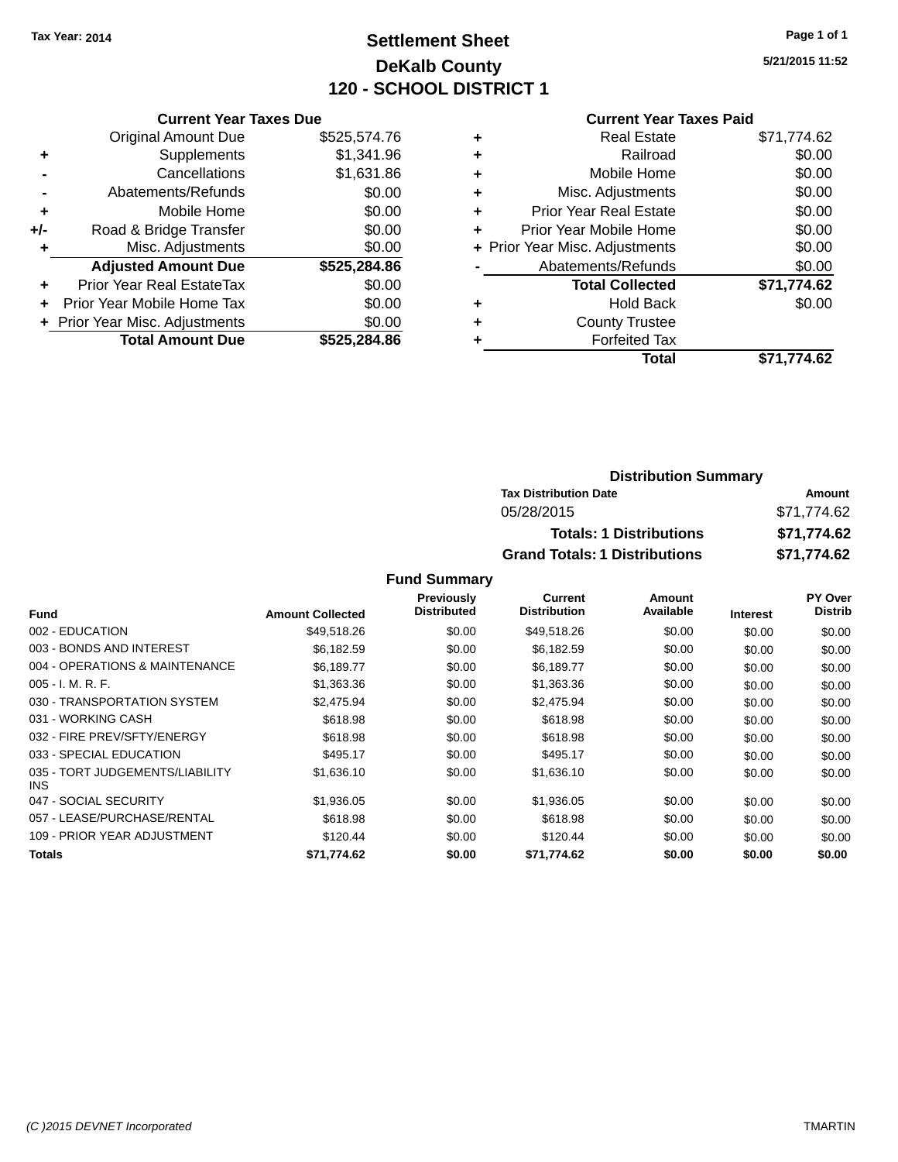# **Settlement Sheet Tax Year: 2014 Page 1 of 1 DeKalb County 120 - SCHOOL DISTRICT 1**

**5/21/2015 11:52**

# **Current Year Taxes Paid**

|     | <b>Current Year Taxes Due</b>  |              |
|-----|--------------------------------|--------------|
|     | <b>Original Amount Due</b>     | \$525,574.76 |
| ٠   | Supplements                    | \$1,341.96   |
|     | Cancellations                  | \$1,631.86   |
|     | Abatements/Refunds             | \$0.00       |
| ٠   | Mobile Home                    | \$0.00       |
| +/- | Road & Bridge Transfer         | \$0.00       |
| ٠   | Misc. Adjustments              | \$0.00       |
|     | <b>Adjusted Amount Due</b>     | \$525,284.86 |
| ٠   | Prior Year Real EstateTax      | \$0.00       |
|     | Prior Year Mobile Home Tax     | \$0.00       |
|     | + Prior Year Misc. Adjustments | \$0.00       |
|     | <b>Total Amount Due</b>        | \$525.284.86 |
|     |                                |              |

|   | Real Estate                    | \$71,774.62 |
|---|--------------------------------|-------------|
| ٠ | Railroad                       | \$0.00      |
| ٠ | Mobile Home                    | \$0.00      |
| ٠ | Misc. Adjustments              | \$0.00      |
| ٠ | <b>Prior Year Real Estate</b>  | \$0.00      |
| ٠ | Prior Year Mobile Home         | \$0.00      |
|   | + Prior Year Misc. Adjustments | \$0.00      |
|   | Abatements/Refunds             | \$0.00      |
|   | <b>Total Collected</b>         | \$71,774.62 |
| ٠ | Hold Back                      | \$0.00      |
|   | <b>County Trustee</b>          |             |
| ٠ | <b>Forfeited Tax</b>           |             |
|   | Total                          | \$71,774.62 |
|   |                                |             |

| <b>Distribution Summary</b>          |             |  |  |  |
|--------------------------------------|-------------|--|--|--|
| <b>Tax Distribution Date</b>         | Amount      |  |  |  |
| 05/28/2015                           | \$71,774.62 |  |  |  |
| <b>Totals: 1 Distributions</b>       | \$71,774.62 |  |  |  |
| <b>Grand Totals: 1 Distributions</b> | \$71,774.62 |  |  |  |

|                                         |                         | Previously         | Current             | Amount    |                 | PY Over        |
|-----------------------------------------|-------------------------|--------------------|---------------------|-----------|-----------------|----------------|
| <b>Fund</b>                             | <b>Amount Collected</b> | <b>Distributed</b> | <b>Distribution</b> | Available | <b>Interest</b> | <b>Distrib</b> |
| 002 - EDUCATION                         | \$49.518.26             | \$0.00             | \$49,518.26         | \$0.00    | \$0.00          | \$0.00         |
| 003 - BONDS AND INTEREST                | \$6,182.59              | \$0.00             | \$6,182.59          | \$0.00    | \$0.00          | \$0.00         |
| 004 - OPERATIONS & MAINTENANCE          | \$6,189.77              | \$0.00             | \$6,189.77          | \$0.00    | \$0.00          | \$0.00         |
| $005 - I. M. R. F.$                     | \$1,363.36              | \$0.00             | \$1,363.36          | \$0.00    | \$0.00          | \$0.00         |
| 030 - TRANSPORTATION SYSTEM             | \$2,475.94              | \$0.00             | \$2,475.94          | \$0.00    | \$0.00          | \$0.00         |
| 031 - WORKING CASH                      | \$618.98                | \$0.00             | \$618.98            | \$0.00    | \$0.00          | \$0.00         |
| 032 - FIRE PREV/SFTY/ENERGY             | \$618.98                | \$0.00             | \$618.98            | \$0.00    | \$0.00          | \$0.00         |
| 033 - SPECIAL EDUCATION                 | \$495.17                | \$0.00             | \$495.17            | \$0.00    | \$0.00          | \$0.00         |
| 035 - TORT JUDGEMENTS/LIABILITY<br>INS. | \$1,636.10              | \$0.00             | \$1,636.10          | \$0.00    | \$0.00          | \$0.00         |
| 047 - SOCIAL SECURITY                   | \$1,936.05              | \$0.00             | \$1,936.05          | \$0.00    | \$0.00          | \$0.00         |
| 057 - LEASE/PURCHASE/RENTAL             | \$618.98                | \$0.00             | \$618.98            | \$0.00    | \$0.00          | \$0.00         |
| 109 - PRIOR YEAR ADJUSTMENT             | \$120.44                | \$0.00             | \$120.44            | \$0.00    | \$0.00          | \$0.00         |
| Totals                                  | \$71,774.62             | \$0.00             | \$71,774.62         | \$0.00    | \$0.00          | \$0.00         |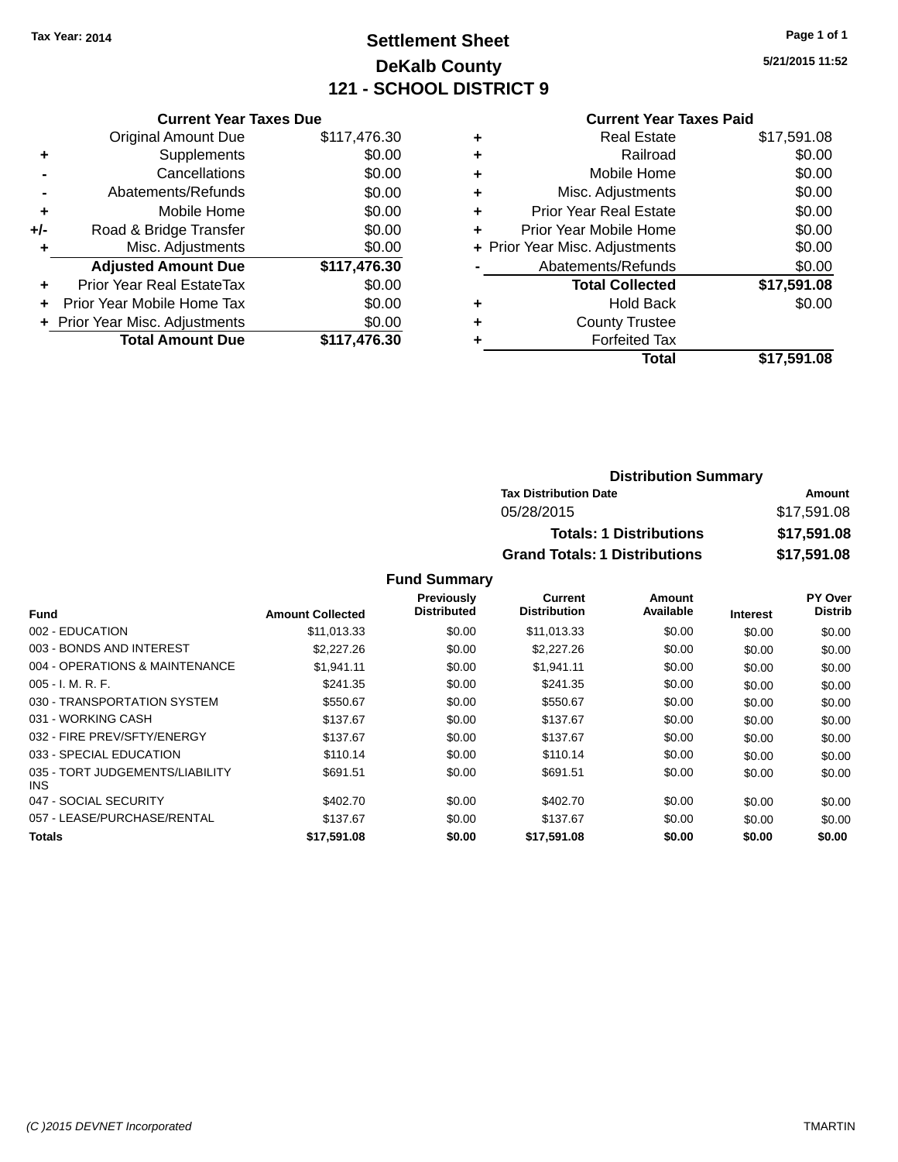# **Settlement Sheet Tax Year: 2014 Page 1 of 1 DeKalb County 121 - SCHOOL DISTRICT 9**

**5/21/2015 11:52**

# **Current Year Taxes Paid**

|     | <b>Current Year Taxes Due</b>  |              |  |  |  |  |
|-----|--------------------------------|--------------|--|--|--|--|
|     | <b>Original Amount Due</b>     | \$117,476.30 |  |  |  |  |
| ٠   | Supplements                    | \$0.00       |  |  |  |  |
|     | Cancellations                  | \$0.00       |  |  |  |  |
|     | Abatements/Refunds             | \$0.00       |  |  |  |  |
| ٠   | Mobile Home                    | \$0.00       |  |  |  |  |
| +/- | Road & Bridge Transfer         | \$0.00       |  |  |  |  |
|     | Misc. Adjustments              | \$0.00       |  |  |  |  |
|     | <b>Adjusted Amount Due</b>     | \$117,476.30 |  |  |  |  |
| ٠   | Prior Year Real EstateTax      | \$0.00       |  |  |  |  |
|     | Prior Year Mobile Home Tax     | \$0.00       |  |  |  |  |
|     | + Prior Year Misc. Adjustments | \$0.00       |  |  |  |  |
|     | <b>Total Amount Due</b>        | \$117,476.30 |  |  |  |  |
|     |                                |              |  |  |  |  |

|   | <b>Real Estate</b>             | \$17,591.08 |
|---|--------------------------------|-------------|
| ٠ | Railroad                       | \$0.00      |
| ٠ | Mobile Home                    | \$0.00      |
| ٠ | Misc. Adjustments              | \$0.00      |
| ٠ | <b>Prior Year Real Estate</b>  | \$0.00      |
| ÷ | Prior Year Mobile Home         | \$0.00      |
|   | + Prior Year Misc. Adjustments | \$0.00      |
|   | Abatements/Refunds             | \$0.00      |
|   | <b>Total Collected</b>         | \$17,591.08 |
| ٠ | Hold Back                      | \$0.00      |
|   | <b>County Trustee</b>          |             |
| ٠ | <b>Forfeited Tax</b>           |             |
|   | Total                          | \$17,591.08 |
|   |                                |             |

# **Distribution Summary Tax Distribution Date Amount** 05/28/2015 \$17,591.08 **Totals: 1 Distributions \$17,591.08 Grand Totals: 1 Distributions \$17,591.08**

|                                         |                         | Previously         | Current             | Amount    |                 | PY Over        |
|-----------------------------------------|-------------------------|--------------------|---------------------|-----------|-----------------|----------------|
| <b>Fund</b>                             | <b>Amount Collected</b> | <b>Distributed</b> | <b>Distribution</b> | Available | <b>Interest</b> | <b>Distrib</b> |
| 002 - EDUCATION                         | \$11,013.33             | \$0.00             | \$11,013.33         | \$0.00    | \$0.00          | \$0.00         |
| 003 - BONDS AND INTEREST                | \$2,227.26              | \$0.00             | \$2,227.26          | \$0.00    | \$0.00          | \$0.00         |
| 004 - OPERATIONS & MAINTENANCE          | \$1.941.11              | \$0.00             | \$1.941.11          | \$0.00    | \$0.00          | \$0.00         |
| $005 - I. M. R. F.$                     | \$241.35                | \$0.00             | \$241.35            | \$0.00    | \$0.00          | \$0.00         |
| 030 - TRANSPORTATION SYSTEM             | \$550.67                | \$0.00             | \$550.67            | \$0.00    | \$0.00          | \$0.00         |
| 031 - WORKING CASH                      | \$137.67                | \$0.00             | \$137.67            | \$0.00    | \$0.00          | \$0.00         |
| 032 - FIRE PREV/SFTY/ENERGY             | \$137.67                | \$0.00             | \$137.67            | \$0.00    | \$0.00          | \$0.00         |
| 033 - SPECIAL EDUCATION                 | \$110.14                | \$0.00             | \$110.14            | \$0.00    | \$0.00          | \$0.00         |
| 035 - TORT JUDGEMENTS/LIABILITY<br>INS. | \$691.51                | \$0.00             | \$691.51            | \$0.00    | \$0.00          | \$0.00         |
| 047 - SOCIAL SECURITY                   | \$402.70                | \$0.00             | \$402.70            | \$0.00    | \$0.00          | \$0.00         |
| 057 - LEASE/PURCHASE/RENTAL             | \$137.67                | \$0.00             | \$137.67            | \$0.00    | \$0.00          | \$0.00         |
| Totals                                  | \$17,591.08             | \$0.00             | \$17,591.08         | \$0.00    | \$0.00          | \$0.00         |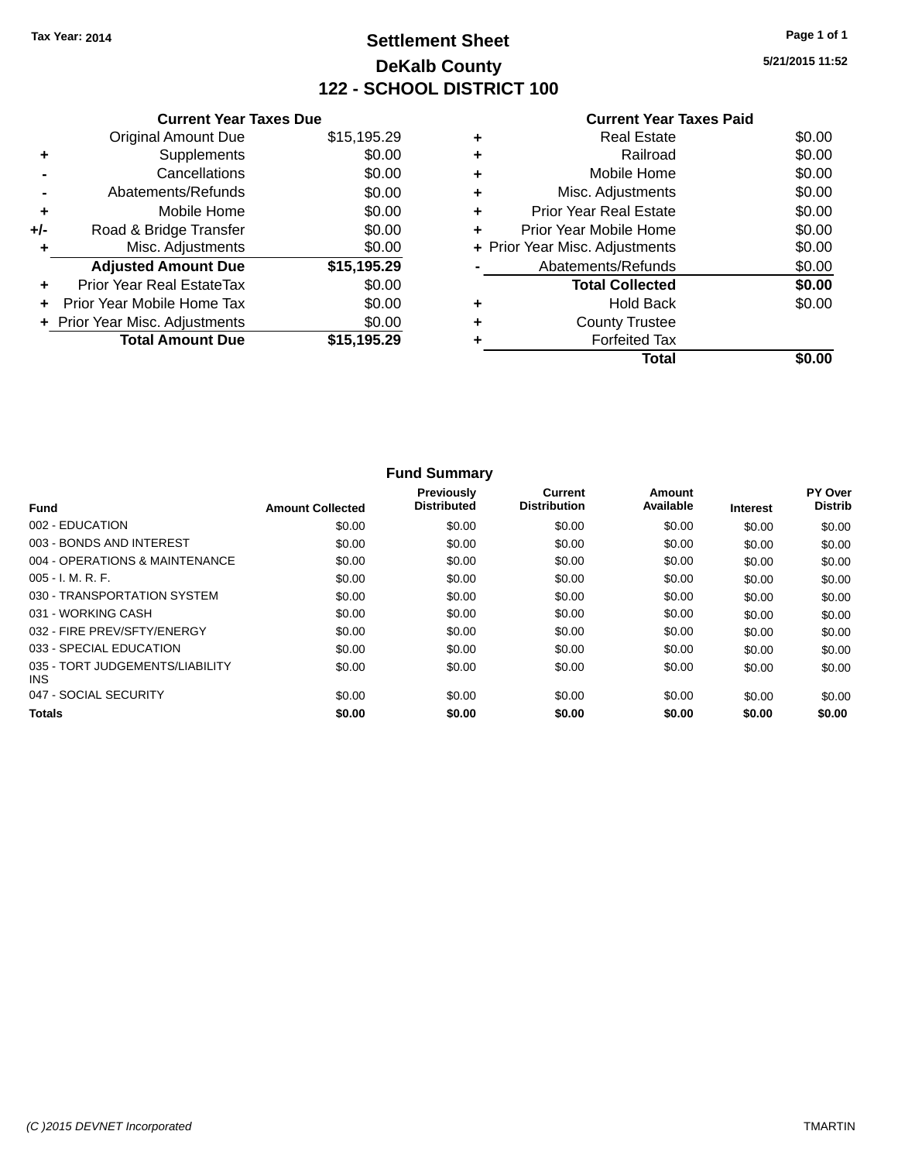# **Settlement Sheet Tax Year: 2014 Page 1 of 1 DeKalb County 122 - SCHOOL DISTRICT 100**

**5/21/2015 11:52**

|       | <b>Current Year Taxes Due</b>    |             |
|-------|----------------------------------|-------------|
|       | <b>Original Amount Due</b>       | \$15,195.29 |
| ٠     | Supplements                      | \$0.00      |
|       | Cancellations                    | \$0.00      |
|       | Abatements/Refunds               | \$0.00      |
| ٠     | Mobile Home                      | \$0.00      |
| $+/-$ | Road & Bridge Transfer           | \$0.00      |
| ٠     | Misc. Adjustments                | \$0.00      |
|       | <b>Adjusted Amount Due</b>       | \$15,195.29 |
| ÷     | <b>Prior Year Real EstateTax</b> | \$0.00      |
|       | Prior Year Mobile Home Tax       | \$0.00      |
|       | + Prior Year Misc. Adjustments   | \$0.00      |
|       | <b>Total Amount Due</b>          | \$15,195.29 |
|       |                                  |             |

| Real Estate                    | \$0.00 |
|--------------------------------|--------|
| Railroad                       | \$0.00 |
| Mobile Home                    | \$0.00 |
| Misc. Adjustments              | \$0.00 |
| <b>Prior Year Real Estate</b>  | \$0.00 |
| Prior Year Mobile Home         | \$0.00 |
| + Prior Year Misc. Adjustments | \$0.00 |
| Abatements/Refunds             | \$0.00 |
| <b>Total Collected</b>         | \$0.00 |
| Hold Back                      | \$0.00 |
| <b>County Trustee</b>          |        |
| <b>Forfeited Tax</b>           |        |
| Total                          |        |
|                                |        |

| <b>Fund Summary</b>                     |                         |                                         |                                       |                            |                 |                                  |
|-----------------------------------------|-------------------------|-----------------------------------------|---------------------------------------|----------------------------|-----------------|----------------------------------|
| <b>Fund</b>                             | <b>Amount Collected</b> | <b>Previously</b><br><b>Distributed</b> | <b>Current</b><br><b>Distribution</b> | <b>Amount</b><br>Available | <b>Interest</b> | <b>PY Over</b><br><b>Distrib</b> |
| 002 - EDUCATION                         | \$0.00                  | \$0.00                                  | \$0.00                                | \$0.00                     | \$0.00          | \$0.00                           |
| 003 - BONDS AND INTEREST                | \$0.00                  | \$0.00                                  | \$0.00                                | \$0.00                     | \$0.00          | \$0.00                           |
| 004 - OPERATIONS & MAINTENANCE          | \$0.00                  | \$0.00                                  | \$0.00                                | \$0.00                     | \$0.00          | \$0.00                           |
| $005 - I. M. R. F.$                     | \$0.00                  | \$0.00                                  | \$0.00                                | \$0.00                     | \$0.00          | \$0.00                           |
| 030 - TRANSPORTATION SYSTEM             | \$0.00                  | \$0.00                                  | \$0.00                                | \$0.00                     | \$0.00          | \$0.00                           |
| 031 - WORKING CASH                      | \$0.00                  | \$0.00                                  | \$0.00                                | \$0.00                     | \$0.00          | \$0.00                           |
| 032 - FIRE PREV/SFTY/ENERGY             | \$0.00                  | \$0.00                                  | \$0.00                                | \$0.00                     | \$0.00          | \$0.00                           |
| 033 - SPECIAL EDUCATION                 | \$0.00                  | \$0.00                                  | \$0.00                                | \$0.00                     | \$0.00          | \$0.00                           |
| 035 - TORT JUDGEMENTS/LIABILITY<br>INS. | \$0.00                  | \$0.00                                  | \$0.00                                | \$0.00                     | \$0.00          | \$0.00                           |
| 047 - SOCIAL SECURITY                   | \$0.00                  | \$0.00                                  | \$0.00                                | \$0.00                     | \$0.00          | \$0.00                           |
| <b>Totals</b>                           | \$0.00                  | \$0.00                                  | \$0.00                                | \$0.00                     | \$0.00          | \$0.00                           |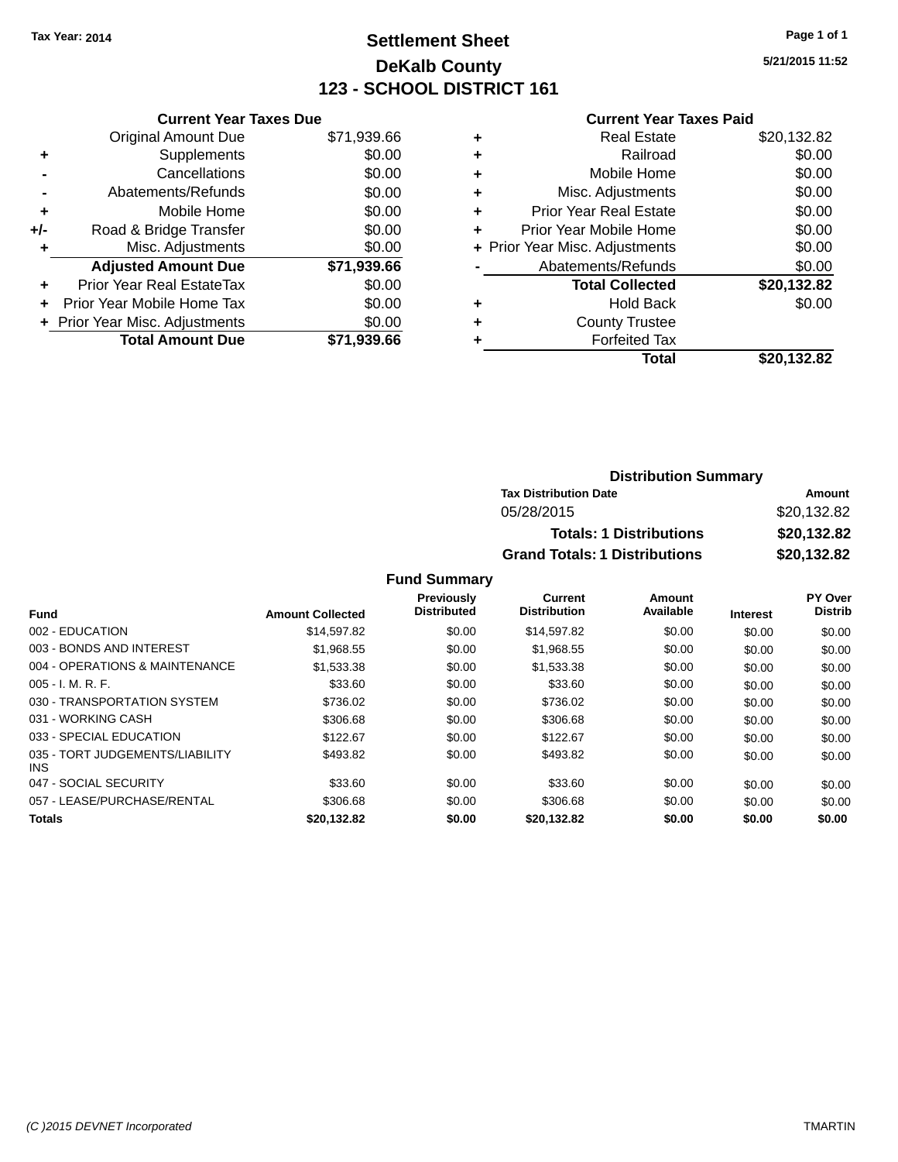# **Settlement Sheet Tax Year: 2014 Page 1 of 1 DeKalb County 123 - SCHOOL DISTRICT 161**

**5/21/2015 11:52**

#### **Current Year Taxes Paid**

|     | <b>Current Year Taxes Due</b>  |             |
|-----|--------------------------------|-------------|
|     | <b>Original Amount Due</b>     | \$71,939.66 |
| ٠   | Supplements                    | \$0.00      |
|     | Cancellations                  | \$0.00      |
|     | Abatements/Refunds             | \$0.00      |
| ٠   | Mobile Home                    | \$0.00      |
| +/- | Road & Bridge Transfer         | \$0.00      |
| ٠   | Misc. Adjustments              | \$0.00      |
|     | <b>Adjusted Amount Due</b>     | \$71,939.66 |
| ÷   | Prior Year Real EstateTax      | \$0.00      |
|     | Prior Year Mobile Home Tax     | \$0.00      |
|     | + Prior Year Misc. Adjustments | \$0.00      |
|     | <b>Total Amount Due</b>        | \$71,939.66 |
|     |                                |             |

|   | <b>Real Estate</b>             | \$20,132.82 |
|---|--------------------------------|-------------|
| ٠ | Railroad                       | \$0.00      |
| ٠ | Mobile Home                    | \$0.00      |
| ٠ | Misc. Adjustments              | \$0.00      |
| ٠ | <b>Prior Year Real Estate</b>  | \$0.00      |
| ٠ | Prior Year Mobile Home         | \$0.00      |
|   | + Prior Year Misc. Adjustments | \$0.00      |
|   | Abatements/Refunds             | \$0.00      |
|   | <b>Total Collected</b>         | \$20,132.82 |
| ٠ | Hold Back                      | \$0.00      |
| ٠ | <b>County Trustee</b>          |             |
| ٠ | <b>Forfeited Tax</b>           |             |
|   | Total                          | \$20,132.82 |
|   |                                |             |

# **Distribution Summary Tax Distribution Date Amount** 05/28/2015 \$20,132.82 **Totals: 1 Distributions \$20,132.82 Grand Totals: 1 Distributions \$20,132.82**

|                                         |                         | <b>Previously</b>  | Current             | Amount    |                 | PY Over        |
|-----------------------------------------|-------------------------|--------------------|---------------------|-----------|-----------------|----------------|
| <b>Fund</b>                             | <b>Amount Collected</b> | <b>Distributed</b> | <b>Distribution</b> | Available | <b>Interest</b> | <b>Distrib</b> |
| 002 - EDUCATION                         | \$14,597.82             | \$0.00             | \$14,597.82         | \$0.00    | \$0.00          | \$0.00         |
| 003 - BONDS AND INTEREST                | \$1.968.55              | \$0.00             | \$1,968.55          | \$0.00    | \$0.00          | \$0.00         |
| 004 - OPERATIONS & MAINTENANCE          | \$1,533.38              | \$0.00             | \$1,533.38          | \$0.00    | \$0.00          | \$0.00         |
| $005 - I. M. R. F.$                     | \$33.60                 | \$0.00             | \$33.60             | \$0.00    | \$0.00          | \$0.00         |
| 030 - TRANSPORTATION SYSTEM             | \$736.02                | \$0.00             | \$736.02            | \$0.00    | \$0.00          | \$0.00         |
| 031 - WORKING CASH                      | \$306.68                | \$0.00             | \$306.68            | \$0.00    | \$0.00          | \$0.00         |
| 033 - SPECIAL EDUCATION                 | \$122.67                | \$0.00             | \$122.67            | \$0.00    | \$0.00          | \$0.00         |
| 035 - TORT JUDGEMENTS/LIABILITY<br>INS. | \$493.82                | \$0.00             | \$493.82            | \$0.00    | \$0.00          | \$0.00         |
| 047 - SOCIAL SECURITY                   | \$33.60                 | \$0.00             | \$33.60             | \$0.00    | \$0.00          | \$0.00         |
| 057 - LEASE/PURCHASE/RENTAL             | \$306.68                | \$0.00             | \$306.68            | \$0.00    | \$0.00          | \$0.00         |
| <b>Totals</b>                           | \$20,132.82             | \$0.00             | \$20,132.82         | \$0.00    | \$0.00          | \$0.00         |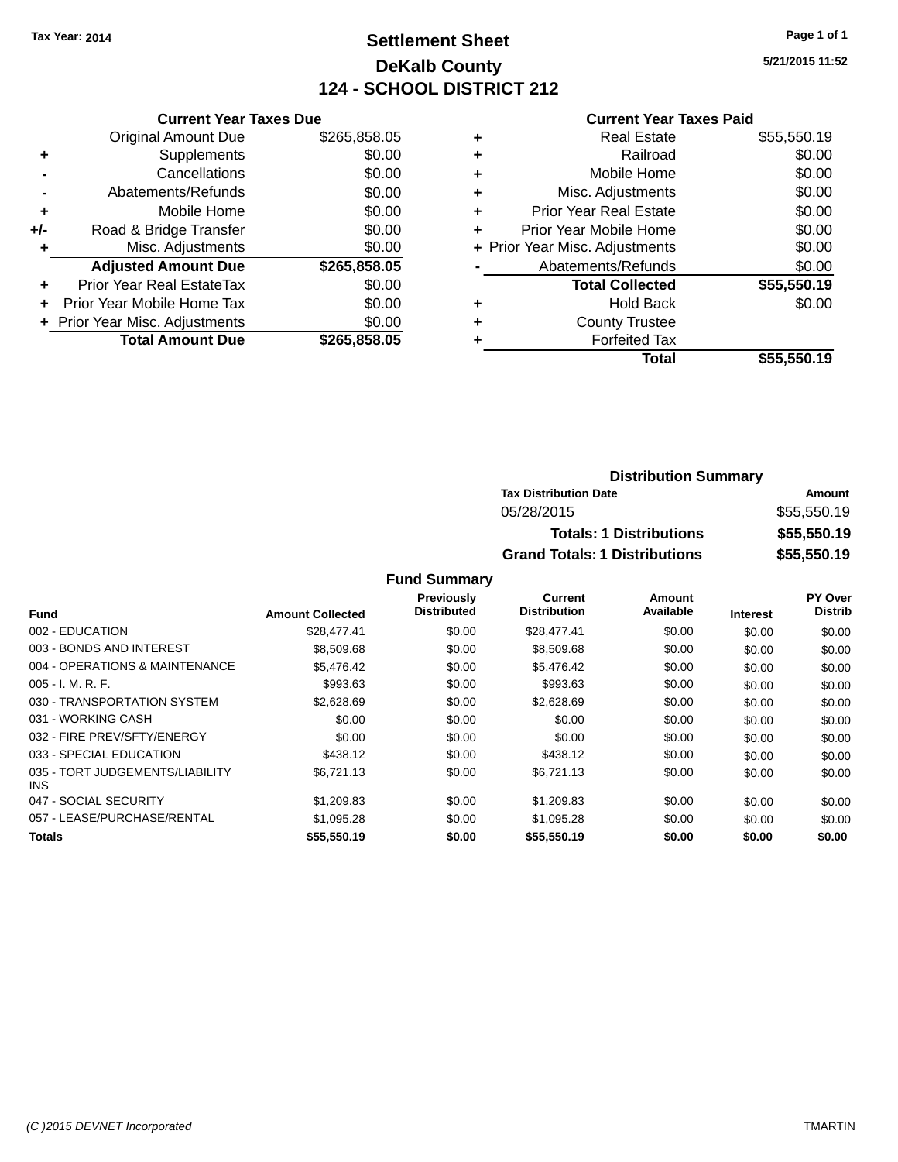# **Settlement Sheet Tax Year: 2014 Page 1 of 1 DeKalb County 124 - SCHOOL DISTRICT 212**

**5/21/2015 11:52**

|     | <b>Current Year Taxes Due</b>  |              |
|-----|--------------------------------|--------------|
|     | <b>Original Amount Due</b>     | \$265,858.05 |
| ٠   | Supplements                    | \$0.00       |
|     | Cancellations                  | \$0.00       |
|     | Abatements/Refunds             | \$0.00       |
| ÷   | Mobile Home                    | \$0.00       |
| +/- | Road & Bridge Transfer         | \$0.00       |
| ٠   | Misc. Adjustments              | \$0.00       |
|     | <b>Adjusted Amount Due</b>     | \$265,858.05 |
| ÷   | Prior Year Real EstateTax      | \$0.00       |
|     | Prior Year Mobile Home Tax     | \$0.00       |
|     | + Prior Year Misc. Adjustments | \$0.00       |
|     | <b>Total Amount Due</b>        | \$265.858.05 |

#### **Current Year Taxes Paid**

|   | Total                          | \$55,550.19 |
|---|--------------------------------|-------------|
|   | <b>Forfeited Tax</b>           |             |
| ٠ | <b>County Trustee</b>          |             |
| ٠ | <b>Hold Back</b>               | \$0.00      |
|   | <b>Total Collected</b>         | \$55,550.19 |
|   | Abatements/Refunds             | \$0.00      |
|   | + Prior Year Misc. Adjustments | \$0.00      |
| ٠ | Prior Year Mobile Home         | \$0.00      |
| ٠ | <b>Prior Year Real Estate</b>  | \$0.00      |
| ٠ | Misc. Adjustments              | \$0.00      |
| ٠ | Mobile Home                    | \$0.00      |
| ٠ | Railroad                       | \$0.00      |
|   | <b>Real Estate</b>             | \$55,550.19 |

# **Distribution Summary Tax Distribution Date Amount** 05/28/2015 \$55,550.19 **Totals: 1 Distributions \$55,550.19 Grand Totals: 1 Distributions \$55,550.19**

|                                         |                         | <b>Previously</b>  | <b>Current</b>      | Amount    |                 | PY Over        |
|-----------------------------------------|-------------------------|--------------------|---------------------|-----------|-----------------|----------------|
| <b>Fund</b>                             | <b>Amount Collected</b> | <b>Distributed</b> | <b>Distribution</b> | Available | <b>Interest</b> | <b>Distrib</b> |
| 002 - EDUCATION                         | \$28,477,41             | \$0.00             | \$28,477.41         | \$0.00    | \$0.00          | \$0.00         |
| 003 - BONDS AND INTEREST                | \$8,509.68              | \$0.00             | \$8,509.68          | \$0.00    | \$0.00          | \$0.00         |
| 004 - OPERATIONS & MAINTENANCE          | \$5,476.42              | \$0.00             | \$5,476.42          | \$0.00    | \$0.00          | \$0.00         |
| $005 - I. M. R. F.$                     | \$993.63                | \$0.00             | \$993.63            | \$0.00    | \$0.00          | \$0.00         |
| 030 - TRANSPORTATION SYSTEM             | \$2,628,69              | \$0.00             | \$2,628.69          | \$0.00    | \$0.00          | \$0.00         |
| 031 - WORKING CASH                      | \$0.00                  | \$0.00             | \$0.00              | \$0.00    | \$0.00          | \$0.00         |
| 032 - FIRE PREV/SFTY/ENERGY             | \$0.00                  | \$0.00             | \$0.00              | \$0.00    | \$0.00          | \$0.00         |
| 033 - SPECIAL EDUCATION                 | \$438.12                | \$0.00             | \$438.12            | \$0.00    | \$0.00          | \$0.00         |
| 035 - TORT JUDGEMENTS/LIABILITY<br>INS. | \$6,721.13              | \$0.00             | \$6,721.13          | \$0.00    | \$0.00          | \$0.00         |
| 047 - SOCIAL SECURITY                   | \$1,209.83              | \$0.00             | \$1,209.83          | \$0.00    | \$0.00          | \$0.00         |
| 057 - LEASE/PURCHASE/RENTAL             | \$1,095.28              | \$0.00             | \$1,095.28          | \$0.00    | \$0.00          | \$0.00         |
| <b>Totals</b>                           | \$55,550.19             | \$0.00             | \$55,550.19         | \$0.00    | \$0.00          | \$0.00         |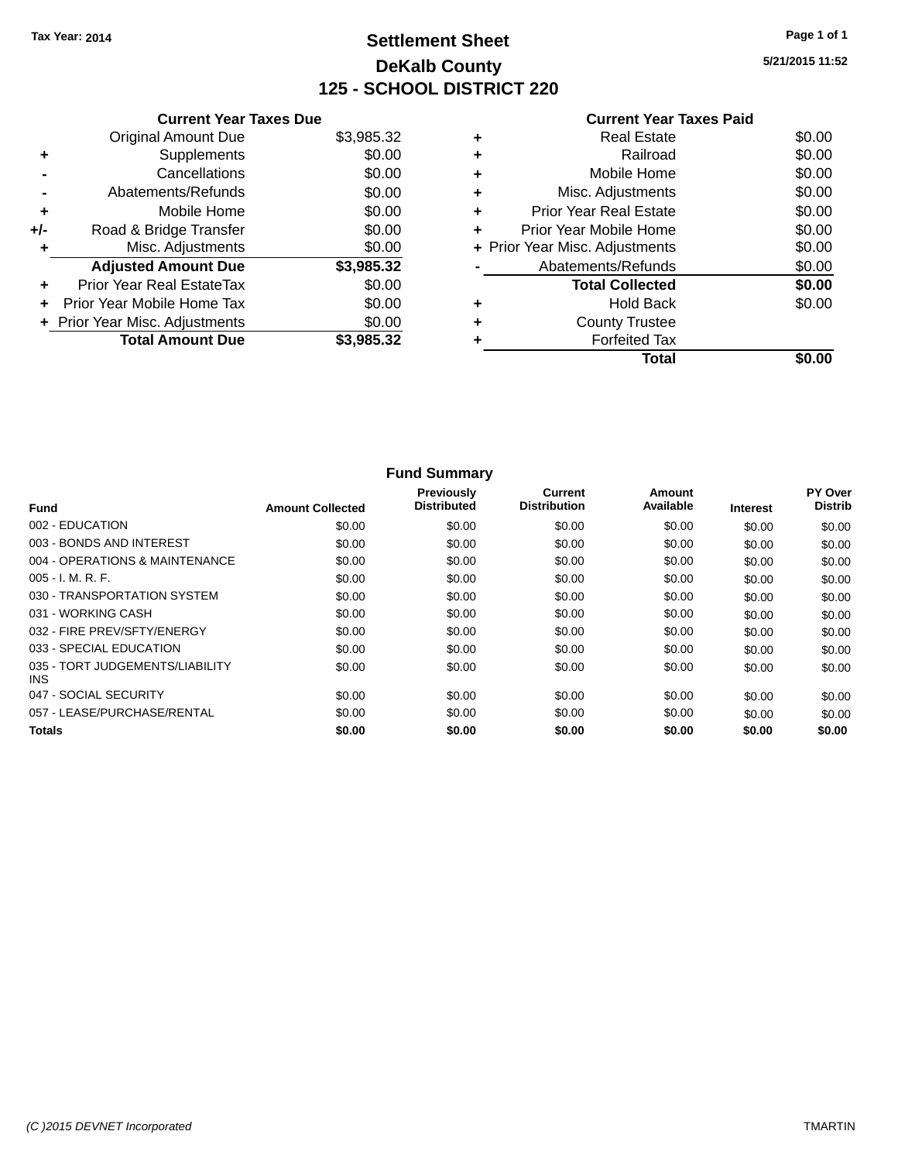**Current Year Taxes Due** Original Amount Due \$3,985.32

**Adjusted Amount Due \$3,985.32**

**Total Amount Due \$3,985.32**

**+** Supplements \$0.00 **-** Cancellations \$0.00 **-** Abatements/Refunds \$0.00 **+** Mobile Home \$0.00 **+/-** Road & Bridge Transfer \$0.00 **+** Misc. Adjustments \$0.00

**+** Prior Year Real EstateTax \$0.00 **+** Prior Year Mobile Home Tax \$0.00 **+ Prior Year Misc. Adjustments**  $$0.00$ 

# **Settlement Sheet Tax Year: 2014 Page 1 of 1 DeKalb County 125 - SCHOOL DISTRICT 220**

**5/21/2015 11:52**

|   | Total                          | \$0.00 |
|---|--------------------------------|--------|
|   | <b>Forfeited Tax</b>           |        |
| ٠ | <b>County Trustee</b>          |        |
| ٠ | <b>Hold Back</b>               | \$0.00 |
|   | <b>Total Collected</b>         | \$0.00 |
|   | Abatements/Refunds             | \$0.00 |
|   | + Prior Year Misc. Adjustments | \$0.00 |
| ÷ | Prior Year Mobile Home         | \$0.00 |
| ÷ | <b>Prior Year Real Estate</b>  | \$0.00 |
| ٠ | Misc. Adjustments              | \$0.00 |
| ٠ | Mobile Home                    | \$0.00 |
| ٠ | Railroad                       | \$0.00 |
| ٠ | <b>Real Estate</b>             | \$0.00 |
|   | <b>Current Year Taxes Paid</b> |        |

|                                         |                         | <b>Fund Summary</b>              |                                |                     |                 |                                  |
|-----------------------------------------|-------------------------|----------------------------------|--------------------------------|---------------------|-----------------|----------------------------------|
| <b>Fund</b>                             | <b>Amount Collected</b> | Previously<br><b>Distributed</b> | Current<br><b>Distribution</b> | Amount<br>Available | <b>Interest</b> | <b>PY Over</b><br><b>Distrib</b> |
| 002 - EDUCATION                         | \$0.00                  | \$0.00                           | \$0.00                         | \$0.00              | \$0.00          | \$0.00                           |
| 003 - BONDS AND INTEREST                | \$0.00                  | \$0.00                           | \$0.00                         | \$0.00              | \$0.00          | \$0.00                           |
| 004 - OPERATIONS & MAINTENANCE          | \$0.00                  | \$0.00                           | \$0.00                         | \$0.00              | \$0.00          | \$0.00                           |
| $005 - I. M. R. F.$                     | \$0.00                  | \$0.00                           | \$0.00                         | \$0.00              | \$0.00          | \$0.00                           |
| 030 - TRANSPORTATION SYSTEM             | \$0.00                  | \$0.00                           | \$0.00                         | \$0.00              | \$0.00          | \$0.00                           |
| 031 - WORKING CASH                      | \$0.00                  | \$0.00                           | \$0.00                         | \$0.00              | \$0.00          | \$0.00                           |
| 032 - FIRE PREV/SFTY/ENERGY             | \$0.00                  | \$0.00                           | \$0.00                         | \$0.00              | \$0.00          | \$0.00                           |
| 033 - SPECIAL EDUCATION                 | \$0.00                  | \$0.00                           | \$0.00                         | \$0.00              | \$0.00          | \$0.00                           |
| 035 - TORT JUDGEMENTS/LIABILITY<br>INS. | \$0.00                  | \$0.00                           | \$0.00                         | \$0.00              | \$0.00          | \$0.00                           |
| 047 - SOCIAL SECURITY                   | \$0.00                  | \$0.00                           | \$0.00                         | \$0.00              | \$0.00          | \$0.00                           |
| 057 - LEASE/PURCHASE/RENTAL             | \$0.00                  | \$0.00                           | \$0.00                         | \$0.00              | \$0.00          | \$0.00                           |
| <b>Totals</b>                           | \$0.00                  | \$0.00                           | \$0.00                         | \$0.00              | \$0.00          | \$0.00                           |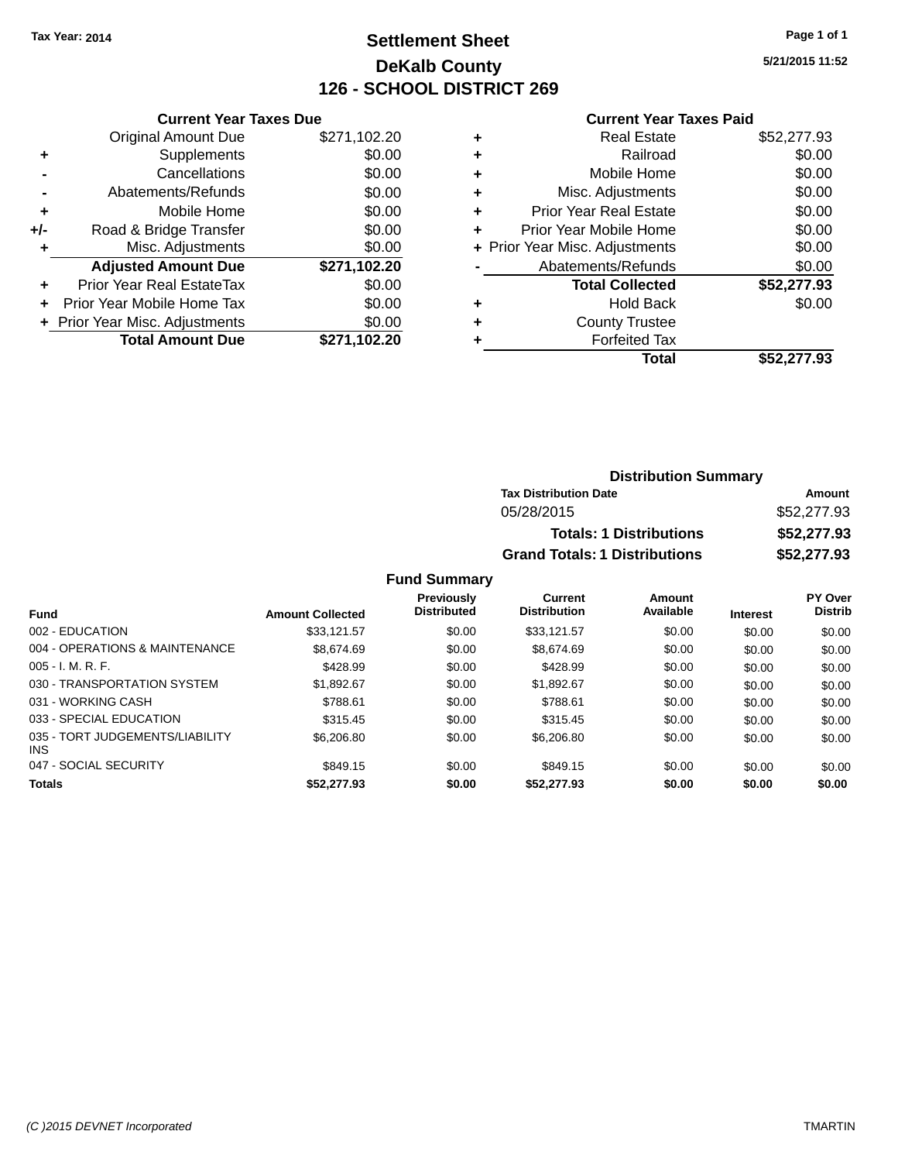# **Settlement Sheet Tax Year: 2014 Page 1 of 1 DeKalb County 126 - SCHOOL DISTRICT 269**

**5/21/2015 11:52**

#### **Current Year Taxes Paid**

|     | <b>Current Year Taxes Due</b>  |              |
|-----|--------------------------------|--------------|
|     | <b>Original Amount Due</b>     | \$271,102.20 |
| ٠   | Supplements                    | \$0.00       |
|     | Cancellations                  | \$0.00       |
|     | Abatements/Refunds             | \$0.00       |
| ٠   | Mobile Home                    | \$0.00       |
| +/- | Road & Bridge Transfer         | \$0.00       |
|     | Misc. Adjustments              | \$0.00       |
|     | <b>Adjusted Amount Due</b>     | \$271,102.20 |
| ٠   | Prior Year Real EstateTax      | \$0.00       |
|     | Prior Year Mobile Home Tax     | \$0.00       |
|     | + Prior Year Misc. Adjustments | \$0.00       |
|     | <b>Total Amount Due</b>        | \$271.102.20 |
|     |                                |              |

| ٠ | <b>Real Estate</b>             | \$52,277.93 |
|---|--------------------------------|-------------|
| ٠ | Railroad                       | \$0.00      |
| ٠ | Mobile Home                    | \$0.00      |
| ٠ | Misc. Adjustments              | \$0.00      |
| ٠ | <b>Prior Year Real Estate</b>  | \$0.00      |
| ٠ | Prior Year Mobile Home         | \$0.00      |
|   | + Prior Year Misc. Adjustments | \$0.00      |
|   | Abatements/Refunds             | \$0.00      |
|   | <b>Total Collected</b>         | \$52,277.93 |
| ٠ | Hold Back                      | \$0.00      |
| ٠ | <b>County Trustee</b>          |             |
| ٠ | <b>Forfeited Tax</b>           |             |
|   | Total                          | \$52,277.93 |
|   |                                |             |

| <b>Distribution Summary</b>          |             |  |  |  |
|--------------------------------------|-------------|--|--|--|
| <b>Tax Distribution Date</b>         | Amount      |  |  |  |
| 05/28/2015                           | \$52,277.93 |  |  |  |
| <b>Totals: 1 Distributions</b>       | \$52,277.93 |  |  |  |
| <b>Grand Totals: 1 Distributions</b> | \$52,277.93 |  |  |  |

| <b>Fund</b>                                   | <b>Amount Collected</b> | <b>Previously</b><br><b>Distributed</b> | <b>Current</b><br><b>Distribution</b> | Amount<br>Available | <b>Interest</b> | <b>PY Over</b><br><b>Distrib</b> |
|-----------------------------------------------|-------------------------|-----------------------------------------|---------------------------------------|---------------------|-----------------|----------------------------------|
| 002 - EDUCATION                               | \$33.121.57             | \$0.00                                  | \$33.121.57                           | \$0.00              | \$0.00          | \$0.00                           |
| 004 - OPERATIONS & MAINTENANCE                | \$8,674.69              | \$0.00                                  | \$8,674,69                            | \$0.00              | \$0.00          | \$0.00                           |
| $005 - I. M. R. F.$                           | \$428.99                | \$0.00                                  | \$428.99                              | \$0.00              | \$0.00          | \$0.00                           |
| 030 - TRANSPORTATION SYSTEM                   | \$1.892.67              | \$0.00                                  | \$1.892.67                            | \$0.00              | \$0.00          | \$0.00                           |
| 031 - WORKING CASH                            | \$788.61                | \$0.00                                  | \$788.61                              | \$0.00              | \$0.00          | \$0.00                           |
| 033 - SPECIAL EDUCATION                       | \$315.45                | \$0.00                                  | \$315.45                              | \$0.00              | \$0.00          | \$0.00                           |
| 035 - TORT JUDGEMENTS/LIABILITY<br><b>INS</b> | \$6,206.80              | \$0.00                                  | \$6,206.80                            | \$0.00              | \$0.00          | \$0.00                           |
| 047 - SOCIAL SECURITY                         | \$849.15                | \$0.00                                  | \$849.15                              | \$0.00              | \$0.00          | \$0.00                           |
| <b>Totals</b>                                 | \$52,277.93             | \$0.00                                  | \$52,277.93                           | \$0.00              | \$0.00          | \$0.00                           |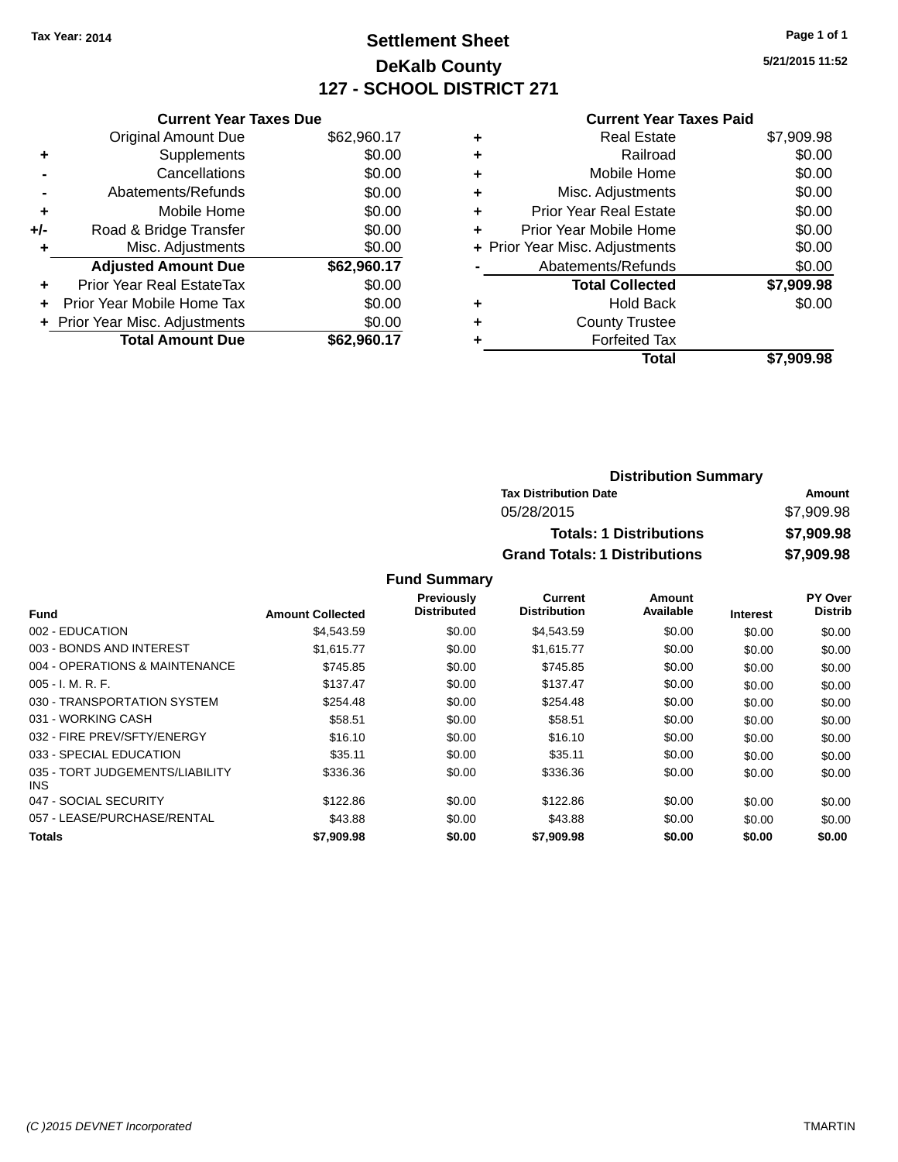# **Settlement Sheet Tax Year: 2014 Page 1 of 1 DeKalb County 127 - SCHOOL DISTRICT 271**

**5/21/2015 11:52**

#### **Current Year Taxes Paid**

| <b>Current Year Taxes Due</b> |                              |
|-------------------------------|------------------------------|
| <b>Original Amount Due</b>    | \$62,960.17                  |
| Supplements                   | \$0.00                       |
| Cancellations                 | \$0.00                       |
| Abatements/Refunds            | \$0.00                       |
| Mobile Home                   | \$0.00                       |
| Road & Bridge Transfer        | \$0.00                       |
| Misc. Adjustments             | \$0.00                       |
| <b>Adjusted Amount Due</b>    | \$62,960.17                  |
| Prior Year Real EstateTax     | \$0.00                       |
| Prior Year Mobile Home Tax    | \$0.00                       |
|                               | \$0.00                       |
| <b>Total Amount Due</b>       | \$62.960.17                  |
|                               | Prior Year Misc. Adjustments |

| ٠ | <b>Real Estate</b>             | \$7,909.98 |
|---|--------------------------------|------------|
| ٠ | Railroad                       | \$0.00     |
| ٠ | Mobile Home                    | \$0.00     |
| ٠ | Misc. Adjustments              | \$0.00     |
| ٠ | <b>Prior Year Real Estate</b>  | \$0.00     |
| ٠ | Prior Year Mobile Home         | \$0.00     |
|   | + Prior Year Misc. Adjustments | \$0.00     |
|   | Abatements/Refunds             | \$0.00     |
|   | <b>Total Collected</b>         | \$7,909.98 |
| ٠ | <b>Hold Back</b>               | \$0.00     |
| ٠ | <b>County Trustee</b>          |            |
| ٠ | <b>Forfeited Tax</b>           |            |
|   | Total                          | \$7,909.98 |
|   |                                |            |

| <b>Distribution Summary</b>          |            |
|--------------------------------------|------------|
| <b>Tax Distribution Date</b>         | Amount     |
| 05/28/2015                           | \$7,909.98 |
| <b>Totals: 1 Distributions</b>       | \$7,909.98 |
| <b>Grand Totals: 1 Distributions</b> | \$7,909.98 |

|                                         |                         | Previously         | Current             | Amount    |                 | PY Over        |
|-----------------------------------------|-------------------------|--------------------|---------------------|-----------|-----------------|----------------|
| <b>Fund</b>                             | <b>Amount Collected</b> | <b>Distributed</b> | <b>Distribution</b> | Available | <b>Interest</b> | <b>Distrib</b> |
| 002 - EDUCATION                         | \$4,543.59              | \$0.00             | \$4,543.59          | \$0.00    | \$0.00          | \$0.00         |
| 003 - BONDS AND INTEREST                | \$1.615.77              | \$0.00             | \$1,615.77          | \$0.00    | \$0.00          | \$0.00         |
| 004 - OPERATIONS & MAINTENANCE          | \$745.85                | \$0.00             | \$745.85            | \$0.00    | \$0.00          | \$0.00         |
| $005 - I. M. R. F.$                     | \$137.47                | \$0.00             | \$137.47            | \$0.00    | \$0.00          | \$0.00         |
| 030 - TRANSPORTATION SYSTEM             | \$254.48                | \$0.00             | \$254.48            | \$0.00    | \$0.00          | \$0.00         |
| 031 - WORKING CASH                      | \$58.51                 | \$0.00             | \$58.51             | \$0.00    | \$0.00          | \$0.00         |
| 032 - FIRE PREV/SFTY/ENERGY             | \$16.10                 | \$0.00             | \$16.10             | \$0.00    | \$0.00          | \$0.00         |
| 033 - SPECIAL EDUCATION                 | \$35.11                 | \$0.00             | \$35.11             | \$0.00    | \$0.00          | \$0.00         |
| 035 - TORT JUDGEMENTS/LIABILITY<br>INS. | \$336.36                | \$0.00             | \$336.36            | \$0.00    | \$0.00          | \$0.00         |
| 047 - SOCIAL SECURITY                   | \$122.86                | \$0.00             | \$122.86            | \$0.00    | \$0.00          | \$0.00         |
| 057 - LEASE/PURCHASE/RENTAL             | \$43.88                 | \$0.00             | \$43.88             | \$0.00    | \$0.00          | \$0.00         |
| Totals                                  | \$7,909.98              | \$0.00             | \$7,909.98          | \$0.00    | \$0.00          | \$0.00         |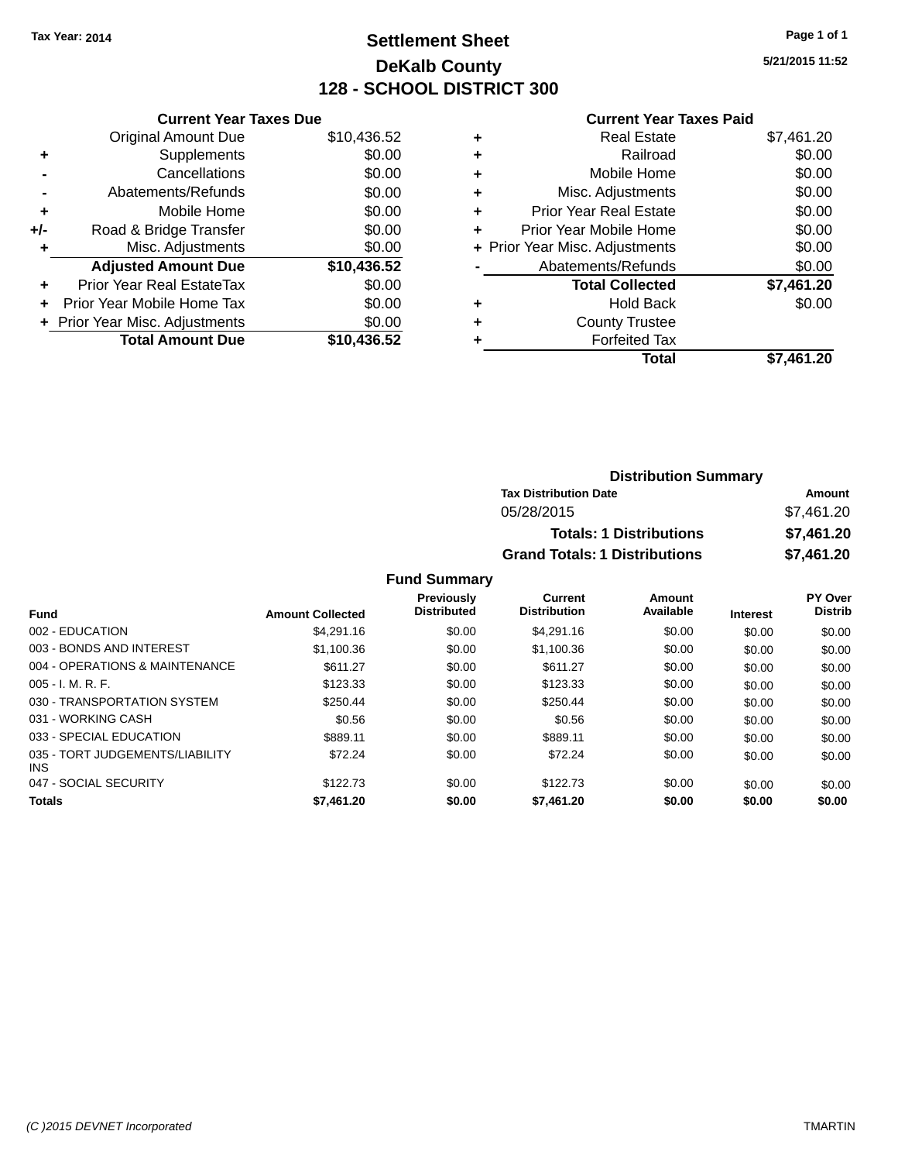# **Settlement Sheet Tax Year: 2014 Page 1 of 1 DeKalb County 128 - SCHOOL DISTRICT 300**

**5/21/2015 11:52**

#### **Current Year Taxes Paid**

|     | <b>Current Year Taxes Due</b>  |             |
|-----|--------------------------------|-------------|
|     | <b>Original Amount Due</b>     | \$10,436.52 |
| ٠   | Supplements                    | \$0.00      |
|     | Cancellations                  | \$0.00      |
|     | Abatements/Refunds             | \$0.00      |
| ٠   | Mobile Home                    | \$0.00      |
| +/- | Road & Bridge Transfer         | \$0.00      |
| ÷   | Misc. Adjustments              | \$0.00      |
|     | <b>Adjusted Amount Due</b>     | \$10,436.52 |
| ٠   | Prior Year Real EstateTax      | \$0.00      |
|     | Prior Year Mobile Home Tax     | \$0.00      |
|     | + Prior Year Misc. Adjustments | \$0.00      |
|     | <b>Total Amount Due</b>        | \$10,436.52 |
|     |                                |             |

| ٠ | <b>Real Estate</b>             | \$7,461.20 |
|---|--------------------------------|------------|
| ٠ | Railroad                       | \$0.00     |
| ٠ | Mobile Home                    | \$0.00     |
| ٠ | Misc. Adjustments              | \$0.00     |
| ٠ | <b>Prior Year Real Estate</b>  | \$0.00     |
| ٠ | Prior Year Mobile Home         | \$0.00     |
|   | + Prior Year Misc. Adjustments | \$0.00     |
|   | Abatements/Refunds             | \$0.00     |
|   | <b>Total Collected</b>         | \$7,461.20 |
| ٠ | <b>Hold Back</b>               | \$0.00     |
| ٠ | <b>County Trustee</b>          |            |
|   | <b>Forfeited Tax</b>           |            |
|   | Total                          | \$7.461.20 |
|   |                                |            |

| <b>Distribution Summary</b>          |            |
|--------------------------------------|------------|
| <b>Tax Distribution Date</b>         | Amount     |
| 05/28/2015                           | \$7.461.20 |
| <b>Totals: 1 Distributions</b>       | \$7,461.20 |
| <b>Grand Totals: 1 Distributions</b> | \$7,461.20 |

| <b>Fund</b>                             | <b>Amount Collected</b> | <b>Previously</b><br><b>Distributed</b> | Current<br><b>Distribution</b> | Amount<br>Available | <b>Interest</b> | PY Over<br><b>Distrib</b> |
|-----------------------------------------|-------------------------|-----------------------------------------|--------------------------------|---------------------|-----------------|---------------------------|
| 002 - EDUCATION                         | \$4,291.16              | \$0.00                                  | \$4,291.16                     | \$0.00              | \$0.00          | \$0.00                    |
| 003 - BONDS AND INTEREST                | \$1.100.36              | \$0.00                                  | \$1,100.36                     | \$0.00              | \$0.00          | \$0.00                    |
| 004 - OPERATIONS & MAINTENANCE          | \$611.27                | \$0.00                                  | \$611.27                       | \$0.00              | \$0.00          | \$0.00                    |
| $005 - I. M. R. F.$                     | \$123.33                | \$0.00                                  | \$123.33                       | \$0.00              | \$0.00          | \$0.00                    |
| 030 - TRANSPORTATION SYSTEM             | \$250.44                | \$0.00                                  | \$250.44                       | \$0.00              | \$0.00          | \$0.00                    |
| 031 - WORKING CASH                      | \$0.56                  | \$0.00                                  | \$0.56                         | \$0.00              | \$0.00          | \$0.00                    |
| 033 - SPECIAL EDUCATION                 | \$889.11                | \$0.00                                  | \$889.11                       | \$0.00              | \$0.00          | \$0.00                    |
| 035 - TORT JUDGEMENTS/LIABILITY<br>INS. | \$72.24                 | \$0.00                                  | \$72.24                        | \$0.00              | \$0.00          | \$0.00                    |
| 047 - SOCIAL SECURITY                   | \$122.73                | \$0.00                                  | \$122.73                       | \$0.00              | \$0.00          | \$0.00                    |
| <b>Totals</b>                           | \$7,461.20              | \$0.00                                  | \$7,461.20                     | \$0.00              | \$0.00          | \$0.00                    |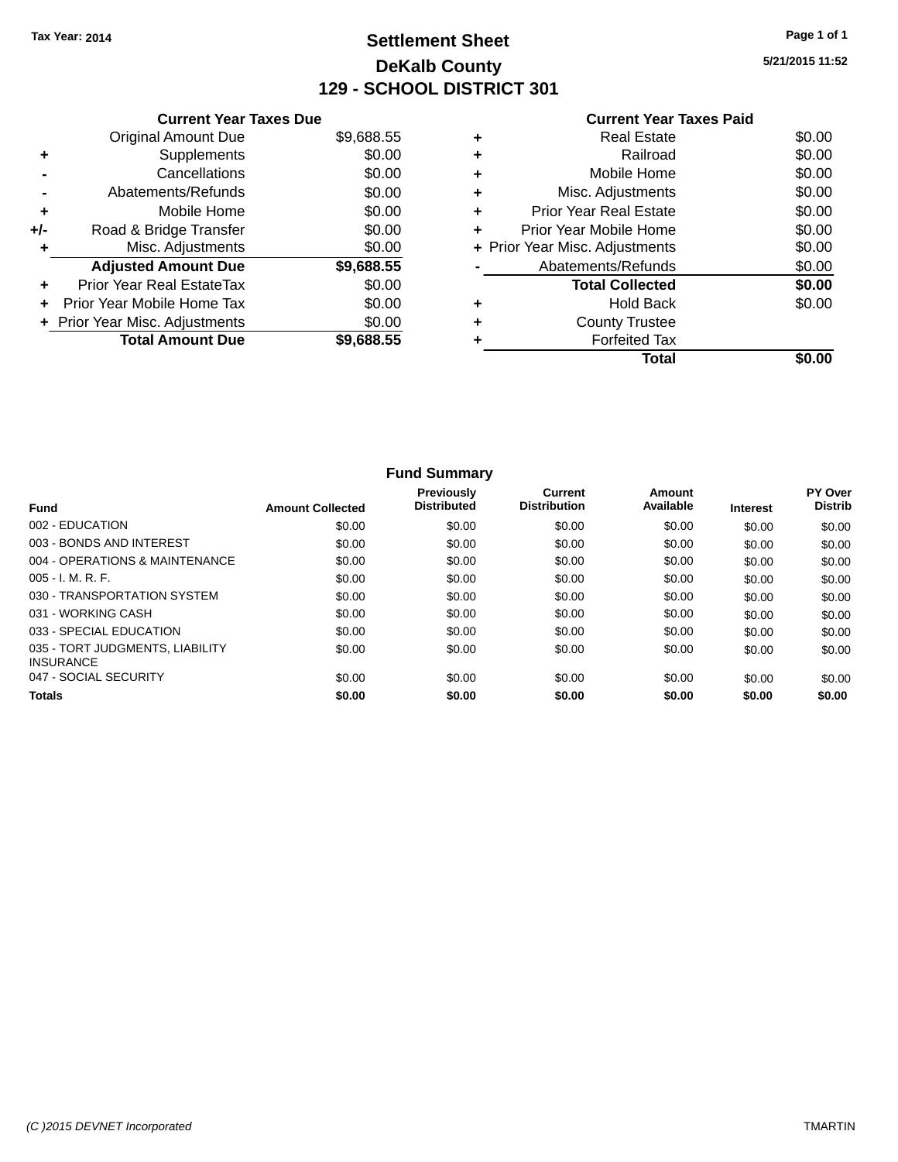# **Settlement Sheet Tax Year: 2014 Page 1 of 1 DeKalb County 129 - SCHOOL DISTRICT 301**

**5/21/2015 11:52**

|     | <b>Current Year Taxes Due</b>  |            |  |  |  |  |  |  |
|-----|--------------------------------|------------|--|--|--|--|--|--|
|     | <b>Original Amount Due</b>     | \$9,688.55 |  |  |  |  |  |  |
| ٠   | Supplements                    | \$0.00     |  |  |  |  |  |  |
|     | Cancellations                  | \$0.00     |  |  |  |  |  |  |
|     | Abatements/Refunds             | \$0.00     |  |  |  |  |  |  |
| ٠   | Mobile Home                    | \$0.00     |  |  |  |  |  |  |
| +/- | Road & Bridge Transfer         | \$0.00     |  |  |  |  |  |  |
| ٠   | Misc. Adjustments              | \$0.00     |  |  |  |  |  |  |
|     | <b>Adjusted Amount Due</b>     | \$9,688.55 |  |  |  |  |  |  |
| ٠   | Prior Year Real EstateTax      | \$0.00     |  |  |  |  |  |  |
|     | Prior Year Mobile Home Tax     | \$0.00     |  |  |  |  |  |  |
|     | + Prior Year Misc. Adjustments | \$0.00     |  |  |  |  |  |  |
|     | <b>Total Amount Due</b>        | \$9,688.55 |  |  |  |  |  |  |
|     |                                |            |  |  |  |  |  |  |

| Real Estate                    | \$0.00 |
|--------------------------------|--------|
| Railroad                       | \$0.00 |
| Mobile Home                    | \$0.00 |
| Misc. Adjustments              | \$0.00 |
| <b>Prior Year Real Estate</b>  | \$0.00 |
| Prior Year Mobile Home         | \$0.00 |
| + Prior Year Misc. Adjustments | \$0.00 |
| Abatements/Refunds             | \$0.00 |
| <b>Total Collected</b>         | \$0.00 |
| Hold Back                      | \$0.00 |
| <b>County Trustee</b>          |        |
| <b>Forfeited Tax</b>           |        |
| Total                          |        |
|                                |        |

| <b>Fund Summary</b>                                 |                         |                                         |                                |                     |                 |                           |
|-----------------------------------------------------|-------------------------|-----------------------------------------|--------------------------------|---------------------|-----------------|---------------------------|
| <b>Fund</b>                                         | <b>Amount Collected</b> | <b>Previously</b><br><b>Distributed</b> | Current<br><b>Distribution</b> | Amount<br>Available | <b>Interest</b> | PY Over<br><b>Distrib</b> |
| 002 - EDUCATION                                     | \$0.00                  | \$0.00                                  | \$0.00                         | \$0.00              | \$0.00          | \$0.00                    |
| 003 - BONDS AND INTEREST                            | \$0.00                  | \$0.00                                  | \$0.00                         | \$0.00              | \$0.00          | \$0.00                    |
| 004 - OPERATIONS & MAINTENANCE                      | \$0.00                  | \$0.00                                  | \$0.00                         | \$0.00              | \$0.00          | \$0.00                    |
| $005 - I. M. R. F.$                                 | \$0.00                  | \$0.00                                  | \$0.00                         | \$0.00              | \$0.00          | \$0.00                    |
| 030 - TRANSPORTATION SYSTEM                         | \$0.00                  | \$0.00                                  | \$0.00                         | \$0.00              | \$0.00          | \$0.00                    |
| 031 - WORKING CASH                                  | \$0.00                  | \$0.00                                  | \$0.00                         | \$0.00              | \$0.00          | \$0.00                    |
| 033 - SPECIAL EDUCATION                             | \$0.00                  | \$0.00                                  | \$0.00                         | \$0.00              | \$0.00          | \$0.00                    |
| 035 - TORT JUDGMENTS, LIABILITY<br><b>INSURANCE</b> | \$0.00                  | \$0.00                                  | \$0.00                         | \$0.00              | \$0.00          | \$0.00                    |
| 047 - SOCIAL SECURITY                               | \$0.00                  | \$0.00                                  | \$0.00                         | \$0.00              | \$0.00          | \$0.00                    |
| <b>Totals</b>                                       | \$0.00                  | \$0.00                                  | \$0.00                         | \$0.00              | \$0.00          | \$0.00                    |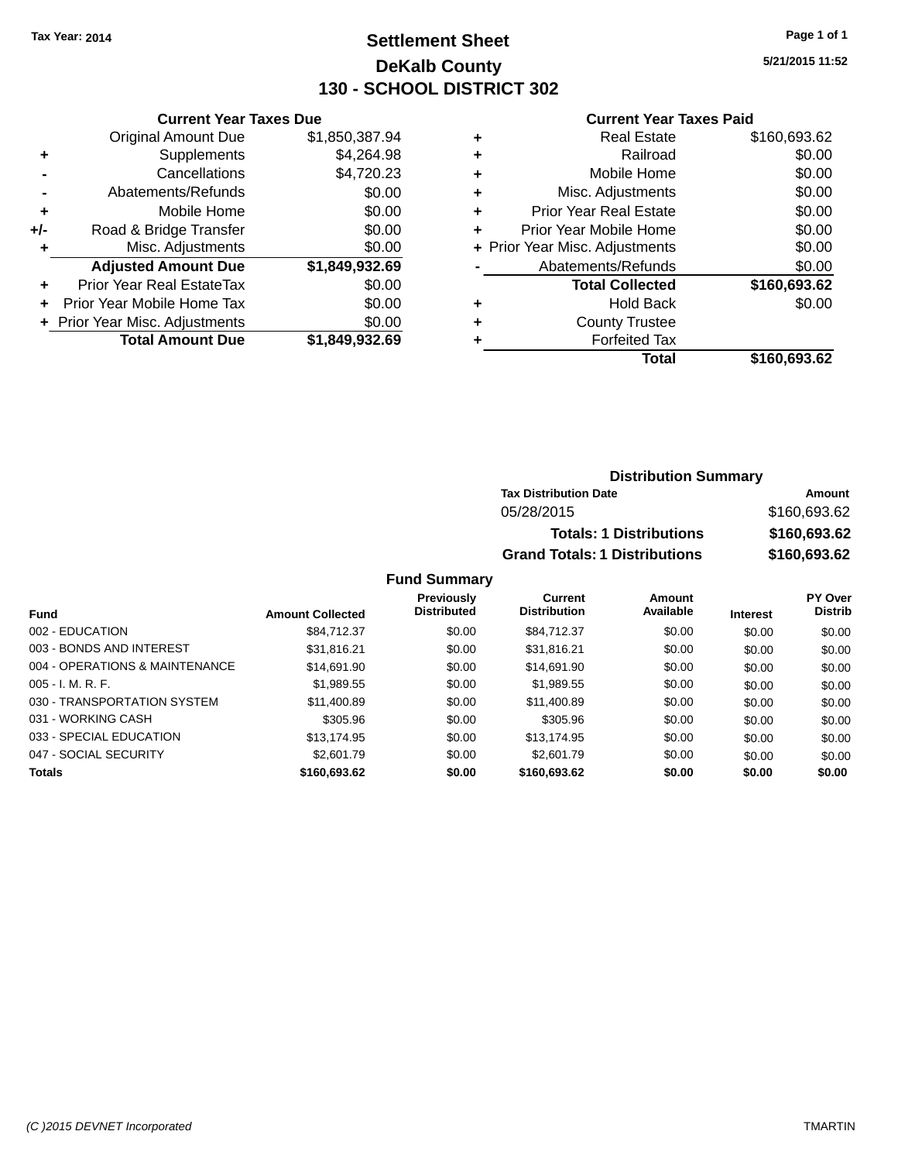# **Settlement Sheet Tax Year: 2014 Page 1 of 1 DeKalb County 130 - SCHOOL DISTRICT 302**

**5/21/2015 11:52**

#### **Current Year Taxes Paid**

|     | <b>Current Year Taxes Due</b>  |                |
|-----|--------------------------------|----------------|
|     | <b>Original Amount Due</b>     | \$1,850,387.94 |
| ٠   | Supplements                    | \$4,264.98     |
|     | Cancellations                  | \$4,720.23     |
|     | Abatements/Refunds             | \$0.00         |
| ٠   | Mobile Home                    | \$0.00         |
| +/- | Road & Bridge Transfer         | \$0.00         |
| ٠   | Misc. Adjustments              | \$0.00         |
|     | <b>Adjusted Amount Due</b>     | \$1,849,932.69 |
| ٠   | Prior Year Real EstateTax      | \$0.00         |
|     | Prior Year Mobile Home Tax     | \$0.00         |
|     | + Prior Year Misc. Adjustments | \$0.00         |
|     | <b>Total Amount Due</b>        | \$1,849,932.69 |
|     |                                |                |

|   | <b>Real Estate</b>             | \$160,693.62 |
|---|--------------------------------|--------------|
| ٠ | Railroad                       | \$0.00       |
| ٠ | Mobile Home                    | \$0.00       |
| ٠ | Misc. Adjustments              | \$0.00       |
| ٠ | <b>Prior Year Real Estate</b>  | \$0.00       |
| ٠ | Prior Year Mobile Home         | \$0.00       |
|   | + Prior Year Misc. Adjustments | \$0.00       |
|   | Abatements/Refunds             | \$0.00       |
|   | <b>Total Collected</b>         | \$160,693.62 |
| ٠ | <b>Hold Back</b>               | \$0.00       |
|   | <b>County Trustee</b>          |              |
| ٠ | <b>Forfeited Tax</b>           |              |
|   | Total                          | \$160,693.62 |
|   |                                |              |

### **Distribution Summary Tax Distribution Date Amount** 05/28/2015 \$160,693.62 **Totals: 1 Distributions \$160,693.62 Grand Totals: 1 Distributions \$160,693.62**

|                                |                         | <b>Previously</b><br><b>Distributed</b> | Current<br><b>Distribution</b> | Amount<br>Available |                 | <b>PY Over</b><br><b>Distrib</b> |
|--------------------------------|-------------------------|-----------------------------------------|--------------------------------|---------------------|-----------------|----------------------------------|
| <b>Fund</b>                    | <b>Amount Collected</b> |                                         |                                |                     | <b>Interest</b> |                                  |
| 002 - EDUCATION                | \$84,712,37             | \$0.00                                  | \$84,712.37                    | \$0.00              | \$0.00          | \$0.00                           |
| 003 - BONDS AND INTEREST       | \$31,816.21             | \$0.00                                  | \$31,816.21                    | \$0.00              | \$0.00          | \$0.00                           |
| 004 - OPERATIONS & MAINTENANCE | \$14,691.90             | \$0.00                                  | \$14,691.90                    | \$0.00              | \$0.00          | \$0.00                           |
| $005 - I. M. R. F.$            | \$1,989.55              | \$0.00                                  | \$1,989.55                     | \$0.00              | \$0.00          | \$0.00                           |
| 030 - TRANSPORTATION SYSTEM    | \$11,400.89             | \$0.00                                  | \$11,400.89                    | \$0.00              | \$0.00          | \$0.00                           |
| 031 - WORKING CASH             | \$305.96                | \$0.00                                  | \$305.96                       | \$0.00              | \$0.00          | \$0.00                           |
| 033 - SPECIAL EDUCATION        | \$13.174.95             | \$0.00                                  | \$13,174.95                    | \$0.00              | \$0.00          | \$0.00                           |
| 047 - SOCIAL SECURITY          | \$2,601.79              | \$0.00                                  | \$2,601.79                     | \$0.00              | \$0.00          | \$0.00                           |
| <b>Totals</b>                  | \$160,693.62            | \$0.00                                  | \$160,693.62                   | \$0.00              | \$0.00          | \$0.00                           |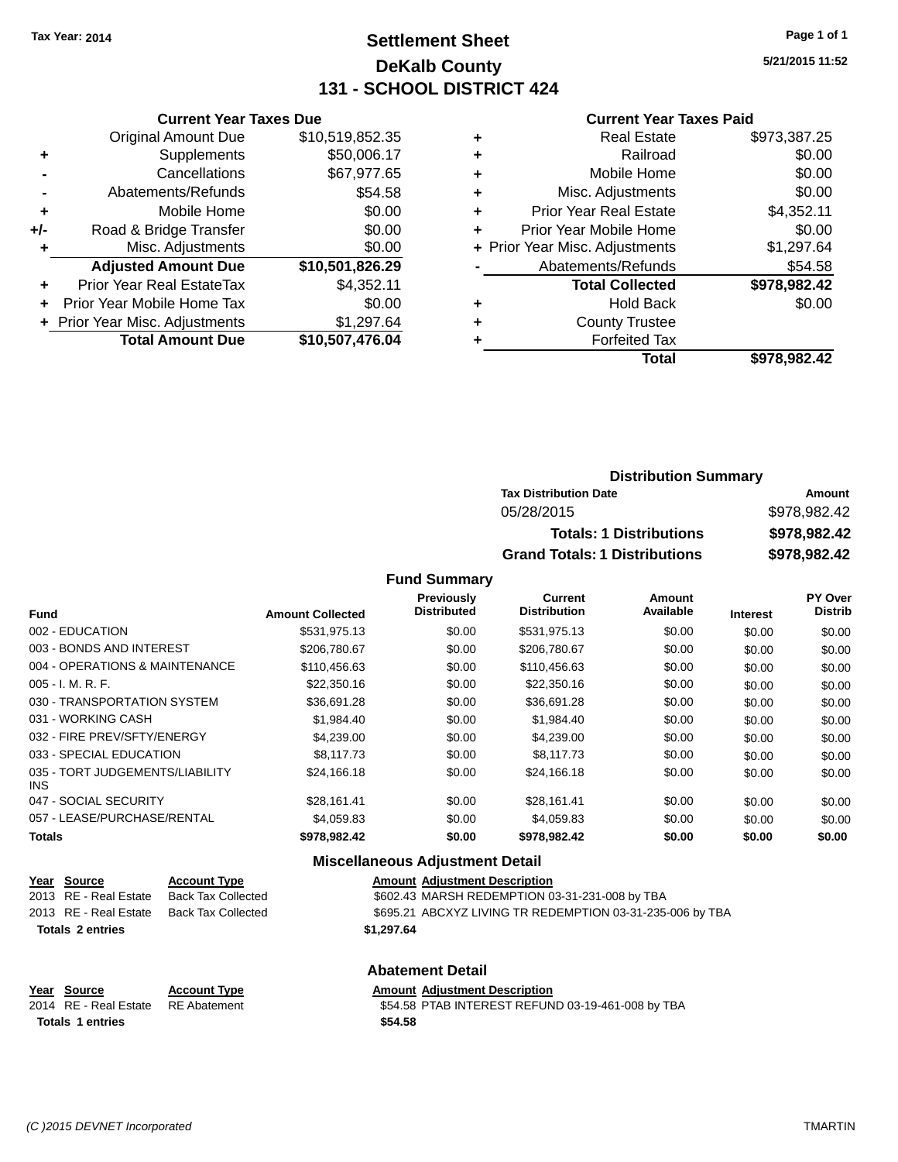# **Settlement Sheet Tax Year: 2014 Page 1 of 1 DeKalb County 131 - SCHOOL DISTRICT 424**

**5/21/2015 11:52**

#### **Current Year Taxes Paid**

|       | <b>Current Year Taxes Due</b>  |                 |  |  |  |  |  |
|-------|--------------------------------|-----------------|--|--|--|--|--|
|       | <b>Original Amount Due</b>     | \$10,519,852.35 |  |  |  |  |  |
| ٠     | Supplements                    | \$50,006.17     |  |  |  |  |  |
|       | Cancellations                  | \$67,977.65     |  |  |  |  |  |
|       | Abatements/Refunds             | \$54.58         |  |  |  |  |  |
| ٠     | Mobile Home                    | \$0.00          |  |  |  |  |  |
| $+/-$ | Road & Bridge Transfer         | \$0.00          |  |  |  |  |  |
| ٠     | Misc. Adjustments              | \$0.00          |  |  |  |  |  |
|       | <b>Adjusted Amount Due</b>     | \$10,501,826.29 |  |  |  |  |  |
| ٠     | Prior Year Real EstateTax      | \$4,352.11      |  |  |  |  |  |
|       | Prior Year Mobile Home Tax     | \$0.00          |  |  |  |  |  |
|       | + Prior Year Misc. Adjustments | \$1,297.64      |  |  |  |  |  |
|       | <b>Total Amount Due</b>        | \$10,507,476.04 |  |  |  |  |  |
|       |                                |                 |  |  |  |  |  |

|   | <b>Real Estate</b>             | \$973,387.25 |
|---|--------------------------------|--------------|
| ٠ | Railroad                       | \$0.00       |
| ٠ | Mobile Home                    | \$0.00       |
| ٠ | Misc. Adjustments              | \$0.00       |
| ٠ | <b>Prior Year Real Estate</b>  | \$4,352.11   |
| ٠ | Prior Year Mobile Home         | \$0.00       |
|   | + Prior Year Misc. Adjustments | \$1,297.64   |
|   | Abatements/Refunds             | \$54.58      |
|   | <b>Total Collected</b>         | \$978,982.42 |
| ٠ | <b>Hold Back</b>               | \$0.00       |
| ٠ | <b>County Trustee</b>          |              |
| ٠ | <b>Forfeited Tax</b>           |              |
|   | Total                          | \$978,982.42 |
|   |                                |              |

|                              | <b>Distribution Summary</b>          |              |
|------------------------------|--------------------------------------|--------------|
| <b>Tax Distribution Date</b> |                                      | Amount       |
| 05/28/2015                   |                                      | \$978,982.42 |
|                              | <b>Totals: 1 Distributions</b>       | \$978,982.42 |
|                              | <b>Grand Totals: 1 Distributions</b> | \$978,982.42 |

**Fund Summary**

| <b>Fund</b>                             | <b>Amount Collected</b> | <b>Previously</b><br><b>Distributed</b> | <b>Current</b><br><b>Distribution</b> | <b>Amount</b><br>Available | <b>Interest</b> | PY Over<br><b>Distrib</b> |
|-----------------------------------------|-------------------------|-----------------------------------------|---------------------------------------|----------------------------|-----------------|---------------------------|
| 002 - EDUCATION                         | \$531.975.13            | \$0.00                                  | \$531,975.13                          | \$0.00                     | \$0.00          | \$0.00                    |
| 003 - BONDS AND INTEREST                | \$206,780.67            | \$0.00                                  | \$206,780.67                          | \$0.00                     | \$0.00          | \$0.00                    |
| 004 - OPERATIONS & MAINTENANCE          | \$110,456.63            | \$0.00                                  | \$110,456.63                          | \$0.00                     | \$0.00          | \$0.00                    |
| $005 - I. M. R. F.$                     | \$22,350.16             | \$0.00                                  | \$22,350.16                           | \$0.00                     | \$0.00          | \$0.00                    |
| 030 - TRANSPORTATION SYSTEM             | \$36.691.28             | \$0.00                                  | \$36,691.28                           | \$0.00                     | \$0.00          | \$0.00                    |
| 031 - WORKING CASH                      | \$1,984.40              | \$0.00                                  | \$1,984.40                            | \$0.00                     | \$0.00          | \$0.00                    |
| 032 - FIRE PREV/SFTY/ENERGY             | \$4,239,00              | \$0.00                                  | \$4,239,00                            | \$0.00                     | \$0.00          | \$0.00                    |
| 033 - SPECIAL EDUCATION                 | \$8.117.73              | \$0.00                                  | \$8,117.73                            | \$0.00                     | \$0.00          | \$0.00                    |
| 035 - TORT JUDGEMENTS/LIABILITY<br>INS. | \$24.166.18             | \$0.00                                  | \$24,166.18                           | \$0.00                     | \$0.00          | \$0.00                    |
| 047 - SOCIAL SECURITY                   | \$28,161.41             | \$0.00                                  | \$28,161.41                           | \$0.00                     | \$0.00          | \$0.00                    |
| 057 - LEASE/PURCHASE/RENTAL             | \$4.059.83              | \$0.00                                  | \$4.059.83                            | \$0.00                     | \$0.00          | \$0.00                    |
| <b>Totals</b>                           | \$978,982.42            | \$0.00                                  | \$978,982.42                          | \$0.00                     | \$0.00          | \$0.00                    |

#### **Miscellaneous Adjustment Detail**

**Abatement Detail**

| Year Source             | <b>Account Type</b>       | <b>Amount Adjustment Description</b>                      |
|-------------------------|---------------------------|-----------------------------------------------------------|
| 2013 RE - Real Estate   | <b>Back Tax Collected</b> | \$602.43 MARSH REDEMPTION 03-31-231-008 by TBA            |
| 2013 RE - Real Estate   | Back Tax Collected        | \$695.21 ABCXYZ LIVING TR REDEMPTION 03-31-235-006 by TBA |
| <b>Totals 2 entries</b> |                           | \$1.297.64                                                |
|                         |                           |                                                           |

# **Year Source Account Type Amount Adjustment Description**<br>2014 RE - Real Estate RE Abatement **Amount S54.58 PTAB INTEREST REFUN Totals \$54.58 1 entries**

\$54.58 PTAB INTEREST REFUND 03-19-461-008 by TBA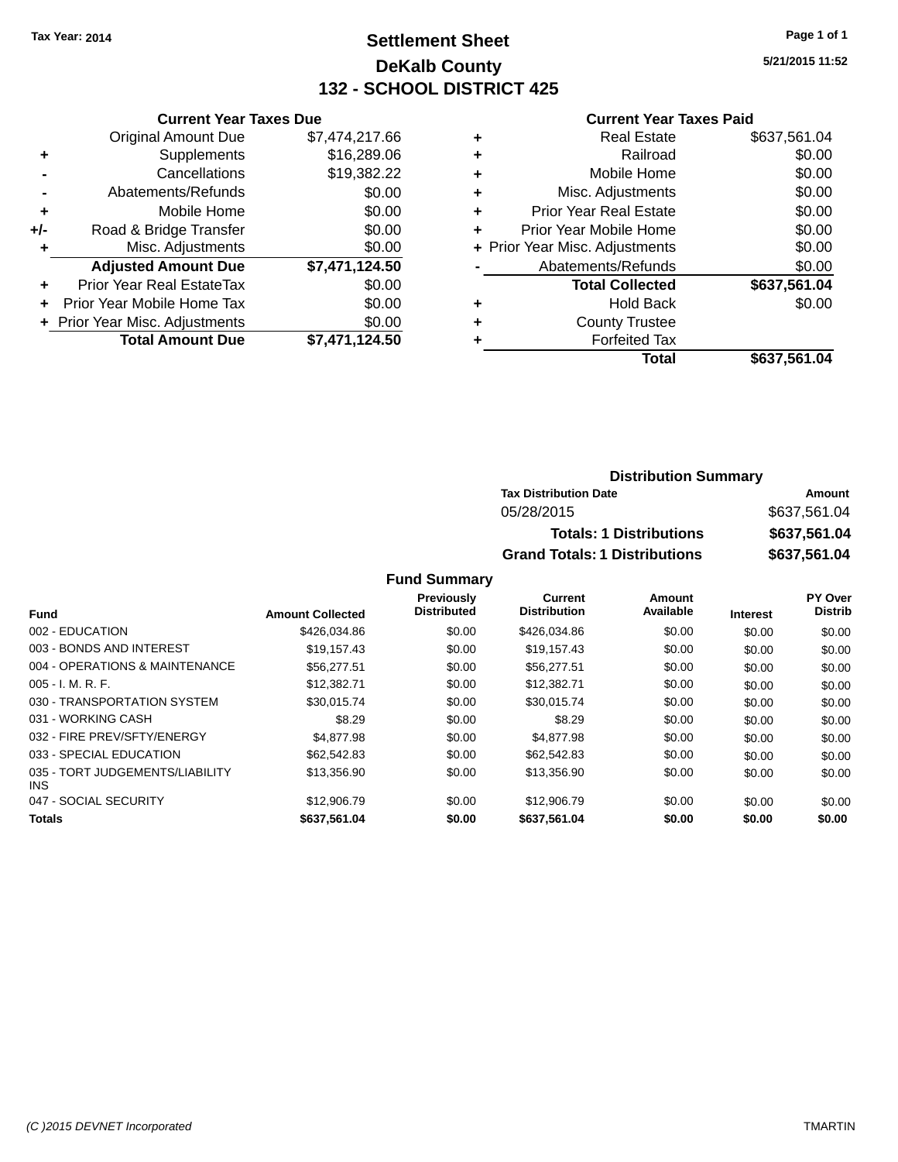# **Settlement Sheet Tax Year: 2014 Page 1 of 1 DeKalb County 132 - SCHOOL DISTRICT 425**

**5/21/2015 11:52**

#### **Current Year Taxes Paid**

| <b>Current Year Taxes Due</b>  |                |
|--------------------------------|----------------|
| <b>Original Amount Due</b>     | \$7,474,217.66 |
| Supplements                    | \$16,289.06    |
| Cancellations                  | \$19,382.22    |
| Abatements/Refunds             | \$0.00         |
| Mobile Home                    | \$0.00         |
| Road & Bridge Transfer         | \$0.00         |
| Misc. Adjustments              | \$0.00         |
| <b>Adjusted Amount Due</b>     | \$7,471,124.50 |
| Prior Year Real EstateTax      | \$0.00         |
| Prior Year Mobile Home Tax     | \$0.00         |
| + Prior Year Misc. Adjustments | \$0.00         |
| <b>Total Amount Due</b>        | \$7,471,124.50 |
|                                |                |

|   | <b>Real Estate</b>             | \$637,561.04 |
|---|--------------------------------|--------------|
| ٠ | Railroad                       | \$0.00       |
| ٠ | Mobile Home                    | \$0.00       |
| ٠ | Misc. Adjustments              | \$0.00       |
| ٠ | <b>Prior Year Real Estate</b>  | \$0.00       |
| ٠ | Prior Year Mobile Home         | \$0.00       |
|   | + Prior Year Misc. Adjustments | \$0.00       |
|   | Abatements/Refunds             | \$0.00       |
|   | <b>Total Collected</b>         | \$637,561.04 |
| ٠ | <b>Hold Back</b>               | \$0.00       |
| ٠ | <b>County Trustee</b>          |              |
| ٠ | <b>Forfeited Tax</b>           |              |
|   | Total                          | \$637,561.04 |
|   |                                |              |

| <b>Distribution Summary</b>          |              |
|--------------------------------------|--------------|
| <b>Tax Distribution Date</b>         | Amount       |
| 05/28/2015                           | \$637.561.04 |
| <b>Totals: 1 Distributions</b>       | \$637,561.04 |
| <b>Grand Totals: 1 Distributions</b> | \$637,561.04 |

|                                         |                         | Previously         | Current             | Amount    |                 | PY Over        |
|-----------------------------------------|-------------------------|--------------------|---------------------|-----------|-----------------|----------------|
| <b>Fund</b>                             | <b>Amount Collected</b> | <b>Distributed</b> | <b>Distribution</b> | Available | <b>Interest</b> | <b>Distrib</b> |
| 002 - EDUCATION                         | \$426,034,86            | \$0.00             | \$426,034.86        | \$0.00    | \$0.00          | \$0.00         |
| 003 - BONDS AND INTEREST                | \$19.157.43             | \$0.00             | \$19.157.43         | \$0.00    | \$0.00          | \$0.00         |
| 004 - OPERATIONS & MAINTENANCE          | \$56,277.51             | \$0.00             | \$56,277.51         | \$0.00    | \$0.00          | \$0.00         |
| $005 - I. M. R. F.$                     | \$12,382.71             | \$0.00             | \$12,382.71         | \$0.00    | \$0.00          | \$0.00         |
| 030 - TRANSPORTATION SYSTEM             | \$30,015.74             | \$0.00             | \$30,015.74         | \$0.00    | \$0.00          | \$0.00         |
| 031 - WORKING CASH                      | \$8.29                  | \$0.00             | \$8.29              | \$0.00    | \$0.00          | \$0.00         |
| 032 - FIRE PREV/SFTY/ENERGY             | \$4,877.98              | \$0.00             | \$4,877.98          | \$0.00    | \$0.00          | \$0.00         |
| 033 - SPECIAL EDUCATION                 | \$62,542.83             | \$0.00             | \$62,542.83         | \$0.00    | \$0.00          | \$0.00         |
| 035 - TORT JUDGEMENTS/LIABILITY<br>INS. | \$13.356.90             | \$0.00             | \$13,356.90         | \$0.00    | \$0.00          | \$0.00         |
| 047 - SOCIAL SECURITY                   | \$12,906.79             | \$0.00             | \$12,906.79         | \$0.00    | \$0.00          | \$0.00         |
| <b>Totals</b>                           | \$637,561.04            | \$0.00             | \$637,561.04        | \$0.00    | \$0.00          | \$0.00         |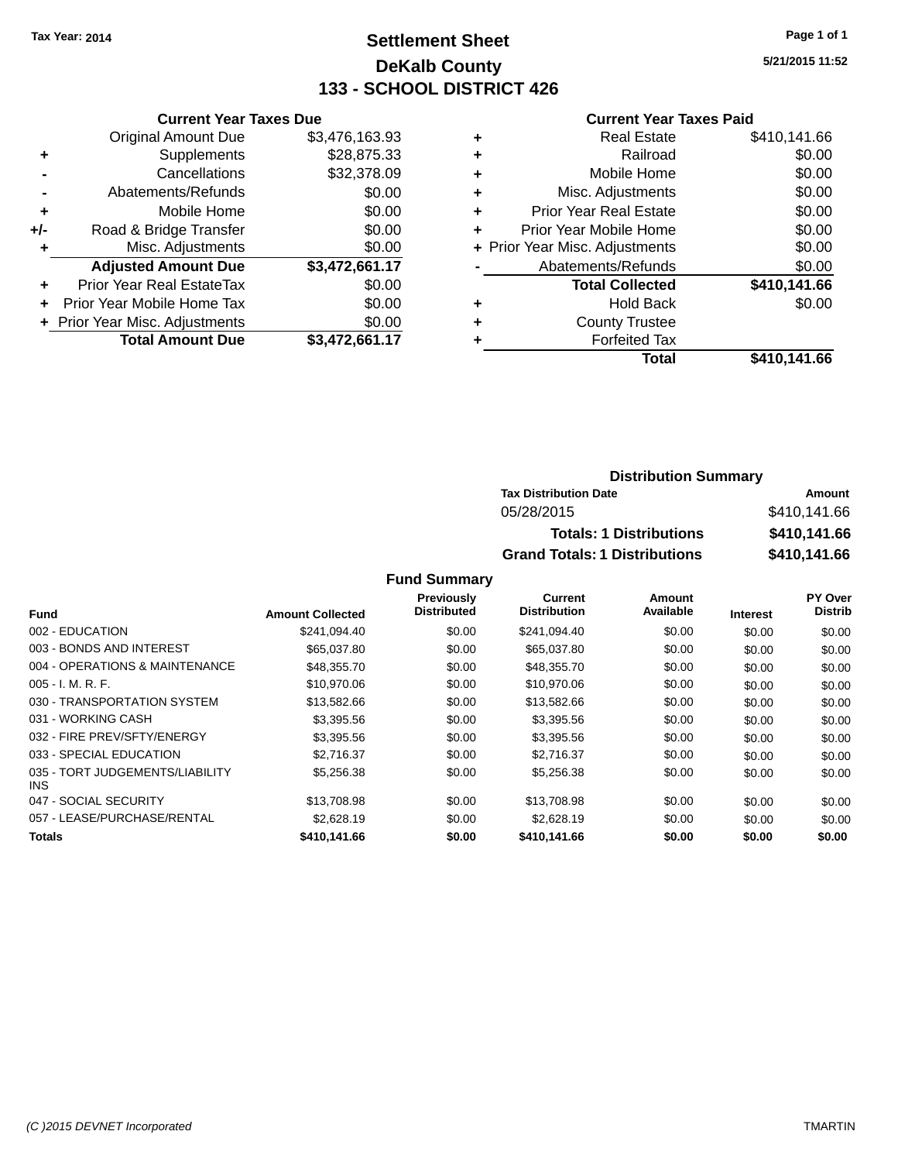# **Settlement Sheet Tax Year: 2014 Page 1 of 1 DeKalb County 133 - SCHOOL DISTRICT 426**

**5/21/2015 11:52**

#### **Current Year Taxes Paid**

| <b>Current Year Taxes Due</b>  |                |  |  |  |
|--------------------------------|----------------|--|--|--|
| <b>Original Amount Due</b>     | \$3,476,163.93 |  |  |  |
| Supplements                    | \$28,875.33    |  |  |  |
| Cancellations                  | \$32,378.09    |  |  |  |
| Abatements/Refunds             | \$0.00         |  |  |  |
| Mobile Home                    | \$0.00         |  |  |  |
| Road & Bridge Transfer         | \$0.00         |  |  |  |
| Misc. Adjustments              | \$0.00         |  |  |  |
| <b>Adjusted Amount Due</b>     | \$3,472,661.17 |  |  |  |
| Prior Year Real EstateTax      | \$0.00         |  |  |  |
| Prior Year Mobile Home Tax     | \$0.00         |  |  |  |
| + Prior Year Misc. Adjustments | \$0.00         |  |  |  |
| <b>Total Amount Due</b>        | \$3,472,661.17 |  |  |  |
|                                |                |  |  |  |

|   | <b>Real Estate</b>             | \$410,141.66 |
|---|--------------------------------|--------------|
| ٠ | Railroad                       | \$0.00       |
| ٠ | Mobile Home                    | \$0.00       |
| ٠ | Misc. Adjustments              | \$0.00       |
| ٠ | <b>Prior Year Real Estate</b>  | \$0.00       |
| ٠ | Prior Year Mobile Home         | \$0.00       |
|   | + Prior Year Misc. Adjustments | \$0.00       |
|   | Abatements/Refunds             | \$0.00       |
|   | <b>Total Collected</b>         | \$410,141.66 |
| ٠ | <b>Hold Back</b>               | \$0.00       |
| ٠ | <b>County Trustee</b>          |              |
| ٠ | <b>Forfeited Tax</b>           |              |
|   | Total                          | \$410,141.66 |
|   |                                |              |

#### **Distribution Summary Tax Distribution Date Amount** 05/28/2015 \$410,141.66 **Totals: 1 Distributions \$410,141.66 Grand Totals: 1 Distributions \$410,141.66**

|                                         |                         | Previously         | <b>Current</b>      | Amount    |                 | PY Over        |
|-----------------------------------------|-------------------------|--------------------|---------------------|-----------|-----------------|----------------|
| <b>Fund</b>                             | <b>Amount Collected</b> | <b>Distributed</b> | <b>Distribution</b> | Available | <b>Interest</b> | <b>Distrib</b> |
| 002 - EDUCATION                         | \$241,094.40            | \$0.00             | \$241,094.40        | \$0.00    | \$0.00          | \$0.00         |
| 003 - BONDS AND INTEREST                | \$65,037.80             | \$0.00             | \$65,037.80         | \$0.00    | \$0.00          | \$0.00         |
| 004 - OPERATIONS & MAINTENANCE          | \$48,355.70             | \$0.00             | \$48,355.70         | \$0.00    | \$0.00          | \$0.00         |
| $005 - I. M. R. F.$                     | \$10,970.06             | \$0.00             | \$10,970.06         | \$0.00    | \$0.00          | \$0.00         |
| 030 - TRANSPORTATION SYSTEM             | \$13,582.66             | \$0.00             | \$13,582.66         | \$0.00    | \$0.00          | \$0.00         |
| 031 - WORKING CASH                      | \$3.395.56              | \$0.00             | \$3,395.56          | \$0.00    | \$0.00          | \$0.00         |
| 032 - FIRE PREV/SFTY/ENERGY             | \$3,395.56              | \$0.00             | \$3,395.56          | \$0.00    | \$0.00          | \$0.00         |
| 033 - SPECIAL EDUCATION                 | \$2.716.37              | \$0.00             | \$2.716.37          | \$0.00    | \$0.00          | \$0.00         |
| 035 - TORT JUDGEMENTS/LIABILITY<br>INS. | \$5,256.38              | \$0.00             | \$5,256.38          | \$0.00    | \$0.00          | \$0.00         |
| 047 - SOCIAL SECURITY                   | \$13,708.98             | \$0.00             | \$13,708.98         | \$0.00    | \$0.00          | \$0.00         |
| 057 - LEASE/PURCHASE/RENTAL             | \$2,628.19              | \$0.00             | \$2,628.19          | \$0.00    | \$0.00          | \$0.00         |
| Totals                                  | \$410,141.66            | \$0.00             | \$410,141.66        | \$0.00    | \$0.00          | \$0.00         |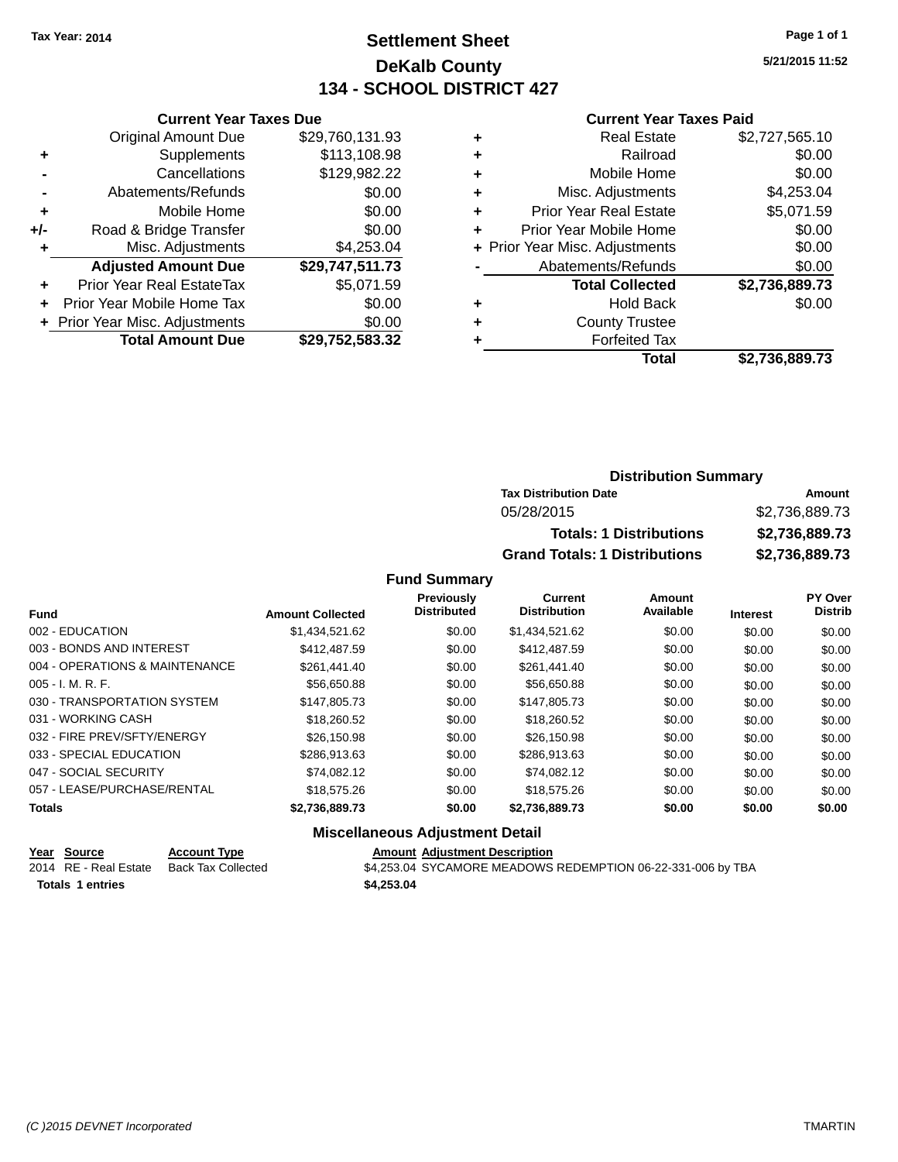# **Settlement Sheet Tax Year: 2014 Page 1 of 1 DeKalb County 134 - SCHOOL DISTRICT 427**

**5/21/2015 11:52**

#### **Current Year Taxes Paid**

| \$29,760,131.93 |
|-----------------|
|                 |
| \$113,108.98    |
| \$129,982.22    |
| \$0.00          |
| \$0.00          |
| \$0.00          |
| \$4,253.04      |
| \$29,747,511.73 |
| \$5,071.59      |
| \$0.00          |
| \$0.00          |
| \$29,752,583.32 |
|                 |

| ٠ | <b>Real Estate</b>             | \$2,727,565.10 |
|---|--------------------------------|----------------|
| ٠ | Railroad                       | \$0.00         |
| ٠ | Mobile Home                    | \$0.00         |
| ٠ | Misc. Adjustments              | \$4,253.04     |
| ٠ | <b>Prior Year Real Estate</b>  | \$5,071.59     |
| ٠ | Prior Year Mobile Home         | \$0.00         |
|   | + Prior Year Misc. Adjustments | \$0.00         |
|   | Abatements/Refunds             | \$0.00         |
|   | <b>Total Collected</b>         | \$2,736,889.73 |
| ٠ | <b>Hold Back</b>               | \$0.00         |
| ٠ | <b>County Trustee</b>          |                |
|   | <b>Forfeited Tax</b>           |                |
|   | Total                          | \$2,736,889.73 |
|   |                                |                |

### **Distribution Summary Tax Distribution Date Amount** 05/28/2015 \$2,736,889.73 **Totals: 1 Distributions \$2,736,889.73 Grand Totals: 1 Distributions \$2,736,889.73**

#### **Fund Summary**

| <b>Fund</b>                    | <b>Amount Collected</b> | Previously<br><b>Distributed</b> | Current<br><b>Distribution</b> | Amount<br>Available | <b>Interest</b> | PY Over<br><b>Distrib</b> |
|--------------------------------|-------------------------|----------------------------------|--------------------------------|---------------------|-----------------|---------------------------|
| 002 - EDUCATION                | \$1,434,521.62          | \$0.00                           | \$1,434,521.62                 | \$0.00              | \$0.00          | \$0.00                    |
| 003 - BONDS AND INTEREST       | \$412,487.59            | \$0.00                           | \$412,487.59                   | \$0.00              | \$0.00          | \$0.00                    |
| 004 - OPERATIONS & MAINTENANCE | \$261.441.40            | \$0.00                           | \$261.441.40                   | \$0.00              | \$0.00          | \$0.00                    |
| 005 - I. M. R. F.              | \$56,650.88             | \$0.00                           | \$56,650.88                    | \$0.00              | \$0.00          | \$0.00                    |
| 030 - TRANSPORTATION SYSTEM    | \$147,805,73            | \$0.00                           | \$147,805.73                   | \$0.00              | \$0.00          | \$0.00                    |
| 031 - WORKING CASH             | \$18,260.52             | \$0.00                           | \$18,260.52                    | \$0.00              | \$0.00          | \$0.00                    |
| 032 - FIRE PREV/SFTY/ENERGY    | \$26.150.98             | \$0.00                           | \$26,150.98                    | \$0.00              | \$0.00          | \$0.00                    |
| 033 - SPECIAL EDUCATION        | \$286.913.63            | \$0.00                           | \$286,913,63                   | \$0.00              | \$0.00          | \$0.00                    |
| 047 - SOCIAL SECURITY          | \$74.082.12             | \$0.00                           | \$74.082.12                    | \$0.00              | \$0.00          | \$0.00                    |
| 057 - LEASE/PURCHASE/RENTAL    | \$18,575.26             | \$0.00                           | \$18,575.26                    | \$0.00              | \$0.00          | \$0.00                    |
| <b>Totals</b>                  | \$2,736,889.73          | \$0.00                           | \$2,736,889.73                 | \$0.00              | \$0.00          | \$0.00                    |

#### **Miscellaneous Adjustment Detail**

| Year Source             | <b>Account Type</b> | <b>Amount Adjustment Description</b>                        |
|-------------------------|---------------------|-------------------------------------------------------------|
| 2014 RE - Real Estate   | Back Tax Collected  | \$4,253.04 SYCAMORE MEADOWS REDEMPTION 06-22-331-006 by TBA |
| <b>Totals 1 entries</b> |                     | \$4,253,04                                                  |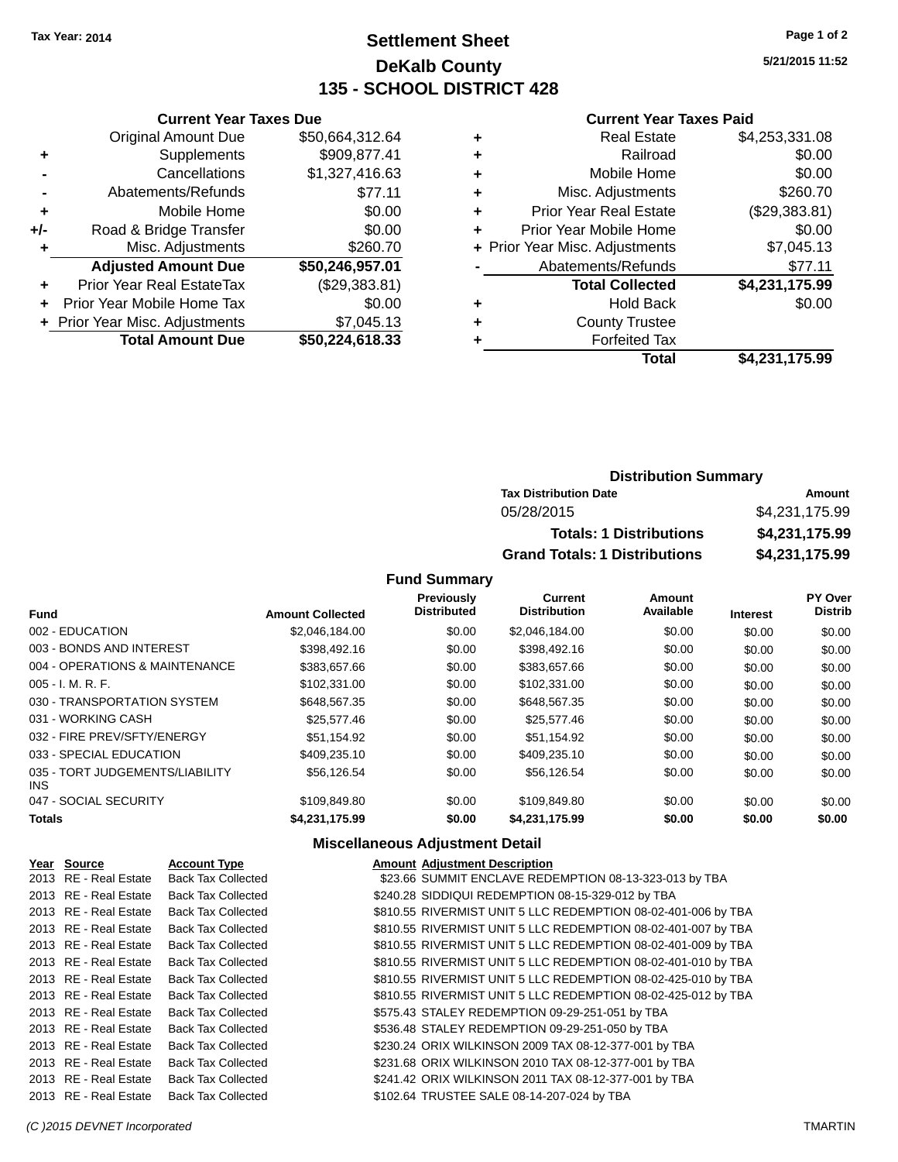**Current Year Taxes Due**

# **Settlement Sheet Tax Year: 2014 Page 1 of 2 DeKalb County 135 - SCHOOL DISTRICT 428**

**5/21/2015 11:52**

#### **Current Year Taxes Paid**

|                                  |                                      |   | Total                         | \$4,231,175.99                 |
|----------------------------------|--------------------------------------|---|-------------------------------|--------------------------------|
| <b>Total Amount Due</b>          | \$50,224,618.33                      |   | <b>Forfeited Tax</b>          |                                |
|                                  | \$7,045.13                           | ٠ | <b>County Trustee</b>         |                                |
| Prior Year Mobile Home Tax       | \$0.00                               | ٠ | <b>Hold Back</b>              | \$0.00                         |
| <b>Prior Year Real EstateTax</b> | (\$29,383.81)                        |   | <b>Total Collected</b>        | \$4,231,175.99                 |
| <b>Adjusted Amount Due</b>       | \$50,246,957.01                      |   | Abatements/Refunds            | \$77.11                        |
| Misc. Adjustments                | \$260.70                             |   |                               | \$7,045.13                     |
| Road & Bridge Transfer           | \$0.00                               | ٠ | Prior Year Mobile Home        | \$0.00                         |
| Mobile Home                      | \$0.00                               | ٠ | <b>Prior Year Real Estate</b> | (\$29,383.81)                  |
| Abatements/Refunds               | \$77.11                              |   | Misc. Adjustments             | \$260.70                       |
| Cancellations                    | \$1,327,416.63                       | ٠ | Mobile Home                   | \$0.00                         |
| Supplements                      | \$909,877.41                         | ٠ | Railroad                      | \$0.00                         |
| <b>Original Amount Due</b>       | \$50,664,312.64                      | ٠ | <b>Real Estate</b>            | \$4,253,331.08                 |
|                                  | ÷.<br>+ Prior Year Misc. Adjustments |   | ٠                             | + Prior Year Misc. Adjustments |

| <b>Distribution Summary</b>          |                |
|--------------------------------------|----------------|
| <b>Tax Distribution Date</b>         | Amount         |
| 05/28/2015                           | \$4,231,175.99 |
| <b>Totals: 1 Distributions</b>       | \$4,231,175.99 |
| <b>Grand Totals: 1 Distributions</b> | \$4,231,175.99 |

#### **Fund Summary**

| <b>Fund</b>                             | <b>Amount Collected</b> | Previously<br><b>Distributed</b> | Current<br><b>Distribution</b> | Amount<br>Available | <b>Interest</b> | PY Over<br><b>Distrib</b> |
|-----------------------------------------|-------------------------|----------------------------------|--------------------------------|---------------------|-----------------|---------------------------|
|                                         |                         |                                  |                                |                     |                 |                           |
| 002 - EDUCATION                         | \$2,046,184,00          | \$0.00                           | \$2.046.184.00                 | \$0.00              | \$0.00          | \$0.00                    |
| 003 - BONDS AND INTEREST                | \$398,492.16            | \$0.00                           | \$398,492.16                   | \$0.00              | \$0.00          | \$0.00                    |
| 004 - OPERATIONS & MAINTENANCE          | \$383.657.66            | \$0.00                           | \$383.657.66                   | \$0.00              | \$0.00          | \$0.00                    |
| $005 - I. M. R. F.$                     | \$102.331.00            | \$0.00                           | \$102,331,00                   | \$0.00              | \$0.00          | \$0.00                    |
| 030 - TRANSPORTATION SYSTEM             | \$648,567,35            | \$0.00                           | \$648,567,35                   | \$0.00              | \$0.00          | \$0.00                    |
| 031 - WORKING CASH                      | \$25,577.46             | \$0.00                           | \$25,577.46                    | \$0.00              | \$0.00          | \$0.00                    |
| 032 - FIRE PREV/SFTY/ENERGY             | \$51.154.92             | \$0.00                           | \$51.154.92                    | \$0.00              | \$0.00          | \$0.00                    |
| 033 - SPECIAL EDUCATION                 | \$409,235.10            | \$0.00                           | \$409,235.10                   | \$0.00              | \$0.00          | \$0.00                    |
| 035 - TORT JUDGEMENTS/LIABILITY<br>INS. | \$56.126.54             | \$0.00                           | \$56.126.54                    | \$0.00              | \$0.00          | \$0.00                    |
| 047 - SOCIAL SECURITY                   | \$109.849.80            | \$0.00                           | \$109.849.80                   | \$0.00              | \$0.00          | \$0.00                    |
| <b>Totals</b>                           | \$4,231,175.99          | \$0.00                           | \$4,231,175.99                 | \$0.00              | \$0.00          | \$0.00                    |

#### **Miscellaneous Adjustment Detail**

| Year Source           | <b>Account Type</b>       | <b>Amount Adjustment Description</b>                          |
|-----------------------|---------------------------|---------------------------------------------------------------|
| 2013 RE - Real Estate | <b>Back Tax Collected</b> | \$23.66 SUMMIT ENCLAVE REDEMPTION 08-13-323-013 by TBA        |
| 2013 RE - Real Estate | <b>Back Tax Collected</b> | \$240.28 SIDDIQUI REDEMPTION 08-15-329-012 by TBA             |
| 2013 RE - Real Estate | <b>Back Tax Collected</b> | \$810.55 RIVERMIST UNIT 5 LLC REDEMPTION 08-02-401-006 by TBA |
| 2013 RE - Real Estate | <b>Back Tax Collected</b> | \$810.55 RIVERMIST UNIT 5 LLC REDEMPTION 08-02-401-007 by TBA |
| 2013 RE - Real Estate | <b>Back Tax Collected</b> | \$810.55 RIVERMIST UNIT 5 LLC REDEMPTION 08-02-401-009 by TBA |
| 2013 RE - Real Estate | <b>Back Tax Collected</b> | \$810.55 RIVERMIST UNIT 5 LLC REDEMPTION 08-02-401-010 by TBA |
| 2013 RE - Real Estate | <b>Back Tax Collected</b> | \$810.55 RIVERMIST UNIT 5 LLC REDEMPTION 08-02-425-010 by TBA |
| 2013 RE - Real Estate | <b>Back Tax Collected</b> | \$810.55 RIVERMIST UNIT 5 LLC REDEMPTION 08-02-425-012 by TBA |
| 2013 RE - Real Estate | <b>Back Tax Collected</b> | \$575.43 STALEY REDEMPTION 09-29-251-051 by TBA               |
| 2013 RE - Real Estate | <b>Back Tax Collected</b> | \$536.48 STALEY REDEMPTION 09-29-251-050 by TBA               |
| 2013 RE - Real Estate | <b>Back Tax Collected</b> | \$230.24 ORIX WILKINSON 2009 TAX 08-12-377-001 by TBA         |
| 2013 RE - Real Estate | <b>Back Tax Collected</b> | \$231.68 ORIX WILKINSON 2010 TAX 08-12-377-001 by TBA         |
| 2013 RE - Real Estate | <b>Back Tax Collected</b> | \$241.42 ORIX WILKINSON 2011 TAX 08-12-377-001 by TBA         |
| 2013 RE - Real Estate | <b>Back Tax Collected</b> | \$102.64 TRUSTEE SALE 08-14-207-024 by TBA                    |

#### *(C )2015 DEVNET Incorporated* TMARTIN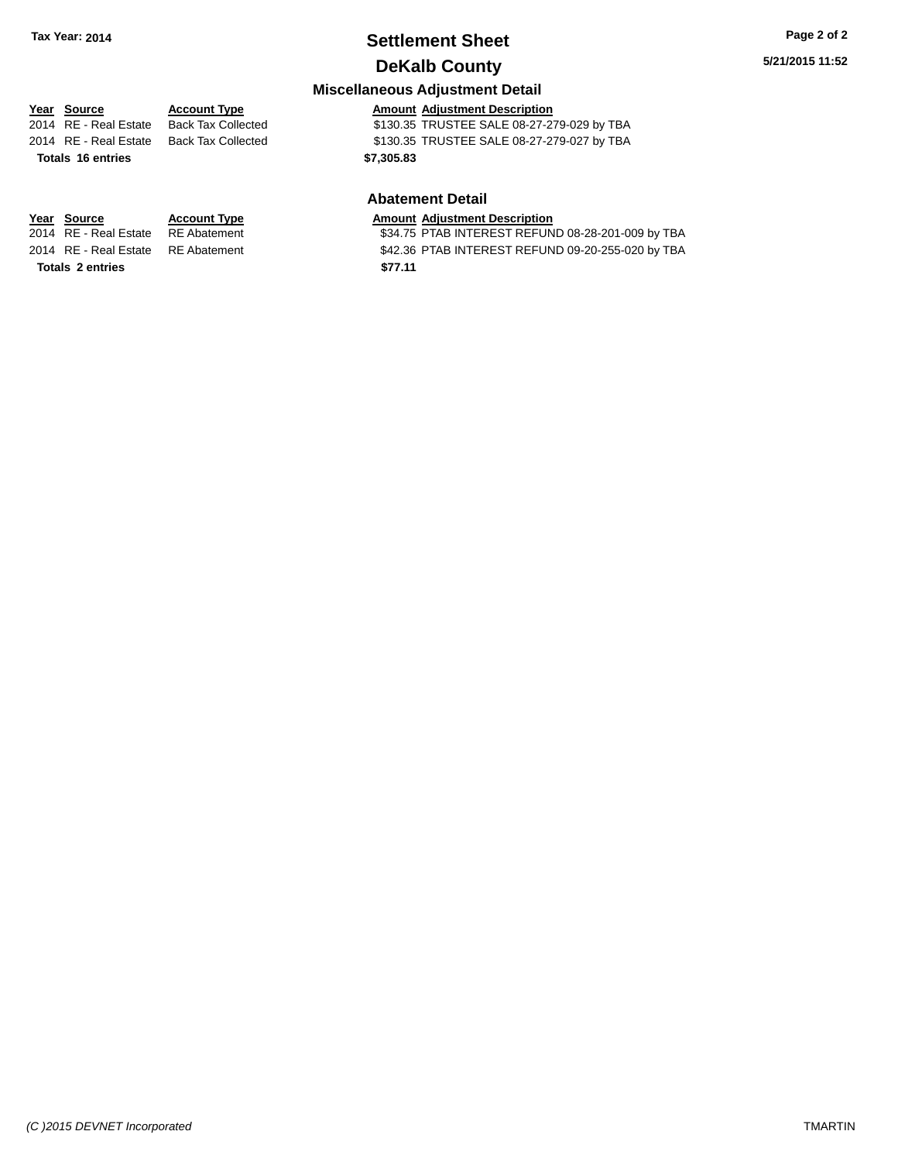# **Settlement Sheet Tax Year: 2014 Page 2 of 2**

### **DeKalb County Miscellaneous Adjustment Detail**

**Totals \$7,305.83 16 entries**

#### **Year** Source **Account Type Account Adjustment Description** 2014 RE - Real Estate Back Tax Collected \$130.35 TRUSTEE SALE 08-27-279-029 by TBA 2014 RE - Real Estate Back Tax Collected \$130.35 TRUSTEE SALE 08-27-279-027 by TBA

#### **Abatement Detail**

# **Year Source Account Type Amount Adjustment Description**<br>2014 RE - Real Estate RE Abatement **Amount 1988** S34.75 PTAB INTEREST REFUN

\$34.75 PTAB INTEREST REFUND 08-28-201-009 by TBA 2014 RE - Real Estate RE Abatement \$42.36 PTAB INTEREST REFUND 09-20-255-020 by TBA

**Totals \$77.11 2 entries**

*(C )2015 DEVNET Incorporated* TMARTIN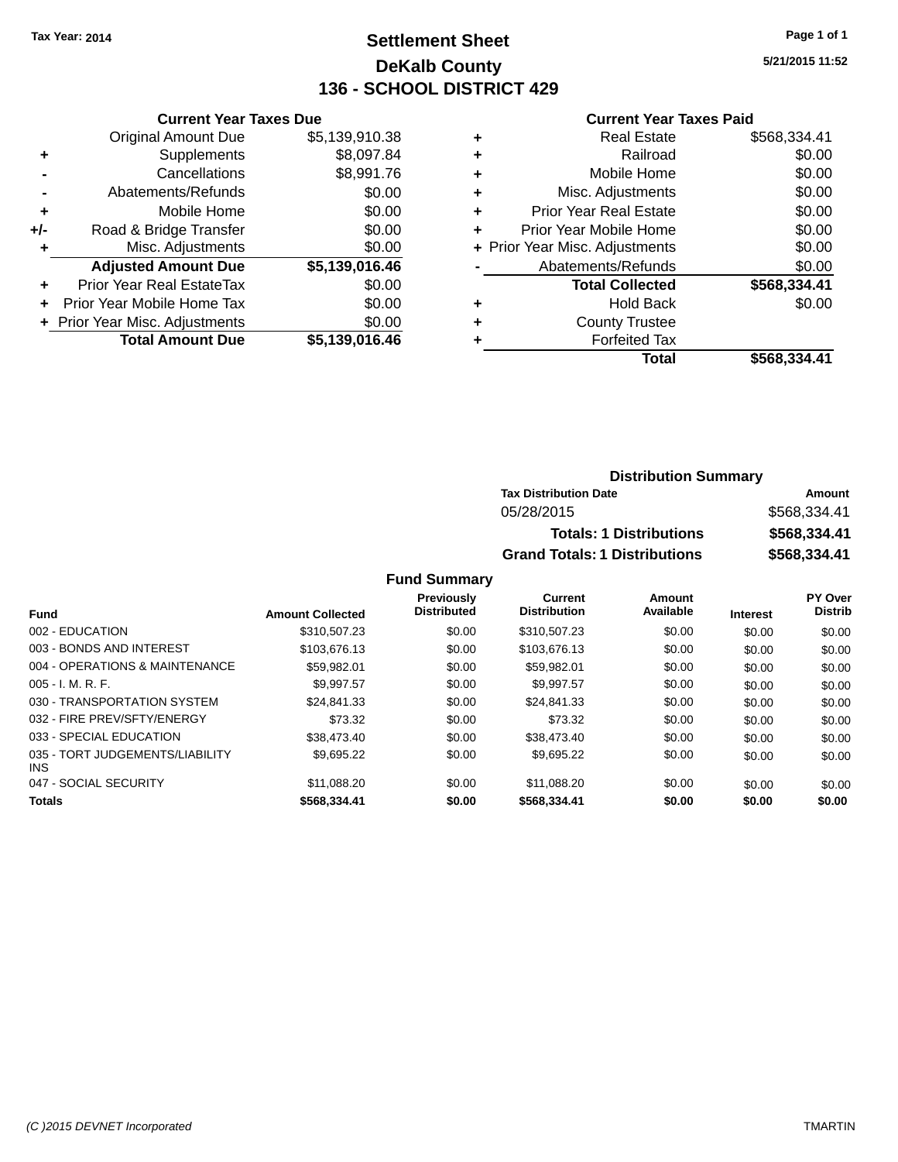# **Settlement Sheet Tax Year: 2014 Page 1 of 1 DeKalb County 136 - SCHOOL DISTRICT 429**

**5/21/2015 11:52**

| <b>Current Year Taxes Due</b> |  |  |  |
|-------------------------------|--|--|--|

| ٠     | Misc. Adjustments          |                |
|-------|----------------------------|----------------|
|       |                            | \$0.00         |
| $+/-$ | Road & Bridge Transfer     | \$0.00         |
| ÷     | Mobile Home                | \$0.00         |
|       |                            |                |
|       | Abatements/Refunds         | \$0.00         |
|       | Cancellations              | \$8,991.76     |
| ٠     | Supplements                | \$8,097.84     |
|       | <b>Original Amount Due</b> | \$5,139,910.38 |
|       |                            |                |

#### **Current Year Taxes Paid**

|   | Total                          | \$568,334.41 |
|---|--------------------------------|--------------|
|   | <b>Forfeited Tax</b>           |              |
| ٠ | <b>County Trustee</b>          |              |
| ٠ | <b>Hold Back</b>               | \$0.00       |
|   | <b>Total Collected</b>         | \$568,334.41 |
|   | Abatements/Refunds             | \$0.00       |
|   | + Prior Year Misc. Adjustments | \$0.00       |
| ٠ | Prior Year Mobile Home         | \$0.00       |
| ٠ | <b>Prior Year Real Estate</b>  | \$0.00       |
| ٠ | Misc. Adjustments              | \$0.00       |
| ٠ | Mobile Home                    | \$0.00       |
| ٠ | Railroad                       | \$0.00       |
|   | <b>Real Estate</b>             | \$568,334.41 |

### **Distribution Summary Tax Distribution Date Amount** 05/28/2015 \$568,334.41 **Totals: 1 Distributions \$568,334.41 Grand Totals: 1 Distributions \$568,334.41**

| <b>Fund</b>                                   | <b>Amount Collected</b> | <b>Previously</b><br><b>Distributed</b> | Current<br><b>Distribution</b> | Amount<br>Available | <b>Interest</b> | PY Over<br><b>Distrib</b> |
|-----------------------------------------------|-------------------------|-----------------------------------------|--------------------------------|---------------------|-----------------|---------------------------|
| 002 - EDUCATION                               | \$310,507.23            | \$0.00                                  | \$310,507.23                   | \$0.00              | \$0.00          | \$0.00                    |
| 003 - BONDS AND INTEREST                      | \$103,676.13            | \$0.00                                  | \$103,676.13                   | \$0.00              | \$0.00          | \$0.00                    |
| 004 - OPERATIONS & MAINTENANCE                | \$59.982.01             | \$0.00                                  | \$59.982.01                    | \$0.00              | \$0.00          | \$0.00                    |
| $005 - I. M. R. F.$                           | \$9.997.57              | \$0.00                                  | \$9,997.57                     | \$0.00              | \$0.00          | \$0.00                    |
| 030 - TRANSPORTATION SYSTEM                   | \$24.841.33             | \$0.00                                  | \$24.841.33                    | \$0.00              | \$0.00          | \$0.00                    |
| 032 - FIRE PREV/SFTY/ENERGY                   | \$73.32                 | \$0.00                                  | \$73.32                        | \$0.00              | \$0.00          | \$0.00                    |
| 033 - SPECIAL EDUCATION                       | \$38,473.40             | \$0.00                                  | \$38,473.40                    | \$0.00              | \$0.00          | \$0.00                    |
| 035 - TORT JUDGEMENTS/LIABILITY<br><b>INS</b> | \$9.695.22              | \$0.00                                  | \$9,695.22                     | \$0.00              | \$0.00          | \$0.00                    |
| 047 - SOCIAL SECURITY                         | \$11.088.20             | \$0.00                                  | \$11.088.20                    | \$0.00              | \$0.00          | \$0.00                    |
| Totals                                        | \$568,334.41            | \$0.00                                  | \$568,334.41                   | \$0.00              | \$0.00          | \$0.00                    |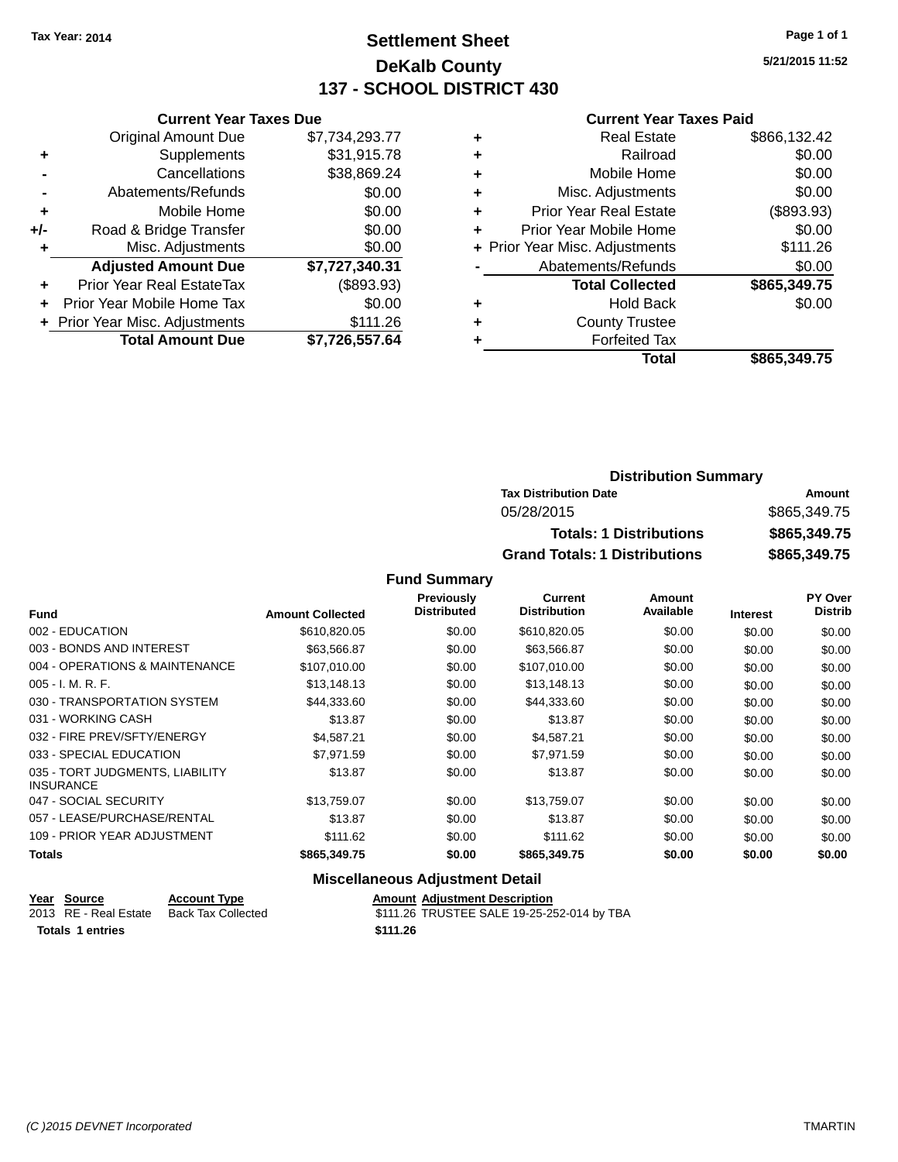# **Settlement Sheet Tax Year: 2014 Page 1 of 1 DeKalb County 137 - SCHOOL DISTRICT 430**

**5/21/2015 11:52**

#### **Current Year Taxes Paid**

|     | <b>Current Year Taxes Due</b>  |                |  |  |  |  |  |
|-----|--------------------------------|----------------|--|--|--|--|--|
|     | <b>Original Amount Due</b>     | \$7,734,293.77 |  |  |  |  |  |
| ٠   | Supplements                    | \$31,915.78    |  |  |  |  |  |
|     | Cancellations                  | \$38,869.24    |  |  |  |  |  |
|     | Abatements/Refunds             | \$0.00         |  |  |  |  |  |
| ٠   | Mobile Home                    | \$0.00         |  |  |  |  |  |
| +/- | Road & Bridge Transfer         | \$0.00         |  |  |  |  |  |
| ٠   | Misc. Adjustments              | \$0.00         |  |  |  |  |  |
|     | <b>Adjusted Amount Due</b>     | \$7,727,340.31 |  |  |  |  |  |
| ٠   | Prior Year Real EstateTax      | (\$893.93)     |  |  |  |  |  |
| ÷   | Prior Year Mobile Home Tax     | \$0.00         |  |  |  |  |  |
|     | + Prior Year Misc. Adjustments | \$111.26       |  |  |  |  |  |
|     | <b>Total Amount Due</b>        | \$7,726,557.64 |  |  |  |  |  |

|   | Real Estate                    | \$866,132.42 |
|---|--------------------------------|--------------|
| ٠ | Railroad                       | \$0.00       |
| ٠ | Mobile Home                    | \$0.00       |
| ٠ | Misc. Adjustments              | \$0.00       |
| ٠ | <b>Prior Year Real Estate</b>  | (\$893.93)   |
| ÷ | Prior Year Mobile Home         | \$0.00       |
|   | + Prior Year Misc. Adjustments | \$111.26     |
|   | Abatements/Refunds             | \$0.00       |
|   | <b>Total Collected</b>         | \$865,349.75 |
| ٠ | <b>Hold Back</b>               | \$0.00       |
| ٠ | <b>County Trustee</b>          |              |
|   | <b>Forfeited Tax</b>           |              |
|   | Total                          | \$865,349.75 |
|   |                                |              |

| <b>Distribution Summary</b>          |              |
|--------------------------------------|--------------|
| <b>Tax Distribution Date</b>         | Amount       |
| 05/28/2015                           | \$865,349.75 |
| <b>Totals: 1 Distributions</b>       | \$865,349.75 |
| <b>Grand Totals: 1 Distributions</b> | \$865,349.75 |

#### **Fund Summary**

|                                                     |                         | <b>Previously</b><br><b>Distributed</b> | <b>Current</b><br><b>Distribution</b> | Amount<br>Available |                 | PY Over<br><b>Distrib</b> |
|-----------------------------------------------------|-------------------------|-----------------------------------------|---------------------------------------|---------------------|-----------------|---------------------------|
| <b>Fund</b>                                         | <b>Amount Collected</b> |                                         |                                       |                     | <b>Interest</b> |                           |
| 002 - EDUCATION                                     | \$610,820.05            | \$0.00                                  | \$610,820.05                          | \$0.00              | \$0.00          | \$0.00                    |
| 003 - BONDS AND INTEREST                            | \$63.566.87             | \$0.00                                  | \$63,566.87                           | \$0.00              | \$0.00          | \$0.00                    |
| 004 - OPERATIONS & MAINTENANCE                      | \$107,010.00            | \$0.00                                  | \$107,010.00                          | \$0.00              | \$0.00          | \$0.00                    |
| $005 - I. M. R. F.$                                 | \$13,148.13             | \$0.00                                  | \$13,148.13                           | \$0.00              | \$0.00          | \$0.00                    |
| 030 - TRANSPORTATION SYSTEM                         | \$44,333.60             | \$0.00                                  | \$44,333.60                           | \$0.00              | \$0.00          | \$0.00                    |
| 031 - WORKING CASH                                  | \$13.87                 | \$0.00                                  | \$13.87                               | \$0.00              | \$0.00          | \$0.00                    |
| 032 - FIRE PREV/SFTY/ENERGY                         | \$4.587.21              | \$0.00                                  | \$4,587.21                            | \$0.00              | \$0.00          | \$0.00                    |
| 033 - SPECIAL EDUCATION                             | \$7.971.59              | \$0.00                                  | \$7.971.59                            | \$0.00              | \$0.00          | \$0.00                    |
| 035 - TORT JUDGMENTS, LIABILITY<br><b>INSURANCE</b> | \$13.87                 | \$0.00                                  | \$13.87                               | \$0.00              | \$0.00          | \$0.00                    |
| 047 - SOCIAL SECURITY                               | \$13,759.07             | \$0.00                                  | \$13,759.07                           | \$0.00              | \$0.00          | \$0.00                    |
| 057 - LEASE/PURCHASE/RENTAL                         | \$13.87                 | \$0.00                                  | \$13.87                               | \$0.00              | \$0.00          | \$0.00                    |
| 109 - PRIOR YEAR ADJUSTMENT                         | \$111.62                | \$0.00                                  | \$111.62                              | \$0.00              | \$0.00          | \$0.00                    |
| <b>Totals</b>                                       | \$865,349.75            | \$0.00                                  | \$865,349.75                          | \$0.00              | \$0.00          | \$0.00                    |

### **Miscellaneous Adjustment Detail**

| Year Source             | <b>Account Type</b> |          | <b>Amount Adiustment Description</b>       |
|-------------------------|---------------------|----------|--------------------------------------------|
| 2013 RE - Real Estate   | Back Tax Collected  |          | \$111.26 TRUSTEE SALE 19-25-252-014 by TBA |
| <b>Totals 1 entries</b> |                     | \$111.26 |                                            |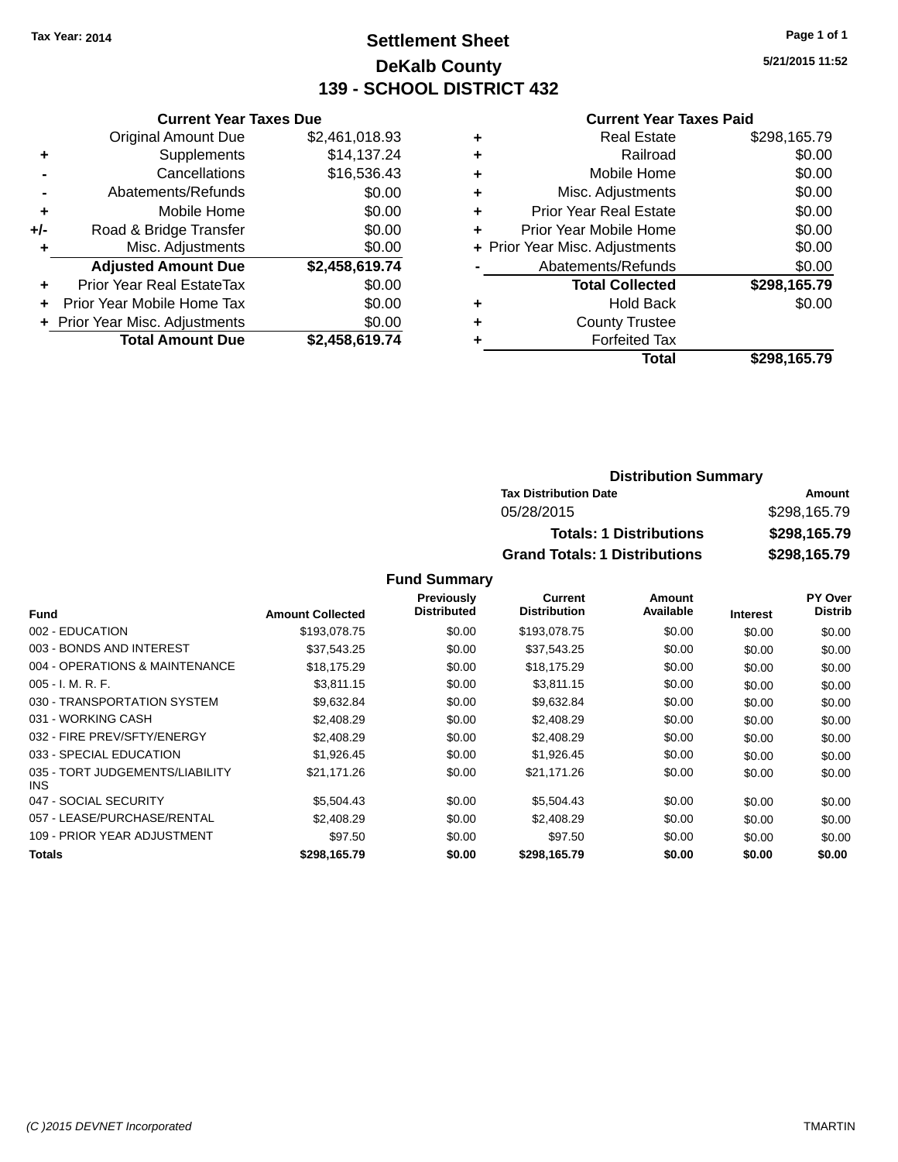# **Settlement Sheet Tax Year: 2014 Page 1 of 1 DeKalb County 139 - SCHOOL DISTRICT 432**

**5/21/2015 11:52**

#### **Current Year Taxes Paid**

|     | <b>Current Year Taxes Due</b>  |                |
|-----|--------------------------------|----------------|
|     | <b>Original Amount Due</b>     | \$2,461,018.93 |
| ٠   | Supplements                    | \$14,137.24    |
|     | Cancellations                  | \$16,536.43    |
|     | Abatements/Refunds             | \$0.00         |
| ٠   | Mobile Home                    | \$0.00         |
| +/- | Road & Bridge Transfer         | \$0.00         |
| ٠   | Misc. Adjustments              | \$0.00         |
|     | <b>Adjusted Amount Due</b>     | \$2,458,619.74 |
| ÷   | Prior Year Real EstateTax      | \$0.00         |
| ÷   | Prior Year Mobile Home Tax     | \$0.00         |
|     | + Prior Year Misc. Adjustments | \$0.00         |
|     | <b>Total Amount Due</b>        | \$2.458.619.74 |

|   | <b>Real Estate</b>             | \$298,165.79 |
|---|--------------------------------|--------------|
| ٠ | Railroad                       | \$0.00       |
| ٠ | Mobile Home                    | \$0.00       |
| ٠ | Misc. Adjustments              | \$0.00       |
| ٠ | <b>Prior Year Real Estate</b>  | \$0.00       |
| ÷ | Prior Year Mobile Home         | \$0.00       |
|   | + Prior Year Misc. Adjustments | \$0.00       |
|   | Abatements/Refunds             | \$0.00       |
|   | <b>Total Collected</b>         | \$298,165.79 |
| ٠ | <b>Hold Back</b>               | \$0.00       |
| ٠ | <b>County Trustee</b>          |              |
| ٠ | <b>Forfeited Tax</b>           |              |
|   | Total                          | \$298,165.79 |
|   |                                |              |

#### **Distribution Summary Tax Distribution Date Amount** 05/28/2015 \$298,165.79 **Totals: 1 Distributions \$298,165.79 Grand Totals: 1 Distributions \$298,165.79**

|                                         |                         | Previously         | Current             | Amount    |                 | PY Over        |
|-----------------------------------------|-------------------------|--------------------|---------------------|-----------|-----------------|----------------|
| <b>Fund</b>                             | <b>Amount Collected</b> | <b>Distributed</b> | <b>Distribution</b> | Available | <b>Interest</b> | <b>Distrib</b> |
| 002 - EDUCATION                         | \$193,078.75            | \$0.00             | \$193,078.75        | \$0.00    | \$0.00          | \$0.00         |
| 003 - BONDS AND INTEREST                | \$37.543.25             | \$0.00             | \$37,543.25         | \$0.00    | \$0.00          | \$0.00         |
| 004 - OPERATIONS & MAINTENANCE          | \$18,175.29             | \$0.00             | \$18,175.29         | \$0.00    | \$0.00          | \$0.00         |
| $005 - I. M. R. F.$                     | \$3.811.15              | \$0.00             | \$3,811.15          | \$0.00    | \$0.00          | \$0.00         |
| 030 - TRANSPORTATION SYSTEM             | \$9,632.84              | \$0.00             | \$9,632.84          | \$0.00    | \$0.00          | \$0.00         |
| 031 - WORKING CASH                      | \$2,408.29              | \$0.00             | \$2,408.29          | \$0.00    | \$0.00          | \$0.00         |
| 032 - FIRE PREV/SFTY/ENERGY             | \$2,408.29              | \$0.00             | \$2,408.29          | \$0.00    | \$0.00          | \$0.00         |
| 033 - SPECIAL EDUCATION                 | \$1,926.45              | \$0.00             | \$1,926.45          | \$0.00    | \$0.00          | \$0.00         |
| 035 - TORT JUDGEMENTS/LIABILITY<br>INS. | \$21,171.26             | \$0.00             | \$21,171.26         | \$0.00    | \$0.00          | \$0.00         |
| 047 - SOCIAL SECURITY                   | \$5,504.43              | \$0.00             | \$5.504.43          | \$0.00    | \$0.00          | \$0.00         |
| 057 - LEASE/PURCHASE/RENTAL             | \$2.408.29              | \$0.00             | \$2,408.29          | \$0.00    | \$0.00          | \$0.00         |
| 109 - PRIOR YEAR ADJUSTMENT             | \$97.50                 | \$0.00             | \$97.50             | \$0.00    | \$0.00          | \$0.00         |
| <b>Totals</b>                           | \$298,165.79            | \$0.00             | \$298,165.79        | \$0.00    | \$0.00          | \$0.00         |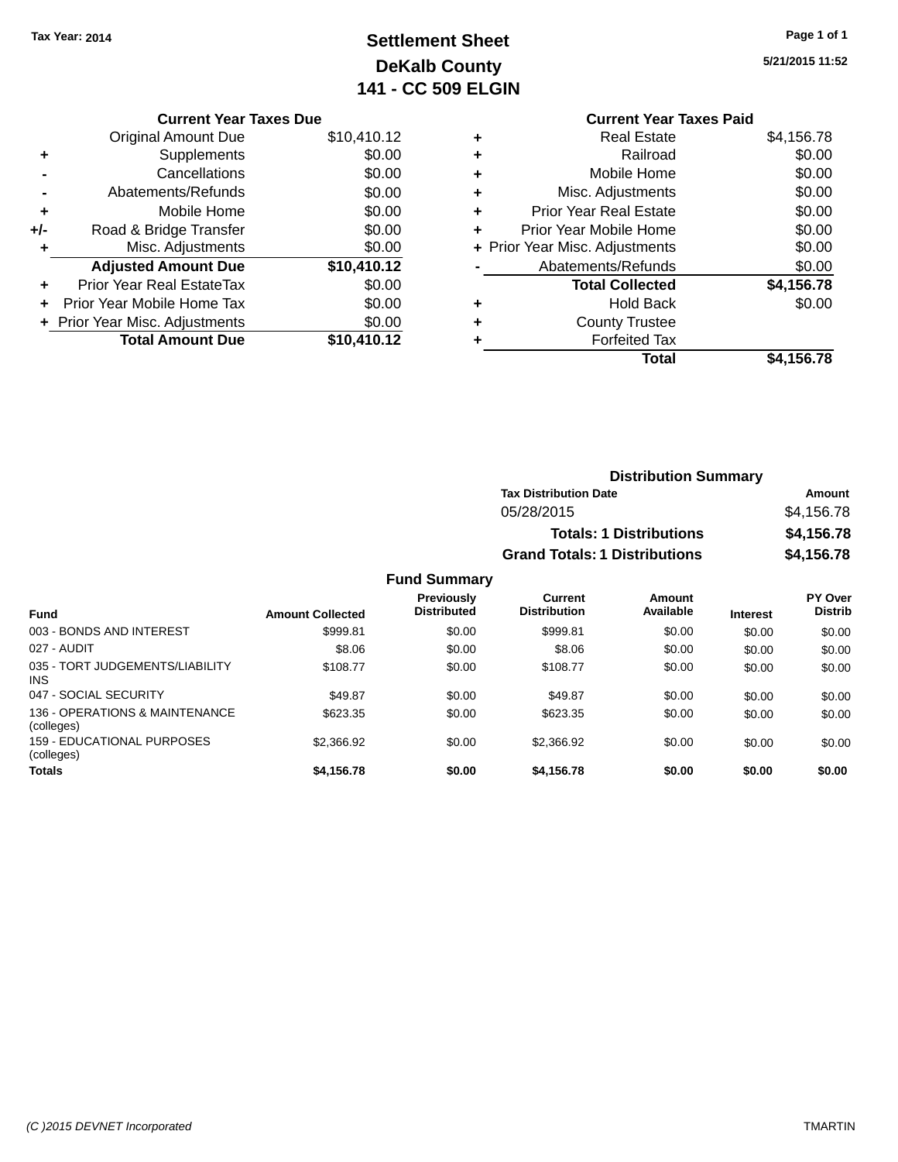# **Settlement Sheet Tax Year: 2014 Page 1 of 1 DeKalb County 141 - CC 509 ELGIN**

**5/21/2015 11:52**

|       | <b>Current Year Taxes Due</b> |             |
|-------|-------------------------------|-------------|
|       | Original Amount Due           | \$10,410.12 |
| ÷     | Supplements                   | \$0.00      |
|       | Cancellations                 | \$0.00      |
|       | Abatements/Refunds            | \$0.00      |
| ٠     | Mobile Home                   | \$0.00      |
| $+/-$ | Road & Bridge Transfer        | \$0.00      |
|       | Misc. Adjustments             | \$0.00      |
|       | <b>Adjusted Amount Due</b>    | \$10,410.12 |
| ÷     | Prior Year Real EstateTax     | \$0.00      |
|       | Prior Year Mobile Home Tax    | \$0.00      |
|       | Prior Year Misc. Adjustments  | \$0.00      |
|       | <b>Total Amount Due</b>       | \$10,410.12 |
|       |                               |             |

#### **Current Year Taxes Paid +** Real Estate \$4,156.78 **+** Railroad \$0.00 **+** Mobile Home \$0.00 **+** Misc. Adjustments \$0.00 **+** Prior Year Real Estate \$0.00 **+** Prior Year Mobile Home \$0.00 **+ Prior Year Misc. Adjustments**  $$0.00$ **-** Abatements/Refunds \$0.00 **Total Collected \$4,156.78 +** Hold Back \$0.00 **+** County Trustee **+** Forfeited Tax **Total \$4,156.78**

| <b>Distribution Summary</b>          |            |  |
|--------------------------------------|------------|--|
| <b>Tax Distribution Date</b>         | Amount     |  |
| 05/28/2015                           | \$4,156.78 |  |
| <b>Totals: 1 Distributions</b>       | \$4,156.78 |  |
| <b>Grand Totals: 1 Distributions</b> | \$4,156.78 |  |
|                                      |            |  |

| <b>Fund</b>                                   | <b>Amount Collected</b> | <b>Previously</b><br><b>Distributed</b> | Current<br><b>Distribution</b> | Amount<br>Available | <b>Interest</b> | <b>PY Over</b><br><b>Distrib</b> |
|-----------------------------------------------|-------------------------|-----------------------------------------|--------------------------------|---------------------|-----------------|----------------------------------|
| 003 - BONDS AND INTEREST                      | \$999.81                | \$0.00                                  | \$999.81                       | \$0.00              | \$0.00          | \$0.00                           |
| 027 - AUDIT                                   | \$8.06                  | \$0.00                                  | \$8.06                         | \$0.00              | \$0.00          | \$0.00                           |
| 035 - TORT JUDGEMENTS/LIABILITY<br><b>INS</b> | \$108.77                | \$0.00                                  | \$108.77                       | \$0.00              | \$0.00          | \$0.00                           |
| 047 - SOCIAL SECURITY                         | \$49.87                 | \$0.00                                  | \$49.87                        | \$0.00              | \$0.00          | \$0.00                           |
| 136 - OPERATIONS & MAINTENANCE<br>(colleges)  | \$623.35                | \$0.00                                  | \$623.35                       | \$0.00              | \$0.00          | \$0.00                           |
| 159 - EDUCATIONAL PURPOSES<br>(colleges)      | \$2,366.92              | \$0.00                                  | \$2,366.92                     | \$0.00              | \$0.00          | \$0.00                           |
| <b>Totals</b>                                 | \$4,156.78              | \$0.00                                  | \$4,156.78                     | \$0.00              | \$0.00          | \$0.00                           |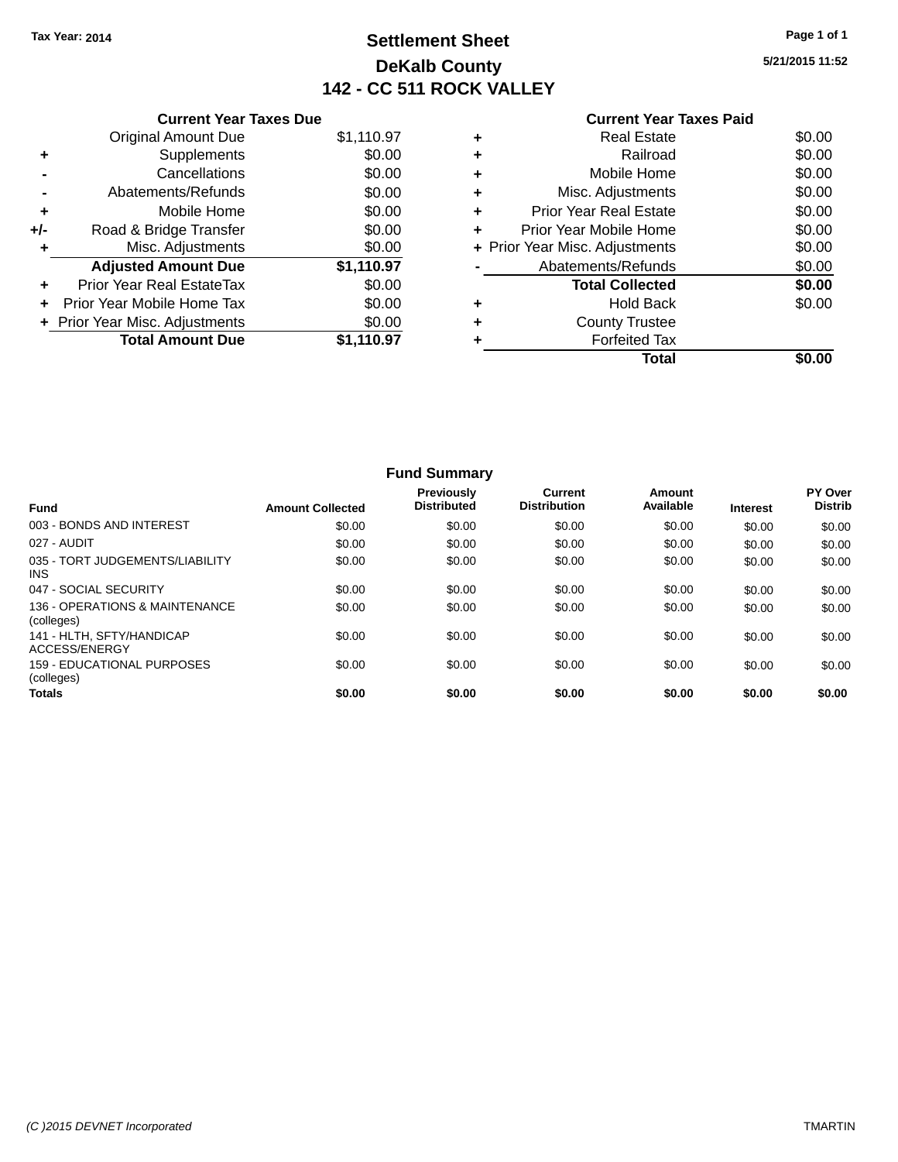# **Settlement Sheet Tax Year: 2014 Page 1 of 1 DeKalb County 142 - CC 511 ROCK VALLEY**

**5/21/2015 11:52**

|     | <b>Current Year Taxes Due</b>  |            |
|-----|--------------------------------|------------|
|     | <b>Original Amount Due</b>     | \$1,110.97 |
| ٠   | Supplements                    | \$0.00     |
|     | Cancellations                  | \$0.00     |
|     | Abatements/Refunds             | \$0.00     |
| ٠   | Mobile Home                    | \$0.00     |
| +/- | Road & Bridge Transfer         | \$0.00     |
|     | Misc. Adjustments              | \$0.00     |
|     | <b>Adjusted Amount Due</b>     | \$1,110.97 |
|     | Prior Year Real EstateTax      | \$0.00     |
|     | Prior Year Mobile Home Tax     | \$0.00     |
|     | + Prior Year Misc. Adjustments | \$0.00     |
|     | <b>Total Amount Due</b>        | \$1,110.97 |
|     |                                |            |

|   | Total                          |        |
|---|--------------------------------|--------|
|   | <b>Forfeited Tax</b>           |        |
| ٠ | <b>County Trustee</b>          |        |
| ٠ | <b>Hold Back</b>               | \$0.00 |
|   | <b>Total Collected</b>         | \$0.00 |
|   | Abatements/Refunds             | \$0.00 |
|   | + Prior Year Misc. Adjustments | \$0.00 |
| ٠ | Prior Year Mobile Home         | \$0.00 |
| ٠ | <b>Prior Year Real Estate</b>  | \$0.00 |
| ٠ | Misc. Adjustments              | \$0.00 |
| ٠ | Mobile Home                    | \$0.00 |
| ٠ | Railroad                       | \$0.00 |
| ٠ | <b>Real Estate</b>             | \$0.00 |

|                                               |                         | <b>Fund Summary</b>              |                                |                     |                 |                                  |
|-----------------------------------------------|-------------------------|----------------------------------|--------------------------------|---------------------|-----------------|----------------------------------|
| <b>Fund</b>                                   | <b>Amount Collected</b> | Previously<br><b>Distributed</b> | Current<br><b>Distribution</b> | Amount<br>Available | <b>Interest</b> | <b>PY Over</b><br><b>Distrib</b> |
| 003 - BONDS AND INTEREST                      | \$0.00                  | \$0.00                           | \$0.00                         | \$0.00              | \$0.00          | \$0.00                           |
| 027 - AUDIT                                   | \$0.00                  | \$0.00                           | \$0.00                         | \$0.00              | \$0.00          | \$0.00                           |
| 035 - TORT JUDGEMENTS/LIABILITY<br><b>INS</b> | \$0.00                  | \$0.00                           | \$0.00                         | \$0.00              | \$0.00          | \$0.00                           |
| 047 - SOCIAL SECURITY                         | \$0.00                  | \$0.00                           | \$0.00                         | \$0.00              | \$0.00          | \$0.00                           |
| 136 - OPERATIONS & MAINTENANCE<br>(colleges)  | \$0.00                  | \$0.00                           | \$0.00                         | \$0.00              | \$0.00          | \$0.00                           |
| 141 - HLTH, SFTY/HANDICAP<br>ACCESS/ENERGY    | \$0.00                  | \$0.00                           | \$0.00                         | \$0.00              | \$0.00          | \$0.00                           |
| 159 - EDUCATIONAL PURPOSES<br>(colleges)      | \$0.00                  | \$0.00                           | \$0.00                         | \$0.00              | \$0.00          | \$0.00                           |
| <b>Totals</b>                                 | \$0.00                  | \$0.00                           | \$0.00                         | \$0.00              | \$0.00          | \$0.00                           |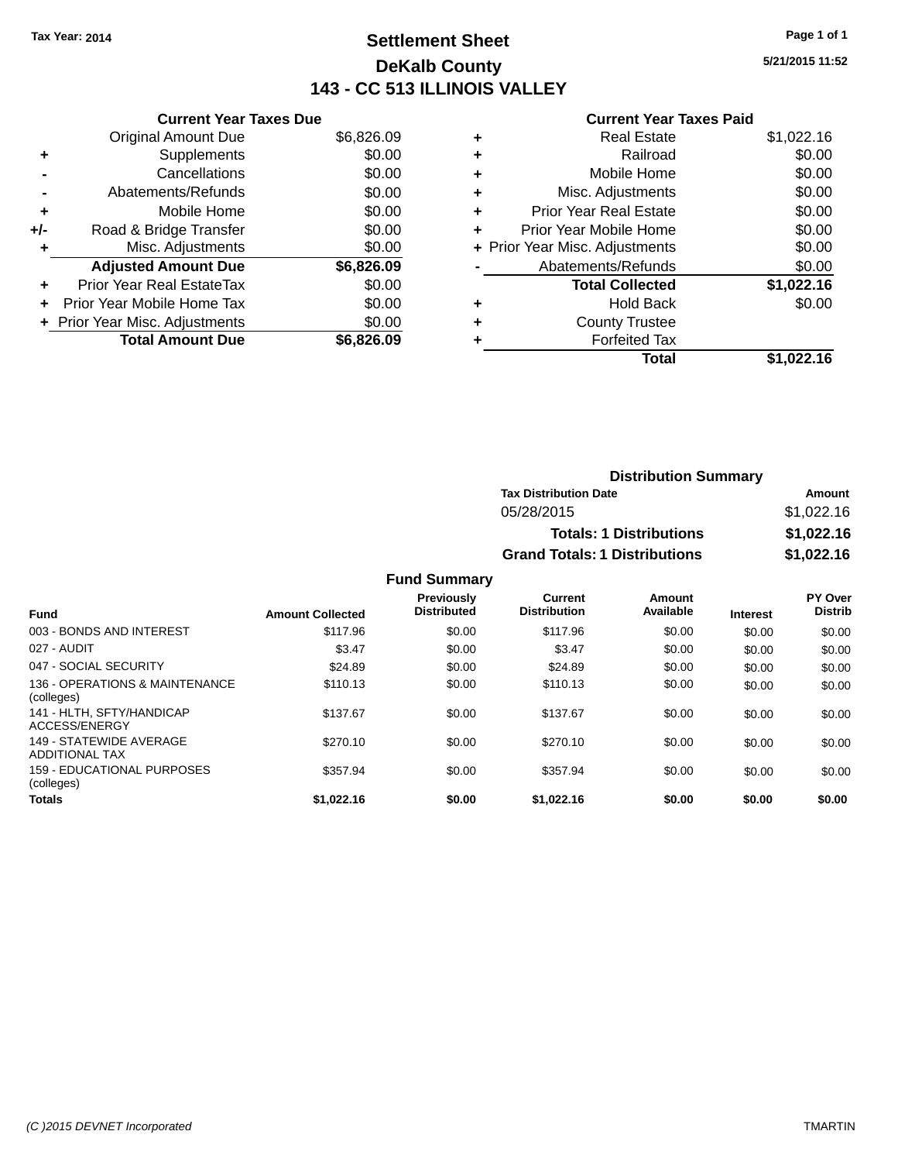# **Settlement Sheet Tax Year: 2014 Page 1 of 1 DeKalb County 143 - CC 513 ILLINOIS VALLEY**

**5/21/2015 11:52**

#### **Current Year Taxes Paid**

|     | <b>Current Year Taxes Due</b>  |            |
|-----|--------------------------------|------------|
|     | <b>Original Amount Due</b>     | \$6,826.09 |
| ٠   | Supplements                    | \$0.00     |
|     | Cancellations                  | \$0.00     |
|     | Abatements/Refunds             | \$0.00     |
| ٠   | Mobile Home                    | \$0.00     |
| +/- | Road & Bridge Transfer         | \$0.00     |
|     | Misc. Adjustments              | \$0.00     |
|     | <b>Adjusted Amount Due</b>     | \$6,826.09 |
| ÷   | Prior Year Real EstateTax      | \$0.00     |
|     | Prior Year Mobile Home Tax     | \$0.00     |
|     | + Prior Year Misc. Adjustments | \$0.00     |
|     | <b>Total Amount Due</b>        | \$6,826,09 |

| \$1,022.16 |
|------------|
| \$0.00     |
| \$0.00     |
| \$0.00     |
| \$0.00     |
| \$0.00     |
| \$0.00     |
| \$0.00     |
| \$1,022.16 |
| \$0.00     |
|            |
|            |
| \$1.022.16 |
|            |

| <b>Distribution Summary</b>          |            |
|--------------------------------------|------------|
| <b>Tax Distribution Date</b>         | Amount     |
| 05/28/2015                           | \$1,022.16 |
| <b>Totals: 1 Distributions</b>       | \$1,022.16 |
| <b>Grand Totals: 1 Distributions</b> | \$1,022.16 |

| <b>Fund</b>                                      | <b>Amount Collected</b> | <b>Previously</b><br><b>Distributed</b> | Current<br><b>Distribution</b> | Amount<br>Available | <b>Interest</b> | PY Over<br><b>Distrib</b> |
|--------------------------------------------------|-------------------------|-----------------------------------------|--------------------------------|---------------------|-----------------|---------------------------|
| 003 - BONDS AND INTEREST                         | \$117.96                | \$0.00                                  | \$117.96                       | \$0.00              | \$0.00          | \$0.00                    |
| 027 - AUDIT                                      | \$3.47                  | \$0.00                                  | \$3.47                         | \$0.00              | \$0.00          | \$0.00                    |
| 047 - SOCIAL SECURITY                            | \$24.89                 | \$0.00                                  | \$24.89                        | \$0.00              | \$0.00          | \$0.00                    |
| 136 - OPERATIONS & MAINTENANCE<br>(colleges)     | \$110.13                | \$0.00                                  | \$110.13                       | \$0.00              | \$0.00          | \$0.00                    |
| 141 - HLTH, SFTY/HANDICAP<br>ACCESS/ENERGY       | \$137.67                | \$0.00                                  | \$137.67                       | \$0.00              | \$0.00          | \$0.00                    |
| 149 - STATEWIDE AVERAGE<br><b>ADDITIONAL TAX</b> | \$270.10                | \$0.00                                  | \$270.10                       | \$0.00              | \$0.00          | \$0.00                    |
| 159 - EDUCATIONAL PURPOSES<br>(colleges)         | \$357.94                | \$0.00                                  | \$357.94                       | \$0.00              | \$0.00          | \$0.00                    |
| <b>Totals</b>                                    | \$1,022.16              | \$0.00                                  | \$1,022.16                     | \$0.00              | \$0.00          | \$0.00                    |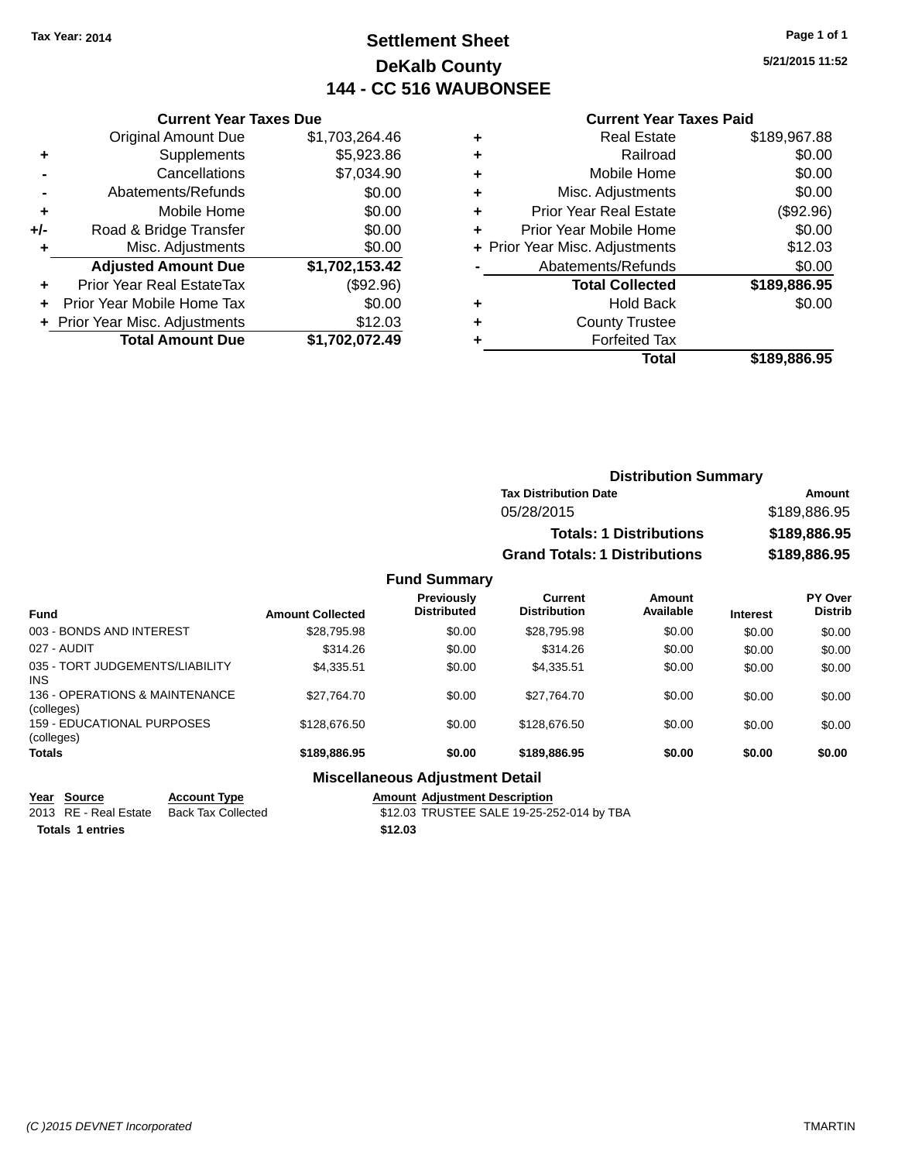# **Settlement Sheet Tax Year: 2014 Page 1 of 1 DeKalb County 144 - CC 516 WAUBONSEE**

**5/21/2015 11:52**

#### **Current Year Taxes Paid**

|     | <b>Current Year Taxes Due</b>  |                |  |  |
|-----|--------------------------------|----------------|--|--|
|     | <b>Original Amount Due</b>     | \$1,703,264.46 |  |  |
| ٠   | Supplements                    | \$5,923.86     |  |  |
|     | Cancellations                  | \$7,034.90     |  |  |
|     | Abatements/Refunds             | \$0.00         |  |  |
| ٠   | Mobile Home                    | \$0.00         |  |  |
| +/- | Road & Bridge Transfer         | \$0.00         |  |  |
| ٠   | \$0.00<br>Misc. Adjustments    |                |  |  |
|     | <b>Adjusted Amount Due</b>     | \$1,702,153.42 |  |  |
| ÷   | Prior Year Real EstateTax      | (\$92.96)      |  |  |
|     | Prior Year Mobile Home Tax     | \$0.00         |  |  |
|     | + Prior Year Misc. Adjustments | \$12.03        |  |  |
|     | <b>Total Amount Due</b>        | \$1.702.072.49 |  |  |

|   | <b>Real Estate</b>             | \$189,967.88 |
|---|--------------------------------|--------------|
| ٠ | Railroad                       | \$0.00       |
| ٠ | Mobile Home                    | \$0.00       |
| ٠ | Misc. Adjustments              | \$0.00       |
| ٠ | Prior Year Real Estate         | (\$92.96)    |
| ٠ | Prior Year Mobile Home         | \$0.00       |
|   | + Prior Year Misc. Adjustments | \$12.03      |
|   | Abatements/Refunds             | \$0.00       |
|   | <b>Total Collected</b>         | \$189,886.95 |
| ٠ | <b>Hold Back</b>               | \$0.00       |
|   | <b>County Trustee</b>          |              |
| ٠ | <b>Forfeited Tax</b>           |              |
|   | Total                          | \$189,886.95 |
|   |                                |              |

| <b>Distribution Summary</b>          |              |
|--------------------------------------|--------------|
| <b>Tax Distribution Date</b>         | Amount       |
| 05/28/2015                           | \$189,886.95 |
| <b>Totals: 1 Distributions</b>       | \$189,886.95 |
| <b>Grand Totals: 1 Distributions</b> | \$189,886.95 |

#### **Fund Summary**

| <b>Fund</b>                                  | <b>Amount Collected</b> | <b>Previously</b><br><b>Distributed</b> | Current<br><b>Distribution</b> | Amount<br>Available | <b>Interest</b> | PY Over<br><b>Distrib</b> |
|----------------------------------------------|-------------------------|-----------------------------------------|--------------------------------|---------------------|-----------------|---------------------------|
| 003 - BONDS AND INTEREST                     | \$28,795.98             | \$0.00                                  | \$28,795.98                    | \$0.00              | \$0.00          | \$0.00                    |
| 027 - AUDIT                                  | \$314.26                | \$0.00                                  | \$314.26                       | \$0.00              | \$0.00          | \$0.00                    |
| 035 - TORT JUDGEMENTS/LIABILITY<br>INS.      | \$4.335.51              | \$0.00                                  | \$4.335.51                     | \$0.00              | \$0.00          | \$0.00                    |
| 136 - OPERATIONS & MAINTENANCE<br>(colleges) | \$27.764.70             | \$0.00                                  | \$27.764.70                    | \$0.00              | \$0.00          | \$0.00                    |
| 159 - EDUCATIONAL PURPOSES<br>(colleges)     | \$128,676,50            | \$0.00                                  | \$128,676,50                   | \$0.00              | \$0.00          | \$0.00                    |
| Totals                                       | \$189,886.95            | \$0.00                                  | \$189,886,95                   | \$0.00              | \$0.00          | \$0.00                    |

#### **Miscellaneous Adjustment Detail**

**<u>Year Source</u> Account Type<br>
2013 RE - Real Estate Back Tax Collected** Amount Adjustment Description<br>\$12.03 TRUSTEE SALE 19-25-252-014 by TBA **Totals \$12.03 1 entries**

*(C )2015 DEVNET Incorporated* TMARTIN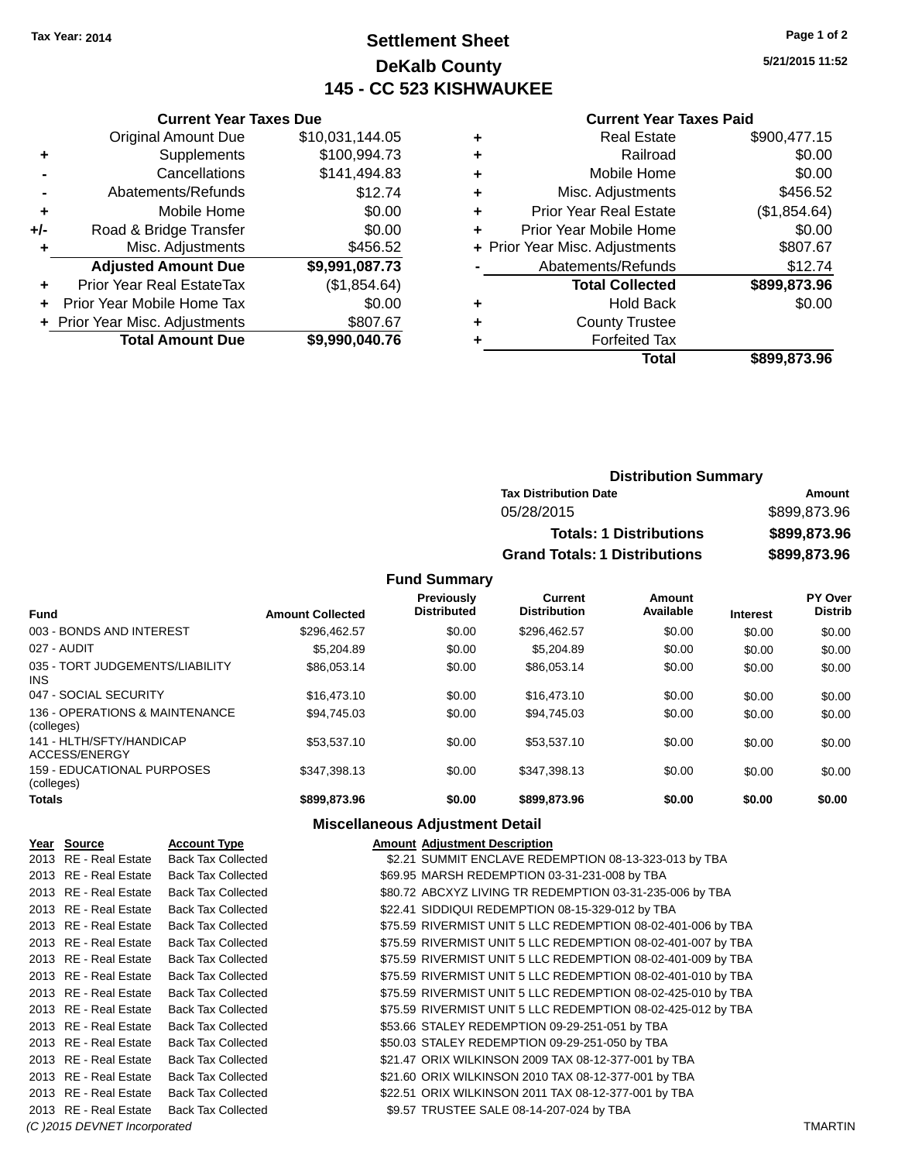# **Settlement Sheet Tax Year: 2014 Page 1 of 2 DeKalb County 145 - CC 523 KISHWAUKEE**

**5/21/2015 11:52**

#### **Current Year Taxes Paid**

|     | <b>Current Year Taxes Due</b>  |                 |  |  |  |  |
|-----|--------------------------------|-----------------|--|--|--|--|
|     | <b>Original Amount Due</b>     | \$10,031,144.05 |  |  |  |  |
| ٠   | Supplements                    | \$100,994.73    |  |  |  |  |
|     | \$141,494.83<br>Cancellations  |                 |  |  |  |  |
|     | Abatements/Refunds             | \$12.74         |  |  |  |  |
| ٠   | Mobile Home                    | \$0.00          |  |  |  |  |
| +/- | Road & Bridge Transfer         | \$0.00          |  |  |  |  |
| ٠   | Misc. Adjustments<br>\$456.52  |                 |  |  |  |  |
|     | <b>Adjusted Amount Due</b>     | \$9,991,087.73  |  |  |  |  |
| ٠   | Prior Year Real EstateTax      | (\$1,854.64)    |  |  |  |  |
| ٠   | Prior Year Mobile Home Tax     | \$0.00          |  |  |  |  |
|     | + Prior Year Misc. Adjustments | \$807.67        |  |  |  |  |
|     | <b>Total Amount Due</b>        | \$9,990,040.76  |  |  |  |  |
|     |                                |                 |  |  |  |  |

|   | <b>Real Estate</b>             | \$900,477.15 |
|---|--------------------------------|--------------|
| ٠ | Railroad                       | \$0.00       |
| ٠ | Mobile Home                    | \$0.00       |
| ٠ | Misc. Adjustments              | \$456.52     |
| ٠ | Prior Year Real Estate         | (\$1,854.64) |
|   | Prior Year Mobile Home         | \$0.00       |
|   | + Prior Year Misc. Adjustments | \$807.67     |
|   | Abatements/Refunds             | \$12.74      |
|   | <b>Total Collected</b>         | \$899,873.96 |
| ٠ | <b>Hold Back</b>               | \$0.00       |
|   | <b>County Trustee</b>          |              |
|   | <b>Forfeited Tax</b>           |              |
|   | <b>Total</b>                   | \$899,873.96 |
|   |                                |              |

| <b>Distribution Summary</b>          |              |
|--------------------------------------|--------------|
| <b>Tax Distribution Date</b>         | Amount       |
| 05/28/2015                           | \$899,873.96 |
| <b>Totals: 1 Distributions</b>       | \$899,873,96 |
| <b>Grand Totals: 1 Distributions</b> | \$899,873.96 |

**Fund Summary**

| <b>Fund</b>                                   | <b>Amount Collected</b> | <b>Previously</b><br><b>Distributed</b> | Current<br><b>Distribution</b> | Amount<br>Available | <b>Interest</b> | <b>PY Over</b><br><b>Distrib</b> |
|-----------------------------------------------|-------------------------|-----------------------------------------|--------------------------------|---------------------|-----------------|----------------------------------|
| 003 - BONDS AND INTEREST                      | \$296.462.57            | \$0.00                                  | \$296.462.57                   | \$0.00              | \$0.00          | \$0.00                           |
| 027 - AUDIT                                   | \$5,204.89              | \$0.00                                  | \$5,204.89                     | \$0.00              | \$0.00          | \$0.00                           |
| 035 - TORT JUDGEMENTS/LIABILITY<br><b>INS</b> | \$86,053.14             | \$0.00                                  | \$86.053.14                    | \$0.00              | \$0.00          | \$0.00                           |
| 047 - SOCIAL SECURITY                         | \$16,473.10             | \$0.00                                  | \$16,473.10                    | \$0.00              | \$0.00          | \$0.00                           |
| 136 - OPERATIONS & MAINTENANCE<br>(colleges)  | \$94,745.03             | \$0.00                                  | \$94.745.03                    | \$0.00              | \$0.00          | \$0.00                           |
| 141 - HLTH/SFTY/HANDICAP<br>ACCESS/ENERGY     | \$53,537.10             | \$0.00                                  | \$53.537.10                    | \$0.00              | \$0.00          | \$0.00                           |
| 159 - EDUCATIONAL PURPOSES<br>(colleges)      | \$347.398.13            | \$0.00                                  | \$347.398.13                   | \$0.00              | \$0.00          | \$0.00                           |
| <b>Totals</b>                                 | \$899,873,96            | \$0.00                                  | \$899,873,96                   | \$0.00              | \$0.00          | \$0.00                           |

### **Miscellaneous Adjustment Detail**

| Year Source                  | <b>Account Type</b>       | <b>Amount Adiustment Description</b>                         |                |
|------------------------------|---------------------------|--------------------------------------------------------------|----------------|
| 2013 RE - Real Estate        | <b>Back Tax Collected</b> | \$2.21 SUMMIT ENCLAVE REDEMPTION 08-13-323-013 by TBA        |                |
| 2013 RE - Real Estate        | <b>Back Tax Collected</b> | \$69.95 MARSH REDEMPTION 03-31-231-008 by TBA                |                |
| 2013 RE - Real Estate        | <b>Back Tax Collected</b> | \$80.72 ABCXYZ LIVING TR REDEMPTION 03-31-235-006 by TBA     |                |
| 2013 RE - Real Estate        | <b>Back Tax Collected</b> | \$22.41 SIDDIQUI REDEMPTION 08-15-329-012 by TBA             |                |
| 2013 RE - Real Estate        | <b>Back Tax Collected</b> | \$75.59 RIVERMIST UNIT 5 LLC REDEMPTION 08-02-401-006 by TBA |                |
| 2013 RE - Real Estate        | <b>Back Tax Collected</b> | \$75.59 RIVERMIST UNIT 5 LLC REDEMPTION 08-02-401-007 by TBA |                |
| 2013 RE - Real Estate        | <b>Back Tax Collected</b> | \$75.59 RIVERMIST UNIT 5 LLC REDEMPTION 08-02-401-009 by TBA |                |
| 2013 RE - Real Estate        | <b>Back Tax Collected</b> | \$75.59 RIVERMIST UNIT 5 LLC REDEMPTION 08-02-401-010 by TBA |                |
| 2013 RE - Real Estate        | <b>Back Tax Collected</b> | \$75.59 RIVERMIST UNIT 5 LLC REDEMPTION 08-02-425-010 by TBA |                |
| 2013 RE - Real Estate        | <b>Back Tax Collected</b> | \$75.59 RIVERMIST UNIT 5 LLC REDEMPTION 08-02-425-012 by TBA |                |
| 2013 RE - Real Estate        | <b>Back Tax Collected</b> | \$53.66 STALEY REDEMPTION 09-29-251-051 by TBA               |                |
| 2013 RE - Real Estate        | <b>Back Tax Collected</b> | \$50.03 STALEY REDEMPTION 09-29-251-050 by TBA               |                |
| 2013 RE - Real Estate        | <b>Back Tax Collected</b> | \$21.47 ORIX WILKINSON 2009 TAX 08-12-377-001 by TBA         |                |
| 2013 RE - Real Estate        | <b>Back Tax Collected</b> | \$21.60 ORIX WILKINSON 2010 TAX 08-12-377-001 by TBA         |                |
| 2013 RE - Real Estate        | <b>Back Tax Collected</b> | \$22.51 ORIX WILKINSON 2011 TAX 08-12-377-001 by TBA         |                |
| 2013 RE - Real Estate        | <b>Back Tax Collected</b> | \$9.57 TRUSTEE SALE 08-14-207-024 by TBA                     |                |
| (C) 2015 DEVNET Incorporated |                           |                                                              | <b>TMARTIN</b> |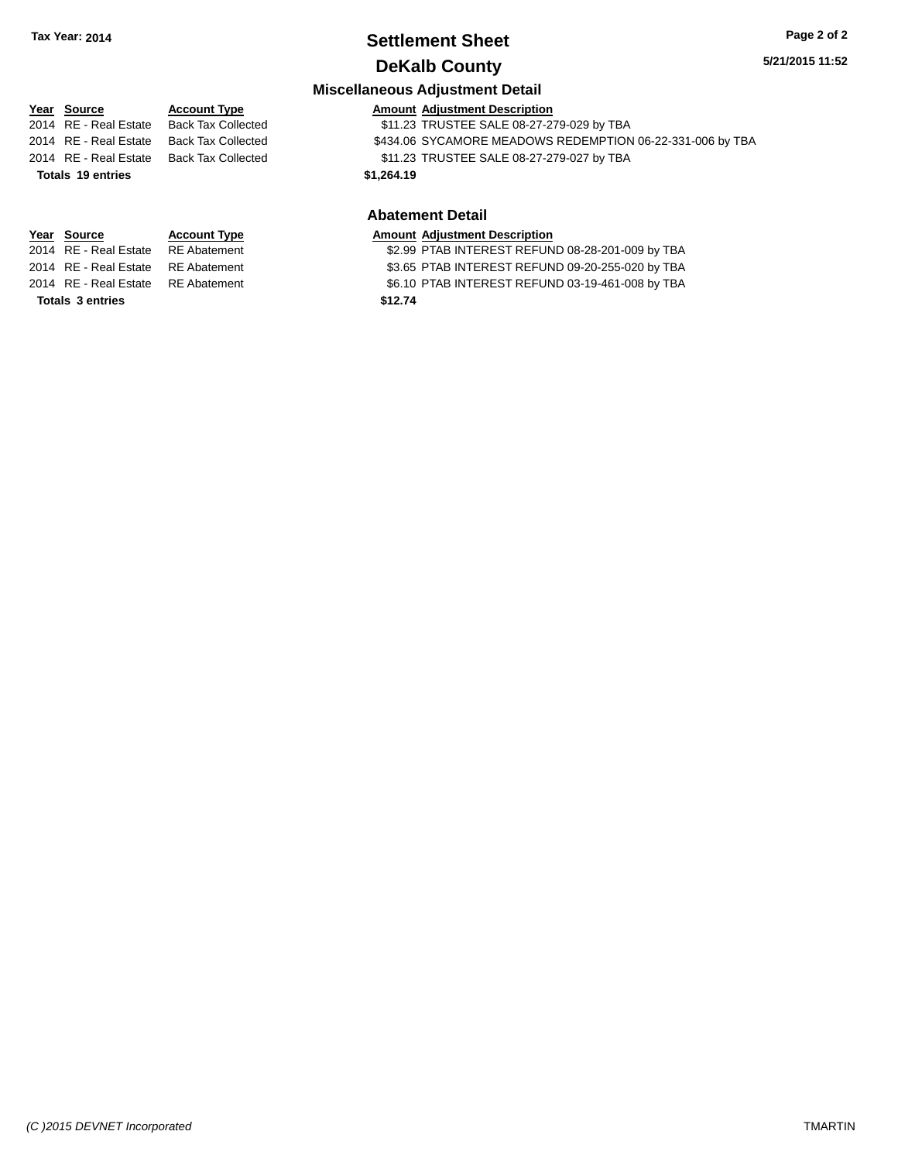# **Settlement Sheet Tax Year: 2014 Page 2 of 2**

**5/21/2015 11:52**

#### **DeKalb County Miscellaneous Adjustment Detail**

|                          |                           | <u>MISCENANEOUS AUJUSUNENT DETAIL</u>                     |
|--------------------------|---------------------------|-----------------------------------------------------------|
| Year Source              | <b>Account Type</b>       | <b>Amount Adjustment Description</b>                      |
| 2014 RE - Real Estate    | <b>Back Tax Collected</b> | \$11.23 TRUSTEE SALE 08-27-279-029 by TBA                 |
| 2014 RE - Real Estate    | <b>Back Tax Collected</b> | \$434.06 SYCAMORE MEADOWS REDEMPTION 06-22-331-006 by TBA |
| 2014 RE - Real Estate    | <b>Back Tax Collected</b> | \$11.23 TRUSTEE SALE 08-27-279-027 by TBA                 |
| <b>Totals 19 entries</b> |                           | \$1,264.19                                                |
|                          |                           | <b>Abatement Detail</b>                                   |
| Voor Source              | <b>Account Type</b>       | <b>Amount Adjustment Description</b>                      |

# **<u>Year Source</u> Account Type<br>
2014 RE - Real Estate RE Abatement**

**Totals \$12.74 3 entries**

- Amount Adjustment Description<br>\$2.99 PTAB INTEREST REFUND 08-28-201-009 by TBA
- 2014 RE Real Estate RE Abatement \$3.65 PTAB INTEREST REFUND 09-20-255-020 by TBA
- 2014 RE Real Estate RE Abatement \$6.10 PTAB INTEREST REFUND 03-19-461-008 by TBA
	-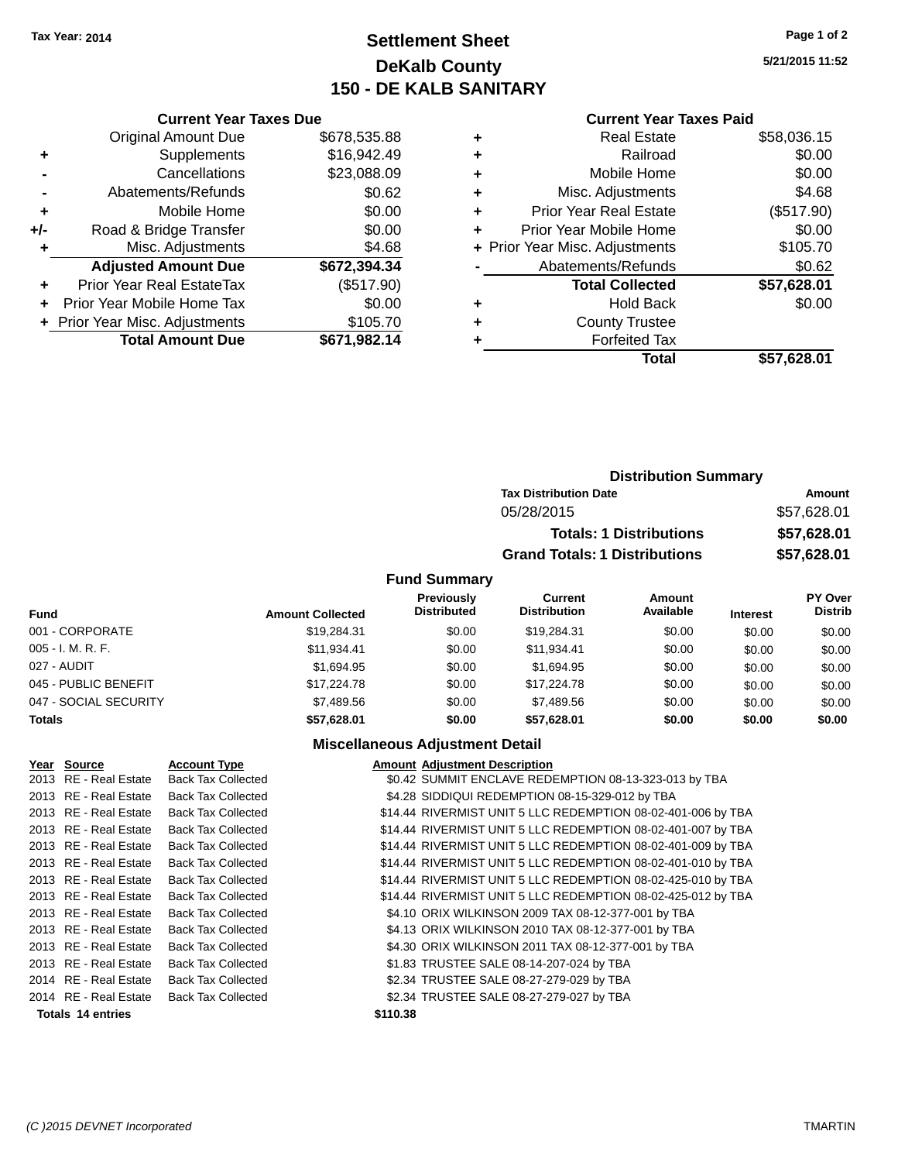# **Settlement Sheet Tax Year: 2014 Page 1 of 2 DeKalb County 150 - DE KALB SANITARY**

**5/21/2015 11:52**

| <b>Current Year Taxes Due</b>  |              |
|--------------------------------|--------------|
| <b>Original Amount Due</b>     | \$678,535.88 |
| Supplements                    | \$16,942.49  |
| Cancellations                  | \$23,088.09  |
| Abatements/Refunds             | \$0.62       |
| Mobile Home                    | \$0.00       |
| Road & Bridge Transfer         | \$0.00       |
| Misc. Adjustments              | \$4.68       |
| <b>Adjusted Amount Due</b>     | \$672,394.34 |
| Prior Year Real EstateTax      | (\$517.90)   |
| Prior Year Mobile Home Tax     | \$0.00       |
| + Prior Year Misc. Adjustments | \$105.70     |
| <b>Total Amount Due</b>        | \$671,982.14 |
|                                |              |

#### **Current Year Taxes Paid**

|   | <b>Real Estate</b>             | \$58,036.15 |
|---|--------------------------------|-------------|
| ٠ | Railroad                       | \$0.00      |
| ٠ | Mobile Home                    | \$0.00      |
| ٠ | Misc. Adjustments              | \$4.68      |
| ٠ | <b>Prior Year Real Estate</b>  | (\$517.90)  |
| ÷ | Prior Year Mobile Home         | \$0.00      |
|   | + Prior Year Misc. Adjustments | \$105.70    |
|   | Abatements/Refunds             | \$0.62      |
|   | <b>Total Collected</b>         | \$57,628.01 |
| ٠ | <b>Hold Back</b>               | \$0.00      |
| ٠ | <b>County Trustee</b>          |             |
| ٠ | <b>Forfeited Tax</b>           |             |
|   | Total                          | \$57,628.01 |
|   |                                |             |

# **Distribution Summary Tax Distribution Date Amount** 05/28/2015 \$57,628.01 **Totals: 1 Distributions \$57,628.01 Grand Totals: 1 Distributions \$57,628.01**

#### **Fund Summary**

| <b>Fund</b>           | <b>Amount Collected</b> | <b>Previously</b><br><b>Distributed</b> | Current<br><b>Distribution</b> | Amount<br>Available | <b>Interest</b> | PY Over<br><b>Distrib</b> |
|-----------------------|-------------------------|-----------------------------------------|--------------------------------|---------------------|-----------------|---------------------------|
| 001 - CORPORATE       | \$19,284.31             | \$0.00                                  | \$19.284.31                    | \$0.00              | \$0.00          | \$0.00                    |
| $005 - I. M. R. F.$   | \$11.934.41             | \$0.00                                  | \$11.934.41                    | \$0.00              | \$0.00          | \$0.00                    |
| 027 - AUDIT           | \$1.694.95              | \$0.00                                  | \$1.694.95                     | \$0.00              | \$0.00          | \$0.00                    |
| 045 - PUBLIC BENEFIT  | \$17,224.78             | \$0.00                                  | \$17,224.78                    | \$0.00              | \$0.00          | \$0.00                    |
| 047 - SOCIAL SECURITY | \$7.489.56              | \$0.00                                  | \$7,489.56                     | \$0.00              | \$0.00          | \$0.00                    |
| <b>Totals</b>         | \$57.628.01             | \$0.00                                  | \$57.628.01                    | \$0.00              | \$0.00          | \$0.00                    |

#### **Miscellaneous Adjustment Detail**

| Year Source           | <b>Account Type</b>       |          | <b>Amount Adjustment Description</b>                         |
|-----------------------|---------------------------|----------|--------------------------------------------------------------|
| 2013 RE - Real Estate | <b>Back Tax Collected</b> |          | \$0.42 SUMMIT ENCLAVE REDEMPTION 08-13-323-013 by TBA        |
| 2013 RE - Real Estate | <b>Back Tax Collected</b> |          | \$4.28 SIDDIQUI REDEMPTION 08-15-329-012 by TBA              |
| 2013 RE - Real Estate | <b>Back Tax Collected</b> |          | \$14.44 RIVERMIST UNIT 5 LLC REDEMPTION 08-02-401-006 by TBA |
| 2013 RE - Real Estate | <b>Back Tax Collected</b> |          | \$14.44 RIVERMIST UNIT 5 LLC REDEMPTION 08-02-401-007 by TBA |
| 2013 RE - Real Estate | <b>Back Tax Collected</b> |          | \$14.44 RIVERMIST UNIT 5 LLC REDEMPTION 08-02-401-009 by TBA |
| 2013 RE - Real Estate | <b>Back Tax Collected</b> |          | \$14.44 RIVERMIST UNIT 5 LLC REDEMPTION 08-02-401-010 by TBA |
| 2013 RE - Real Estate | <b>Back Tax Collected</b> |          | \$14.44 RIVERMIST UNIT 5 LLC REDEMPTION 08-02-425-010 by TBA |
| 2013 RE - Real Estate | <b>Back Tax Collected</b> |          | \$14.44 RIVERMIST UNIT 5 LLC REDEMPTION 08-02-425-012 by TBA |
| 2013 RE - Real Estate | <b>Back Tax Collected</b> |          | \$4.10 ORIX WILKINSON 2009 TAX 08-12-377-001 by TBA          |
| 2013 RE - Real Estate | <b>Back Tax Collected</b> |          | \$4.13 ORIX WILKINSON 2010 TAX 08-12-377-001 by TBA          |
| 2013 RE - Real Estate | <b>Back Tax Collected</b> |          | \$4.30 ORIX WILKINSON 2011 TAX 08-12-377-001 by TBA          |
| 2013 RE - Real Estate | <b>Back Tax Collected</b> |          | \$1.83 TRUSTEE SALE 08-14-207-024 by TBA                     |
| 2014 RE - Real Estate | <b>Back Tax Collected</b> |          | \$2.34 TRUSTEE SALE 08-27-279-029 by TBA                     |
| 2014 RE - Real Estate | <b>Back Tax Collected</b> |          | \$2.34 TRUSTEE SALE 08-27-279-027 by TBA                     |
| Totals 14 entries     |                           | \$110.38 |                                                              |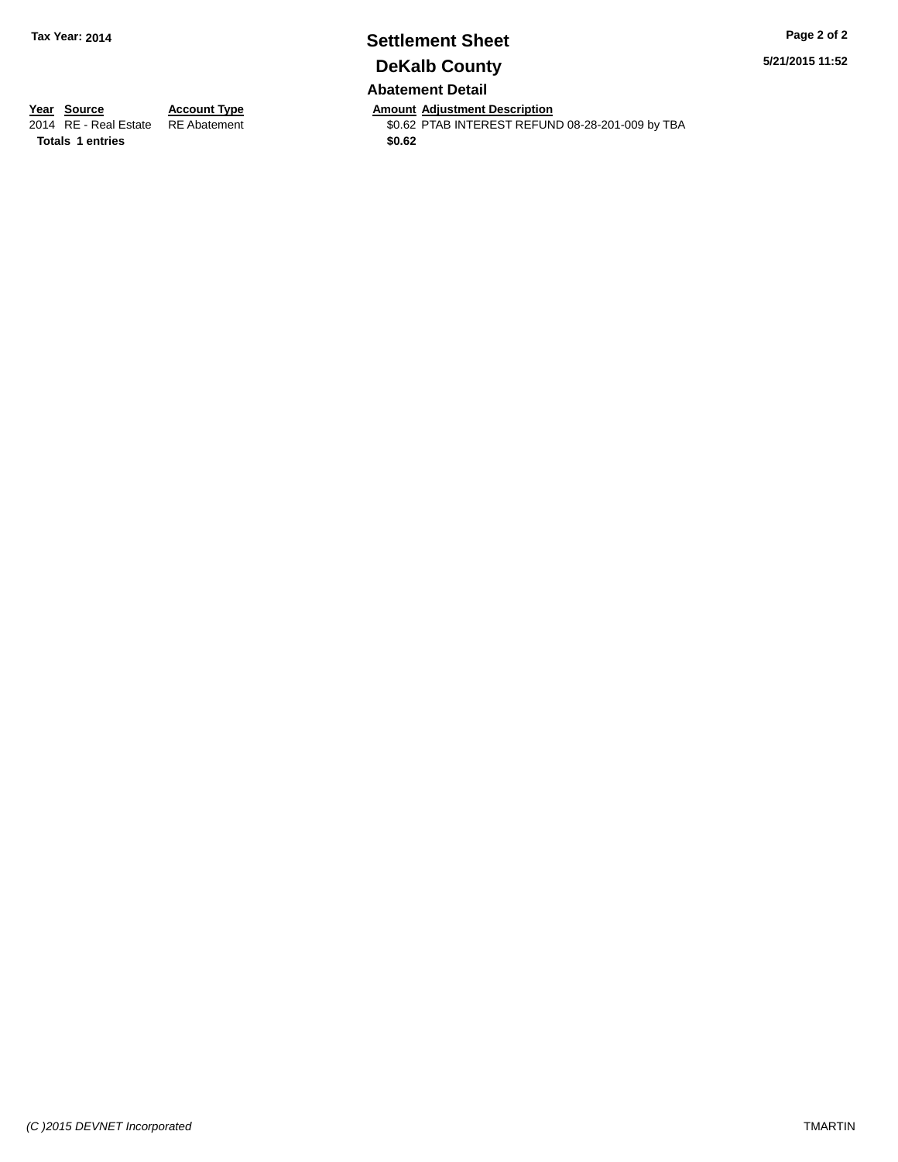# **Settlement Sheet Tax Year: 2014 Page 2 of 2 DeKalb County**

**5/21/2015 11:52**

**Abatement Detail**

**Totals 1 entries** \$0.62

**Year Source Account Type Account Type Amount Adjustment Description**<br>2014 RE - Real Estate RE Abatement **Account 1998 AMOUNTEREST REFUN** \$0.62 PTAB INTEREST REFUND 08-28-201-009 by TBA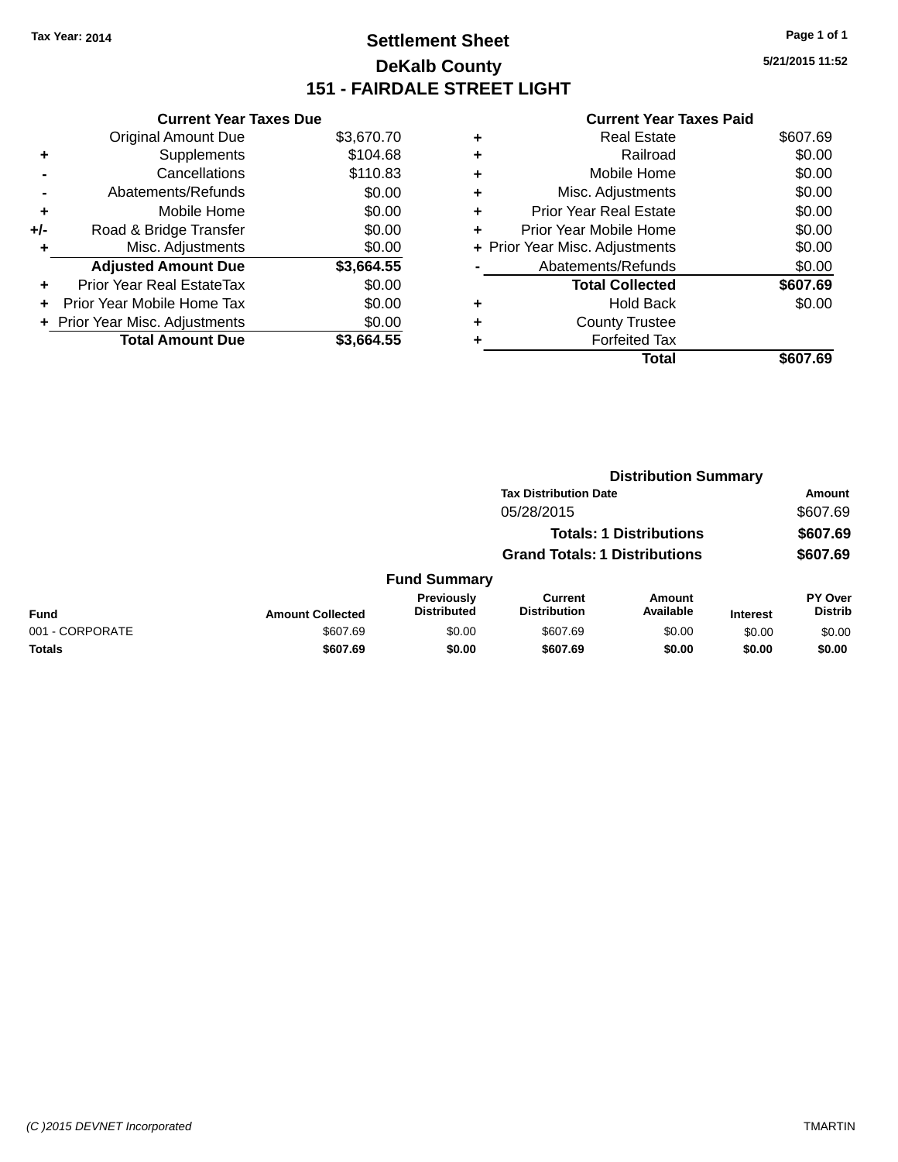# **Settlement Sheet Tax Year: 2014 Page 1 of 1 DeKalb County 151 - FAIRDALE STREET LIGHT**

**5/21/2015 11:52**

|     | <b>Current Year Taxes Due</b> |            |
|-----|-------------------------------|------------|
|     | <b>Original Amount Due</b>    | \$3,670.70 |
| ٠   | Supplements                   | \$104.68   |
|     | Cancellations                 | \$110.83   |
|     | Abatements/Refunds            | \$0.00     |
| ٠   | Mobile Home                   | \$0.00     |
| +/- | Road & Bridge Transfer        | \$0.00     |
|     | Misc. Adjustments             | \$0.00     |
|     | <b>Adjusted Amount Due</b>    | \$3,664.55 |
| ÷   | Prior Year Real EstateTax     | \$0.00     |
|     | Prior Year Mobile Home Tax    | \$0.00     |
|     | Prior Year Misc. Adjustments  | \$0.00     |
|     | <b>Total Amount Due</b>       | \$3.664.55 |

|   | <b>Real Estate</b>             | \$607.69 |
|---|--------------------------------|----------|
| ٠ | Railroad                       | \$0.00   |
| ٠ | Mobile Home                    | \$0.00   |
| ٠ | Misc. Adjustments              | \$0.00   |
| ٠ | <b>Prior Year Real Estate</b>  | \$0.00   |
| ÷ | Prior Year Mobile Home         | \$0.00   |
|   | + Prior Year Misc. Adjustments | \$0.00   |
|   | Abatements/Refunds             | \$0.00   |
|   | <b>Total Collected</b>         | \$607.69 |
| ٠ | <b>Hold Back</b>               | \$0.00   |
| ٠ | <b>County Trustee</b>          |          |
|   | <b>Forfeited Tax</b>           |          |
|   | Total                          | \$607.69 |
|   |                                |          |

|                 |                         |                                  | <b>Distribution Summary</b>           |                                |                 |                           |
|-----------------|-------------------------|----------------------------------|---------------------------------------|--------------------------------|-----------------|---------------------------|
|                 |                         |                                  | <b>Tax Distribution Date</b>          |                                |                 | Amount                    |
|                 |                         |                                  | 05/28/2015                            |                                |                 | \$607.69                  |
|                 |                         |                                  |                                       | <b>Totals: 1 Distributions</b> |                 | \$607.69                  |
|                 |                         |                                  | <b>Grand Totals: 1 Distributions</b>  |                                |                 | \$607.69                  |
|                 |                         | <b>Fund Summary</b>              |                                       |                                |                 |                           |
| <b>Fund</b>     | <b>Amount Collected</b> | Previously<br><b>Distributed</b> | <b>Current</b><br><b>Distribution</b> | Amount<br>Available            | <b>Interest</b> | PY Over<br><b>Distrib</b> |
| 001 - CORPORATE | \$607.69                | \$0.00                           | \$607.69                              | \$0.00                         | \$0.00          | \$0.00                    |
| <b>Totals</b>   | \$607.69                | \$0.00                           | \$607.69                              | \$0.00                         | \$0.00          | \$0.00                    |
|                 |                         |                                  |                                       |                                |                 |                           |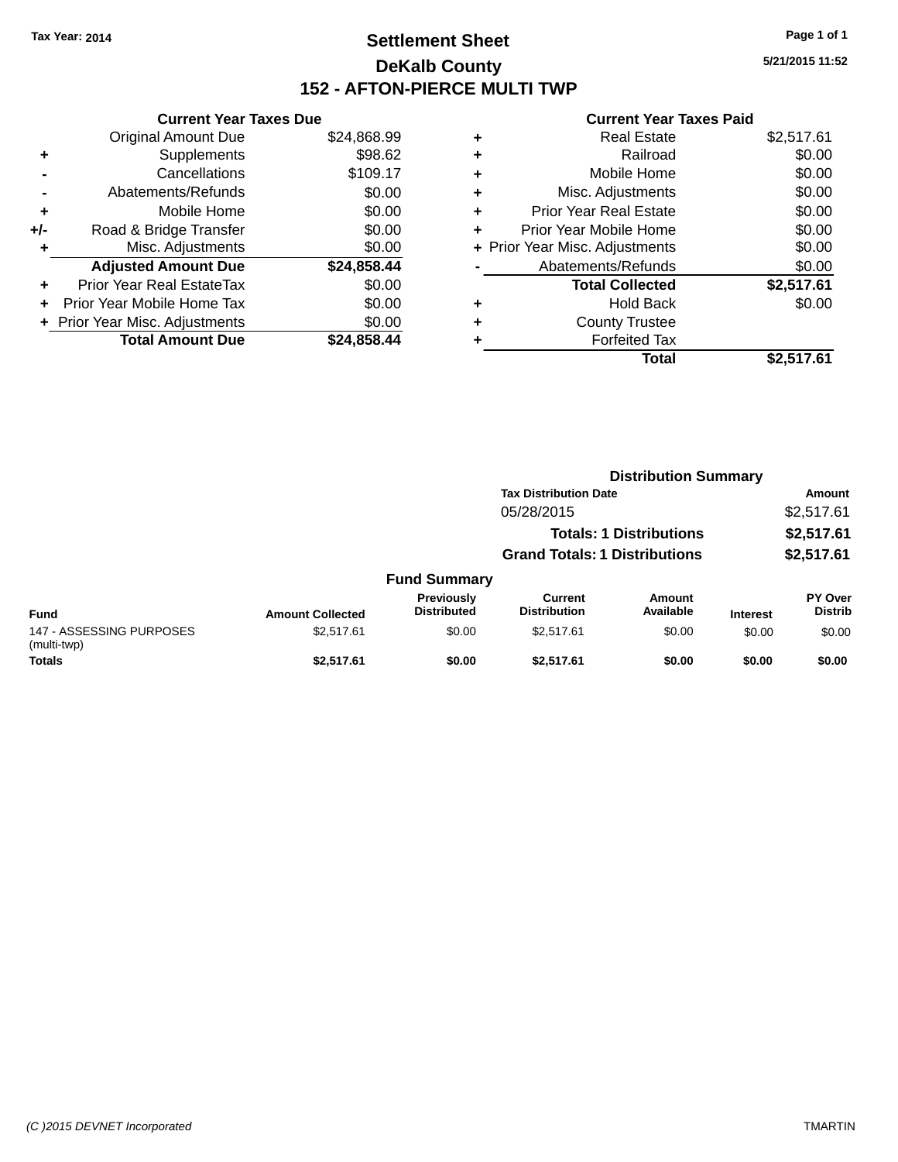# **Settlement Sheet Tax Year: 2014 Page 1 of 1 DeKalb County 152 - AFTON-PIERCE MULTI TWP**

**5/21/2015 11:52**

|     | <b>Current Year Taxes Due</b>  |             |
|-----|--------------------------------|-------------|
|     | <b>Original Amount Due</b>     | \$24,868.99 |
| ٠   | Supplements                    | \$98.62     |
|     | Cancellations                  | \$109.17    |
|     | Abatements/Refunds             | \$0.00      |
| ٠   | Mobile Home                    | \$0.00      |
| +/- | Road & Bridge Transfer         | \$0.00      |
| ٠   | Misc. Adjustments              | \$0.00      |
|     | <b>Adjusted Amount Due</b>     | \$24,858.44 |
| ٠   | Prior Year Real EstateTax      | \$0.00      |
|     | Prior Year Mobile Home Tax     | \$0.00      |
|     | + Prior Year Misc. Adjustments | \$0.00      |
|     | <b>Total Amount Due</b>        | \$24.858.44 |
|     |                                |             |

|   | <b>Real Estate</b>             | \$2,517.61 |
|---|--------------------------------|------------|
| ٠ | Railroad                       | \$0.00     |
| ٠ | Mobile Home                    | \$0.00     |
| ٠ | Misc. Adjustments              | \$0.00     |
| ٠ | <b>Prior Year Real Estate</b>  | \$0.00     |
| ٠ | Prior Year Mobile Home         | \$0.00     |
|   | + Prior Year Misc. Adjustments | \$0.00     |
|   | Abatements/Refunds             | \$0.00     |
|   | <b>Total Collected</b>         | \$2,517.61 |
| ٠ | <b>Hold Back</b>               | \$0.00     |
| ٠ | <b>County Trustee</b>          |            |
| ٠ | <b>Forfeited Tax</b>           |            |
|   | Total                          | \$2,517.61 |
|   |                                |            |

|                                         |                         |                                         | <b>Distribution Summary</b>          |                                |                 |                           |
|-----------------------------------------|-------------------------|-----------------------------------------|--------------------------------------|--------------------------------|-----------------|---------------------------|
|                                         |                         |                                         | <b>Tax Distribution Date</b>         |                                |                 | Amount                    |
|                                         |                         |                                         | 05/28/2015                           |                                |                 | \$2,517.61                |
|                                         |                         |                                         |                                      | <b>Totals: 1 Distributions</b> |                 | \$2,517.61                |
|                                         |                         |                                         | <b>Grand Totals: 1 Distributions</b> |                                |                 | \$2,517.61                |
|                                         |                         | <b>Fund Summary</b>                     |                                      |                                |                 |                           |
| <b>Fund</b>                             | <b>Amount Collected</b> | <b>Previously</b><br><b>Distributed</b> | Current<br><b>Distribution</b>       | Amount<br>Available            | <b>Interest</b> | PY Over<br><b>Distrib</b> |
| 147 - ASSESSING PURPOSES<br>(multi-twp) | \$2,517.61              | \$0.00                                  | \$2.517.61                           | \$0.00                         | \$0.00          | \$0.00                    |
| <b>Totals</b>                           | \$2,517.61              | \$0.00                                  | \$2,517.61                           | \$0.00                         | \$0.00          | \$0.00                    |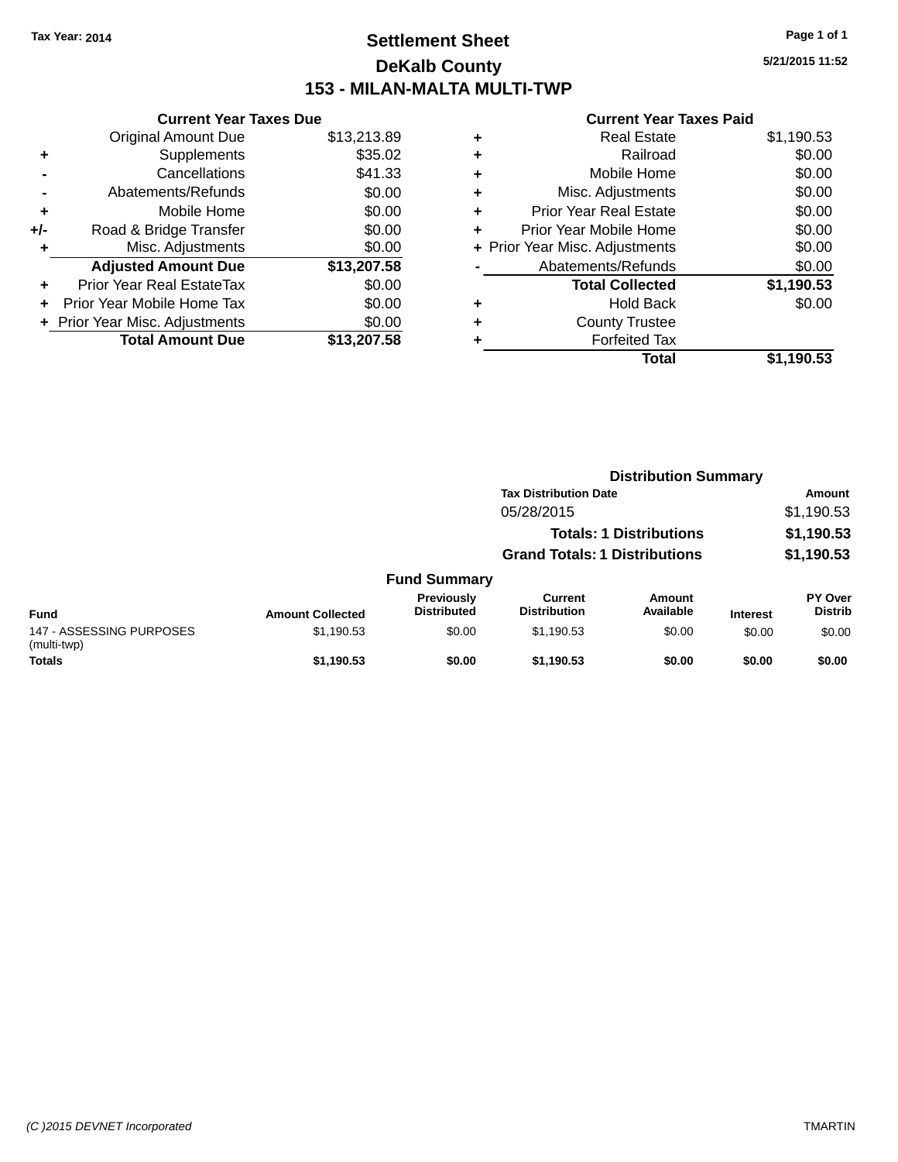# **Settlement Sheet Tax Year: 2014 Page 1 of 1 DeKalb County 153 - MILAN-MALTA MULTI-TWP**

**5/21/2015 11:52**

|     | <b>Current Year Taxes Due</b>  |             |
|-----|--------------------------------|-------------|
|     | <b>Original Amount Due</b>     | \$13,213.89 |
| ÷   | Supplements                    | \$35.02     |
|     | Cancellations                  | \$41.33     |
|     | Abatements/Refunds             | \$0.00      |
| ٠   | Mobile Home                    | \$0.00      |
| +/- | Road & Bridge Transfer         | \$0.00      |
|     | Misc. Adjustments              | \$0.00      |
|     | <b>Adjusted Amount Due</b>     | \$13,207.58 |
| ÷   | Prior Year Real EstateTax      | \$0.00      |
|     | Prior Year Mobile Home Tax     | \$0.00      |
|     | + Prior Year Misc. Adjustments | \$0.00      |
|     | <b>Total Amount Due</b>        | \$13,207.58 |
|     |                                |             |

|   | <b>Real Estate</b>             | \$1,190.53 |
|---|--------------------------------|------------|
| ٠ | Railroad                       | \$0.00     |
| ٠ | Mobile Home                    | \$0.00     |
| ٠ | Misc. Adjustments              | \$0.00     |
| ٠ | <b>Prior Year Real Estate</b>  | \$0.00     |
| ÷ | Prior Year Mobile Home         | \$0.00     |
|   | + Prior Year Misc. Adjustments | \$0.00     |
|   | Abatements/Refunds             | \$0.00     |
|   | <b>Total Collected</b>         | \$1,190.53 |
| ٠ | Hold Back                      | \$0.00     |
| ٠ | <b>County Trustee</b>          |            |
| ٠ | <b>Forfeited Tax</b>           |            |
|   | Total                          | \$1.190.53 |
|   |                                |            |

|                                         |                         |                                  | <b>Distribution Summary</b>          |                                |                 |                                  |
|-----------------------------------------|-------------------------|----------------------------------|--------------------------------------|--------------------------------|-----------------|----------------------------------|
|                                         |                         |                                  | <b>Tax Distribution Date</b>         |                                |                 | Amount                           |
|                                         |                         |                                  | 05/28/2015                           |                                |                 | \$1,190.53                       |
|                                         |                         |                                  |                                      | <b>Totals: 1 Distributions</b> |                 | \$1,190.53                       |
|                                         |                         |                                  | <b>Grand Totals: 1 Distributions</b> |                                |                 | \$1,190.53                       |
|                                         |                         | <b>Fund Summary</b>              |                                      |                                |                 |                                  |
| <b>Fund</b>                             | <b>Amount Collected</b> | Previously<br><b>Distributed</b> | Current<br><b>Distribution</b>       | Amount<br>Available            | <b>Interest</b> | <b>PY Over</b><br><b>Distrib</b> |
| 147 - ASSESSING PURPOSES<br>(multi-twp) | \$1,190.53              | \$0.00                           | \$1.190.53                           | \$0.00                         | \$0.00          | \$0.00                           |
| <b>Totals</b>                           | \$1.190.53              | \$0.00                           | \$1.190.53                           | \$0.00                         | \$0.00          | \$0.00                           |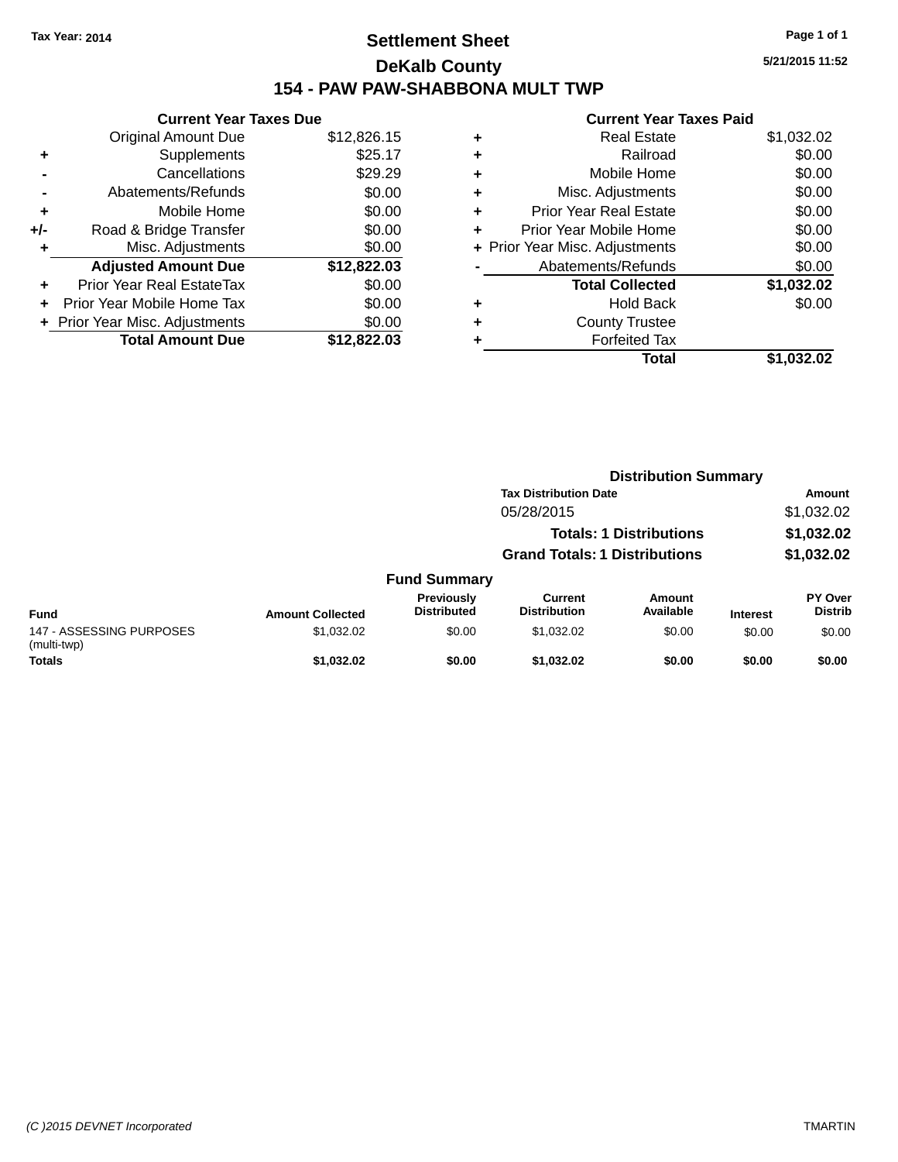# **Settlement Sheet Tax Year: 2014 Page 1 of 1 DeKalb County 154 - PAW PAW-SHABBONA MULT TWP**

**5/21/2015 11:52**

|     | <b>Current Year Taxes Due</b>    |             |  |  |  |
|-----|----------------------------------|-------------|--|--|--|
|     | <b>Original Amount Due</b>       | \$12,826.15 |  |  |  |
| ٠   | Supplements                      | \$25.17     |  |  |  |
|     | Cancellations                    | \$29.29     |  |  |  |
|     | \$0.00<br>Abatements/Refunds     |             |  |  |  |
| ٠   | Mobile Home                      | \$0.00      |  |  |  |
| +/- | Road & Bridge Transfer           | \$0.00      |  |  |  |
|     | Misc. Adjustments                | \$0.00      |  |  |  |
|     | <b>Adjusted Amount Due</b>       | \$12,822.03 |  |  |  |
| ÷   | <b>Prior Year Real EstateTax</b> | \$0.00      |  |  |  |
|     | Prior Year Mobile Home Tax       | \$0.00      |  |  |  |
|     | + Prior Year Misc. Adjustments   | \$0.00      |  |  |  |
|     | <b>Total Amount Due</b>          | \$12,822.03 |  |  |  |

|   | <b>Real Estate</b>             | \$1,032.02 |
|---|--------------------------------|------------|
| ٠ | Railroad                       | \$0.00     |
| ٠ | Mobile Home                    | \$0.00     |
| ٠ | Misc. Adjustments              | \$0.00     |
| ٠ | <b>Prior Year Real Estate</b>  | \$0.00     |
| ٠ | Prior Year Mobile Home         | \$0.00     |
|   | + Prior Year Misc. Adjustments | \$0.00     |
|   | Abatements/Refunds             | \$0.00     |
|   | <b>Total Collected</b>         | \$1,032.02 |
| ٠ | Hold Back                      | \$0.00     |
|   | <b>County Trustee</b>          |            |
| ٠ | <b>Forfeited Tax</b>           |            |
|   | Total                          | \$1.032.02 |
|   |                                |            |

|                                         |                         |                                         | <b>Distribution Summary</b>           |                                |                 |                           |
|-----------------------------------------|-------------------------|-----------------------------------------|---------------------------------------|--------------------------------|-----------------|---------------------------|
|                                         |                         |                                         | <b>Tax Distribution Date</b>          |                                |                 | Amount                    |
|                                         |                         |                                         | 05/28/2015                            |                                |                 | \$1,032.02                |
|                                         |                         |                                         |                                       | <b>Totals: 1 Distributions</b> |                 | \$1,032.02                |
|                                         |                         |                                         | <b>Grand Totals: 1 Distributions</b>  |                                |                 | \$1,032.02                |
|                                         |                         | <b>Fund Summary</b>                     |                                       |                                |                 |                           |
| <b>Fund</b>                             | <b>Amount Collected</b> | <b>Previously</b><br><b>Distributed</b> | <b>Current</b><br><b>Distribution</b> | Amount<br>Available            | <b>Interest</b> | PY Over<br><b>Distrib</b> |
| 147 - ASSESSING PURPOSES<br>(multi-twp) | \$1,032.02              | \$0.00                                  | \$1.032.02                            | \$0.00                         | \$0.00          | \$0.00                    |
| <b>Totals</b>                           | \$1,032.02              | \$0.00                                  | \$1.032.02                            | \$0.00                         | \$0.00          | \$0.00                    |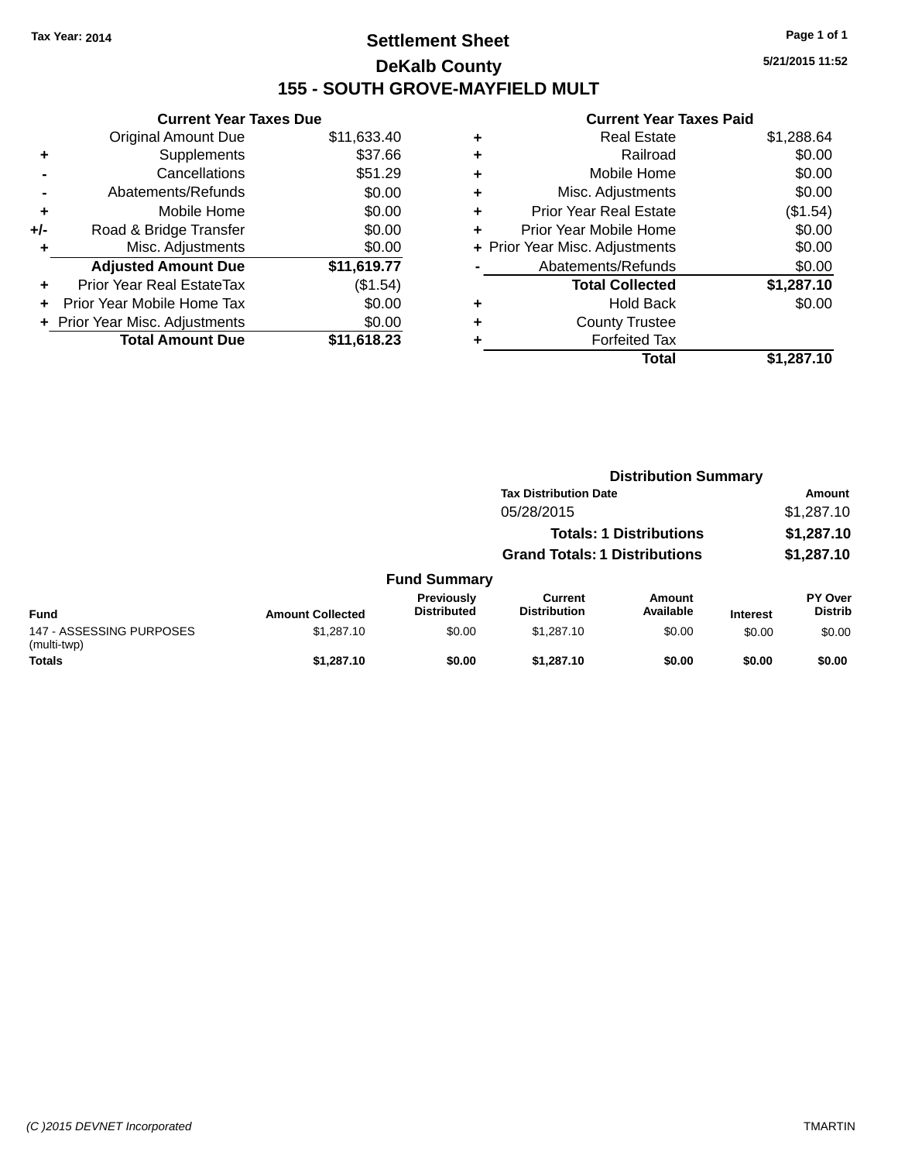# **Settlement Sheet Tax Year: 2014 Page 1 of 1 DeKalb County 155 - SOUTH GROVE-MAYFIELD MULT**

**5/21/2015 11:52**

|     | <b>Current Year Taxes Due</b> |             |
|-----|-------------------------------|-------------|
|     | <b>Original Amount Due</b>    | \$11,633.40 |
| ٠   | Supplements                   | \$37.66     |
|     | Cancellations                 | \$51.29     |
|     | Abatements/Refunds            | \$0.00      |
| ٠   | Mobile Home                   | \$0.00      |
| +/- | Road & Bridge Transfer        | \$0.00      |
| ٠   | Misc. Adjustments             | \$0.00      |
|     | <b>Adjusted Amount Due</b>    | \$11,619.77 |
| ÷   | Prior Year Real EstateTax     | (\$1.54)    |
|     | Prior Year Mobile Home Tax    | \$0.00      |
|     | Prior Year Misc. Adjustments  | \$0.00      |
|     | <b>Total Amount Due</b>       | \$11.618.23 |

| ٠ | <b>Real Estate</b>             | \$1,288.64 |
|---|--------------------------------|------------|
| ٠ | Railroad                       | \$0.00     |
| ٠ | Mobile Home                    | \$0.00     |
| ٠ | Misc. Adjustments              | \$0.00     |
| ٠ | <b>Prior Year Real Estate</b>  | (\$1.54)   |
| ÷ | Prior Year Mobile Home         | \$0.00     |
|   | + Prior Year Misc. Adjustments | \$0.00     |
|   | Abatements/Refunds             | \$0.00     |
|   | <b>Total Collected</b>         | \$1,287.10 |
| ٠ | <b>Hold Back</b>               | \$0.00     |
| ٠ | <b>County Trustee</b>          |            |
| ٠ | <b>Forfeited Tax</b>           |            |
|   | Total                          | \$1,287.10 |
|   |                                |            |

|                                         |                         |                                  | <b>Distribution Summary</b>           |                                |                 |                           |
|-----------------------------------------|-------------------------|----------------------------------|---------------------------------------|--------------------------------|-----------------|---------------------------|
|                                         |                         |                                  | <b>Tax Distribution Date</b>          |                                |                 | Amount                    |
|                                         |                         |                                  | 05/28/2015                            |                                |                 | \$1,287.10                |
|                                         |                         |                                  |                                       | <b>Totals: 1 Distributions</b> |                 | \$1,287.10                |
|                                         |                         |                                  | <b>Grand Totals: 1 Distributions</b>  |                                |                 | \$1,287.10                |
|                                         |                         | <b>Fund Summary</b>              |                                       |                                |                 |                           |
| <b>Fund</b>                             | <b>Amount Collected</b> | Previously<br><b>Distributed</b> | <b>Current</b><br><b>Distribution</b> | Amount<br>Available            | <b>Interest</b> | PY Over<br><b>Distrib</b> |
| 147 - ASSESSING PURPOSES<br>(multi-twp) | \$1,287.10              | \$0.00                           | \$1,287.10                            | \$0.00                         | \$0.00          | \$0.00                    |
| <b>Totals</b>                           | \$1,287.10              | \$0.00                           | \$1,287.10                            | \$0.00                         | \$0.00          | \$0.00                    |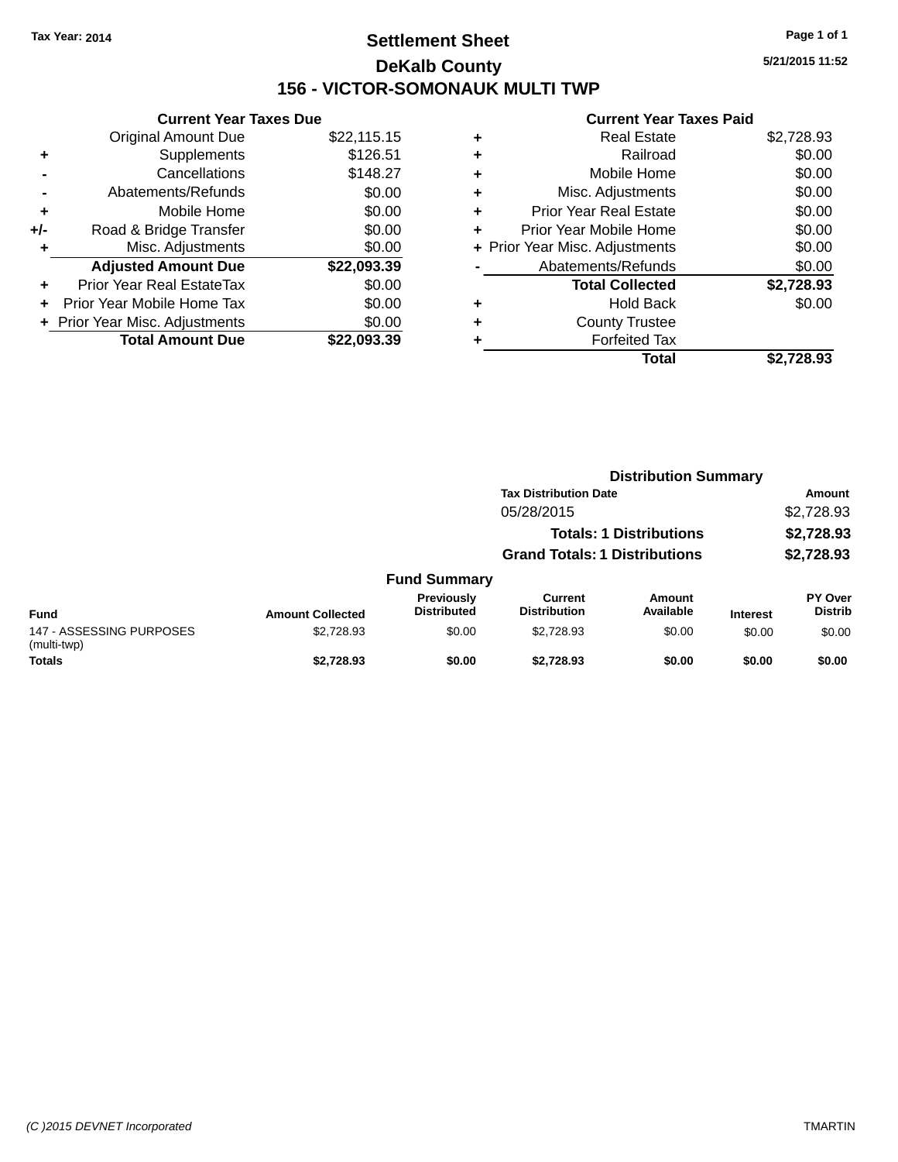# **Settlement Sheet Tax Year: 2014 Page 1 of 1 DeKalb County 156 - VICTOR-SOMONAUK MULTI TWP**

**5/21/2015 11:52**

|     | <b>Current Year Taxes Due</b>  |             |  |  |  |
|-----|--------------------------------|-------------|--|--|--|
|     | <b>Original Amount Due</b>     | \$22,115.15 |  |  |  |
| ٠   | Supplements                    | \$126.51    |  |  |  |
|     | Cancellations                  | \$148.27    |  |  |  |
|     | \$0.00<br>Abatements/Refunds   |             |  |  |  |
| ÷   | Mobile Home                    | \$0.00      |  |  |  |
| +/- | Road & Bridge Transfer         | \$0.00      |  |  |  |
| ٠   | Misc. Adjustments              | \$0.00      |  |  |  |
|     | <b>Adjusted Amount Due</b>     | \$22,093.39 |  |  |  |
| ٠   | Prior Year Real EstateTax      | \$0.00      |  |  |  |
|     | Prior Year Mobile Home Tax     | \$0.00      |  |  |  |
|     | + Prior Year Misc. Adjustments | \$0.00      |  |  |  |
|     | <b>Total Amount Due</b>        | \$22.093.39 |  |  |  |
|     |                                |             |  |  |  |

|   | <b>Real Estate</b>             | \$2,728.93 |
|---|--------------------------------|------------|
| ٠ | Railroad                       | \$0.00     |
| ٠ | Mobile Home                    | \$0.00     |
| ٠ | Misc. Adjustments              | \$0.00     |
| ٠ | <b>Prior Year Real Estate</b>  | \$0.00     |
| ÷ | Prior Year Mobile Home         | \$0.00     |
|   | + Prior Year Misc. Adjustments | \$0.00     |
|   | Abatements/Refunds             | \$0.00     |
|   | <b>Total Collected</b>         | \$2,728.93 |
| ٠ | <b>Hold Back</b>               | \$0.00     |
|   | <b>County Trustee</b>          |            |
| ٠ | <b>Forfeited Tax</b>           |            |
|   | Total                          | \$2.728.93 |
|   |                                |            |

|                                         |                         |                                         | <b>Distribution Summary</b>          |                                |                 |                                  |
|-----------------------------------------|-------------------------|-----------------------------------------|--------------------------------------|--------------------------------|-----------------|----------------------------------|
|                                         |                         |                                         | <b>Tax Distribution Date</b>         |                                |                 | <b>Amount</b>                    |
|                                         |                         |                                         | 05/28/2015                           |                                |                 | \$2,728.93                       |
|                                         |                         |                                         |                                      | <b>Totals: 1 Distributions</b> |                 | \$2,728.93                       |
|                                         |                         |                                         | <b>Grand Totals: 1 Distributions</b> |                                |                 | \$2,728.93                       |
|                                         |                         | <b>Fund Summary</b>                     |                                      |                                |                 |                                  |
| <b>Fund</b>                             | <b>Amount Collected</b> | <b>Previously</b><br><b>Distributed</b> | Current<br><b>Distribution</b>       | Amount<br>Available            | <b>Interest</b> | <b>PY Over</b><br><b>Distrib</b> |
| 147 - ASSESSING PURPOSES<br>(multi-twp) | \$2,728.93              | \$0.00                                  | \$2.728.93                           | \$0.00                         | \$0.00          | \$0.00                           |
| <b>Totals</b>                           | \$2.728.93              | \$0.00                                  | \$2.728.93                           | \$0.00                         | \$0.00          | \$0.00                           |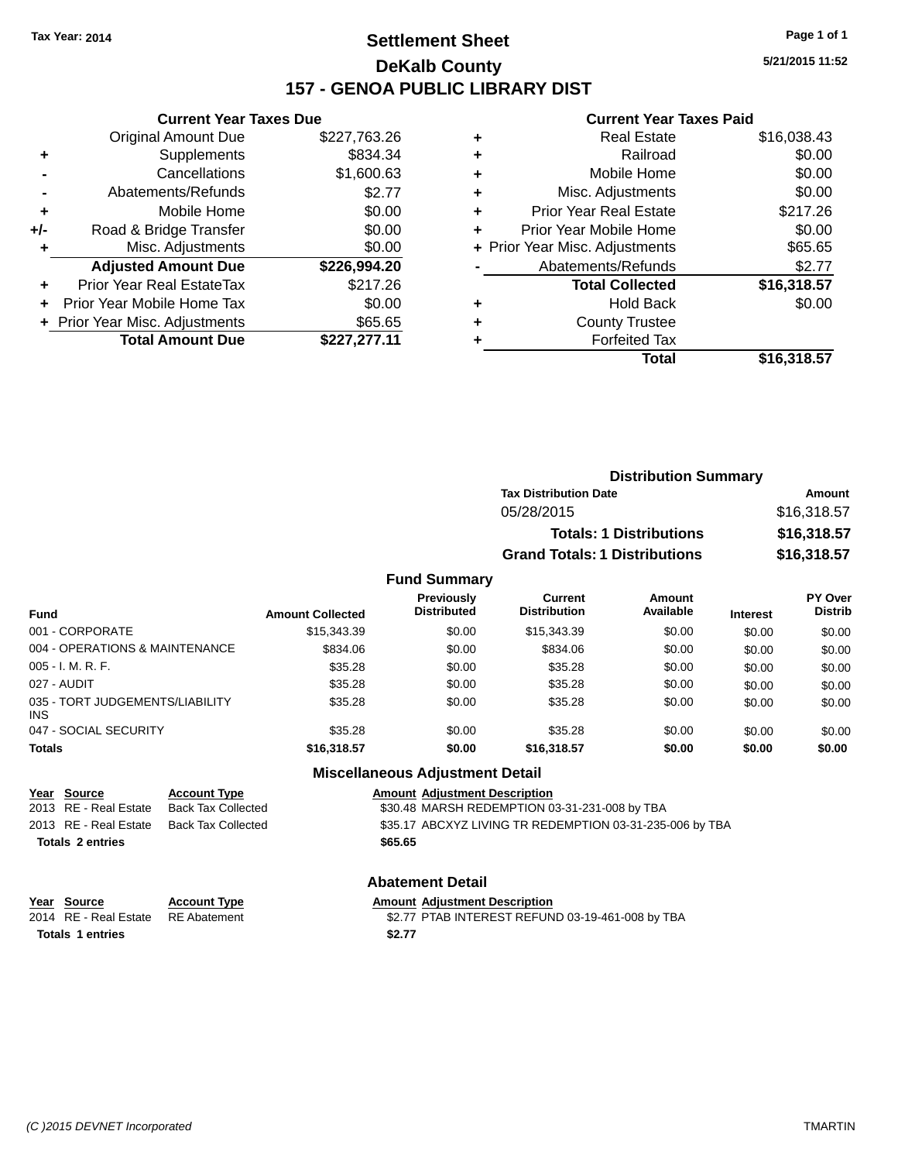# **Settlement Sheet Tax Year: 2014 Page 1 of 1 DeKalb County 157 - GENOA PUBLIC LIBRARY DIST**

**5/21/2015 11:52**

#### **Current Year Taxes Paid**

| <b>Current Year Taxes Due</b>  |              |
|--------------------------------|--------------|
| <b>Original Amount Due</b>     | \$227,763.26 |
| Supplements                    | \$834.34     |
| Cancellations                  | \$1,600.63   |
| Abatements/Refunds             | \$2.77       |
| Mobile Home                    | \$0.00       |
| Road & Bridge Transfer         | \$0.00       |
| Misc. Adjustments              | \$0.00       |
| <b>Adjusted Amount Due</b>     | \$226,994.20 |
| Prior Year Real EstateTax      | \$217.26     |
| Prior Year Mobile Home Tax     | \$0.00       |
| + Prior Year Misc. Adjustments | \$65.65      |
| <b>Total Amount Due</b>        | \$227,277.11 |
|                                |              |

| ٠ | <b>Real Estate</b>             | \$16,038.43 |
|---|--------------------------------|-------------|
| ٠ | Railroad                       | \$0.00      |
| ٠ | Mobile Home                    | \$0.00      |
| ٠ | Misc. Adjustments              | \$0.00      |
| ٠ | <b>Prior Year Real Estate</b>  | \$217.26    |
| ٠ | Prior Year Mobile Home         | \$0.00      |
|   | + Prior Year Misc. Adjustments | \$65.65     |
|   | Abatements/Refunds             | \$2.77      |
|   | <b>Total Collected</b>         | \$16,318.57 |
| ٠ | <b>Hold Back</b>               | \$0.00      |
| ٠ | <b>County Trustee</b>          |             |
| ٠ | <b>Forfeited Tax</b>           |             |
|   | Total                          | \$16,318.57 |
|   |                                |             |

| <b>Distribution Summary</b>          |             |
|--------------------------------------|-------------|
| <b>Tax Distribution Date</b>         | Amount      |
| 05/28/2015                           | \$16,318.57 |
| <b>Totals: 1 Distributions</b>       | \$16,318.57 |
| <b>Grand Totals: 1 Distributions</b> | \$16,318.57 |

#### **Fund Summary**

| <b>Fund</b>                                   | <b>Amount Collected</b> | <b>Previously</b><br><b>Distributed</b> | <b>Current</b><br><b>Distribution</b> | Amount<br>Available | <b>Interest</b> | PY Over<br><b>Distrib</b> |
|-----------------------------------------------|-------------------------|-----------------------------------------|---------------------------------------|---------------------|-----------------|---------------------------|
| 001 - CORPORATE                               | \$15,343.39             | \$0.00                                  | \$15,343.39                           | \$0.00              | \$0.00          | \$0.00                    |
| 004 - OPERATIONS & MAINTENANCE                | \$834.06                | \$0.00                                  | \$834.06                              | \$0.00              | \$0.00          | \$0.00                    |
| $005 - I. M. R. F.$                           | \$35.28                 | \$0.00                                  | \$35.28                               | \$0.00              | \$0.00          | \$0.00                    |
| 027 - AUDIT                                   | \$35.28                 | \$0.00                                  | \$35.28                               | \$0.00              | \$0.00          | \$0.00                    |
| 035 - TORT JUDGEMENTS/LIABILITY<br><b>INS</b> | \$35.28                 | \$0.00                                  | \$35.28                               | \$0.00              | \$0.00          | \$0.00                    |
| 047 - SOCIAL SECURITY                         | \$35.28                 | \$0.00                                  | \$35.28                               | \$0.00              | \$0.00          | \$0.00                    |
| <b>Totals</b>                                 | \$16,318.57             | \$0.00                                  | \$16,318.57                           | \$0.00              | \$0.00          | \$0.00                    |

#### **Miscellaneous Adjustment Detail**

| Year Source             | <b>Account Type</b> | <b>Amount Adjustment Description</b>                     |
|-------------------------|---------------------|----------------------------------------------------------|
| 2013 RE - Real Estate   | Back Tax Collected  | \$30.48 MARSH REDEMPTION 03-31-231-008 by TBA            |
| 2013 RE - Real Estate   | Back Tax Collected  | \$35.17 ABCXYZ LIVING TR REDEMPTION 03-31-235-006 by TBA |
| <b>Totals 2 entries</b> |                     | \$65.65                                                  |
|                         |                     |                                                          |

#### **Abatement Detail**

| Year Source           | <b>Account Type</b> | <b>Amount Adiustment Description</b>             |
|-----------------------|---------------------|--------------------------------------------------|
| 2014 RE - Real Estate | RE Abatement        | \$2.77 PTAB INTEREST REFUND 03-19-461-008 by TBA |
| Totals 1 entries      |                     | \$2.77                                           |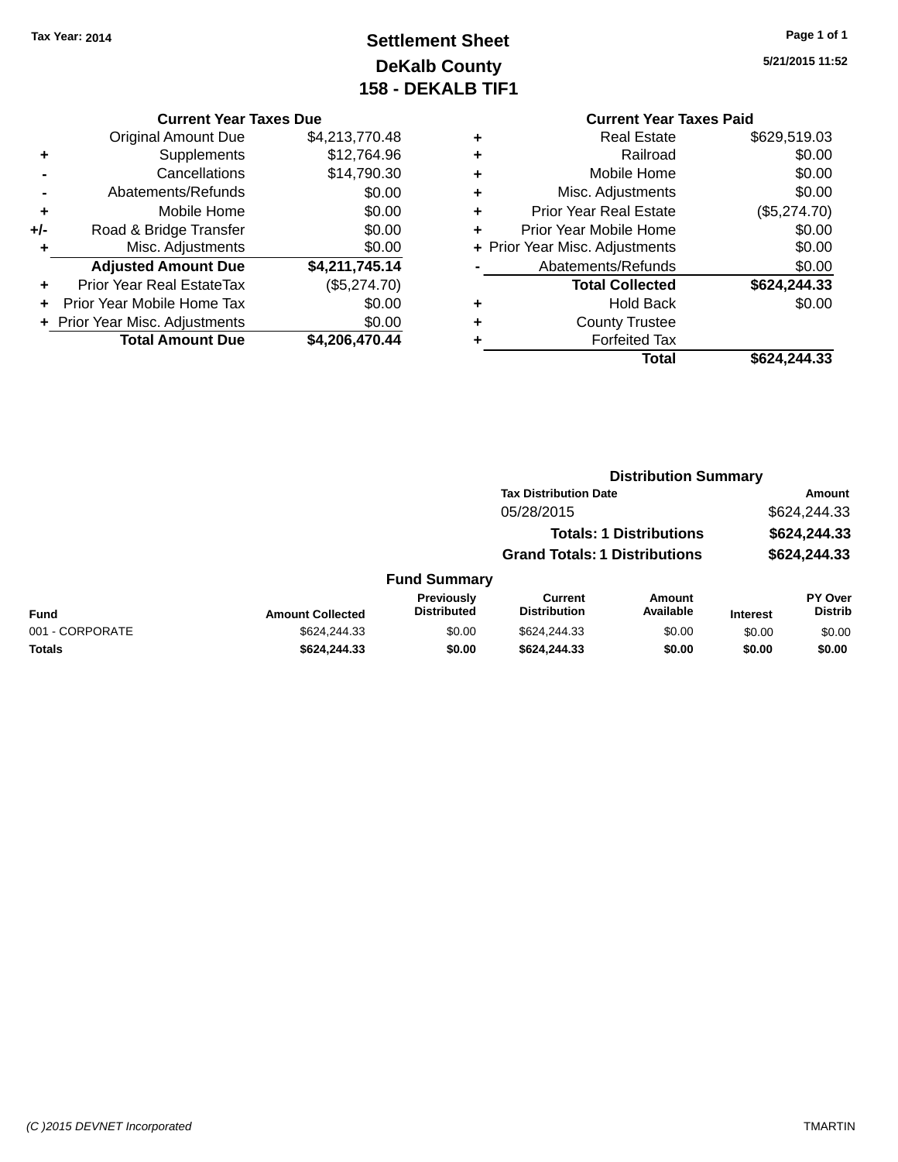# **Settlement Sheet Tax Year: 2014 Page 1 of 1 DeKalb County 158 - DEKALB TIF1**

**5/21/2015 11:52**

#### **Current Year Taxes Due**

|       | <b>Original Amount Due</b>       | \$4,213,770.48 |
|-------|----------------------------------|----------------|
| ٠     | Supplements                      | \$12,764.96    |
|       | Cancellations                    | \$14,790.30    |
|       | Abatements/Refunds               | \$0.00         |
| ٠     | Mobile Home                      | \$0.00         |
| $+/-$ | Road & Bridge Transfer           | \$0.00         |
| ٠     | Misc. Adjustments                | \$0.00         |
|       | <b>Adjusted Amount Due</b>       | \$4,211,745.14 |
| ٠     | <b>Prior Year Real EstateTax</b> | (\$5,274.70)   |
|       | Prior Year Mobile Home Tax       | \$0.00         |
|       | + Prior Year Misc. Adjustments   | \$0.00         |
|       | <b>Total Amount Due</b>          | \$4,206,470.44 |

|   | <b>Current Year Taxes Paid</b> |              |  |  |  |  |
|---|--------------------------------|--------------|--|--|--|--|
| ٠ | <b>Real Estate</b>             | \$629,519.03 |  |  |  |  |
| ٠ | Railroad                       | \$0.00       |  |  |  |  |
| ٠ | Mobile Home                    | \$0.00       |  |  |  |  |
| ٠ | Misc. Adjustments              | \$0.00       |  |  |  |  |
| ٠ | <b>Prior Year Real Estate</b>  | (\$5,274.70) |  |  |  |  |
| ٠ | Prior Year Mobile Home         | \$0.00       |  |  |  |  |
|   | + Prior Year Misc. Adjustments | \$0.00       |  |  |  |  |
|   | Abatements/Refunds             | \$0.00       |  |  |  |  |
|   | <b>Total Collected</b>         | \$624,244.33 |  |  |  |  |
| ٠ | <b>Hold Back</b>               | \$0.00       |  |  |  |  |
|   | <b>County Trustee</b>          |              |  |  |  |  |
|   | <b>Forfeited Tax</b>           |              |  |  |  |  |
|   | Total                          | \$624,244.33 |  |  |  |  |
|   |                                |              |  |  |  |  |

#### **Distribution Summary Tax Distribution Date Amount** 05/28/2015 \$624,244.33 **Totals: 1 Distributions \$624,244.33 Grand Totals: 1 Distributions \$624,244.33 Fund Summary PY Over Distrib Amount Available Current Distribution Previously**

| Fund            | <b>Amount Collected</b> | <b>Previously</b><br><b>Distributed</b> | Current<br><b>Distribution</b> | Amount<br>Available | <b>Interest</b> | <b>PY Over</b><br><b>Distrib</b> |
|-----------------|-------------------------|-----------------------------------------|--------------------------------|---------------------|-----------------|----------------------------------|
| 001 - CORPORATE | \$624.244.33            | \$0.00                                  | \$624.244.33                   | \$0.00              | \$0.00          | \$0.00                           |
| Totals          | \$624.244.33            | \$0.00                                  | \$624.244.33                   | \$0.00              | \$0.00          | \$0.00                           |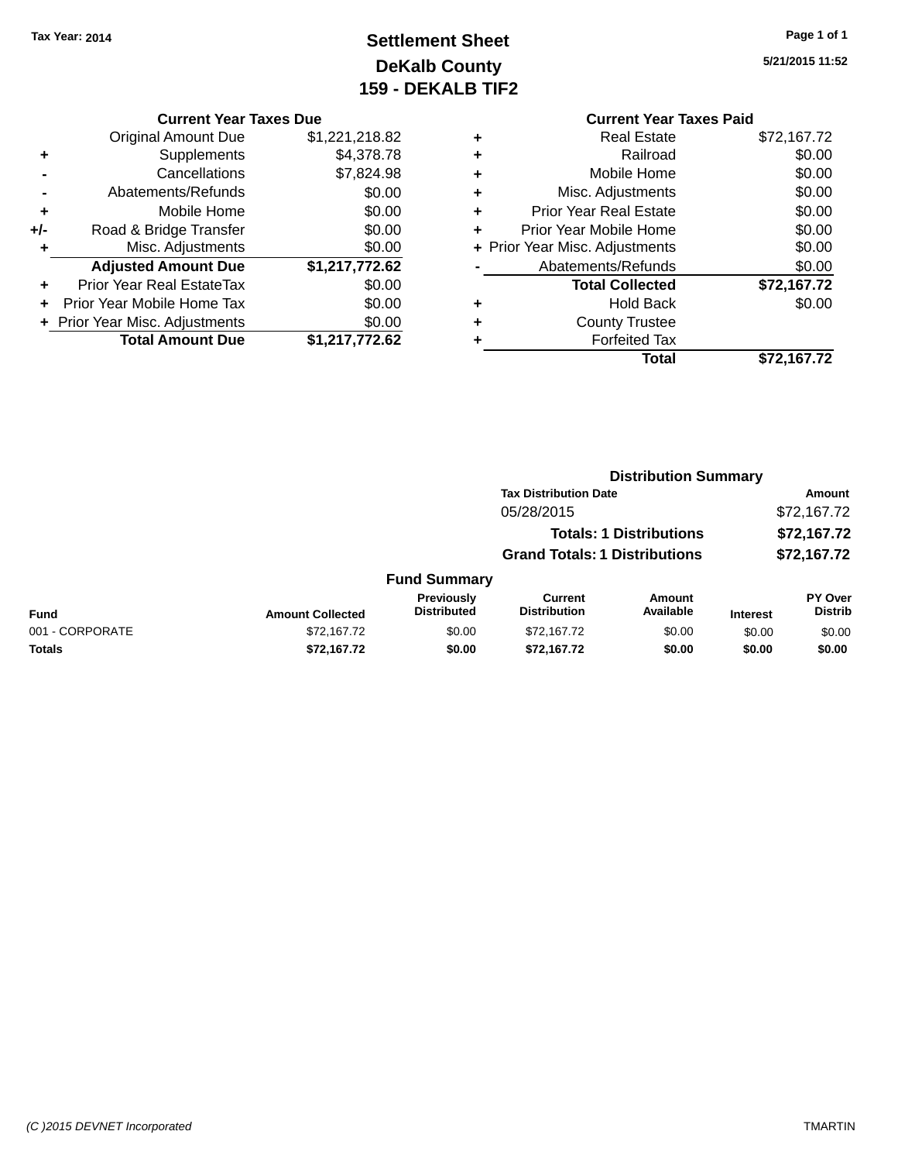# **Settlement Sheet Tax Year: 2014 Page 1 of 1 DeKalb County 159 - DEKALB TIF2**

**5/21/2015 11:52**

#### **Current Year Taxes Due**

|     | <b>Original Amount Due</b>     | \$1,221,218.82 |
|-----|--------------------------------|----------------|
| ٠   | Supplements                    | \$4,378.78     |
|     | Cancellations                  | \$7,824.98     |
|     | Abatements/Refunds             | \$0.00         |
| ٠   | Mobile Home                    | \$0.00         |
| +/- | Road & Bridge Transfer         | \$0.00         |
| ٠   | Misc. Adjustments              | \$0.00         |
|     | <b>Adjusted Amount Due</b>     | \$1,217,772.62 |
|     | Prior Year Real EstateTax      | \$0.00         |
| ÷   | Prior Year Mobile Home Tax     | \$0.00         |
|     | + Prior Year Misc. Adjustments | \$0.00         |
|     | <b>Total Amount Due</b>        | \$1,217,772.62 |

#### **Current Year Taxes Paid +** Real Estate \$72,167.72 **+** Railroad \$0.00 **+** Mobile Home \$0.00 **+** Misc. Adjustments \$0.00 **+** Prior Year Real Estate \$0.00 **+** Prior Year Mobile Home \$0.00 **+ Prior Year Misc. Adjustments**  $$0.00$ **-** Abatements/Refunds \$0.00 **Total Collected \$72,167.72 +** Hold Back \$0.00 **+** County Trustee

**Total \$72,167.72**

**+** Forfeited Tax

|                 | <b>Distribution Summary</b> |                                         |                                       |                                |                 |                                  |
|-----------------|-----------------------------|-----------------------------------------|---------------------------------------|--------------------------------|-----------------|----------------------------------|
|                 |                             |                                         | <b>Tax Distribution Date</b>          | <b>Amount</b>                  |                 |                                  |
|                 |                             |                                         | 05/28/2015                            |                                |                 | \$72,167.72                      |
|                 |                             |                                         |                                       | <b>Totals: 1 Distributions</b> |                 | \$72,167.72                      |
|                 |                             |                                         | <b>Grand Totals: 1 Distributions</b>  |                                | \$72,167.72     |                                  |
|                 |                             | <b>Fund Summary</b>                     |                                       |                                |                 |                                  |
| <b>Fund</b>     | <b>Amount Collected</b>     | <b>Previously</b><br><b>Distributed</b> | <b>Current</b><br><b>Distribution</b> | <b>Amount</b><br>Available     | <b>Interest</b> | <b>PY Over</b><br><b>Distrib</b> |
| 001 - CORPORATE | \$72,167.72                 | \$0.00                                  | \$72,167.72                           | \$0.00                         | \$0.00          | \$0.00                           |
| Totals          | \$72,167.72                 | \$0.00                                  | \$72,167.72                           | \$0.00                         | \$0.00          | \$0.00                           |
|                 |                             |                                         |                                       |                                |                 |                                  |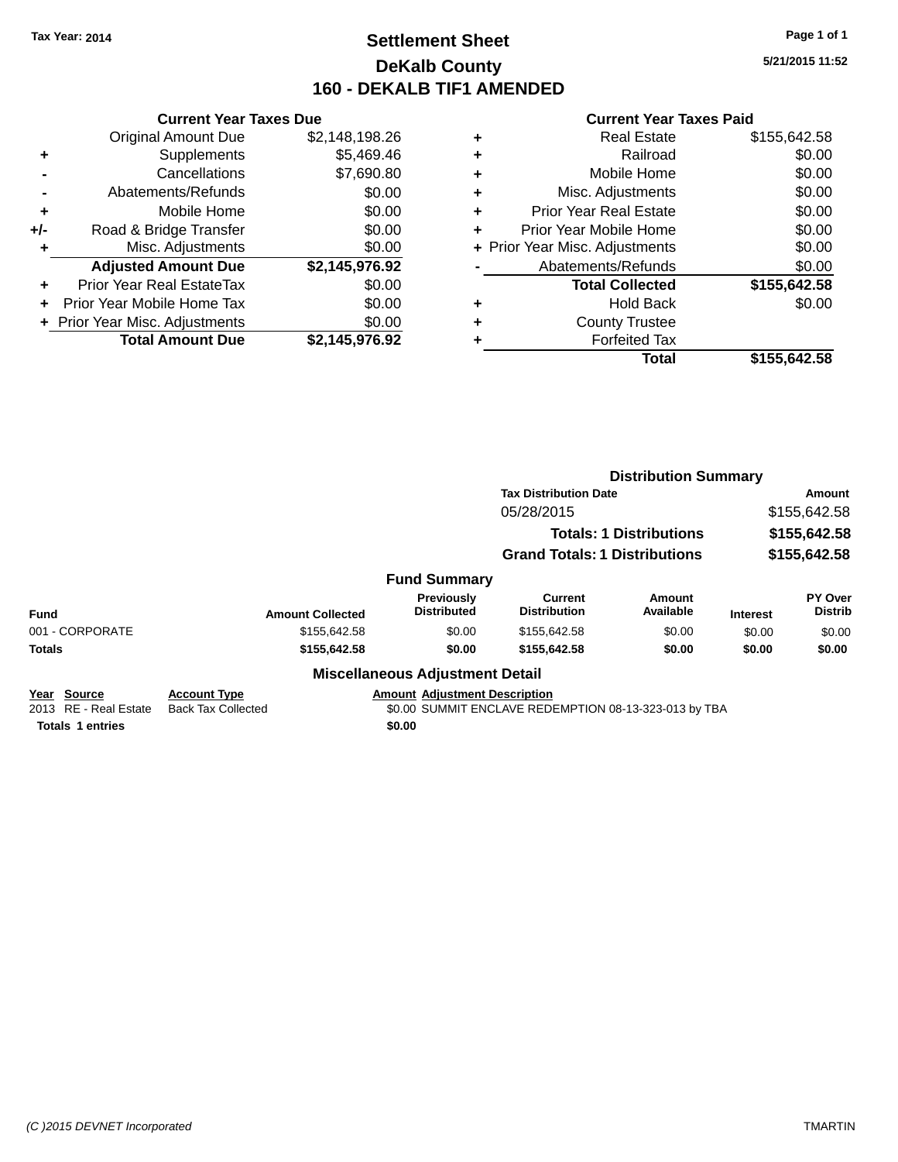# **Settlement Sheet Tax Year: 2014 Page 1 of 1 DeKalb County 160 - DEKALB TIF1 AMENDED**

**5/21/2015 11:52**

|     | <b>Current Year Taxes Due</b>  |                |
|-----|--------------------------------|----------------|
|     | <b>Original Amount Due</b>     | \$2,148,198.26 |
| ٠   | Supplements                    | \$5,469.46     |
|     | Cancellations                  | \$7,690.80     |
|     | Abatements/Refunds             | \$0.00         |
| ٠   | Mobile Home                    | \$0.00         |
| +/- | Road & Bridge Transfer         | \$0.00         |
| ٠   | Misc. Adjustments              | \$0.00         |
|     | <b>Adjusted Amount Due</b>     | \$2,145,976.92 |
| ÷   | Prior Year Real EstateTax      | \$0.00         |
| ÷   | Prior Year Mobile Home Tax     | \$0.00         |
|     | + Prior Year Misc. Adjustments | \$0.00         |
|     | <b>Total Amount Due</b>        | \$2,145,976.92 |

| ٠ | <b>Real Estate</b>             | \$155,642.58 |
|---|--------------------------------|--------------|
| ٠ | Railroad                       | \$0.00       |
| ٠ | Mobile Home                    | \$0.00       |
| ٠ | Misc. Adjustments              | \$0.00       |
| ٠ | <b>Prior Year Real Estate</b>  | \$0.00       |
| ٠ | Prior Year Mobile Home         | \$0.00       |
|   | + Prior Year Misc. Adjustments | \$0.00       |
|   | Abatements/Refunds             | \$0.00       |
|   | <b>Total Collected</b>         | \$155,642.58 |
| ٠ | <b>Hold Back</b>               | \$0.00       |
| ٠ | <b>County Trustee</b>          |              |
| ٠ | <b>Forfeited Tax</b>           |              |
|   | Total                          | \$155,642.58 |
|   |                                |              |

|                                                                              |                                                  |                                                | <b>Distribution Summary</b>                           |                     |                              |                           |  |
|------------------------------------------------------------------------------|--------------------------------------------------|------------------------------------------------|-------------------------------------------------------|---------------------|------------------------------|---------------------------|--|
|                                                                              |                                                  |                                                | <b>Tax Distribution Date</b>                          |                     |                              | Amount                    |  |
|                                                                              |                                                  |                                                | 05/28/2015<br><b>Totals: 1 Distributions</b>          |                     | \$155,642.58<br>\$155,642.58 |                           |  |
|                                                                              |                                                  |                                                |                                                       |                     |                              |                           |  |
|                                                                              |                                                  |                                                | <b>Grand Totals: 1 Distributions</b>                  |                     | \$155,642.58                 |                           |  |
|                                                                              |                                                  | <b>Fund Summary</b>                            |                                                       |                     |                              |                           |  |
| <b>Fund</b>                                                                  | <b>Amount Collected</b>                          | Previously<br><b>Distributed</b>               | <b>Current</b><br><b>Distribution</b>                 | Amount<br>Available | <b>Interest</b>              | PY Over<br><b>Distrib</b> |  |
| 001 - CORPORATE                                                              | \$155,642.58                                     | \$0.00                                         | \$155,642.58                                          | \$0.00              | \$0.00                       | \$0.00                    |  |
| <b>Totals</b>                                                                | \$155,642.58                                     | \$0.00                                         | \$155,642.58                                          | \$0.00              | \$0.00                       | \$0.00                    |  |
|                                                                              |                                                  | <b>Miscellaneous Adjustment Detail</b>         |                                                       |                     |                              |                           |  |
| Source<br>Year<br><b>RE</b> - Real Estate<br>2013<br><b>Totals 1 entries</b> | <b>Account Type</b><br><b>Back Tax Collected</b> | <b>Amount Adjustment Description</b><br>\$0.00 | \$0.00 SUMMIT ENCLAVE REDEMPTION 08-13-323-013 by TBA |                     |                              |                           |  |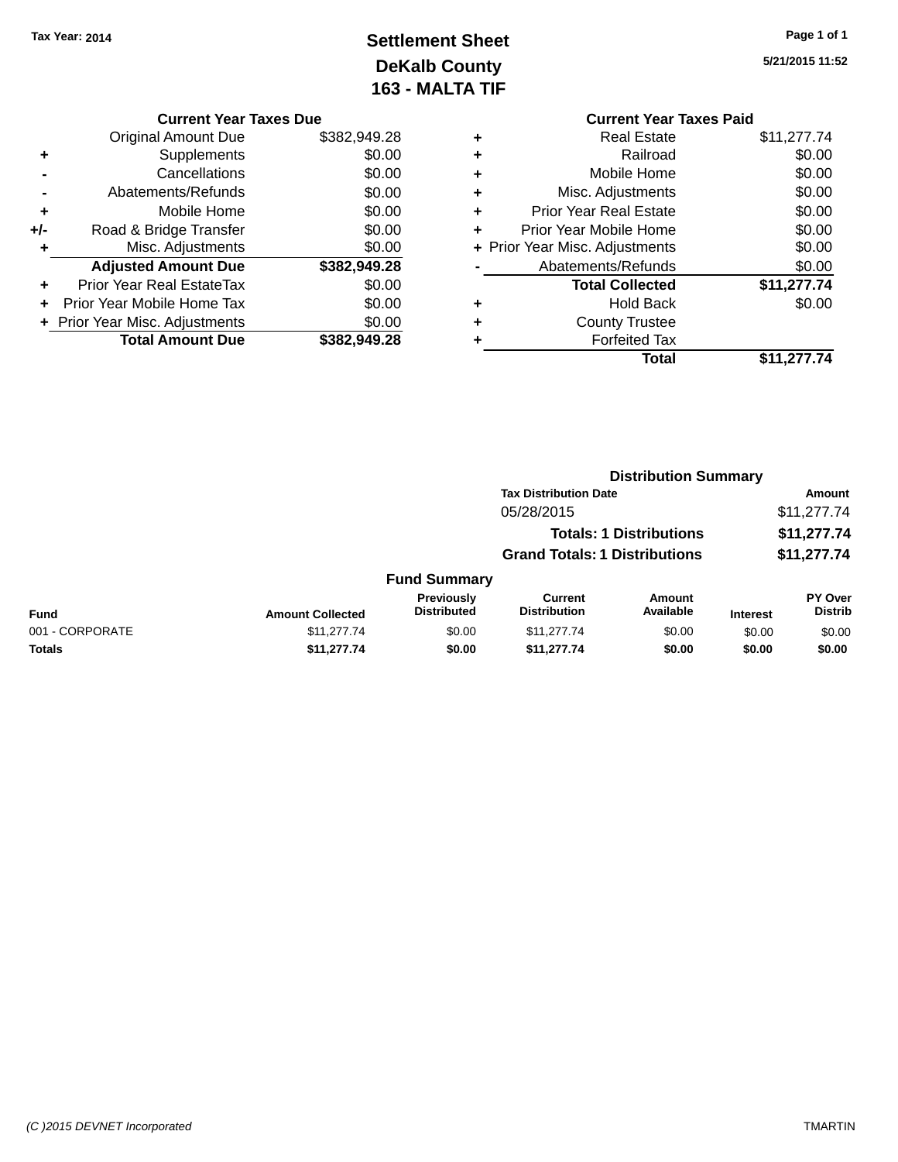# **Settlement Sheet Tax Year: 2014 Page 1 of 1 DeKalb County 163 - MALTA TIF**

**5/21/2015 11:52**

#### **Current Year Taxes Paid +** Real Estate \$11,277.74 **+** Railroad \$0.00 **+** Mobile Home \$0.00 **+** Misc. Adjustments \$0.00 **+** Prior Year Real Estate \$0.00 **+** Prior Year Mobile Home \$0.00 **+ Prior Year Misc. Adjustments**  $$0.00$ Abatements/Refunds \$0.00 **Total Collected \$11,277.74 +** Hold Back \$0.00 **+** County Trustee **+** Forfeited Tax **Total \$11,277.74**

|                 |                         |                                         | <b>Distribution Summary</b>           |                                |                 |                                  |
|-----------------|-------------------------|-----------------------------------------|---------------------------------------|--------------------------------|-----------------|----------------------------------|
|                 |                         |                                         | <b>Tax Distribution Date</b>          |                                |                 | Amount                           |
|                 |                         |                                         | 05/28/2015                            |                                |                 | \$11,277.74                      |
|                 |                         |                                         |                                       | <b>Totals: 1 Distributions</b> |                 | \$11,277.74                      |
|                 |                         |                                         | <b>Grand Totals: 1 Distributions</b>  |                                |                 | \$11,277.74                      |
|                 |                         | <b>Fund Summary</b>                     |                                       |                                |                 |                                  |
| <b>Fund</b>     | <b>Amount Collected</b> | <b>Previously</b><br><b>Distributed</b> | <b>Current</b><br><b>Distribution</b> | Amount<br>Available            | <b>Interest</b> | <b>PY Over</b><br><b>Distrib</b> |
| 001 - CORPORATE | \$11,277.74             | \$0.00                                  | \$11,277.74                           | \$0.00                         | \$0.00          | \$0.00                           |
| <b>Totals</b>   | \$11,277.74             | \$0.00                                  | \$11,277.74                           | \$0.00                         | \$0.00          | \$0.00                           |
|                 |                         |                                         |                                       |                                |                 |                                  |

#### **-** Abatements/Refunds \$0.00 **+** Mobile Home \$0.00

**Current Year Taxes Due** Original Amount Due \$382,949.28

**Adjusted Amount Due \$382,949.28**

**Total Amount Due \$382,949.28**

**+** Supplements \$0.00 **-** Cancellations \$0.00

**+/-** Road & Bridge Transfer \$0.00 **+** Misc. Adjustments \$0.00

**+** Prior Year Real EstateTax \$0.00 **+** Prior Year Mobile Home Tax \$0.00 **+ Prior Year Misc. Adjustments**  $$0.00$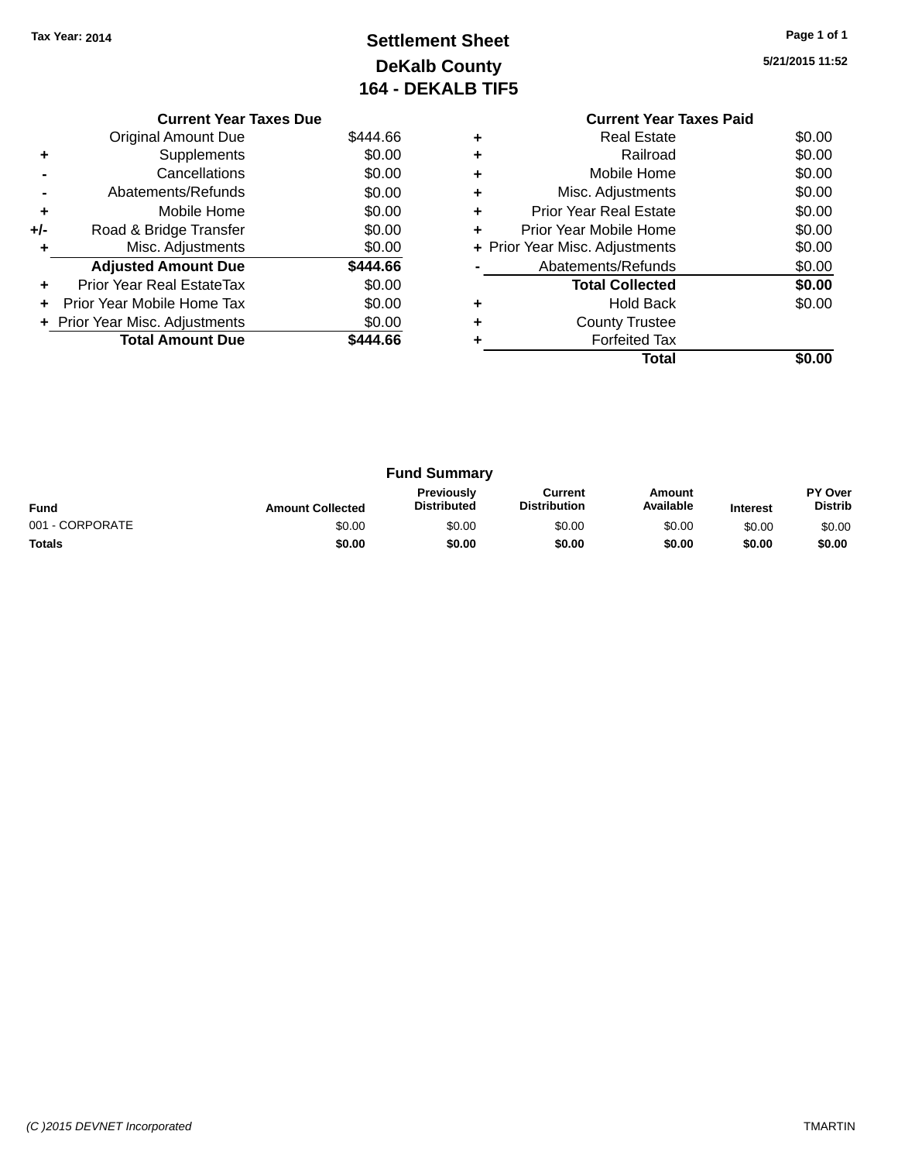# **Settlement Sheet Tax Year: 2014 Page 1 of 1 DeKalb County 164 - DEKALB TIF5**

**5/21/2015 11:52**

|     | <b>Current Year Taxes Due</b>     |          |
|-----|-----------------------------------|----------|
|     | Original Amount Due               | \$444.66 |
|     | Supplements                       | \$0.00   |
|     | Cancellations                     | \$0.00   |
|     | Abatements/Refunds                | \$0.00   |
| ٠   | Mobile Home                       | \$0.00   |
| +/- | Road & Bridge Transfer            | \$0.00   |
|     | Misc. Adjustments                 | \$0.00   |
|     | <b>Adjusted Amount Due</b>        | \$444.66 |
| ÷   | Prior Year Real EstateTax         | \$0.00   |
| ÷   | <b>Prior Year Mobile Home Tax</b> | \$0.00   |
|     | + Prior Year Misc. Adjustments    | \$0.00   |
|     | <b>Total Amount Due</b>           | \$444.66 |
|     |                                   |          |

#### **Current Year Taxes Paid +** Real Estate \$0.00 **+** Railroad \$0.00 **+** Mobile Home \$0.00 **+** Misc. Adjustments \$0.00 **+** Prior Year Real Estate \$0.00 **+** Prior Year Mobile Home \$0.00<br> **+** Prior Year Misc. Adjustments \$0.00 **+ Prior Year Misc. Adjustments -** Abatements/Refunds \$0.00 **Total Collected \$0.00 +** Hold Back \$0.00 **+** County Trustee **+** Forfeited Tax **Total \$0.00**

| <b>Fund Summary</b> |                         |                                  |                                |                     |                 |                           |
|---------------------|-------------------------|----------------------------------|--------------------------------|---------------------|-----------------|---------------------------|
| <b>Fund</b>         | <b>Amount Collected</b> | <b>Previously</b><br>Distributed | Current<br><b>Distribution</b> | Amount<br>Available | <b>Interest</b> | PY Over<br><b>Distrib</b> |
| 001 - CORPORATE     | \$0.00                  | \$0.00                           | \$0.00                         | \$0.00              | \$0.00          | \$0.00                    |
| <b>Totals</b>       | \$0.00                  | \$0.00                           | \$0.00                         | \$0.00              | \$0.00          | \$0.00                    |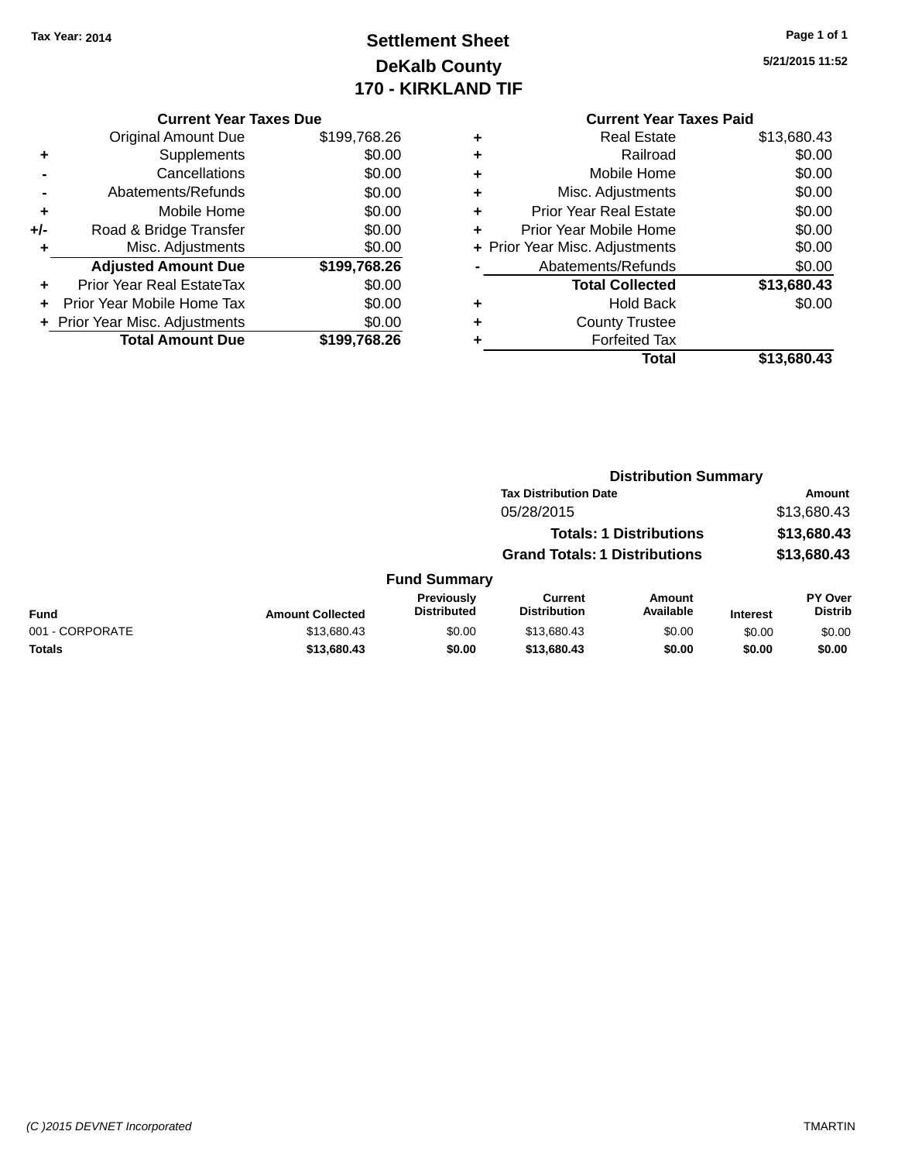# **Settlement Sheet Tax Year: 2014 Page 1 of 1 DeKalb County 170 - KIRKLAND TIF**

**5/21/2015 11:52**

|     | <b>Current Year Taxes Due</b>  |              |
|-----|--------------------------------|--------------|
|     | <b>Original Amount Due</b>     | \$199,768.26 |
| ٠   | Supplements                    | \$0.00       |
|     | Cancellations                  | \$0.00       |
|     | Abatements/Refunds             | \$0.00       |
| ٠   | Mobile Home                    | \$0.00       |
| +/- | Road & Bridge Transfer         | \$0.00       |
| ٠   | Misc. Adjustments              | \$0.00       |
|     | <b>Adjusted Amount Due</b>     | \$199,768.26 |
| ٠   | Prior Year Real EstateTax      | \$0.00       |
|     | Prior Year Mobile Home Tax     | \$0.00       |
|     | + Prior Year Misc. Adjustments | \$0.00       |
|     | <b>Total Amount Due</b>        | \$199.768.26 |
|     |                                |              |

# **Current Year Taxes Paid**

|   | <b>Real Estate</b>             | \$13,680.43 |
|---|--------------------------------|-------------|
| ٠ | Railroad                       | \$0.00      |
| ٠ | Mobile Home                    | \$0.00      |
| ٠ | Misc. Adjustments              | \$0.00      |
| ÷ | <b>Prior Year Real Estate</b>  | \$0.00      |
| ٠ | Prior Year Mobile Home         | \$0.00      |
|   | + Prior Year Misc. Adjustments | \$0.00      |
|   | Abatements/Refunds             | \$0.00      |
|   | <b>Total Collected</b>         | \$13,680.43 |
| ٠ | Hold Back                      | \$0.00      |
| ٠ | <b>County Trustee</b>          |             |
|   | <b>Forfeited Tax</b>           |             |
|   | Total                          | \$13,680.43 |
|   |                                |             |

#### **Distribution Summary Tax Distribution Date Amount** 05/28/2015 \$13,680.43 **Totals: 1 Distributions \$13,680.43 Grand Totals: 1 Distributions \$13,680.43 Fund Summary Fund Interest Amount Collected Distributed PY Over Distrib Amount Available Current Distribution Previously** 001 - CORPORATE \$13,680.43 \$0.00 \$13,680.43 \$0.00 \$0.00 \$0.00 **Totals \$13,680.43 \$0.00 \$13,680.43 \$0.00 \$0.00 \$0.00**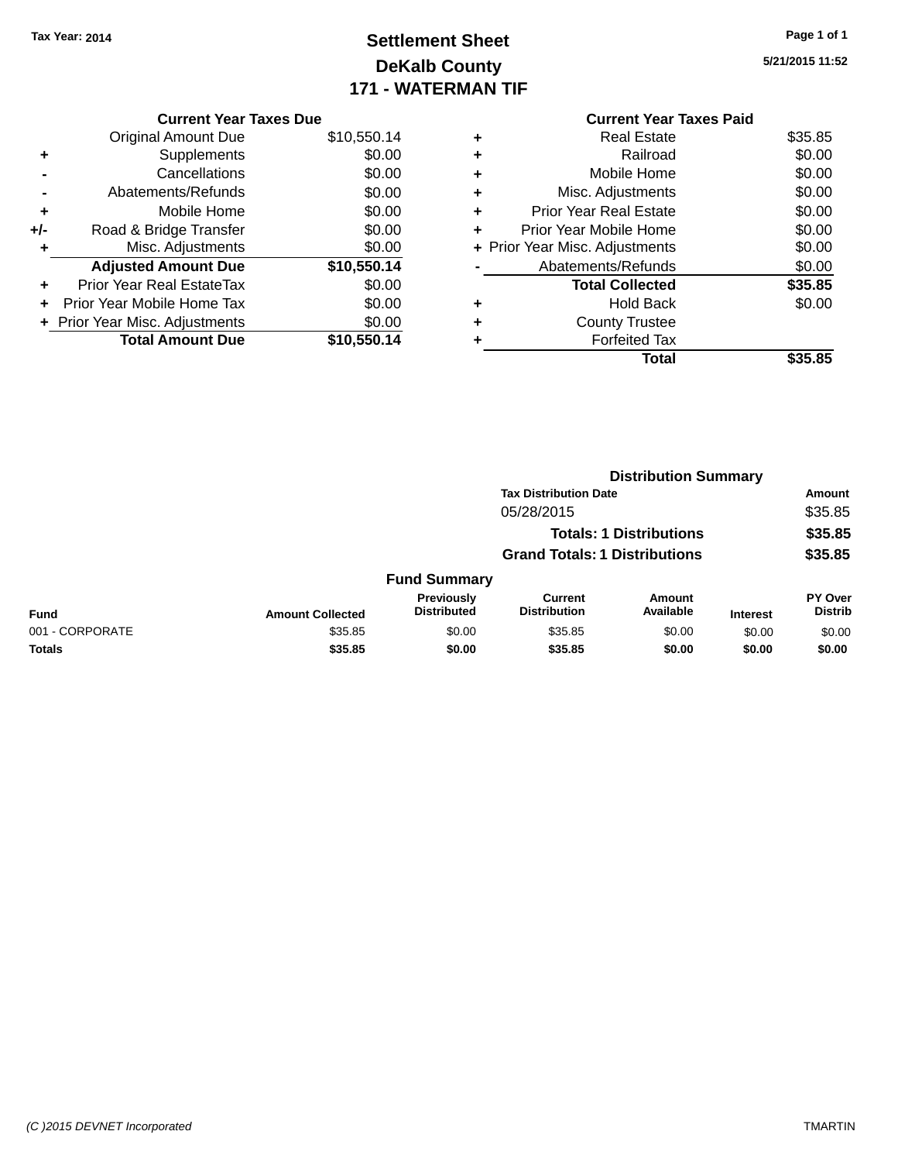### **Settlement Sheet Tax Year: 2014 Page 1 of 1 DeKalb County 171 - WATERMAN TIF**

**5/21/2015 11:52**

#### **Current Year Taxes Paid +** Real Estate \$35.85 **+** Railroad \$0.00 **+** Mobile Home \$0.00 **+** Misc. Adjustments \$0.00 **+** Prior Year Real Estate \$0.00 **+** Prior Year Mobile Home \$0.00 **+ Prior Year Misc. Adjustments**  $$0.00$ **-** Abatements/Refunds \$0.00 Total Collected **\$35.85 +** Hold Back \$0.00 **+** County Trustee **+** Forfeited Tax **Total \$35.85**

|                 |                         |                                  | <b>Distribution Summary</b>           |                                |                 |                                  |  |
|-----------------|-------------------------|----------------------------------|---------------------------------------|--------------------------------|-----------------|----------------------------------|--|
|                 |                         |                                  | <b>Tax Distribution Date</b>          |                                |                 | <b>Amount</b>                    |  |
|                 |                         |                                  | 05/28/2015                            |                                |                 | \$35.85                          |  |
|                 |                         |                                  |                                       | <b>Totals: 1 Distributions</b> |                 | \$35.85                          |  |
|                 |                         |                                  | <b>Grand Totals: 1 Distributions</b>  |                                |                 | \$35.85                          |  |
|                 |                         | <b>Fund Summary</b>              |                                       |                                |                 |                                  |  |
| <b>Fund</b>     | <b>Amount Collected</b> | Previously<br><b>Distributed</b> | <b>Current</b><br><b>Distribution</b> | <b>Amount</b><br>Available     | <b>Interest</b> | <b>PY Over</b><br><b>Distrib</b> |  |
| 001 - CORPORATE | \$35.85                 | \$0.00                           | \$35.85                               | \$0.00                         | \$0.00          | \$0.00                           |  |
| Totals          | \$35.85                 | \$0.00                           | \$35.85                               | \$0.00                         | \$0.00          | \$0.00                           |  |
|                 |                         |                                  |                                       |                                |                 |                                  |  |

|     | <b>Current Year Taxes Due</b> |             |
|-----|-------------------------------|-------------|
|     | <b>Original Amount Due</b>    | \$10,550.14 |
| ٠   | Supplements                   | \$0.00      |
|     | Cancellations                 | \$0.00      |
|     | Abatements/Refunds            | \$0.00      |
| ÷   | Mobile Home                   | \$0.00      |
| +/- | Road & Bridge Transfer        | \$0.00      |
| ٠   | Misc. Adjustments             | \$0.00      |
|     | <b>Adjusted Amount Due</b>    | \$10,550.14 |
|     | Prior Year Real EstateTax     | \$0.00      |
|     | Prior Year Mobile Home Tax    | \$0.00      |

**+ Prior Year Misc. Adjustments**  $$0.00$ 

**Total Amount Due \$10,550.14**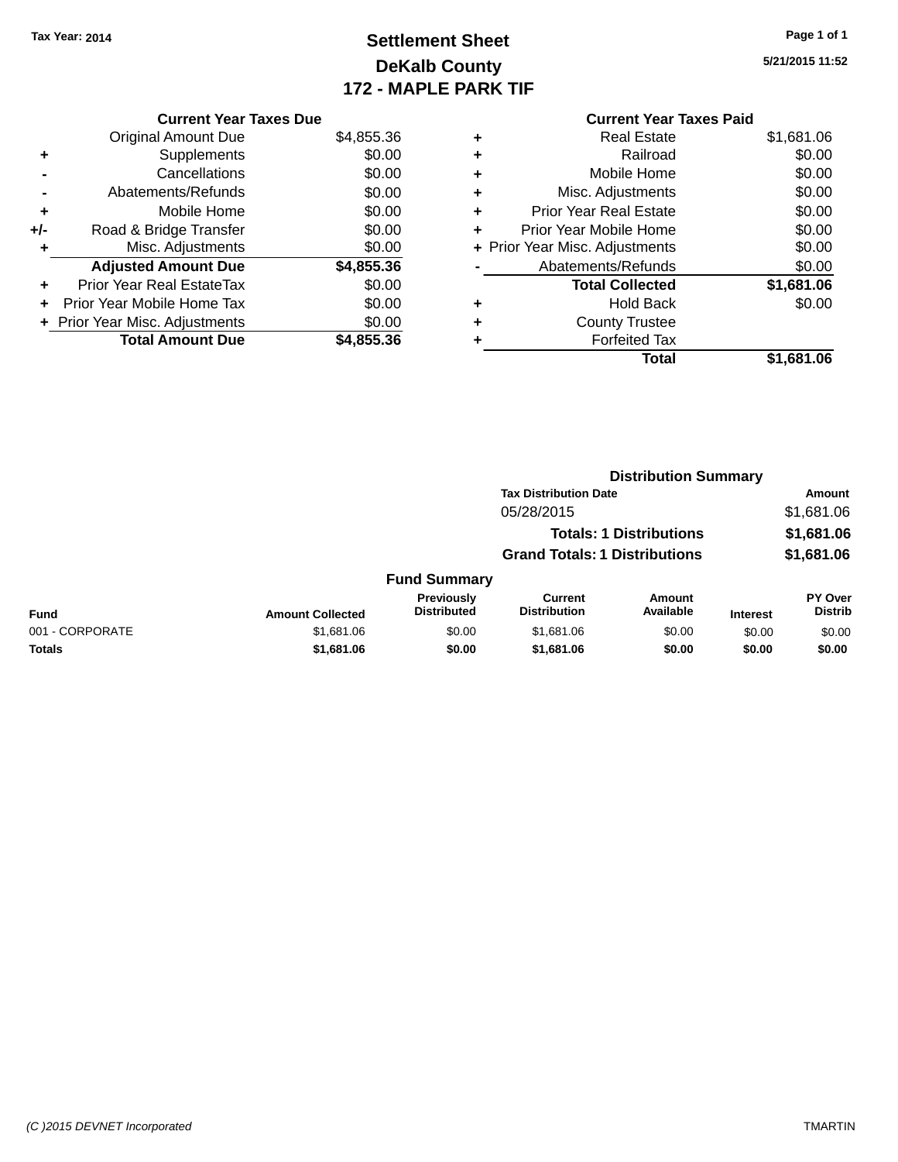### **Settlement Sheet Tax Year: 2014 Page 1 of 1 DeKalb County 172 - MAPLE PARK TIF**

**5/21/2015 11:52**

| <b>Current Year Taxes Due</b> |
|-------------------------------|
| \$4,855.36                    |
| \$0.00                        |
| \$0.00                        |
| \$0.00                        |
| \$0.00                        |
| \$0.00                        |
| \$0.00                        |
| \$4,855.36                    |
|                               |
| \$0.00                        |
| \$0.00                        |
| \$0.00                        |
|                               |

### **Current Year Taxes Paid +** Real Estate \$1,681.06 **+** Railroad \$0.00

|   | Total                          | \$1,681.06 |
|---|--------------------------------|------------|
|   | <b>Forfeited Tax</b>           |            |
| ÷ | <b>County Trustee</b>          |            |
| ٠ | <b>Hold Back</b>               | \$0.00     |
|   | <b>Total Collected</b>         | \$1,681.06 |
|   | Abatements/Refunds             | \$0.00     |
|   | + Prior Year Misc. Adjustments | \$0.00     |
| ÷ | Prior Year Mobile Home         | \$0.00     |
| ٠ | <b>Prior Year Real Estate</b>  | \$0.00     |
| ٠ | Misc. Adjustments              | \$0.00     |
| ÷ | Mobile Home                    | \$0.00     |
| ┳ | i valli vau                    | ⊎∪.∪∪      |

|                 |                         |                                         | <b>Distribution Summary</b>           |                                |                 |                                  |
|-----------------|-------------------------|-----------------------------------------|---------------------------------------|--------------------------------|-----------------|----------------------------------|
|                 |                         |                                         | <b>Tax Distribution Date</b>          |                                |                 | Amount                           |
|                 |                         |                                         | 05/28/2015                            |                                |                 | \$1,681.06                       |
|                 |                         |                                         |                                       | <b>Totals: 1 Distributions</b> |                 | \$1,681.06                       |
|                 |                         |                                         | <b>Grand Totals: 1 Distributions</b>  |                                |                 | \$1,681.06                       |
|                 |                         | <b>Fund Summary</b>                     |                                       |                                |                 |                                  |
| <b>Fund</b>     | <b>Amount Collected</b> | <b>Previously</b><br><b>Distributed</b> | <b>Current</b><br><b>Distribution</b> | Amount<br>Available            | <b>Interest</b> | <b>PY Over</b><br><b>Distrib</b> |
| 001 - CORPORATE | \$1,681.06              | \$0.00                                  | \$1,681.06                            | \$0.00                         | \$0.00          | \$0.00                           |
| <b>Totals</b>   | \$1,681.06              | \$0.00                                  | \$1,681.06                            | \$0.00                         | \$0.00          | \$0.00                           |
|                 |                         |                                         |                                       |                                |                 |                                  |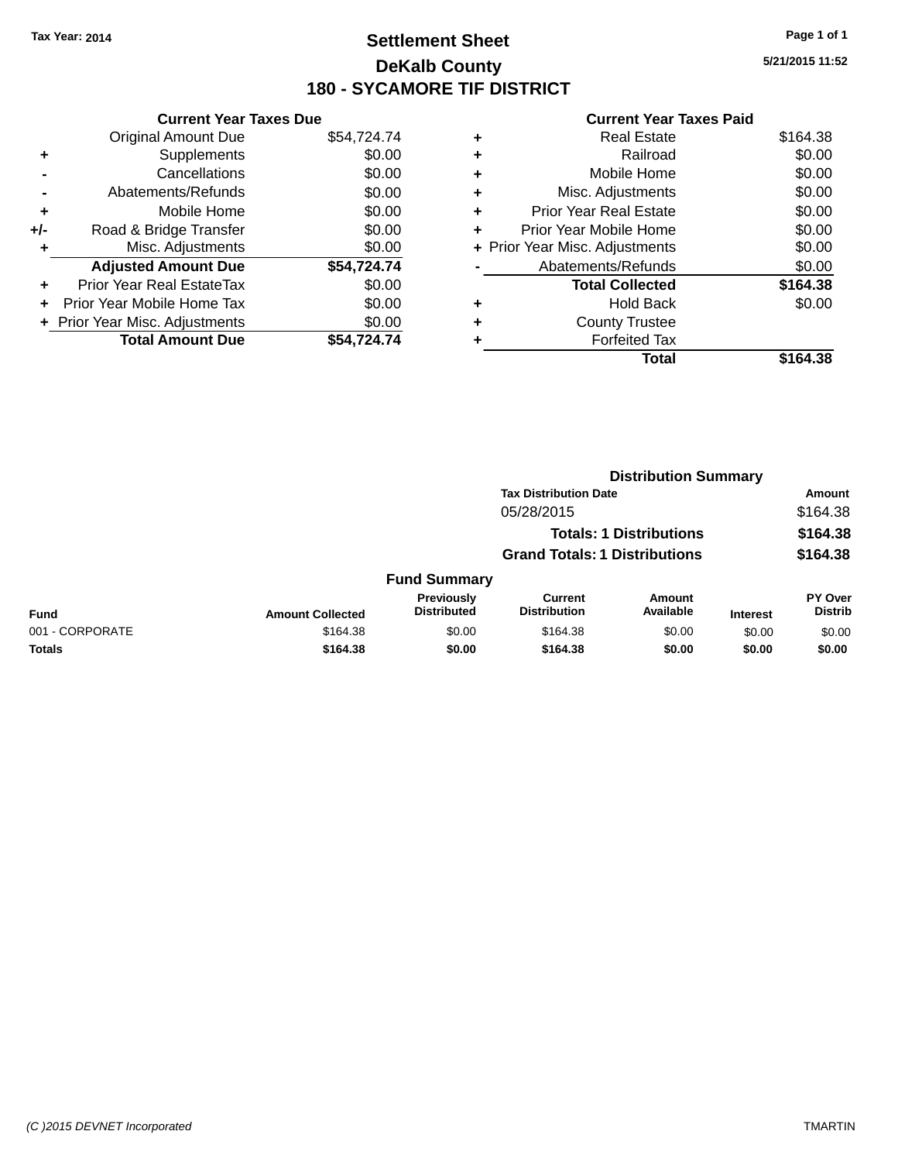### **Settlement Sheet Tax Year: 2014 Page 1 of 1 DeKalb County 180 - SYCAMORE TIF DISTRICT**

**5/21/2015 11:52**

|     | <b>Current Year Taxes Due</b>  |             |
|-----|--------------------------------|-------------|
|     | <b>Original Amount Due</b>     | \$54,724.74 |
| ÷   | Supplements                    | \$0.00      |
|     | Cancellations                  | \$0.00      |
|     | Abatements/Refunds             | \$0.00      |
| ٠   | Mobile Home                    | \$0.00      |
| +/- | Road & Bridge Transfer         | \$0.00      |
| ٠   | Misc. Adjustments              | \$0.00      |
|     | <b>Adjusted Amount Due</b>     | \$54,724.74 |
| ٠   | Prior Year Real EstateTax      | \$0.00      |
| ÷   | Prior Year Mobile Home Tax     | \$0.00      |
|     | + Prior Year Misc. Adjustments | \$0.00      |
|     | <b>Total Amount Due</b>        | \$54.724.74 |

|   | <b>Real Estate</b>             | \$164.38 |
|---|--------------------------------|----------|
| ٠ | Railroad                       | \$0.00   |
| ٠ | Mobile Home                    | \$0.00   |
| ٠ | Misc. Adjustments              | \$0.00   |
| ٠ | <b>Prior Year Real Estate</b>  | \$0.00   |
| ٠ | Prior Year Mobile Home         | \$0.00   |
|   | + Prior Year Misc. Adjustments | \$0.00   |
|   | Abatements/Refunds             | \$0.00   |
|   | <b>Total Collected</b>         | \$164.38 |
| ٠ | <b>Hold Back</b>               | \$0.00   |
| ٠ | <b>County Trustee</b>          |          |
|   | <b>Forfeited Tax</b>           |          |
|   | Total                          | \$164.38 |
|   |                                |          |

|                 |                         |                                  | <b>Distribution Summary</b>           |                                |                 |                           |
|-----------------|-------------------------|----------------------------------|---------------------------------------|--------------------------------|-----------------|---------------------------|
|                 |                         |                                  | <b>Tax Distribution Date</b>          |                                |                 | <b>Amount</b>             |
|                 |                         |                                  | 05/28/2015                            |                                |                 | \$164.38                  |
|                 |                         |                                  |                                       | <b>Totals: 1 Distributions</b> |                 | \$164.38                  |
|                 |                         |                                  | <b>Grand Totals: 1 Distributions</b>  |                                |                 | \$164.38                  |
|                 |                         | <b>Fund Summary</b>              |                                       |                                |                 |                           |
| <b>Fund</b>     | <b>Amount Collected</b> | Previously<br><b>Distributed</b> | <b>Current</b><br><b>Distribution</b> | <b>Amount</b><br>Available     | <b>Interest</b> | PY Over<br><b>Distrib</b> |
| 001 - CORPORATE | \$164.38                | \$0.00                           | \$164.38                              | \$0.00                         | \$0.00          | \$0.00                    |
| <b>Totals</b>   | \$164.38                | \$0.00                           | \$164.38                              | \$0.00                         | \$0.00          | \$0.00                    |
|                 |                         |                                  |                                       |                                |                 |                           |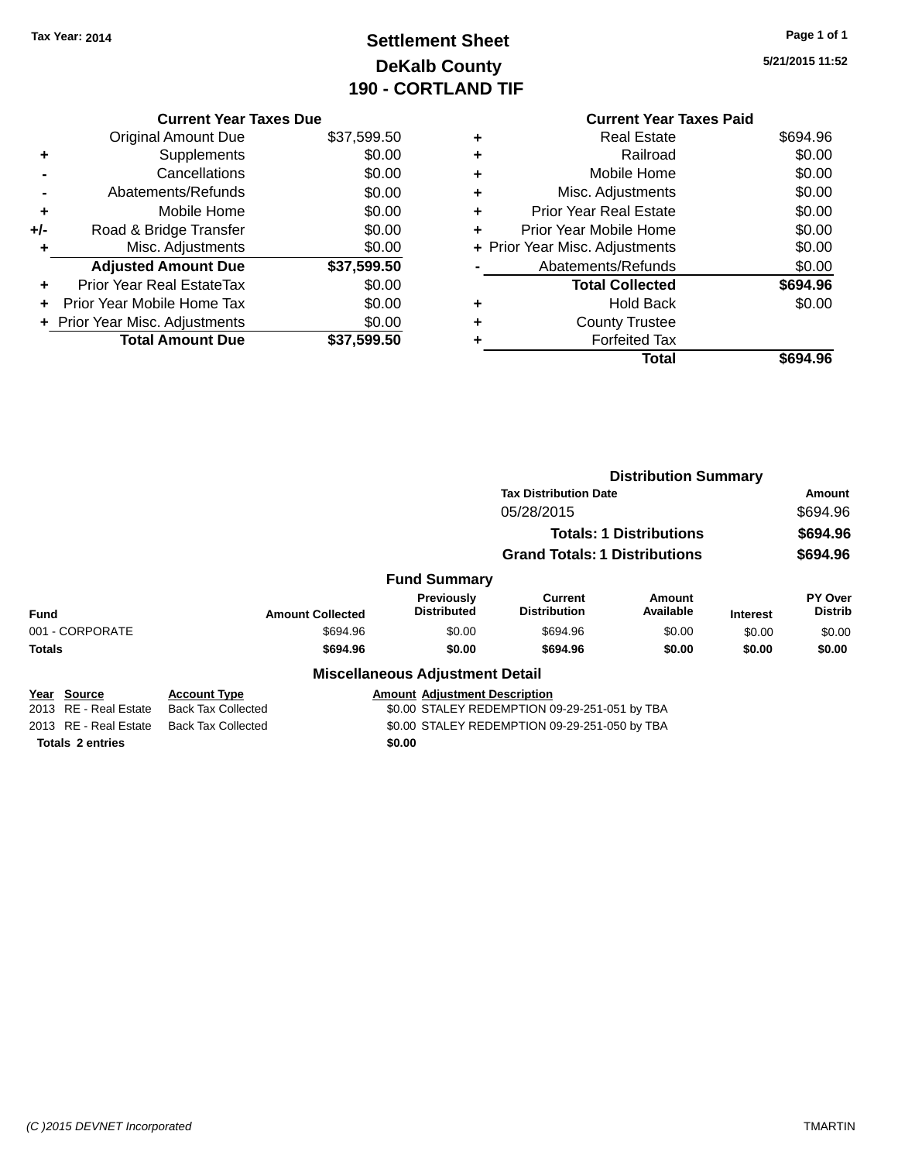### **Settlement Sheet Tax Year: 2014 Page 1 of 1 DeKalb County 190 - CORTLAND TIF**

**5/21/2015 11:52**

|     | <b>Current Year Taxes Due</b>  |             |             |      |
|-----|--------------------------------|-------------|-------------|------|
|     | <b>Original Amount Due</b>     | \$37,599.50 | ٠           |      |
|     | Supplements                    | \$0.00      | ٠           |      |
|     | Cancellations                  | \$0.00      | ٠           |      |
|     | Abatements/Refunds             | \$0.00      | ٠           |      |
|     | Mobile Home                    | \$0.00      |             | P    |
| +/- | Road & Bridge Transfer         | \$0.00      |             | Prio |
|     | Misc. Adjustments              | \$0.00      | + Prior Yea |      |
|     | <b>Adjusted Amount Due</b>     | \$37,599.50 |             |      |
| ÷   | Prior Year Real EstateTax      | \$0.00      |             |      |
|     | Prior Year Mobile Home Tax     | \$0.00      | ٠           |      |
|     | + Prior Year Misc. Adjustments | \$0.00      |             |      |
|     | <b>Total Amount Due</b>        | \$37,599.50 |             |      |
|     |                                |             |             |      |

|   | <b>Current Year Taxes Paid</b> |          |
|---|--------------------------------|----------|
| ٠ | Real Estate                    | \$694.96 |
| ٠ | Railroad                       | \$0.00   |
|   | Mobile Home                    | \$0.00   |
| ٠ | Misc. Adjustments              | \$0.00   |
| ٠ | <b>Prior Year Real Estate</b>  | \$0.00   |
| ÷ | Prior Year Mobile Home         | \$0.00   |
|   | + Prior Year Misc. Adjustments | \$0.00   |
|   | Abatements/Refunds             | \$0.00   |
|   | <b>Total Collected</b>         | \$694.96 |
|   | <b>Hold Back</b>               | \$0.00   |
| ÷ | <b>County Trustee</b>          |          |
|   | <b>Forfeited Tax</b>           |          |
|   | Total                          | \$694.96 |
|   |                                |          |

|                         |                           |                                        | <b>Distribution Summary</b>                   |                                |                 |                           |
|-------------------------|---------------------------|----------------------------------------|-----------------------------------------------|--------------------------------|-----------------|---------------------------|
|                         |                           |                                        | <b>Tax Distribution Date</b>                  |                                |                 | Amount                    |
|                         |                           |                                        | 05/28/2015                                    |                                |                 | \$694.96                  |
|                         |                           |                                        |                                               | <b>Totals: 1 Distributions</b> |                 | \$694.96                  |
|                         |                           |                                        | <b>Grand Totals: 1 Distributions</b>          |                                |                 | \$694.96                  |
|                         |                           | <b>Fund Summary</b>                    |                                               |                                |                 |                           |
| <b>Fund</b>             | <b>Amount Collected</b>   | Previously<br><b>Distributed</b>       | <b>Current</b><br><b>Distribution</b>         | Amount<br>Available            | <b>Interest</b> | PY Over<br><b>Distrib</b> |
| 001 - CORPORATE         | \$694.96                  | \$0.00                                 | \$694.96                                      | \$0.00                         | \$0.00          | \$0.00                    |
| <b>Totals</b>           | \$694.96                  | \$0.00                                 | \$694.96                                      | \$0.00                         | \$0.00          | \$0.00                    |
|                         |                           | <b>Miscellaneous Adjustment Detail</b> |                                               |                                |                 |                           |
| Source<br>Year          | <b>Account Type</b>       | <b>Amount Adjustment Description</b>   |                                               |                                |                 |                           |
| 2013 RE - Real Estate   | <b>Back Tax Collected</b> |                                        | \$0.00 STALEY REDEMPTION 09-29-251-051 by TBA |                                |                 |                           |
| 2013 RE - Real Estate   | <b>Back Tax Collected</b> |                                        | \$0.00 STALEY REDEMPTION 09-29-251-050 by TBA |                                |                 |                           |
| <b>Totals 2 entries</b> |                           | \$0.00                                 |                                               |                                |                 |                           |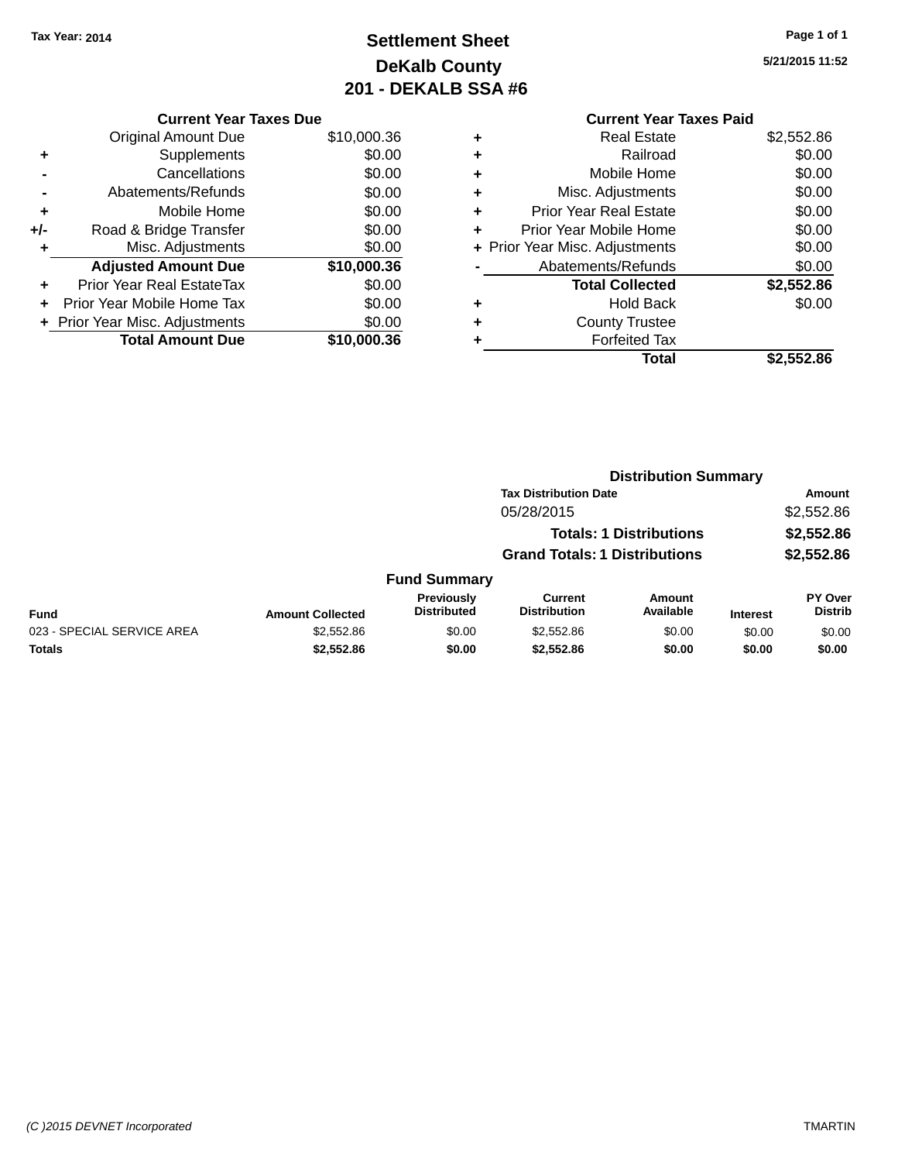### **Settlement Sheet Tax Year: 2014 Page 1 of 1 DeKalb County 201 - DEKALB SSA #6**

**5/21/2015 11:52**

|     | <b>Current Year Taxes Due</b>  |             |
|-----|--------------------------------|-------------|
|     | <b>Original Amount Due</b>     | \$10,000.36 |
| ٠   | Supplements                    | \$0.00      |
|     | Cancellations                  | \$0.00      |
|     | Abatements/Refunds             | \$0.00      |
| ٠   | Mobile Home                    | \$0.00      |
| +/- | Road & Bridge Transfer         | \$0.00      |
|     | Misc. Adjustments              | \$0.00      |
|     | <b>Adjusted Amount Due</b>     | \$10,000.36 |
|     | Prior Year Real EstateTax      | \$0.00      |
|     | Prior Year Mobile Home Tax     | \$0.00      |
|     | + Prior Year Misc. Adjustments | \$0.00      |
|     | <b>Total Amount Due</b>        | \$10.000.36 |

| ٠ | <b>Real Estate</b>             | \$2,552.86 |
|---|--------------------------------|------------|
| ٠ | Railroad                       | \$0.00     |
| ٠ | Mobile Home                    | \$0.00     |
| ٠ | Misc. Adjustments              | \$0.00     |
| ٠ | <b>Prior Year Real Estate</b>  | \$0.00     |
| ÷ | Prior Year Mobile Home         | \$0.00     |
|   | + Prior Year Misc. Adjustments | \$0.00     |
|   | Abatements/Refunds             | \$0.00     |
|   | <b>Total Collected</b>         | \$2,552.86 |
| ٠ | <b>Hold Back</b>               | \$0.00     |
| ٠ | <b>County Trustee</b>          |            |
|   | <b>Forfeited Tax</b>           |            |
|   | Total                          | \$2,552.86 |
|   |                                |            |

|                            | <b>Distribution Summary</b> |                                  |                                       |                                |                 |                           |
|----------------------------|-----------------------------|----------------------------------|---------------------------------------|--------------------------------|-----------------|---------------------------|
|                            |                             |                                  | <b>Tax Distribution Date</b>          |                                |                 | <b>Amount</b>             |
|                            |                             |                                  | 05/28/2015                            |                                |                 | \$2,552.86                |
|                            |                             |                                  |                                       | <b>Totals: 1 Distributions</b> |                 | \$2,552.86                |
|                            |                             |                                  | <b>Grand Totals: 1 Distributions</b>  |                                |                 | \$2,552.86                |
|                            |                             | <b>Fund Summary</b>              |                                       |                                |                 |                           |
| <b>Fund</b>                | <b>Amount Collected</b>     | Previously<br><b>Distributed</b> | <b>Current</b><br><b>Distribution</b> | <b>Amount</b><br>Available     | <b>Interest</b> | PY Over<br><b>Distrib</b> |
| 023 - SPECIAL SERVICE AREA | \$2,552.86                  | \$0.00                           | \$2,552.86                            | \$0.00                         | \$0.00          | \$0.00                    |
| <b>Totals</b>              | \$2,552.86                  | \$0.00                           | \$2,552.86                            | \$0.00                         | \$0.00          | \$0.00                    |
|                            |                             |                                  |                                       |                                |                 |                           |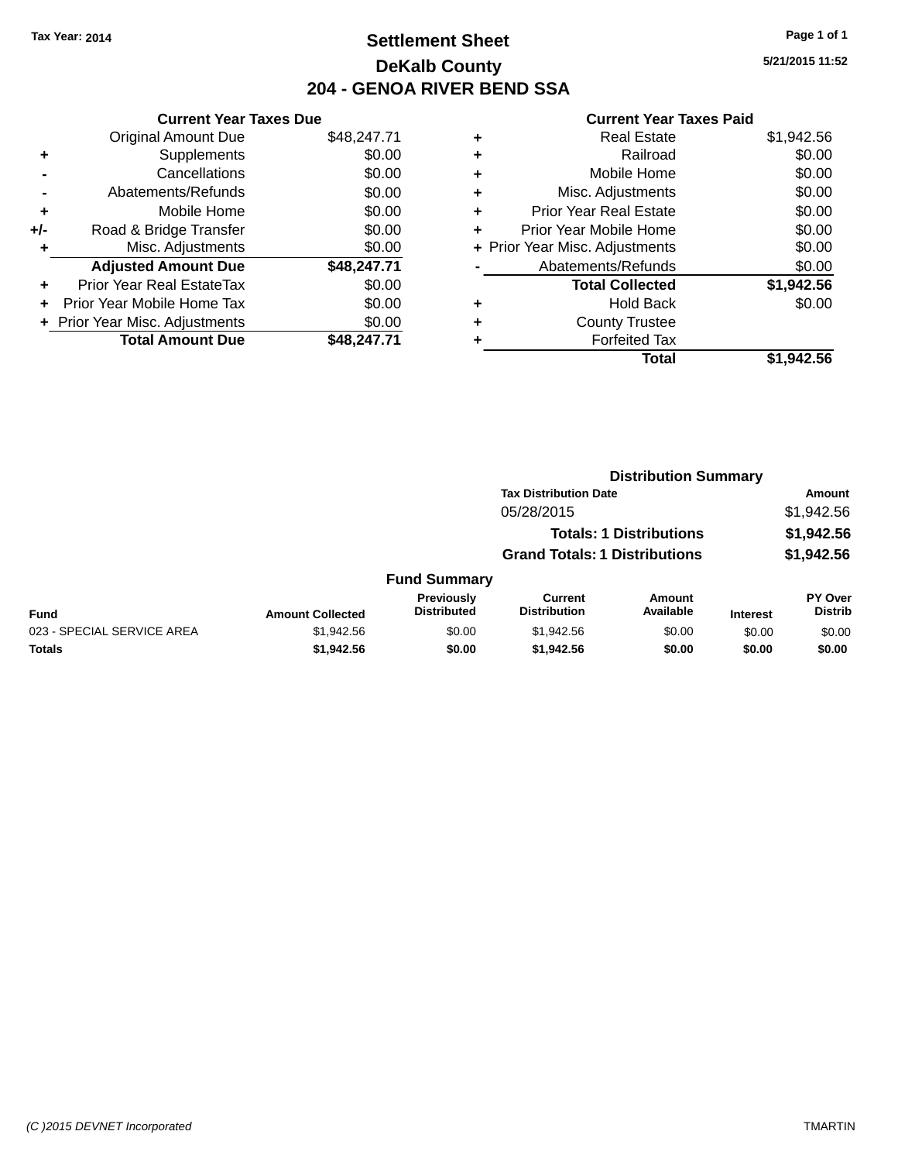### **Settlement Sheet Tax Year: 2014 Page 1 of 1 DeKalb County 204 - GENOA RIVER BEND SSA**

**5/21/2015 11:52**

| <b>Original Amount Due</b> | \$48,247.71                                                     |
|----------------------------|-----------------------------------------------------------------|
| Supplements                | \$0.00                                                          |
| Cancellations              | \$0.00                                                          |
| Abatements/Refunds         | \$0.00                                                          |
| Mobile Home                | \$0.00                                                          |
| Road & Bridge Transfer     | \$0.00                                                          |
| Misc. Adjustments          | \$0.00                                                          |
| <b>Adjusted Amount Due</b> | \$48,247.71                                                     |
| Prior Year Real EstateTax  | \$0.00                                                          |
| Prior Year Mobile Home Tax | \$0.00                                                          |
|                            | \$0.00                                                          |
| <b>Total Amount Due</b>    | \$48.247.71                                                     |
|                            | <b>Current Year Taxes Due</b><br>+ Prior Year Misc. Adjustments |

|   | <b>Real Estate</b>             | \$1,942.56 |
|---|--------------------------------|------------|
| ٠ | Railroad                       | \$0.00     |
| ٠ | Mobile Home                    | \$0.00     |
| ٠ | Misc. Adjustments              | \$0.00     |
| ٠ | <b>Prior Year Real Estate</b>  | \$0.00     |
| ٠ | Prior Year Mobile Home         | \$0.00     |
|   | + Prior Year Misc. Adjustments | \$0.00     |
|   | Abatements/Refunds             | \$0.00     |
|   | <b>Total Collected</b>         | \$1,942.56 |
| ٠ | <b>Hold Back</b>               | \$0.00     |
| ٠ | <b>County Trustee</b>          |            |
| ٠ | <b>Forfeited Tax</b>           |            |
|   | Total                          | \$1,942.56 |
|   |                                |            |

|                            |                         |                                  | <b>Distribution Summary</b>          |                                |                 |                           |
|----------------------------|-------------------------|----------------------------------|--------------------------------------|--------------------------------|-----------------|---------------------------|
|                            |                         |                                  | <b>Tax Distribution Date</b>         |                                |                 | <b>Amount</b>             |
|                            |                         |                                  | 05/28/2015                           |                                |                 | \$1,942.56                |
|                            |                         |                                  |                                      | <b>Totals: 1 Distributions</b> |                 | \$1,942.56                |
|                            |                         |                                  | <b>Grand Totals: 1 Distributions</b> |                                |                 | \$1,942.56                |
|                            |                         | <b>Fund Summary</b>              |                                      |                                |                 |                           |
| <b>Fund</b>                | <b>Amount Collected</b> | Previously<br><b>Distributed</b> | Current<br><b>Distribution</b>       | Amount<br>Available            | <b>Interest</b> | PY Over<br><b>Distrib</b> |
| 023 - SPECIAL SERVICE AREA | \$1,942.56              | \$0.00                           | \$1,942.56                           | \$0.00                         | \$0.00          | \$0.00                    |
| Totals                     | \$1,942.56              | \$0.00                           | \$1,942.56                           | \$0.00                         | \$0.00          | \$0.00                    |
|                            |                         |                                  |                                      |                                |                 |                           |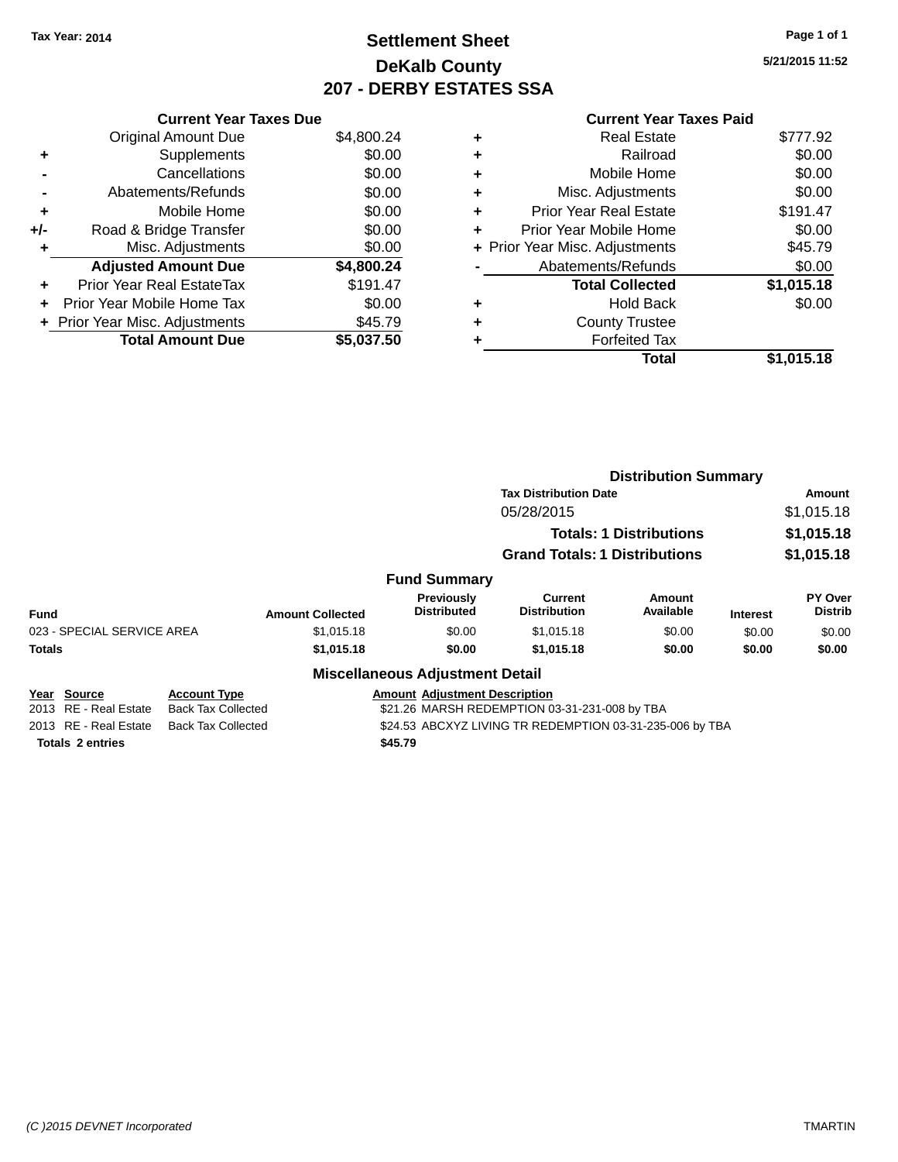### **Settlement Sheet Tax Year: 2014 Page 1 of 1 DeKalb County 207 - DERBY ESTATES SSA**

**5/21/2015 11:52**

|       | <b>Current Year Taxes Due</b>    |            |
|-------|----------------------------------|------------|
|       | <b>Original Amount Due</b>       | \$4,800.24 |
| ٠     | Supplements                      | \$0.00     |
|       | Cancellations                    | \$0.00     |
|       | Abatements/Refunds               | \$0.00     |
| ٠     | Mobile Home                      | \$0.00     |
| $+/-$ | Road & Bridge Transfer           | \$0.00     |
| ٠     | Misc. Adjustments                | \$0.00     |
|       | <b>Adjusted Amount Due</b>       | \$4,800.24 |
| ÷     | <b>Prior Year Real EstateTax</b> | \$191.47   |
|       | Prior Year Mobile Home Tax       | \$0.00     |
|       | + Prior Year Misc. Adjustments   | \$45.79    |
|       | <b>Total Amount Due</b>          | \$5,037.50 |
|       |                                  |            |

#### **Current Year Taxes Paid +** Real Estate \$777.92 **+** Railroad \$0.00 **+** Mobile Home \$0.00 **+** Misc. Adjustments \$0.00 **+** Prior Year Real Estate \$191.47 **+** Prior Year Mobile Home \$0.00 **+** Prior Year Misc. Adjustments \$45.79 **-** Abatements/Refunds \$0.00 **Total Collected \$1,015.18 +** Hold Back \$0.00

**+** Forfeited Tax

**+** County Trustee

**Total \$1,015.18**

|                            |                           |                         |                                         |                                                          | <b>Distribution Summary</b>    |                 | Amount                           |  |
|----------------------------|---------------------------|-------------------------|-----------------------------------------|----------------------------------------------------------|--------------------------------|-----------------|----------------------------------|--|
|                            |                           |                         |                                         | <b>Tax Distribution Date</b>                             |                                |                 |                                  |  |
|                            |                           |                         |                                         | 05/28/2015                                               |                                |                 | \$1,015.18                       |  |
|                            |                           |                         |                                         |                                                          | <b>Totals: 1 Distributions</b> |                 | \$1,015.18                       |  |
|                            |                           |                         |                                         | <b>Grand Totals: 1 Distributions</b>                     |                                |                 | \$1,015.18                       |  |
|                            |                           |                         | <b>Fund Summary</b>                     |                                                          |                                |                 |                                  |  |
| Fund                       |                           | <b>Amount Collected</b> | <b>Previously</b><br><b>Distributed</b> | <b>Current</b><br><b>Distribution</b>                    | Amount<br>Available            | <b>Interest</b> | <b>PY Over</b><br><b>Distrib</b> |  |
| 023 - SPECIAL SERVICE AREA |                           | \$1,015.18              | \$0.00                                  | \$1,015.18                                               | \$0.00                         | \$0.00          | \$0.00                           |  |
| Totals                     |                           | \$1,015.18              | \$0.00                                  | \$1,015.18                                               | \$0.00                         | \$0.00          | \$0.00                           |  |
|                            |                           |                         | <b>Miscellaneous Adjustment Detail</b>  |                                                          |                                |                 |                                  |  |
| Year Source                | <b>Account Type</b>       |                         | <b>Amount Adjustment Description</b>    |                                                          |                                |                 |                                  |  |
| 2013 RE - Real Estate      | <b>Back Tax Collected</b> |                         |                                         | \$21.26 MARSH REDEMPTION 03-31-231-008 by TBA            |                                |                 |                                  |  |
| 2013 RE - Real Estate      | <b>Back Tax Collected</b> |                         |                                         | \$24.53 ABCXYZ LIVING TR REDEMPTION 03-31-235-006 by TBA |                                |                 |                                  |  |
| <b>Totals 2 entries</b>    |                           |                         | \$45.79                                 |                                                          |                                |                 |                                  |  |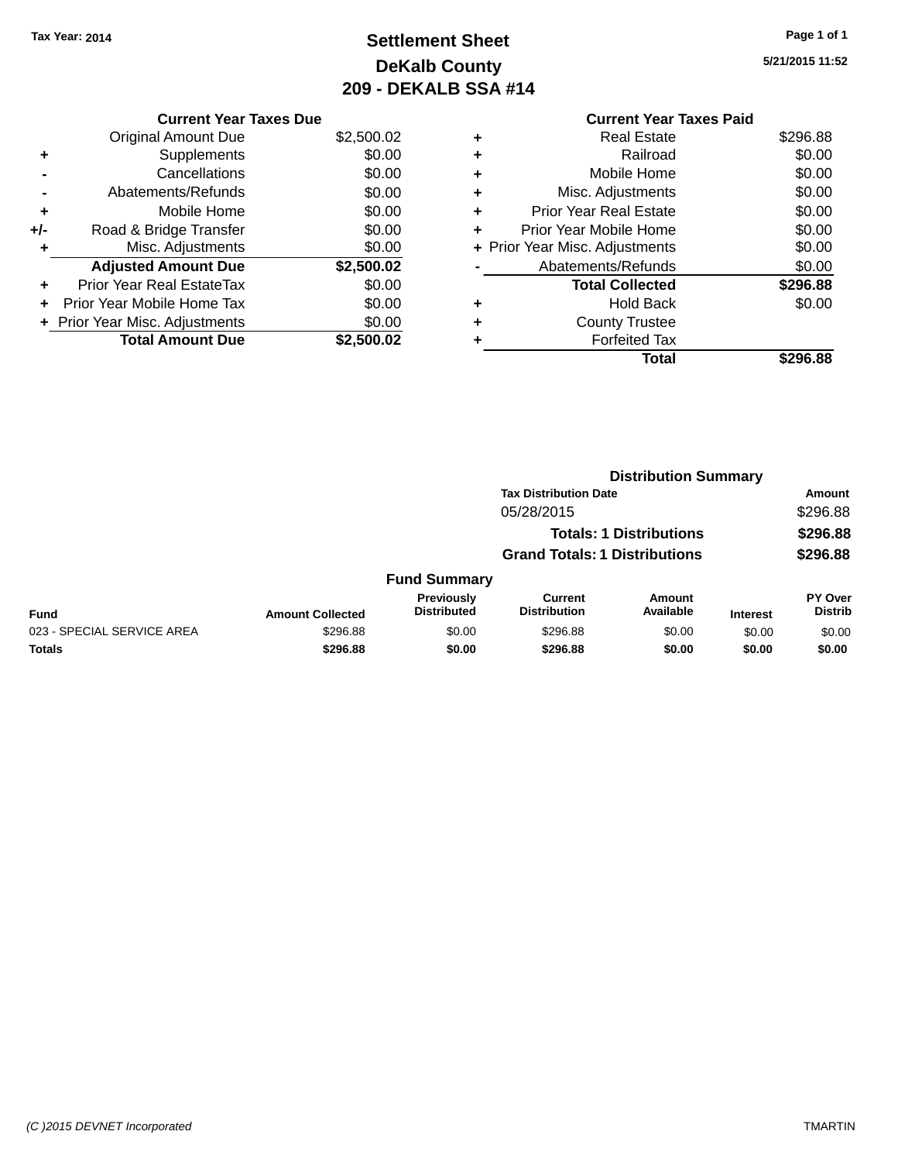### **Settlement Sheet Tax Year: 2014 Page 1 of 1 DeKalb County 209 - DEKALB SSA #14**

**5/21/2015 11:52**

|     | <b>Current Year Taxes Due</b>  |            |
|-----|--------------------------------|------------|
|     | <b>Original Amount Due</b>     | \$2,500.02 |
| ٠   | Supplements                    | \$0.00     |
|     | Cancellations                  | \$0.00     |
|     | Abatements/Refunds             | \$0.00     |
| ٠   | Mobile Home                    | \$0.00     |
| +/- | Road & Bridge Transfer         | \$0.00     |
|     | Misc. Adjustments              | \$0.00     |
|     | <b>Adjusted Amount Due</b>     | \$2,500.02 |
|     | Prior Year Real EstateTax      | \$0.00     |
|     | Prior Year Mobile Home Tax     | \$0.00     |
|     | + Prior Year Misc. Adjustments | \$0.00     |
|     | <b>Total Amount Due</b>        | \$2,500.02 |

|   | <b>Current Year Taxes Paid</b> |          |
|---|--------------------------------|----------|
| ٠ | <b>Real Estate</b>             | \$296.88 |
|   | Railroad                       | \$0.00   |
|   | Mobile Home                    | \$0.00   |
|   | Misc. Adjustments              | \$0.00   |
| ٠ | <b>Prior Year Real Estate</b>  | \$0.00   |
| ٠ | Prior Year Mobile Home         | \$0.00   |
|   | + Prior Year Misc. Adjustments | \$0.00   |
|   | Abatements/Refunds             | \$0.00   |
|   | <b>Total Collected</b>         | \$296.88 |
|   | <b>Hold Back</b>               | \$0.00   |
|   | <b>County Trustee</b>          |          |
|   | <b>Forfeited Tax</b>           |          |
|   | Total                          | \$296.88 |
|   |                                |          |

|                            |                         |                                  |                                      | <b>Distribution Summary</b>    |                 |                           |
|----------------------------|-------------------------|----------------------------------|--------------------------------------|--------------------------------|-----------------|---------------------------|
|                            |                         |                                  | <b>Tax Distribution Date</b>         |                                |                 | <b>Amount</b>             |
|                            |                         |                                  | 05/28/2015                           |                                |                 | \$296.88                  |
|                            |                         |                                  |                                      | <b>Totals: 1 Distributions</b> |                 | \$296.88                  |
|                            |                         |                                  | <b>Grand Totals: 1 Distributions</b> |                                |                 | \$296.88                  |
|                            |                         | <b>Fund Summary</b>              |                                      |                                |                 |                           |
| Fund                       | <b>Amount Collected</b> | Previously<br><b>Distributed</b> | Current<br><b>Distribution</b>       | Amount<br>Available            | <b>Interest</b> | PY Over<br><b>Distrib</b> |
| 023 - SPECIAL SERVICE AREA | \$296.88                | \$0.00                           | \$296.88                             | \$0.00                         | \$0.00          | \$0.00                    |
| <b>Totals</b>              | \$296.88                | \$0.00                           | \$296.88                             | \$0.00                         | \$0.00          | \$0.00                    |
|                            |                         |                                  |                                      |                                |                 |                           |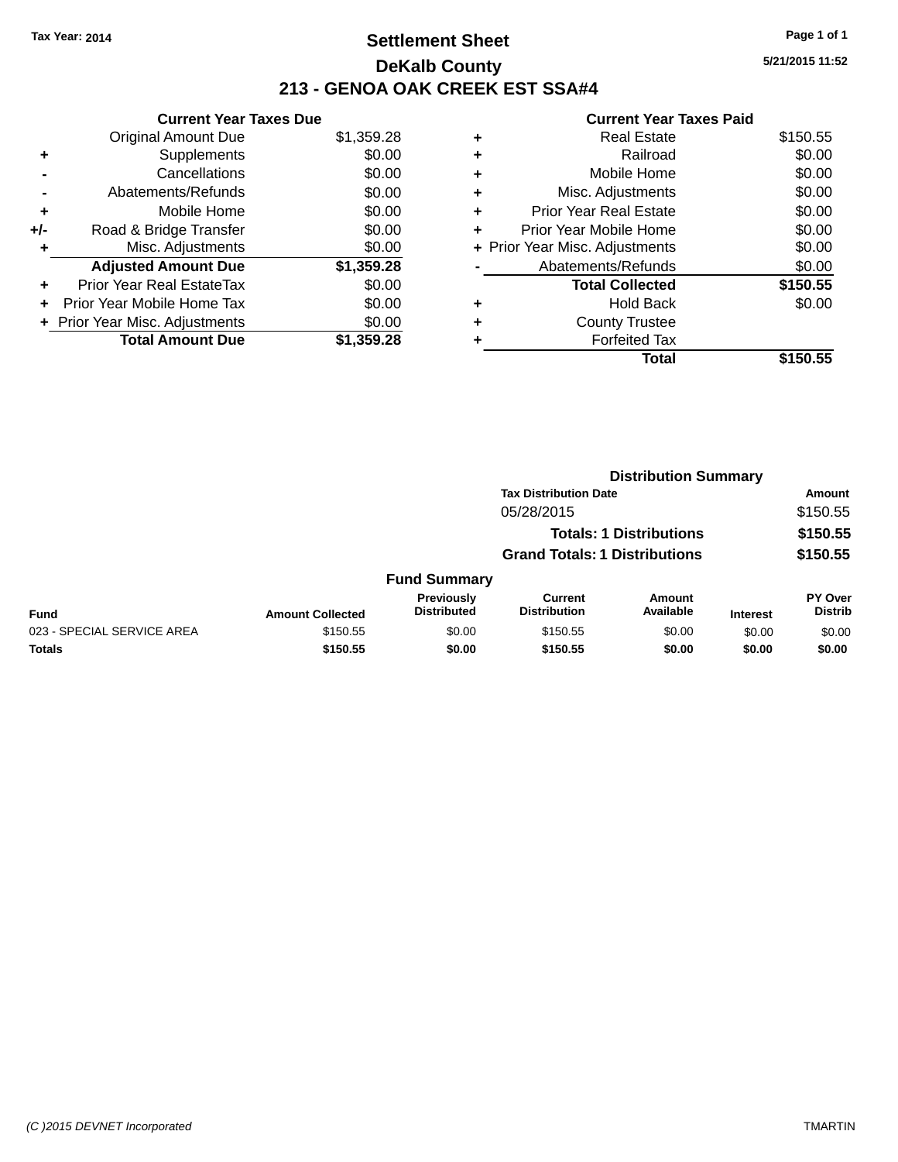### **Settlement Sheet Tax Year: 2014 Page 1 of 1 DeKalb County 213 - GENOA OAK CREEK EST SSA#4**

**5/21/2015 11:52**

|     | <b>Current Year Taxes Due</b>  |            |  |  |  |  |  |
|-----|--------------------------------|------------|--|--|--|--|--|
|     | <b>Original Amount Due</b>     | \$1,359.28 |  |  |  |  |  |
| ٠   | Supplements                    | \$0.00     |  |  |  |  |  |
|     | Cancellations                  | \$0.00     |  |  |  |  |  |
|     | Abatements/Refunds             | \$0.00     |  |  |  |  |  |
| ÷   | Mobile Home                    | \$0.00     |  |  |  |  |  |
| +/- | Road & Bridge Transfer         | \$0.00     |  |  |  |  |  |
| ٠   | Misc. Adjustments              | \$0.00     |  |  |  |  |  |
|     | <b>Adjusted Amount Due</b>     | \$1,359.28 |  |  |  |  |  |
| ÷   | Prior Year Real EstateTax      | \$0.00     |  |  |  |  |  |
|     | Prior Year Mobile Home Tax     | \$0.00     |  |  |  |  |  |
|     | + Prior Year Misc. Adjustments | \$0.00     |  |  |  |  |  |
|     | <b>Total Amount Due</b>        | \$1,359.28 |  |  |  |  |  |
|     |                                |            |  |  |  |  |  |

| ٠ | <b>Real Estate</b>             | \$150.55 |
|---|--------------------------------|----------|
| ٠ | Railroad                       | \$0.00   |
| ٠ | Mobile Home                    | \$0.00   |
| ٠ | Misc. Adjustments              | \$0.00   |
| ٠ | <b>Prior Year Real Estate</b>  | \$0.00   |
| ٠ | Prior Year Mobile Home         | \$0.00   |
|   | + Prior Year Misc. Adjustments | \$0.00   |
|   | Abatements/Refunds             | \$0.00   |
|   | <b>Total Collected</b>         | \$150.55 |
| ٠ | <b>Hold Back</b>               | \$0.00   |
| ٠ | <b>County Trustee</b>          |          |
|   | <b>Forfeited Tax</b>           |          |
|   | Total                          | \$150.55 |
|   |                                |          |

|                            |                         | <b>Distribution Summary</b>      |                                       |                                |                 |                           |
|----------------------------|-------------------------|----------------------------------|---------------------------------------|--------------------------------|-----------------|---------------------------|
|                            |                         |                                  | <b>Tax Distribution Date</b>          |                                |                 | <b>Amount</b>             |
|                            |                         |                                  | 05/28/2015                            |                                |                 | \$150.55                  |
|                            |                         |                                  |                                       | <b>Totals: 1 Distributions</b> |                 | \$150.55                  |
|                            |                         |                                  | <b>Grand Totals: 1 Distributions</b>  |                                |                 | \$150.55                  |
|                            |                         | <b>Fund Summary</b>              |                                       |                                |                 |                           |
| <b>Fund</b>                | <b>Amount Collected</b> | Previously<br><b>Distributed</b> | <b>Current</b><br><b>Distribution</b> | <b>Amount</b><br>Available     | <b>Interest</b> | PY Over<br><b>Distrib</b> |
| 023 - SPECIAL SERVICE AREA | \$150.55                | \$0.00                           | \$150.55                              | \$0.00                         | \$0.00          | \$0.00                    |
| <b>Totals</b>              | \$150.55                | \$0.00                           | \$150.55                              | \$0.00                         | \$0.00          | \$0.00                    |
|                            |                         |                                  |                                       |                                |                 |                           |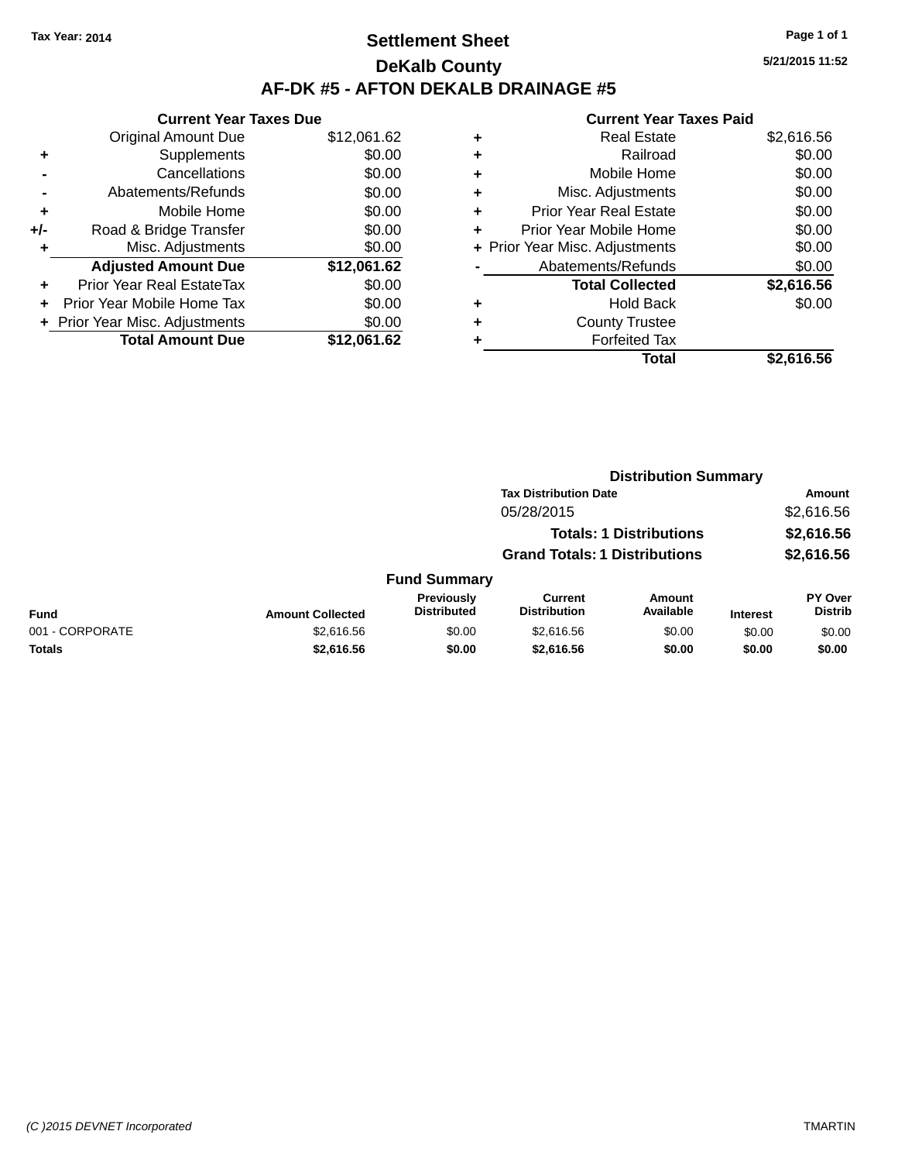### **Settlement Sheet Tax Year: 2014 Page 1 of 1 DeKalb County AF-DK #5 - AFTON DEKALB DRAINAGE #5**

|       | <b>Current Year Taxes Due</b>  |             |
|-------|--------------------------------|-------------|
|       | <b>Original Amount Due</b>     | \$12,061.62 |
|       | Supplements                    | \$0.00      |
|       | Cancellations                  | \$0.00      |
|       | Abatements/Refunds             | \$0.00      |
| ٠     | Mobile Home                    | \$0.00      |
| $+/-$ | Road & Bridge Transfer         | \$0.00      |
| ٠     | Misc. Adjustments              | \$0.00      |
|       | <b>Adjusted Amount Due</b>     | \$12,061.62 |
|       | Prior Year Real EstateTax      | \$0.00      |
|       | Prior Year Mobile Home Tax     | \$0.00      |
|       | + Prior Year Misc. Adjustments | \$0.00      |
|       | <b>Total Amount Due</b>        | \$12,061.62 |
|       |                                |             |

#### **Current Year Taxes Paid**

|   | <b>Real Estate</b>             | \$2,616.56 |
|---|--------------------------------|------------|
| ٠ | Railroad                       | \$0.00     |
| ٠ | Mobile Home                    | \$0.00     |
| ٠ | Misc. Adjustments              | \$0.00     |
| ٠ | <b>Prior Year Real Estate</b>  | \$0.00     |
| ٠ | Prior Year Mobile Home         | \$0.00     |
|   | + Prior Year Misc. Adjustments | \$0.00     |
|   | Abatements/Refunds             | \$0.00     |
|   | <b>Total Collected</b>         | \$2,616.56 |
| ٠ | <b>Hold Back</b>               | \$0.00     |
|   | <b>County Trustee</b>          |            |
|   | <b>Forfeited Tax</b>           |            |
|   | Total                          | \$2,616.56 |
|   |                                |            |

| PIIOI TEAI MODIE HOITE         | JU.UU  |
|--------------------------------|--------|
| + Prior Year Misc. Adjustments | \$0.00 |
| Abatements/Refunds             | \$0.00 |

|                 |                         |                                  | <b>Distribution Summary</b>           |                                |                 |                                  |
|-----------------|-------------------------|----------------------------------|---------------------------------------|--------------------------------|-----------------|----------------------------------|
|                 |                         |                                  | <b>Tax Distribution Date</b>          |                                |                 | Amount                           |
|                 |                         |                                  | 05/28/2015                            |                                |                 | \$2,616.56                       |
|                 |                         |                                  |                                       | <b>Totals: 1 Distributions</b> |                 | \$2,616.56                       |
|                 |                         |                                  | <b>Grand Totals: 1 Distributions</b>  |                                |                 | \$2,616.56                       |
|                 |                         | <b>Fund Summary</b>              |                                       |                                |                 |                                  |
| Fund            | <b>Amount Collected</b> | Previously<br><b>Distributed</b> | <b>Current</b><br><b>Distribution</b> | Amount<br>Available            | <b>Interest</b> | <b>PY Over</b><br><b>Distrib</b> |
| 001 - CORPORATE | \$2,616.56              | \$0.00                           | \$2,616.56                            | \$0.00                         | \$0.00          | \$0.00                           |
| <b>Totals</b>   | \$2,616.56              | \$0.00                           | \$2,616.56                            | \$0.00                         | \$0.00          | \$0.00                           |

**5/21/2015 11:52**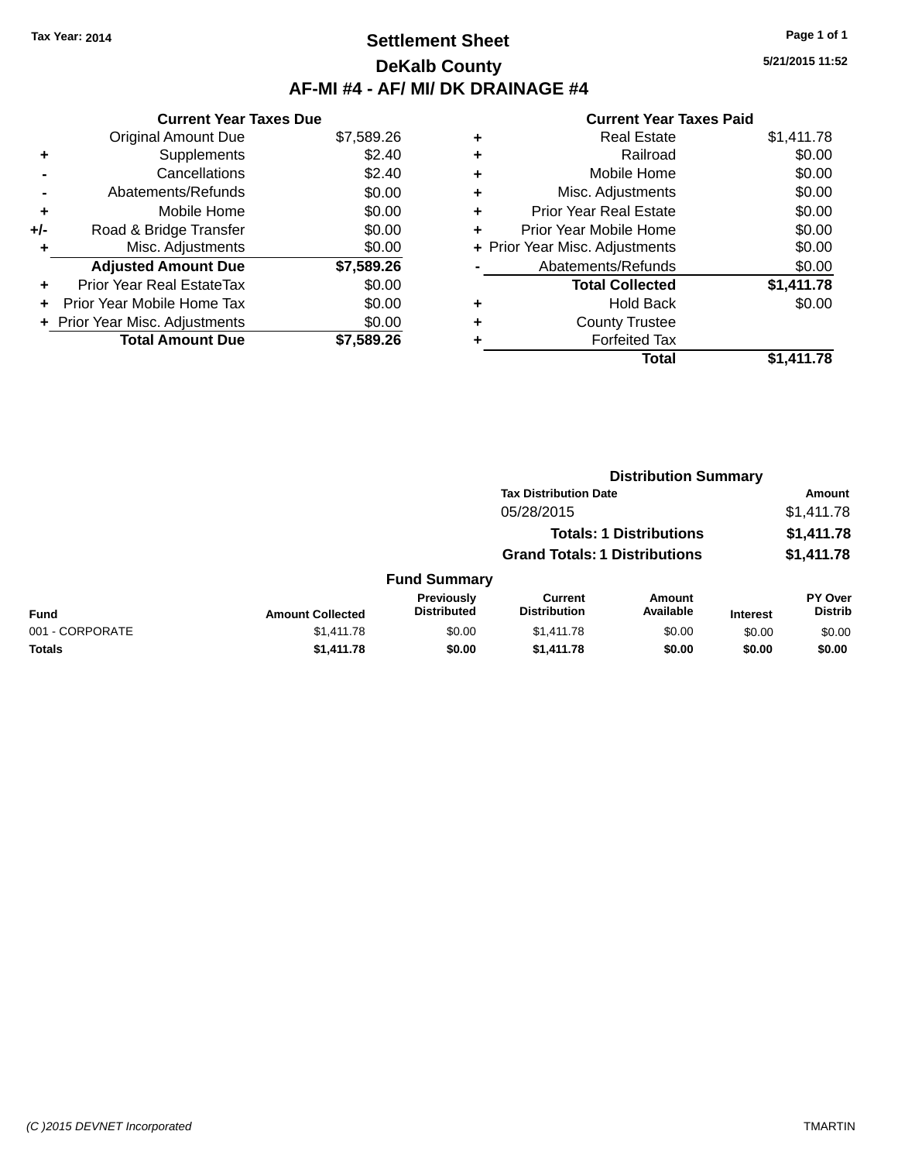### **Settlement Sheet Tax Year: 2014 Page 1 of 1 DeKalb County AF-MI #4 - AF/ MI/ DK DRAINAGE #4**

**5/21/2015 11:52**

|     | <b>Current Year Taxes Due</b>  |            |
|-----|--------------------------------|------------|
|     | <b>Original Amount Due</b>     | \$7,589.26 |
| ٠   | Supplements                    | \$2.40     |
|     | Cancellations                  | \$2.40     |
|     | Abatements/Refunds             | \$0.00     |
| ٠   | Mobile Home                    | \$0.00     |
| +/- | Road & Bridge Transfer         | \$0.00     |
| ٠   | Misc. Adjustments              | \$0.00     |
|     | <b>Adjusted Amount Due</b>     | \$7,589.26 |
| ÷   | Prior Year Real EstateTax      | \$0.00     |
| ÷   | Prior Year Mobile Home Tax     | \$0.00     |
|     | + Prior Year Misc. Adjustments | \$0.00     |
|     | <b>Total Amount Due</b>        | \$7,589.26 |

| ٠ | <b>Real Estate</b>             | \$1,411.78 |
|---|--------------------------------|------------|
| ٠ | Railroad                       | \$0.00     |
| ٠ | Mobile Home                    | \$0.00     |
| ٠ | Misc. Adjustments              | \$0.00     |
| ٠ | <b>Prior Year Real Estate</b>  | \$0.00     |
| ٠ | Prior Year Mobile Home         | \$0.00     |
|   | + Prior Year Misc. Adjustments | \$0.00     |
|   | Abatements/Refunds             | \$0.00     |
|   | <b>Total Collected</b>         | \$1,411.78 |
| ٠ | <b>Hold Back</b>               | \$0.00     |
| ٠ | <b>County Trustee</b>          |            |
| ٠ | <b>Forfeited Tax</b>           |            |
|   | Total                          | \$1,411.78 |
|   |                                |            |

|                 |                         |                                  | <b>Distribution Summary</b>           |                                |                 |                           |
|-----------------|-------------------------|----------------------------------|---------------------------------------|--------------------------------|-----------------|---------------------------|
|                 |                         |                                  | <b>Tax Distribution Date</b>          |                                |                 | <b>Amount</b>             |
|                 |                         |                                  | 05/28/2015                            |                                |                 | \$1,411.78                |
|                 |                         |                                  |                                       | <b>Totals: 1 Distributions</b> |                 | \$1,411.78                |
|                 |                         |                                  | <b>Grand Totals: 1 Distributions</b>  |                                |                 | \$1,411.78                |
|                 |                         | <b>Fund Summary</b>              |                                       |                                |                 |                           |
| <b>Fund</b>     | <b>Amount Collected</b> | Previously<br><b>Distributed</b> | <b>Current</b><br><b>Distribution</b> | Amount<br>Available            | <b>Interest</b> | PY Over<br><b>Distrib</b> |
| 001 - CORPORATE | \$1,411.78              | \$0.00                           | \$1,411.78                            | \$0.00                         | \$0.00          | \$0.00                    |
| <b>Totals</b>   | \$1,411.78              | \$0.00                           | \$1,411.78                            | \$0.00                         | \$0.00          | \$0.00                    |
|                 |                         |                                  |                                       |                                |                 |                           |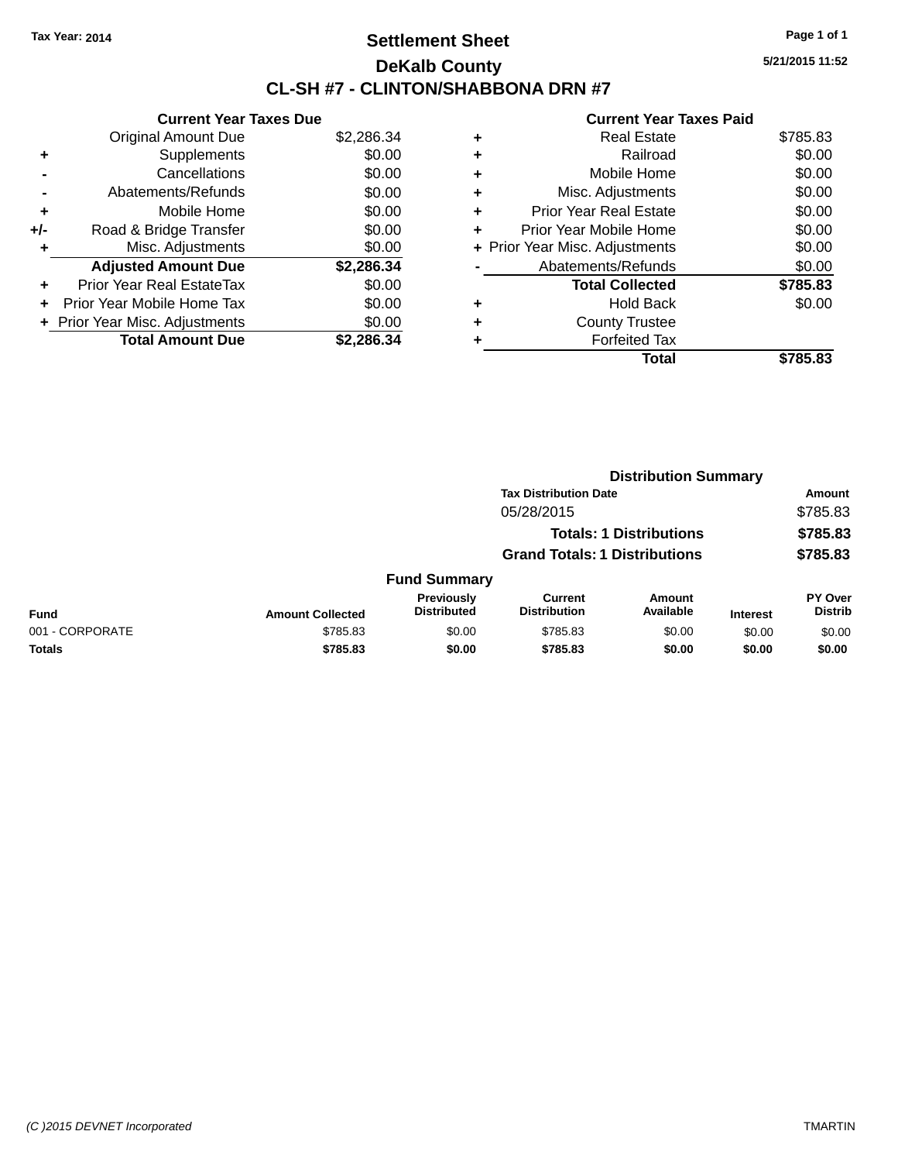### **Settlement Sheet Tax Year: 2014 Page 1 of 1 DeKalb County CL-SH #7 - CLINTON/SHABBONA DRN #7**

**5/21/2015 11:52**

|     | <b>Current Year Taxes Due</b>  |            |
|-----|--------------------------------|------------|
|     | <b>Original Amount Due</b>     | \$2,286.34 |
|     | Supplements                    | \$0.00     |
|     | Cancellations                  | \$0.00     |
|     | Abatements/Refunds             | \$0.00     |
| ٠   | Mobile Home                    | \$0.00     |
| +/- | Road & Bridge Transfer         | \$0.00     |
|     | Misc. Adjustments              | \$0.00     |
|     | <b>Adjusted Amount Due</b>     | \$2,286.34 |
| ٠   | Prior Year Real EstateTax      | \$0.00     |
|     | Prior Year Mobile Home Tax     | \$0.00     |
|     | + Prior Year Misc. Adjustments | \$0.00     |
|     | <b>Total Amount Due</b>        | \$2,286.34 |
|     |                                |            |

| ٠ | Real Estate                    | \$785.83 |
|---|--------------------------------|----------|
| ٠ | Railroad                       | \$0.00   |
| ٠ | Mobile Home                    | \$0.00   |
| ٠ | Misc. Adjustments              | \$0.00   |
| ٠ | <b>Prior Year Real Estate</b>  | \$0.00   |
| ٠ | Prior Year Mobile Home         | \$0.00   |
|   | + Prior Year Misc. Adjustments | \$0.00   |
|   | Abatements/Refunds             | \$0.00   |
|   | <b>Total Collected</b>         | \$785.83 |
| ٠ | <b>Hold Back</b>               | \$0.00   |
| ٠ | <b>County Trustee</b>          |          |
|   | <b>Forfeited Tax</b>           |          |
|   | Total                          | \$785.83 |
|   |                                |          |

|                 |                         | <b>Distribution Summary</b>      |                                       |                                |                 |                           |
|-----------------|-------------------------|----------------------------------|---------------------------------------|--------------------------------|-----------------|---------------------------|
|                 |                         |                                  | <b>Tax Distribution Date</b>          |                                |                 | <b>Amount</b>             |
|                 |                         |                                  | 05/28/2015                            |                                |                 | \$785.83                  |
|                 |                         |                                  |                                       | <b>Totals: 1 Distributions</b> |                 | \$785.83                  |
|                 |                         |                                  | <b>Grand Totals: 1 Distributions</b>  |                                |                 | \$785.83                  |
|                 |                         | <b>Fund Summary</b>              |                                       |                                |                 |                           |
| Fund            | <b>Amount Collected</b> | Previously<br><b>Distributed</b> | <b>Current</b><br><b>Distribution</b> | Amount<br>Available            | <b>Interest</b> | PY Over<br><b>Distrib</b> |
| 001 - CORPORATE | \$785.83                | \$0.00                           | \$785.83                              | \$0.00                         | \$0.00          | \$0.00                    |
| <b>Totals</b>   | \$785.83                | \$0.00                           | \$785.83                              | \$0.00                         | \$0.00          | \$0.00                    |
|                 |                         |                                  |                                       |                                |                 |                           |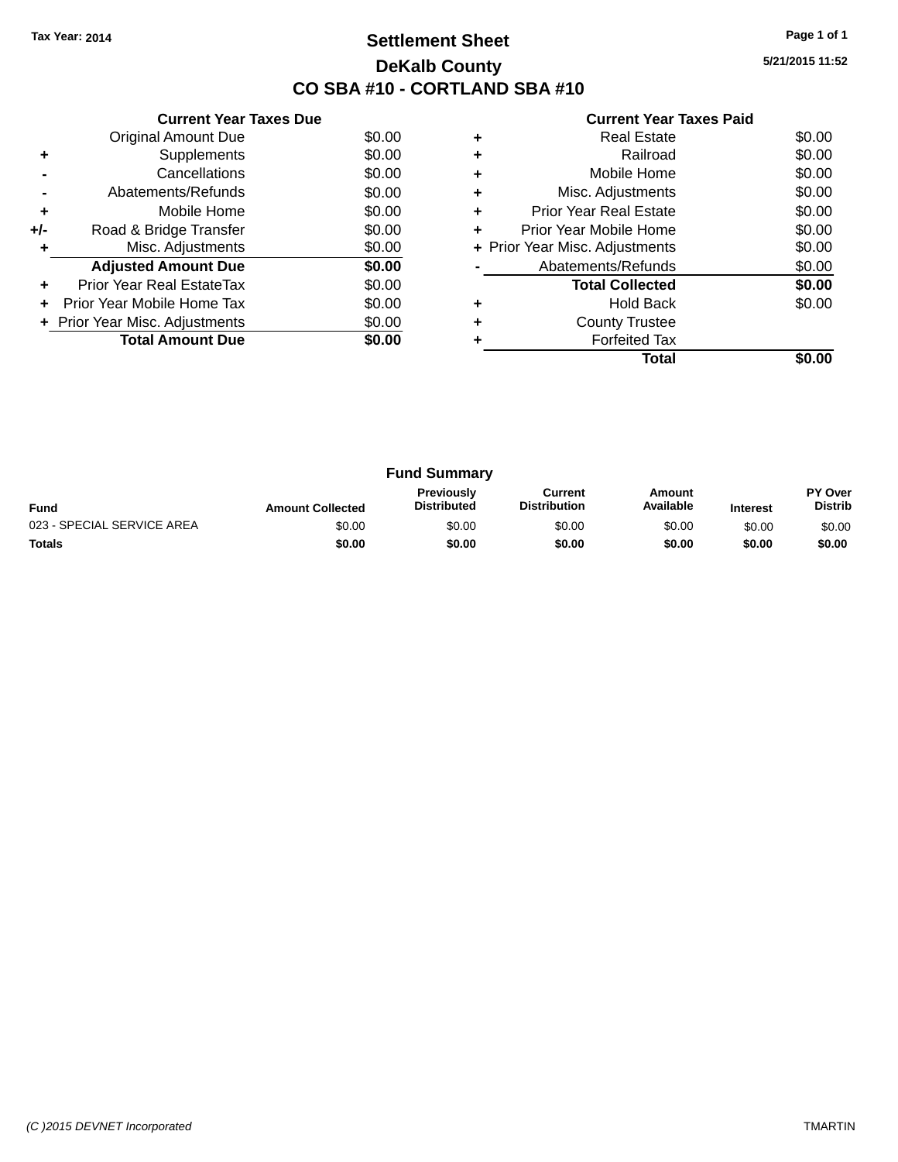### **Settlement Sheet Tax Year: 2014 Page 1 of 1 DeKalb County CO SBA #10 - CORTLAND SBA #10**

**5/21/2015 11:52**

|     | <b>Current Year Taxes Due</b>  |        |
|-----|--------------------------------|--------|
|     | <b>Original Amount Due</b>     | \$0.00 |
| ٠   | Supplements                    | \$0.00 |
|     | Cancellations                  | \$0.00 |
|     | Abatements/Refunds             | \$0.00 |
| ٠   | Mobile Home                    | \$0.00 |
| +/- | Road & Bridge Transfer         | \$0.00 |
| ٠   | Misc. Adjustments              | \$0.00 |
|     | <b>Adjusted Amount Due</b>     | \$0.00 |
| ٠   | Prior Year Real EstateTax      | \$0.00 |
| ÷   | Prior Year Mobile Home Tax     | \$0.00 |
|     | + Prior Year Misc. Adjustments | \$0.00 |
|     | <b>Total Amount Due</b>        | \$0.00 |
|     |                                |        |

|   | <b>Real Estate</b>             | \$0.00 |
|---|--------------------------------|--------|
|   | Railroad                       | \$0.00 |
| ٠ | Mobile Home                    | \$0.00 |
| ٠ | Misc. Adjustments              | \$0.00 |
| ٠ | Prior Year Real Estate         | \$0.00 |
| ٠ | Prior Year Mobile Home         | \$0.00 |
|   | + Prior Year Misc. Adjustments | \$0.00 |
|   | Abatements/Refunds             | \$0.00 |
|   | <b>Total Collected</b>         | \$0.00 |
|   | <b>Hold Back</b>               | \$0.00 |
|   | <b>County Trustee</b>          |        |
|   | <b>Forfeited Tax</b>           |        |
|   | Total                          |        |

| <b>Fund Summary</b>        |                         |                                         |                                |                     |                 |                           |
|----------------------------|-------------------------|-----------------------------------------|--------------------------------|---------------------|-----------------|---------------------------|
| <b>Fund</b>                | <b>Amount Collected</b> | <b>Previously</b><br><b>Distributed</b> | Current<br><b>Distribution</b> | Amount<br>Available | <b>Interest</b> | PY Over<br><b>Distrib</b> |
| 023 - SPECIAL SERVICE AREA | \$0.00                  | \$0.00                                  | \$0.00                         | \$0.00              | \$0.00          | \$0.00                    |
| <b>Totals</b>              | \$0.00                  | \$0.00                                  | \$0.00                         | \$0.00              | \$0.00          | \$0.00                    |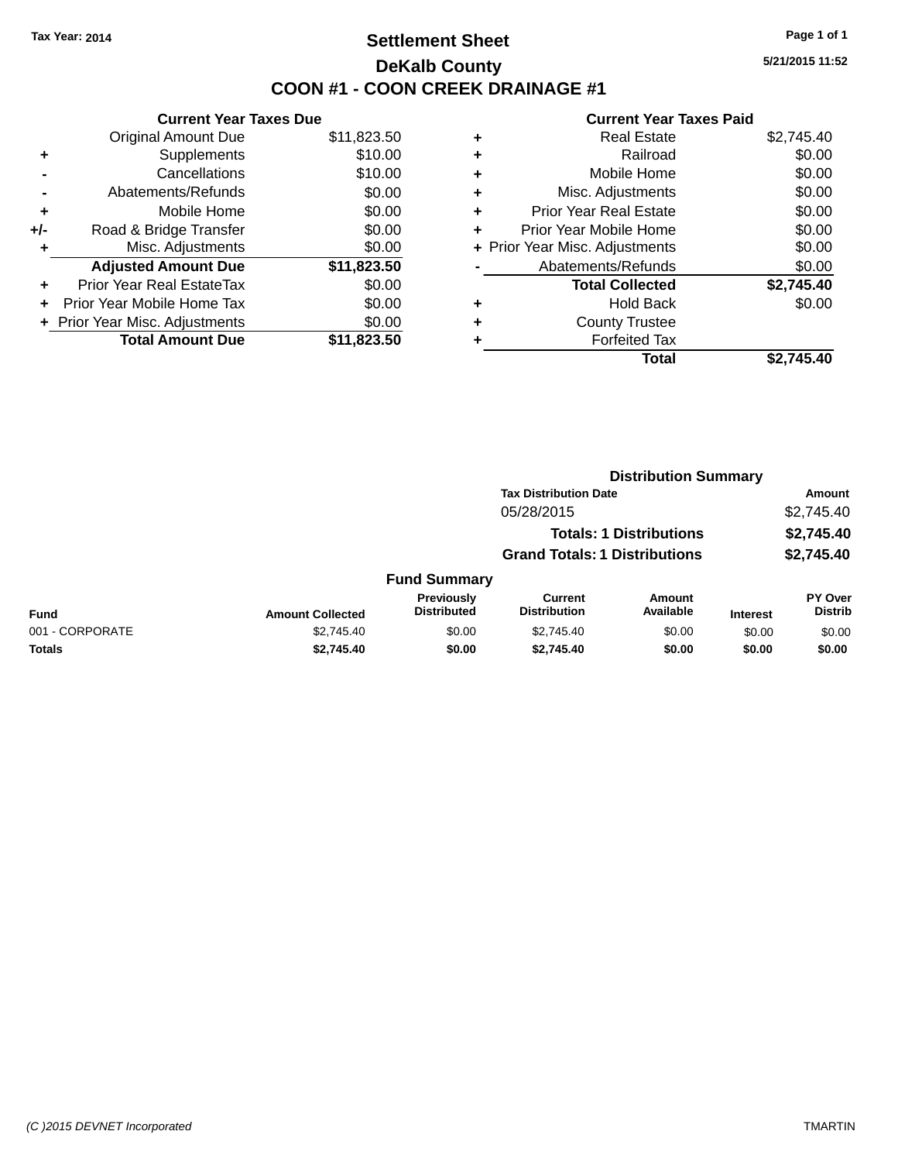### **Settlement Sheet Tax Year: 2014 Page 1 of 1 DeKalb County COON #1 - COON CREEK DRAINAGE #1**

**5/21/2015 11:52**

|     | <b>Current Year Taxes Due</b>  |             |  |  |  |  |  |
|-----|--------------------------------|-------------|--|--|--|--|--|
|     | <b>Original Amount Due</b>     | \$11,823.50 |  |  |  |  |  |
| ٠   | Supplements                    | \$10.00     |  |  |  |  |  |
|     | Cancellations                  | \$10.00     |  |  |  |  |  |
|     | Abatements/Refunds             | \$0.00      |  |  |  |  |  |
| ٠   | Mobile Home                    | \$0.00      |  |  |  |  |  |
| +/- | Road & Bridge Transfer         | \$0.00      |  |  |  |  |  |
| ٠   | Misc. Adjustments              | \$0.00      |  |  |  |  |  |
|     | <b>Adjusted Amount Due</b>     | \$11,823.50 |  |  |  |  |  |
| ÷   | Prior Year Real EstateTax      | \$0.00      |  |  |  |  |  |
| ÷   | Prior Year Mobile Home Tax     | \$0.00      |  |  |  |  |  |
|     | + Prior Year Misc. Adjustments | \$0.00      |  |  |  |  |  |
|     | <b>Total Amount Due</b>        | \$11.823.50 |  |  |  |  |  |

| ٠ | <b>Real Estate</b>             | \$2,745.40 |
|---|--------------------------------|------------|
| ٠ | Railroad                       | \$0.00     |
| ٠ | Mobile Home                    | \$0.00     |
| ٠ | Misc. Adjustments              | \$0.00     |
| ٠ | <b>Prior Year Real Estate</b>  | \$0.00     |
| ٠ | Prior Year Mobile Home         | \$0.00     |
|   | + Prior Year Misc. Adjustments | \$0.00     |
|   | Abatements/Refunds             | \$0.00     |
|   | <b>Total Collected</b>         | \$2,745.40 |
| ٠ | <b>Hold Back</b>               | \$0.00     |
| ٠ | <b>County Trustee</b>          |            |
| ٠ | <b>Forfeited Tax</b>           |            |
|   | Total                          | \$2.745.40 |
|   |                                |            |

|                 |                         |                                  | <b>Distribution Summary</b>           |                                |                 |                                  |  |
|-----------------|-------------------------|----------------------------------|---------------------------------------|--------------------------------|-----------------|----------------------------------|--|
|                 |                         |                                  | <b>Tax Distribution Date</b>          |                                |                 | Amount                           |  |
|                 |                         |                                  | 05/28/2015                            |                                |                 | \$2,745.40                       |  |
|                 |                         |                                  |                                       | <b>Totals: 1 Distributions</b> |                 | \$2,745.40                       |  |
|                 |                         |                                  | <b>Grand Totals: 1 Distributions</b>  |                                |                 | \$2,745.40                       |  |
|                 |                         | <b>Fund Summary</b>              |                                       |                                |                 |                                  |  |
| <b>Fund</b>     | <b>Amount Collected</b> | Previously<br><b>Distributed</b> | <b>Current</b><br><b>Distribution</b> | Amount<br>Available            | <b>Interest</b> | <b>PY Over</b><br><b>Distrib</b> |  |
| 001 - CORPORATE | \$2,745.40              | \$0.00                           | \$2,745.40                            | \$0.00                         | \$0.00          | \$0.00                           |  |
| Totals          | \$2,745.40              | \$0.00                           | \$2,745.40                            | \$0.00                         | \$0.00          | \$0.00                           |  |
|                 |                         |                                  |                                       |                                |                 |                                  |  |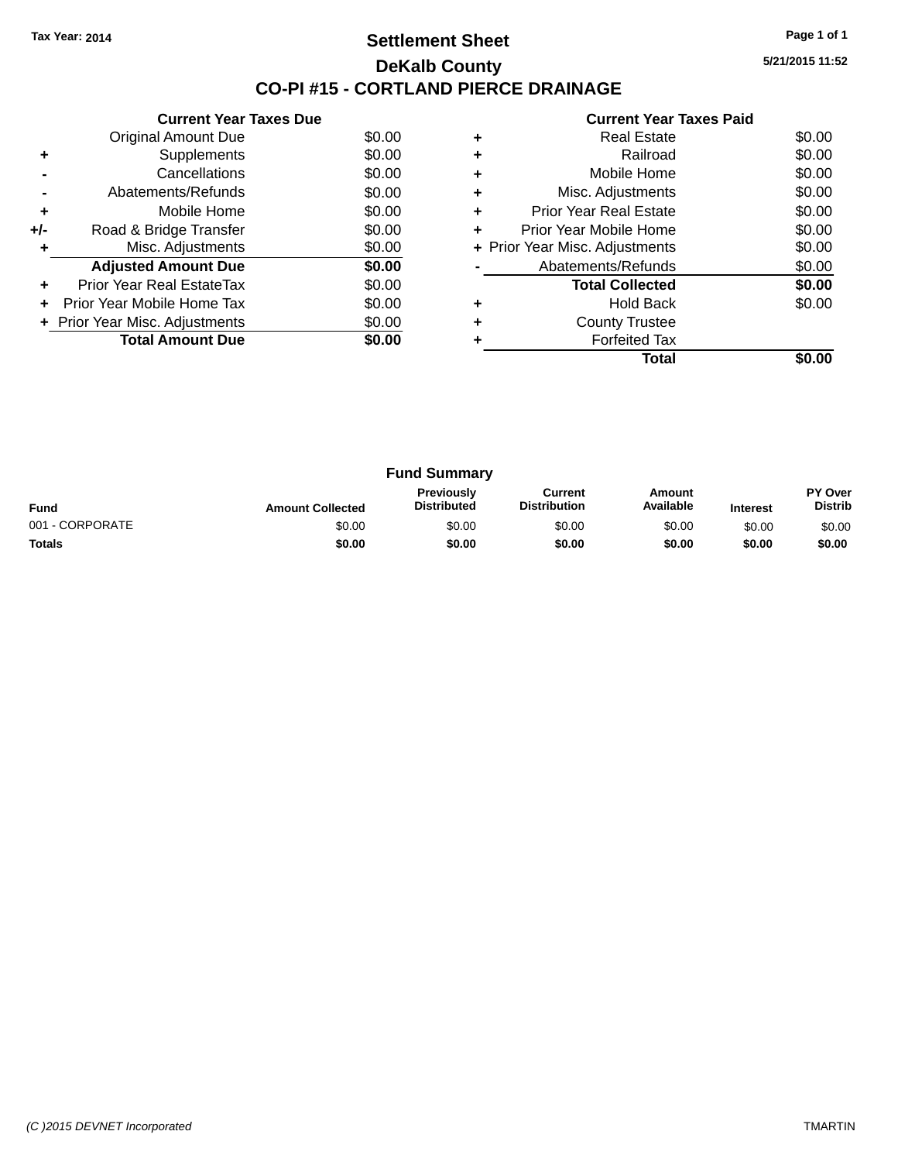### **Settlement Sheet Tax Year: 2014 Page 1 of 1 DeKalb County CO-PI #15 - CORTLAND PIERCE DRAINAGE**

**5/21/2015 11:52**

|     | <b>Current Year Taxes Due</b>  |        |
|-----|--------------------------------|--------|
|     | Original Amount Due            | \$0.00 |
| ٠   | Supplements                    | \$0.00 |
|     | Cancellations                  | \$0.00 |
|     | Abatements/Refunds             | \$0.00 |
| ٠   | Mobile Home                    | \$0.00 |
| +/- | Road & Bridge Transfer         | \$0.00 |
| ٠   | Misc. Adjustments              | \$0.00 |
|     | <b>Adjusted Amount Due</b>     | \$0.00 |
| ٠   | Prior Year Real EstateTax      | \$0.00 |
| ÷   | Prior Year Mobile Home Tax     | \$0.00 |
|     | + Prior Year Misc. Adjustments | \$0.00 |
|     | <b>Total Amount Due</b>        | \$0.00 |
|     |                                |        |

|   | <b>Real Estate</b>             | \$0.00 |
|---|--------------------------------|--------|
|   | Railroad                       | \$0.00 |
| ٠ | Mobile Home                    | \$0.00 |
| ٠ | Misc. Adjustments              | \$0.00 |
| ٠ | Prior Year Real Estate         | \$0.00 |
|   | Prior Year Mobile Home         | \$0.00 |
|   | + Prior Year Misc. Adjustments | \$0.00 |
|   | Abatements/Refunds             | \$0.00 |
|   | <b>Total Collected</b>         | \$0.00 |
|   | <b>Hold Back</b>               | \$0.00 |
| ٠ | <b>County Trustee</b>          |        |
|   | <b>Forfeited Tax</b>           |        |
|   | Total                          |        |

| <b>Fund Summary</b> |                         |                                         |                                |                     |                 |                           |
|---------------------|-------------------------|-----------------------------------------|--------------------------------|---------------------|-----------------|---------------------------|
| <b>Fund</b>         | <b>Amount Collected</b> | <b>Previously</b><br><b>Distributed</b> | Current<br><b>Distribution</b> | Amount<br>Available | <b>Interest</b> | PY Over<br><b>Distrib</b> |
| 001 - CORPORATE     | \$0.00                  | \$0.00                                  | \$0.00                         | \$0.00              | \$0.00          | \$0.00                    |
| <b>Totals</b>       | \$0.00                  | \$0.00                                  | \$0.00                         | \$0.00              | \$0.00          | \$0.00                    |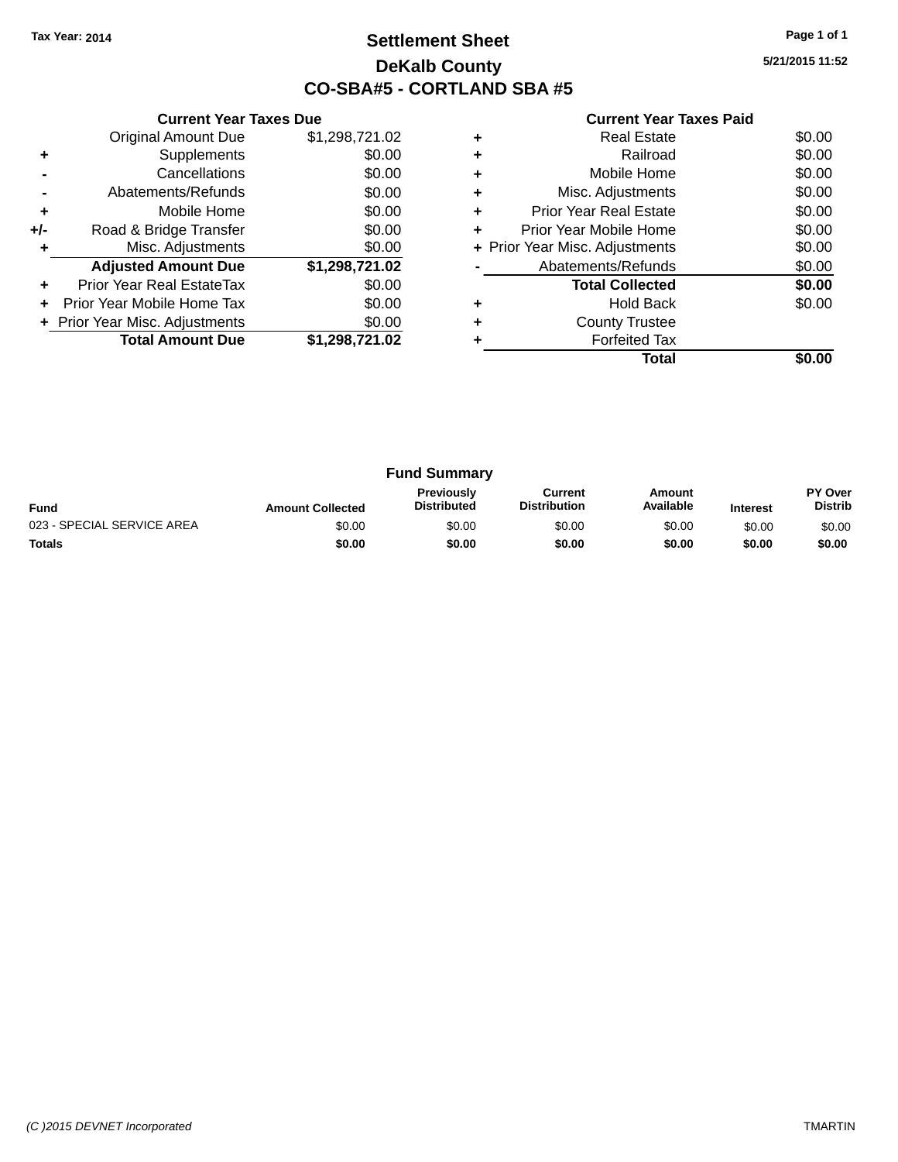### **Settlement Sheet Tax Year: 2014 Page 1 of 1 DeKalb County CO-SBA#5 - CORTLAND SBA #5**

**5/21/2015 11:52**

|     | <b>Current Year Taxes Due</b>  |                |
|-----|--------------------------------|----------------|
|     | <b>Original Amount Due</b>     | \$1,298,721.02 |
| ٠   | Supplements                    | \$0.00         |
|     | Cancellations                  | \$0.00         |
|     | Abatements/Refunds             | \$0.00         |
| ٠   | Mobile Home                    | \$0.00         |
| +/- | Road & Bridge Transfer         | \$0.00         |
| ٠   | Misc. Adjustments              | \$0.00         |
|     | <b>Adjusted Amount Due</b>     | \$1,298,721.02 |
| ٠   | Prior Year Real EstateTax      | \$0.00         |
| ÷   | Prior Year Mobile Home Tax     | \$0.00         |
|     | + Prior Year Misc. Adjustments | \$0.00         |
|     | <b>Total Amount Due</b>        | \$1,298,721.02 |
|     |                                |                |

|   | <b>Real Estate</b>             | \$0.00 |
|---|--------------------------------|--------|
| ٠ | Railroad                       | \$0.00 |
| ٠ | Mobile Home                    | \$0.00 |
| ٠ | Misc. Adjustments              | \$0.00 |
| ٠ | <b>Prior Year Real Estate</b>  | \$0.00 |
| ٠ | Prior Year Mobile Home         | \$0.00 |
|   | + Prior Year Misc. Adjustments | \$0.00 |
|   | Abatements/Refunds             | \$0.00 |
|   | <b>Total Collected</b>         | \$0.00 |
|   | <b>Hold Back</b>               | \$0.00 |
| ٠ | <b>County Trustee</b>          |        |
|   | <b>Forfeited Tax</b>           |        |
|   | Total                          |        |

| <b>Fund Summary</b>        |                         |                                         |                                |                     |                 |                                  |
|----------------------------|-------------------------|-----------------------------------------|--------------------------------|---------------------|-----------------|----------------------------------|
| <b>Fund</b>                | <b>Amount Collected</b> | <b>Previously</b><br><b>Distributed</b> | Current<br><b>Distribution</b> | Amount<br>Available | <b>Interest</b> | <b>PY Over</b><br><b>Distrib</b> |
| 023 - SPECIAL SERVICE AREA | \$0.00                  | \$0.00                                  | \$0.00                         | \$0.00              | \$0.00          | \$0.00                           |
| <b>Totals</b>              | \$0.00                  | \$0.00                                  | \$0.00                         | \$0.00              | \$0.00          | \$0.00                           |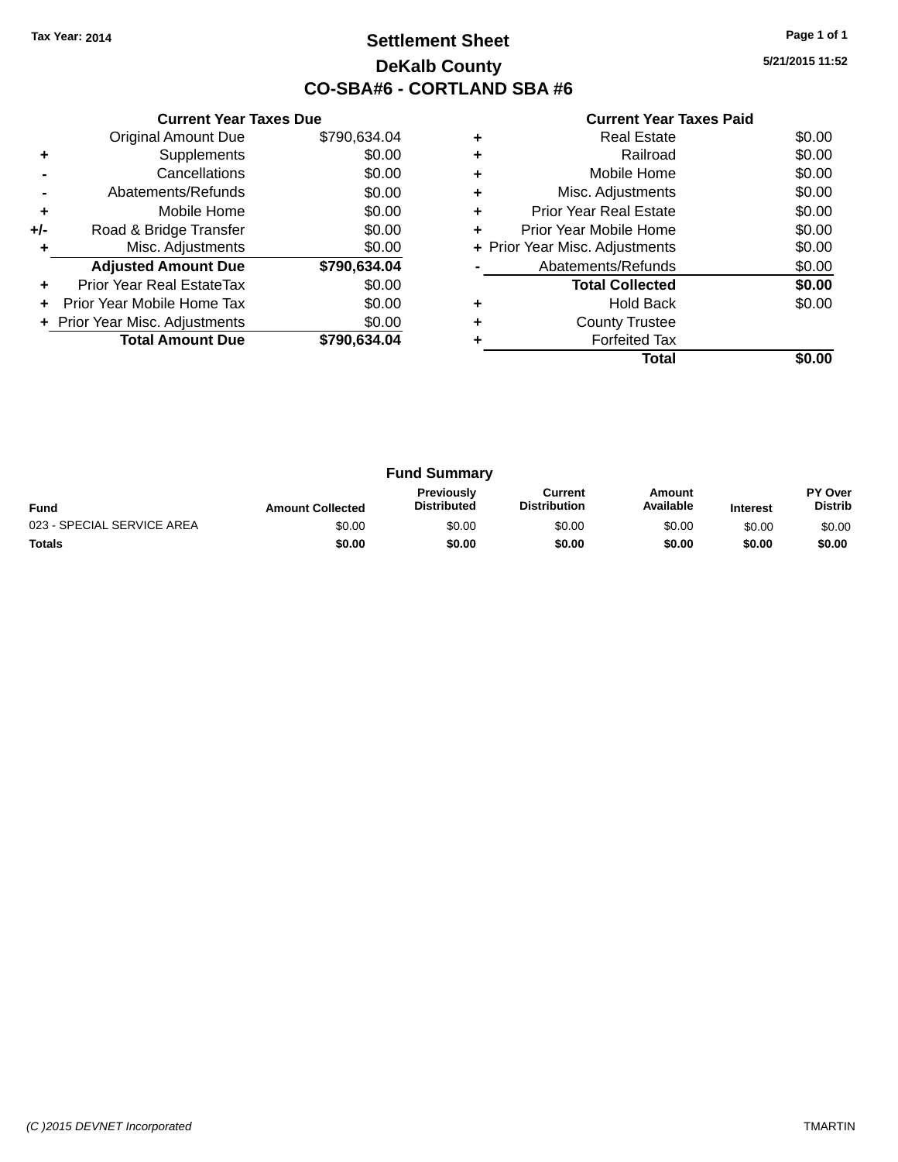### **Settlement Sheet Tax Year: 2014 Page 1 of 1 DeKalb County CO-SBA#6 - CORTLAND SBA #6**

**5/21/2015 11:52**

|     | <b>Current Year Taxes Due</b>  |              |
|-----|--------------------------------|--------------|
|     | <b>Original Amount Due</b>     | \$790,634.04 |
| ٠   | Supplements                    | \$0.00       |
|     | Cancellations                  | \$0.00       |
|     | Abatements/Refunds             | \$0.00       |
| ٠   | Mobile Home                    | \$0.00       |
| +/- | Road & Bridge Transfer         | \$0.00       |
|     | Misc. Adjustments              | \$0.00       |
|     | <b>Adjusted Amount Due</b>     | \$790,634.04 |
| ٠   | Prior Year Real EstateTax      | \$0.00       |
|     | Prior Year Mobile Home Tax     | \$0.00       |
|     | + Prior Year Misc. Adjustments | \$0.00       |
|     | <b>Total Amount Due</b>        | \$790.634.04 |
|     |                                |              |

|   | <b>Real Estate</b>             | \$0.00 |  |  |  |  |
|---|--------------------------------|--------|--|--|--|--|
|   | Railroad                       | \$0.00 |  |  |  |  |
|   | Mobile Home                    | \$0.00 |  |  |  |  |
|   | Misc. Adjustments              | \$0.00 |  |  |  |  |
| ÷ | Prior Year Real Estate         |        |  |  |  |  |
| ÷ | Prior Year Mobile Home         | \$0.00 |  |  |  |  |
|   | + Prior Year Misc. Adjustments |        |  |  |  |  |
|   | Abatements/Refunds             | \$0.00 |  |  |  |  |
|   | <b>Total Collected</b>         | \$0.00 |  |  |  |  |
|   | <b>Hold Back</b>               | \$0.00 |  |  |  |  |
| ÷ | <b>County Trustee</b>          |        |  |  |  |  |
|   | <b>Forfeited Tax</b>           |        |  |  |  |  |
|   | Total                          |        |  |  |  |  |

| <b>Fund Summary</b>        |                         |                                         |                                |                     |                 |                                  |
|----------------------------|-------------------------|-----------------------------------------|--------------------------------|---------------------|-----------------|----------------------------------|
| <b>Fund</b>                | <b>Amount Collected</b> | <b>Previously</b><br><b>Distributed</b> | Current<br><b>Distribution</b> | Amount<br>Available | <b>Interest</b> | <b>PY Over</b><br><b>Distrib</b> |
| 023 - SPECIAL SERVICE AREA | \$0.00                  | \$0.00                                  | \$0.00                         | \$0.00              | \$0.00          | \$0.00                           |
| <b>Totals</b>              | \$0.00                  | \$0.00                                  | \$0.00                         | \$0.00              | \$0.00          | \$0.00                           |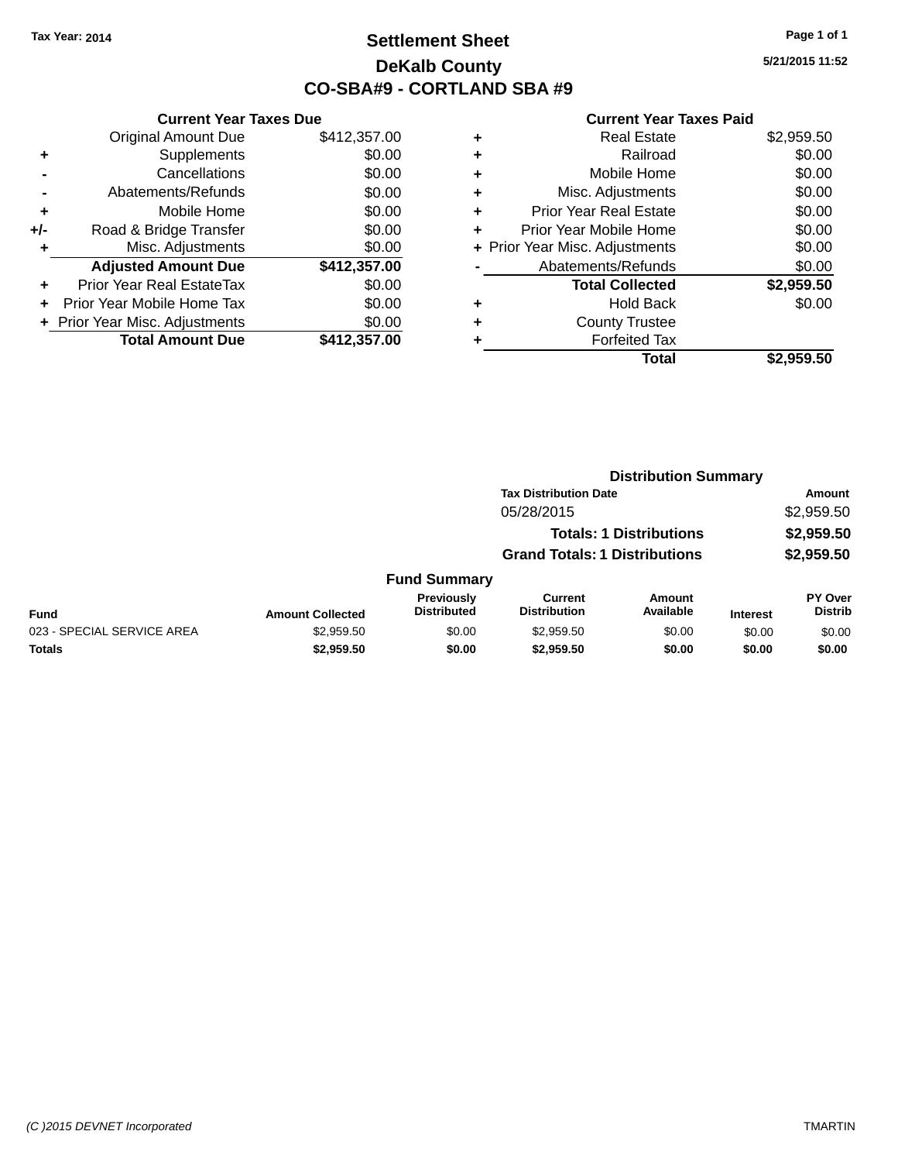### **Settlement Sheet Tax Year: 2014 Page 1 of 1 DeKalb County CO-SBA#9 - CORTLAND SBA #9**

**5/21/2015 11:52**

|       | <b>Current Year Taxes Due</b>              |              |  |  |  |  |  |
|-------|--------------------------------------------|--------------|--|--|--|--|--|
|       | \$412,357.00<br><b>Original Amount Due</b> |              |  |  |  |  |  |
| ٠     | \$0.00<br>Supplements                      |              |  |  |  |  |  |
|       | Cancellations                              | \$0.00       |  |  |  |  |  |
|       | Abatements/Refunds                         | \$0.00       |  |  |  |  |  |
| ٠     | Mobile Home                                | \$0.00       |  |  |  |  |  |
| $+/-$ | Road & Bridge Transfer                     | \$0.00       |  |  |  |  |  |
| ٠     | Misc. Adjustments<br>\$0.00                |              |  |  |  |  |  |
|       | <b>Adjusted Amount Due</b>                 | \$412,357.00 |  |  |  |  |  |
| ٠     | Prior Year Real EstateTax                  | \$0.00       |  |  |  |  |  |
|       | Prior Year Mobile Home Tax                 | \$0.00       |  |  |  |  |  |
|       | \$0.00<br>+ Prior Year Misc. Adjustments   |              |  |  |  |  |  |
|       | <b>Total Amount Due</b>                    | \$412,357.00 |  |  |  |  |  |
|       |                                            |              |  |  |  |  |  |

| ٠ | Real Estate                    | \$2,959.50 |
|---|--------------------------------|------------|
| ٠ | Railroad                       | \$0.00     |
| ٠ | Mobile Home                    | \$0.00     |
| ٠ | Misc. Adjustments              | \$0.00     |
| ٠ | <b>Prior Year Real Estate</b>  | \$0.00     |
| ٠ | Prior Year Mobile Home         | \$0.00     |
|   | + Prior Year Misc. Adjustments | \$0.00     |
|   | Abatements/Refunds             | \$0.00     |
|   | <b>Total Collected</b>         | \$2,959.50 |
| ٠ | <b>Hold Back</b>               | \$0.00     |
|   | <b>County Trustee</b>          |            |
|   | <b>Forfeited Tax</b>           |            |
|   | Total                          | \$2,959.50 |
|   |                                |            |

|                            |                         |                                  |                                      | <b>Distribution Summary</b>    |                 |                           |
|----------------------------|-------------------------|----------------------------------|--------------------------------------|--------------------------------|-----------------|---------------------------|
|                            |                         |                                  | <b>Tax Distribution Date</b>         |                                |                 | <b>Amount</b>             |
|                            |                         |                                  | 05/28/2015                           |                                |                 | \$2,959.50                |
|                            |                         |                                  |                                      | <b>Totals: 1 Distributions</b> |                 | \$2,959.50                |
|                            |                         |                                  | <b>Grand Totals: 1 Distributions</b> |                                |                 | \$2,959.50                |
|                            |                         | <b>Fund Summary</b>              |                                      |                                |                 |                           |
| <b>Fund</b>                | <b>Amount Collected</b> | Previously<br><b>Distributed</b> | Current<br><b>Distribution</b>       | Amount<br>Available            | <b>Interest</b> | PY Over<br><b>Distrib</b> |
| 023 - SPECIAL SERVICE AREA | \$2,959.50              | \$0.00                           | \$2,959.50                           | \$0.00                         | \$0.00          | \$0.00                    |
| <b>Totals</b>              | \$2,959.50              | \$0.00                           | \$2,959.50                           | \$0.00                         | \$0.00          | \$0.00                    |
|                            |                         |                                  |                                      |                                |                 |                           |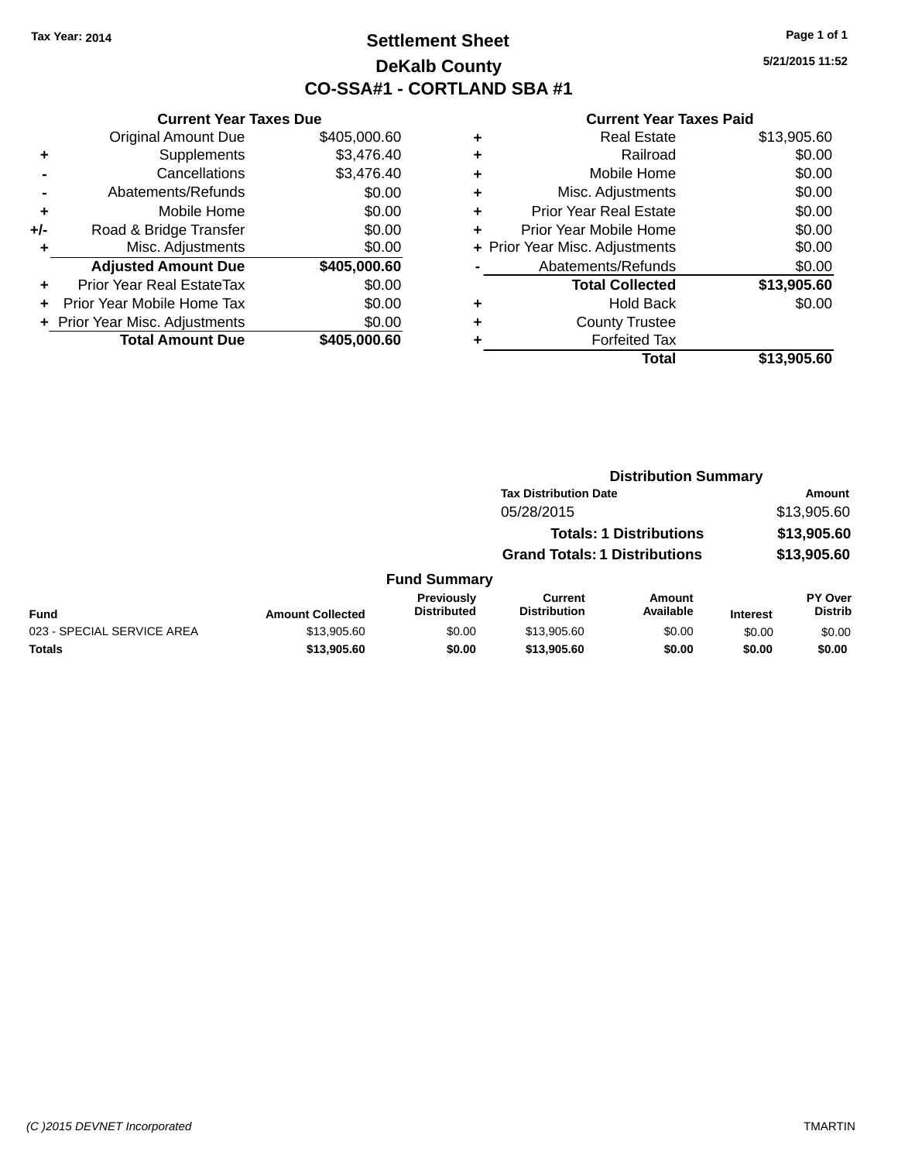### **Settlement Sheet Tax Year: 2014 Page 1 of 1 DeKalb County CO-SSA#1 - CORTLAND SBA #1**

**5/21/2015 11:52**

|     | <b>Current Year Taxes Due</b>  |              |  |  |  |  |  |
|-----|--------------------------------|--------------|--|--|--|--|--|
|     | <b>Original Amount Due</b>     | \$405,000.60 |  |  |  |  |  |
| ٠   | \$3,476.40<br>Supplements      |              |  |  |  |  |  |
|     | Cancellations                  | \$3,476.40   |  |  |  |  |  |
|     | Abatements/Refunds             | \$0.00       |  |  |  |  |  |
| ٠   | Mobile Home                    | \$0.00       |  |  |  |  |  |
| +/- | Road & Bridge Transfer         | \$0.00       |  |  |  |  |  |
| ٠   | \$0.00<br>Misc. Adjustments    |              |  |  |  |  |  |
|     | <b>Adjusted Amount Due</b>     | \$405,000.60 |  |  |  |  |  |
|     | Prior Year Real EstateTax      | \$0.00       |  |  |  |  |  |
|     | Prior Year Mobile Home Tax     | \$0.00       |  |  |  |  |  |
|     | + Prior Year Misc. Adjustments | \$0.00       |  |  |  |  |  |
|     | <b>Total Amount Due</b>        | \$405,000.60 |  |  |  |  |  |
|     |                                |              |  |  |  |  |  |

| ٠ | <b>Real Estate</b>             | \$13,905.60 |
|---|--------------------------------|-------------|
| ٠ | Railroad                       | \$0.00      |
| ٠ | Mobile Home                    | \$0.00      |
| ٠ | Misc. Adjustments              | \$0.00      |
| ٠ | <b>Prior Year Real Estate</b>  | \$0.00      |
| ٠ | Prior Year Mobile Home         | \$0.00      |
|   | + Prior Year Misc. Adjustments | \$0.00      |
|   | Abatements/Refunds             | \$0.00      |
|   | <b>Total Collected</b>         | \$13,905.60 |
| ٠ | <b>Hold Back</b>               | \$0.00      |
| ٠ | <b>County Trustee</b>          |             |
| ٠ | <b>Forfeited Tax</b>           |             |
|   | Total                          | \$13,905.60 |
|   |                                |             |

|                            |                         | <b>Distribution Summary</b>      |                                       |                                |                 |                                  |
|----------------------------|-------------------------|----------------------------------|---------------------------------------|--------------------------------|-----------------|----------------------------------|
|                            |                         |                                  | <b>Tax Distribution Date</b>          |                                |                 | Amount                           |
|                            |                         |                                  | 05/28/2015                            |                                |                 | \$13,905.60                      |
|                            |                         |                                  |                                       | <b>Totals: 1 Distributions</b> |                 | \$13,905.60                      |
|                            |                         |                                  | <b>Grand Totals: 1 Distributions</b>  |                                |                 | \$13,905.60                      |
|                            |                         | <b>Fund Summary</b>              |                                       |                                |                 |                                  |
| Fund                       | <b>Amount Collected</b> | Previously<br><b>Distributed</b> | <b>Current</b><br><b>Distribution</b> | Amount<br>Available            | <b>Interest</b> | <b>PY Over</b><br><b>Distrib</b> |
| 023 - SPECIAL SERVICE AREA | \$13,905.60             | \$0.00                           | \$13,905.60                           | \$0.00                         | \$0.00          | \$0.00                           |
| Totals                     | \$13,905.60             | \$0.00                           | \$13,905.60                           | \$0.00                         | \$0.00          | \$0.00                           |
|                            |                         |                                  |                                       |                                |                 |                                  |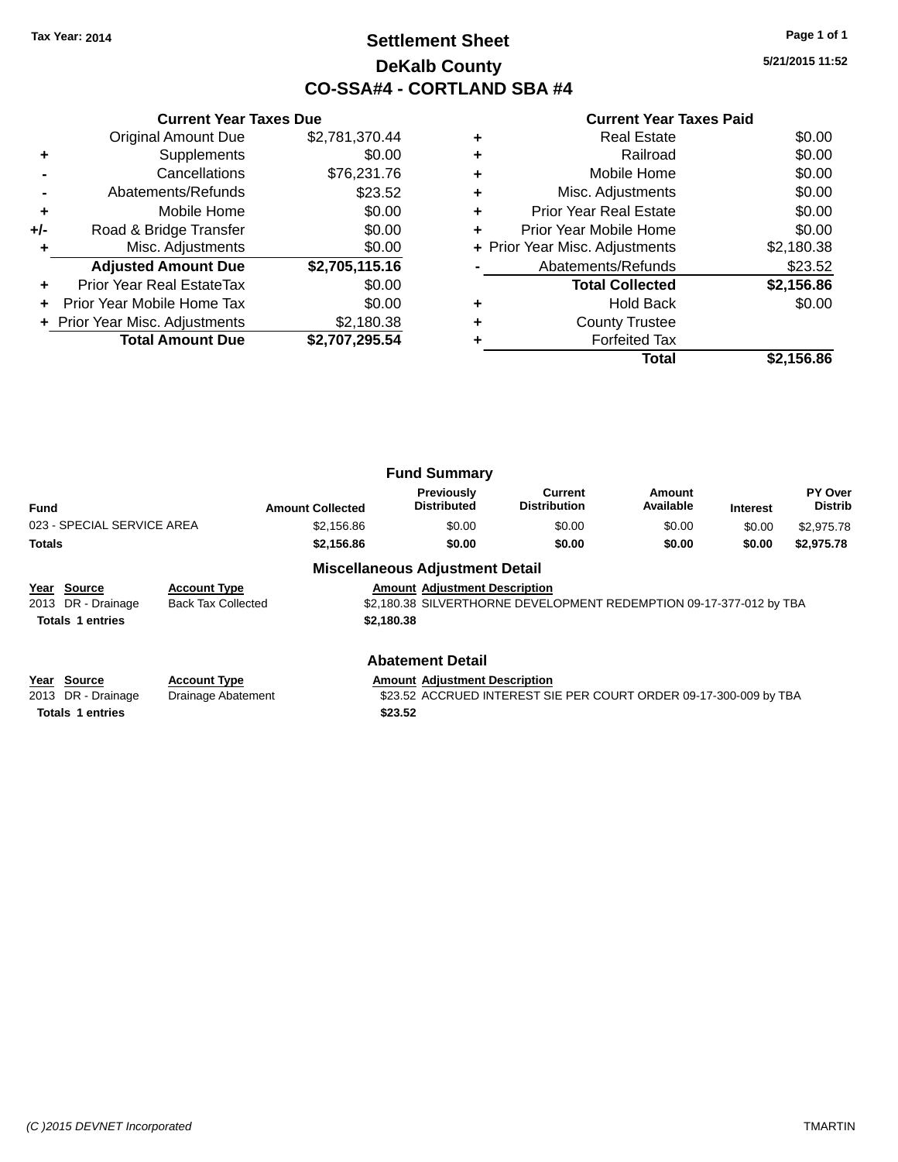### **Settlement Sheet Tax Year: 2014 Page 1 of 1 DeKalb County CO-SSA#4 - CORTLAND SBA #4**

**5/21/2015 11:52**

|       | <b>Current Year Taxes Due</b>                |                |  |  |  |  |
|-------|----------------------------------------------|----------------|--|--|--|--|
|       | Original Amount Due                          | \$2,781,370.44 |  |  |  |  |
| ٠     | \$0.00<br>Supplements                        |                |  |  |  |  |
|       | Cancellations                                | \$76,231.76    |  |  |  |  |
|       | Abatements/Refunds                           | \$23.52        |  |  |  |  |
| ٠     | \$0.00<br>Mobile Home                        |                |  |  |  |  |
| $+/-$ | \$0.00<br>Road & Bridge Transfer             |                |  |  |  |  |
|       | Misc. Adjustments                            | \$0.00         |  |  |  |  |
|       | <b>Adjusted Amount Due</b>                   | \$2,705,115.16 |  |  |  |  |
|       | Prior Year Real EstateTax                    | \$0.00         |  |  |  |  |
|       | \$0.00<br>Prior Year Mobile Home Tax         |                |  |  |  |  |
|       | \$2,180.38<br>+ Prior Year Misc. Adjustments |                |  |  |  |  |
|       | <b>Total Amount Due</b>                      | \$2,707,295.54 |  |  |  |  |
|       |                                              |                |  |  |  |  |

#### **Current Year Taxes Paid**

|   | <b>Real Estate</b>             | \$0.00     |
|---|--------------------------------|------------|
| ÷ | Railroad                       | \$0.00     |
| ÷ | Mobile Home                    | \$0.00     |
| ٠ | Misc. Adjustments              | \$0.00     |
|   | <b>Prior Year Real Estate</b>  | \$0.00     |
| ÷ | Prior Year Mobile Home         | \$0.00     |
|   | + Prior Year Misc. Adjustments | \$2,180.38 |
|   | Abatements/Refunds             | \$23.52    |
|   | <b>Total Collected</b>         | \$2,156.86 |
| ٠ | <b>Hold Back</b>               | \$0.00     |
| ٠ | <b>County Trustee</b>          |            |
|   | <b>Forfeited Tax</b>           |            |
|   | Total                          | \$2.156.86 |

| <b>Fund Summary</b>        |                         |                                         |                                |                     |                 |                                  |
|----------------------------|-------------------------|-----------------------------------------|--------------------------------|---------------------|-----------------|----------------------------------|
| Fund                       | <b>Amount Collected</b> | <b>Previously</b><br><b>Distributed</b> | Current<br><b>Distribution</b> | Amount<br>Available | <b>Interest</b> | <b>PY Over</b><br><b>Distrib</b> |
| 023 - SPECIAL SERVICE AREA | \$2,156.86              | \$0.00                                  | \$0.00                         | \$0.00              | \$0.00          | \$2,975.78                       |
| Totals                     | \$2,156,86              | \$0.00                                  | \$0.00                         | \$0.00              | \$0.00          | \$2,975.78                       |
|                            |                         |                                         |                                |                     |                 |                                  |

#### **Miscellaneous Adjustment Detail Year Source Account Type Account Type Amount Adjustment Description**<br>
2013 DR - Drainage Back Tax Collected \$2,180.38 SILVERTHORNE DEVEL \$2,180.38 SILVERTHORNE DEVELOPMENT REDEMPTION 09-17-377-012 by TBA **Totals \$2,180.38 1 entries**

#### **Abatement Detail**

| Year Source        | <b>Account Type</b> | <b>Amount Adiustment Description</b>                              |
|--------------------|---------------------|-------------------------------------------------------------------|
| 2013 DR - Drainage | Drainage Abatement  | \$23.52 ACCRUED INTEREST SIE PER COURT ORDER 09-17-300-009 by TBA |

**Totals \$23.52 1 entries**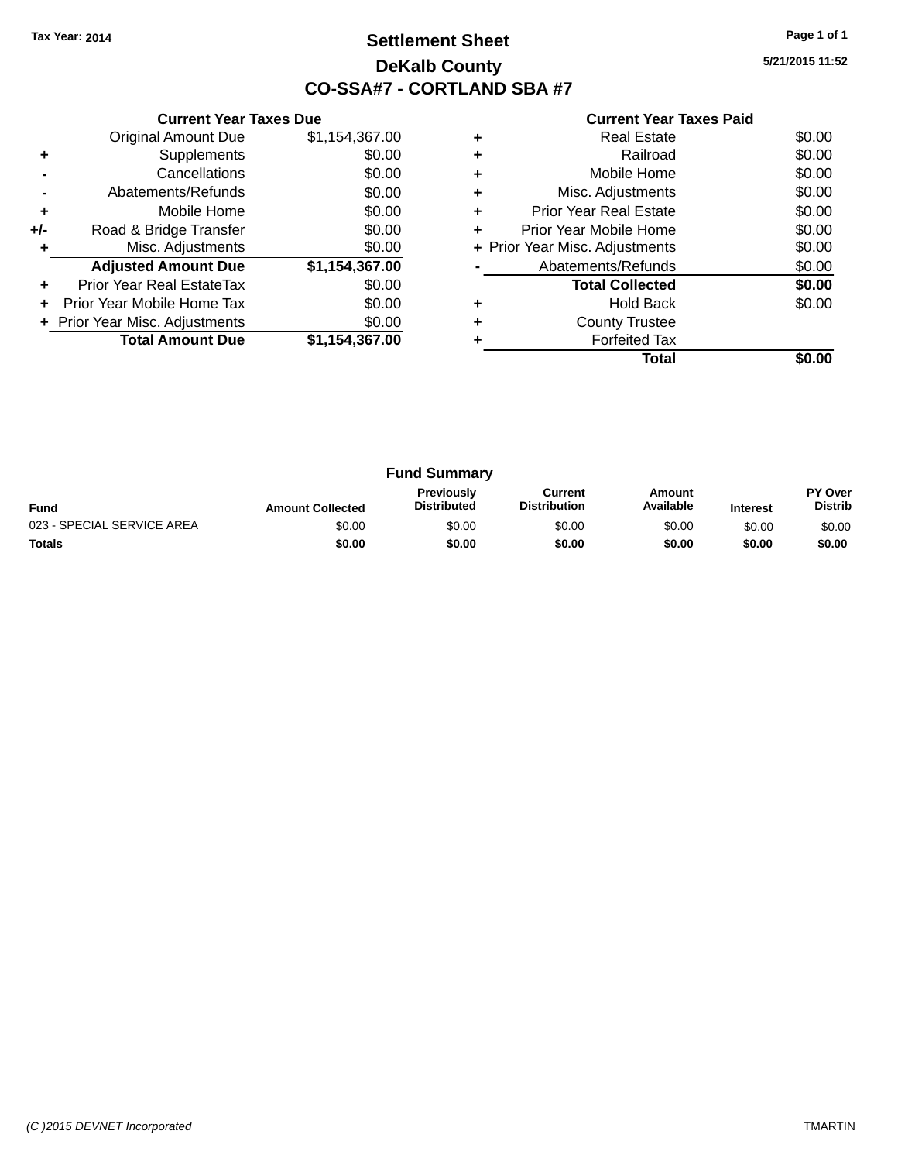### **Settlement Sheet Tax Year: 2014 Page 1 of 1 DeKalb County CO-SSA#7 - CORTLAND SBA #7**

**5/21/2015 11:52**

|     | <b>Current Year Taxes Due</b>  |                |  |  |  |
|-----|--------------------------------|----------------|--|--|--|
|     | <b>Original Amount Due</b>     | \$1,154,367.00 |  |  |  |
| ٠   | Supplements                    | \$0.00         |  |  |  |
|     | Cancellations                  | \$0.00         |  |  |  |
|     | Abatements/Refunds             | \$0.00         |  |  |  |
| ÷   | Mobile Home                    | \$0.00         |  |  |  |
| +/- | Road & Bridge Transfer         | \$0.00         |  |  |  |
|     | Misc. Adjustments              | \$0.00         |  |  |  |
|     | <b>Adjusted Amount Due</b>     | \$1,154,367.00 |  |  |  |
| ٠   | Prior Year Real EstateTax      | \$0.00         |  |  |  |
|     | Prior Year Mobile Home Tax     | \$0.00         |  |  |  |
|     | + Prior Year Misc. Adjustments | \$0.00         |  |  |  |
|     | <b>Total Amount Due</b>        | \$1,154,367.00 |  |  |  |
|     |                                |                |  |  |  |

|   | <b>Real Estate</b>             | \$0.00 |
|---|--------------------------------|--------|
| ٠ | Railroad                       | \$0.00 |
| ٠ | Mobile Home                    | \$0.00 |
| ٠ | Misc. Adjustments              | \$0.00 |
| ٠ | <b>Prior Year Real Estate</b>  | \$0.00 |
| ٠ | Prior Year Mobile Home         | \$0.00 |
|   | + Prior Year Misc. Adjustments | \$0.00 |
|   | Abatements/Refunds             | \$0.00 |
|   | <b>Total Collected</b>         | \$0.00 |
|   | <b>Hold Back</b>               | \$0.00 |
| ٠ | <b>County Trustee</b>          |        |
|   | <b>Forfeited Tax</b>           |        |
|   | Total                          |        |

| <b>Fund Summary</b>        |                         |                                         |                                |                     |                 |                                  |
|----------------------------|-------------------------|-----------------------------------------|--------------------------------|---------------------|-----------------|----------------------------------|
| <b>Fund</b>                | <b>Amount Collected</b> | <b>Previously</b><br><b>Distributed</b> | Current<br><b>Distribution</b> | Amount<br>Available | <b>Interest</b> | <b>PY Over</b><br><b>Distrib</b> |
| 023 - SPECIAL SERVICE AREA | \$0.00                  | \$0.00                                  | \$0.00                         | \$0.00              | \$0.00          | \$0.00                           |
| <b>Totals</b>              | \$0.00                  | \$0.00                                  | \$0.00                         | \$0.00              | \$0.00          | \$0.00                           |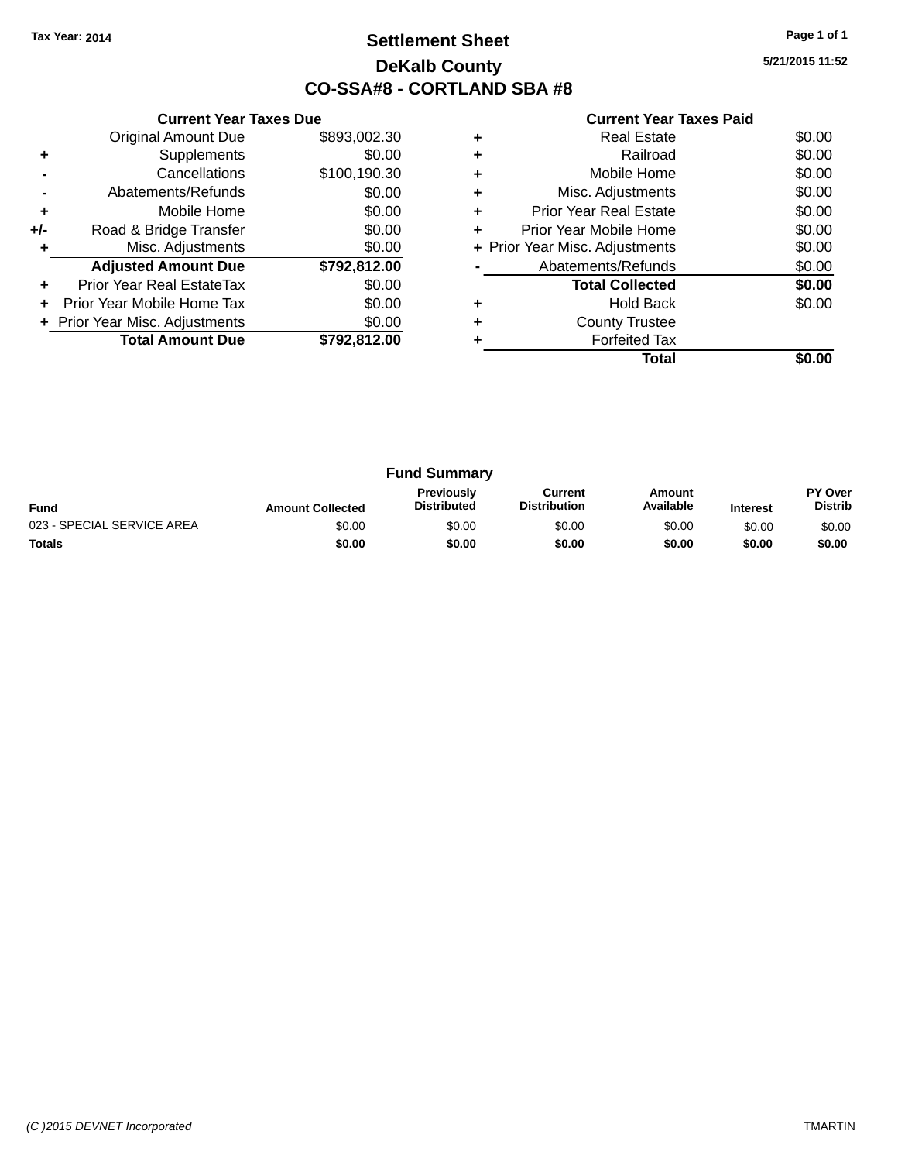### **Settlement Sheet Tax Year: 2014 Page 1 of 1 DeKalb County CO-SSA#8 - CORTLAND SBA #8**

**5/21/2015 11:52**

|     | <b>Current Year Taxes Due</b>  |              |
|-----|--------------------------------|--------------|
|     | <b>Original Amount Due</b>     | \$893,002.30 |
| ٠   | Supplements                    | \$0.00       |
|     | Cancellations                  | \$100,190.30 |
|     | Abatements/Refunds             | \$0.00       |
| ٠   | Mobile Home                    | \$0.00       |
| +/- | Road & Bridge Transfer         | \$0.00       |
|     | Misc. Adjustments              | \$0.00       |
|     | <b>Adjusted Amount Due</b>     | \$792,812.00 |
| ٠   | Prior Year Real EstateTax      | \$0.00       |
|     | Prior Year Mobile Home Tax     | \$0.00       |
|     | + Prior Year Misc. Adjustments | \$0.00       |
|     | <b>Total Amount Due</b>        | \$792.812.00 |
|     |                                |              |

|   | Real Estate                    | \$0.00 |
|---|--------------------------------|--------|
| ٠ | Railroad                       | \$0.00 |
| ٠ | Mobile Home                    | \$0.00 |
| ٠ | Misc. Adjustments              | \$0.00 |
| ٠ | <b>Prior Year Real Estate</b>  | \$0.00 |
| ٠ | Prior Year Mobile Home         | \$0.00 |
|   | + Prior Year Misc. Adjustments | \$0.00 |
|   | Abatements/Refunds             | \$0.00 |
|   | <b>Total Collected</b>         | \$0.00 |
|   | <b>Hold Back</b>               | \$0.00 |
| ٠ | <b>County Trustee</b>          |        |
|   | <b>Forfeited Tax</b>           |        |
|   | Total                          |        |

|                            |                         | <b>Fund Summary</b>                     |                                |                     |                 |                                  |
|----------------------------|-------------------------|-----------------------------------------|--------------------------------|---------------------|-----------------|----------------------------------|
| <b>Fund</b>                | <b>Amount Collected</b> | <b>Previously</b><br><b>Distributed</b> | Current<br><b>Distribution</b> | Amount<br>Available | <b>Interest</b> | <b>PY Over</b><br><b>Distrib</b> |
| 023 - SPECIAL SERVICE AREA | \$0.00                  | \$0.00                                  | \$0.00                         | \$0.00              | \$0.00          | \$0.00                           |
| <b>Totals</b>              | \$0.00                  | \$0.00                                  | \$0.00                         | \$0.00              | \$0.00          | \$0.00                           |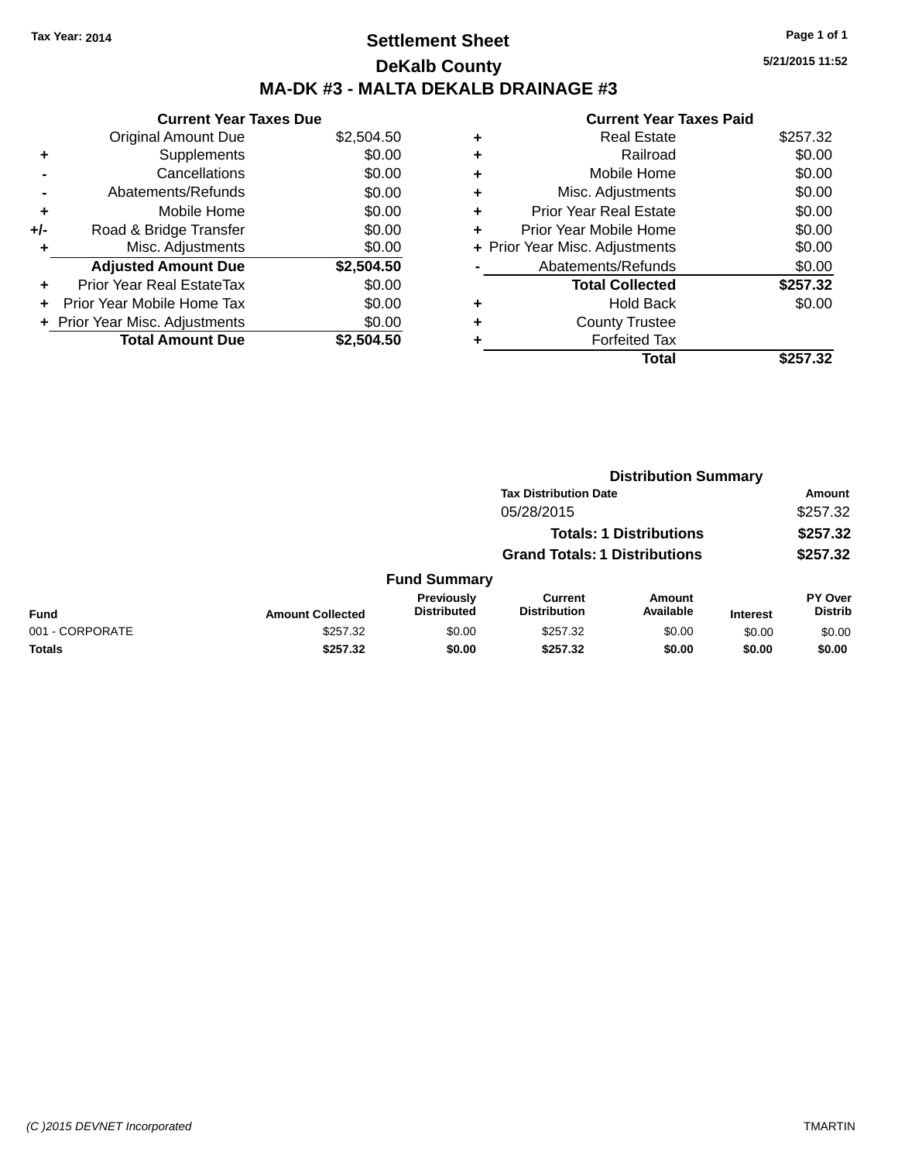### **Settlement Sheet Tax Year: 2014 Page 1 of 1 DeKalb County MA-DK #3 - MALTA DEKALB DRAINAGE #3**

|     | <b>Current Year Taxes Due</b>    |            |
|-----|----------------------------------|------------|
|     | <b>Original Amount Due</b>       | \$2,504.50 |
| ٠   | Supplements                      | \$0.00     |
|     | Cancellations                    | \$0.00     |
|     | Abatements/Refunds               | \$0.00     |
| ٠   | Mobile Home                      | \$0.00     |
| +/- | Road & Bridge Transfer           | \$0.00     |
|     | Misc. Adjustments                | \$0.00     |
|     | <b>Adjusted Amount Due</b>       | \$2,504.50 |
|     | <b>Prior Year Real EstateTax</b> | \$0.00     |
|     | Prior Year Mobile Home Tax       | \$0.00     |
|     | + Prior Year Misc. Adjustments   | \$0.00     |
|     | <b>Total Amount Due</b>          | \$2.504.50 |

|   | <b>Current Year Taxes Paid</b> |          |
|---|--------------------------------|----------|
| ٠ | Real Estate                    | \$257.32 |
| ٠ | Railroad                       | \$0.00   |
| ٠ | Mobile Home                    | \$0.00   |
| ٠ | Misc. Adjustments              | \$0.00   |
| ٠ | <b>Prior Year Real Estate</b>  | \$0.00   |
| ٠ | Prior Year Mobile Home         | \$0.00   |
|   | + Prior Year Misc. Adjustments | \$0.00   |
|   | Abatements/Refunds             | \$0.00   |
|   | <b>Total Collected</b>         | \$257.32 |
|   | <b>Hold Back</b>               | \$0.00   |
| ٠ | <b>County Trustee</b>          |          |
|   | <b>Forfeited Tax</b>           |          |
|   | Total                          |          |
|   |                                |          |

|                 | <b>Distribution Summary</b> |                                  |                                       |                                |                 |                           |  |
|-----------------|-----------------------------|----------------------------------|---------------------------------------|--------------------------------|-----------------|---------------------------|--|
|                 |                             |                                  | <b>Tax Distribution Date</b>          |                                |                 | Amount                    |  |
|                 |                             |                                  | 05/28/2015                            |                                |                 | \$257.32                  |  |
|                 |                             |                                  |                                       | <b>Totals: 1 Distributions</b> |                 | \$257.32                  |  |
|                 |                             |                                  | <b>Grand Totals: 1 Distributions</b>  |                                |                 | \$257.32                  |  |
|                 |                             | <b>Fund Summary</b>              |                                       |                                |                 |                           |  |
| <b>Fund</b>     | <b>Amount Collected</b>     | Previously<br><b>Distributed</b> | <b>Current</b><br><b>Distribution</b> | Amount<br>Available            | <b>Interest</b> | PY Over<br><b>Distrib</b> |  |
| 001 - CORPORATE | \$257.32                    | \$0.00                           | \$257.32                              | \$0.00                         | \$0.00          | \$0.00                    |  |
| <b>Totals</b>   | \$257.32                    | \$0.00                           | \$257.32                              | \$0.00                         | \$0.00          | \$0.00                    |  |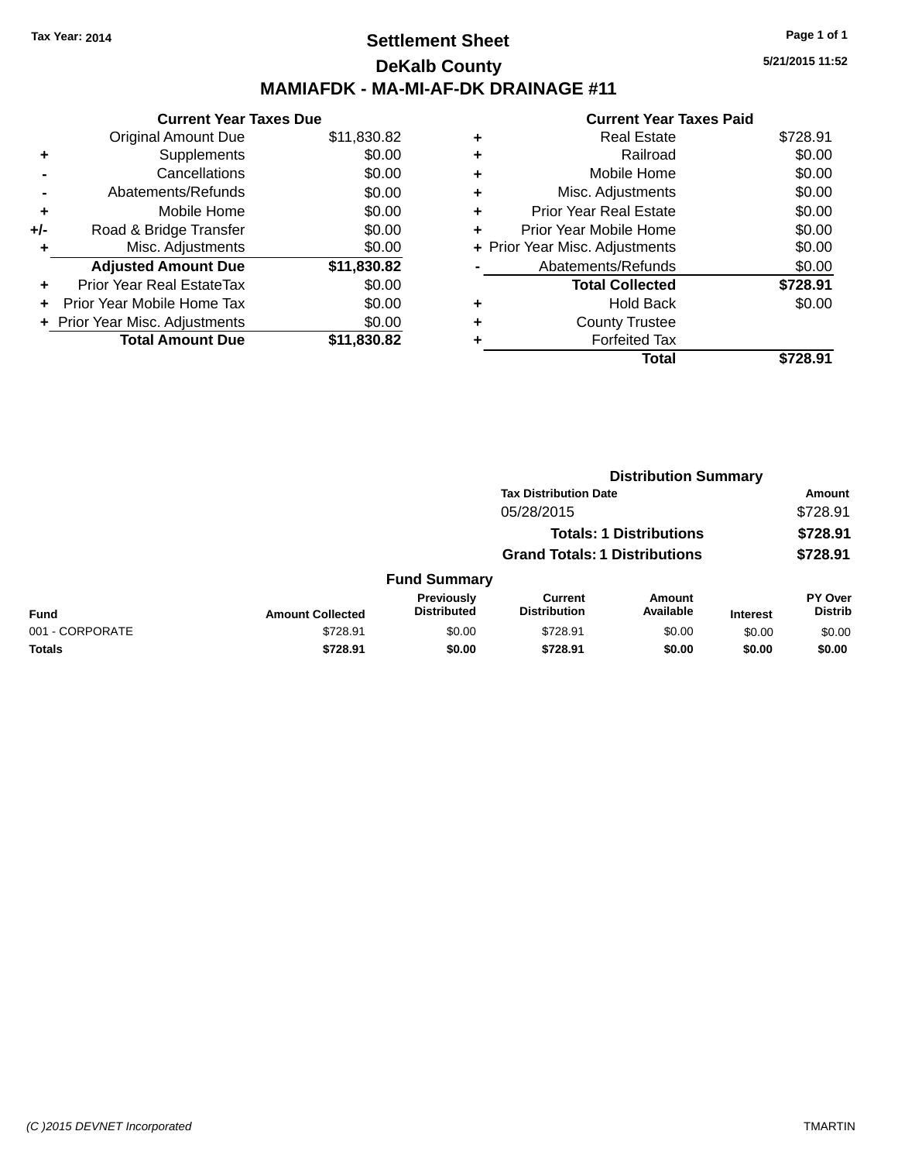### **Settlement Sheet Tax Year: 2014 Page 1 of 1 DeKalb County MAMIAFDK - MA-MI-AF-DK DRAINAGE #11**

|       | <b>Current Year Taxes Due</b>  |             |
|-------|--------------------------------|-------------|
|       | <b>Original Amount Due</b>     | \$11,830.82 |
| ٠     | Supplements                    | \$0.00      |
|       | Cancellations                  | \$0.00      |
|       | Abatements/Refunds             | \$0.00      |
| ٠     | Mobile Home                    | \$0.00      |
| $+/-$ | Road & Bridge Transfer         | \$0.00      |
| ٠     | Misc. Adjustments              | \$0.00      |
|       | <b>Adjusted Amount Due</b>     | \$11,830.82 |
| ÷     | Prior Year Real EstateTax      | \$0.00      |
|       | Prior Year Mobile Home Tax     | \$0.00      |
|       | + Prior Year Misc. Adjustments | \$0.00      |
|       | <b>Total Amount Due</b>        | \$11,830.82 |

### **Current Year Taxes Paid +** Real Estate \$728.91 **+** Railroad \$0.00 **+** Mobile Home \$0.00 **+** Misc. Adjustments \$0.00 **+** Prior Year Real Estate \$0.00 **+** Prior Year Mobile Home \$0.00 **+ Prior Year Misc. Adjustments**  $$0.00$ **-** Abatements/Refunds \$0.00 **Total Collected \$728.91 +** Hold Back \$0.00 **+** County Trustee **+** Forfeited Tax **Total \$728.91**

|                 | <b>Distribution Summary</b> |                                  |                                       |                                |                 |                                  |  |
|-----------------|-----------------------------|----------------------------------|---------------------------------------|--------------------------------|-----------------|----------------------------------|--|
|                 |                             |                                  | <b>Tax Distribution Date</b>          |                                |                 | Amount                           |  |
|                 |                             |                                  | 05/28/2015                            |                                |                 | \$728.91                         |  |
|                 |                             |                                  |                                       | <b>Totals: 1 Distributions</b> |                 | \$728.91                         |  |
|                 |                             |                                  | <b>Grand Totals: 1 Distributions</b>  |                                |                 | \$728.91                         |  |
|                 |                             | <b>Fund Summary</b>              |                                       |                                |                 |                                  |  |
| <b>Fund</b>     | <b>Amount Collected</b>     | Previously<br><b>Distributed</b> | <b>Current</b><br><b>Distribution</b> | <b>Amount</b><br>Available     | <b>Interest</b> | <b>PY Over</b><br><b>Distrib</b> |  |
| 001 - CORPORATE | \$728.91                    | \$0.00                           | \$728.91                              | \$0.00                         | \$0.00          | \$0.00                           |  |
| <b>Totals</b>   | \$728.91                    | \$0.00                           | \$728.91                              | \$0.00                         | \$0.00          | \$0.00                           |  |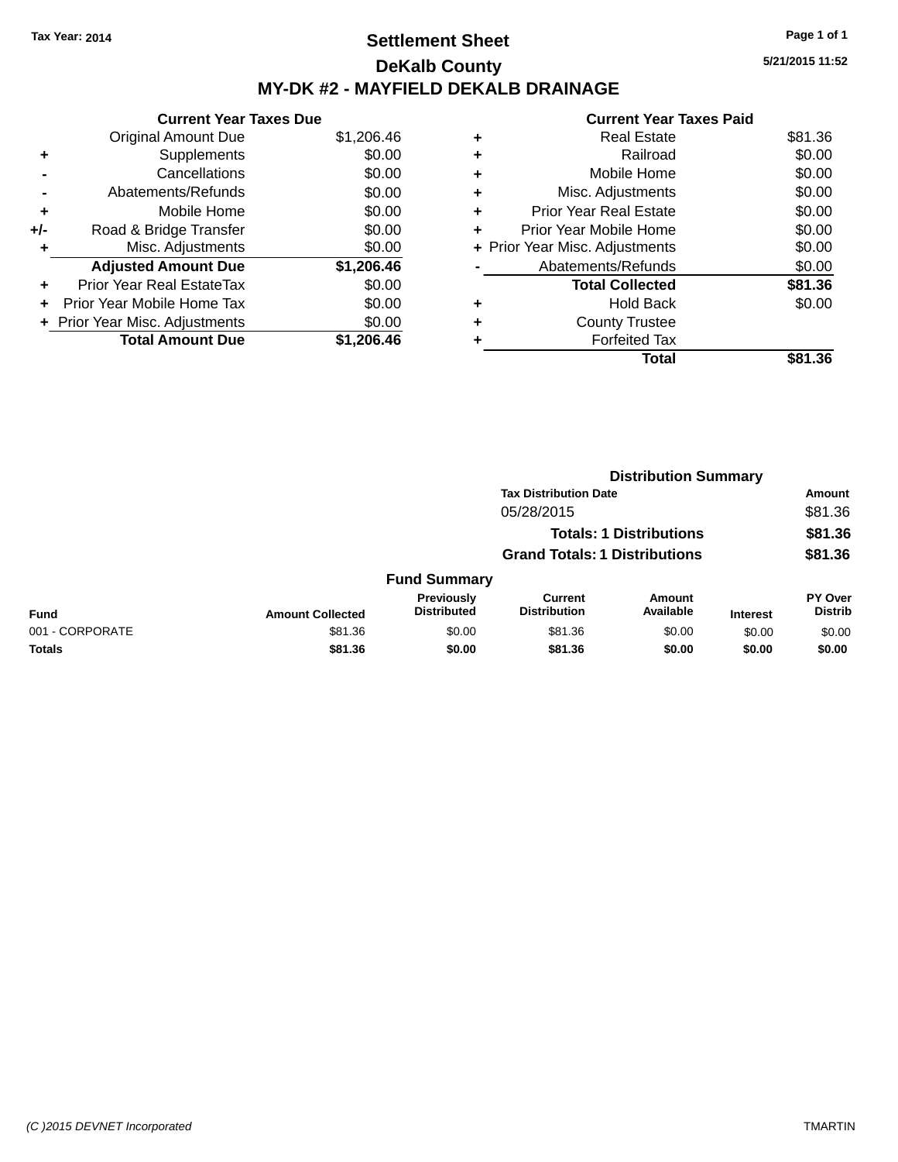### **Settlement Sheet Tax Year: 2014 Page 1 of 1 DeKalb County MY-DK #2 - MAYFIELD DEKALB DRAINAGE**

**5/21/2015 11:52**

| <b>Current Year Taxes Due</b>  |            |
|--------------------------------|------------|
| <b>Original Amount Due</b>     | \$1,206.46 |
| Supplements                    | \$0.00     |
| Cancellations                  | \$0.00     |
| Abatements/Refunds             | \$0.00     |
| Mobile Home                    | \$0.00     |
| Road & Bridge Transfer         | \$0.00     |
| Misc. Adjustments              | \$0.00     |
| <b>Adjusted Amount Due</b>     | \$1,206.46 |
| Prior Year Real EstateTax      | \$0.00     |
| Prior Year Mobile Home Tax     | \$0.00     |
| + Prior Year Misc. Adjustments | \$0.00     |
| <b>Total Amount Due</b>        | \$1.206.46 |
|                                |            |

|   | Total                          | \$81.36 |
|---|--------------------------------|---------|
|   | <b>Forfeited Tax</b>           |         |
| ٠ | <b>County Trustee</b>          |         |
| ٠ | <b>Hold Back</b>               | \$0.00  |
|   | <b>Total Collected</b>         | \$81.36 |
|   | Abatements/Refunds             | \$0.00  |
|   | + Prior Year Misc. Adjustments | \$0.00  |
| ٠ | Prior Year Mobile Home         | \$0.00  |
| ÷ | <b>Prior Year Real Estate</b>  | \$0.00  |
| ٠ | Misc. Adjustments              | \$0.00  |
| ٠ | Mobile Home                    | \$0.00  |
| ٠ | Railroad                       | \$0.00  |
| ٠ | <b>Real Estate</b>             | \$81.36 |
|   |                                |         |

|                 |                         |                                         |                                       | <b>Distribution Summary</b>    |                 |                           |
|-----------------|-------------------------|-----------------------------------------|---------------------------------------|--------------------------------|-----------------|---------------------------|
|                 |                         |                                         | <b>Tax Distribution Date</b>          |                                |                 | <b>Amount</b>             |
|                 |                         |                                         | 05/28/2015                            |                                |                 | \$81.36                   |
|                 |                         |                                         |                                       | <b>Totals: 1 Distributions</b> |                 | \$81.36                   |
|                 |                         |                                         | <b>Grand Totals: 1 Distributions</b>  |                                |                 | \$81.36                   |
|                 |                         | <b>Fund Summary</b>                     |                                       |                                |                 |                           |
| <b>Fund</b>     | <b>Amount Collected</b> | <b>Previously</b><br><b>Distributed</b> | <b>Current</b><br><b>Distribution</b> | Amount<br>Available            | <b>Interest</b> | PY Over<br><b>Distrib</b> |
| 001 - CORPORATE | \$81.36                 | \$0.00                                  | \$81.36                               | \$0.00                         | \$0.00          | \$0.00                    |
| <b>Totals</b>   | \$81.36                 | \$0.00                                  | \$81.36                               | \$0.00                         | \$0.00          | \$0.00                    |
|                 |                         |                                         |                                       |                                |                 |                           |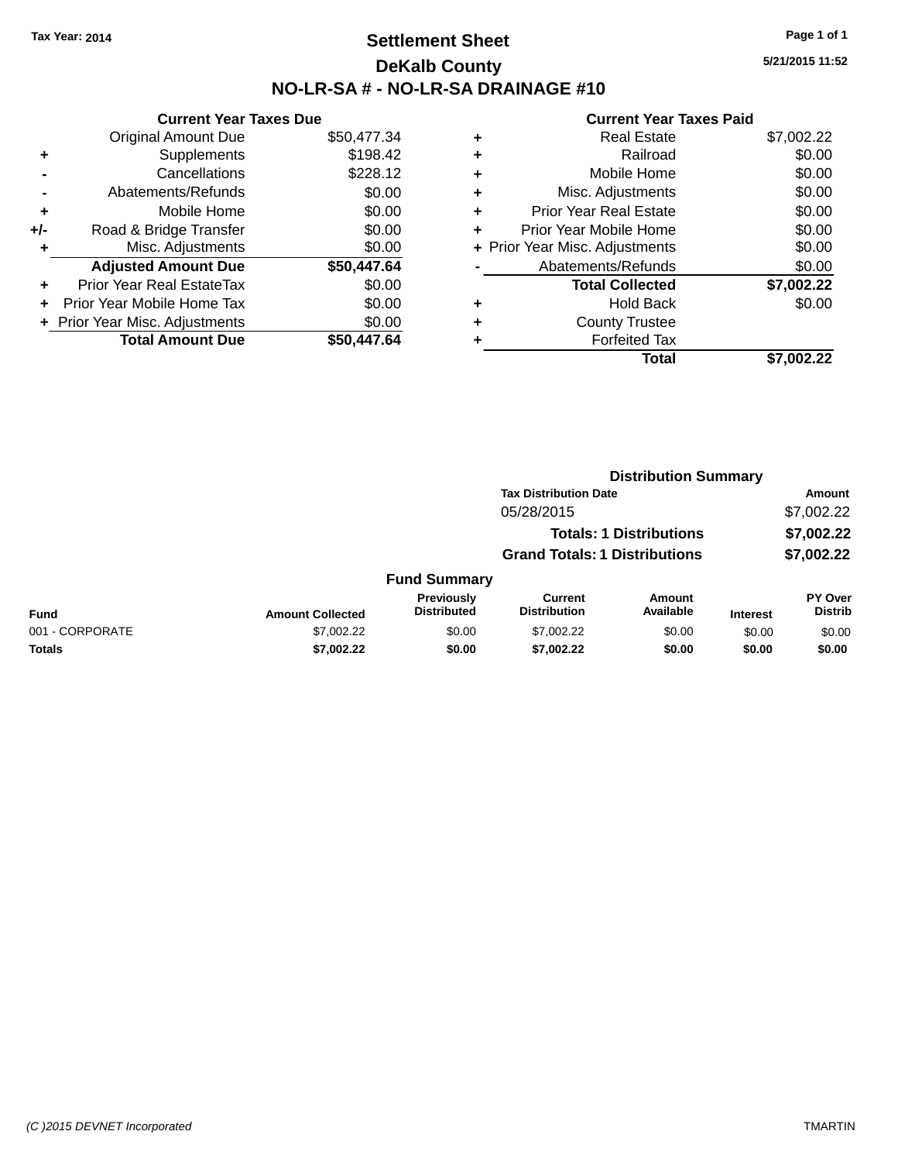### **Settlement Sheet Tax Year: 2014 Page 1 of 1 DeKalb County NO-LR-SA # - NO-LR-SA DRAINAGE #10**

**5/21/2015 11:52**

|     | <b>Current Year Taxes Due</b>    |             |
|-----|----------------------------------|-------------|
|     | <b>Original Amount Due</b>       | \$50,477.34 |
| ٠   | Supplements                      | \$198.42    |
|     | Cancellations                    | \$228.12    |
|     | Abatements/Refunds               | \$0.00      |
| ٠   | Mobile Home                      | \$0.00      |
| +/- | Road & Bridge Transfer           | \$0.00      |
| ٠   | Misc. Adjustments                | \$0.00      |
|     | <b>Adjusted Amount Due</b>       | \$50,447.64 |
| ÷   | <b>Prior Year Real EstateTax</b> | \$0.00      |
| ÷   | Prior Year Mobile Home Tax       | \$0.00      |
|     | + Prior Year Misc. Adjustments   | \$0.00      |
|     | <b>Total Amount Due</b>          | \$50.447.64 |

| ٠ | <b>Real Estate</b>             | \$7,002.22 |
|---|--------------------------------|------------|
| ٠ | Railroad                       | \$0.00     |
| ٠ | Mobile Home                    | \$0.00     |
| ٠ | Misc. Adjustments              | \$0.00     |
| ٠ | <b>Prior Year Real Estate</b>  | \$0.00     |
| ٠ | Prior Year Mobile Home         | \$0.00     |
|   | + Prior Year Misc. Adjustments | \$0.00     |
|   | Abatements/Refunds             | \$0.00     |
|   | <b>Total Collected</b>         | \$7,002.22 |
| ٠ | <b>Hold Back</b>               | \$0.00     |
| ٠ | <b>County Trustee</b>          |            |
| ٠ | <b>Forfeited Tax</b>           |            |
|   | Total                          | \$7,002.22 |
|   |                                |            |

|                 |                         | <b>Distribution Summary</b>      |                                       |                                |                 |                           |  |
|-----------------|-------------------------|----------------------------------|---------------------------------------|--------------------------------|-----------------|---------------------------|--|
|                 |                         |                                  | <b>Tax Distribution Date</b>          |                                |                 | Amount                    |  |
|                 |                         |                                  | 05/28/2015                            |                                |                 | \$7,002.22                |  |
|                 |                         |                                  |                                       | <b>Totals: 1 Distributions</b> |                 | \$7,002.22                |  |
|                 |                         |                                  | <b>Grand Totals: 1 Distributions</b>  |                                |                 | \$7,002.22                |  |
|                 |                         | <b>Fund Summary</b>              |                                       |                                |                 |                           |  |
| <b>Fund</b>     | <b>Amount Collected</b> | Previously<br><b>Distributed</b> | <b>Current</b><br><b>Distribution</b> | Amount<br>Available            | <b>Interest</b> | PY Over<br><b>Distrib</b> |  |
| 001 - CORPORATE | \$7,002.22              | \$0.00                           | \$7,002.22                            | \$0.00                         | \$0.00          | \$0.00                    |  |
| <b>Totals</b>   | \$7,002.22              | \$0.00                           | \$7,002.22                            | \$0.00                         | \$0.00          | \$0.00                    |  |
|                 |                         |                                  |                                       |                                |                 |                           |  |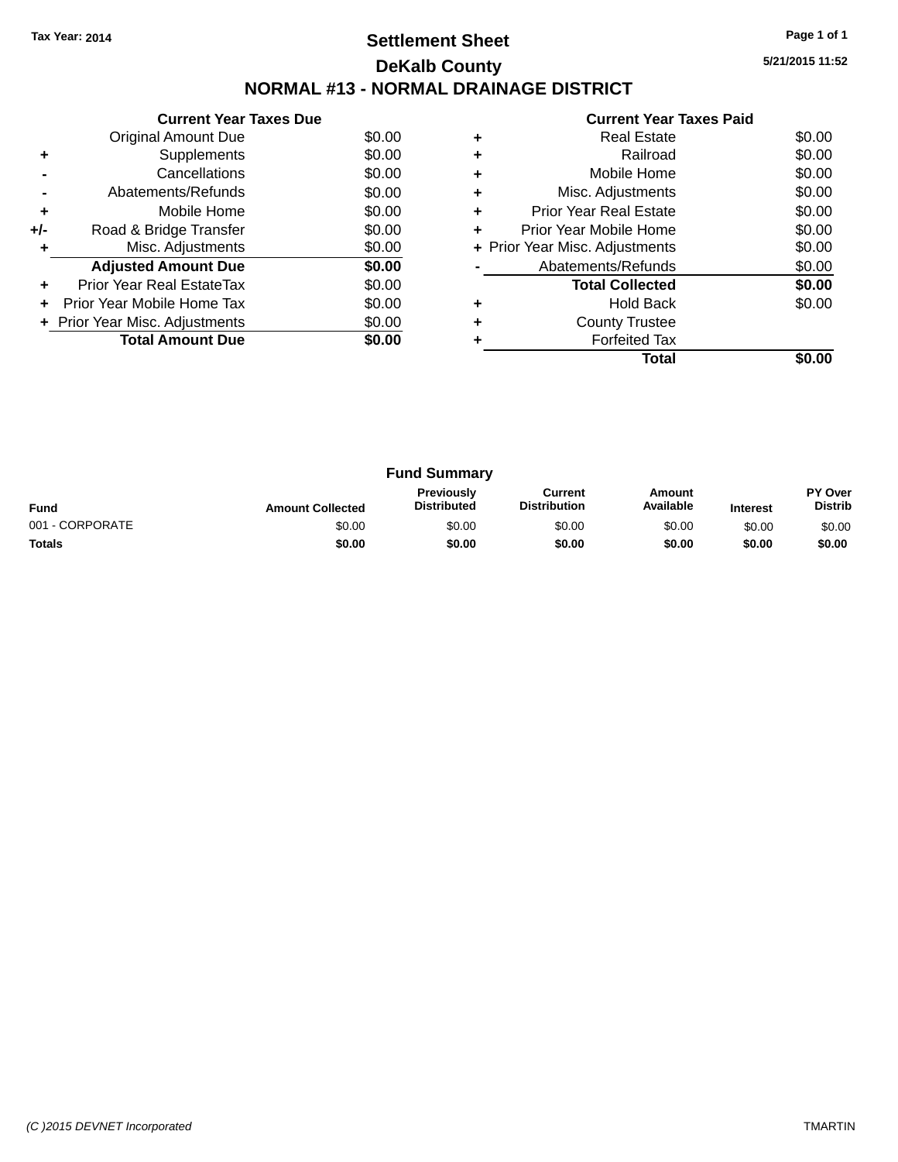### **Settlement Sheet Tax Year: 2014 Page 1 of 1 DeKalb County NORMAL #13 - NORMAL DRAINAGE DISTRICT**

**5/21/2015 11:52**

|     | <b>Current Year Taxes Due</b>  |        |
|-----|--------------------------------|--------|
|     | Original Amount Due            | \$0.00 |
|     | Supplements                    | \$0.00 |
|     | Cancellations                  | \$0.00 |
| -   | Abatements/Refunds             | \$0.00 |
| ٠   | Mobile Home                    | \$0.00 |
| +/- | Road & Bridge Transfer         | \$0.00 |
| ٠   | Misc. Adjustments              | \$0.00 |
|     | <b>Adjusted Amount Due</b>     | \$0.00 |
|     | Prior Year Real EstateTax      | \$0.00 |
| ÷   | Prior Year Mobile Home Tax     | \$0.00 |
|     | + Prior Year Misc. Adjustments | \$0.00 |
|     | <b>Total Amount Due</b>        | \$0.00 |
|     |                                |        |

|   | <b>Real Estate</b>             | \$0.00 |
|---|--------------------------------|--------|
| ٠ | Railroad                       | \$0.00 |
|   | Mobile Home                    | \$0.00 |
| ٠ | Misc. Adjustments              | \$0.00 |
| ٠ | <b>Prior Year Real Estate</b>  | \$0.00 |
| ٠ | Prior Year Mobile Home         | \$0.00 |
|   | + Prior Year Misc. Adjustments | \$0.00 |
|   | Abatements/Refunds             | \$0.00 |
|   | <b>Total Collected</b>         | \$0.00 |
|   | <b>Hold Back</b>               | \$0.00 |
| ٠ | <b>County Trustee</b>          |        |
|   | <b>Forfeited Tax</b>           |        |
|   | Total                          |        |
|   |                                |        |

| <b>Fund Summary</b>                                                                                                                                           |        |        |        |        |        |                           |
|---------------------------------------------------------------------------------------------------------------------------------------------------------------|--------|--------|--------|--------|--------|---------------------------|
| <b>Previously</b><br>Current<br>Amount<br><b>Distribution</b><br>Available<br><b>Distributed</b><br><b>Fund</b><br><b>Amount Collected</b><br><b>Interest</b> |        |        |        |        |        | PY Over<br><b>Distrib</b> |
| 001 - CORPORATE                                                                                                                                               | \$0.00 | \$0.00 | \$0.00 | \$0.00 | \$0.00 | \$0.00                    |
| <b>Totals</b>                                                                                                                                                 | \$0.00 | \$0.00 | \$0.00 | \$0.00 | \$0.00 | \$0.00                    |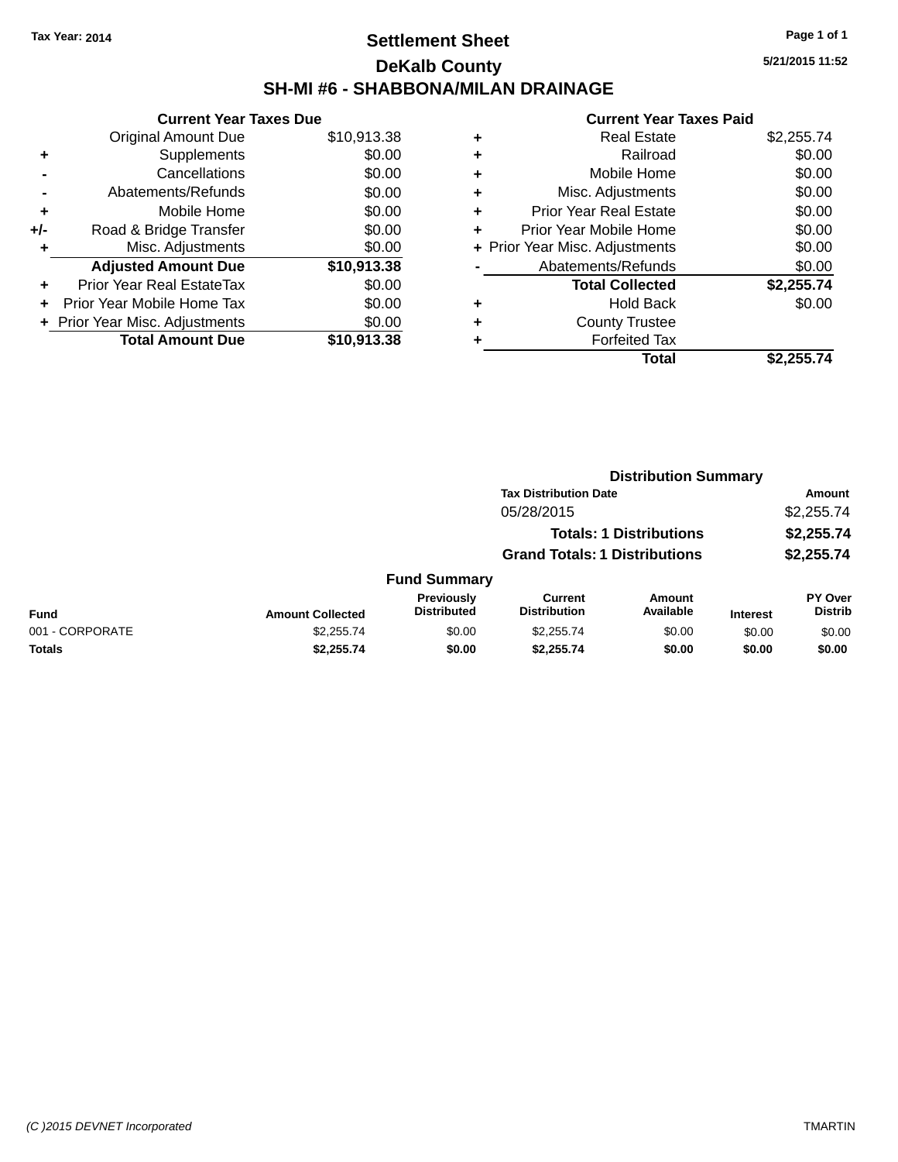### **Settlement Sheet Tax Year: 2014 Page 1 of 1 DeKalb County SH-MI #6 - SHABBONA/MILAN DRAINAGE**

**5/21/2015 11:52**

|     | <b>Current Year Taxes Due</b> |             |
|-----|-------------------------------|-------------|
|     | <b>Original Amount Due</b>    | \$10,913.38 |
| ٠   | Supplements                   | \$0.00      |
|     | Cancellations                 | \$0.00      |
|     | Abatements/Refunds            | \$0.00      |
| ٠   | Mobile Home                   | \$0.00      |
| +/- | Road & Bridge Transfer        | \$0.00      |
| ٠   | Misc. Adjustments             | \$0.00      |
|     | <b>Adjusted Amount Due</b>    | \$10,913.38 |
| ÷   | Prior Year Real EstateTax     | \$0.00      |
| ٠   | Prior Year Mobile Home Tax    | \$0.00      |
|     | Prior Year Misc. Adjustments  | \$0.00      |
|     | <b>Total Amount Due</b>       | \$10.913.38 |

| ٠ | <b>Real Estate</b>             | \$2,255.74 |
|---|--------------------------------|------------|
| ٠ | Railroad                       | \$0.00     |
| ٠ | Mobile Home                    | \$0.00     |
| ٠ | Misc. Adjustments              | \$0.00     |
| ٠ | <b>Prior Year Real Estate</b>  | \$0.00     |
| ÷ | Prior Year Mobile Home         | \$0.00     |
|   | + Prior Year Misc. Adjustments | \$0.00     |
|   | Abatements/Refunds             | \$0.00     |
|   | <b>Total Collected</b>         | \$2,255.74 |
| ٠ | <b>Hold Back</b>               | \$0.00     |
| ٠ | <b>County Trustee</b>          |            |
| ٠ | <b>Forfeited Tax</b>           |            |
|   | Total                          | \$2,255.74 |
|   |                                |            |

|                 |                         | <b>Distribution Summary</b>      |                                       |                                |                 |                           |  |
|-----------------|-------------------------|----------------------------------|---------------------------------------|--------------------------------|-----------------|---------------------------|--|
|                 |                         |                                  | <b>Tax Distribution Date</b>          |                                |                 | Amount                    |  |
|                 |                         |                                  | 05/28/2015                            |                                |                 | \$2,255.74                |  |
|                 |                         |                                  |                                       | <b>Totals: 1 Distributions</b> |                 | \$2,255.74                |  |
|                 |                         |                                  | <b>Grand Totals: 1 Distributions</b>  |                                |                 | \$2,255.74                |  |
|                 |                         | <b>Fund Summary</b>              |                                       |                                |                 |                           |  |
| <b>Fund</b>     | <b>Amount Collected</b> | Previously<br><b>Distributed</b> | <b>Current</b><br><b>Distribution</b> | <b>Amount</b><br>Available     | <b>Interest</b> | PY Over<br><b>Distrib</b> |  |
| 001 - CORPORATE | \$2,255.74              | \$0.00                           | \$2,255.74                            | \$0.00                         | \$0.00          | \$0.00                    |  |
| <b>Totals</b>   | \$2,255.74              | \$0.00                           | \$2,255.74                            | \$0.00                         | \$0.00          | \$0.00                    |  |
|                 |                         |                                  |                                       |                                |                 |                           |  |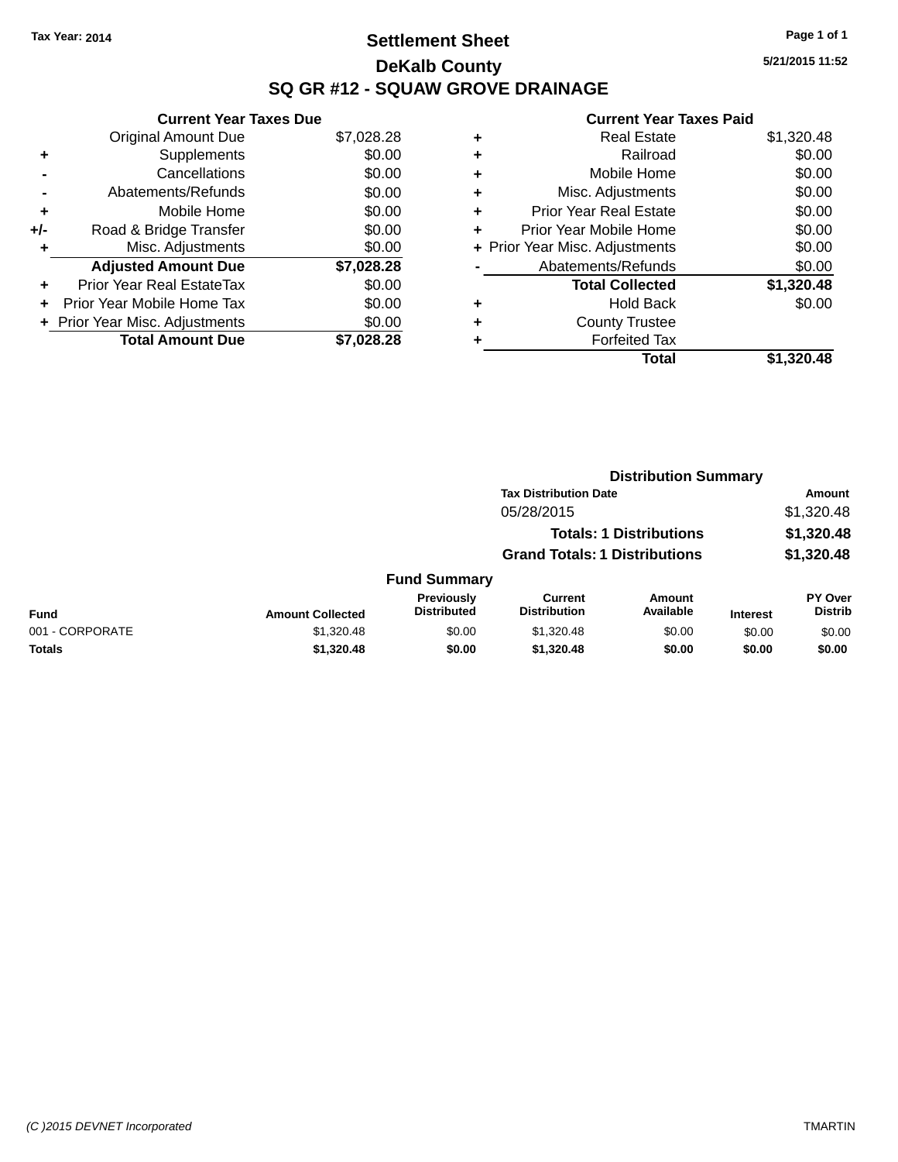### **Settlement Sheet Tax Year: 2014 Page 1 of 1 DeKalb County SQ GR #12 - SQUAW GROVE DRAINAGE**

**5/21/2015 11:52**

| <b>Current Year Taxes Due</b>     |            |
|-----------------------------------|------------|
| <b>Original Amount Due</b>        | \$7,028.28 |
| Supplements                       | \$0.00     |
| Cancellations                     | \$0.00     |
| Abatements/Refunds                | \$0.00     |
| Mobile Home                       | \$0.00     |
| Road & Bridge Transfer            | \$0.00     |
| Misc. Adjustments                 | \$0.00     |
| <b>Adjusted Amount Due</b>        | \$7,028.28 |
| Prior Year Real EstateTax         | \$0.00     |
| <b>Prior Year Mobile Home Tax</b> | \$0.00     |
| + Prior Year Misc. Adjustments    | \$0.00     |
| <b>Total Amount Due</b>           | \$7,028.28 |
|                                   |            |

| ٠ | <b>Real Estate</b>             | \$1,320.48 |
|---|--------------------------------|------------|
| ٠ | Railroad                       | \$0.00     |
| ٠ | Mobile Home                    | \$0.00     |
| ٠ | Misc. Adjustments              | \$0.00     |
| ٠ | <b>Prior Year Real Estate</b>  | \$0.00     |
| ٠ | Prior Year Mobile Home         | \$0.00     |
|   | + Prior Year Misc. Adjustments | \$0.00     |
|   | Abatements/Refunds             | \$0.00     |
|   | <b>Total Collected</b>         | \$1,320.48 |
| ٠ | <b>Hold Back</b>               | \$0.00     |
| ٠ | <b>County Trustee</b>          |            |
| ٠ | <b>Forfeited Tax</b>           |            |
|   | Total                          | \$1.320.48 |
|   |                                |            |

|                 |                         |                                  | <b>Distribution Summary</b>          |                                |                 |                           |  |
|-----------------|-------------------------|----------------------------------|--------------------------------------|--------------------------------|-----------------|---------------------------|--|
|                 |                         |                                  | <b>Tax Distribution Date</b>         |                                |                 | <b>Amount</b>             |  |
|                 |                         |                                  | 05/28/2015                           |                                |                 | \$1,320.48                |  |
|                 |                         |                                  |                                      | <b>Totals: 1 Distributions</b> |                 | \$1,320.48                |  |
|                 |                         |                                  | <b>Grand Totals: 1 Distributions</b> |                                |                 | \$1,320.48                |  |
|                 |                         | <b>Fund Summary</b>              |                                      |                                |                 |                           |  |
| <b>Fund</b>     | <b>Amount Collected</b> | Previously<br><b>Distributed</b> | Current<br><b>Distribution</b>       | Amount<br>Available            | <b>Interest</b> | PY Over<br><b>Distrib</b> |  |
| 001 - CORPORATE | \$1,320.48              | \$0.00                           | \$1,320.48                           | \$0.00                         | \$0.00          | \$0.00                    |  |
| <b>Totals</b>   | \$1,320.48              | \$0.00                           | \$1,320.48                           | \$0.00                         | \$0.00          | \$0.00                    |  |
|                 |                         |                                  |                                      |                                |                 |                           |  |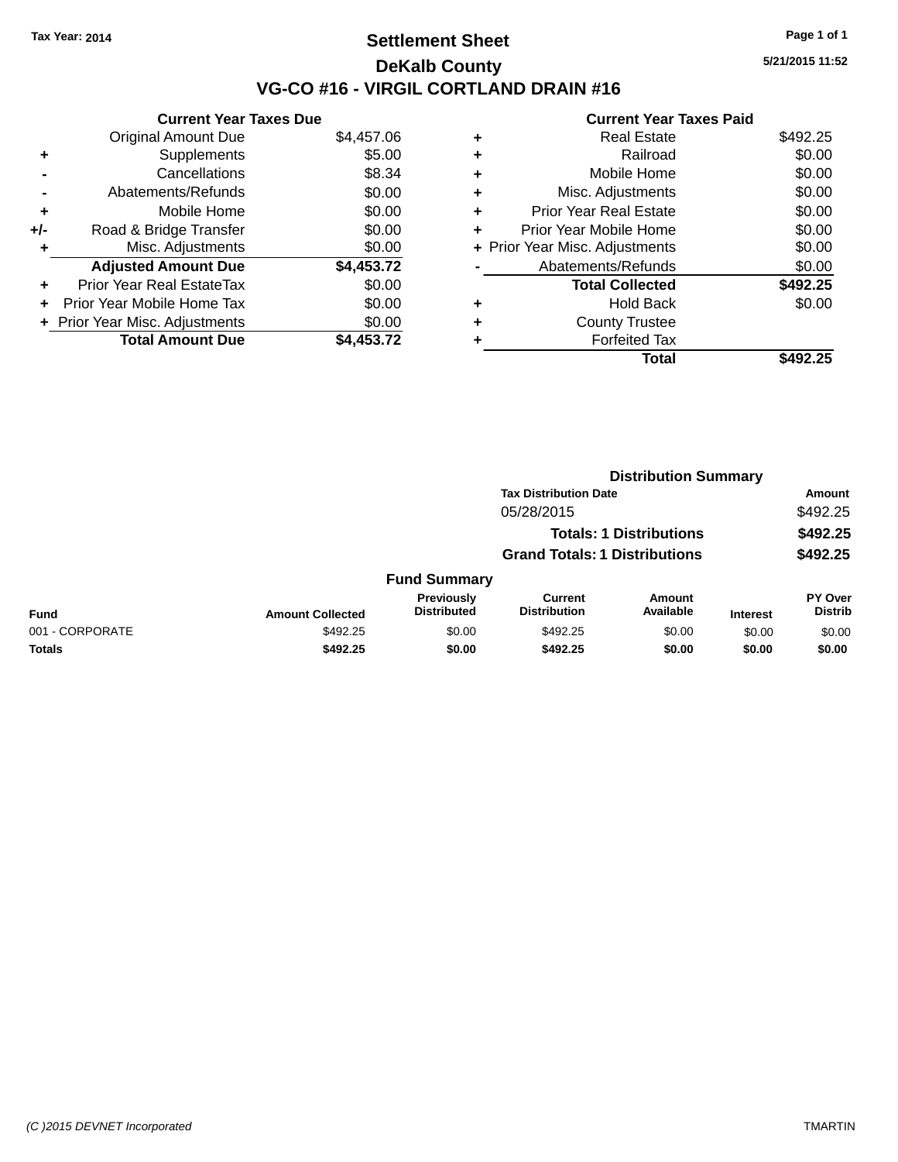### **Settlement Sheet Tax Year: 2014 Page 1 of 1 DeKalb County VG-CO #16 - VIRGIL CORTLAND DRAIN #16**

**5/21/2015 11:52**

|     | <b>Current Year Taxes Due</b>  |            |
|-----|--------------------------------|------------|
|     | <b>Original Amount Due</b>     | \$4,457.06 |
| ٠   | Supplements                    | \$5.00     |
|     | Cancellations                  | \$8.34     |
|     | Abatements/Refunds             | \$0.00     |
| ٠   | Mobile Home                    | \$0.00     |
| +/- | Road & Bridge Transfer         | \$0.00     |
|     | Misc. Adjustments              | \$0.00     |
|     | <b>Adjusted Amount Due</b>     | \$4,453.72 |
| ÷   | Prior Year Real EstateTax      | \$0.00     |
|     | Prior Year Mobile Home Tax     | \$0.00     |
|     | + Prior Year Misc. Adjustments | \$0.00     |
|     | <b>Total Amount Due</b>        | \$4.453.72 |
|     |                                |            |

|   | Total                          | \$492.25 |
|---|--------------------------------|----------|
|   | <b>Forfeited Tax</b>           |          |
| ٠ | <b>County Trustee</b>          |          |
| ٠ | <b>Hold Back</b>               | \$0.00   |
|   | <b>Total Collected</b>         | \$492.25 |
|   | Abatements/Refunds             | \$0.00   |
|   | + Prior Year Misc. Adjustments | \$0.00   |
| ٠ | Prior Year Mobile Home         | \$0.00   |
| ÷ | <b>Prior Year Real Estate</b>  | \$0.00   |
| ٠ | Misc. Adjustments              | \$0.00   |
| ٠ | Mobile Home                    | \$0.00   |
| ٠ | Railroad                       | \$0.00   |
| ٠ | <b>Real Estate</b>             | \$492.25 |
|   |                                |          |

|                 |                         |                                  |                                       | <b>Distribution Summary</b>    |                 |                           |
|-----------------|-------------------------|----------------------------------|---------------------------------------|--------------------------------|-----------------|---------------------------|
|                 |                         |                                  | <b>Tax Distribution Date</b>          |                                |                 | <b>Amount</b>             |
|                 |                         |                                  | 05/28/2015                            |                                |                 | \$492.25                  |
|                 |                         |                                  |                                       | <b>Totals: 1 Distributions</b> |                 | \$492.25                  |
|                 |                         |                                  | <b>Grand Totals: 1 Distributions</b>  |                                |                 | \$492.25                  |
|                 |                         | <b>Fund Summary</b>              |                                       |                                |                 |                           |
| <b>Fund</b>     | <b>Amount Collected</b> | Previously<br><b>Distributed</b> | <b>Current</b><br><b>Distribution</b> | Amount<br>Available            | <b>Interest</b> | PY Over<br><b>Distrib</b> |
| 001 - CORPORATE | \$492.25                | \$0.00                           | \$492.25                              | \$0.00                         | \$0.00          | \$0.00                    |
| <b>Totals</b>   | \$492.25                | \$0.00                           | \$492.25                              | \$0.00                         | \$0.00          | \$0.00                    |
|                 |                         |                                  |                                       |                                |                 |                           |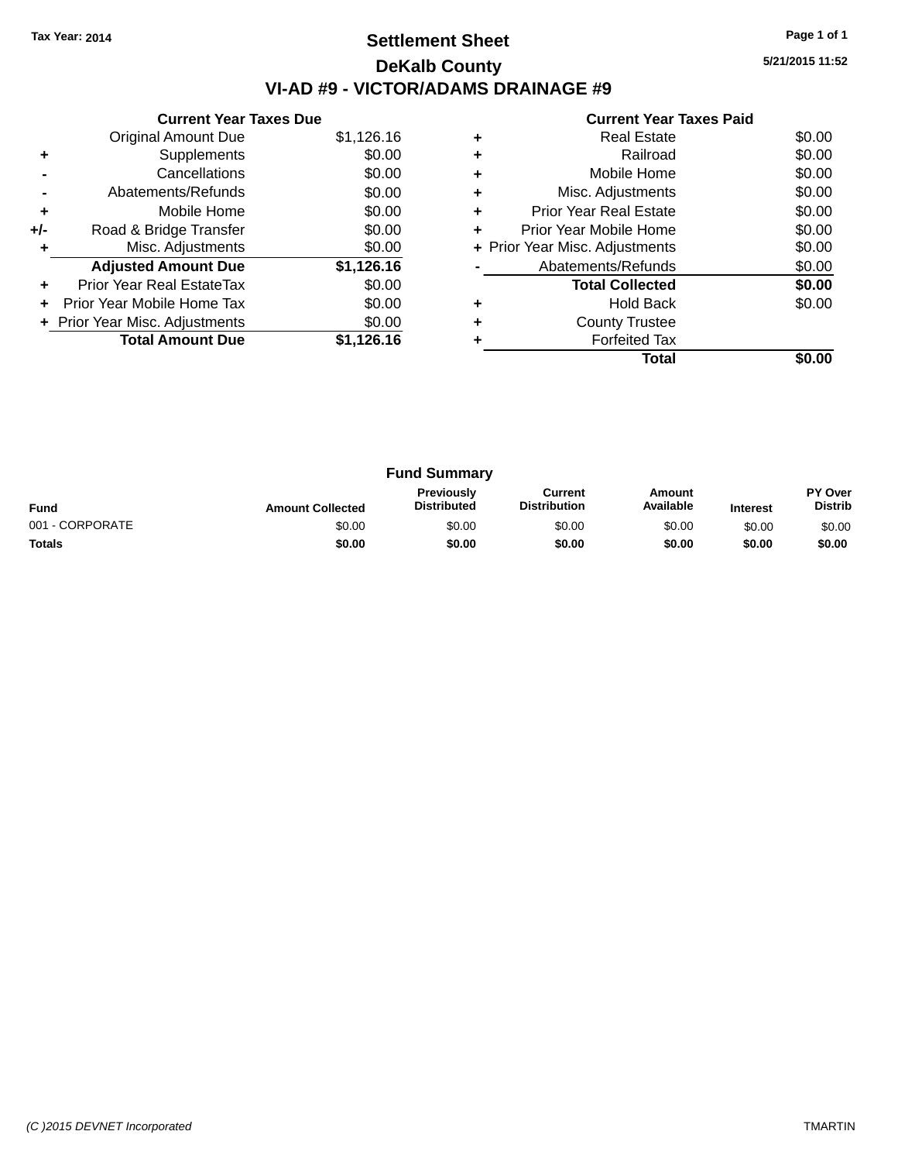### **Settlement Sheet Tax Year: 2014 Page 1 of 1 DeKalb County VI-AD #9 - VICTOR/ADAMS DRAINAGE #9**

**5/21/2015 11:52**

| <b>Current Year Taxes Paid</b> |
|--------------------------------|
| Real Estate                    |

|       | <b>Original Amount Due</b>     | \$1,126.16 |
|-------|--------------------------------|------------|
| ٠     | Supplements                    | \$0.00     |
|       | Cancellations                  | \$0.00     |
|       | Abatements/Refunds             | \$0.00     |
| ٠     | Mobile Home                    | \$0.00     |
| $+/-$ | Road & Bridge Transfer         | \$0.00     |
| ٠     | Misc. Adjustments              | \$0.00     |
|       | <b>Adjusted Amount Due</b>     | \$1,126.16 |
| ٠     | Prior Year Real EstateTax      | \$0.00     |
|       | Prior Year Mobile Home Tax     | \$0.00     |
|       | + Prior Year Misc. Adjustments | \$0.00     |
|       | <b>Total Amount Due</b>        | \$1,126.16 |
|       |                                |            |

**Current Year Taxes Due**

| ٠ | Misc. Adjustments<br><b>Prior Year Real Estate</b> | \$0.00<br>\$0.00 |
|---|----------------------------------------------------|------------------|
| ٠ |                                                    |                  |
|   | Prior Year Mobile Home                             | \$0.00           |
|   | + Prior Year Misc. Adjustments                     | \$0.00           |
|   | Abatements/Refunds                                 | \$0.00           |
|   |                                                    |                  |
|   | <b>Total Collected</b>                             | \$0.00           |
| ٠ | <b>Hold Back</b>                                   | \$0.00           |
| ٠ | <b>County Trustee</b>                              |                  |
|   | <b>Forfeited Tax</b>                               |                  |

| <b>Fund Summary</b> |                         |                                         |                                |                     |                 |                           |
|---------------------|-------------------------|-----------------------------------------|--------------------------------|---------------------|-----------------|---------------------------|
| <b>Fund</b>         | <b>Amount Collected</b> | <b>Previously</b><br><b>Distributed</b> | Current<br><b>Distribution</b> | Amount<br>Available | <b>Interest</b> | PY Over<br><b>Distrib</b> |
| 001 - CORPORATE     | \$0.00                  | \$0.00                                  | \$0.00                         | \$0.00              | \$0.00          | \$0.00                    |
| <b>Totals</b>       | \$0.00                  | \$0.00                                  | \$0.00                         | \$0.00              | \$0.00          | \$0.00                    |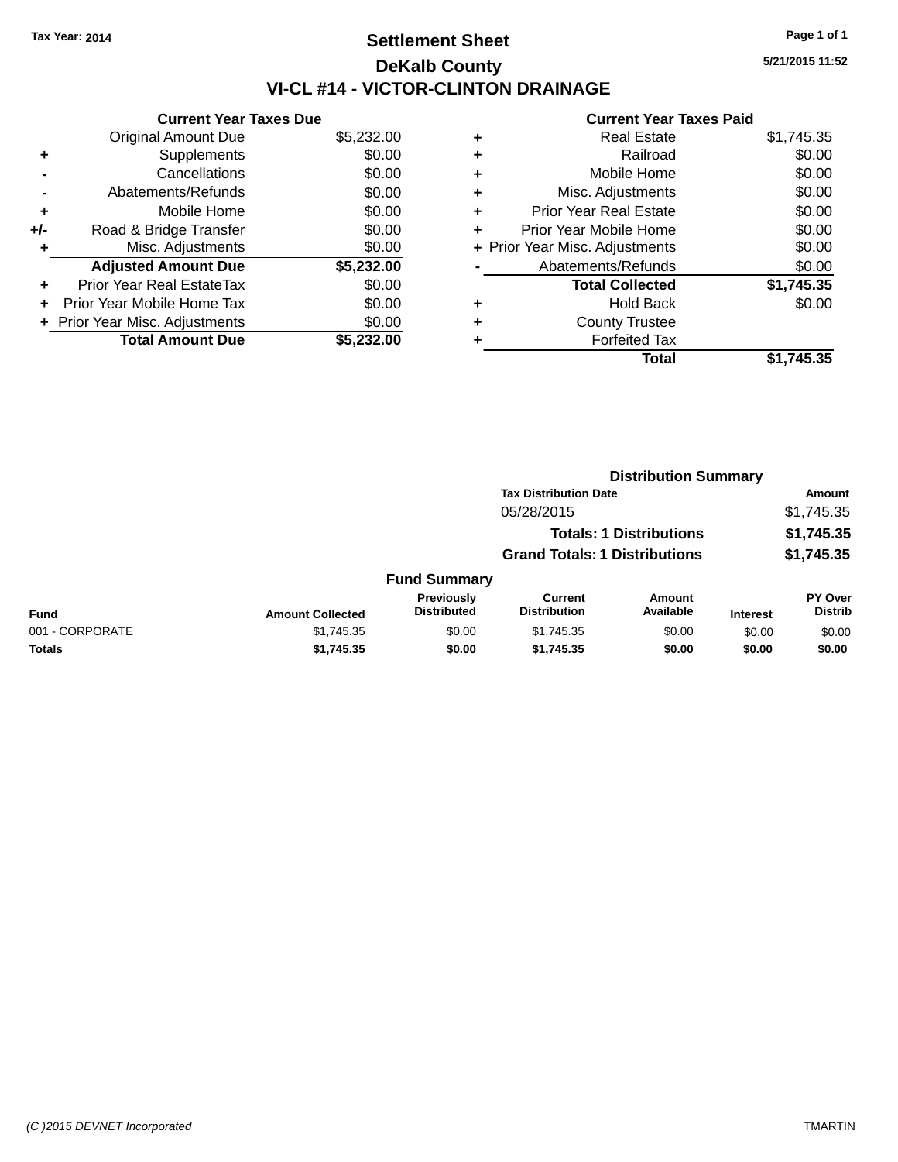### **Settlement Sheet Tax Year: 2014 Page 1 of 1 DeKalb County VI-CL #14 - VICTOR-CLINTON DRAINAGE**

**Current Year Taxes Due** Original Amount Due \$5,232.00<br>Supplements \$0.00 **+** Supplements **-** Cancellations \$0.00 **-** Abatements/Refunds \$0.00 **+** Mobile Home \$0.00 **+/-** Road & Bridge Transfer \$0.00 **+** Misc. Adjustments \$0.00 **Adjusted Amount Due \$5,232.00 +** Prior Year Real EstateTax \$0.00 **+** Prior Year Mobile Home Tax \$0.00 **+ Prior Year Misc. Adjustments**  $$0.00$ **Total Amount Due \$5,232.00**

#### **Current Year Taxes Paid**

|   | <b>Real Estate</b>             | \$1,745.35 |
|---|--------------------------------|------------|
| ٠ | Railroad                       | \$0.00     |
| ٠ | Mobile Home                    | \$0.00     |
| ٠ | Misc. Adjustments              | \$0.00     |
| ٠ | <b>Prior Year Real Estate</b>  | \$0.00     |
| ÷ | Prior Year Mobile Home         | \$0.00     |
|   | + Prior Year Misc. Adjustments | \$0.00     |
|   | Abatements/Refunds             | \$0.00     |
|   | <b>Total Collected</b>         | \$1,745.35 |
| ٠ | Hold Back                      | \$0.00     |
| ٠ | <b>County Trustee</b>          |            |
|   | <b>Forfeited Tax</b>           |            |
|   | Total                          | \$1,745.35 |

**Distribution Summary**

|                 |                         |                                  | <b>Tax Distribution Date</b>          |                                |                 | Amount                           |
|-----------------|-------------------------|----------------------------------|---------------------------------------|--------------------------------|-----------------|----------------------------------|
|                 |                         |                                  | 05/28/2015                            |                                |                 | \$1,745.35                       |
|                 |                         |                                  |                                       | <b>Totals: 1 Distributions</b> |                 | \$1,745.35                       |
|                 |                         |                                  | <b>Grand Totals: 1 Distributions</b>  |                                |                 | \$1,745.35                       |
|                 |                         | <b>Fund Summary</b>              |                                       |                                |                 |                                  |
| <b>Fund</b>     | <b>Amount Collected</b> | Previously<br><b>Distributed</b> | <b>Current</b><br><b>Distribution</b> | <b>Amount</b><br>Available     | <b>Interest</b> | <b>PY Over</b><br><b>Distrib</b> |
| 001 - CORPORATE | \$1,745.35              | \$0.00                           | \$1,745.35                            | \$0.00                         | \$0.00          | \$0.00                           |
| <b>Totals</b>   | \$1,745.35              | \$0.00                           | \$1,745.35                            | \$0.00                         | \$0.00          | \$0.00                           |